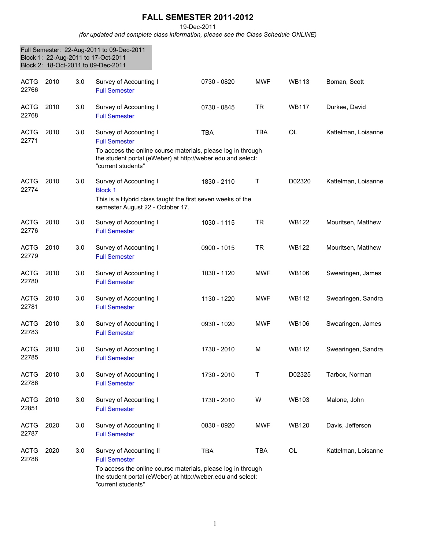## **FALL SEMESTER 2011-2012**

19-Dec-2011

*(for updated and complete class information, please see the Class Schedule ONLINE)*

|                      |      |     | Full Semester: 22-Aug-2011 to 09-Dec-2011<br>Block 1: 22-Aug-2011 to 17-Oct-2011<br>Block 2: 18-Oct-2011 to 09-Dec-2011                                                                              |             |              |              |                     |
|----------------------|------|-----|------------------------------------------------------------------------------------------------------------------------------------------------------------------------------------------------------|-------------|--------------|--------------|---------------------|
| <b>ACTG</b><br>22766 | 2010 | 3.0 | Survey of Accounting I<br><b>Full Semester</b>                                                                                                                                                       | 0730 - 0820 | <b>MWF</b>   | <b>WB113</b> | Boman, Scott        |
| <b>ACTG</b><br>22768 | 2010 | 3.0 | Survey of Accounting I<br><b>Full Semester</b>                                                                                                                                                       | 0730 - 0845 | <b>TR</b>    | <b>WB117</b> | Durkee, David       |
| <b>ACTG</b><br>22771 | 2010 | 3.0 | Survey of Accounting I<br><b>Full Semester</b><br>To access the online course materials, please log in through<br>the student portal (eWeber) at http://weber.edu and select:<br>"current students"  | <b>TBA</b>  | <b>TBA</b>   | <b>OL</b>    | Kattelman, Loisanne |
| <b>ACTG</b><br>22774 | 2010 | 3.0 | Survey of Accounting I<br><b>Block 1</b><br>This is a Hybrid class taught the first seven weeks of the<br>semester August 22 - October 17.                                                           | 1830 - 2110 | $\mathsf{T}$ | D02320       | Kattelman, Loisanne |
| <b>ACTG</b><br>22776 | 2010 | 3.0 | Survey of Accounting I<br><b>Full Semester</b>                                                                                                                                                       | 1030 - 1115 | <b>TR</b>    | <b>WB122</b> | Mouritsen, Matthew  |
| <b>ACTG</b><br>22779 | 2010 | 3.0 | Survey of Accounting I<br><b>Full Semester</b>                                                                                                                                                       | 0900 - 1015 | <b>TR</b>    | <b>WB122</b> | Mouritsen, Matthew  |
| <b>ACTG</b><br>22780 | 2010 | 3.0 | Survey of Accounting I<br><b>Full Semester</b>                                                                                                                                                       | 1030 - 1120 | <b>MWF</b>   | <b>WB106</b> | Swearingen, James   |
| <b>ACTG</b><br>22781 | 2010 | 3.0 | Survey of Accounting I<br><b>Full Semester</b>                                                                                                                                                       | 1130 - 1220 | <b>MWF</b>   | <b>WB112</b> | Swearingen, Sandra  |
| <b>ACTG</b><br>22783 | 2010 | 3.0 | Survey of Accounting I<br><b>Full Semester</b>                                                                                                                                                       | 0930 - 1020 | MWF          | WB106        | Swearingen, James   |
| ACTG<br>22785        | 2010 | 3.0 | Survey of Accounting I<br><b>Full Semester</b>                                                                                                                                                       | 1730 - 2010 | M            | WB112        | Swearingen, Sandra  |
| <b>ACTG</b><br>22786 | 2010 | 3.0 | Survey of Accounting I<br><b>Full Semester</b>                                                                                                                                                       | 1730 - 2010 | Τ            | D02325       | Tarbox, Norman      |
| <b>ACTG</b><br>22851 | 2010 | 3.0 | Survey of Accounting I<br><b>Full Semester</b>                                                                                                                                                       | 1730 - 2010 | W            | <b>WB103</b> | Malone, John        |
| <b>ACTG</b><br>22787 | 2020 | 3.0 | Survey of Accounting II<br><b>Full Semester</b>                                                                                                                                                      | 0830 - 0920 | <b>MWF</b>   | <b>WB120</b> | Davis, Jefferson    |
| <b>ACTG</b><br>22788 | 2020 | 3.0 | Survey of Accounting II<br><b>Full Semester</b><br>To access the online course materials, please log in through<br>the student portal (eWeber) at http://weber.edu and select:<br>"current students" | <b>TBA</b>  | <b>TBA</b>   | OL           | Kattelman, Loisanne |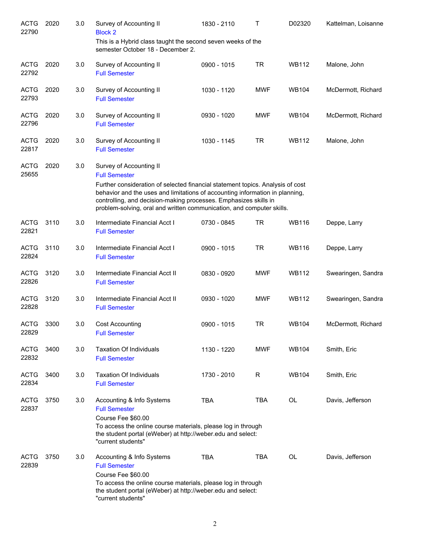| <b>ACTG</b><br>22790 | 2020 | 3.0 | Survey of Accounting II<br><b>Block 2</b>                                                                                                                                                                                                                                                                   | 1830 - 2110 | Т          | D02320       | Kattelman, Loisanne |
|----------------------|------|-----|-------------------------------------------------------------------------------------------------------------------------------------------------------------------------------------------------------------------------------------------------------------------------------------------------------------|-------------|------------|--------------|---------------------|
|                      |      |     | This is a Hybrid class taught the second seven weeks of the<br>semester October 18 - December 2.                                                                                                                                                                                                            |             |            |              |                     |
| <b>ACTG</b><br>22792 | 2020 | 3.0 | Survey of Accounting II<br><b>Full Semester</b>                                                                                                                                                                                                                                                             | 0900 - 1015 | <b>TR</b>  | <b>WB112</b> | Malone, John        |
| <b>ACTG</b><br>22793 | 2020 | 3.0 | Survey of Accounting II<br><b>Full Semester</b>                                                                                                                                                                                                                                                             | 1030 - 1120 | <b>MWF</b> | <b>WB104</b> | McDermott, Richard  |
| <b>ACTG</b><br>22796 | 2020 | 3.0 | Survey of Accounting II<br><b>Full Semester</b>                                                                                                                                                                                                                                                             | 0930 - 1020 | <b>MWF</b> | <b>WB104</b> | McDermott, Richard  |
| <b>ACTG</b><br>22817 | 2020 | 3.0 | Survey of Accounting II<br><b>Full Semester</b>                                                                                                                                                                                                                                                             | 1030 - 1145 | <b>TR</b>  | <b>WB112</b> | Malone, John        |
| <b>ACTG</b><br>25655 | 2020 | 3.0 | Survey of Accounting II<br><b>Full Semester</b>                                                                                                                                                                                                                                                             |             |            |              |                     |
|                      |      |     | Further consideration of selected financial statement topics. Analysis of cost<br>behavior and the uses and limitations of accounting information in planning,<br>controlling, and decision-making processes. Emphasizes skills in<br>problem-solving, oral and written communication, and computer skills. |             |            |              |                     |
| <b>ACTG</b><br>22821 | 3110 | 3.0 | Intermediate Financial Acct I<br><b>Full Semester</b>                                                                                                                                                                                                                                                       | 0730 - 0845 | TR         | <b>WB116</b> | Deppe, Larry        |
| <b>ACTG</b><br>22824 | 3110 | 3.0 | Intermediate Financial Acct I<br><b>Full Semester</b>                                                                                                                                                                                                                                                       | 0900 - 1015 | <b>TR</b>  | <b>WB116</b> | Deppe, Larry        |
| <b>ACTG</b><br>22826 | 3120 | 3.0 | Intermediate Financial Acct II<br><b>Full Semester</b>                                                                                                                                                                                                                                                      | 0830 - 0920 | <b>MWF</b> | <b>WB112</b> | Swearingen, Sandra  |
| <b>ACTG</b><br>22828 | 3120 | 3.0 | Intermediate Financial Acct II<br><b>Full Semester</b>                                                                                                                                                                                                                                                      | 0930 - 1020 | <b>MWF</b> | <b>WB112</b> | Swearingen, Sandra  |
| <b>ACTG</b><br>22829 | 3300 | 3.0 | <b>Cost Accounting</b><br><b>Full Semester</b>                                                                                                                                                                                                                                                              | 0900 - 1015 | <b>TR</b>  | <b>WB104</b> | McDermott, Richard  |
| <b>ACTG</b><br>22832 | 3400 | 3.0 | <b>Taxation Of Individuals</b><br><b>Full Semester</b>                                                                                                                                                                                                                                                      | 1130 - 1220 | <b>MWF</b> | <b>WB104</b> | Smith, Eric         |
| <b>ACTG</b><br>22834 | 3400 | 3.0 | <b>Taxation Of Individuals</b><br><b>Full Semester</b>                                                                                                                                                                                                                                                      | 1730 - 2010 | R          | <b>WB104</b> | Smith, Eric         |
| <b>ACTG</b><br>22837 | 3750 | 3.0 | Accounting & Info Systems<br><b>Full Semester</b><br>Course Fee \$60.00<br>To access the online course materials, please log in through<br>the student portal (eWeber) at http://weber.edu and select:<br>"current students"                                                                                | <b>TBA</b>  | <b>TBA</b> | OL           | Davis, Jefferson    |
| <b>ACTG</b><br>22839 | 3750 | 3.0 | Accounting & Info Systems<br><b>Full Semester</b><br>Course Fee \$60.00<br>To access the online course materials, please log in through<br>the student portal (eWeber) at http://weber.edu and select:<br>"current students"                                                                                | <b>TBA</b>  | <b>TBA</b> | OL           | Davis, Jefferson    |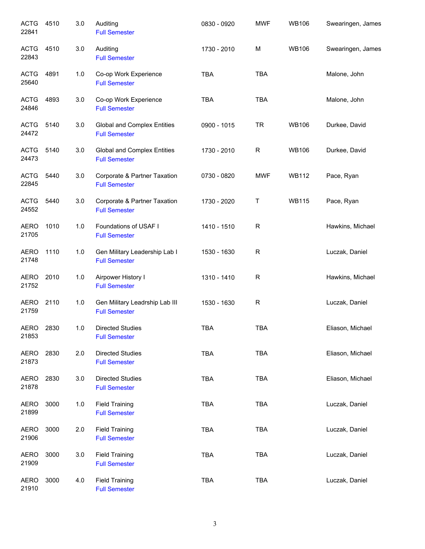| <b>ACTG</b><br>22841 | 4510 | 3.0   | Auditing<br><b>Full Semester</b>                           | 0830 - 0920 | <b>MWF</b> | <b>WB106</b> | Swearingen, James |
|----------------------|------|-------|------------------------------------------------------------|-------------|------------|--------------|-------------------|
| <b>ACTG</b><br>22843 | 4510 | 3.0   | Auditing<br><b>Full Semester</b>                           | 1730 - 2010 | M          | <b>WB106</b> | Swearingen, James |
| <b>ACTG</b><br>25640 | 4891 | 1.0   | Co-op Work Experience<br><b>Full Semester</b>              | <b>TBA</b>  | <b>TBA</b> |              | Malone, John      |
| <b>ACTG</b><br>24846 | 4893 | 3.0   | Co-op Work Experience<br><b>Full Semester</b>              | <b>TBA</b>  | TBA        |              | Malone, John      |
| <b>ACTG</b><br>24472 | 5140 | 3.0   | <b>Global and Complex Entities</b><br><b>Full Semester</b> | 0900 - 1015 | <b>TR</b>  | <b>WB106</b> | Durkee, David     |
| <b>ACTG</b><br>24473 | 5140 | 3.0   | <b>Global and Complex Entities</b><br><b>Full Semester</b> | 1730 - 2010 | R          | <b>WB106</b> | Durkee, David     |
| <b>ACTG</b><br>22845 | 5440 | 3.0   | Corporate & Partner Taxation<br><b>Full Semester</b>       | 0730 - 0820 | <b>MWF</b> | <b>WB112</b> | Pace, Ryan        |
| <b>ACTG</b><br>24552 | 5440 | 3.0   | Corporate & Partner Taxation<br><b>Full Semester</b>       | 1730 - 2020 | Τ          | <b>WB115</b> | Pace, Ryan        |
| <b>AERO</b><br>21705 | 1010 | 1.0   | Foundations of USAF I<br><b>Full Semester</b>              | 1410 - 1510 | R          |              | Hawkins, Michael  |
| <b>AERO</b><br>21748 | 1110 | 1.0   | Gen Military Leadership Lab I<br><b>Full Semester</b>      | 1530 - 1630 | ${\sf R}$  |              | Luczak, Daniel    |
| <b>AERO</b><br>21752 | 2010 | 1.0   | Airpower History I<br><b>Full Semester</b>                 | 1310 - 1410 | ${\sf R}$  |              | Hawkins, Michael  |
| <b>AERO</b><br>21759 | 2110 | 1.0   | Gen Military Leadrship Lab III<br><b>Full Semester</b>     | 1530 - 1630 | ${\sf R}$  |              | Luczak, Daniel    |
| AERO<br>21853        | 2830 | 1.0   | <b>Directed Studies</b><br><b>Full Semester</b>            | <b>TBA</b>  | <b>TBA</b> |              | Eliason, Michael  |
| <b>AERO</b><br>21873 | 2830 | 2.0   | <b>Directed Studies</b><br><b>Full Semester</b>            | <b>TBA</b>  | TBA        |              | Eliason, Michael  |
| <b>AERO</b><br>21878 | 2830 | 3.0   | <b>Directed Studies</b><br><b>Full Semester</b>            | <b>TBA</b>  | TBA        |              | Eliason, Michael  |
| <b>AERO</b><br>21899 | 3000 | $1.0$ | <b>Field Training</b><br><b>Full Semester</b>              | <b>TBA</b>  | <b>TBA</b> |              | Luczak, Daniel    |
| <b>AERO</b><br>21906 | 3000 | 2.0   | <b>Field Training</b><br><b>Full Semester</b>              | <b>TBA</b>  | TBA        |              | Luczak, Daniel    |
| <b>AERO</b><br>21909 | 3000 | 3.0   | <b>Field Training</b><br><b>Full Semester</b>              | <b>TBA</b>  | TBA        |              | Luczak, Daniel    |
| <b>AERO</b><br>21910 | 3000 | 4.0   | <b>Field Training</b><br><b>Full Semester</b>              | <b>TBA</b>  | <b>TBA</b> |              | Luczak, Daniel    |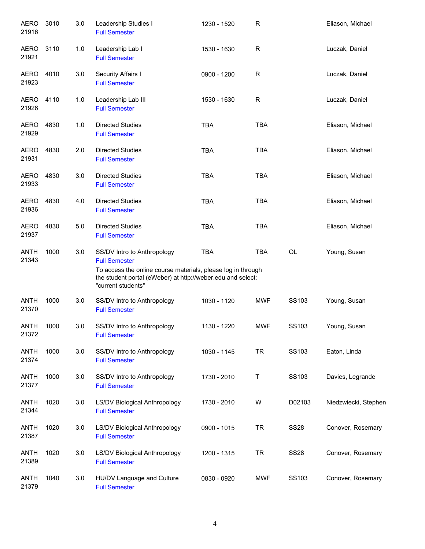| <b>AERO</b><br>21916 | 3010 | 3.0 | Leadership Studies I<br><b>Full Semester</b>                                                                                                                                                             | 1230 - 1520 | $\mathsf R$ |              | Eliason, Michael     |
|----------------------|------|-----|----------------------------------------------------------------------------------------------------------------------------------------------------------------------------------------------------------|-------------|-------------|--------------|----------------------|
| AERO<br>21921        | 3110 | 1.0 | Leadership Lab I<br><b>Full Semester</b>                                                                                                                                                                 | 1530 - 1630 | $\mathsf R$ |              | Luczak, Daniel       |
| AERO<br>21923        | 4010 | 3.0 | Security Affairs I<br><b>Full Semester</b>                                                                                                                                                               | 0900 - 1200 | $\mathsf R$ |              | Luczak, Daniel       |
| AERO<br>21926        | 4110 | 1.0 | Leadership Lab III<br><b>Full Semester</b>                                                                                                                                                               | 1530 - 1630 | R           |              | Luczak, Daniel       |
| AERO<br>21929        | 4830 | 1.0 | <b>Directed Studies</b><br><b>Full Semester</b>                                                                                                                                                          | <b>TBA</b>  | <b>TBA</b>  |              | Eliason, Michael     |
| AERO<br>21931        | 4830 | 2.0 | <b>Directed Studies</b><br><b>Full Semester</b>                                                                                                                                                          | <b>TBA</b>  | <b>TBA</b>  |              | Eliason, Michael     |
| <b>AERO</b><br>21933 | 4830 | 3.0 | <b>Directed Studies</b><br><b>Full Semester</b>                                                                                                                                                          | <b>TBA</b>  | <b>TBA</b>  |              | Eliason, Michael     |
| <b>AERO</b><br>21936 | 4830 | 4.0 | <b>Directed Studies</b><br><b>Full Semester</b>                                                                                                                                                          | <b>TBA</b>  | <b>TBA</b>  |              | Eliason, Michael     |
| <b>AERO</b><br>21937 | 4830 | 5.0 | <b>Directed Studies</b><br><b>Full Semester</b>                                                                                                                                                          | <b>TBA</b>  | <b>TBA</b>  |              | Eliason, Michael     |
| <b>ANTH</b><br>21343 | 1000 | 3.0 | SS/DV Intro to Anthropology<br><b>Full Semester</b><br>To access the online course materials, please log in through<br>the student portal (eWeber) at http://weber.edu and select:<br>"current students" | <b>TBA</b>  | <b>TBA</b>  | OL           | Young, Susan         |
| <b>ANTH</b><br>21370 | 1000 | 3.0 | SS/DV Intro to Anthropology<br><b>Full Semester</b>                                                                                                                                                      | 1030 - 1120 | <b>MWF</b>  | SS103        | Young, Susan         |
| <b>ANTH</b><br>21372 | 1000 | 3.0 | SS/DV Intro to Anthropology<br><b>Full Semester</b>                                                                                                                                                      | 1130 - 1220 | <b>MWF</b>  | <b>SS103</b> | Young, Susan         |
| <b>ANTH</b><br>21374 | 1000 | 3.0 | SS/DV Intro to Anthropology<br><b>Full Semester</b>                                                                                                                                                      | 1030 - 1145 | <b>TR</b>   | SS103        | Eaton, Linda         |
| ANTH<br>21377        | 1000 | 3.0 | SS/DV Intro to Anthropology<br><b>Full Semester</b>                                                                                                                                                      | 1730 - 2010 | Τ           | SS103        | Davies, Legrande     |
| <b>ANTH</b><br>21344 | 1020 | 3.0 | LS/DV Biological Anthropology<br><b>Full Semester</b>                                                                                                                                                    | 1730 - 2010 | W           | D02103       | Niedzwiecki, Stephen |
| ANTH<br>21387        | 1020 | 3.0 | LS/DV Biological Anthropology<br><b>Full Semester</b>                                                                                                                                                    | 0900 - 1015 | <b>TR</b>   | <b>SS28</b>  | Conover, Rosemary    |
| ANTH<br>21389        | 1020 | 3.0 | LS/DV Biological Anthropology<br><b>Full Semester</b>                                                                                                                                                    | 1200 - 1315 | <b>TR</b>   | <b>SS28</b>  | Conover, Rosemary    |
| ANTH<br>21379        | 1040 | 3.0 | HU/DV Language and Culture<br><b>Full Semester</b>                                                                                                                                                       | 0830 - 0920 | <b>MWF</b>  | SS103        | Conover, Rosemary    |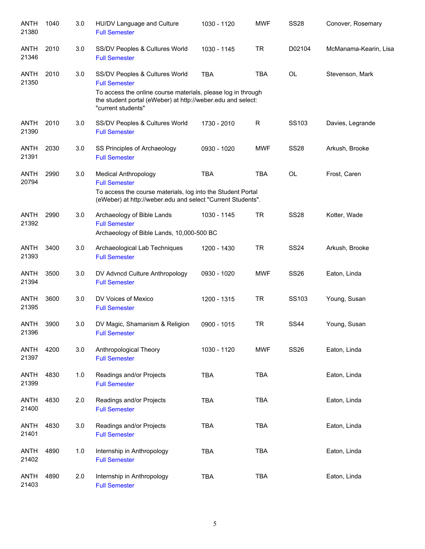| <b>ANTH</b><br>21380 | 1040 | 3.0 | HU/DV Language and Culture<br><b>Full Semester</b>                                                                                                                                                          | 1030 - 1120 | <b>MWF</b> | <b>SS28</b> | Conover, Rosemary     |
|----------------------|------|-----|-------------------------------------------------------------------------------------------------------------------------------------------------------------------------------------------------------------|-------------|------------|-------------|-----------------------|
| <b>ANTH</b><br>21346 | 2010 | 3.0 | SS/DV Peoples & Cultures World<br><b>Full Semester</b>                                                                                                                                                      | 1030 - 1145 | <b>TR</b>  | D02104      | McManama-Kearin, Lisa |
| <b>ANTH</b><br>21350 | 2010 | 3.0 | SS/DV Peoples & Cultures World<br><b>Full Semester</b><br>To access the online course materials, please log in through<br>the student portal (eWeber) at http://weber.edu and select:<br>"current students" | <b>TBA</b>  | <b>TBA</b> | <b>OL</b>   | Stevenson, Mark       |
| <b>ANTH</b><br>21390 | 2010 | 3.0 | SS/DV Peoples & Cultures World<br><b>Full Semester</b>                                                                                                                                                      | 1730 - 2010 | R          | SS103       | Davies, Legrande      |
| <b>ANTH</b><br>21391 | 2030 | 3.0 | SS Principles of Archaeology<br><b>Full Semester</b>                                                                                                                                                        | 0930 - 1020 | <b>MWF</b> | <b>SS28</b> | Arkush, Brooke        |
| <b>ANTH</b><br>20794 | 2990 | 3.0 | <b>Medical Anthropology</b><br><b>Full Semester</b><br>To access the course materials, log into the Student Portal<br>(eWeber) at http://weber.edu and select "Current Students".                           | <b>TBA</b>  | <b>TBA</b> | <b>OL</b>   | Frost, Caren          |
| <b>ANTH</b><br>21392 | 2990 | 3.0 | Archaeology of Bible Lands<br><b>Full Semester</b><br>Archaeology of Bible Lands, 10,000-500 BC                                                                                                             | 1030 - 1145 | <b>TR</b>  | <b>SS28</b> | Kotter, Wade          |
| <b>ANTH</b><br>21393 | 3400 | 3.0 | Archaeological Lab Techniques<br><b>Full Semester</b>                                                                                                                                                       | 1200 - 1430 | <b>TR</b>  | <b>SS24</b> | Arkush, Brooke        |
| <b>ANTH</b><br>21394 | 3500 | 3.0 | DV Advncd Culture Anthropology<br><b>Full Semester</b>                                                                                                                                                      | 0930 - 1020 | <b>MWF</b> | <b>SS26</b> | Eaton, Linda          |
| <b>ANTH</b><br>21395 | 3600 | 3.0 | DV Voices of Mexico<br><b>Full Semester</b>                                                                                                                                                                 | 1200 - 1315 | <b>TR</b>  | SS103       | Young, Susan          |
| <b>ANTH</b><br>21396 | 3900 | 3.0 | DV Magic, Shamanism & Religion<br><b>Full Semester</b>                                                                                                                                                      | 0900 - 1015 | <b>TR</b>  | <b>SS44</b> | Young, Susan          |
| <b>ANTH</b><br>21397 | 4200 | 3.0 | Anthropological Theory<br><b>Full Semester</b>                                                                                                                                                              | 1030 - 1120 | <b>MWF</b> | <b>SS26</b> | Eaton, Linda          |
| <b>ANTH</b><br>21399 | 4830 | 1.0 | Readings and/or Projects<br><b>Full Semester</b>                                                                                                                                                            | <b>TBA</b>  | <b>TBA</b> |             | Eaton, Linda          |
| <b>ANTH</b><br>21400 | 4830 | 2.0 | Readings and/or Projects<br><b>Full Semester</b>                                                                                                                                                            | <b>TBA</b>  | <b>TBA</b> |             | Eaton, Linda          |
| <b>ANTH</b><br>21401 | 4830 | 3.0 | Readings and/or Projects<br><b>Full Semester</b>                                                                                                                                                            | <b>TBA</b>  | TBA        |             | Eaton, Linda          |
| <b>ANTH</b><br>21402 | 4890 | 1.0 | Internship in Anthropology<br><b>Full Semester</b>                                                                                                                                                          | <b>TBA</b>  | <b>TBA</b> |             | Eaton, Linda          |
| <b>ANTH</b><br>21403 | 4890 | 2.0 | Internship in Anthropology<br><b>Full Semester</b>                                                                                                                                                          | <b>TBA</b>  | <b>TBA</b> |             | Eaton, Linda          |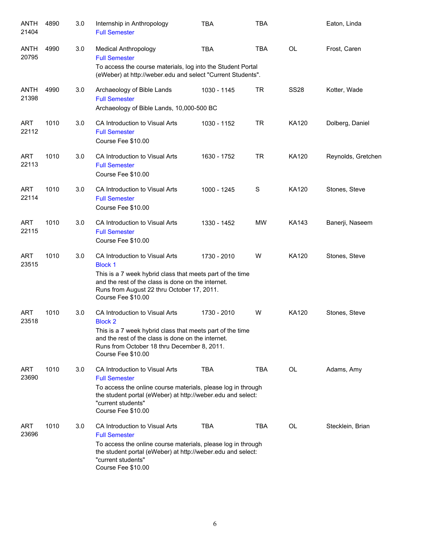| ANTH<br>21404        | 4890 | 3.0 | Internship in Anthropology<br><b>Full Semester</b>                                                                                                                                                                                       | <b>TBA</b>  | <b>TBA</b> |              | Eaton, Linda       |
|----------------------|------|-----|------------------------------------------------------------------------------------------------------------------------------------------------------------------------------------------------------------------------------------------|-------------|------------|--------------|--------------------|
| <b>ANTH</b><br>20795 | 4990 | 3.0 | <b>Medical Anthropology</b><br><b>Full Semester</b><br>To access the course materials, log into the Student Portal                                                                                                                       | <b>TBA</b>  | <b>TBA</b> | <b>OL</b>    | Frost, Caren       |
|                      |      |     | (eWeber) at http://weber.edu and select "Current Students".                                                                                                                                                                              |             |            |              |                    |
| <b>ANTH</b><br>21398 | 4990 | 3.0 | Archaeology of Bible Lands<br><b>Full Semester</b><br>Archaeology of Bible Lands, 10,000-500 BC                                                                                                                                          | 1030 - 1145 | <b>TR</b>  | <b>SS28</b>  | Kotter, Wade       |
| <b>ART</b><br>22112  | 1010 | 3.0 | CA Introduction to Visual Arts<br><b>Full Semester</b><br>Course Fee \$10.00                                                                                                                                                             | 1030 - 1152 | TR         | KA120        | Dolberg, Daniel    |
| <b>ART</b><br>22113  | 1010 | 3.0 | CA Introduction to Visual Arts<br><b>Full Semester</b><br>Course Fee \$10.00                                                                                                                                                             | 1630 - 1752 | TR         | KA120        | Reynolds, Gretchen |
| <b>ART</b><br>22114  | 1010 | 3.0 | CA Introduction to Visual Arts<br><b>Full Semester</b><br>Course Fee \$10.00                                                                                                                                                             | 1000 - 1245 | S          | <b>KA120</b> | Stones, Steve      |
| <b>ART</b><br>22115  | 1010 | 3.0 | CA Introduction to Visual Arts<br><b>Full Semester</b><br>Course Fee \$10.00                                                                                                                                                             | 1330 - 1452 | <b>MW</b>  | KA143        | Banerji, Naseem    |
| <b>ART</b><br>23515  | 1010 | 3.0 | CA Introduction to Visual Arts<br><b>Block 1</b><br>This is a 7 week hybrid class that meets part of the time<br>and the rest of the class is done on the internet.<br>Runs from August 22 thru October 17, 2011.<br>Course Fee \$10.00  | 1730 - 2010 | W          | KA120        | Stones, Steve      |
| <b>ART</b><br>23518  | 1010 | 3.0 | CA Introduction to Visual Arts<br><b>Block 2</b><br>This is a 7 week hybrid class that meets part of the time<br>and the rest of the class is done on the internet.<br>Runs from October 18 thru December 8, 2011.<br>Course Fee \$10.00 | 1730 - 2010 | W          | <b>KA120</b> | Stones, Steve      |
| <b>ART</b><br>23690  | 1010 | 3.0 | CA Introduction to Visual Arts<br><b>Full Semester</b><br>To access the online course materials, please log in through<br>the student portal (eWeber) at http://weber.edu and select:<br>"current students"<br>Course Fee \$10.00        | <b>TBA</b>  | TBA        | OL           | Adams, Amy         |
| <b>ART</b><br>23696  | 1010 | 3.0 | CA Introduction to Visual Arts<br><b>Full Semester</b><br>To access the online course materials, please log in through<br>the student portal (eWeber) at http://weber.edu and select:<br>"current students"<br>Course Fee \$10.00        | TBA         | <b>TBA</b> | OL           | Stecklein, Brian   |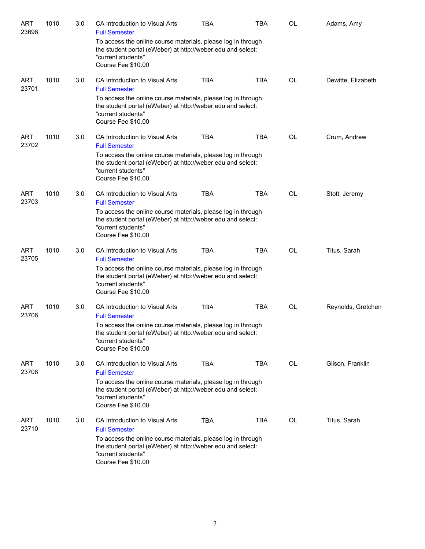| <b>ART</b><br>23698 | 1010 | 3.0 | CA Introduction to Visual Arts<br><b>Full Semester</b>                                                                                                                  | TBA        | <b>TBA</b> | OL        | Adams, Amy         |
|---------------------|------|-----|-------------------------------------------------------------------------------------------------------------------------------------------------------------------------|------------|------------|-----------|--------------------|
|                     |      |     | To access the online course materials, please log in through<br>the student portal (eWeber) at http://weber.edu and select:<br>"current students"<br>Course Fee \$10.00 |            |            |           |                    |
| <b>ART</b><br>23701 | 1010 | 3.0 | CA Introduction to Visual Arts<br><b>Full Semester</b><br>To access the online course materials, please log in through                                                  | <b>TBA</b> | <b>TBA</b> | OL        | Dewitte, Elizabeth |
|                     |      |     | the student portal (eWeber) at http://weber.edu and select:<br>"current students"<br>Course Fee \$10.00                                                                 |            |            |           |                    |
| <b>ART</b><br>23702 | 1010 | 3.0 | CA Introduction to Visual Arts<br><b>Full Semester</b>                                                                                                                  | <b>TBA</b> | <b>TBA</b> | OL        | Crum, Andrew       |
|                     |      |     | To access the online course materials, please log in through<br>the student portal (eWeber) at http://weber.edu and select:<br>"current students"<br>Course Fee \$10.00 |            |            |           |                    |
| <b>ART</b><br>23703 | 1010 | 3.0 | CA Introduction to Visual Arts<br><b>Full Semester</b>                                                                                                                  | <b>TBA</b> | <b>TBA</b> | <b>OL</b> | Stott, Jeremy      |
|                     |      |     | To access the online course materials, please log in through<br>the student portal (eWeber) at http://weber.edu and select:<br>"current students"<br>Course Fee \$10.00 |            |            |           |                    |
| <b>ART</b><br>23705 | 1010 | 3.0 | CA Introduction to Visual Arts<br><b>Full Semester</b>                                                                                                                  | <b>TBA</b> | <b>TBA</b> | OL        | Titus, Sarah       |
|                     |      |     | To access the online course materials, please log in through<br>the student portal (eWeber) at http://weber.edu and select:<br>"current students"<br>Course Fee \$10.00 |            |            |           |                    |
| <b>ART</b><br>23706 | 1010 | 3.0 | CA Introduction to Visual Arts<br><b>Full Semester</b>                                                                                                                  | <b>TBA</b> | <b>TBA</b> | OL        | Reynolds, Gretchen |
|                     |      |     | To access the online course materials, please log in through<br>the student portal (eWeber) at http://weber.edu and select:<br>"current students"<br>Course Fee \$10.00 |            |            |           |                    |
| ART<br>23708        | 1010 | 3.0 | CA Introduction to Visual Arts<br><b>Full Semester</b>                                                                                                                  | <b>TBA</b> | <b>TBA</b> | <b>OL</b> | Gilson, Franklin   |
|                     |      |     | To access the online course materials, please log in through<br>the student portal (eWeber) at http://weber.edu and select:<br>"current students"<br>Course Fee \$10.00 |            |            |           |                    |
| <b>ART</b><br>23710 | 1010 | 3.0 | CA Introduction to Visual Arts<br><b>Full Semester</b>                                                                                                                  | <b>TBA</b> | TBA        | OL        | Titus, Sarah       |
|                     |      |     | To access the online course materials, please log in through<br>the student portal (eWeber) at http://weber.edu and select:<br>"current students"<br>Course Fee \$10.00 |            |            |           |                    |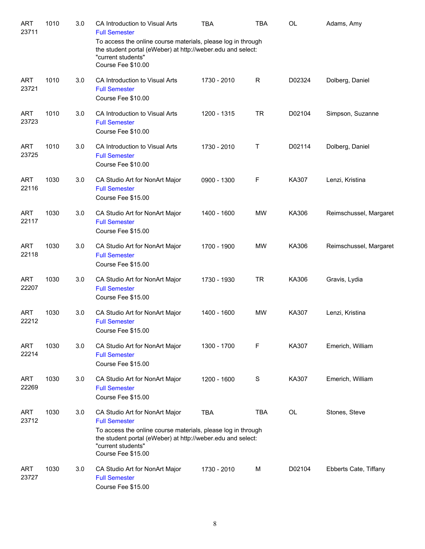| <b>ART</b><br>23711 | 1010 | 3.0 | CA Introduction to Visual Arts<br><b>Full Semester</b><br>To access the online course materials, please log in through<br>the student portal (eWeber) at http://weber.edu and select:<br>"current students"<br>Course Fee \$10.00 | <b>TBA</b>  | <b>TBA</b>   | <b>OL</b> | Adams, Amy             |
|---------------------|------|-----|-----------------------------------------------------------------------------------------------------------------------------------------------------------------------------------------------------------------------------------|-------------|--------------|-----------|------------------------|
| <b>ART</b><br>23721 | 1010 | 3.0 | CA Introduction to Visual Arts<br><b>Full Semester</b><br>Course Fee \$10.00                                                                                                                                                      | 1730 - 2010 | $\mathsf{R}$ | D02324    | Dolberg, Daniel        |
| <b>ART</b><br>23723 | 1010 | 3.0 | CA Introduction to Visual Arts<br><b>Full Semester</b><br>Course Fee \$10.00                                                                                                                                                      | 1200 - 1315 | <b>TR</b>    | D02104    | Simpson, Suzanne       |
| <b>ART</b><br>23725 | 1010 | 3.0 | CA Introduction to Visual Arts<br><b>Full Semester</b><br>Course Fee \$10.00                                                                                                                                                      | 1730 - 2010 | Τ            | D02114    | Dolberg, Daniel        |
| <b>ART</b><br>22116 | 1030 | 3.0 | CA Studio Art for NonArt Major<br><b>Full Semester</b><br>Course Fee \$15.00                                                                                                                                                      | 0900 - 1300 | F            | KA307     | Lenzi, Kristina        |
| <b>ART</b><br>22117 | 1030 | 3.0 | CA Studio Art for NonArt Major<br><b>Full Semester</b><br>Course Fee \$15.00                                                                                                                                                      | 1400 - 1600 | <b>MW</b>    | KA306     | Reimschussel, Margaret |
| <b>ART</b><br>22118 | 1030 | 3.0 | CA Studio Art for NonArt Major<br><b>Full Semester</b><br>Course Fee \$15.00                                                                                                                                                      | 1700 - 1900 | <b>MW</b>    | KA306     | Reimschussel, Margaret |
| <b>ART</b><br>22207 | 1030 | 3.0 | CA Studio Art for NonArt Major<br><b>Full Semester</b><br>Course Fee \$15.00                                                                                                                                                      | 1730 - 1930 | <b>TR</b>    | KA306     | Gravis, Lydia          |
| <b>ART</b><br>22212 | 1030 | 3.0 | CA Studio Art for NonArt Major<br><b>Full Semester</b><br>Course Fee \$15.00                                                                                                                                                      | 1400 - 1600 | <b>MW</b>    | KA307     | Lenzi, Kristina        |
| <b>ART</b><br>22214 | 1030 | 3.0 | CA Studio Art for NonArt Major<br><b>Full Semester</b><br>Course Fee \$15.00                                                                                                                                                      | 1300 - 1700 | F            | KA307     | Emerich, William       |
| <b>ART</b><br>22269 | 1030 | 3.0 | CA Studio Art for NonArt Major<br><b>Full Semester</b><br>Course Fee \$15.00                                                                                                                                                      | 1200 - 1600 | S            | KA307     | Emerich, William       |
| <b>ART</b><br>23712 | 1030 | 3.0 | CA Studio Art for NonArt Major<br><b>Full Semester</b><br>To access the online course materials, please log in through<br>the student portal (eWeber) at http://weber.edu and select:<br>"current students"<br>Course Fee \$15.00 | <b>TBA</b>  | <b>TBA</b>   | OL        | Stones, Steve          |
| <b>ART</b><br>23727 | 1030 | 3.0 | CA Studio Art for NonArt Major<br><b>Full Semester</b><br>Course Fee \$15.00                                                                                                                                                      | 1730 - 2010 | м            | D02104    | Ebberts Cate, Tiffany  |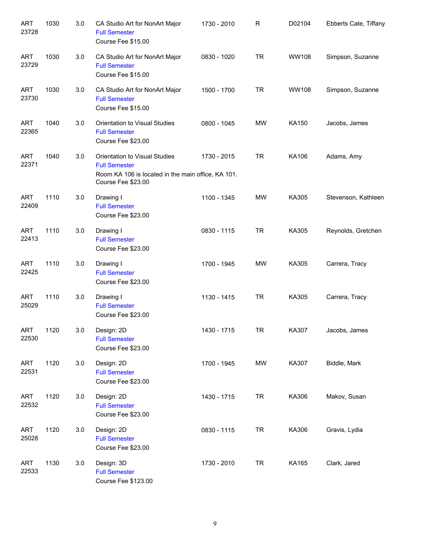| <b>ART</b><br>23728 | 1030 | 3.0 | CA Studio Art for NonArt Major<br><b>Full Semester</b><br>Course Fee \$15.00                                                      | 1730 - 2010 | R         | D02104       | Ebberts Cate, Tiffany |
|---------------------|------|-----|-----------------------------------------------------------------------------------------------------------------------------------|-------------|-----------|--------------|-----------------------|
| <b>ART</b><br>23729 | 1030 | 3.0 | CA Studio Art for NonArt Major<br><b>Full Semester</b><br>Course Fee \$15.00                                                      | 0830 - 1020 | <b>TR</b> | <b>WW108</b> | Simpson, Suzanne      |
| <b>ART</b><br>23730 | 1030 | 3.0 | CA Studio Art for NonArt Major<br><b>Full Semester</b><br>Course Fee \$15.00                                                      | 1500 - 1700 | <b>TR</b> | <b>WW108</b> | Simpson, Suzanne      |
| <b>ART</b><br>22365 | 1040 | 3.0 | Orientation to Visual Studies<br><b>Full Semester</b><br>Course Fee \$23.00                                                       | 0800 - 1045 | <b>MW</b> | KA150        | Jacobs, James         |
| <b>ART</b><br>22371 | 1040 | 3.0 | Orientation to Visual Studies<br><b>Full Semester</b><br>Room KA 106 is located in the main office, KA 101.<br>Course Fee \$23.00 | 1730 - 2015 | <b>TR</b> | KA106        | Adams, Amy            |
| <b>ART</b><br>22409 | 1110 | 3.0 | Drawing I<br><b>Full Semester</b><br>Course Fee \$23.00                                                                           | 1100 - 1345 | <b>MW</b> | KA305        | Stevenson, Kathleen   |
| <b>ART</b><br>22413 | 1110 | 3.0 | Drawing I<br><b>Full Semester</b><br>Course Fee \$23.00                                                                           | 0830 - 1115 | <b>TR</b> | KA305        | Reynolds, Gretchen    |
| <b>ART</b><br>22425 | 1110 | 3.0 | Drawing I<br><b>Full Semester</b><br>Course Fee \$23.00                                                                           | 1700 - 1945 | <b>MW</b> | KA305        | Carrera, Tracy        |
| <b>ART</b><br>25029 | 1110 | 3.0 | Drawing I<br><b>Full Semester</b><br>Course Fee \$23.00                                                                           | 1130 - 1415 | TR.       | KA305        | Carrera, Tracy        |
| ART<br>22530        | 1120 | 3.0 | Design: 2D<br><b>Full Semester</b><br>Course Fee \$23.00                                                                          | 1430 - 1715 | <b>TR</b> | KA307        | Jacobs, James         |
| <b>ART</b><br>22531 | 1120 | 3.0 | Design: 2D<br><b>Full Semester</b><br>Course Fee \$23.00                                                                          | 1700 - 1945 | <b>MW</b> | KA307        | Biddle, Mark          |
| <b>ART</b><br>22532 | 1120 | 3.0 | Design: 2D<br><b>Full Semester</b><br>Course Fee \$23.00                                                                          | 1430 - 1715 | <b>TR</b> | KA306        | Makov, Susan          |
| <b>ART</b><br>25028 | 1120 | 3.0 | Design: 2D<br><b>Full Semester</b><br>Course Fee \$23.00                                                                          | 0830 - 1115 | <b>TR</b> | KA306        | Gravis, Lydia         |
| <b>ART</b><br>22533 | 1130 | 3.0 | Design: 3D<br><b>Full Semester</b><br>Course Fee \$123.00                                                                         | 1730 - 2010 | <b>TR</b> | KA165        | Clark, Jared          |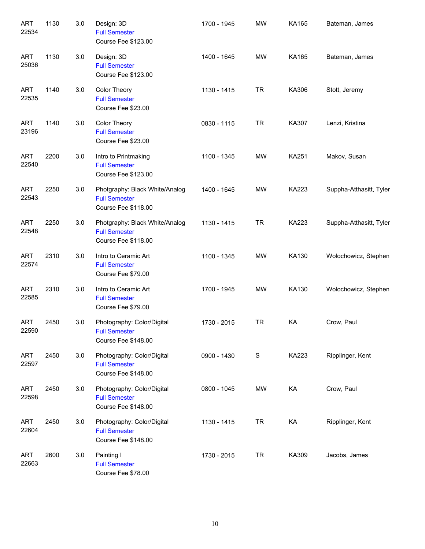| <b>ART</b><br>22534 | 1130 | 3.0 | Design: 3D<br><b>Full Semester</b><br>Course Fee \$123.00                     | 1700 - 1945 | <b>MW</b>   | KA165        | Bateman, James          |
|---------------------|------|-----|-------------------------------------------------------------------------------|-------------|-------------|--------------|-------------------------|
| <b>ART</b><br>25036 | 1130 | 3.0 | Design: 3D<br><b>Full Semester</b><br>Course Fee \$123.00                     | 1400 - 1645 | <b>MW</b>   | KA165        | Bateman, James          |
| <b>ART</b><br>22535 | 1140 | 3.0 | Color Theory<br><b>Full Semester</b><br>Course Fee \$23.00                    | 1130 - 1415 | <b>TR</b>   | KA306        | Stott, Jeremy           |
| <b>ART</b><br>23196 | 1140 | 3.0 | Color Theory<br><b>Full Semester</b><br>Course Fee \$23.00                    | 0830 - 1115 | <b>TR</b>   | KA307        | Lenzi, Kristina         |
| <b>ART</b><br>22540 | 2200 | 3.0 | Intro to Printmaking<br><b>Full Semester</b><br>Course Fee \$123.00           | 1100 - 1345 | MW          | <b>KA251</b> | Makov, Susan            |
| <b>ART</b><br>22543 | 2250 | 3.0 | Photgraphy: Black White/Analog<br><b>Full Semester</b><br>Course Fee \$118.00 | 1400 - 1645 | MW          | KA223        | Suppha-Atthasitt, Tyler |
| <b>ART</b><br>22548 | 2250 | 3.0 | Photgraphy: Black White/Analog<br><b>Full Semester</b><br>Course Fee \$118.00 | 1130 - 1415 | <b>TR</b>   | KA223        | Suppha-Atthasitt, Tyler |
| <b>ART</b><br>22574 | 2310 | 3.0 | Intro to Ceramic Art<br><b>Full Semester</b><br>Course Fee \$79.00            | 1100 - 1345 | <b>MW</b>   | KA130        | Wolochowicz, Stephen    |
| <b>ART</b><br>22585 | 2310 | 3.0 | Intro to Ceramic Art<br><b>Full Semester</b><br>Course Fee \$79.00            | 1700 - 1945 | MW          | KA130        | Wolochowicz, Stephen    |
| ART<br>22590        | 2450 | 3.0 | Photography: Color/Digital<br><b>Full Semester</b><br>Course Fee \$148.00     | 1730 - 2015 | <b>TR</b>   | KA           | Crow, Paul              |
| <b>ART</b><br>22597 | 2450 | 3.0 | Photography: Color/Digital<br><b>Full Semester</b><br>Course Fee \$148.00     | 0900 - 1430 | $\mathbf S$ | KA223        | Ripplinger, Kent        |
| <b>ART</b><br>22598 | 2450 | 3.0 | Photography: Color/Digital<br><b>Full Semester</b><br>Course Fee \$148.00     | 0800 - 1045 | MW          | KA           | Crow, Paul              |
| <b>ART</b><br>22604 | 2450 | 3.0 | Photography: Color/Digital<br><b>Full Semester</b><br>Course Fee \$148.00     | 1130 - 1415 | <b>TR</b>   | KA           | Ripplinger, Kent        |
| <b>ART</b><br>22663 | 2600 | 3.0 | Painting I<br><b>Full Semester</b><br>Course Fee \$78.00                      | 1730 - 2015 | <b>TR</b>   | KA309        | Jacobs, James           |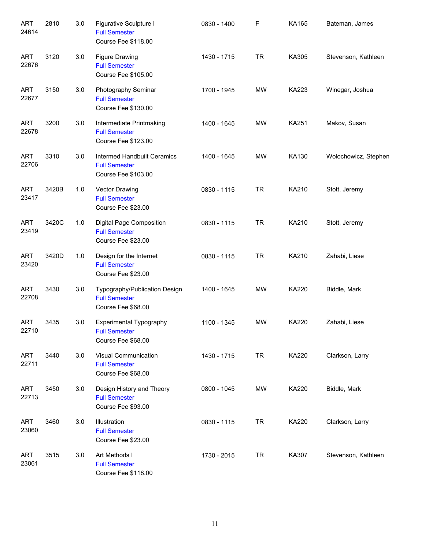| <b>ART</b><br>24614 | 2810  | 3.0 | Figurative Sculpture I<br><b>Full Semester</b><br>Course Fee \$118.00        | 0830 - 1400 | F         | KA165 | Bateman, James       |
|---------------------|-------|-----|------------------------------------------------------------------------------|-------------|-----------|-------|----------------------|
| <b>ART</b><br>22676 | 3120  | 3.0 | <b>Figure Drawing</b><br><b>Full Semester</b><br>Course Fee \$105.00         | 1430 - 1715 | <b>TR</b> | KA305 | Stevenson, Kathleen  |
| <b>ART</b><br>22677 | 3150  | 3.0 | Photography Seminar<br><b>Full Semester</b><br>Course Fee \$130.00           | 1700 - 1945 | <b>MW</b> | KA223 | Winegar, Joshua      |
| <b>ART</b><br>22678 | 3200  | 3.0 | Intermediate Printmaking<br><b>Full Semester</b><br>Course Fee \$123.00      | 1400 - 1645 | MW        | KA251 | Makov, Susan         |
| <b>ART</b><br>22706 | 3310  | 3.0 | Intermed Handbuilt Ceramics<br><b>Full Semester</b><br>Course Fee \$103.00   | 1400 - 1645 | <b>MW</b> | KA130 | Wolochowicz, Stephen |
| <b>ART</b><br>23417 | 3420B | 1.0 | Vector Drawing<br><b>Full Semester</b><br>Course Fee \$23.00                 | 0830 - 1115 | <b>TR</b> | KA210 | Stott, Jeremy        |
| <b>ART</b><br>23419 | 3420C | 1.0 | Digital Page Composition<br><b>Full Semester</b><br>Course Fee \$23.00       | 0830 - 1115 | <b>TR</b> | KA210 | Stott, Jeremy        |
| <b>ART</b><br>23420 | 3420D | 1.0 | Design for the Internet<br><b>Full Semester</b><br>Course Fee \$23.00        | 0830 - 1115 | <b>TR</b> | KA210 | Zahabi, Liese        |
| <b>ART</b><br>22708 | 3430  | 3.0 | Typography/Publication Design<br><b>Full Semester</b><br>Course Fee \$68.00  | 1400 - 1645 | MW        | KA220 | Biddle, Mark         |
| ART<br>22710        | 3435  | 3.0 | <b>Experimental Typography</b><br><b>Full Semester</b><br>Course Fee \$68.00 | 1100 - 1345 | MW        | KA220 | Zahabi, Liese        |
| ART<br>22711        | 3440  | 3.0 | Visual Communication<br><b>Full Semester</b><br>Course Fee \$68.00           | 1430 - 1715 | <b>TR</b> | KA220 | Clarkson, Larry      |
| ART<br>22713        | 3450  | 3.0 | Design History and Theory<br><b>Full Semester</b><br>Course Fee \$93.00      | 0800 - 1045 | MW        | KA220 | Biddle, Mark         |
| ART<br>23060        | 3460  | 3.0 | Illustration<br><b>Full Semester</b><br>Course Fee \$23.00                   | 0830 - 1115 | <b>TR</b> | KA220 | Clarkson, Larry      |
| ART<br>23061        | 3515  | 3.0 | Art Methods I<br><b>Full Semester</b><br>Course Fee \$118.00                 | 1730 - 2015 | <b>TR</b> | KA307 | Stevenson, Kathleen  |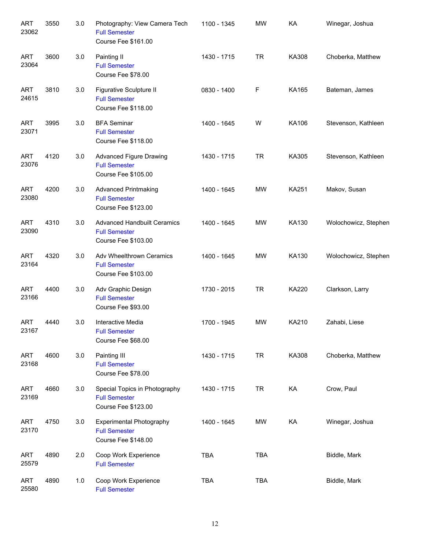| <b>ART</b><br>23062 | 3550 | 3.0 | Photography: View Camera Tech<br><b>Full Semester</b><br>Course Fee \$161.00        | 1100 - 1345 | <b>MW</b>  | KA           | Winegar, Joshua      |
|---------------------|------|-----|-------------------------------------------------------------------------------------|-------------|------------|--------------|----------------------|
| <b>ART</b><br>23064 | 3600 | 3.0 | Painting II<br><b>Full Semester</b><br>Course Fee \$78.00                           | 1430 - 1715 | <b>TR</b>  | KA308        | Choberka, Matthew    |
| <b>ART</b><br>24615 | 3810 | 3.0 | Figurative Sculpture II<br><b>Full Semester</b><br>Course Fee \$118.00              | 0830 - 1400 | F          | KA165        | Bateman, James       |
| <b>ART</b><br>23071 | 3995 | 3.0 | <b>BFA Seminar</b><br><b>Full Semester</b><br>Course Fee \$118.00                   | 1400 - 1645 | W          | KA106        | Stevenson, Kathleen  |
| <b>ART</b><br>23076 | 4120 | 3.0 | <b>Advanced Figure Drawing</b><br><b>Full Semester</b><br>Course Fee \$105.00       | 1430 - 1715 | <b>TR</b>  | KA305        | Stevenson, Kathleen  |
| <b>ART</b><br>23080 | 4200 | 3.0 | <b>Advanced Printmaking</b><br><b>Full Semester</b><br>Course Fee \$123.00          | 1400 - 1645 | MW         | <b>KA251</b> | Makov, Susan         |
| <b>ART</b><br>23090 | 4310 | 3.0 | <b>Advanced Handbuilt Ceramics</b><br><b>Full Semester</b><br>Course Fee \$103.00   | 1400 - 1645 | <b>MW</b>  | KA130        | Wolochowicz, Stephen |
| <b>ART</b><br>23164 | 4320 | 3.0 | Adv Wheelthrown Ceramics<br><b>Full Semester</b><br>Course Fee \$103.00             | 1400 - 1645 | <b>MW</b>  | KA130        | Wolochowicz, Stephen |
| <b>ART</b><br>23166 | 4400 | 3.0 | Adv Graphic Design<br><b>Full Semester</b><br>Course Fee \$93.00                    | 1730 - 2015 | <b>TR</b>  | <b>KA220</b> | Clarkson, Larry      |
| ART<br>23167        | 4440 | 3.0 | Interactive Media<br><b>Full Semester</b><br>Course Fee \$68.00                     | 1700 - 1945 | <b>MW</b>  | KA210        | Zahabi, Liese        |
| ART<br>23168        | 4600 | 3.0 | Painting III<br><b>Full Semester</b><br>Course Fee \$78.00                          | 1430 - 1715 | <b>TR</b>  | KA308        | Choberka, Matthew    |
| ART<br>23169        | 4660 | 3.0 | Special Topics in Photography<br><b>Full Semester</b><br><b>Course Fee \$123.00</b> | 1430 - 1715 | <b>TR</b>  | KA           | Crow, Paul           |
| ART<br>23170        | 4750 | 3.0 | <b>Experimental Photography</b><br><b>Full Semester</b><br>Course Fee \$148.00      | 1400 - 1645 | <b>MW</b>  | KA           | Winegar, Joshua      |
| ART<br>25579        | 4890 | 2.0 | Coop Work Experience<br><b>Full Semester</b>                                        | <b>TBA</b>  | <b>TBA</b> |              | Biddle, Mark         |
| <b>ART</b><br>25580 | 4890 | 1.0 | Coop Work Experience<br><b>Full Semester</b>                                        | <b>TBA</b>  | <b>TBA</b> |              | Biddle, Mark         |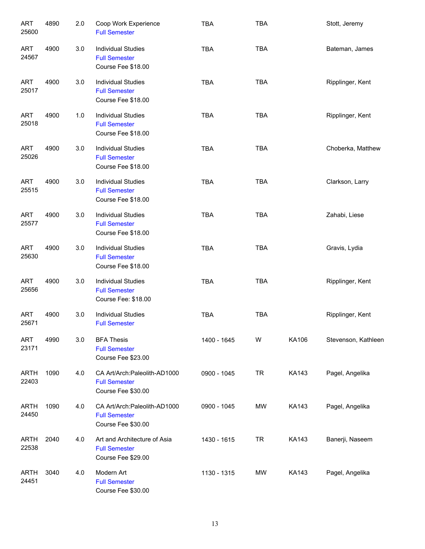| <b>ART</b><br>25600  | 4890 | 2.0 | Coop Work Experience<br><b>Full Semester</b>                                | <b>TBA</b>  | <b>TBA</b> |              | Stott, Jeremy       |
|----------------------|------|-----|-----------------------------------------------------------------------------|-------------|------------|--------------|---------------------|
| <b>ART</b><br>24567  | 4900 | 3.0 | <b>Individual Studies</b><br><b>Full Semester</b><br>Course Fee \$18.00     | <b>TBA</b>  | <b>TBA</b> |              | Bateman, James      |
| <b>ART</b><br>25017  | 4900 | 3.0 | <b>Individual Studies</b><br><b>Full Semester</b><br>Course Fee \$18.00     | <b>TBA</b>  | <b>TBA</b> |              | Ripplinger, Kent    |
| <b>ART</b><br>25018  | 4900 | 1.0 | <b>Individual Studies</b><br><b>Full Semester</b><br>Course Fee \$18.00     | <b>TBA</b>  | <b>TBA</b> |              | Ripplinger, Kent    |
| <b>ART</b><br>25026  | 4900 | 3.0 | <b>Individual Studies</b><br><b>Full Semester</b><br>Course Fee \$18.00     | <b>TBA</b>  | <b>TBA</b> |              | Choberka, Matthew   |
| <b>ART</b><br>25515  | 4900 | 3.0 | <b>Individual Studies</b><br><b>Full Semester</b><br>Course Fee \$18.00     | <b>TBA</b>  | <b>TBA</b> |              | Clarkson, Larry     |
| <b>ART</b><br>25577  | 4900 | 3.0 | <b>Individual Studies</b><br><b>Full Semester</b><br>Course Fee \$18.00     | <b>TBA</b>  | <b>TBA</b> |              | Zahabi, Liese       |
| <b>ART</b><br>25630  | 4900 | 3.0 | <b>Individual Studies</b><br><b>Full Semester</b><br>Course Fee \$18.00     | <b>TBA</b>  | <b>TBA</b> |              | Gravis, Lydia       |
| <b>ART</b><br>25656  | 4900 | 3.0 | <b>Individual Studies</b><br><b>Full Semester</b><br>Course Fee: \$18.00    | <b>TBA</b>  | <b>TBA</b> |              | Ripplinger, Kent    |
| <b>ART</b><br>25671  | 4900 | 3.0 | <b>Individual Studies</b><br><b>Full Semester</b>                           | <b>TBA</b>  | <b>TBA</b> |              | Ripplinger, Kent    |
| ART<br>23171         | 4990 | 3.0 | <b>BFA Thesis</b><br><b>Full Semester</b><br>Course Fee \$23.00             | 1400 - 1645 | W          | KA106        | Stevenson, Kathleen |
| <b>ARTH</b><br>22403 | 1090 | 4.0 | CA Art/Arch: Paleolith-AD1000<br><b>Full Semester</b><br>Course Fee \$30.00 | 0900 - 1045 | <b>TR</b>  | <b>KA143</b> | Pagel, Angelika     |
| <b>ARTH</b><br>24450 | 1090 | 4.0 | CA Art/Arch:Paleolith-AD1000<br><b>Full Semester</b><br>Course Fee \$30.00  | 0900 - 1045 | MW         | <b>KA143</b> | Pagel, Angelika     |
| <b>ARTH</b><br>22538 | 2040 | 4.0 | Art and Architecture of Asia<br><b>Full Semester</b><br>Course Fee \$29.00  | 1430 - 1615 | <b>TR</b>  | <b>KA143</b> | Banerji, Naseem     |
| <b>ARTH</b><br>24451 | 3040 | 4.0 | Modern Art<br><b>Full Semester</b><br>Course Fee \$30.00                    | 1130 - 1315 | MW         | KA143        | Pagel, Angelika     |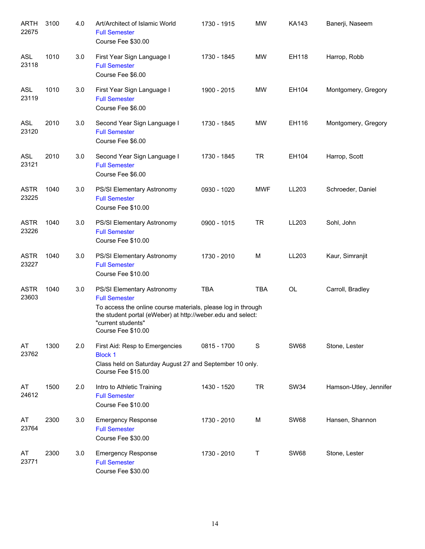| <b>ARTH</b><br>22675 | 3100 | 4.0 | Art/Architect of Islamic World<br><b>Full Semester</b><br>Course Fee \$30.00                                                                                                                                                  | 1730 - 1915 | <b>MW</b>   | KA143       | Banerji, Naseem        |
|----------------------|------|-----|-------------------------------------------------------------------------------------------------------------------------------------------------------------------------------------------------------------------------------|-------------|-------------|-------------|------------------------|
| <b>ASL</b><br>23118  | 1010 | 3.0 | First Year Sign Language I<br><b>Full Semester</b><br>Course Fee \$6.00                                                                                                                                                       | 1730 - 1845 | MW          | EH118       | Harrop, Robb           |
| <b>ASL</b><br>23119  | 1010 | 3.0 | First Year Sign Language I<br><b>Full Semester</b><br>Course Fee \$6.00                                                                                                                                                       | 1900 - 2015 | <b>MW</b>   | EH104       | Montgomery, Gregory    |
| <b>ASL</b><br>23120  | 2010 | 3.0 | Second Year Sign Language I<br><b>Full Semester</b><br>Course Fee \$6.00                                                                                                                                                      | 1730 - 1845 | MW          | EH116       | Montgomery, Gregory    |
| <b>ASL</b><br>23121  | 2010 | 3.0 | Second Year Sign Language I<br><b>Full Semester</b><br>Course Fee \$6.00                                                                                                                                                      | 1730 - 1845 | <b>TR</b>   | EH104       | Harrop, Scott          |
| <b>ASTR</b><br>23225 | 1040 | 3.0 | PS/SI Elementary Astronomy<br><b>Full Semester</b><br>Course Fee \$10.00                                                                                                                                                      | 0930 - 1020 | <b>MWF</b>  | LL203       | Schroeder, Daniel      |
| <b>ASTR</b><br>23226 | 1040 | 3.0 | PS/SI Elementary Astronomy<br><b>Full Semester</b><br>Course Fee \$10.00                                                                                                                                                      | 0900 - 1015 | <b>TR</b>   | LL203       | Sohl, John             |
| <b>ASTR</b><br>23227 | 1040 | 3.0 | PS/SI Elementary Astronomy<br><b>Full Semester</b><br>Course Fee \$10.00                                                                                                                                                      | 1730 - 2010 | M           | LL203       | Kaur, Simranjit        |
| <b>ASTR</b><br>23603 | 1040 | 3.0 | PS/SI Elementary Astronomy<br><b>Full Semester</b><br>To access the online course materials, please log in through<br>the student portal (eWeber) at http://weber.edu and select:<br>"current students"<br>Course Fee \$10.00 | <b>TBA</b>  | <b>TBA</b>  | OL          | Carroll, Bradley       |
| AT<br>23762          | 1300 | 2.0 | First Aid: Resp to Emergencies<br><b>Block 1</b><br>Class held on Saturday August 27 and September 10 only.<br>Course Fee \$15.00                                                                                             | 0815 - 1700 | $\mathbf S$ | <b>SW68</b> | Stone, Lester          |
| AT<br>24612          | 1500 | 2.0 | Intro to Athletic Training<br><b>Full Semester</b><br>Course Fee \$10.00                                                                                                                                                      | 1430 - 1520 | <b>TR</b>   | <b>SW34</b> | Hamson-Utley, Jennifer |
| AT<br>23764          | 2300 | 3.0 | <b>Emergency Response</b><br><b>Full Semester</b><br>Course Fee \$30.00                                                                                                                                                       | 1730 - 2010 | М           | <b>SW68</b> | Hansen, Shannon        |
| AT<br>23771          | 2300 | 3.0 | <b>Emergency Response</b><br><b>Full Semester</b><br>Course Fee \$30.00                                                                                                                                                       | 1730 - 2010 | Т           | <b>SW68</b> | Stone, Lester          |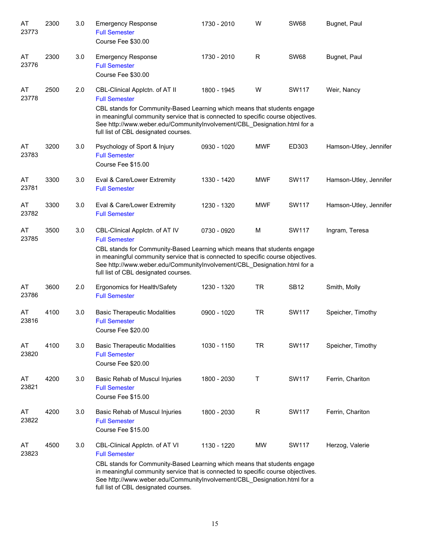| AT<br>23773 | 2300 | 3.0 | <b>Emergency Response</b><br><b>Full Semester</b><br>Course Fee \$30.00                                                                                                                                                                                                                                                                    | 1730 - 2010 | W          | <b>SW68</b>  | Bugnet, Paul           |
|-------------|------|-----|--------------------------------------------------------------------------------------------------------------------------------------------------------------------------------------------------------------------------------------------------------------------------------------------------------------------------------------------|-------------|------------|--------------|------------------------|
| AT<br>23776 | 2300 | 3.0 | <b>Emergency Response</b><br><b>Full Semester</b><br>Course Fee \$30.00                                                                                                                                                                                                                                                                    | 1730 - 2010 | R          | <b>SW68</b>  | Bugnet, Paul           |
| AT<br>23778 | 2500 | 2.0 | CBL-Clinical Applctn. of AT II<br><b>Full Semester</b><br>CBL stands for Community-Based Learning which means that students engage<br>in meaningful community service that is connected to specific course objectives.<br>See http://www.weber.edu/CommunityInvolvement/CBL_Designation.html for a<br>full list of CBL designated courses. | 1800 - 1945 | W          | <b>SW117</b> | Weir, Nancy            |
| AT<br>23783 | 3200 | 3.0 | Psychology of Sport & Injury<br><b>Full Semester</b><br>Course Fee \$15.00                                                                                                                                                                                                                                                                 | 0930 - 1020 | <b>MWF</b> | ED303        | Hamson-Utley, Jennifer |
| AT<br>23781 | 3300 | 3.0 | Eval & Care/Lower Extremity<br><b>Full Semester</b>                                                                                                                                                                                                                                                                                        | 1330 - 1420 | <b>MWF</b> | <b>SW117</b> | Hamson-Utley, Jennifer |
| AT<br>23782 | 3300 | 3.0 | Eval & Care/Lower Extremity<br><b>Full Semester</b>                                                                                                                                                                                                                                                                                        | 1230 - 1320 | <b>MWF</b> | <b>SW117</b> | Hamson-Utley, Jennifer |
| AT<br>23785 | 3500 | 3.0 | CBL-Clinical Applctn. of AT IV<br><b>Full Semester</b><br>CBL stands for Community-Based Learning which means that students engage<br>in meaningful community service that is connected to specific course objectives.<br>See http://www.weber.edu/CommunityInvolvement/CBL_Designation.html for a<br>full list of CBL designated courses. | 0730 - 0920 | M          | <b>SW117</b> | Ingram, Teresa         |
| AT<br>23786 | 3600 | 2.0 | Ergonomics for Health/Safety<br><b>Full Semester</b>                                                                                                                                                                                                                                                                                       | 1230 - 1320 | <b>TR</b>  | <b>SB12</b>  | Smith, Molly           |
| AT<br>23816 | 4100 | 3.0 | <b>Basic Therapeutic Modalities</b><br><b>Full Semester</b><br>Course Fee \$20.00                                                                                                                                                                                                                                                          | 0900 - 1020 | <b>TR</b>  | <b>SW117</b> | Speicher, Timothy      |
| AT<br>23820 | 4100 | 3.0 | <b>Basic Therapeutic Modalities</b><br><b>Full Semester</b><br>Course Fee \$20.00                                                                                                                                                                                                                                                          | 1030 - 1150 | <b>TR</b>  | SW117        | Speicher, Timothy      |
| AT<br>23821 | 4200 | 3.0 | Basic Rehab of Muscul Injuries<br><b>Full Semester</b><br>Course Fee \$15.00                                                                                                                                                                                                                                                               | 1800 - 2030 | Т          | <b>SW117</b> | Ferrin, Chariton       |
| AT<br>23822 | 4200 | 3.0 | Basic Rehab of Muscul Injuries<br><b>Full Semester</b><br>Course Fee \$15.00                                                                                                                                                                                                                                                               | 1800 - 2030 | R          | <b>SW117</b> | Ferrin, Chariton       |
| AT<br>23823 | 4500 | 3.0 | CBL-Clinical Applctn. of AT VI<br><b>Full Semester</b><br>CBL stands for Community-Based Learning which means that students engage<br>in meaningful community service that is connected to specific course objectives.<br>See http://www.weber.edu/CommunityInvolvement/CBL_Designation.html for a<br>full list of CBL designated courses. | 1130 - 1220 | MW         | <b>SW117</b> | Herzog, Valerie        |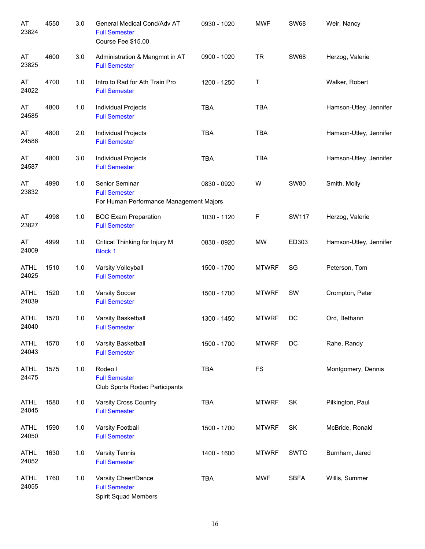| AT<br>23824          | 4550 | 3.0 | General Medical Cond/Adv AT<br><b>Full Semester</b><br>Course Fee \$15.00         | 0930 - 1020 | <b>MWF</b>   | <b>SW68</b>  | Weir, Nancy            |
|----------------------|------|-----|-----------------------------------------------------------------------------------|-------------|--------------|--------------|------------------------|
| AT<br>23825          | 4600 | 3.0 | Administration & Mangmnt in AT<br><b>Full Semester</b>                            | 0900 - 1020 | <b>TR</b>    | <b>SW68</b>  | Herzog, Valerie        |
| AT<br>24022          | 4700 | 1.0 | Intro to Rad for Ath Train Pro<br><b>Full Semester</b>                            | 1200 - 1250 | Τ            |              | Walker, Robert         |
| AT<br>24585          | 4800 | 1.0 | Individual Projects<br><b>Full Semester</b>                                       | <b>TBA</b>  | <b>TBA</b>   |              | Hamson-Utley, Jennifer |
| AT<br>24586          | 4800 | 2.0 | Individual Projects<br><b>Full Semester</b>                                       | <b>TBA</b>  | <b>TBA</b>   |              | Hamson-Utley, Jennifer |
| AT<br>24587          | 4800 | 3.0 | Individual Projects<br><b>Full Semester</b>                                       | <b>TBA</b>  | <b>TBA</b>   |              | Hamson-Utley, Jennifer |
| AT<br>23832          | 4990 | 1.0 | Senior Seminar<br><b>Full Semester</b><br>For Human Performance Management Majors | 0830 - 0920 | W            | <b>SW80</b>  | Smith, Molly           |
| AT<br>23827          | 4998 | 1.0 | <b>BOC Exam Preparation</b><br><b>Full Semester</b>                               | 1030 - 1120 | F            | <b>SW117</b> | Herzog, Valerie        |
| AT<br>24009          | 4999 | 1.0 | Critical Thinking for Injury M<br><b>Block 1</b>                                  | 0830 - 0920 | <b>MW</b>    | ED303        | Hamson-Utley, Jennifer |
| <b>ATHL</b><br>24025 | 1510 | 1.0 | Varsity Volleyball<br><b>Full Semester</b>                                        | 1500 - 1700 | <b>MTWRF</b> | SG           | Peterson, Tom          |
| <b>ATHL</b><br>24039 | 1520 | 1.0 | <b>Varsity Soccer</b><br><b>Full Semester</b>                                     | 1500 - 1700 | <b>MTWRF</b> | SW           | Crompton, Peter        |
| <b>ATHL</b><br>24040 | 1570 | 1.0 | Varsity Basketball<br><b>Full Semester</b>                                        | 1300 - 1450 | <b>MTWRF</b> | DC           | Ord, Bethann           |
| <b>ATHL</b><br>24043 | 1570 | 1.0 | Varsity Basketball<br><b>Full Semester</b>                                        | 1500 - 1700 | <b>MTWRF</b> | DC           | Rahe, Randy            |
| <b>ATHL</b><br>24475 | 1575 | 1.0 | Rodeo I<br><b>Full Semester</b><br>Club Sports Rodeo Participants                 | <b>TBA</b>  | <b>FS</b>    |              | Montgomery, Dennis     |
| <b>ATHL</b><br>24045 | 1580 | 1.0 | <b>Varsity Cross Country</b><br><b>Full Semester</b>                              | <b>TBA</b>  | <b>MTWRF</b> | SK           | Pilkington, Paul       |
| <b>ATHL</b><br>24050 | 1590 | 1.0 | Varsity Football<br><b>Full Semester</b>                                          | 1500 - 1700 | <b>MTWRF</b> | <b>SK</b>    | McBride, Ronald        |
| <b>ATHL</b><br>24052 | 1630 | 1.0 | Varsity Tennis<br><b>Full Semester</b>                                            | 1400 - 1600 | <b>MTWRF</b> | <b>SWTC</b>  | Burnham, Jared         |
| <b>ATHL</b><br>24055 | 1760 | 1.0 | Varsity Cheer/Dance<br><b>Full Semester</b><br>Spirit Squad Members               | <b>TBA</b>  | <b>MWF</b>   | <b>SBFA</b>  | Willis, Summer         |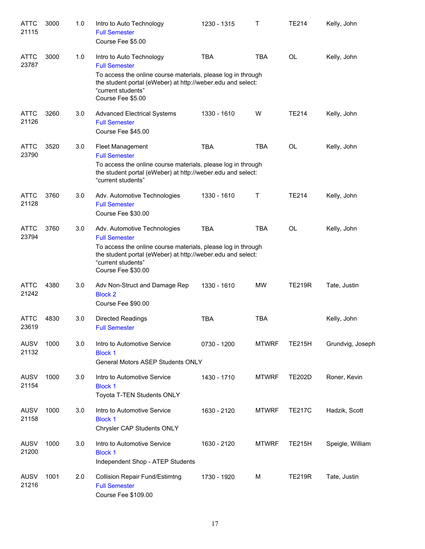| <b>ATTC</b><br>21115 | 3000 | 1.0 | Intro to Auto Technology<br><b>Full Semester</b><br>Course Fee \$5.00                                                                                                                                                           | 1230 - 1315 | т            | <b>TE214</b>  | Kelly, John      |
|----------------------|------|-----|---------------------------------------------------------------------------------------------------------------------------------------------------------------------------------------------------------------------------------|-------------|--------------|---------------|------------------|
| <b>ATTC</b><br>23787 | 3000 | 1.0 | Intro to Auto Technology<br><b>Full Semester</b><br>To access the online course materials, please log in through<br>the student portal (eWeber) at http://weber.edu and select:<br>"current students"<br>Course Fee \$5.00      | <b>TBA</b>  | <b>TBA</b>   | OL            | Kelly, John      |
| <b>ATTC</b><br>21126 | 3260 | 3.0 | <b>Advanced Electrical Systems</b><br><b>Full Semester</b><br>Course Fee \$45.00                                                                                                                                                | 1330 - 1610 | W            | <b>TE214</b>  | Kelly, John      |
| <b>ATTC</b><br>23790 | 3520 | 3.0 | Fleet Management<br><b>Full Semester</b><br>To access the online course materials, please log in through<br>the student portal (eWeber) at http://weber.edu and select:<br>"current students"                                   | <b>TBA</b>  | <b>TBA</b>   | OL            | Kelly, John      |
| <b>ATTC</b><br>21128 | 3760 | 3.0 | Adv. Automotive Technologies<br><b>Full Semester</b><br>Course Fee \$30.00                                                                                                                                                      | 1330 - 1610 | Τ            | <b>TE214</b>  | Kelly, John      |
| <b>ATTC</b><br>23794 | 3760 | 3.0 | Adv. Automotive Technologies<br><b>Full Semester</b><br>To access the online course materials, please log in through<br>the student portal (eWeber) at http://weber.edu and select:<br>"current students"<br>Course Fee \$30.00 | <b>TBA</b>  | <b>TBA</b>   | <b>OL</b>     | Kelly, John      |
| <b>ATTC</b><br>21242 | 4380 | 3.0 | Adv Non-Struct and Damage Rep<br><b>Block 2</b><br>Course Fee \$90.00                                                                                                                                                           | 1330 - 1610 | <b>MW</b>    | <b>TE219R</b> | Tate, Justin     |
| <b>ATTC</b><br>23619 | 4830 | 3.0 | <b>Directed Readings</b><br><b>Full Semester</b>                                                                                                                                                                                | <b>TBA</b>  | <b>TBA</b>   |               | Kelly, John      |
| <b>AUSV</b><br>21132 | 1000 | 3.0 | Intro to Automotive Service<br><b>Block 1</b><br><b>General Motors ASEP Students ONLY</b>                                                                                                                                       | 0730 - 1200 | <b>MTWRF</b> | <b>TE215H</b> | Grundvig, Joseph |
| <b>AUSV</b><br>21154 | 1000 | 3.0 | Intro to Automotive Service<br><b>Block 1</b><br>Toyota T-TEN Students ONLY                                                                                                                                                     | 1430 - 1710 | <b>MTWRF</b> | <b>TE202D</b> | Roner, Kevin     |
| <b>AUSV</b><br>21158 | 1000 | 3.0 | Intro to Automotive Service<br><b>Block 1</b><br>Chrysler CAP Students ONLY                                                                                                                                                     | 1630 - 2120 | <b>MTWRF</b> | <b>TE217C</b> | Hadzik, Scott    |
| <b>AUSV</b><br>21200 | 1000 | 3.0 | Intro to Automotive Service<br><b>Block 1</b><br>Independent Shop - ATEP Students                                                                                                                                               | 1630 - 2120 | <b>MTWRF</b> | <b>TE215H</b> | Speigle, William |
| <b>AUSV</b><br>21216 | 1001 | 2.0 | <b>Collision Repair Fund/Estimtng</b><br><b>Full Semester</b><br>Course Fee \$109.00                                                                                                                                            | 1730 - 1920 | м            | <b>TE219R</b> | Tate, Justin     |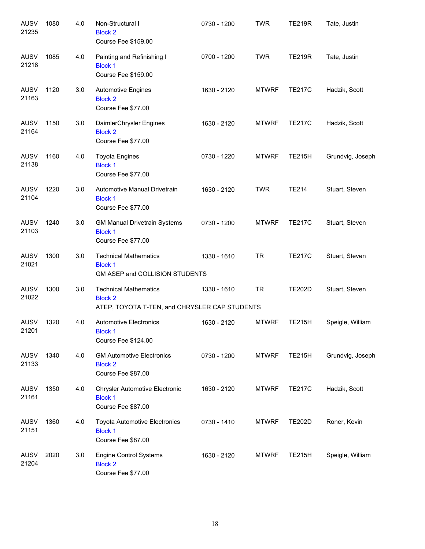| <b>AUSV</b><br>21235 | 1080 | 4.0 | Non-Structural I<br><b>Block 2</b><br>Course Fee \$159.00                                       | 0730 - 1200 | <b>TWR</b>   | <b>TE219R</b> | Tate, Justin     |
|----------------------|------|-----|-------------------------------------------------------------------------------------------------|-------------|--------------|---------------|------------------|
| <b>AUSV</b><br>21218 | 1085 | 4.0 | Painting and Refinishing I<br><b>Block 1</b><br>Course Fee \$159.00                             | 0700 - 1200 | <b>TWR</b>   | <b>TE219R</b> | Tate, Justin     |
| <b>AUSV</b><br>21163 | 1120 | 3.0 | <b>Automotive Engines</b><br><b>Block 2</b><br>Course Fee \$77.00                               | 1630 - 2120 | <b>MTWRF</b> | <b>TE217C</b> | Hadzik, Scott    |
| AUSV<br>21164        | 1150 | 3.0 | DaimlerChrysler Engines<br><b>Block 2</b><br>Course Fee \$77.00                                 | 1630 - 2120 | <b>MTWRF</b> | <b>TE217C</b> | Hadzik, Scott    |
| <b>AUSV</b><br>21138 | 1160 | 4.0 | <b>Toyota Engines</b><br><b>Block 1</b><br>Course Fee \$77.00                                   | 0730 - 1220 | <b>MTWRF</b> | <b>TE215H</b> | Grundvig, Joseph |
| <b>AUSV</b><br>21104 | 1220 | 3.0 | Automotive Manual Drivetrain<br><b>Block 1</b><br>Course Fee \$77.00                            | 1630 - 2120 | <b>TWR</b>   | <b>TE214</b>  | Stuart, Steven   |
| <b>AUSV</b><br>21103 | 1240 | 3.0 | <b>GM Manual Drivetrain Systems</b><br><b>Block 1</b><br>Course Fee \$77.00                     | 0730 - 1200 | <b>MTWRF</b> | <b>TE217C</b> | Stuart, Steven   |
| <b>AUSV</b><br>21021 | 1300 | 3.0 | <b>Technical Mathematics</b><br><b>Block 1</b><br>GM ASEP and COLLISION STUDENTS                | 1330 - 1610 | <b>TR</b>    | <b>TE217C</b> | Stuart, Steven   |
| <b>AUSV</b><br>21022 | 1300 | 3.0 | <b>Technical Mathematics</b><br><b>Block 2</b><br>ATEP, TOYOTA T-TEN, and CHRYSLER CAP STUDENTS | 1330 - 1610 | <b>TR</b>    | <b>TE202D</b> | Stuart, Steven   |
| AUSV<br>21201        | 1320 | 4.0 | <b>Automotive Electronics</b><br><b>Block 1</b><br>Course Fee \$124.00                          | 1630 - 2120 | <b>MTWRF</b> | <b>TE215H</b> | Speigle, William |
| AUSV<br>21133        | 1340 | 4.0 | <b>GM Automotive Electronics</b><br><b>Block 2</b><br>Course Fee \$87.00                        | 0730 - 1200 | <b>MTWRF</b> | <b>TE215H</b> | Grundvig, Joseph |
| AUSV<br>21161        | 1350 | 4.0 | <b>Chrysler Automotive Electronic</b><br><b>Block 1</b><br>Course Fee \$87.00                   | 1630 - 2120 | <b>MTWRF</b> | <b>TE217C</b> | Hadzik, Scott    |
| AUSV<br>21151        | 1360 | 4.0 | <b>Toyota Automotive Electronics</b><br><b>Block 1</b><br>Course Fee \$87.00                    | 0730 - 1410 | <b>MTWRF</b> | <b>TE202D</b> | Roner, Kevin     |
| <b>AUSV</b><br>21204 | 2020 | 3.0 | <b>Engine Control Systems</b><br><b>Block 2</b><br>Course Fee \$77.00                           | 1630 - 2120 | <b>MTWRF</b> | <b>TE215H</b> | Speigle, William |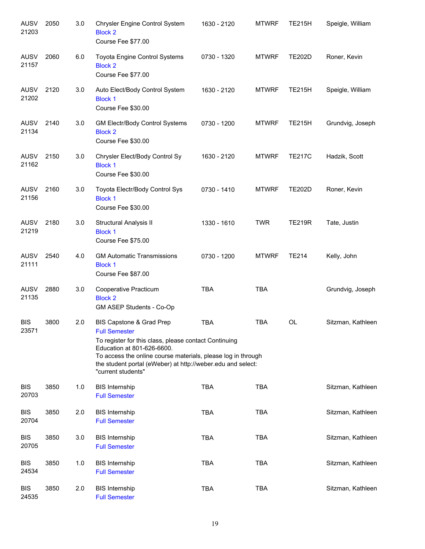| <b>AUSV</b><br>21203 | 2050 | 3.0 | Chrysler Engine Control System<br><b>Block 2</b><br>Course Fee \$77.00                                                                                                                                                                                                                       | 1630 - 2120 | <b>MTWRF</b> | <b>TE215H</b> | Speigle, William  |
|----------------------|------|-----|----------------------------------------------------------------------------------------------------------------------------------------------------------------------------------------------------------------------------------------------------------------------------------------------|-------------|--------------|---------------|-------------------|
| <b>AUSV</b><br>21157 | 2060 | 6.0 | Toyota Engine Control Systems<br><b>Block 2</b><br>Course Fee \$77.00                                                                                                                                                                                                                        | 0730 - 1320 | <b>MTWRF</b> | <b>TE202D</b> | Roner, Kevin      |
| <b>AUSV</b><br>21202 | 2120 | 3.0 | Auto Elect/Body Control System<br><b>Block 1</b><br>Course Fee \$30.00                                                                                                                                                                                                                       | 1630 - 2120 | <b>MTWRF</b> | <b>TE215H</b> | Speigle, William  |
| <b>AUSV</b><br>21134 | 2140 | 3.0 | <b>GM Electr/Body Control Systems</b><br><b>Block 2</b><br>Course Fee \$30.00                                                                                                                                                                                                                | 0730 - 1200 | <b>MTWRF</b> | <b>TE215H</b> | Grundvig, Joseph  |
| <b>AUSV</b><br>21162 | 2150 | 3.0 | Chrysler Elect/Body Control Sy<br><b>Block 1</b><br>Course Fee \$30.00                                                                                                                                                                                                                       | 1630 - 2120 | <b>MTWRF</b> | <b>TE217C</b> | Hadzik, Scott     |
| <b>AUSV</b><br>21156 | 2160 | 3.0 | Toyota Electr/Body Control Sys<br><b>Block 1</b><br>Course Fee \$30.00                                                                                                                                                                                                                       | 0730 - 1410 | <b>MTWRF</b> | <b>TE202D</b> | Roner, Kevin      |
| <b>AUSV</b><br>21219 | 2180 | 3.0 | Structural Analysis II<br><b>Block 1</b><br>Course Fee \$75.00                                                                                                                                                                                                                               | 1330 - 1610 | <b>TWR</b>   | <b>TE219R</b> | Tate, Justin      |
| <b>AUSV</b><br>21111 | 2540 | 4.0 | <b>GM Automatic Transmissions</b><br><b>Block 1</b><br>Course Fee \$87.00                                                                                                                                                                                                                    | 0730 - 1200 | <b>MTWRF</b> | <b>TE214</b>  | Kelly, John       |
| <b>AUSV</b><br>21135 | 2880 | 3.0 | Cooperative Practicum<br><b>Block 2</b><br>GM ASEP Students - Co-Op                                                                                                                                                                                                                          | <b>TBA</b>  | <b>TBA</b>   |               | Grundvig, Joseph  |
| <b>BIS</b><br>23571  | 3800 | 2.0 | BIS Capstone & Grad Prep<br><b>Full Semester</b><br>To register for this class, please contact Continuing<br>Education at 801-626-6600.<br>To access the online course materials, please log in through<br>the student portal (eWeber) at http://weber.edu and select:<br>"current students" | <b>TBA</b>  | <b>TBA</b>   | OL            | Sitzman, Kathleen |
| <b>BIS</b><br>20703  | 3850 | 1.0 | <b>BIS Internship</b><br><b>Full Semester</b>                                                                                                                                                                                                                                                | <b>TBA</b>  | <b>TBA</b>   |               | Sitzman, Kathleen |
| <b>BIS</b><br>20704  | 3850 | 2.0 | <b>BIS Internship</b><br><b>Full Semester</b>                                                                                                                                                                                                                                                | <b>TBA</b>  | <b>TBA</b>   |               | Sitzman, Kathleen |
| <b>BIS</b><br>20705  | 3850 | 3.0 | <b>BIS Internship</b><br><b>Full Semester</b>                                                                                                                                                                                                                                                | <b>TBA</b>  | <b>TBA</b>   |               | Sitzman, Kathleen |
| <b>BIS</b><br>24534  | 3850 | 1.0 | <b>BIS Internship</b><br><b>Full Semester</b>                                                                                                                                                                                                                                                | <b>TBA</b>  | <b>TBA</b>   |               | Sitzman, Kathleen |
| <b>BIS</b><br>24535  | 3850 | 2.0 | <b>BIS Internship</b><br><b>Full Semester</b>                                                                                                                                                                                                                                                | <b>TBA</b>  | <b>TBA</b>   |               | Sitzman, Kathleen |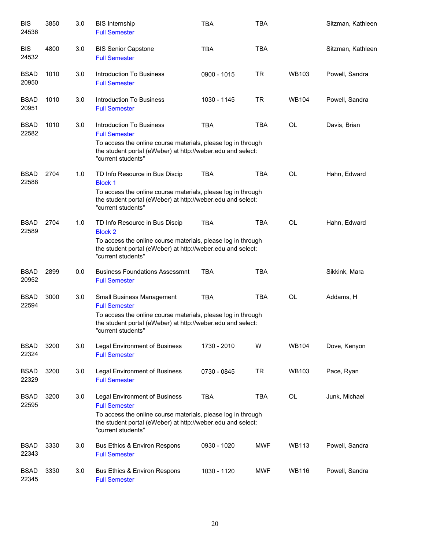| <b>BIS</b><br>24536  | 3850 | 3.0 | <b>BIS Internship</b><br><b>Full Semester</b>                                                                                                                                                              | <b>TBA</b>  | <b>TBA</b> |              | Sitzman, Kathleen |
|----------------------|------|-----|------------------------------------------------------------------------------------------------------------------------------------------------------------------------------------------------------------|-------------|------------|--------------|-------------------|
| <b>BIS</b><br>24532  | 4800 | 3.0 | <b>BIS Senior Capstone</b><br><b>Full Semester</b>                                                                                                                                                         | <b>TBA</b>  | <b>TBA</b> |              | Sitzman, Kathleen |
| <b>BSAD</b><br>20950 | 1010 | 3.0 | <b>Introduction To Business</b><br><b>Full Semester</b>                                                                                                                                                    | 0900 - 1015 | <b>TR</b>  | <b>WB103</b> | Powell, Sandra    |
| <b>BSAD</b><br>20951 | 1010 | 3.0 | Introduction To Business<br><b>Full Semester</b>                                                                                                                                                           | 1030 - 1145 | TR         | <b>WB104</b> | Powell, Sandra    |
| <b>BSAD</b><br>22582 | 1010 | 3.0 | Introduction To Business<br><b>Full Semester</b><br>To access the online course materials, please log in through<br>the student portal (eWeber) at http://weber.edu and select:<br>"current students"      | <b>TBA</b>  | <b>TBA</b> | OL           | Davis, Brian      |
| <b>BSAD</b><br>22588 | 2704 | 1.0 | TD Info Resource in Bus Discip<br><b>Block 1</b><br>To access the online course materials, please log in through<br>the student portal (eWeber) at http://weber.edu and select:<br>"current students"      | <b>TBA</b>  | <b>TBA</b> | <b>OL</b>    | Hahn, Edward      |
| <b>BSAD</b><br>22589 | 2704 | 1.0 | TD Info Resource in Bus Discip<br><b>Block 2</b><br>To access the online course materials, please log in through<br>the student portal (eWeber) at http://weber.edu and select:<br>"current students"      | <b>TBA</b>  | <b>TBA</b> | <b>OL</b>    | Hahn, Edward      |
| <b>BSAD</b><br>20952 | 2899 | 0.0 | <b>Business Foundations Assessmnt</b><br><b>Full Semester</b>                                                                                                                                              | <b>TBA</b>  | <b>TBA</b> |              | Sikkink, Mara     |
| <b>BSAD</b><br>22594 | 3000 | 3.0 | Small Business Management<br><b>Full Semester</b><br>To access the online course materials, please log in through<br>the student portal (eWeber) at http://weber.edu and select:<br>"current students"     | <b>TBA</b>  | <b>TBA</b> | <b>OL</b>    | Addams, H         |
| <b>BSAD</b><br>22324 | 3200 | 3.0 | <b>Legal Environment of Business</b><br><b>Full Semester</b>                                                                                                                                               | 1730 - 2010 | W          | <b>WB104</b> | Dove, Kenyon      |
| <b>BSAD</b><br>22329 | 3200 | 3.0 | Legal Environment of Business<br><b>Full Semester</b>                                                                                                                                                      | 0730 - 0845 | <b>TR</b>  | <b>WB103</b> | Pace, Ryan        |
| <b>BSAD</b><br>22595 | 3200 | 3.0 | Legal Environment of Business<br><b>Full Semester</b><br>To access the online course materials, please log in through<br>the student portal (eWeber) at http://weber.edu and select:<br>"current students" | <b>TBA</b>  | <b>TBA</b> | OL           | Junk, Michael     |
| <b>BSAD</b><br>22343 | 3330 | 3.0 | Bus Ethics & Environ Respons<br><b>Full Semester</b>                                                                                                                                                       | 0930 - 1020 | MWF        | <b>WB113</b> | Powell, Sandra    |
| <b>BSAD</b><br>22345 | 3330 | 3.0 | Bus Ethics & Environ Respons<br><b>Full Semester</b>                                                                                                                                                       | 1030 - 1120 | MWF        | <b>WB116</b> | Powell, Sandra    |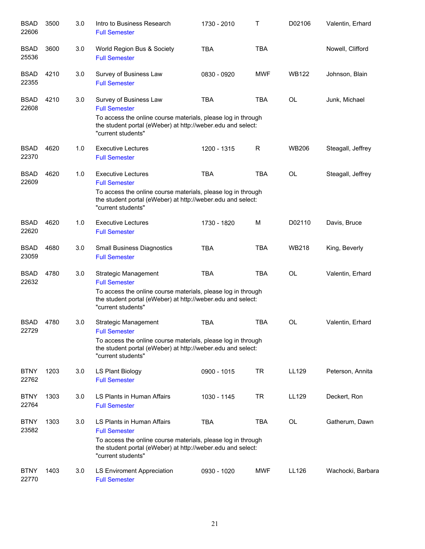| <b>BSAD</b><br>22606 | 3500 | 3.0 | Intro to Business Research<br><b>Full Semester</b>                                                                                                | 1730 - 2010 | Т          | D02106       | Valentin, Erhard  |
|----------------------|------|-----|---------------------------------------------------------------------------------------------------------------------------------------------------|-------------|------------|--------------|-------------------|
| <b>BSAD</b><br>25536 | 3600 | 3.0 | World Region Bus & Society<br><b>Full Semester</b>                                                                                                | <b>TBA</b>  | <b>TBA</b> |              | Nowell, Clifford  |
| <b>BSAD</b><br>22355 | 4210 | 3.0 | Survey of Business Law<br><b>Full Semester</b>                                                                                                    | 0830 - 0920 | <b>MWF</b> | <b>WB122</b> | Johnson, Blain    |
| <b>BSAD</b><br>22608 | 4210 | 3.0 | Survey of Business Law<br><b>Full Semester</b><br>To access the online course materials, please log in through                                    | <b>TBA</b>  | <b>TBA</b> | <b>OL</b>    | Junk, Michael     |
|                      |      |     | the student portal (eWeber) at http://weber.edu and select:<br>"current students"                                                                 |             |            |              |                   |
| <b>BSAD</b><br>22370 | 4620 | 1.0 | Executive Lectures<br><b>Full Semester</b>                                                                                                        | 1200 - 1315 | R          | <b>WB206</b> | Steagall, Jeffrey |
| <b>BSAD</b><br>22609 | 4620 | 1.0 | <b>Executive Lectures</b><br><b>Full Semester</b>                                                                                                 | <b>TBA</b>  | <b>TBA</b> | OL           | Steagall, Jeffrey |
|                      |      |     | To access the online course materials, please log in through<br>the student portal (eWeber) at http://weber.edu and select:<br>"current students" |             |            |              |                   |
| <b>BSAD</b><br>22620 | 4620 | 1.0 | <b>Executive Lectures</b><br><b>Full Semester</b>                                                                                                 | 1730 - 1820 | M          | D02110       | Davis, Bruce      |
| <b>BSAD</b><br>23059 | 4680 | 3.0 | <b>Small Business Diagnostics</b><br><b>Full Semester</b>                                                                                         | <b>TBA</b>  | <b>TBA</b> | <b>WB218</b> | King, Beverly     |
| <b>BSAD</b><br>22632 | 4780 | 3.0 | <b>Strategic Management</b><br><b>Full Semester</b>                                                                                               | <b>TBA</b>  | <b>TBA</b> | <b>OL</b>    | Valentin, Erhard  |
|                      |      |     | To access the online course materials, please log in through<br>the student portal (eWeber) at http://weber.edu and select:<br>"current students" |             |            |              |                   |
| <b>BSAD</b><br>22729 | 4780 | 3.0 | Strategic Management<br><b>Full Semester</b>                                                                                                      | <b>TBA</b>  | <b>TBA</b> | <b>OL</b>    | Valentin, Erhard  |
|                      |      |     | To access the online course materials, please log in through<br>the student portal (eWeber) at http://weber.edu and select:<br>"current students" |             |            |              |                   |
| <b>BTNY</b><br>22762 | 1203 | 3.0 | LS Plant Biology<br><b>Full Semester</b>                                                                                                          | 0900 - 1015 | <b>TR</b>  | LL129        | Peterson, Annita  |
| <b>BTNY</b><br>22764 | 1303 | 3.0 | LS Plants in Human Affairs<br><b>Full Semester</b>                                                                                                | 1030 - 1145 | <b>TR</b>  | LL129        | Deckert, Ron      |
| <b>BTNY</b><br>23582 | 1303 | 3.0 | LS Plants in Human Affairs<br><b>Full Semester</b><br>To access the online course materials, please log in through                                | <b>TBA</b>  | <b>TBA</b> | <b>OL</b>    | Gatherum, Dawn    |
|                      |      |     | the student portal (eWeber) at http://weber.edu and select:<br>"current students"                                                                 |             |            |              |                   |
| <b>BTNY</b><br>22770 | 1403 | 3.0 | LS Enviroment Appreciation<br><b>Full Semester</b>                                                                                                | 0930 - 1020 | <b>MWF</b> | LL126        | Wachocki, Barbara |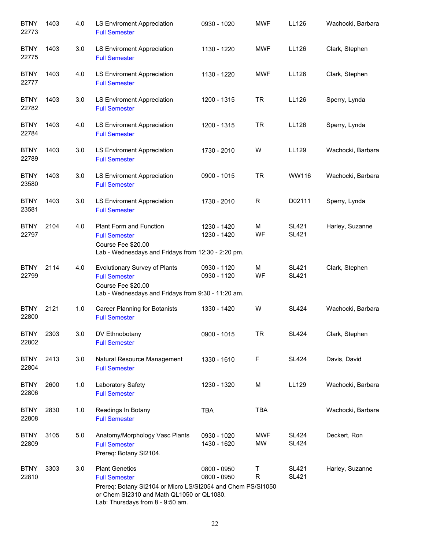| <b>BTNY</b><br>22773 | 1403 | 4.0 | <b>LS Enviroment Appreciation</b><br><b>Full Semester</b>                                                                                                                                     | 0930 - 1020                | <b>MWF</b>       | LL126                        | Wachocki, Barbara |
|----------------------|------|-----|-----------------------------------------------------------------------------------------------------------------------------------------------------------------------------------------------|----------------------------|------------------|------------------------------|-------------------|
| <b>BTNY</b><br>22775 | 1403 | 3.0 | <b>LS Enviroment Appreciation</b><br><b>Full Semester</b>                                                                                                                                     | 1130 - 1220                | <b>MWF</b>       | LL126                        | Clark, Stephen    |
| <b>BTNY</b><br>22777 | 1403 | 4.0 | LS Enviroment Appreciation<br><b>Full Semester</b>                                                                                                                                            | 1130 - 1220                | <b>MWF</b>       | LL126                        | Clark, Stephen    |
| <b>BTNY</b><br>22782 | 1403 | 3.0 | LS Enviroment Appreciation<br><b>Full Semester</b>                                                                                                                                            | 1200 - 1315                | <b>TR</b>        | LL126                        | Sperry, Lynda     |
| <b>BTNY</b><br>22784 | 1403 | 4.0 | <b>LS Enviroment Appreciation</b><br><b>Full Semester</b>                                                                                                                                     | 1200 - 1315                | <b>TR</b>        | LL126                        | Sperry, Lynda     |
| <b>BTNY</b><br>22789 | 1403 | 3.0 | <b>LS Enviroment Appreciation</b><br><b>Full Semester</b>                                                                                                                                     | 1730 - 2010                | W                | LL129                        | Wachocki, Barbara |
| <b>BTNY</b><br>23580 | 1403 | 3.0 | <b>LS Enviroment Appreciation</b><br><b>Full Semester</b>                                                                                                                                     | 0900 - 1015                | <b>TR</b>        | WW116                        | Wachocki, Barbara |
| <b>BTNY</b><br>23581 | 1403 | 3.0 | LS Enviroment Appreciation<br><b>Full Semester</b>                                                                                                                                            | 1730 - 2010                | $\mathsf R$      | D02111                       | Sperry, Lynda     |
| <b>BTNY</b><br>22797 | 2104 | 4.0 | Plant Form and Function<br><b>Full Semester</b><br>Course Fee \$20.00<br>Lab - Wednesdays and Fridays from 12:30 - 2:20 pm.                                                                   | 1230 - 1420<br>1230 - 1420 | M<br>WF          | <b>SL421</b><br><b>SL421</b> | Harley, Suzanne   |
| <b>BTNY</b><br>22799 | 2114 | 4.0 | Evolutionary Survey of Plants<br><b>Full Semester</b><br>Course Fee \$20.00<br>Lab - Wednesdays and Fridays from 9:30 - 11:20 am.                                                             | 0930 - 1120<br>0930 - 1120 | M<br>WF          | <b>SL421</b><br><b>SL421</b> | Clark, Stephen    |
| <b>BTNY</b><br>22800 | 2121 | 1.0 | Career Planning for Botanists<br><b>Full Semester</b>                                                                                                                                         | 1330 - 1420                | W                | <b>SL424</b>                 | Wachocki, Barbara |
| <b>BTNY</b><br>22802 | 2303 | 3.0 | DV Ethnobotany<br><b>Full Semester</b>                                                                                                                                                        | 0900 - 1015                | <b>TR</b>        | <b>SL424</b>                 | Clark, Stephen    |
| <b>BTNY</b><br>22804 | 2413 | 3.0 | Natural Resource Management<br><b>Full Semester</b>                                                                                                                                           | 1330 - 1610                | F                | <b>SL424</b>                 | Davis, David      |
| <b>BTNY</b><br>22806 | 2600 | 1.0 | Laboratory Safety<br><b>Full Semester</b>                                                                                                                                                     | 1230 - 1320                | M                | LL129                        | Wachocki, Barbara |
| <b>BTNY</b><br>22808 | 2830 | 1.0 | Readings In Botany<br><b>Full Semester</b>                                                                                                                                                    | <b>TBA</b>                 | <b>TBA</b>       |                              | Wachocki, Barbara |
| <b>BTNY</b><br>22809 | 3105 | 5.0 | Anatomy/Morphology Vasc Plants<br><b>Full Semester</b><br>Prereq: Botany SI2104.                                                                                                              | 0930 - 1020<br>1430 - 1620 | MWF<br>MW        | <b>SL424</b><br><b>SL424</b> | Deckert, Ron      |
| <b>BTNY</b><br>22810 | 3303 | 3.0 | <b>Plant Genetics</b><br><b>Full Semester</b><br>Prereq: Botany SI2104 or Micro LS/SI2054 and Chem PS/SI1050<br>or Chem SI2310 and Math QL1050 or QL1080.<br>Lab: Thursdays from 8 - 9:50 am. | 0800 - 0950<br>0800 - 0950 | т<br>$\mathsf R$ | <b>SL421</b><br><b>SL421</b> | Harley, Suzanne   |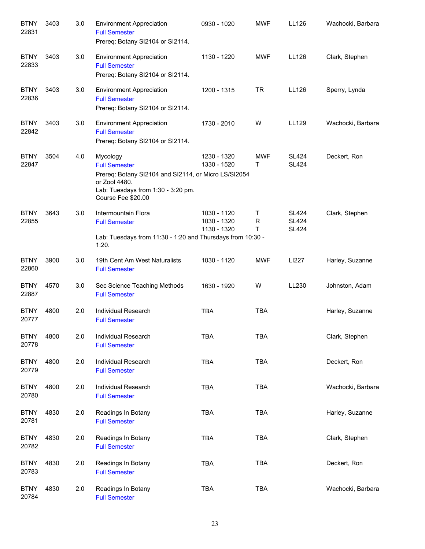| <b>BTNY</b><br>22831 | 3403 | 3.0 | <b>Environment Appreciation</b><br><b>Full Semester</b><br>Prereq: Botany SI2104 or SI2114.                                                                           | 0930 - 1020                               | <b>MWF</b>      | LL126                                        | Wachocki, Barbara |
|----------------------|------|-----|-----------------------------------------------------------------------------------------------------------------------------------------------------------------------|-------------------------------------------|-----------------|----------------------------------------------|-------------------|
| <b>BTNY</b><br>22833 | 3403 | 3.0 | <b>Environment Appreciation</b><br><b>Full Semester</b><br>Prereq: Botany SI2104 or SI2114.                                                                           | 1130 - 1220                               | <b>MWF</b>      | LL126                                        | Clark, Stephen    |
| <b>BTNY</b><br>22836 | 3403 | 3.0 | <b>Environment Appreciation</b><br><b>Full Semester</b><br>Prereq: Botany SI2104 or SI2114.                                                                           | 1200 - 1315                               | <b>TR</b>       | LL126                                        | Sperry, Lynda     |
| <b>BTNY</b><br>22842 | 3403 | 3.0 | <b>Environment Appreciation</b><br><b>Full Semester</b><br>Prereq: Botany SI2104 or SI2114.                                                                           | 1730 - 2010                               | W               | LL129                                        | Wachocki, Barbara |
| <b>BTNY</b><br>22847 | 3504 | 4.0 | Mycology<br><b>Full Semester</b><br>Prereq: Botany SI2104 and SI2114, or Micro LS/SI2054<br>or Zool 4480.<br>Lab: Tuesdays from 1:30 - 3:20 pm.<br>Course Fee \$20.00 | 1230 - 1320<br>1330 - 1520                | <b>MWF</b><br>т | <b>SL424</b><br><b>SL424</b>                 | Deckert, Ron      |
| <b>BTNY</b><br>22855 | 3643 | 3.0 | Intermountain Flora<br><b>Full Semester</b><br>Lab: Tuesdays from 11:30 - 1:20 and Thursdays from 10:30 -<br>1:20.                                                    | 1030 - 1120<br>1030 - 1320<br>1130 - 1320 | T<br>R<br>T     | <b>SL424</b><br><b>SL424</b><br><b>SL424</b> | Clark, Stephen    |
| <b>BTNY</b><br>22860 | 3900 | 3.0 | 19th Cent Am West Naturalists<br><b>Full Semester</b>                                                                                                                 | 1030 - 1120                               | <b>MWF</b>      | LI227                                        | Harley, Suzanne   |
| <b>BTNY</b><br>22887 | 4570 | 3.0 | Sec Science Teaching Methods<br><b>Full Semester</b>                                                                                                                  | 1630 - 1920                               | W               | LL230                                        | Johnston, Adam    |
| <b>BTNY</b><br>20777 | 4800 | 2.0 | Individual Research<br><b>Full Semester</b>                                                                                                                           | <b>TBA</b>                                | <b>TBA</b>      |                                              | Harley, Suzanne   |
| <b>BTNY</b><br>20778 | 4800 | 2.0 | Individual Research<br><b>Full Semester</b>                                                                                                                           | <b>TBA</b>                                | <b>TBA</b>      |                                              | Clark, Stephen    |
| <b>BTNY</b><br>20779 | 4800 | 2.0 | Individual Research<br><b>Full Semester</b>                                                                                                                           | <b>TBA</b>                                | <b>TBA</b>      |                                              | Deckert, Ron      |
| <b>BTNY</b><br>20780 | 4800 | 2.0 | <b>Individual Research</b><br><b>Full Semester</b>                                                                                                                    | <b>TBA</b>                                | <b>TBA</b>      |                                              | Wachocki, Barbara |
| <b>BTNY</b><br>20781 | 4830 | 2.0 | Readings In Botany<br><b>Full Semester</b>                                                                                                                            | <b>TBA</b>                                | <b>TBA</b>      |                                              | Harley, Suzanne   |
| <b>BTNY</b><br>20782 | 4830 | 2.0 | Readings In Botany<br><b>Full Semester</b>                                                                                                                            | <b>TBA</b>                                | TBA             |                                              | Clark, Stephen    |
| <b>BTNY</b><br>20783 | 4830 | 2.0 | Readings In Botany<br><b>Full Semester</b>                                                                                                                            | <b>TBA</b>                                | TBA             |                                              | Deckert, Ron      |
| <b>BTNY</b><br>20784 | 4830 | 2.0 | Readings In Botany<br><b>Full Semester</b>                                                                                                                            | <b>TBA</b>                                | <b>TBA</b>      |                                              | Wachocki, Barbara |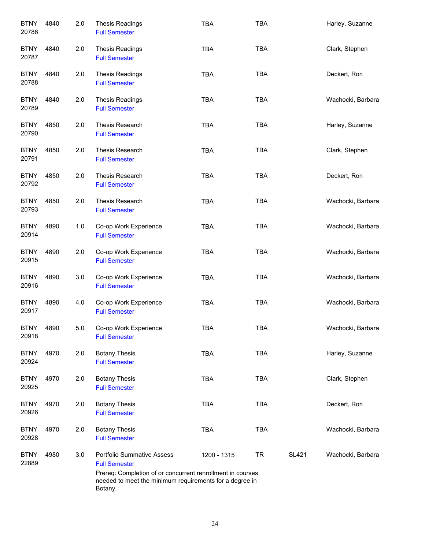| <b>BTNY</b><br>20786 | 4840 | 2.0 | <b>Thesis Readings</b><br><b>Full Semester</b>                                                                                                                                                | <b>TBA</b>  | <b>TBA</b> |              | Harley, Suzanne   |
|----------------------|------|-----|-----------------------------------------------------------------------------------------------------------------------------------------------------------------------------------------------|-------------|------------|--------------|-------------------|
| <b>BTNY</b><br>20787 | 4840 | 2.0 | <b>Thesis Readings</b><br><b>Full Semester</b>                                                                                                                                                | <b>TBA</b>  | <b>TBA</b> |              | Clark, Stephen    |
| <b>BTNY</b><br>20788 | 4840 | 2.0 | <b>Thesis Readings</b><br><b>Full Semester</b>                                                                                                                                                | <b>TBA</b>  | <b>TBA</b> |              | Deckert, Ron      |
| <b>BTNY</b><br>20789 | 4840 | 2.0 | <b>Thesis Readings</b><br><b>Full Semester</b>                                                                                                                                                | <b>TBA</b>  | <b>TBA</b> |              | Wachocki, Barbara |
| <b>BTNY</b><br>20790 | 4850 | 2.0 | Thesis Research<br><b>Full Semester</b>                                                                                                                                                       | <b>TBA</b>  | <b>TBA</b> |              | Harley, Suzanne   |
| <b>BTNY</b><br>20791 | 4850 | 2.0 | Thesis Research<br><b>Full Semester</b>                                                                                                                                                       | <b>TBA</b>  | <b>TBA</b> |              | Clark, Stephen    |
| <b>BTNY</b><br>20792 | 4850 | 2.0 | Thesis Research<br><b>Full Semester</b>                                                                                                                                                       | <b>TBA</b>  | <b>TBA</b> |              | Deckert, Ron      |
| <b>BTNY</b><br>20793 | 4850 | 2.0 | Thesis Research<br><b>Full Semester</b>                                                                                                                                                       | <b>TBA</b>  | TBA        |              | Wachocki, Barbara |
| <b>BTNY</b><br>20914 | 4890 | 1.0 | Co-op Work Experience<br><b>Full Semester</b>                                                                                                                                                 | <b>TBA</b>  | <b>TBA</b> |              | Wachocki, Barbara |
| <b>BTNY</b><br>20915 | 4890 | 2.0 | Co-op Work Experience<br><b>Full Semester</b>                                                                                                                                                 | <b>TBA</b>  | <b>TBA</b> |              | Wachocki, Barbara |
| <b>BTNY</b><br>20916 | 4890 | 3.0 | Co-op Work Experience<br><b>Full Semester</b>                                                                                                                                                 | <b>TBA</b>  | <b>TBA</b> |              | Wachocki, Barbara |
| <b>BTNY</b><br>20917 | 4890 | 4.0 | Co-op Work Experience<br><b>Full Semester</b>                                                                                                                                                 | <b>TBA</b>  | <b>TBA</b> |              | Wachocki, Barbara |
| <b>BTNY</b><br>20918 | 4890 | 5.0 | Co-op Work Experience<br><b>Full Semester</b>                                                                                                                                                 | TBA         | <b>TBA</b> |              | Wachocki, Barbara |
| <b>BTNY</b><br>20924 | 4970 | 2.0 | <b>Botany Thesis</b><br><b>Full Semester</b>                                                                                                                                                  | <b>TBA</b>  | <b>TBA</b> |              | Harley, Suzanne   |
| <b>BTNY</b><br>20925 | 4970 | 2.0 | <b>Botany Thesis</b><br><b>Full Semester</b>                                                                                                                                                  | <b>TBA</b>  | <b>TBA</b> |              | Clark, Stephen    |
| <b>BTNY</b><br>20926 | 4970 | 2.0 | <b>Botany Thesis</b><br><b>Full Semester</b>                                                                                                                                                  | <b>TBA</b>  | <b>TBA</b> |              | Deckert, Ron      |
| <b>BTNY</b><br>20928 | 4970 | 2.0 | <b>Botany Thesis</b><br><b>Full Semester</b>                                                                                                                                                  | <b>TBA</b>  | <b>TBA</b> |              | Wachocki, Barbara |
| <b>BTNY</b><br>22889 | 4980 | 3.0 | <b>Portfolio Summative Assess</b><br><b>Full Semester</b><br>Prereq: Completion of or concurrent renrollment in courses<br>needed to meet the minimum requirements for a degree in<br>Botany. | 1200 - 1315 | <b>TR</b>  | <b>SL421</b> | Wachocki, Barbara |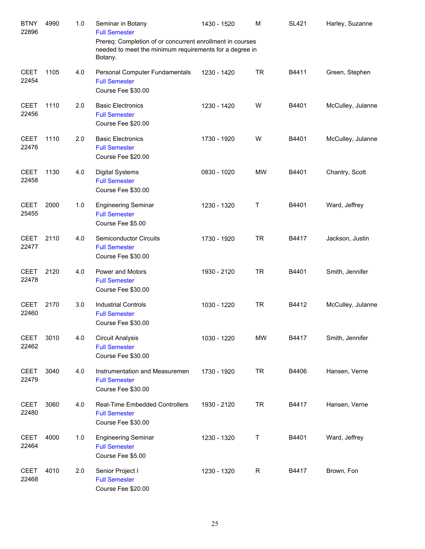| <b>BTNY</b><br>22896 | 4990 | 1.0 | Seminar in Botany<br><b>Full Semester</b><br>Prereq: Completion of or concurrent enrollment in courses | 1430 - 1520 | M         | <b>SL421</b> | Harley, Suzanne   |
|----------------------|------|-----|--------------------------------------------------------------------------------------------------------|-------------|-----------|--------------|-------------------|
|                      |      |     | needed to meet the minimum requirements for a degree in<br>Botany.                                     |             |           |              |                   |
| <b>CEET</b><br>22454 | 1105 | 4.0 | Personal Computer Fundamentals<br><b>Full Semester</b><br>Course Fee \$30.00                           | 1230 - 1420 | <b>TR</b> | B4411        | Green, Stephen    |
| <b>CEET</b><br>22456 | 1110 | 2.0 | <b>Basic Electronics</b><br><b>Full Semester</b><br>Course Fee \$20.00                                 | 1230 - 1420 | W         | B4401        | McCulley, Julanne |
| <b>CEET</b><br>22476 | 1110 | 2.0 | <b>Basic Electronics</b><br><b>Full Semester</b><br>Course Fee \$20.00                                 | 1730 - 1920 | W         | B4401        | McCulley, Julanne |
| <b>CEET</b><br>22458 | 1130 | 4.0 | <b>Digital Systems</b><br><b>Full Semester</b><br>Course Fee \$30.00                                   | 0830 - 1020 | <b>MW</b> | B4401        | Chantry, Scott    |
| <b>CEET</b><br>25455 | 2000 | 1.0 | <b>Engineering Seminar</b><br><b>Full Semester</b><br>Course Fee \$5.00                                | 1230 - 1320 | Τ         | B4401        | Ward, Jeffrey     |
| <b>CEET</b><br>22477 | 2110 | 4.0 | <b>Semiconductor Circuits</b><br><b>Full Semester</b><br>Course Fee \$30.00                            | 1730 - 1920 | <b>TR</b> | B4417        | Jackson, Justin   |
| <b>CEET</b><br>22478 | 2120 | 4.0 | Power and Motors<br><b>Full Semester</b><br>Course Fee \$30.00                                         | 1930 - 2120 | <b>TR</b> | B4401        | Smith, Jennifer   |
| <b>CEET</b><br>22460 | 2170 | 3.0 | <b>Industrial Controls</b><br><b>Full Semester</b><br>Course Fee \$30.00                               | 1030 - 1220 | <b>TR</b> | B4412        | McCulley, Julanne |
| <b>CEET</b><br>22462 | 3010 | 4.0 | <b>Circuit Analysis</b><br><b>Full Semester</b><br>Course Fee \$30.00                                  | 1030 - 1220 | <b>MW</b> | B4417        | Smith, Jennifer   |
| <b>CEET</b><br>22479 | 3040 | 4.0 | Instrumentation and Measuremen<br><b>Full Semester</b><br>Course Fee \$30.00                           | 1730 - 1920 | <b>TR</b> | B4406        | Hansen, Verne     |
| <b>CEET</b><br>22480 | 3060 | 4.0 | Real-Time Embedded Controllers<br><b>Full Semester</b><br>Course Fee \$30.00                           | 1930 - 2120 | <b>TR</b> | B4417        | Hansen, Verne     |
| <b>CEET</b><br>22464 | 4000 | 1.0 | <b>Engineering Seminar</b><br><b>Full Semester</b><br>Course Fee \$5.00                                | 1230 - 1320 | T         | B4401        | Ward, Jeffrey     |
| <b>CEET</b><br>22468 | 4010 | 2.0 | Senior Project I<br><b>Full Semester</b><br>Course Fee \$20.00                                         | 1230 - 1320 | R         | B4417        | Brown, Fon        |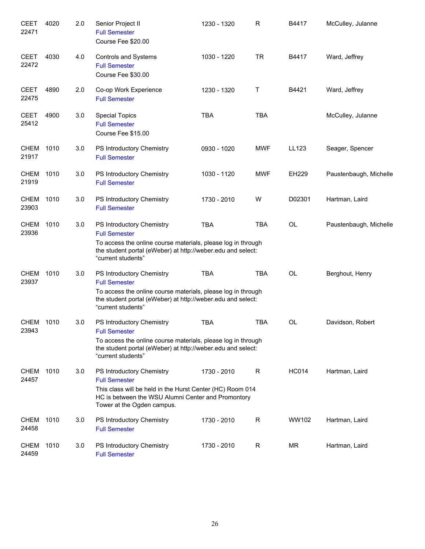| <b>CEET</b><br>22471 | 4020 | 2.0 | Senior Project II<br><b>Full Semester</b><br>Course Fee \$20.00                                                                                                                                        | 1230 - 1320 | R          | B4417        | McCulley, Julanne      |
|----------------------|------|-----|--------------------------------------------------------------------------------------------------------------------------------------------------------------------------------------------------------|-------------|------------|--------------|------------------------|
| <b>CEET</b><br>22472 | 4030 | 4.0 | Controls and Systems<br><b>Full Semester</b><br>Course Fee \$30.00                                                                                                                                     | 1030 - 1220 | <b>TR</b>  | B4417        | Ward, Jeffrey          |
| <b>CEET</b><br>22475 | 4890 | 2.0 | Co-op Work Experience<br><b>Full Semester</b>                                                                                                                                                          | 1230 - 1320 | Τ          | B4421        | Ward, Jeffrey          |
| <b>CEET</b><br>25412 | 4900 | 3.0 | <b>Special Topics</b><br><b>Full Semester</b><br>Course Fee \$15.00                                                                                                                                    | <b>TBA</b>  | <b>TBA</b> |              | McCulley, Julanne      |
| <b>CHEM</b><br>21917 | 1010 | 3.0 | PS Introductory Chemistry<br><b>Full Semester</b>                                                                                                                                                      | 0930 - 1020 | <b>MWF</b> | LL123        | Seager, Spencer        |
| <b>CHEM</b><br>21919 | 1010 | 3.0 | PS Introductory Chemistry<br><b>Full Semester</b>                                                                                                                                                      | 1030 - 1120 | <b>MWF</b> | <b>EH229</b> | Paustenbaugh, Michelle |
| <b>CHEM</b><br>23903 | 1010 | 3.0 | PS Introductory Chemistry<br><b>Full Semester</b>                                                                                                                                                      | 1730 - 2010 | W          | D02301       | Hartman, Laird         |
| <b>CHEM</b><br>23936 | 1010 | 3.0 | PS Introductory Chemistry<br><b>Full Semester</b><br>To access the online course materials, please log in through<br>the student portal (eWeber) at http://weber.edu and select:<br>"current students" | <b>TBA</b>  | <b>TBA</b> | OL           | Paustenbaugh, Michelle |
| <b>CHEM</b><br>23937 | 1010 | 3.0 | PS Introductory Chemistry<br><b>Full Semester</b><br>To access the online course materials, please log in through<br>the student portal (eWeber) at http://weber.edu and select:<br>"current students" | <b>TBA</b>  | <b>TBA</b> | OL           | Berghout, Henry        |
| CHEM<br>23943        | 1010 | 3.0 | PS Introductory Chemistry<br><b>Full Semester</b><br>To access the online course materials, please log in through<br>the student portal (eWeber) at http://weber.edu and select:<br>"current students" | <b>TBA</b>  | <b>TBA</b> | <b>OL</b>    | Davidson, Robert       |
| <b>CHEM</b><br>24457 | 1010 | 3.0 | PS Introductory Chemistry<br><b>Full Semester</b><br>This class will be held in the Hurst Center (HC) Room 014<br>HC is between the WSU Alumni Center and Promontory<br>Tower at the Ogden campus.     | 1730 - 2010 | R          | <b>HC014</b> | Hartman, Laird         |
| <b>CHEM</b><br>24458 | 1010 | 3.0 | PS Introductory Chemistry<br><b>Full Semester</b>                                                                                                                                                      | 1730 - 2010 | R          | WW102        | Hartman, Laird         |
| <b>CHEM</b><br>24459 | 1010 | 3.0 | PS Introductory Chemistry<br><b>Full Semester</b>                                                                                                                                                      | 1730 - 2010 | R          | ΜR           | Hartman, Laird         |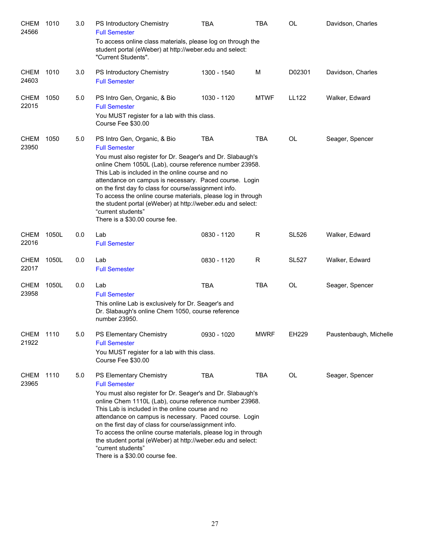| <b>CHEM</b><br>24566 | 1010  | 3.0 | PS Introductory Chemistry<br><b>Full Semester</b>                                                                                                                                                                                                                                                                                                                                                                                                                                                                                           | <b>TBA</b>  | <b>TBA</b>   | <b>OL</b>    | Davidson, Charles      |
|----------------------|-------|-----|---------------------------------------------------------------------------------------------------------------------------------------------------------------------------------------------------------------------------------------------------------------------------------------------------------------------------------------------------------------------------------------------------------------------------------------------------------------------------------------------------------------------------------------------|-------------|--------------|--------------|------------------------|
|                      |       |     | To access online class materials, please log on through the<br>student portal (eWeber) at http://weber.edu and select:<br>"Current Students".                                                                                                                                                                                                                                                                                                                                                                                               |             |              |              |                        |
| <b>CHEM</b><br>24603 | 1010  | 3.0 | PS Introductory Chemistry<br><b>Full Semester</b>                                                                                                                                                                                                                                                                                                                                                                                                                                                                                           | 1300 - 1540 | м            | D02301       | Davidson, Charles      |
| <b>CHEM</b><br>22015 | 1050  | 5.0 | PS Intro Gen, Organic, & Bio<br><b>Full Semester</b><br>You MUST register for a lab with this class.<br>Course Fee \$30.00                                                                                                                                                                                                                                                                                                                                                                                                                  | 1030 - 1120 | <b>MTWF</b>  | <b>LL122</b> | Walker, Edward         |
| <b>CHEM</b><br>23950 | 1050  | 5.0 | PS Intro Gen, Organic, & Bio<br><b>Full Semester</b><br>You must also register for Dr. Seager's and Dr. Slabaugh's<br>online Chem 1050L (Lab), course reference number 23958.<br>This Lab is included in the online course and no<br>attendance on campus is necessary. Paced course. Login<br>on the first day fo class for course/assignment info.<br>To access the online course materials, please log in through<br>the student portal (eWeber) at http://weber.edu and select:<br>"current students"<br>There is a \$30.00 course fee. | <b>TBA</b>  | <b>TBA</b>   | <b>OL</b>    | Seager, Spencer        |
| <b>CHEM</b><br>22016 | 1050L | 0.0 | Lab<br><b>Full Semester</b>                                                                                                                                                                                                                                                                                                                                                                                                                                                                                                                 | 0830 - 1120 | R            | <b>SL526</b> | Walker, Edward         |
| <b>CHEM</b><br>22017 | 1050L | 0.0 | Lab<br><b>Full Semester</b>                                                                                                                                                                                                                                                                                                                                                                                                                                                                                                                 | 0830 - 1120 | $\mathsf{R}$ | <b>SL527</b> | Walker, Edward         |
| <b>CHEM</b><br>23958 | 1050L | 0.0 | Lab<br><b>Full Semester</b><br>This online Lab is exclusively for Dr. Seager's and<br>Dr. Slabaugh's online Chem 1050, course reference<br>number 23950.                                                                                                                                                                                                                                                                                                                                                                                    | <b>TBA</b>  | <b>TBA</b>   | OL           | Seager, Spencer        |
| <b>CHEM</b><br>21922 | 1110  | 5.0 | PS Elementary Chemistry<br><b>Full Semester</b><br>You MUST register for a lab with this class.<br>Course Fee \$30.00                                                                                                                                                                                                                                                                                                                                                                                                                       | 0930 - 1020 | <b>MWRF</b>  | EH229        | Paustenbaugh, Michelle |
| <b>CHEM</b><br>23965 | 1110  | 5.0 | PS Elementary Chemistry<br><b>Full Semester</b><br>You must also register for Dr. Seager's and Dr. Slabaugh's<br>online Chem 1110L (Lab), course reference number 23968.<br>This Lab is included in the online course and no<br>attendance on campus is necessary. Paced course. Login<br>on the first day of class for course/assignment info.<br>To access the online course materials, please log in through<br>the student portal (eWeber) at http://weber.edu and select:<br>"current students"<br>There is a \$30.00 course fee.      | <b>TBA</b>  | TBA          | OL           | Seager, Spencer        |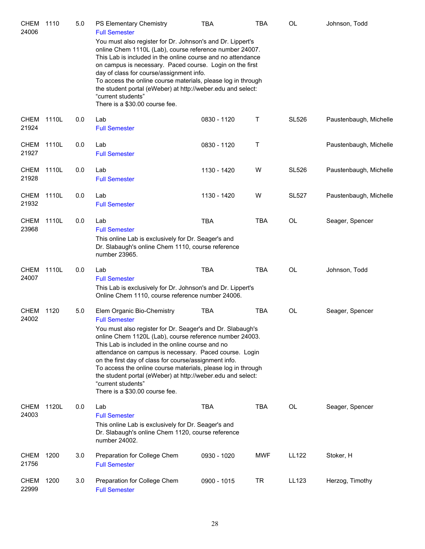| <b>CHEM</b><br>24006 | 1110  | 5.0 | PS Elementary Chemistry<br><b>Full Semester</b><br>You must also register for Dr. Johnson's and Dr. Lippert's<br>online Chem 1110L (Lab), course reference number 24007.<br>This Lab is included in the online course and no attendance<br>on campus is necessary. Paced course. Login on the first<br>day of class for course/assignment info.<br>To access the online course materials, please log in through<br>the student portal (eWeber) at http://weber.edu and select:<br>"current students"<br>There is a \$30.00 course fee.    | TBA         | TBA        | OL           | Johnson, Todd          |
|----------------------|-------|-----|-------------------------------------------------------------------------------------------------------------------------------------------------------------------------------------------------------------------------------------------------------------------------------------------------------------------------------------------------------------------------------------------------------------------------------------------------------------------------------------------------------------------------------------------|-------------|------------|--------------|------------------------|
| <b>CHEM</b><br>21924 | 1110L | 0.0 | Lab<br><b>Full Semester</b>                                                                                                                                                                                                                                                                                                                                                                                                                                                                                                               | 0830 - 1120 | Τ          | <b>SL526</b> | Paustenbaugh, Michelle |
| <b>CHEM</b><br>21927 | 1110L | 0.0 | Lab<br><b>Full Semester</b>                                                                                                                                                                                                                                                                                                                                                                                                                                                                                                               | 0830 - 1120 | Τ          |              | Paustenbaugh, Michelle |
| <b>CHEM</b><br>21928 | 1110L | 0.0 | Lab<br><b>Full Semester</b>                                                                                                                                                                                                                                                                                                                                                                                                                                                                                                               | 1130 - 1420 | W          | <b>SL526</b> | Paustenbaugh, Michelle |
| <b>CHEM</b><br>21932 | 1110L | 0.0 | Lab<br><b>Full Semester</b>                                                                                                                                                                                                                                                                                                                                                                                                                                                                                                               | 1130 - 1420 | W          | <b>SL527</b> | Paustenbaugh, Michelle |
| <b>CHEM</b><br>23968 | 1110L | 0.0 | Lab<br><b>Full Semester</b><br>This online Lab is exclusively for Dr. Seager's and<br>Dr. Slabaugh's online Chem 1110, course reference<br>number 23965.                                                                                                                                                                                                                                                                                                                                                                                  | <b>TBA</b>  | <b>TBA</b> | OL           | Seager, Spencer        |
| <b>CHEM</b><br>24007 | 1110L | 0.0 | Lab<br><b>Full Semester</b><br>This Lab is exclusively for Dr. Johnson's and Dr. Lippert's<br>Online Chem 1110, course reference number 24006.                                                                                                                                                                                                                                                                                                                                                                                            | <b>TBA</b>  | <b>TBA</b> | <b>OL</b>    | Johnson, Todd          |
| <b>CHEM</b><br>24002 | 1120  | 5.0 | Elem Organic Bio-Chemistry<br><b>Full Semester</b><br>You must also register for Dr. Seager's and Dr. Slabaugh's<br>online Chem 1120L (Lab), course reference number 24003.<br>This Lab is included in the online course and no<br>attendance on campus is necessary. Paced course. Login<br>on the first day of class for course/assignment info.<br>To access the online course materials, please log in through<br>the student portal (eWeber) at http://weber.edu and select:<br>"current students"<br>There is a \$30.00 course fee. | <b>TBA</b>  | <b>TBA</b> | OL           | Seager, Spencer        |
| <b>CHEM</b><br>24003 | 1120L | 0.0 | Lab<br><b>Full Semester</b><br>This online Lab is exclusively for Dr. Seager's and<br>Dr. Slabaugh's online Chem 1120, course reference<br>number 24002.                                                                                                                                                                                                                                                                                                                                                                                  | <b>TBA</b>  | <b>TBA</b> | OL           | Seager, Spencer        |
| <b>CHEM</b><br>21756 | 1200  | 3.0 | Preparation for College Chem<br><b>Full Semester</b>                                                                                                                                                                                                                                                                                                                                                                                                                                                                                      | 0930 - 1020 | <b>MWF</b> | LL122        | Stoker, H              |
| <b>CHEM</b><br>22999 | 1200  | 3.0 | Preparation for College Chem<br><b>Full Semester</b>                                                                                                                                                                                                                                                                                                                                                                                                                                                                                      | 0900 - 1015 | <b>TR</b>  | LL123        | Herzog, Timothy        |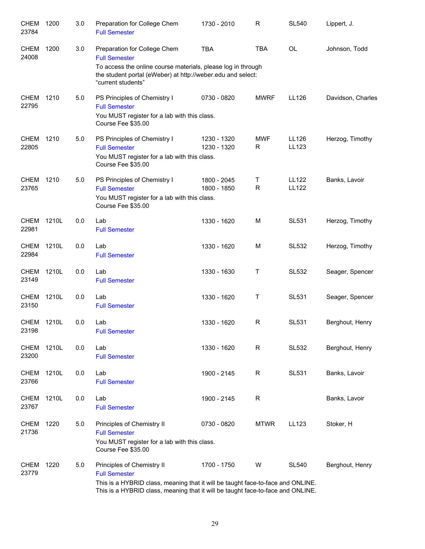| <b>CHEM</b><br>23784 | 1200  | 3.0 | Preparation for College Chem<br><b>Full Semester</b>                                                                                                                                                                     | 1730 - 2010                | R               | <b>SL540</b>                 | Lippert, J.       |
|----------------------|-------|-----|--------------------------------------------------------------------------------------------------------------------------------------------------------------------------------------------------------------------------|----------------------------|-----------------|------------------------------|-------------------|
| <b>CHEM</b><br>24008 | 1200  | 3.0 | Preparation for College Chem<br><b>Full Semester</b><br>To access the online course materials, please log in through<br>the student portal (eWeber) at http://weber.edu and select:<br>"current students"                | <b>TBA</b>                 | <b>TBA</b>      | <b>OL</b>                    | Johnson, Todd     |
| <b>CHEM</b><br>22795 | 1210  | 5.0 | PS Principles of Chemistry I<br><b>Full Semester</b><br>You MUST register for a lab with this class.<br>Course Fee \$35.00                                                                                               | 0730 - 0820                | <b>MWRF</b>     | LL126                        | Davidson, Charles |
| <b>CHEM</b><br>22805 | 1210  | 5.0 | PS Principles of Chemistry I<br><b>Full Semester</b><br>You MUST register for a lab with this class.<br>Course Fee \$35.00                                                                                               | 1230 - 1320<br>1230 - 1320 | <b>MWF</b><br>R | LL126<br>LL123               | Herzog, Timothy   |
| <b>CHEM</b><br>23765 | 1210  | 5.0 | PS Principles of Chemistry I<br><b>Full Semester</b><br>You MUST register for a lab with this class.<br>Course Fee \$35.00                                                                                               | 1800 - 2045<br>1800 - 1850 | Т<br>R          | <b>LL122</b><br><b>LL122</b> | Banks, Lavoir     |
| <b>CHEM</b><br>22981 | 1210L | 0.0 | Lab<br><b>Full Semester</b>                                                                                                                                                                                              | 1330 - 1620                | M               | <b>SL531</b>                 | Herzog, Timothy   |
| <b>CHEM</b><br>22984 | 1210L | 0.0 | Lab<br><b>Full Semester</b>                                                                                                                                                                                              | 1330 - 1620                | M               | <b>SL532</b>                 | Herzog, Timothy   |
| CHEM<br>23149        | 1210L | 0.0 | Lab<br><b>Full Semester</b>                                                                                                                                                                                              | 1330 - 1630                | Τ               | <b>SL532</b>                 | Seager, Spencer   |
| <b>CHEM</b><br>23150 | 1210L | 0.0 | Lab<br><b>Full Semester</b>                                                                                                                                                                                              | 1330 - 1620                | Τ               | <b>SL531</b>                 | Seager, Spencer   |
| <b>CHEM</b><br>23198 | 1210L | 0.0 | Lab<br><b>Full Semester</b>                                                                                                                                                                                              | 1330 - 1620                | $\mathsf{R}$    | <b>SL531</b>                 | Berghout, Henry   |
| CHEM<br>23200        | 1210L | 0.0 | Lab<br><b>Full Semester</b>                                                                                                                                                                                              | 1330 - 1620                | R               | <b>SL532</b>                 | Berghout, Henry   |
| CHEM<br>23766        | 1210L | 0.0 | Lab<br><b>Full Semester</b>                                                                                                                                                                                              | 1900 - 2145                | R               | SL531                        | Banks, Lavoir     |
| CHEM<br>23767        | 1210L | 0.0 | Lab<br><b>Full Semester</b>                                                                                                                                                                                              | 1900 - 2145                | $\mathsf R$     |                              | Banks, Lavoir     |
| <b>CHEM</b><br>21736 | 1220  | 5.0 | Principles of Chemistry II<br><b>Full Semester</b><br>You MUST register for a lab with this class.<br>Course Fee \$35.00                                                                                                 | 0730 - 0820                | <b>MTWR</b>     | LL123                        | Stoker, H         |
| CHEM<br>23779        | 1220  | 5.0 | Principles of Chemistry II<br><b>Full Semester</b><br>This is a HYBRID class, meaning that it will be taught face-to-face and ONLINE.<br>This is a HYBRID class, meaning that it will be taught face-to-face and ONLINE. | 1700 - 1750                | W               | <b>SL540</b>                 | Berghout, Henry   |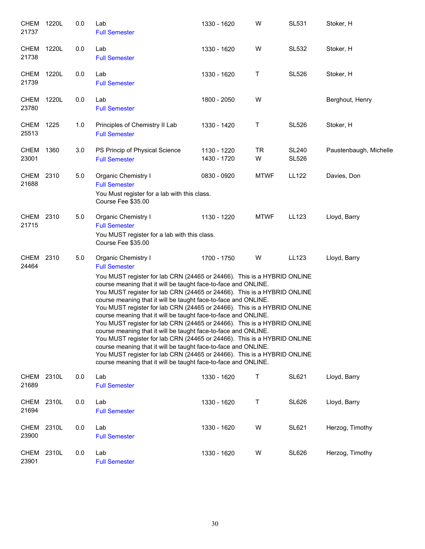| <b>CHEM</b><br>21737 | 1220L | 0.0 | Lab<br><b>Full Semester</b>                                                                                                                                                                                                                                                                                                                                                                                                                                                                                                                                                                                                                                                                                                                                                                                                                                                                                                                                            | 1330 - 1620                | W           | <b>SL531</b>                 | Stoker, H              |  |  |
|----------------------|-------|-----|------------------------------------------------------------------------------------------------------------------------------------------------------------------------------------------------------------------------------------------------------------------------------------------------------------------------------------------------------------------------------------------------------------------------------------------------------------------------------------------------------------------------------------------------------------------------------------------------------------------------------------------------------------------------------------------------------------------------------------------------------------------------------------------------------------------------------------------------------------------------------------------------------------------------------------------------------------------------|----------------------------|-------------|------------------------------|------------------------|--|--|
| <b>CHEM</b><br>21738 | 1220L | 0.0 | Lab<br><b>Full Semester</b>                                                                                                                                                                                                                                                                                                                                                                                                                                                                                                                                                                                                                                                                                                                                                                                                                                                                                                                                            | 1330 - 1620                | W           | <b>SL532</b>                 | Stoker, H              |  |  |
| <b>CHEM</b><br>21739 | 1220L | 0.0 | Lab<br><b>Full Semester</b>                                                                                                                                                                                                                                                                                                                                                                                                                                                                                                                                                                                                                                                                                                                                                                                                                                                                                                                                            | 1330 - 1620                | т           | <b>SL526</b>                 | Stoker, H              |  |  |
| <b>CHEM</b><br>23780 | 1220L | 0.0 | Lab<br><b>Full Semester</b>                                                                                                                                                                                                                                                                                                                                                                                                                                                                                                                                                                                                                                                                                                                                                                                                                                                                                                                                            | 1800 - 2050                | W           |                              | Berghout, Henry        |  |  |
| CHEM<br>25513        | 1225  | 1.0 | Principles of Chemistry II Lab<br><b>Full Semester</b>                                                                                                                                                                                                                                                                                                                                                                                                                                                                                                                                                                                                                                                                                                                                                                                                                                                                                                                 | 1330 - 1420                | т           | <b>SL526</b>                 | Stoker, H              |  |  |
| <b>CHEM</b><br>23001 | 1360  | 3.0 | PS Princip of Physical Science<br><b>Full Semester</b>                                                                                                                                                                                                                                                                                                                                                                                                                                                                                                                                                                                                                                                                                                                                                                                                                                                                                                                 | 1130 - 1220<br>1430 - 1720 | TR<br>W     | <b>SL240</b><br><b>SL526</b> | Paustenbaugh, Michelle |  |  |
| <b>CHEM</b><br>21688 | 2310  | 5.0 | Organic Chemistry I<br><b>Full Semester</b><br>You Must register for a lab with this class.<br>Course Fee \$35.00                                                                                                                                                                                                                                                                                                                                                                                                                                                                                                                                                                                                                                                                                                                                                                                                                                                      | 0830 - 0920                | <b>MTWF</b> | <b>LL122</b>                 | Davies, Don            |  |  |
| CHEM<br>21715        | 2310  | 5.0 | Organic Chemistry I<br><b>Full Semester</b><br>You MUST register for a lab with this class.<br>Course Fee \$35.00                                                                                                                                                                                                                                                                                                                                                                                                                                                                                                                                                                                                                                                                                                                                                                                                                                                      | 1130 - 1220                | <b>MTWF</b> | LL123                        | Lloyd, Barry           |  |  |
| <b>CHEM</b><br>24464 | 2310  | 5.0 | Organic Chemistry I<br>1700 - 1750<br>W<br>LL123<br>Lloyd, Barry<br><b>Full Semester</b><br>You MUST register for lab CRN (24465 or 24466). This is a HYBRID ONLINE<br>course meaning that it will be taught face-to-face and ONLINE.<br>You MUST register for lab CRN (24465 or 24466). This is a HYBRID ONLINE<br>course meaning that it will be taught face-to-face and ONLINE.<br>You MUST register for lab CRN (24465 or 24466). This is a HYBRID ONLINE<br>course meaning that it will be taught face-to-face and ONLINE.<br>You MUST register for lab CRN (24465 or 24466). This is a HYBRID ONLINE<br>course meaning that it will be taught face-to-face and ONLINE.<br>You MUST register for lab CRN (24465 or 24466). This is a HYBRID ONLINE<br>course meaning that it will be taught face-to-face and ONLINE.<br>You MUST register for lab CRN (24465 or 24466). This is a HYBRID ONLINE<br>course meaning that it will be taught face-to-face and ONLINE. |                            |             |                              |                        |  |  |
| CHEM<br>21689        | 2310L | 0.0 | Lab<br><b>Full Semester</b>                                                                                                                                                                                                                                                                                                                                                                                                                                                                                                                                                                                                                                                                                                                                                                                                                                                                                                                                            | 1330 - 1620                | Т           | <b>SL621</b>                 | Lloyd, Barry           |  |  |
| <b>CHEM</b><br>21694 | 2310L | 0.0 | Lab<br><b>Full Semester</b>                                                                                                                                                                                                                                                                                                                                                                                                                                                                                                                                                                                                                                                                                                                                                                                                                                                                                                                                            | 1330 - 1620                | Τ           | <b>SL626</b>                 | Lloyd, Barry           |  |  |
| <b>CHEM</b><br>23900 | 2310L | 0.0 | Lab<br><b>Full Semester</b>                                                                                                                                                                                                                                                                                                                                                                                                                                                                                                                                                                                                                                                                                                                                                                                                                                                                                                                                            | 1330 - 1620                | W           | <b>SL621</b>                 | Herzog, Timothy        |  |  |
| CHEM<br>23901        | 2310L | 0.0 | Lab<br><b>Full Semester</b>                                                                                                                                                                                                                                                                                                                                                                                                                                                                                                                                                                                                                                                                                                                                                                                                                                                                                                                                            | 1330 - 1620                | W           | <b>SL626</b>                 | Herzog, Timothy        |  |  |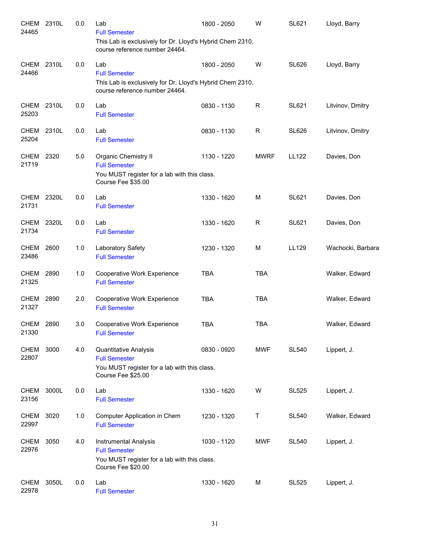| CHEM<br>24465        | 2310L | 0.0 | Lab<br><b>Full Semester</b><br>This Lab is exclusively for Dr. Lloyd's Hybrid Chem 2310,<br>course reference number 24464. | 1800 - 2050 | W           | <b>SL621</b> | Lloyd, Barry      |
|----------------------|-------|-----|----------------------------------------------------------------------------------------------------------------------------|-------------|-------------|--------------|-------------------|
| CHEM<br>24466        | 2310L | 0.0 | Lab<br><b>Full Semester</b><br>This Lab is exclusively for Dr. Lloyd's Hybrid Chem 2310,<br>course reference number 24464. | 1800 - 2050 | W           | <b>SL626</b> | Lloyd, Barry      |
| <b>CHEM</b><br>25203 | 2310L | 0.0 | Lab<br><b>Full Semester</b>                                                                                                | 0830 - 1130 | R           | SL621        | Litvinov, Dmitry  |
| CHEM<br>25204        | 2310L | 0.0 | Lab<br><b>Full Semester</b>                                                                                                | 0830 - 1130 | R           | <b>SL626</b> | Litvinov, Dmitry  |
| <b>CHEM</b><br>21719 | 2320  | 5.0 | Organic Chemistry II<br><b>Full Semester</b><br>You MUST register for a lab with this class.<br>Course Fee \$35.00         | 1130 - 1220 | <b>MWRF</b> | LL122        | Davies, Don       |
| CHEM 2320L<br>21731  |       | 0.0 | Lab<br><b>Full Semester</b>                                                                                                | 1330 - 1620 | M           | <b>SL621</b> | Davies, Don       |
| CHEM<br>21734        | 2320L | 0.0 | Lab<br><b>Full Semester</b>                                                                                                | 1330 - 1620 | R           | <b>SL621</b> | Davies, Don       |
| CHEM<br>23486        | 2600  | 1.0 | Laboratory Safety<br><b>Full Semester</b>                                                                                  | 1230 - 1320 | M           | LL129        | Wachocki, Barbara |
| <b>CHEM</b><br>21325 | 2890  | 1.0 | Cooperative Work Experience<br><b>Full Semester</b>                                                                        | <b>TBA</b>  | <b>TBA</b>  |              | Walker, Edward    |
| <b>CHEM</b><br>21327 | 2890  | 2.0 | Cooperative Work Experience<br><b>Full Semester</b>                                                                        | <b>TBA</b>  | <b>TBA</b>  |              | Walker, Edward    |
| CHEM<br>21330        | 2890  | 3.0 | Cooperative Work Experience<br><b>Full Semester</b>                                                                        | <b>TBA</b>  | <b>TBA</b>  |              | Walker, Edward    |
| <b>CHEM</b><br>22807 | 3000  | 4.0 | Quantitative Analysis<br><b>Full Semester</b><br>You MUST register for a lab with this class.<br>Course Fee \$25.00        | 0830 - 0920 | <b>MWF</b>  | <b>SL540</b> | Lippert, J.       |
| <b>CHEM</b><br>23156 | 3000L | 0.0 | Lab<br><b>Full Semester</b>                                                                                                | 1330 - 1620 | W           | <b>SL525</b> | Lippert, J.       |
| <b>CHEM</b><br>22997 | 3020  | 1.0 | Computer Application in Chem<br><b>Full Semester</b>                                                                       | 1230 - 1320 | Τ           | <b>SL540</b> | Walker, Edward    |
| <b>CHEM</b><br>22976 | 3050  | 4.0 | Instrumental Analysis<br><b>Full Semester</b><br>You MUST register for a lab with this class.<br>Course Fee \$20.00        | 1030 - 1120 | <b>MWF</b>  | <b>SL540</b> | Lippert, J.       |
| CHEM<br>22978        | 3050L | 0.0 | Lab<br><b>Full Semester</b>                                                                                                | 1330 - 1620 | М           | <b>SL525</b> | Lippert, J.       |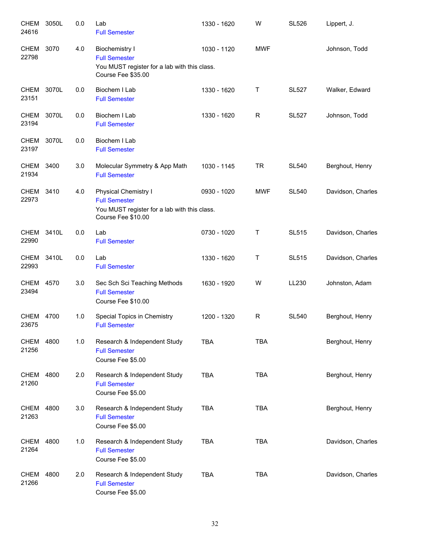| <b>CHEM</b><br>24616 | 3050L | 0.0 | Lab<br><b>Full Semester</b>                                                                                         | 1330 - 1620 | W            | <b>SL526</b> | Lippert, J.       |
|----------------------|-------|-----|---------------------------------------------------------------------------------------------------------------------|-------------|--------------|--------------|-------------------|
| <b>CHEM</b><br>22798 | 3070  | 4.0 | <b>Biochemistry I</b><br><b>Full Semester</b><br>You MUST register for a lab with this class.<br>Course Fee \$35.00 | 1030 - 1120 | <b>MWF</b>   |              | Johnson, Todd     |
| <b>CHEM</b><br>23151 | 3070L | 0.0 | Biochem I Lab<br><b>Full Semester</b>                                                                               | 1330 - 1620 | $\mathsf{T}$ | <b>SL527</b> | Walker, Edward    |
| CHEM<br>23194        | 3070L | 0.0 | Biochem I Lab<br><b>Full Semester</b>                                                                               | 1330 - 1620 | R            | <b>SL527</b> | Johnson, Todd     |
| <b>CHEM</b><br>23197 | 3070L | 0.0 | Biochem I Lab<br><b>Full Semester</b>                                                                               |             |              |              |                   |
| CHEM<br>21934        | 3400  | 3.0 | Molecular Symmetry & App Math<br><b>Full Semester</b>                                                               | 1030 - 1145 | <b>TR</b>    | <b>SL540</b> | Berghout, Henry   |
| CHEM 3410<br>22973   |       | 4.0 | Physical Chemistry I<br><b>Full Semester</b><br>You MUST register for a lab with this class.<br>Course Fee \$10.00  | 0930 - 1020 | <b>MWF</b>   | <b>SL540</b> | Davidson, Charles |
| <b>CHEM</b><br>22990 | 3410L | 0.0 | Lab<br><b>Full Semester</b>                                                                                         | 0730 - 1020 | Τ            | <b>SL515</b> | Davidson, Charles |
| CHEM 3410L<br>22993  |       | 0.0 | Lab<br><b>Full Semester</b>                                                                                         | 1330 - 1620 | Τ            | <b>SL515</b> | Davidson, Charles |
| <b>CHEM</b><br>23494 | 4570  | 3.0 | Sec Sch Sci Teaching Methods<br><b>Full Semester</b><br>Course Fee \$10.00                                          | 1630 - 1920 | W            | LL230        | Johnston, Adam    |
| <b>CHEM</b><br>23675 | 4700  | 1.0 | Special Topics in Chemistry<br><b>Full Semester</b>                                                                 | 1200 - 1320 | R            | <b>SL540</b> | Berghout, Henry   |
| <b>CHEM</b><br>21256 | 4800  | 1.0 | Research & Independent Study<br><b>Full Semester</b><br>Course Fee \$5.00                                           | <b>TBA</b>  | <b>TBA</b>   |              | Berghout, Henry   |
| CHEM<br>21260        | 4800  | 2.0 | Research & Independent Study<br><b>Full Semester</b><br>Course Fee \$5.00                                           | <b>TBA</b>  | <b>TBA</b>   |              | Berghout, Henry   |
| CHEM<br>21263        | 4800  | 3.0 | Research & Independent Study<br><b>Full Semester</b><br>Course Fee \$5.00                                           | <b>TBA</b>  | <b>TBA</b>   |              | Berghout, Henry   |
| CHEM<br>21264        | 4800  | 1.0 | Research & Independent Study<br><b>Full Semester</b><br>Course Fee \$5.00                                           | <b>TBA</b>  | <b>TBA</b>   |              | Davidson, Charles |
| <b>CHEM</b><br>21266 | 4800  | 2.0 | Research & Independent Study<br><b>Full Semester</b><br>Course Fee \$5.00                                           | <b>TBA</b>  | <b>TBA</b>   |              | Davidson, Charles |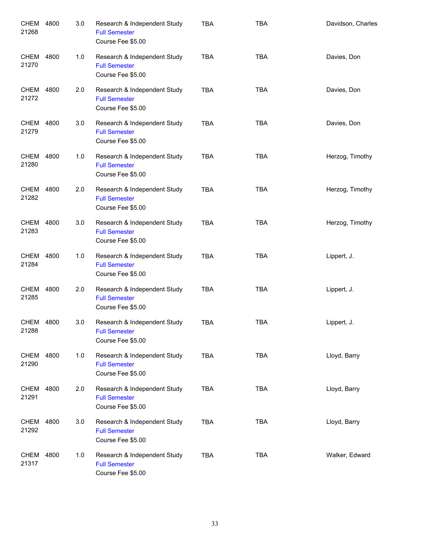| CHEM<br>21268      | 4800 | 3.0 | Research & Independent Study<br><b>Full Semester</b><br>Course Fee \$5.00 | <b>TBA</b> | <b>TBA</b> | Davidson, Charles |
|--------------------|------|-----|---------------------------------------------------------------------------|------------|------------|-------------------|
| CHEM<br>21270      | 4800 | 1.0 | Research & Independent Study<br><b>Full Semester</b><br>Course Fee \$5.00 | <b>TBA</b> | <b>TBA</b> | Davies, Don       |
| CHEM<br>21272      | 4800 | 2.0 | Research & Independent Study<br><b>Full Semester</b><br>Course Fee \$5.00 | <b>TBA</b> | <b>TBA</b> | Davies, Don       |
| CHEM<br>21279      | 4800 | 3.0 | Research & Independent Study<br><b>Full Semester</b><br>Course Fee \$5.00 | <b>TBA</b> | <b>TBA</b> | Davies, Don       |
| CHEM<br>21280      | 4800 | 1.0 | Research & Independent Study<br><b>Full Semester</b><br>Course Fee \$5.00 | <b>TBA</b> | <b>TBA</b> | Herzog, Timothy   |
| CHEM<br>21282      | 4800 | 2.0 | Research & Independent Study<br><b>Full Semester</b><br>Course Fee \$5.00 | <b>TBA</b> | <b>TBA</b> | Herzog, Timothy   |
| CHEM<br>21283      | 4800 | 3.0 | Research & Independent Study<br><b>Full Semester</b><br>Course Fee \$5.00 | <b>TBA</b> | <b>TBA</b> | Herzog, Timothy   |
| CHEM 4800<br>21284 |      | 1.0 | Research & Independent Study<br><b>Full Semester</b><br>Course Fee \$5.00 | <b>TBA</b> | <b>TBA</b> | Lippert, J.       |
| CHEM<br>21285      | 4800 | 2.0 | Research & Independent Study<br><b>Full Semester</b><br>Course Fee \$5.00 | <b>TBA</b> | <b>TBA</b> | Lippert, J.       |
| CHEM<br>21288      | 4800 | 3.0 | Research & Independent Study<br><b>Full Semester</b><br>Course Fee \$5.00 | <b>TBA</b> | <b>TBA</b> | Lippert, J.       |
| CHEM 4800<br>21290 |      | 1.0 | Research & Independent Study<br><b>Full Semester</b><br>Course Fee \$5.00 | <b>TBA</b> | <b>TBA</b> | Lloyd, Barry      |
| CHEM 4800<br>21291 |      | 2.0 | Research & Independent Study<br><b>Full Semester</b><br>Course Fee \$5.00 | <b>TBA</b> | <b>TBA</b> | Lloyd, Barry      |
| CHEM<br>21292      | 4800 | 3.0 | Research & Independent Study<br><b>Full Semester</b><br>Course Fee \$5.00 | <b>TBA</b> | <b>TBA</b> | Lloyd, Barry      |
| CHEM<br>21317      | 4800 | 1.0 | Research & Independent Study<br><b>Full Semester</b><br>Course Fee \$5.00 | <b>TBA</b> | <b>TBA</b> | Walker, Edward    |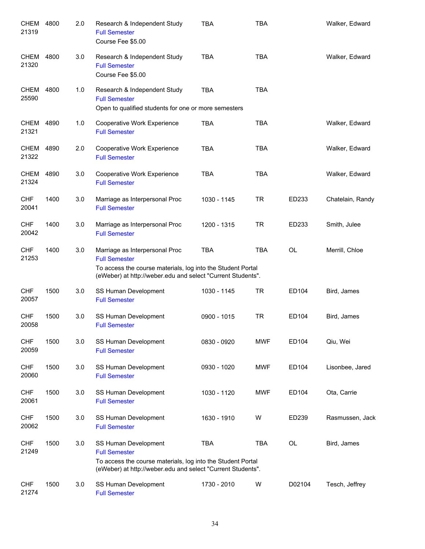| <b>CHEM</b><br>21319 | 4800 | 2.0 | Research & Independent Study<br><b>Full Semester</b><br>Course Fee \$5.00                                                                                                            | <b>TBA</b>  | <b>TBA</b> |           | Walker, Edward   |
|----------------------|------|-----|--------------------------------------------------------------------------------------------------------------------------------------------------------------------------------------|-------------|------------|-----------|------------------|
| CHEM<br>21320        | 4800 | 3.0 | Research & Independent Study<br><b>Full Semester</b><br>Course Fee \$5.00                                                                                                            | <b>TBA</b>  | <b>TBA</b> |           | Walker, Edward   |
| CHEM<br>25590        | 4800 | 1.0 | Research & Independent Study<br><b>Full Semester</b><br>Open to qualified students for one or more semesters                                                                         | <b>TBA</b>  | <b>TBA</b> |           |                  |
| CHEM<br>21321        | 4890 | 1.0 | Cooperative Work Experience<br><b>Full Semester</b>                                                                                                                                  | <b>TBA</b>  | <b>TBA</b> |           | Walker, Edward   |
| CHEM<br>21322        | 4890 | 2.0 | Cooperative Work Experience<br><b>Full Semester</b>                                                                                                                                  | <b>TBA</b>  | <b>TBA</b> |           | Walker, Edward   |
| <b>CHEM</b><br>21324 | 4890 | 3.0 | Cooperative Work Experience<br><b>Full Semester</b>                                                                                                                                  | <b>TBA</b>  | <b>TBA</b> |           | Walker, Edward   |
| <b>CHF</b><br>20041  | 1400 | 3.0 | Marriage as Interpersonal Proc<br><b>Full Semester</b>                                                                                                                               | 1030 - 1145 | <b>TR</b>  | ED233     | Chatelain, Randy |
| <b>CHF</b><br>20042  | 1400 | 3.0 | Marriage as Interpersonal Proc<br><b>Full Semester</b>                                                                                                                               | 1200 - 1315 | <b>TR</b>  | ED233     | Smith, Julee     |
| <b>CHF</b><br>21253  | 1400 | 3.0 | Marriage as Interpersonal Proc<br><b>Full Semester</b><br>To access the course materials, log into the Student Portal<br>(eWeber) at http://weber.edu and select "Current Students". | <b>TBA</b>  | <b>TBA</b> | <b>OL</b> | Merrill, Chloe   |
| <b>CHF</b><br>20057  | 1500 | 3.0 | SS Human Development<br><b>Full Semester</b>                                                                                                                                         | 1030 - 1145 | <b>TR</b>  | ED104     | Bird, James      |
| <b>CHF</b><br>20058  | 1500 | 3.0 | SS Human Development<br><b>Full Semester</b>                                                                                                                                         | 0900 - 1015 | <b>TR</b>  | ED104     | Bird, James      |
| <b>CHF</b><br>20059  | 1500 | 3.0 | SS Human Development<br><b>Full Semester</b>                                                                                                                                         | 0830 - 0920 | <b>MWF</b> | ED104     | Qiu, Wei         |
| <b>CHF</b><br>20060  | 1500 | 3.0 | SS Human Development<br><b>Full Semester</b>                                                                                                                                         | 0930 - 1020 | <b>MWF</b> | ED104     | Lisonbee, Jared  |
| <b>CHF</b><br>20061  | 1500 | 3.0 | SS Human Development<br><b>Full Semester</b>                                                                                                                                         | 1030 - 1120 | <b>MWF</b> | ED104     | Ota, Carrie      |
| <b>CHF</b><br>20062  | 1500 | 3.0 | SS Human Development<br><b>Full Semester</b>                                                                                                                                         | 1630 - 1910 | W          | ED239     | Rasmussen, Jack  |
| <b>CHF</b><br>21249  | 1500 | 3.0 | SS Human Development<br><b>Full Semester</b><br>To access the course materials, log into the Student Portal<br>(eWeber) at http://weber.edu and select "Current Students".           | <b>TBA</b>  | <b>TBA</b> | OL        | Bird, James      |
| <b>CHF</b><br>21274  | 1500 | 3.0 | SS Human Development<br><b>Full Semester</b>                                                                                                                                         | 1730 - 2010 | W          | D02104    | Tesch, Jeffrey   |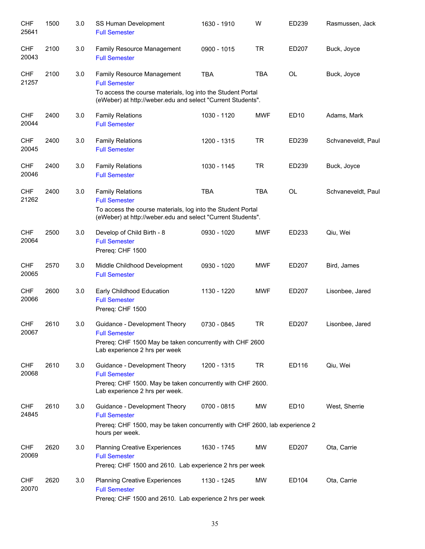| <b>CHF</b><br>25641 | 1500 | 3.0 | SS Human Development<br><b>Full Semester</b>                                                                               | 1630 - 1910 | W          | ED239            | Rasmussen, Jack    |
|---------------------|------|-----|----------------------------------------------------------------------------------------------------------------------------|-------------|------------|------------------|--------------------|
| <b>CHF</b><br>20043 | 2100 | 3.0 | Family Resource Management<br><b>Full Semester</b>                                                                         | 0900 - 1015 | <b>TR</b>  | ED207            | Buck, Joyce        |
| <b>CHF</b><br>21257 | 2100 | 3.0 | Family Resource Management<br><b>Full Semester</b>                                                                         | <b>TBA</b>  | <b>TBA</b> | OL               | Buck, Joyce        |
|                     |      |     | To access the course materials, log into the Student Portal<br>(eWeber) at http://weber.edu and select "Current Students". |             |            |                  |                    |
| <b>CHF</b><br>20044 | 2400 | 3.0 | <b>Family Relations</b><br><b>Full Semester</b>                                                                            | 1030 - 1120 | <b>MWF</b> | ED10             | Adams, Mark        |
| <b>CHF</b><br>20045 | 2400 | 3.0 | <b>Family Relations</b><br><b>Full Semester</b>                                                                            | 1200 - 1315 | <b>TR</b>  | ED239            | Schvaneveldt, Paul |
| <b>CHF</b><br>20046 | 2400 | 3.0 | <b>Family Relations</b><br><b>Full Semester</b>                                                                            | 1030 - 1145 | <b>TR</b>  | ED239            | Buck, Joyce        |
| <b>CHF</b><br>21262 | 2400 | 3.0 | <b>Family Relations</b><br><b>Full Semester</b>                                                                            | <b>TBA</b>  | <b>TBA</b> | <b>OL</b>        | Schvaneveldt, Paul |
|                     |      |     | To access the course materials, log into the Student Portal<br>(eWeber) at http://weber.edu and select "Current Students". |             |            |                  |                    |
| <b>CHF</b><br>20064 | 2500 | 3.0 | Develop of Child Birth - 8<br><b>Full Semester</b><br>Prereq: CHF 1500                                                     | 0930 - 1020 | <b>MWF</b> | ED233            | Qiu, Wei           |
| <b>CHF</b><br>20065 | 2570 | 3.0 | Middle Childhood Development<br><b>Full Semester</b>                                                                       | 0930 - 1020 | <b>MWF</b> | ED207            | Bird, James        |
| <b>CHF</b><br>20066 | 2600 | 3.0 | Early Childhood Education<br><b>Full Semester</b><br>Prereq: CHF 1500                                                      | 1130 - 1220 | <b>MWF</b> | ED207            | Lisonbee, Jared    |
| <b>CHF</b><br>20067 | 2610 | 3.0 | Guidance - Development Theory<br><b>Full Semester</b>                                                                      | 0730 - 0845 | <b>TR</b>  | ED207            | Lisonbee, Jared    |
|                     |      |     | Prereq: CHF 1500 May be taken concurrently with CHF 2600<br>Lab experience 2 hrs per week                                  |             |            |                  |                    |
| <b>CHF</b><br>20068 | 2610 | 3.0 | Guidance - Development Theory<br><b>Full Semester</b>                                                                      | 1200 - 1315 | <b>TR</b>  | ED116            | Qiu, Wei           |
|                     |      |     | Prereq: CHF 1500. May be taken concurrently with CHF 2600.<br>Lab experience 2 hrs per week.                               |             |            |                  |                    |
| <b>CHF</b><br>24845 | 2610 | 3.0 | Guidance - Development Theory<br><b>Full Semester</b>                                                                      | 0700 - 0815 | MW         | ED <sub>10</sub> | West, Sherrie      |
|                     |      |     | Prereq: CHF 1500, may be taken concurrently with CHF 2600, lab experience 2<br>hours per week.                             |             |            |                  |                    |
| <b>CHF</b><br>20069 | 2620 | 3.0 | <b>Planning Creative Experiences</b><br><b>Full Semester</b><br>Prereq: CHF 1500 and 2610. Lab experience 2 hrs per week   | 1630 - 1745 | MW         | ED207            | Ota, Carrie        |
| <b>CHF</b><br>20070 | 2620 | 3.0 | <b>Planning Creative Experiences</b><br><b>Full Semester</b><br>Prereq: CHF 1500 and 2610. Lab experience 2 hrs per week   | 1130 - 1245 | MW         | ED104            | Ota, Carrie        |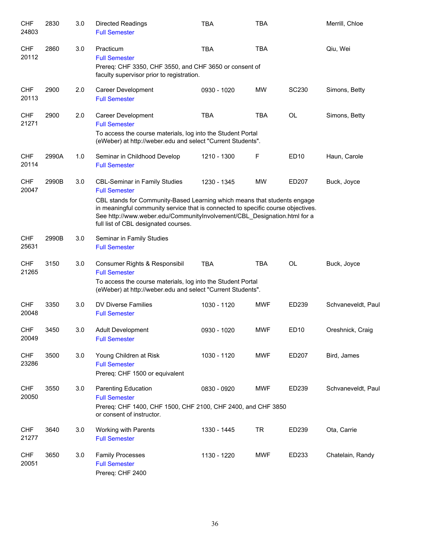| <b>CHF</b><br>24803 | 2830  | 3.0 | Directed Readings<br><b>Full Semester</b>                                                                                                                                                                                                                                                                                                        | <b>TBA</b>  | <b>TBA</b> |              | Merrill, Chloe     |
|---------------------|-------|-----|--------------------------------------------------------------------------------------------------------------------------------------------------------------------------------------------------------------------------------------------------------------------------------------------------------------------------------------------------|-------------|------------|--------------|--------------------|
| <b>CHF</b><br>20112 | 2860  | 3.0 | Practicum<br><b>Full Semester</b><br>Prereq: CHF 3350, CHF 3550, and CHF 3650 or consent of<br>faculty supervisor prior to registration.                                                                                                                                                                                                         | <b>TBA</b>  | <b>TBA</b> |              | Qiu, Wei           |
| <b>CHF</b><br>20113 | 2900  | 2.0 | Career Development<br><b>Full Semester</b>                                                                                                                                                                                                                                                                                                       | 0930 - 1020 | MW         | <b>SC230</b> | Simons, Betty      |
| <b>CHF</b><br>21271 | 2900  | 2.0 | Career Development<br><b>Full Semester</b><br>To access the course materials, log into the Student Portal<br>(eWeber) at http://weber.edu and select "Current Students".                                                                                                                                                                         | <b>TBA</b>  | <b>TBA</b> | <b>OL</b>    | Simons, Betty      |
| <b>CHF</b><br>20114 | 2990A | 1.0 | Seminar in Childhood Develop<br><b>Full Semester</b>                                                                                                                                                                                                                                                                                             | 1210 - 1300 | F          | ED10         | Haun, Carole       |
| <b>CHF</b><br>20047 | 2990B | 3.0 | <b>CBL-Seminar in Family Studies</b><br><b>Full Semester</b><br>CBL stands for Community-Based Learning which means that students engage<br>in meaningful community service that is connected to specific course objectives.<br>See http://www.weber.edu/CommunityInvolvement/CBL_Designation.html for a<br>full list of CBL designated courses. | 1230 - 1345 | <b>MW</b>  | ED207        | Buck, Joyce        |
| <b>CHF</b><br>25631 | 2990B | 3.0 | Seminar in Family Studies<br><b>Full Semester</b>                                                                                                                                                                                                                                                                                                |             |            |              |                    |
| <b>CHF</b><br>21265 | 3150  | 3.0 | Consumer Rights & Responsibil<br><b>Full Semester</b><br>To access the course materials, log into the Student Portal<br>(eWeber) at http://weber.edu and select "Current Students".                                                                                                                                                              | <b>TBA</b>  | <b>TBA</b> | <b>OL</b>    | Buck, Joyce        |
| <b>CHF</b><br>20048 | 3350  | 3.0 | DV Diverse Families<br><b>Full Semester</b>                                                                                                                                                                                                                                                                                                      | 1030 - 1120 | <b>MWF</b> | ED239        | Schvaneveldt, Paul |
| <b>CHF</b><br>20049 | 3450  | 3.0 | <b>Adult Development</b><br><b>Full Semester</b>                                                                                                                                                                                                                                                                                                 | 0930 - 1020 | <b>MWF</b> | ED10         | Oreshnick, Craig   |
| <b>CHF</b><br>23286 | 3500  | 3.0 | Young Children at Risk<br><b>Full Semester</b><br>Prereq: CHF 1500 or equivalent                                                                                                                                                                                                                                                                 | 1030 - 1120 | <b>MWF</b> | ED207        | Bird, James        |
| <b>CHF</b><br>20050 | 3550  | 3.0 | Parenting Education<br><b>Full Semester</b><br>Prereq: CHF 1400, CHF 1500, CHF 2100, CHF 2400, and CHF 3850<br>or consent of instructor.                                                                                                                                                                                                         | 0830 - 0920 | <b>MWF</b> | ED239        | Schvaneveldt, Paul |
| <b>CHF</b><br>21277 | 3640  | 3.0 | Working with Parents<br><b>Full Semester</b>                                                                                                                                                                                                                                                                                                     | 1330 - 1445 | <b>TR</b>  | ED239        | Ota, Carrie        |
| <b>CHF</b><br>20051 | 3650  | 3.0 | <b>Family Processes</b><br><b>Full Semester</b><br>Prereq: CHF 2400                                                                                                                                                                                                                                                                              | 1130 - 1220 | <b>MWF</b> | ED233        | Chatelain, Randy   |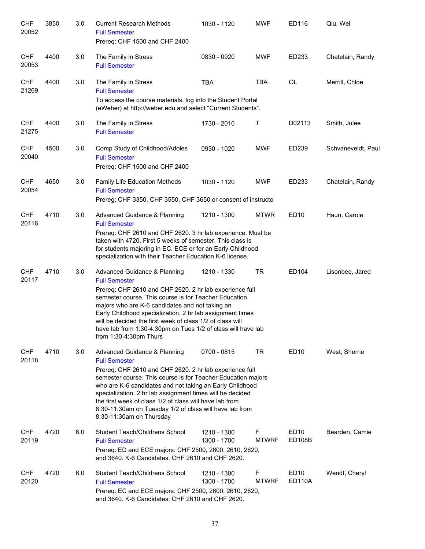| <b>CHF</b><br>20052 | 3850 | 3.0 | <b>Current Research Methods</b><br><b>Full Semester</b><br>Prereq: CHF 1500 and CHF 2400                                                                                                                                                                                                                                                                                                                                                                   | 1030 - 1120                | <b>MWF</b>        | ED116                             | Qiu, Wei           |
|---------------------|------|-----|------------------------------------------------------------------------------------------------------------------------------------------------------------------------------------------------------------------------------------------------------------------------------------------------------------------------------------------------------------------------------------------------------------------------------------------------------------|----------------------------|-------------------|-----------------------------------|--------------------|
| <b>CHF</b><br>20053 | 4400 | 3.0 | The Family in Stress<br><b>Full Semester</b>                                                                                                                                                                                                                                                                                                                                                                                                               | 0830 - 0920                | <b>MWF</b>        | ED233                             | Chatelain, Randy   |
| <b>CHF</b><br>21269 | 4400 | 3.0 | The Family in Stress<br><b>Full Semester</b><br>To access the course materials, log into the Student Portal<br>(eWeber) at http://weber.edu and select "Current Students".                                                                                                                                                                                                                                                                                 | <b>TBA</b>                 | <b>TBA</b>        | <b>OL</b>                         | Merrill, Chloe     |
| <b>CHF</b><br>21275 | 4400 | 3.0 | The Family in Stress<br><b>Full Semester</b>                                                                                                                                                                                                                                                                                                                                                                                                               | 1730 - 2010                | Т                 | D02113                            | Smith, Julee       |
| <b>CHF</b><br>20040 | 4500 | 3.0 | Comp Study of Childhood/Adoles<br><b>Full Semester</b><br>Prereq: CHF 1500 and CHF 2400                                                                                                                                                                                                                                                                                                                                                                    | 0930 - 1020                | <b>MWF</b>        | ED239                             | Schvaneveldt, Paul |
| <b>CHF</b><br>20054 | 4650 | 3.0 | Family Life Education Methods<br><b>Full Semester</b><br>Prereg: CHF 3350, CHF 3550, CHF 3650 or consent of instructo                                                                                                                                                                                                                                                                                                                                      | 1030 - 1120                | <b>MWF</b>        | ED233                             | Chatelain, Randy   |
| <b>CHF</b><br>20116 | 4710 | 3.0 | Advanced Guidance & Planning<br><b>Full Semester</b><br>Prereq: CHF 2610 and CHF 2620. 3 hr lab experience. Must be<br>taken with 4720. First 5 weeks of semester. This class is<br>for students majoring in EC, ECE or for an Early Childhood<br>specialization with their Teacher Education K-6 license.                                                                                                                                                 | 1210 - 1300                | <b>MTWR</b>       | ED <sub>10</sub>                  | Haun, Carole       |
| <b>CHF</b><br>20117 | 4710 | 3.0 | Advanced Guidance & Planning<br><b>Full Semester</b><br>Prereq: CHF 2610 and CHF 2620. 2 hr lab experience full<br>semester course. This course is for Teacher Education<br>majors who are K-6 candidates and not taking an<br>Early Childhood specialization. 2 hr lab assignment times<br>will be decided the first week of class 1/2 of class will<br>have lab from 1:30-4:30pm on Tues 1/2 of class will have lab<br>from 1:30-4:30pm Thurs            | 1210 - 1330                | <b>TR</b>         | ED104                             | Lisonbee, Jared    |
| <b>CHF</b><br>20118 | 4710 | 3.0 | Advanced Guidance & Planning<br><b>Full Semester</b><br>Prereq: CHF 2610 and CHF 2620. 2 hr lab experience full<br>semester course. This course is for Teacher Education majors<br>who are K-6 candidates and not taking an Early Childhood<br>specialization. 2 hr lab assignment times will be decided<br>the first week of class 1/2 of class will have lab from<br>8:30-11:30am on Tuesday 1/2 of class will have lab from<br>8:30-11:30am on Thursday | 0700 - 0815                | <b>TR</b>         | <b>ED10</b>                       | West, Sherrie      |
| <b>CHF</b><br>20119 | 4720 | 6.0 | Student Teach/Childrens School<br><b>Full Semester</b><br>Prereq: ED and ECE majors: CHF 2500, 2600, 2610, 2620,<br>and 3640. K-6 Candidates: CHF 2610 and CHF 2620.                                                                                                                                                                                                                                                                                       | 1210 - 1300<br>1300 - 1700 | F<br><b>MTWRF</b> | ED <sub>10</sub><br><b>ED108B</b> | Bearden, Camie     |
| <b>CHF</b><br>20120 | 4720 | 6.0 | Student Teach/Childrens School<br><b>Full Semester</b><br>Prereq: EC and ECE majors: CHF 2500, 2600, 2610, 2620,<br>and 3640. K-6 Candidates: CHF 2610 and CHF 2620.                                                                                                                                                                                                                                                                                       | 1210 - 1300<br>1300 - 1700 | F<br><b>MTWRF</b> | ED <sub>10</sub><br><b>ED110A</b> | Wendt, Cheryl      |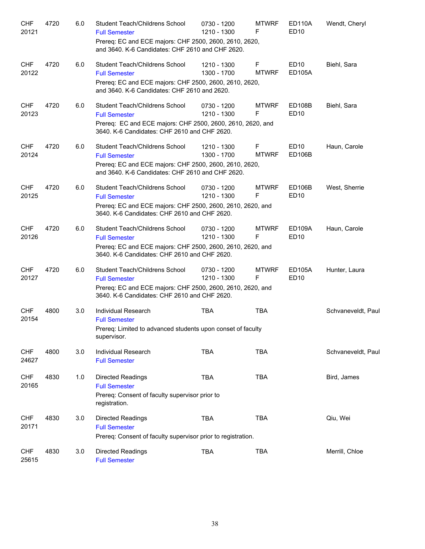| <b>CHF</b><br>20121 | 4720 | 6.0 | Student Teach/Childrens School<br><b>Full Semester</b><br>Prereq: EC and ECE majors: CHF 2500, 2600, 2610, 2620,<br>and 3640. K-6 Candidates: CHF 2610 and CHF 2620. | 0730 - 1200<br>1210 - 1300 | <b>MTWRF</b><br>F | <b>ED110A</b><br>ED <sub>10</sub> | Wendt, Cheryl      |
|---------------------|------|-----|----------------------------------------------------------------------------------------------------------------------------------------------------------------------|----------------------------|-------------------|-----------------------------------|--------------------|
| <b>CHF</b><br>20122 | 4720 | 6.0 | Student Teach/Childrens School<br><b>Full Semester</b><br>Prereq: EC and ECE majors: CHF 2500, 2600, 2610, 2620,<br>and 3640. K-6 Candidates: CHF 2610 and 2620.     | 1210 - 1300<br>1300 - 1700 | F<br><b>MTWRF</b> | <b>ED10</b><br><b>ED105A</b>      | Biehl, Sara        |
| <b>CHF</b><br>20123 | 4720 | 6.0 | Student Teach/Childrens School<br><b>Full Semester</b><br>Prereq: EC and ECE majors: CHF 2500, 2600, 2610, 2620, and<br>3640. K-6 Candidates: CHF 2610 and CHF 2620. | 0730 - 1200<br>1210 - 1300 | <b>MTWRF</b><br>F | <b>ED108B</b><br><b>ED10</b>      | Biehl, Sara        |
| <b>CHF</b><br>20124 | 4720 | 6.0 | Student Teach/Childrens School<br><b>Full Semester</b><br>Prereq: EC and ECE majors: CHF 2500, 2600, 2610, 2620,<br>and 3640. K-6 Candidates: CHF 2610 and CHF 2620. | 1210 - 1300<br>1300 - 1700 | F<br><b>MTWRF</b> | ED <sub>10</sub><br><b>ED106B</b> | Haun, Carole       |
| <b>CHF</b><br>20125 | 4720 | 6.0 | Student Teach/Childrens School<br><b>Full Semester</b><br>Prereq: EC and ECE majors: CHF 2500, 2600, 2610, 2620, and<br>3640. K-6 Candidates: CHF 2610 and CHF 2620. | 0730 - 1200<br>1210 - 1300 | <b>MTWRF</b><br>F | <b>ED106B</b><br><b>ED10</b>      | West, Sherrie      |
| <b>CHF</b><br>20126 | 4720 | 6.0 | Student Teach/Childrens School<br><b>Full Semester</b><br>Prereq: EC and ECE majors: CHF 2500, 2600, 2610, 2620, and<br>3640. K-6 Candidates: CHF 2610 and CHF 2620. | 0730 - 1200<br>1210 - 1300 | <b>MTWRF</b><br>F | <b>ED109A</b><br>ED10             | Haun, Carole       |
| <b>CHF</b><br>20127 | 4720 | 6.0 | Student Teach/Childrens School<br><b>Full Semester</b><br>Prereq: EC and ECE majors: CHF 2500, 2600, 2610, 2620, and<br>3640. K-6 Candidates: CHF 2610 and CHF 2620. | 0730 - 1200<br>1210 - 1300 | <b>MTWRF</b><br>F | <b>ED105A</b><br>ED10             | Hunter, Laura      |
| <b>CHF</b><br>20154 | 4800 | 3.0 | Individual Research<br><b>Full Semester</b><br>Prereq: Limited to advanced students upon conset of faculty<br>supervisor.                                            | <b>TBA</b>                 | <b>TBA</b>        |                                   | Schvaneveldt, Paul |
| <b>CHF</b><br>24627 | 4800 | 3.0 | Individual Research<br><b>Full Semester</b>                                                                                                                          | <b>TBA</b>                 | TBA               |                                   | Schvaneveldt, Paul |
| <b>CHF</b><br>20165 | 4830 | 1.0 | <b>Directed Readings</b><br><b>Full Semester</b><br>Prereq: Consent of faculty supervisor prior to<br>registration.                                                  | <b>TBA</b>                 | <b>TBA</b>        |                                   | Bird, James        |
| <b>CHF</b><br>20171 | 4830 | 3.0 | <b>Directed Readings</b><br><b>Full Semester</b><br>Prereq: Consent of faculty supervisor prior to registration.                                                     | <b>TBA</b>                 | <b>TBA</b>        |                                   | Qiu, Wei           |
| <b>CHF</b><br>25615 | 4830 | 3.0 | Directed Readings<br><b>Full Semester</b>                                                                                                                            | <b>TBA</b>                 | <b>TBA</b>        |                                   | Merrill, Chloe     |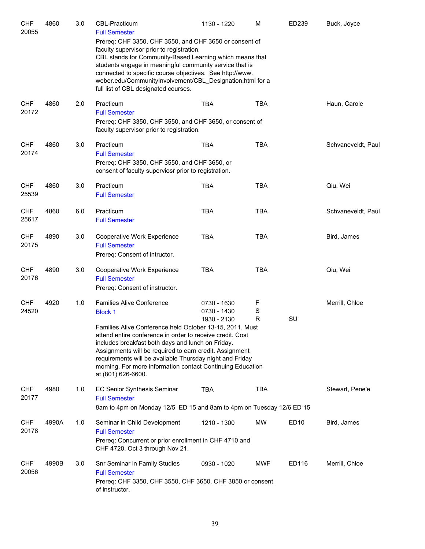| <b>CHF</b><br>20055 | 4860  | 3.0 | <b>CBL-Practicum</b><br><b>Full Semester</b><br>Prereq: CHF 3350, CHF 3550, and CHF 3650 or consent of<br>faculty supervisor prior to registration.<br>CBL stands for Community-Based Learning which means that<br>students engage in meaningful community service that is<br>connected to specific course objectives. See http://www.<br>weber.edu/CommunityInvolvement/CBL_Designation.html for a                                         | 1130 - 1220                               | M           | ED239            | Buck, Joyce        |
|---------------------|-------|-----|---------------------------------------------------------------------------------------------------------------------------------------------------------------------------------------------------------------------------------------------------------------------------------------------------------------------------------------------------------------------------------------------------------------------------------------------|-------------------------------------------|-------------|------------------|--------------------|
| <b>CHF</b><br>20172 | 4860  | 2.0 | full list of CBL designated courses.<br>Practicum<br><b>Full Semester</b><br>Prereq: CHF 3350, CHF 3550, and CHF 3650, or consent of<br>faculty supervisor prior to registration.                                                                                                                                                                                                                                                           | <b>TBA</b>                                | <b>TBA</b>  |                  | Haun, Carole       |
| <b>CHF</b><br>20174 | 4860  | 3.0 | Practicum<br><b>Full Semester</b><br>Prereq: CHF 3350, CHF 3550, and CHF 3650, or<br>consent of faculty superviosr prior to registration.                                                                                                                                                                                                                                                                                                   | <b>TBA</b>                                | <b>TBA</b>  |                  | Schvaneveldt, Paul |
| <b>CHF</b><br>25539 | 4860  | 3.0 | Practicum<br><b>Full Semester</b>                                                                                                                                                                                                                                                                                                                                                                                                           | <b>TBA</b>                                | <b>TBA</b>  |                  | Qiu, Wei           |
| <b>CHF</b><br>25617 | 4860  | 6.0 | Practicum<br><b>Full Semester</b>                                                                                                                                                                                                                                                                                                                                                                                                           | <b>TBA</b>                                | <b>TBA</b>  |                  | Schvaneveldt, Paul |
| <b>CHF</b><br>20175 | 4890  | 3.0 | Cooperative Work Experience<br><b>Full Semester</b><br>Prereq: Consent of intructor.                                                                                                                                                                                                                                                                                                                                                        | <b>TBA</b>                                | <b>TBA</b>  |                  | Bird, James        |
| <b>CHF</b><br>20176 | 4890  | 3.0 | Cooperative Work Experience<br><b>Full Semester</b><br>Prereq: Consent of instructor.                                                                                                                                                                                                                                                                                                                                                       | <b>TBA</b>                                | <b>TBA</b>  |                  | Qiu, Wei           |
| <b>CHF</b><br>24520 | 4920  | 1.0 | <b>Families Alive Conference</b><br><b>Block 1</b><br>Families Alive Conference held October 13-15, 2011. Must<br>attend entire conference in order to receive credit. Cost<br>includes breakfast both days and lunch on Friday.<br>Assignments will be required to earn credit. Assignment<br>requirements will be available Thursday night and Friday<br>morning. For more information contact Continuing Education<br>at (801) 626-6600. | 0730 - 1630<br>0730 - 1430<br>1930 - 2130 | F<br>S<br>R | SU               | Merrill, Chloe     |
| <b>CHF</b><br>20177 | 4980  | 1.0 | EC Senior Synthesis Seminar<br><b>Full Semester</b><br>8am to 4pm on Monday 12/5 ED 15 and 8am to 4pm on Tuesday 12/6 ED 15                                                                                                                                                                                                                                                                                                                 | TBA                                       | TBA         |                  | Stewart, Pene'e    |
| <b>CHF</b><br>20178 | 4990A | 1.0 | Seminar in Child Development<br><b>Full Semester</b><br>Prereq: Concurrent or prior enrollment in CHF 4710 and<br>CHF 4720. Oct 3 through Nov 21.                                                                                                                                                                                                                                                                                           | 1210 - 1300                               | MW          | ED <sub>10</sub> | Bird, James        |
| <b>CHF</b><br>20056 | 4990B | 3.0 | Snr Seminar in Family Studies<br><b>Full Semester</b><br>Prereq: CHF 3350, CHF 3550, CHF 3650, CHF 3850 or consent<br>of instructor.                                                                                                                                                                                                                                                                                                        | 0930 - 1020                               | <b>MWF</b>  | ED116            | Merrill, Chloe     |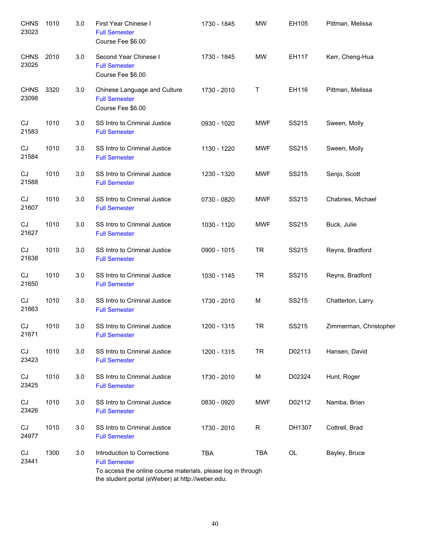| <b>CHNS</b><br>23023 | 1010 | 3.0 | First Year Chinese I<br><b>Full Semester</b><br>Course Fee \$6.00                                                                                                       | 1730 - 1845 | <b>MW</b>  | EH105  | Pittman, Melissa       |
|----------------------|------|-----|-------------------------------------------------------------------------------------------------------------------------------------------------------------------------|-------------|------------|--------|------------------------|
| <b>CHNS</b><br>23025 | 2010 | 3.0 | Second Year Chinese I<br><b>Full Semester</b><br>Course Fee \$6.00                                                                                                      | 1730 - 1845 | <b>MW</b>  | EH117  | Kerr, Cheng-Hua        |
| <b>CHNS</b><br>23098 | 3320 | 3.0 | Chinese Language and Culture<br><b>Full Semester</b><br>Course Fee \$6.00                                                                                               | 1730 - 2010 | T          | EH116  | Pittman, Melissa       |
| CJ<br>21583          | 1010 | 3.0 | SS Intro to Criminal Justice<br><b>Full Semester</b>                                                                                                                    | 0930 - 1020 | MWF        | SS215  | Sween, Molly           |
| CJ<br>21584          | 1010 | 3.0 | SS Intro to Criminal Justice<br><b>Full Semester</b>                                                                                                                    | 1130 - 1220 | <b>MWF</b> | SS215  | Sween, Molly           |
| CJ<br>21588          | 1010 | 3.0 | SS Intro to Criminal Justice<br><b>Full Semester</b>                                                                                                                    | 1230 - 1320 | <b>MWF</b> | SS215  | Senjo, Scott           |
| CJ<br>21607          | 1010 | 3.0 | SS Intro to Criminal Justice<br><b>Full Semester</b>                                                                                                                    | 0730 - 0820 | <b>MWF</b> | SS215  | Chabries, Michael      |
| CJ<br>21627          | 1010 | 3.0 | SS Intro to Criminal Justice<br><b>Full Semester</b>                                                                                                                    | 1030 - 1120 | <b>MWF</b> | SS215  | Buck, Julie            |
| CJ<br>21638          | 1010 | 3.0 | SS Intro to Criminal Justice<br><b>Full Semester</b>                                                                                                                    | 0900 - 1015 | <b>TR</b>  | SS215  | Reyns, Bradford        |
| CJ<br>21650          | 1010 | 3.0 | SS Intro to Criminal Justice<br><b>Full Semester</b>                                                                                                                    | 1030 - 1145 | <b>TR</b>  | SS215  | Reyns, Bradford        |
| CJ<br>21663          | 1010 | 3.0 | SS Intro to Criminal Justice<br><b>Full Semester</b>                                                                                                                    | 1730 - 2010 | M          | SS215  | Chatterton, Larry      |
| CJ<br>21671          | 1010 | 3.0 | SS Intro to Criminal Justice<br><b>Full Semester</b>                                                                                                                    | 1200 - 1315 | TR         | SS215  | Zimmerman, Christopher |
| CJ<br>23423          | 1010 | 3.0 | SS Intro to Criminal Justice<br><b>Full Semester</b>                                                                                                                    | 1200 - 1315 | <b>TR</b>  | D02113 | Hansen, David          |
| CJ<br>23425          | 1010 | 3.0 | SS Intro to Criminal Justice<br><b>Full Semester</b>                                                                                                                    | 1730 - 2010 | M          | D02324 | Hunt, Roger            |
| CJ<br>23426          | 1010 | 3.0 | SS Intro to Criminal Justice<br><b>Full Semester</b>                                                                                                                    | 0830 - 0920 | <b>MWF</b> | D02112 | Namba, Brian           |
| CJ<br>24977          | 1010 | 3.0 | SS Intro to Criminal Justice<br><b>Full Semester</b>                                                                                                                    | 1730 - 2010 | R          | DH1307 | Cottrell, Brad         |
| CJ<br>23441          | 1300 | 3.0 | Introduction to Corrections<br><b>Full Semester</b><br>To access the online course materials, please log in through<br>the student portal (eWeber) at http://weber.edu. | <b>TBA</b>  | TBA        | OL     | Bayley, Bruce          |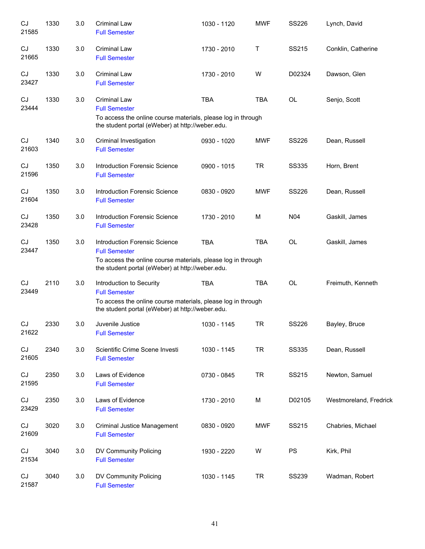| CJ<br>21585 | 1330 | 3.0     | <b>Criminal Law</b><br><b>Full Semester</b>                                                                                                                                      | 1030 - 1120 | <b>MWF</b> | SS226           | Lynch, David           |
|-------------|------|---------|----------------------------------------------------------------------------------------------------------------------------------------------------------------------------------|-------------|------------|-----------------|------------------------|
| CJ<br>21665 | 1330 | 3.0     | <b>Criminal Law</b><br><b>Full Semester</b>                                                                                                                                      | 1730 - 2010 | Т          | SS215           | Conklin, Catherine     |
| CJ<br>23427 | 1330 | $3.0\,$ | <b>Criminal Law</b><br><b>Full Semester</b>                                                                                                                                      | 1730 - 2010 | W          | D02324          | Dawson, Glen           |
| CJ<br>23444 | 1330 | 3.0     | <b>Criminal Law</b><br><b>Full Semester</b><br>To access the online course materials, please log in through<br>the student portal (eWeber) at http://weber.edu.                  | <b>TBA</b>  | <b>TBA</b> | OL              | Senjo, Scott           |
| CJ<br>21603 | 1340 | $3.0\,$ | Criminal Investigation<br><b>Full Semester</b>                                                                                                                                   | 0930 - 1020 | <b>MWF</b> | <b>SS226</b>    | Dean, Russell          |
| CJ<br>21596 | 1350 | 3.0     | Introduction Forensic Science<br><b>Full Semester</b>                                                                                                                            | 0900 - 1015 | <b>TR</b>  | <b>SS335</b>    | Horn, Brent            |
| CJ<br>21604 | 1350 | 3.0     | <b>Introduction Forensic Science</b><br><b>Full Semester</b>                                                                                                                     | 0830 - 0920 | <b>MWF</b> | <b>SS226</b>    | Dean, Russell          |
| CJ<br>23428 | 1350 | 3.0     | <b>Introduction Forensic Science</b><br><b>Full Semester</b>                                                                                                                     | 1730 - 2010 | M          | N <sub>04</sub> | Gaskill, James         |
| CJ<br>23447 | 1350 | 3.0     | <b>Introduction Forensic Science</b><br><b>Full Semester</b><br>To access the online course materials, please log in through<br>the student portal (eWeber) at http://weber.edu. | <b>TBA</b>  | <b>TBA</b> | OL              | Gaskill, James         |
| CJ<br>23449 | 2110 | 3.0     | Introduction to Security<br><b>Full Semester</b><br>To access the online course materials, please log in through<br>the student portal (eWeber) at http://weber.edu.             | <b>TBA</b>  | <b>TBA</b> | OL              | Freimuth, Kenneth      |
| CJ<br>21622 | 2330 | 3.0     | Juvenile Justice<br><b>Full Semester</b>                                                                                                                                         | 1030 - 1145 | <b>TR</b>  | SS226           | Bayley, Bruce          |
| CJ<br>21605 | 2340 | 3.0     | Scientific Crime Scene Investi<br><b>Full Semester</b>                                                                                                                           | 1030 - 1145 | <b>TR</b>  | <b>SS335</b>    | Dean, Russell          |
| CJ<br>21595 | 2350 | 3.0     | Laws of Evidence<br><b>Full Semester</b>                                                                                                                                         | 0730 - 0845 | <b>TR</b>  | SS215           | Newton, Samuel         |
| CJ<br>23429 | 2350 | 3.0     | Laws of Evidence<br><b>Full Semester</b>                                                                                                                                         | 1730 - 2010 | M          | D02105          | Westmoreland, Fredrick |
| CJ<br>21609 | 3020 | 3.0     | Criminal Justice Management<br><b>Full Semester</b>                                                                                                                              | 0830 - 0920 | <b>MWF</b> | SS215           | Chabries, Michael      |
| CJ<br>21534 | 3040 | 3.0     | DV Community Policing<br><b>Full Semester</b>                                                                                                                                    | 1930 - 2220 | W          | PS              | Kirk, Phil             |
| CJ<br>21587 | 3040 | 3.0     | DV Community Policing<br><b>Full Semester</b>                                                                                                                                    | 1030 - 1145 | <b>TR</b>  | <b>SS239</b>    | Wadman, Robert         |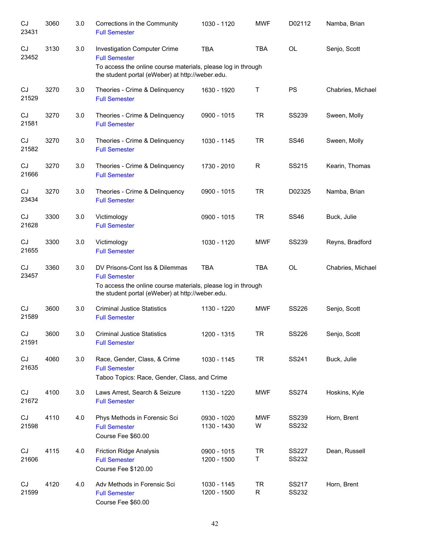| CJ<br>23431                | 3060 | 3.0     | Corrections in the Community<br><b>Full Semester</b>                                                                   | 1030 - 1120                | <b>MWF</b>     | D02112                | Namba, Brian      |
|----------------------------|------|---------|------------------------------------------------------------------------------------------------------------------------|----------------------------|----------------|-----------------------|-------------------|
| CJ<br>23452                | 3130 | 3.0     | Investigation Computer Crime<br><b>Full Semester</b>                                                                   | <b>TBA</b>                 | <b>TBA</b>     | <b>OL</b>             | Senjo, Scott      |
|                            |      |         | To access the online course materials, please log in through<br>the student portal (eWeber) at http://weber.edu.       |                            |                |                       |                   |
| CJ<br>21529                | 3270 | 3.0     | Theories - Crime & Delinquency<br><b>Full Semester</b>                                                                 | 1630 - 1920                | Τ              | <b>PS</b>             | Chabries, Michael |
| CJ<br>21581                | 3270 | 3.0     | Theories - Crime & Delinquency<br><b>Full Semester</b>                                                                 | 0900 - 1015                | <b>TR</b>      | <b>SS239</b>          | Sween, Molly      |
| CJ<br>21582                | 3270 | 3.0     | Theories - Crime & Delinquency<br><b>Full Semester</b>                                                                 | 1030 - 1145                | <b>TR</b>      | <b>SS46</b>           | Sween, Molly      |
| CJ<br>21666                | 3270 | 3.0     | Theories - Crime & Delinquency<br><b>Full Semester</b>                                                                 | 1730 - 2010                | R              | SS215                 | Kearin, Thomas    |
| CJ<br>23434                | 3270 | 3.0     | Theories - Crime & Delinquency<br><b>Full Semester</b>                                                                 | 0900 - 1015                | <b>TR</b>      | D02325                | Namba, Brian      |
| CJ<br>21628                | 3300 | 3.0     | Victimology<br><b>Full Semester</b>                                                                                    | 0900 - 1015                | <b>TR</b>      | <b>SS46</b>           | Buck, Julie       |
| CJ<br>21655                | 3300 | 3.0     | Victimology<br><b>Full Semester</b>                                                                                    | 1030 - 1120                | <b>MWF</b>     | <b>SS239</b>          | Reyns, Bradford   |
| CJ<br>23457                | 3360 | 3.0     | DV Prisons-Cont Iss & Dilemmas<br><b>Full Semester</b><br>To access the online course materials, please log in through | <b>TBA</b>                 | <b>TBA</b>     | <b>OL</b>             | Chabries, Michael |
|                            |      |         | the student portal (eWeber) at http://weber.edu.                                                                       |                            |                |                       |                   |
| CJ<br>21589                | 3600 | 3.0     | <b>Criminal Justice Statistics</b><br><b>Full Semester</b>                                                             | 1130 - 1220                | <b>MWF</b>     | SS226                 | Senjo, Scott      |
| CJ<br>21591                | 3600 | $3.0\,$ | <b>Criminal Justice Statistics</b><br><b>Full Semester</b>                                                             | 1200 - 1315                | <b>TR</b>      | SS226                 | Senjo, Scott      |
| $\mathop{\rm CJ}$<br>21635 | 4060 | 3.0     | Race, Gender, Class, & Crime<br><b>Full Semester</b><br>Taboo Topics: Race, Gender, Class, and Crime                   | 1030 - 1145                | <b>TR</b>      | SS241                 | Buck, Julie       |
|                            |      |         |                                                                                                                        |                            |                |                       |                   |
| CJ<br>21672                | 4100 | 3.0     | Laws Arrest, Search & Seizure<br><b>Full Semester</b>                                                                  | 1130 - 1220                | <b>MWF</b>     | <b>SS274</b>          | Hoskins, Kyle     |
| CJ<br>21598                | 4110 | 4.0     | Phys Methods in Forensic Sci<br><b>Full Semester</b><br>Course Fee \$60.00                                             | 0930 - 1020<br>1130 - 1430 | MWF<br>W       | <b>SS239</b><br>SS232 | Horn, Brent       |
| CJ<br>21606                | 4115 | 4.0     | <b>Friction Ridge Analysis</b><br><b>Full Semester</b><br>Course Fee \$120.00                                          | 0900 - 1015<br>1200 - 1500 | <b>TR</b><br>Τ | <b>SS227</b><br>SS232 | Dean, Russell     |
| CJ<br>21599                | 4120 | 4.0     | Adv Methods in Forensic Sci<br><b>Full Semester</b><br>Course Fee \$60.00                                              | 1030 - 1145<br>1200 - 1500 | <b>TR</b><br>R | SS217<br>SS232        | Horn, Brent       |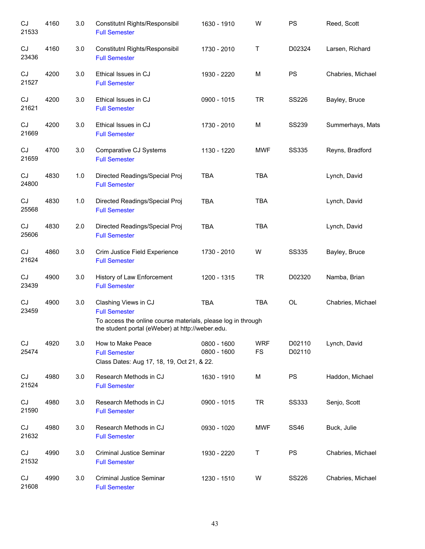| CJ<br>21533 | 4160 | 3.0   | Constitutnl Rights/Responsibil<br><b>Full Semester</b>                                                                                                           | 1630 - 1910                | W                       | <b>PS</b>        | Reed, Scott       |
|-------------|------|-------|------------------------------------------------------------------------------------------------------------------------------------------------------------------|----------------------------|-------------------------|------------------|-------------------|
| CJ<br>23436 | 4160 | 3.0   | Constitutnl Rights/Responsibil<br><b>Full Semester</b>                                                                                                           | 1730 - 2010                | Τ                       | D02324           | Larsen, Richard   |
| CJ<br>21527 | 4200 | 3.0   | Ethical Issues in CJ<br><b>Full Semester</b>                                                                                                                     | 1930 - 2220                | M                       | <b>PS</b>        | Chabries, Michael |
| CJ<br>21621 | 4200 | 3.0   | Ethical Issues in CJ<br><b>Full Semester</b>                                                                                                                     | 0900 - 1015                | <b>TR</b>               | <b>SS226</b>     | Bayley, Bruce     |
| CJ<br>21669 | 4200 | 3.0   | Ethical Issues in CJ<br><b>Full Semester</b>                                                                                                                     | 1730 - 2010                | M                       | <b>SS239</b>     | Summerhays, Mats  |
| CJ<br>21659 | 4700 | 3.0   | Comparative CJ Systems<br><b>Full Semester</b>                                                                                                                   | 1130 - 1220                | <b>MWF</b>              | <b>SS335</b>     | Reyns, Bradford   |
| CJ<br>24800 | 4830 | 1.0   | Directed Readings/Special Proj<br><b>Full Semester</b>                                                                                                           | <b>TBA</b>                 | <b>TBA</b>              |                  | Lynch, David      |
| CJ<br>25568 | 4830 | $1.0$ | Directed Readings/Special Proj<br><b>Full Semester</b>                                                                                                           | <b>TBA</b>                 | <b>TBA</b>              |                  | Lynch, David      |
| CJ<br>25606 | 4830 | 2.0   | Directed Readings/Special Proj<br><b>Full Semester</b>                                                                                                           | <b>TBA</b>                 | <b>TBA</b>              |                  | Lynch, David      |
| CJ<br>21624 | 4860 | 3.0   | Crim Justice Field Experience<br><b>Full Semester</b>                                                                                                            | 1730 - 2010                | W                       | <b>SS335</b>     | Bayley, Bruce     |
| CJ<br>23439 | 4900 | 3.0   | History of Law Enforcement<br><b>Full Semester</b>                                                                                                               | 1200 - 1315                | <b>TR</b>               | D02320           | Namba, Brian      |
| CJ<br>23459 | 4900 | 3.0   | Clashing Views in CJ<br><b>Full Semester</b><br>To access the online course materials, please log in through<br>the student portal (eWeber) at http://weber.edu. | <b>TBA</b>                 | TBA                     | OL               | Chabries, Michael |
| CJ<br>25474 | 4920 | 3.0   | How to Make Peace<br><b>Full Semester</b><br>Class Dates: Aug 17, 18, 19, Oct 21, & 22.                                                                          | 0800 - 1600<br>0800 - 1600 | <b>WRF</b><br><b>FS</b> | D02110<br>D02110 | Lynch, David      |
| CJ<br>21524 | 4980 | 3.0   | Research Methods in CJ<br><b>Full Semester</b>                                                                                                                   | 1630 - 1910                | M                       | <b>PS</b>        | Haddon, Michael   |
| CJ<br>21590 | 4980 | 3.0   | Research Methods in CJ<br><b>Full Semester</b>                                                                                                                   | 0900 - 1015                | TR                      | SS333            | Senjo, Scott      |
| CJ<br>21632 | 4980 | 3.0   | Research Methods in CJ<br><b>Full Semester</b>                                                                                                                   | 0930 - 1020                | MWF                     | SS46             | Buck, Julie       |
| CJ<br>21532 | 4990 | 3.0   | Criminal Justice Seminar<br><b>Full Semester</b>                                                                                                                 | 1930 - 2220                | Т                       | PS.              | Chabries, Michael |
| CJ<br>21608 | 4990 | 3.0   | Criminal Justice Seminar<br><b>Full Semester</b>                                                                                                                 | 1230 - 1510                | W                       | <b>SS226</b>     | Chabries, Michael |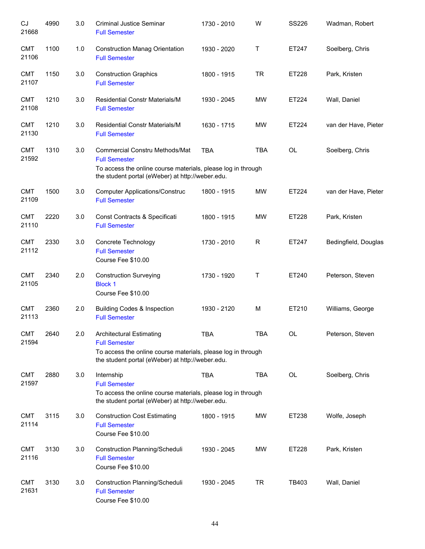| CJ<br>21668         | 4990 | 3.0 | <b>Criminal Justice Seminar</b><br><b>Full Semester</b>                                                                                                                     | 1730 - 2010 | W           | <b>SS226</b> | Wadman, Robert       |
|---------------------|------|-----|-----------------------------------------------------------------------------------------------------------------------------------------------------------------------------|-------------|-------------|--------------|----------------------|
| <b>CMT</b><br>21106 | 1100 | 1.0 | <b>Construction Manag Orientation</b><br><b>Full Semester</b>                                                                                                               | 1930 - 2020 | Τ           | ET247        | Soelberg, Chris      |
| <b>CMT</b><br>21107 | 1150 | 3.0 | <b>Construction Graphics</b><br><b>Full Semester</b>                                                                                                                        | 1800 - 1915 | <b>TR</b>   | ET228        | Park, Kristen        |
| <b>CMT</b><br>21108 | 1210 | 3.0 | <b>Residential Constr Materials/M</b><br><b>Full Semester</b>                                                                                                               | 1930 - 2045 | <b>MW</b>   | ET224        | Wall, Daniel         |
| <b>CMT</b><br>21130 | 1210 | 3.0 | <b>Residential Constr Materials/M</b><br><b>Full Semester</b>                                                                                                               | 1630 - 1715 | <b>MW</b>   | ET224        | van der Have, Pieter |
| <b>CMT</b><br>21592 | 1310 | 3.0 | Commercial Constru Methods/Mat<br><b>Full Semester</b><br>To access the online course materials, please log in through<br>the student portal (eWeber) at http://weber.edu.  | <b>TBA</b>  | <b>TBA</b>  | OL           | Soelberg, Chris      |
| <b>CMT</b><br>21109 | 1500 | 3.0 | <b>Computer Applications/Construc</b><br><b>Full Semester</b>                                                                                                               | 1800 - 1915 | <b>MW</b>   | ET224        | van der Have, Pieter |
| <b>CMT</b><br>21110 | 2220 | 3.0 | Const Contracts & Specificati<br><b>Full Semester</b>                                                                                                                       | 1800 - 1915 | <b>MW</b>   | ET228        | Park, Kristen        |
| <b>CMT</b><br>21112 | 2330 | 3.0 | Concrete Technology<br><b>Full Semester</b><br>Course Fee \$10.00                                                                                                           | 1730 - 2010 | $\mathsf R$ | ET247        | Bedingfield, Douglas |
| <b>CMT</b><br>21105 | 2340 | 2.0 | <b>Construction Surveying</b><br><b>Block 1</b><br>Course Fee \$10.00                                                                                                       | 1730 - 1920 | Τ           | ET240        | Peterson, Steven     |
| <b>CMT</b><br>21113 | 2360 | 2.0 | <b>Building Codes &amp; Inspection</b><br><b>Full Semester</b>                                                                                                              | 1930 - 2120 | М           | ET210        | Williams, George     |
| <b>CMT</b><br>21594 | 2640 | 2.0 | <b>Architectural Estimating</b><br><b>Full Semester</b><br>To access the online course materials, please log in through<br>the student portal (eWeber) at http://weber.edu. | <b>TBA</b>  | TBA         | OL           | Peterson, Steven     |
| <b>CMT</b><br>21597 | 2880 | 3.0 | Internship<br><b>Full Semester</b><br>To access the online course materials, please log in through<br>the student portal (eWeber) at http://weber.edu.                      | <b>TBA</b>  | <b>TBA</b>  | OL           | Soelberg, Chris      |
| <b>CMT</b><br>21114 | 3115 | 3.0 | <b>Construction Cost Estimating</b><br><b>Full Semester</b><br>Course Fee \$10.00                                                                                           | 1800 - 1915 | MW          | ET238        | Wolfe, Joseph        |
| <b>CMT</b><br>21116 | 3130 | 3.0 | Construction Planning/Scheduli<br><b>Full Semester</b><br>Course Fee \$10.00                                                                                                | 1930 - 2045 | MW          | ET228        | Park, Kristen        |
| <b>CMT</b><br>21631 | 3130 | 3.0 | Construction Planning/Scheduli<br><b>Full Semester</b><br>Course Fee \$10.00                                                                                                | 1930 - 2045 | <b>TR</b>   | TB403        | Wall, Daniel         |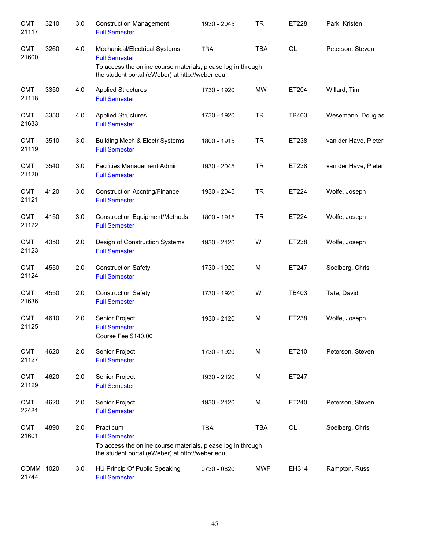| <b>CMT</b><br>21117 | 3210 | 3.0 | <b>Construction Management</b><br><b>Full Semester</b>                                                                                                                    | 1930 - 2045 | <b>TR</b>  | ET228 | Park, Kristen        |
|---------------------|------|-----|---------------------------------------------------------------------------------------------------------------------------------------------------------------------------|-------------|------------|-------|----------------------|
| <b>CMT</b><br>21600 | 3260 | 4.0 | Mechanical/Electrical Systems<br><b>Full Semester</b><br>To access the online course materials, please log in through<br>the student portal (eWeber) at http://weber.edu. | <b>TBA</b>  | <b>TBA</b> | OL    | Peterson, Steven     |
| <b>CMT</b><br>21118 | 3350 | 4.0 | <b>Applied Structures</b><br><b>Full Semester</b>                                                                                                                         | 1730 - 1920 | <b>MW</b>  | ET204 | Willard, Tim         |
| <b>CMT</b><br>21633 | 3350 | 4.0 | <b>Applied Structures</b><br><b>Full Semester</b>                                                                                                                         | 1730 - 1920 | <b>TR</b>  | TB403 | Wesemann, Douglas    |
| <b>CMT</b><br>21119 | 3510 | 3.0 | Building Mech & Electr Systems<br><b>Full Semester</b>                                                                                                                    | 1800 - 1915 | <b>TR</b>  | ET238 | van der Have, Pieter |
| <b>CMT</b><br>21120 | 3540 | 3.0 | Facilities Management Admin<br><b>Full Semester</b>                                                                                                                       | 1930 - 2045 | <b>TR</b>  | ET238 | van der Have, Pieter |
| <b>CMT</b><br>21121 | 4120 | 3.0 | <b>Construction Accntng/Finance</b><br><b>Full Semester</b>                                                                                                               | 1930 - 2045 | <b>TR</b>  | ET224 | Wolfe, Joseph        |
| <b>CMT</b><br>21122 | 4150 | 3.0 | <b>Construction Equipment/Methods</b><br><b>Full Semester</b>                                                                                                             | 1800 - 1915 | <b>TR</b>  | ET224 | Wolfe, Joseph        |
| <b>CMT</b><br>21123 | 4350 | 2.0 | Design of Construction Systems<br><b>Full Semester</b>                                                                                                                    | 1930 - 2120 | W          | ET238 | Wolfe, Joseph        |
| <b>CMT</b><br>21124 | 4550 | 2.0 | <b>Construction Safety</b><br><b>Full Semester</b>                                                                                                                        | 1730 - 1920 | M          | ET247 | Soelberg, Chris      |
| <b>CMT</b><br>21636 | 4550 | 2.0 | <b>Construction Safety</b><br><b>Full Semester</b>                                                                                                                        | 1730 - 1920 | W          | TB403 | Tate, David          |
| <b>CMT</b><br>21125 | 4610 | 2.0 | Senior Project<br><b>Full Semester</b><br>Course Fee \$140.00                                                                                                             | 1930 - 2120 | M          | ET238 | Wolfe, Joseph        |
| <b>CMT</b><br>21127 | 4620 | 2.0 | Senior Project<br><b>Full Semester</b>                                                                                                                                    | 1730 - 1920 | M          | ET210 | Peterson, Steven     |
| <b>CMT</b><br>21129 | 4620 | 2.0 | Senior Project<br><b>Full Semester</b>                                                                                                                                    | 1930 - 2120 | M          | ET247 |                      |
| <b>CMT</b><br>22481 | 4620 | 2.0 | Senior Project<br><b>Full Semester</b>                                                                                                                                    | 1930 - 2120 | M          | ET240 | Peterson, Steven     |
| <b>CMT</b><br>21601 | 4890 | 2.0 | Practicum<br><b>Full Semester</b><br>To access the online course materials, please log in through<br>the student portal (eWeber) at http://weber.edu.                     | <b>TBA</b>  | <b>TBA</b> | OL    | Soelberg, Chris      |
| COMM 1020<br>21744  |      | 3.0 | HU Princip Of Public Speaking<br><b>Full Semester</b>                                                                                                                     | 0730 - 0820 | <b>MWF</b> | EH314 | Rampton, Russ        |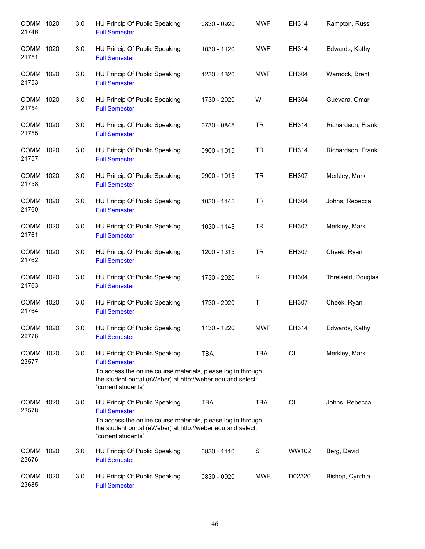| COMM 1020<br>21746 | 3.0 | HU Princip Of Public Speaking<br><b>Full Semester</b>                                                                                                                                                      | 0830 - 0920 | <b>MWF</b>   | EH314     | Rampton, Russ      |
|--------------------|-----|------------------------------------------------------------------------------------------------------------------------------------------------------------------------------------------------------------|-------------|--------------|-----------|--------------------|
| COMM 1020<br>21751 | 3.0 | HU Princip Of Public Speaking<br><b>Full Semester</b>                                                                                                                                                      | 1030 - 1120 | <b>MWF</b>   | EH314     | Edwards, Kathy     |
| COMM 1020<br>21753 | 3.0 | HU Princip Of Public Speaking<br><b>Full Semester</b>                                                                                                                                                      | 1230 - 1320 | <b>MWF</b>   | EH304     | Warnock, Brent     |
| COMM 1020<br>21754 | 3.0 | HU Princip Of Public Speaking<br><b>Full Semester</b>                                                                                                                                                      | 1730 - 2020 | W            | EH304     | Guevara, Omar      |
| COMM 1020<br>21755 | 3.0 | HU Princip Of Public Speaking<br><b>Full Semester</b>                                                                                                                                                      | 0730 - 0845 | <b>TR</b>    | EH314     | Richardson, Frank  |
| COMM 1020<br>21757 | 3.0 | HU Princip Of Public Speaking<br><b>Full Semester</b>                                                                                                                                                      | 0900 - 1015 | <b>TR</b>    | EH314     | Richardson, Frank  |
| COMM 1020<br>21758 | 3.0 | HU Princip Of Public Speaking<br><b>Full Semester</b>                                                                                                                                                      | 0900 - 1015 | <b>TR</b>    | EH307     | Merkley, Mark      |
| COMM 1020<br>21760 | 3.0 | HU Princip Of Public Speaking<br><b>Full Semester</b>                                                                                                                                                      | 1030 - 1145 | <b>TR</b>    | EH304     | Johns, Rebecca     |
| COMM 1020<br>21761 | 3.0 | HU Princip Of Public Speaking<br><b>Full Semester</b>                                                                                                                                                      | 1030 - 1145 | <b>TR</b>    | EH307     | Merkley, Mark      |
| COMM 1020<br>21762 | 3.0 | HU Princip Of Public Speaking<br><b>Full Semester</b>                                                                                                                                                      | 1200 - 1315 | <b>TR</b>    | EH307     | Cheek, Ryan        |
| COMM 1020<br>21763 | 3.0 | HU Princip Of Public Speaking<br><b>Full Semester</b>                                                                                                                                                      | 1730 - 2020 | $\mathsf{R}$ | EH304     | Threlkeld, Douglas |
| COMM 1020<br>21764 | 3.0 | HU Princip Of Public Speaking<br><b>Full Semester</b>                                                                                                                                                      | 1730 - 2020 | Τ            | EH307     | Cheek, Ryan        |
| COMM 1020<br>22778 | 3.0 | HU Princip Of Public Speaking<br><b>Full Semester</b>                                                                                                                                                      | 1130 - 1220 | <b>MWF</b>   | EH314     | Edwards, Kathy     |
| COMM 1020<br>23577 | 3.0 | HU Princip Of Public Speaking<br><b>Full Semester</b><br>To access the online course materials, please log in through<br>the student portal (eWeber) at http://weber.edu and select:<br>"current students" | <b>TBA</b>  | <b>TBA</b>   | OL        | Merkley, Mark      |
| COMM 1020<br>23578 | 3.0 | HU Princip Of Public Speaking<br><b>Full Semester</b><br>To access the online course materials, please log in through<br>the student portal (eWeber) at http://weber.edu and select:<br>"current students" | <b>TBA</b>  | <b>TBA</b>   | <b>OL</b> | Johns, Rebecca     |
| COMM 1020<br>23676 | 3.0 | HU Princip Of Public Speaking<br><b>Full Semester</b>                                                                                                                                                      | 0830 - 1110 | S            | WW102     | Berg, David        |
| COMM 1020<br>23685 | 3.0 | HU Princip Of Public Speaking<br><b>Full Semester</b>                                                                                                                                                      | 0830 - 0920 | MWF          | D02320    | Bishop, Cynthia    |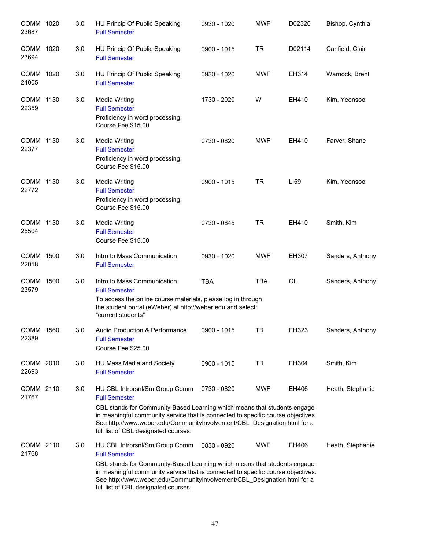| COMM 1020<br>23687 | 3.0 | HU Princip Of Public Speaking<br><b>Full Semester</b>                                                                                                                                                                                                                                                                                      | 0930 - 1020 | <b>MWF</b> | D02320       | Bishop, Cynthia  |
|--------------------|-----|--------------------------------------------------------------------------------------------------------------------------------------------------------------------------------------------------------------------------------------------------------------------------------------------------------------------------------------------|-------------|------------|--------------|------------------|
| COMM 1020<br>23694 | 3.0 | HU Princip Of Public Speaking<br><b>Full Semester</b>                                                                                                                                                                                                                                                                                      | 0900 - 1015 | <b>TR</b>  | D02114       | Canfield, Clair  |
| COMM 1020<br>24005 | 3.0 | HU Princip Of Public Speaking<br><b>Full Semester</b>                                                                                                                                                                                                                                                                                      | 0930 - 1020 | <b>MWF</b> | EH314        | Warnock, Brent   |
| COMM 1130<br>22359 | 3.0 | <b>Media Writing</b><br><b>Full Semester</b><br>Proficiency in word processing.<br>Course Fee \$15.00                                                                                                                                                                                                                                      | 1730 - 2020 | W          | EH410        | Kim, Yeonsoo     |
| COMM 1130<br>22377 | 3.0 | Media Writing<br><b>Full Semester</b><br>Proficiency in word processing.<br>Course Fee \$15.00                                                                                                                                                                                                                                             | 0730 - 0820 | <b>MWF</b> | EH410        | Farver, Shane    |
| COMM 1130<br>22772 | 3.0 | <b>Media Writing</b><br><b>Full Semester</b><br>Proficiency in word processing.<br>Course Fee \$15.00                                                                                                                                                                                                                                      | 0900 - 1015 | <b>TR</b>  | LI59         | Kim, Yeonsoo     |
| COMM 1130<br>25504 | 3.0 | <b>Media Writing</b><br><b>Full Semester</b><br>Course Fee \$15.00                                                                                                                                                                                                                                                                         | 0730 - 0845 | <b>TR</b>  | EH410        | Smith, Kim       |
| COMM 1500<br>22018 | 3.0 | Intro to Mass Communication<br><b>Full Semester</b>                                                                                                                                                                                                                                                                                        | 0930 - 1020 | <b>MWF</b> | <b>EH307</b> | Sanders, Anthony |
| COMM 1500<br>23579 | 3.0 | Intro to Mass Communication<br><b>Full Semester</b><br>To access the online course materials, please log in through<br>the student portal (eWeber) at http://weber.edu and select:<br>"current students"                                                                                                                                   | <b>TBA</b>  | <b>TBA</b> | OL           | Sanders, Anthony |
| COMM 1560<br>22389 | 3.0 | Audio Production & Performance<br><b>Full Semester</b><br>Course Fee \$25.00                                                                                                                                                                                                                                                               | 0900 - 1015 | <b>TR</b>  | EH323        | Sanders, Anthony |
| COMM 2010<br>22693 | 3.0 | HU Mass Media and Society<br><b>Full Semester</b>                                                                                                                                                                                                                                                                                          | 0900 - 1015 | <b>TR</b>  | EH304        | Smith, Kim       |
| COMM 2110<br>21767 | 3.0 | HU CBL Intrprsnl/Sm Group Comm<br><b>Full Semester</b><br>CBL stands for Community-Based Learning which means that students engage<br>in meaningful community service that is connected to specific course objectives.<br>See http://www.weber.edu/CommunityInvolvement/CBL_Designation.html for a<br>full list of CBL designated courses. | 0730 - 0820 | MWF        | EH406        | Heath, Stephanie |
| COMM 2110<br>21768 | 3.0 | HU CBL Intrprsnl/Sm Group Comm<br><b>Full Semester</b><br>CBL stands for Community-Based Learning which means that students engage<br>in meaningful community service that is connected to specific course objectives.<br>See http://www.weber.edu/CommunityInvolvement/CBL_Designation.html for a<br>full list of CBL designated courses. | 0830 - 0920 | <b>MWF</b> | EH406        | Heath, Stephanie |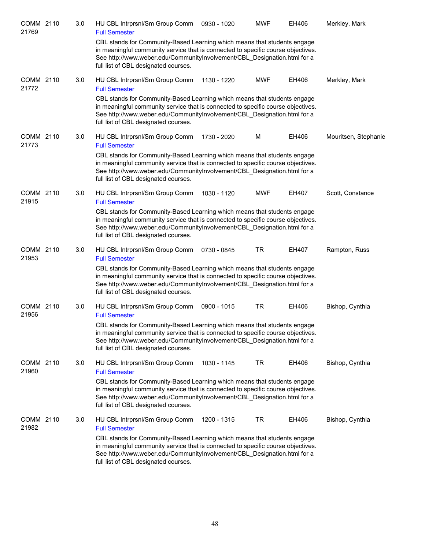| COMM 2110<br>21769 | 3.0 | HU CBL Intrprsnl/Sm Group Comm<br><b>Full Semester</b>                                                                                                                                                                                                                           | 0930 - 1020 | <b>MWF</b> | EH406 | Merkley, Mark        |
|--------------------|-----|----------------------------------------------------------------------------------------------------------------------------------------------------------------------------------------------------------------------------------------------------------------------------------|-------------|------------|-------|----------------------|
|                    |     | CBL stands for Community-Based Learning which means that students engage<br>in meaningful community service that is connected to specific course objectives.<br>See http://www.weber.edu/CommunityInvolvement/CBL Designation.html for a<br>full list of CBL designated courses. |             |            |       |                      |
| COMM 2110<br>21772 | 3.0 | HU CBL Intrprsnl/Sm Group Comm<br><b>Full Semester</b>                                                                                                                                                                                                                           | 1130 - 1220 | <b>MWF</b> | EH406 | Merkley, Mark        |
|                    |     | CBL stands for Community-Based Learning which means that students engage<br>in meaningful community service that is connected to specific course objectives.<br>See http://www.weber.edu/CommunityInvolvement/CBL_Designation.html for a<br>full list of CBL designated courses. |             |            |       |                      |
| COMM 2110<br>21773 | 3.0 | HU CBL Intrprsnl/Sm Group Comm<br><b>Full Semester</b>                                                                                                                                                                                                                           | 1730 - 2020 | M          | EH406 | Mouritsen, Stephanie |
|                    |     | CBL stands for Community-Based Learning which means that students engage<br>in meaningful community service that is connected to specific course objectives.<br>See http://www.weber.edu/CommunityInvolvement/CBL_Designation.html for a<br>full list of CBL designated courses. |             |            |       |                      |
| COMM 2110<br>21915 | 3.0 | HU CBL Intrprsnl/Sm Group Comm<br><b>Full Semester</b>                                                                                                                                                                                                                           | 1030 - 1120 | <b>MWF</b> | EH407 | Scott, Constance     |
|                    |     | CBL stands for Community-Based Learning which means that students engage<br>in meaningful community service that is connected to specific course objectives.<br>See http://www.weber.edu/CommunityInvolvement/CBL_Designation.html for a<br>full list of CBL designated courses. |             |            |       |                      |
| COMM 2110<br>21953 | 3.0 | HU CBL Intrprsnl/Sm Group Comm<br><b>Full Semester</b>                                                                                                                                                                                                                           | 0730 - 0845 | <b>TR</b>  | EH407 | Rampton, Russ        |
|                    |     | CBL stands for Community-Based Learning which means that students engage<br>in meaningful community service that is connected to specific course objectives.<br>See http://www.weber.edu/CommunityInvolvement/CBL_Designation.html for a<br>full list of CBL designated courses. |             |            |       |                      |
| COMM 2110<br>21956 | 3.0 | HU CBL Intrprsnl/Sm Group Comm<br><b>Full Semester</b>                                                                                                                                                                                                                           | 0900 - 1015 | TR         | EH406 | Bishop, Cynthia      |
|                    |     | CBL stands for Community-Based Learning which means that students engage<br>in meaningful community service that is connected to specific course objectives.<br>See http://www.weber.edu/CommunityInvolvement/CBL_Designation.html for a<br>full list of CBL designated courses. |             |            |       |                      |
| COMM 2110<br>21960 | 3.0 | HU CBL Intrprsnl/Sm Group Comm<br><b>Full Semester</b>                                                                                                                                                                                                                           | 1030 - 1145 | TR         | EH406 | Bishop, Cynthia      |
|                    |     | CBL stands for Community-Based Learning which means that students engage<br>in meaningful community service that is connected to specific course objectives.<br>See http://www.weber.edu/CommunityInvolvement/CBL_Designation.html for a<br>full list of CBL designated courses. |             |            |       |                      |
| COMM 2110<br>21982 | 3.0 | HU CBL Intrprsnl/Sm Group Comm<br><b>Full Semester</b>                                                                                                                                                                                                                           | 1200 - 1315 | <b>TR</b>  | EH406 | Bishop, Cynthia      |
|                    |     | CBL stands for Community-Based Learning which means that students engage<br>in meaningful community service that is connected to specific course objectives.<br>See http://www.weber.edu/CommunityInvolvement/CBL_Designation.html for a<br>full list of CBL designated courses. |             |            |       |                      |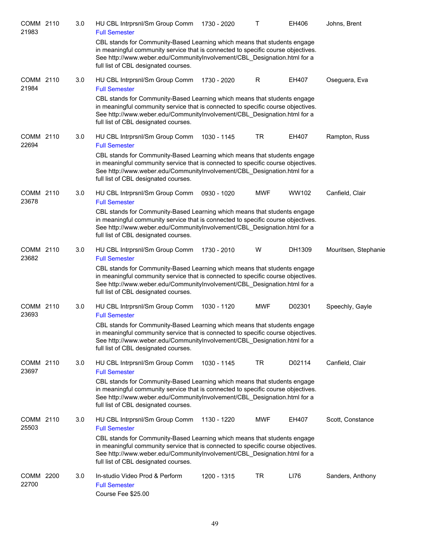| COMM 2110<br>21983 | 3.0 | HU CBL Intrprsnl/Sm Group Comm<br><b>Full Semester</b>                                                                                                                                                                                                                           | 1730 - 2020 | т          | EH406  | Johns, Brent         |
|--------------------|-----|----------------------------------------------------------------------------------------------------------------------------------------------------------------------------------------------------------------------------------------------------------------------------------|-------------|------------|--------|----------------------|
|                    |     | CBL stands for Community-Based Learning which means that students engage<br>in meaningful community service that is connected to specific course objectives.<br>See http://www.weber.edu/CommunityInvolvement/CBL_Designation.html for a<br>full list of CBL designated courses. |             |            |        |                      |
| COMM 2110<br>21984 | 3.0 | HU CBL Intrprsnl/Sm Group Comm<br><b>Full Semester</b>                                                                                                                                                                                                                           | 1730 - 2020 | R          | EH407  | Oseguera, Eva        |
|                    |     | CBL stands for Community-Based Learning which means that students engage<br>in meaningful community service that is connected to specific course objectives.<br>See http://www.weber.edu/CommunityInvolvement/CBL Designation.html for a<br>full list of CBL designated courses. |             |            |        |                      |
| COMM 2110<br>22694 | 3.0 | HU CBL Intrprsnl/Sm Group Comm<br><b>Full Semester</b>                                                                                                                                                                                                                           | 1030 - 1145 | <b>TR</b>  | EH407  | Rampton, Russ        |
|                    |     | CBL stands for Community-Based Learning which means that students engage<br>in meaningful community service that is connected to specific course objectives.<br>See http://www.weber.edu/CommunityInvolvement/CBL_Designation.html for a<br>full list of CBL designated courses. |             |            |        |                      |
| COMM 2110<br>23678 | 3.0 | HU CBL Intrprsnl/Sm Group Comm<br><b>Full Semester</b>                                                                                                                                                                                                                           | 0930 - 1020 | <b>MWF</b> | WW102  | Canfield, Clair      |
|                    |     | CBL stands for Community-Based Learning which means that students engage<br>in meaningful community service that is connected to specific course objectives.<br>See http://www.weber.edu/CommunityInvolvement/CBL_Designation.html for a<br>full list of CBL designated courses. |             |            |        |                      |
| COMM 2110<br>23682 | 3.0 | HU CBL Intrprsnl/Sm Group Comm<br><b>Full Semester</b>                                                                                                                                                                                                                           | 1730 - 2010 | W          | DH1309 | Mouritsen, Stephanie |
|                    |     | CBL stands for Community-Based Learning which means that students engage<br>in meaningful community service that is connected to specific course objectives.<br>See http://www.weber.edu/CommunityInvolvement/CBL_Designation.html for a<br>full list of CBL designated courses. |             |            |        |                      |
| COMM 2110<br>23693 | 3.0 | HU CBL Intrprsnl/Sm Group Comm<br><b>Full Semester</b>                                                                                                                                                                                                                           | 1030 - 1120 | <b>MWF</b> | D02301 | Speechly, Gayle      |
|                    |     | CBL stands for Community-Based Learning which means that students engage<br>in meaningful community service that is connected to specific course objectives.<br>See http://www.weber.edu/CommunityInvolvement/CBL_Designation.html for a<br>full list of CBL designated courses. |             |            |        |                      |
| COMM 2110<br>23697 | 3.0 | HU CBL Intrprsnl/Sm Group Comm<br><b>Full Semester</b>                                                                                                                                                                                                                           | 1030 - 1145 | <b>TR</b>  | D02114 | Canfield, Clair      |
|                    |     | CBL stands for Community-Based Learning which means that students engage<br>in meaningful community service that is connected to specific course objectives.<br>See http://www.weber.edu/CommunityInvolvement/CBL_Designation.html for a<br>full list of CBL designated courses. |             |            |        |                      |
| COMM 2110<br>25503 | 3.0 | HU CBL Intrprsnl/Sm Group Comm<br><b>Full Semester</b>                                                                                                                                                                                                                           | 1130 - 1220 | <b>MWF</b> | EH407  | Scott, Constance     |
|                    |     | CBL stands for Community-Based Learning which means that students engage<br>in meaningful community service that is connected to specific course objectives.<br>See http://www.weber.edu/CommunityInvolvement/CBL_Designation.html for a<br>full list of CBL designated courses. |             |            |        |                      |
| COMM 2200<br>22700 | 3.0 | In-studio Video Prod & Perform<br><b>Full Semester</b><br>Course Fee \$25.00                                                                                                                                                                                                     | 1200 - 1315 | TR         | LI76   | Sanders, Anthony     |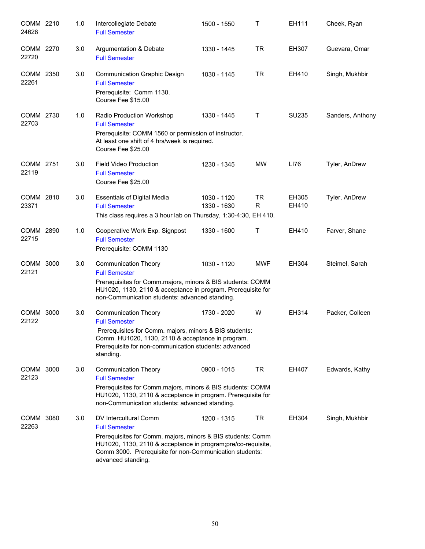| COMM 2210<br>24628 |      | 1.0 | Intercollegiate Debate<br><b>Full Semester</b>                                                                                                                                                                                                                 | 1500 - 1550                | Τ              | EH111          | Cheek, Ryan      |
|--------------------|------|-----|----------------------------------------------------------------------------------------------------------------------------------------------------------------------------------------------------------------------------------------------------------------|----------------------------|----------------|----------------|------------------|
| COMM 2270<br>22720 |      | 3.0 | Argumentation & Debate<br><b>Full Semester</b>                                                                                                                                                                                                                 | 1330 - 1445                | <b>TR</b>      | EH307          | Guevara, Omar    |
| COMM 2350<br>22261 |      | 3.0 | <b>Communication Graphic Design</b><br><b>Full Semester</b><br>Prerequisite: Comm 1130.<br>Course Fee \$15.00                                                                                                                                                  | 1030 - 1145                | <b>TR</b>      | EH410          | Singh, Mukhbir   |
| COMM 2730<br>22703 |      | 1.0 | Radio Production Workshop<br><b>Full Semester</b><br>Prerequisite: COMM 1560 or permission of instructor.<br>At least one shift of 4 hrs/week is required.<br>Course Fee \$25.00                                                                               | 1330 - 1445                | Τ              | SU235          | Sanders, Anthony |
| COMM 2751<br>22119 |      | 3.0 | <b>Field Video Production</b><br><b>Full Semester</b><br>Course Fee \$25.00                                                                                                                                                                                    | 1230 - 1345                | <b>MW</b>      | LI76           | Tyler, AnDrew    |
| COMM 2810<br>23371 |      | 3.0 | <b>Essentials of Digital Media</b><br><b>Full Semester</b><br>This class requires a 3 hour lab on Thursday, 1:30-4:30, EH 410.                                                                                                                                 | 1030 - 1120<br>1330 - 1630 | <b>TR</b><br>R | EH305<br>EH410 | Tyler, AnDrew    |
| COMM 2890<br>22715 |      | 1.0 | Cooperative Work Exp. Signpost<br><b>Full Semester</b><br>Prerequisite: COMM 1130                                                                                                                                                                              | 1330 - 1600                | т              | EH410          | Farver, Shane    |
| COMM 3000<br>22121 |      | 3.0 | <b>Communication Theory</b><br><b>Full Semester</b><br>Prerequisites for Comm.majors, minors & BIS students: COMM<br>HU1020, 1130, 2110 & acceptance in program. Prerequisite for<br>non-Communication students: advanced standing.                            | 1030 - 1120                | <b>MWF</b>     | EH304          | Steimel, Sarah   |
| COMM<br>22122      | 3000 | 3.0 | <b>Communication Theory</b><br><b>Full Semester</b><br>Prerequisites for Comm. majors, minors & BIS students:<br>Comm. HU1020, 1130, 2110 & acceptance in program.<br>Prerequisite for non-communication students: advanced<br>standing.                       | 1730 - 2020                | W              | EH314          | Packer, Colleen  |
| COMM 3000<br>22123 |      | 3.0 | <b>Communication Theory</b><br><b>Full Semester</b><br>Prerequisites for Comm.majors, minors & BIS students: COMM<br>HU1020, 1130, 2110 & acceptance in program. Prerequisite for<br>non-Communication students: advanced standing.                            | 0900 - 1015                | <b>TR</b>      | EH407          | Edwards, Kathy   |
| COMM 3080<br>22263 |      | 3.0 | DV Intercultural Comm<br><b>Full Semester</b><br>Prerequisites for Comm. majors, minors & BIS students: Comm<br>HU1020, 1130, 2110 & acceptance in program; pre/co-requisite,<br>Comm 3000. Prerequisite for non-Communication students:<br>advanced standing. | 1200 - 1315                | <b>TR</b>      | EH304          | Singh, Mukhbir   |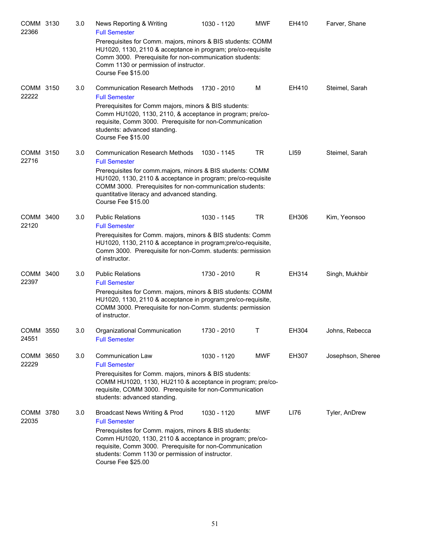| COMM 3130<br>22366 | 3.0 | News Reporting & Writing<br><b>Full Semester</b>                                                                                                                                                                                                             | 1030 - 1120 | <b>MWF</b> | EH410 | Farver, Shane     |
|--------------------|-----|--------------------------------------------------------------------------------------------------------------------------------------------------------------------------------------------------------------------------------------------------------------|-------------|------------|-------|-------------------|
|                    |     | Prerequisites for Comm. majors, minors & BIS students: COMM<br>HU1020, 1130, 2110 & acceptance in program; pre/co-requisite<br>Comm 3000. Prerequisite for non-communication students:<br>Comm 1130 or permission of instructor.<br>Course Fee \$15.00       |             |            |       |                   |
| COMM 3150<br>22222 | 3.0 | <b>Communication Research Methods</b><br><b>Full Semester</b>                                                                                                                                                                                                | 1730 - 2010 | M          | EH410 | Steimel, Sarah    |
|                    |     | Prerequisites for Comm majors, minors & BIS students:<br>Comm HU1020, 1130, 2110, & acceptance in program; pre/co-<br>requisite, Comm 3000. Prerequisite for non-Communication<br>students: advanced standing.<br>Course Fee \$15.00                         |             |            |       |                   |
| COMM 3150<br>22716 | 3.0 | <b>Communication Research Methods</b><br><b>Full Semester</b>                                                                                                                                                                                                | 1030 - 1145 | TR         | LI59  | Steimel, Sarah    |
|                    |     | Prerequisites for comm.majors, minors & BIS students: COMM<br>HU1020, 1130, 2110 & acceptance in program; pre/co-requisite<br>COMM 3000. Prerequisites for non-communication students:<br>quantitative literacy and advanced standing.<br>Course Fee \$15.00 |             |            |       |                   |
| COMM 3400<br>22120 | 3.0 | <b>Public Relations</b><br><b>Full Semester</b>                                                                                                                                                                                                              | 1030 - 1145 | TR         | EH306 | Kim, Yeonsoo      |
|                    |     | Prerequisites for Comm. majors, minors & BIS students: Comm<br>HU1020, 1130, 2110 & acceptance in program; pre/co-requisite,<br>Comm 3000. Prerequisite for non-Comm. students: permission<br>of instructor.                                                 |             |            |       |                   |
| COMM 3400<br>22397 | 3.0 | <b>Public Relations</b><br><b>Full Semester</b>                                                                                                                                                                                                              | 1730 - 2010 | R          | EH314 | Singh, Mukhbir    |
|                    |     | Prerequisites for Comm. majors, minors & BIS students: COMM<br>HU1020, 1130, 2110 & acceptance in program; pre/co-requisite,<br>COMM 3000. Prerequisite for non-Comm. students: permission<br>of instructor.                                                 |             |            |       |                   |
| COMM 3550<br>24551 | 3.0 | Organizational Communication<br><b>Full Semester</b>                                                                                                                                                                                                         | 1730 - 2010 | T          | EH304 | Johns, Rebecca    |
| COMM 3650<br>22229 | 3.0 | <b>Communication Law</b><br><b>Full Semester</b>                                                                                                                                                                                                             | 1030 - 1120 | <b>MWF</b> | EH307 | Josephson, Sheree |
|                    |     | Prerequisites for Comm. majors, minors & BIS students:<br>COMM HU1020, 1130, HU2110 & acceptance in program; pre/co-<br>requisite, COMM 3000. Prerequisite for non-Communication<br>students: advanced standing.                                             |             |            |       |                   |
| COMM 3780<br>22035 | 3.0 | Broadcast News Writing & Prod<br><b>Full Semester</b>                                                                                                                                                                                                        | 1030 - 1120 | <b>MWF</b> | LI76  | Tyler, AnDrew     |
|                    |     | Prerequisites for Comm. majors, minors & BIS students:<br>Comm HU1020, 1130, 2110 & acceptance in program; pre/co-<br>requisite, Comm 3000. Prerequisite for non-Communication<br>students: Comm 1130 or permission of instructor.<br>Course Fee \$25.00     |             |            |       |                   |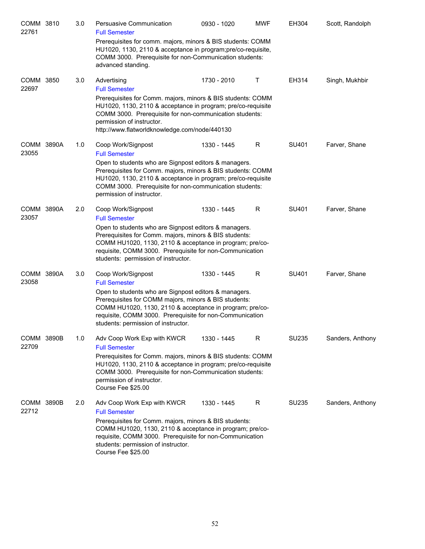| COMM 3810<br>22761  | 3.0 | Persuasive Communication<br><b>Full Semester</b>                                                                                                                                                                                                                                                     | 0930 - 1020 | <b>MWF</b> | EH304        | Scott, Randolph  |
|---------------------|-----|------------------------------------------------------------------------------------------------------------------------------------------------------------------------------------------------------------------------------------------------------------------------------------------------------|-------------|------------|--------------|------------------|
|                     |     | Prerequisites for comm. majors, minors & BIS students: COMM<br>HU1020, 1130, 2110 & acceptance in program; pre/co-requisite,<br>COMM 3000. Prerequisite for non-Communication students:<br>advanced standing.                                                                                        |             |            |              |                  |
| COMM 3850<br>22697  | 3.0 | Advertising<br><b>Full Semester</b>                                                                                                                                                                                                                                                                  | 1730 - 2010 | Τ          | EH314        | Singh, Mukhbir   |
|                     |     | Prerequisites for Comm. majors, minors & BIS students: COMM<br>HU1020, 1130, 2110 & acceptance in program; pre/co-requisite<br>COMM 3000. Prerequisite for non-communication students:<br>permission of instructor.<br>http://www.flatworldknowledge.com/node/440130                                 |             |            |              |                  |
| COMM 3890A          | 1.0 | Coop Work/Signpost                                                                                                                                                                                                                                                                                   | 1330 - 1445 | R          | SU401        | Farver, Shane    |
| 23055               |     | <b>Full Semester</b><br>Open to students who are Signpost editors & managers.<br>Prerequisites for Comm. majors, minors & BIS students: COMM<br>HU1020, 1130, 2110 & acceptance in program; pre/co-requisite<br>COMM 3000. Prerequisite for non-communication students:<br>permission of instructor. |             |            |              |                  |
| COMM 3890A<br>23057 | 2.0 | Coop Work/Signpost<br><b>Full Semester</b>                                                                                                                                                                                                                                                           | 1330 - 1445 | R          | SU401        | Farver, Shane    |
|                     |     | Open to students who are Signpost editors & managers.<br>Prerequisites for Comm. majors, minors & BIS students:<br>COMM HU1020, 1130, 2110 & acceptance in program; pre/co-<br>requisite, COMM 3000. Prerequisite for non-Communication<br>students: permission of instructor.                       |             |            |              |                  |
| COMM 3890A<br>23058 | 3.0 | Coop Work/Signpost<br><b>Full Semester</b>                                                                                                                                                                                                                                                           | 1330 - 1445 | R          | SU401        | Farver, Shane    |
|                     |     | Open to students who are Signpost editors & managers.<br>Prerequisites for COMM majors, minors & BIS students:<br>COMM HU1020, 1130, 2110 & acceptance in program; pre/co-<br>requisite, COMM 3000. Prerequisite for non-Communication<br>students: permission of instructor.                        |             |            |              |                  |
| COMM 3890B<br>22709 | 1.0 | Adv Coop Work Exp with KWCR<br><b>Full Semester</b>                                                                                                                                                                                                                                                  | 1330 - 1445 | R          | <b>SU235</b> | Sanders, Anthony |
|                     |     | Prerequisites for Comm. majors, minors & BIS students: COMM<br>HU1020, 1130, 2110 & acceptance in program; pre/co-requisite<br>COMM 3000. Prerequisite for non-Communication students:<br>permission of instructor.<br>Course Fee \$25.00                                                            |             |            |              |                  |
| COMM 3890B<br>22712 | 2.0 | Adv Coop Work Exp with KWCR<br><b>Full Semester</b>                                                                                                                                                                                                                                                  | 1330 - 1445 | R          | SU235        | Sanders, Anthony |
|                     |     | Prerequisites for Comm. majors, minors & BIS students:<br>COMM HU1020, 1130, 2110 & acceptance in program; pre/co-<br>requisite, COMM 3000. Prerequisite for non-Communication<br>students: permission of instructor.<br>Course Fee \$25.00                                                          |             |            |              |                  |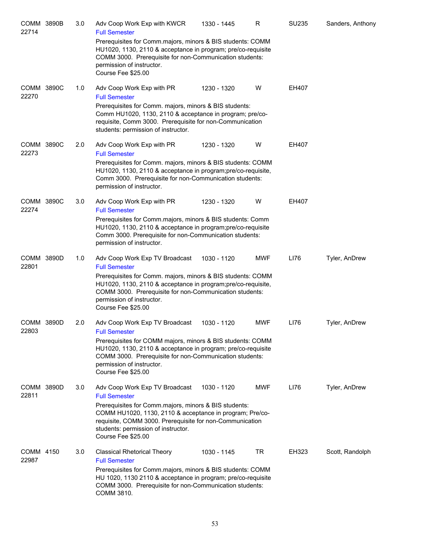| <b>COMM 3890B</b><br>22714 | 3.0 | Adv Coop Work Exp with KWCR<br><b>Full Semester</b>                                                                                                                                                                                        | 1330 - 1445 | R          | SU235 | Sanders, Anthony |
|----------------------------|-----|--------------------------------------------------------------------------------------------------------------------------------------------------------------------------------------------------------------------------------------------|-------------|------------|-------|------------------|
|                            |     | Prerequisites for Comm.majors, minors & BIS students: COMM<br>HU1020, 1130, 2110 & acceptance in program; pre/co-requisite<br>COMM 3000. Prerequisite for non-Communication students:<br>permission of instructor.<br>Course Fee \$25.00   |             |            |       |                  |
| COMM 3890C<br>22270        | 1.0 | Adv Coop Work Exp with PR<br><b>Full Semester</b>                                                                                                                                                                                          | 1230 - 1320 | W          | EH407 |                  |
|                            |     | Prerequisites for Comm. majors, minors & BIS students:<br>Comm HU1020, 1130, 2110 & acceptance in program; pre/co-<br>requisite, Comm 3000. Prerequisite for non-Communication<br>students: permission of instructor.                      |             |            |       |                  |
| COMM 3890C<br>22273        | 2.0 | Adv Coop Work Exp with PR<br><b>Full Semester</b>                                                                                                                                                                                          | 1230 - 1320 | W          | EH407 |                  |
|                            |     | Prerequisites for Comm. majors, minors & BIS students: COMM<br>HU1020, 1130, 2110 & acceptance in program; pre/co-requisite,<br>Comm 3000. Prerequisite for non-Communication students:<br>permission of instructor.                       |             |            |       |                  |
| COMM 3890C<br>22274        | 3.0 | Adv Coop Work Exp with PR<br><b>Full Semester</b>                                                                                                                                                                                          | 1230 - 1320 | W          | EH407 |                  |
|                            |     | Prerequisites for Comm.majors, minors & BIS students: Comm<br>HU1020, 1130, 2110 & acceptance in program; pre/co-requisite<br>Comm 3000. Prerequisite for non-Communication students:<br>permission of instructor.                         |             |            |       |                  |
| COMM 3890D<br>22801        | 1.0 | Adv Coop Work Exp TV Broadcast<br><b>Full Semester</b>                                                                                                                                                                                     | 1030 - 1120 | <b>MWF</b> | LI76  | Tyler, AnDrew    |
|                            |     | Prerequisites for Comm. majors, minors & BIS students: COMM<br>HU1020, 1130, 2110 & acceptance in program; pre/co-requisite,<br>COMM 3000. Prerequisite for non-Communication students:<br>permission of instructor.<br>Course Fee \$25.00 |             |            |       |                  |
| COMM 3890D<br>22803        | 2.0 | Adv Coop Work Exp TV Broadcast<br><b>Full Semester</b>                                                                                                                                                                                     | 1030 - 1120 | <b>MWF</b> | LI76  | Tyler, AnDrew    |
|                            |     | Prerequisites for COMM majors, minors & BIS students: COMM<br>HU1020, 1130, 2110 & acceptance in program; pre/co-requisite<br>COMM 3000. Prerequisite for non-Communication students:<br>permission of instructor.<br>Course Fee \$25.00   |             |            |       |                  |
| COMM 3890D<br>22811        | 3.0 | Adv Coop Work Exp TV Broadcast<br><b>Full Semester</b>                                                                                                                                                                                     | 1030 - 1120 | <b>MWF</b> | LI76  | Tyler, AnDrew    |
|                            |     | Prerequisites for Comm.majors, minors & BIS students:<br>COMM HU1020, 1130, 2110 & acceptance in program; Pre/co-<br>requisite, COMM 3000. Prerequisite for non-Communication<br>students: permission of instructor.<br>Course Fee \$25.00 |             |            |       |                  |
| COMM 4150<br>22987         | 3.0 | <b>Classical Rhetorical Theory</b><br><b>Full Semester</b>                                                                                                                                                                                 | 1030 - 1145 | TR         | EH323 | Scott, Randolph  |
|                            |     | Prerequisites for Comm.majors, minors & BIS students: COMM<br>HU 1020, 1130 2110 & acceptance in program; pre/co-requisite<br>COMM 3000. Prerequisite for non-Communication students:<br>COMM 3810.                                        |             |            |       |                  |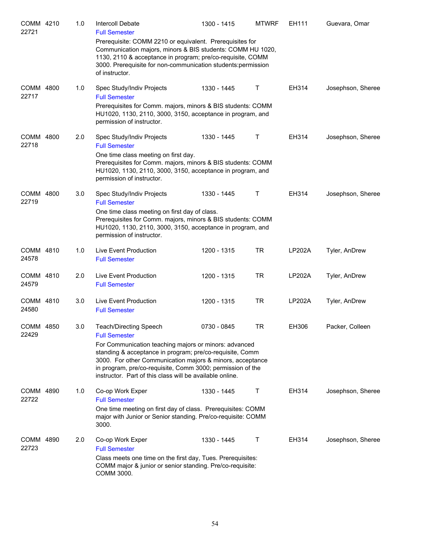| COMM 4210<br>22721 | 1.0 | Intercoll Debate<br><b>Full Semester</b>                                                                                                                                                                                                                                                                 | 1300 - 1415 | <b>MTWRF</b> | EH111         | Guevara, Omar     |
|--------------------|-----|----------------------------------------------------------------------------------------------------------------------------------------------------------------------------------------------------------------------------------------------------------------------------------------------------------|-------------|--------------|---------------|-------------------|
|                    |     | Prerequisite: COMM 2210 or equivalent. Prerequisites for<br>Communication majors, minors & BIS students: COMM HU 1020,<br>1130, 2110 & acceptance in program; pre/co-requisite, COMM<br>3000. Prerequisite for non-communication students: permission<br>of instructor.                                  |             |              |               |                   |
| COMM 4800<br>22717 | 1.0 | Spec Study/Indiv Projects<br><b>Full Semester</b>                                                                                                                                                                                                                                                        | 1330 - 1445 | Τ            | EH314         | Josephson, Sheree |
|                    |     | Prerequisites for Comm. majors, minors & BIS students: COMM<br>HU1020, 1130, 2110, 3000, 3150, acceptance in program, and<br>permission of instructor.                                                                                                                                                   |             |              |               |                   |
| COMM 4800<br>22718 | 2.0 | Spec Study/Indiv Projects<br><b>Full Semester</b>                                                                                                                                                                                                                                                        | 1330 - 1445 | Τ            | EH314         | Josephson, Sheree |
|                    |     | One time class meeting on first day.<br>Prerequisites for Comm. majors, minors & BIS students: COMM<br>HU1020, 1130, 2110, 3000, 3150, acceptance in program, and<br>permission of instructor.                                                                                                           |             |              |               |                   |
| COMM 4800<br>22719 | 3.0 | Spec Study/Indiv Projects<br><b>Full Semester</b>                                                                                                                                                                                                                                                        | 1330 - 1445 | т            | EH314         | Josephson, Sheree |
|                    |     | One time class meeting on first day of class.<br>Prerequisites for Comm. majors, minors & BIS students: COMM<br>HU1020, 1130, 2110, 3000, 3150, acceptance in program, and<br>permission of instructor.                                                                                                  |             |              |               |                   |
| COMM 4810<br>24578 | 1.0 | Live Event Production<br><b>Full Semester</b>                                                                                                                                                                                                                                                            | 1200 - 1315 | <b>TR</b>    | <b>LP202A</b> | Tyler, AnDrew     |
| COMM 4810<br>24579 | 2.0 | Live Event Production<br><b>Full Semester</b>                                                                                                                                                                                                                                                            | 1200 - 1315 | <b>TR</b>    | <b>LP202A</b> | Tyler, AnDrew     |
| COMM 4810<br>24580 | 3.0 | Live Event Production<br><b>Full Semester</b>                                                                                                                                                                                                                                                            | 1200 - 1315 | <b>TR</b>    | <b>LP202A</b> | Tyler, AnDrew     |
| COMM 4850<br>22429 | 3.0 | <b>Teach/Directing Speech</b><br><b>Full Semester</b>                                                                                                                                                                                                                                                    | 0730 - 0845 | TR           | EH306         | Packer, Colleen   |
|                    |     | For Communication teaching majors or minors: advanced<br>standing & acceptance in program; pre/co-requisite, Comm<br>3000. For other Communication majors & minors, acceptance<br>in program, pre/co-requisite, Comm 3000; permission of the<br>instructor. Part of this class will be available online. |             |              |               |                   |
| COMM 4890<br>22722 | 1.0 | Co-op Work Exper<br><b>Full Semester</b>                                                                                                                                                                                                                                                                 | 1330 - 1445 | Τ            | EH314         | Josephson, Sheree |
|                    |     | One time meeting on first day of class. Prerequisites: COMM<br>major with Junior or Senior standing. Pre/co-requisite: COMM<br>3000.                                                                                                                                                                     |             |              |               |                   |
| COMM 4890<br>22723 | 2.0 | Co-op Work Exper<br><b>Full Semester</b>                                                                                                                                                                                                                                                                 | 1330 - 1445 | Τ            | EH314         | Josephson, Sheree |
|                    |     | Class meets one time on the first day, Tues. Prerequisites:<br>COMM major & junior or senior standing. Pre/co-requisite:<br>COMM 3000.                                                                                                                                                                   |             |              |               |                   |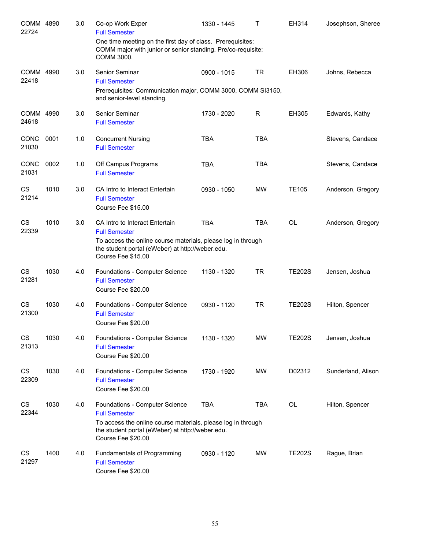| COMM 4890<br>22724 |      | 3.0 | Co-op Work Exper<br><b>Full Semester</b>                                                                                                                                                         | 1330 - 1445 | T          | EH314         | Josephson, Sheree  |
|--------------------|------|-----|--------------------------------------------------------------------------------------------------------------------------------------------------------------------------------------------------|-------------|------------|---------------|--------------------|
|                    |      |     | One time meeting on the first day of class. Prerequisites:<br>COMM major with junior or senior standing. Pre/co-requisite:<br>COMM 3000.                                                         |             |            |               |                    |
| COMM 4990<br>22418 |      | 3.0 | Senior Seminar<br><b>Full Semester</b>                                                                                                                                                           | 0900 - 1015 | <b>TR</b>  | EH306         | Johns, Rebecca     |
|                    |      |     | Prerequisites: Communication major, COMM 3000, COMM SI3150,<br>and senior-level standing.                                                                                                        |             |            |               |                    |
| COMM 4990<br>24618 |      | 3.0 | Senior Seminar<br><b>Full Semester</b>                                                                                                                                                           | 1730 - 2020 | R          | EH305         | Edwards, Kathy     |
| CONC<br>21030      | 0001 | 1.0 | <b>Concurrent Nursing</b><br><b>Full Semester</b>                                                                                                                                                | <b>TBA</b>  | <b>TBA</b> |               | Stevens, Candace   |
| CONC<br>21031      | 0002 | 1.0 | Off Campus Programs<br><b>Full Semester</b>                                                                                                                                                      | <b>TBA</b>  | <b>TBA</b> |               | Stevens, Candace   |
| <b>CS</b><br>21214 | 1010 | 3.0 | CA Intro to Interact Entertain<br><b>Full Semester</b><br>Course Fee \$15.00                                                                                                                     | 0930 - 1050 | <b>MW</b>  | <b>TE105</b>  | Anderson, Gregory  |
| <b>CS</b><br>22339 | 1010 | 3.0 | CA Intro to Interact Entertain<br><b>Full Semester</b><br>To access the online course materials, please log in through<br>the student portal (eWeber) at http://weber.edu.<br>Course Fee \$15.00 | <b>TBA</b>  | <b>TBA</b> | <b>OL</b>     | Anderson, Gregory  |
| CS<br>21281        | 1030 | 4.0 | Foundations - Computer Science<br><b>Full Semester</b><br>Course Fee \$20.00                                                                                                                     | 1130 - 1320 | <b>TR</b>  | <b>TE202S</b> | Jensen, Joshua     |
| CS<br>21300        | 1030 | 4.0 | Foundations - Computer Science<br><b>Full Semester</b><br>Course Fee \$20.00                                                                                                                     | 0930 - 1120 | <b>TR</b>  | <b>TE202S</b> | Hilton, Spencer    |
| CS<br>21313        | 1030 | 4.0 | Foundations - Computer Science<br><b>Full Semester</b><br>Course Fee \$20.00                                                                                                                     | 1130 - 1320 | <b>MW</b>  | <b>TE202S</b> | Jensen, Joshua     |
| CS<br>22309        | 1030 | 4.0 | Foundations - Computer Science<br><b>Full Semester</b><br>Course Fee \$20.00                                                                                                                     | 1730 - 1920 | <b>MW</b>  | D02312        | Sunderland, Alison |
| CS<br>22344        | 1030 | 4.0 | Foundations - Computer Science<br><b>Full Semester</b><br>To access the online course materials, please log in through<br>the student portal (eWeber) at http://weber.edu.<br>Course Fee \$20.00 | <b>TBA</b>  | <b>TBA</b> | OL            | Hilton, Spencer    |
| CS<br>21297        | 1400 | 4.0 | Fundamentals of Programming<br><b>Full Semester</b><br>Course Fee \$20.00                                                                                                                        | 0930 - 1120 | <b>MW</b>  | <b>TE202S</b> | Rague, Brian       |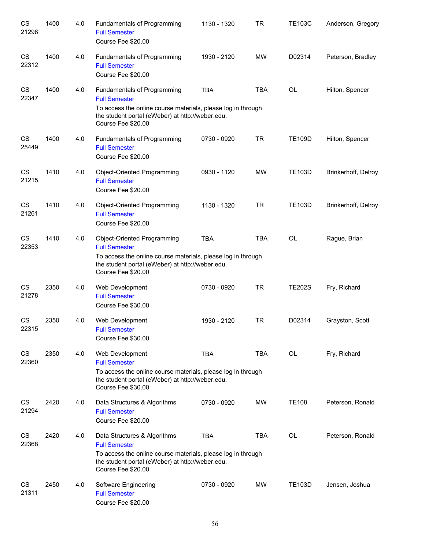| CS<br>21298        | 1400 | 4.0 | Fundamentals of Programming<br><b>Full Semester</b><br>Course Fee \$20.00                                                                                                                      | 1130 - 1320 | TR         | <b>TE103C</b> | Anderson, Gregory   |
|--------------------|------|-----|------------------------------------------------------------------------------------------------------------------------------------------------------------------------------------------------|-------------|------------|---------------|---------------------|
| CS<br>22312        | 1400 | 4.0 | Fundamentals of Programming<br><b>Full Semester</b><br>Course Fee \$20.00                                                                                                                      | 1930 - 2120 | <b>MW</b>  | D02314        | Peterson, Bradley   |
| CS<br>22347        | 1400 | 4.0 | Fundamentals of Programming<br><b>Full Semester</b><br>To access the online course materials, please log in through<br>the student portal (eWeber) at http://weber.edu.<br>Course Fee \$20.00  | <b>TBA</b>  | <b>TBA</b> | OL            | Hilton, Spencer     |
| CS<br>25449        | 1400 | 4.0 | Fundamentals of Programming<br><b>Full Semester</b><br>Course Fee \$20.00                                                                                                                      | 0730 - 0920 | <b>TR</b>  | <b>TE109D</b> | Hilton, Spencer     |
| CS<br>21215        | 1410 | 4.0 | Object-Oriented Programming<br><b>Full Semester</b><br>Course Fee \$20.00                                                                                                                      | 0930 - 1120 | <b>MW</b>  | <b>TE103D</b> | Brinkerhoff, Delroy |
| CS<br>21261        | 1410 | 4.0 | Object-Oriented Programming<br><b>Full Semester</b><br>Course Fee \$20.00                                                                                                                      | 1130 - 1320 | <b>TR</b>  | <b>TE103D</b> | Brinkerhoff, Delroy |
| CS<br>22353        | 1410 | 4.0 | Object-Oriented Programming<br><b>Full Semester</b><br>To access the online course materials, please log in through<br>the student portal (eWeber) at http://weber.edu.<br>Course Fee \$20.00  | <b>TBA</b>  | <b>TBA</b> | <b>OL</b>     | Rague, Brian        |
| CS<br>21278        | 2350 | 4.0 | Web Development<br><b>Full Semester</b><br>Course Fee \$30.00                                                                                                                                  | 0730 - 0920 | <b>TR</b>  | <b>TE202S</b> | Fry, Richard        |
| <b>CS</b><br>22315 | 2350 | 4.0 | Web Development<br><b>Full Semester</b><br>Course Fee \$30.00                                                                                                                                  | 1930 - 2120 | <b>TR</b>  | D02314        | Grayston, Scott     |
| <b>CS</b><br>22360 | 2350 | 4.0 | Web Development<br><b>Full Semester</b><br>To access the online course materials, please log in through<br>the student portal (eWeber) at http://weber.edu.<br>Course Fee \$30.00              | <b>TBA</b>  | <b>TBA</b> | OL            | Fry, Richard        |
| CS<br>21294        | 2420 | 4.0 | Data Structures & Algorithms<br><b>Full Semester</b><br>Course Fee \$20.00                                                                                                                     | 0730 - 0920 | <b>MW</b>  | <b>TE108</b>  | Peterson, Ronald    |
| <b>CS</b><br>22368 | 2420 | 4.0 | Data Structures & Algorithms<br><b>Full Semester</b><br>To access the online course materials, please log in through<br>the student portal (eWeber) at http://weber.edu.<br>Course Fee \$20.00 | <b>TBA</b>  | <b>TBA</b> | OL            | Peterson, Ronald    |
| <b>CS</b><br>21311 | 2450 | 4.0 | Software Engineering<br><b>Full Semester</b><br>Course Fee \$20.00                                                                                                                             | 0730 - 0920 | <b>MW</b>  | <b>TE103D</b> | Jensen, Joshua      |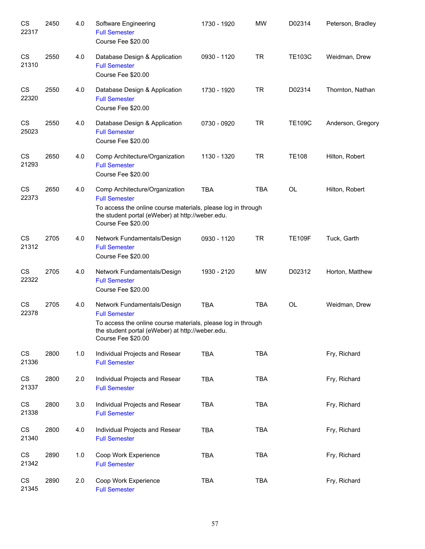| CS<br>22317 | 2450 | 4.0 | Software Engineering<br><b>Full Semester</b><br>Course Fee \$20.00                                                                                                                               | 1730 - 1920 | <b>MW</b>  | D02314        | Peterson, Bradley |
|-------------|------|-----|--------------------------------------------------------------------------------------------------------------------------------------------------------------------------------------------------|-------------|------------|---------------|-------------------|
| CS<br>21310 | 2550 | 4.0 | Database Design & Application<br><b>Full Semester</b><br>Course Fee \$20.00                                                                                                                      | 0930 - 1120 | <b>TR</b>  | <b>TE103C</b> | Weidman, Drew     |
| CS<br>22320 | 2550 | 4.0 | Database Design & Application<br><b>Full Semester</b><br>Course Fee \$20.00                                                                                                                      | 1730 - 1920 | <b>TR</b>  | D02314        | Thornton, Nathan  |
| CS<br>25023 | 2550 | 4.0 | Database Design & Application<br><b>Full Semester</b><br>Course Fee \$20.00                                                                                                                      | 0730 - 0920 | <b>TR</b>  | <b>TE109C</b> | Anderson, Gregory |
| CS<br>21293 | 2650 | 4.0 | Comp Architecture/Organization<br><b>Full Semester</b><br>Course Fee \$20.00                                                                                                                     | 1130 - 1320 | <b>TR</b>  | <b>TE108</b>  | Hilton, Robert    |
| CS<br>22373 | 2650 | 4.0 | Comp Architecture/Organization<br><b>Full Semester</b><br>To access the online course materials, please log in through<br>the student portal (eWeber) at http://weber.edu.<br>Course Fee \$20.00 | <b>TBA</b>  | <b>TBA</b> | OL            | Hilton, Robert    |
| CS<br>21312 | 2705 | 4.0 | Network Fundamentals/Design<br><b>Full Semester</b><br>Course Fee \$20.00                                                                                                                        | 0930 - 1120 | <b>TR</b>  | <b>TE109F</b> | Tuck, Garth       |
| CS<br>22322 | 2705 | 4.0 | Network Fundamentals/Design<br><b>Full Semester</b><br>Course Fee \$20.00                                                                                                                        | 1930 - 2120 | <b>MW</b>  | D02312        | Horton, Matthew   |
| CS<br>22378 | 2705 | 4.0 | Network Fundamentals/Design<br><b>Full Semester</b><br>To access the online course materials, please log in through<br>the student portal (eWeber) at http://weber.edu.<br>Course Fee \$20.00    | <b>TBA</b>  | <b>TBA</b> | <b>OL</b>     | Weidman, Drew     |
| CS<br>21336 | 2800 | 1.0 | Individual Projects and Resear<br><b>Full Semester</b>                                                                                                                                           | <b>TBA</b>  | <b>TBA</b> |               | Fry, Richard      |
| CS<br>21337 | 2800 | 2.0 | Individual Projects and Resear<br><b>Full Semester</b>                                                                                                                                           | <b>TBA</b>  | <b>TBA</b> |               | Fry, Richard      |
| CS<br>21338 | 2800 | 3.0 | Individual Projects and Resear<br><b>Full Semester</b>                                                                                                                                           | TBA         | <b>TBA</b> |               | Fry, Richard      |
| CS<br>21340 | 2800 | 4.0 | Individual Projects and Resear<br><b>Full Semester</b>                                                                                                                                           | <b>TBA</b>  | <b>TBA</b> |               | Fry, Richard      |
| CS<br>21342 | 2890 | 1.0 | Coop Work Experience<br><b>Full Semester</b>                                                                                                                                                     | <b>TBA</b>  | <b>TBA</b> |               | Fry, Richard      |
| CS<br>21345 | 2890 | 2.0 | Coop Work Experience<br><b>Full Semester</b>                                                                                                                                                     | <b>TBA</b>  | <b>TBA</b> |               | Fry, Richard      |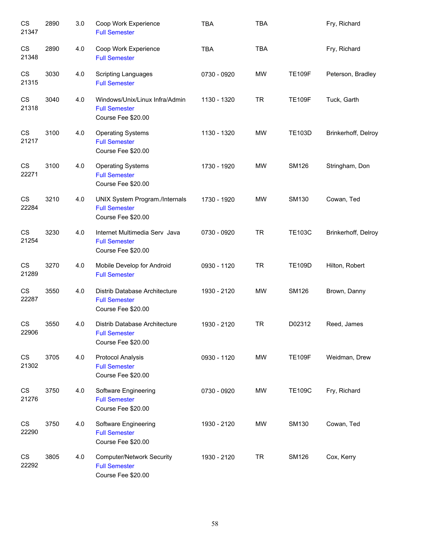| CS<br>21347 | 2890 | 3.0 | Coop Work Experience<br><b>Full Semester</b>                                   | <b>TBA</b>  | <b>TBA</b> |               | Fry, Richard        |
|-------------|------|-----|--------------------------------------------------------------------------------|-------------|------------|---------------|---------------------|
| CS<br>21348 | 2890 | 4.0 | Coop Work Experience<br><b>Full Semester</b>                                   | <b>TBA</b>  | <b>TBA</b> |               | Fry, Richard        |
| CS<br>21315 | 3030 | 4.0 | <b>Scripting Languages</b><br><b>Full Semester</b>                             | 0730 - 0920 | <b>MW</b>  | <b>TE109F</b> | Peterson, Bradley   |
| CS<br>21318 | 3040 | 4.0 | Windows/Unix/Linux Infra/Admin<br><b>Full Semester</b><br>Course Fee \$20.00   | 1130 - 1320 | <b>TR</b>  | <b>TE109F</b> | Tuck, Garth         |
| CS<br>21217 | 3100 | 4.0 | <b>Operating Systems</b><br><b>Full Semester</b><br>Course Fee \$20.00         | 1130 - 1320 | MW         | <b>TE103D</b> | Brinkerhoff, Delroy |
| CS<br>22271 | 3100 | 4.0 | <b>Operating Systems</b><br><b>Full Semester</b><br>Course Fee \$20.00         | 1730 - 1920 | MW         | <b>SM126</b>  | Stringham, Don      |
| CS<br>22284 | 3210 | 4.0 | UNIX System Program./Internals<br><b>Full Semester</b><br>Course Fee \$20.00   | 1730 - 1920 | MW         | <b>SM130</b>  | Cowan, Ted          |
| CS<br>21254 | 3230 | 4.0 | Internet Multimedia Serv Java<br><b>Full Semester</b><br>Course Fee \$20.00    | 0730 - 0920 | <b>TR</b>  | <b>TE103C</b> | Brinkerhoff, Delroy |
| CS<br>21289 | 3270 | 4.0 | Mobile Develop for Android<br><b>Full Semester</b>                             | 0930 - 1120 | <b>TR</b>  | <b>TE109D</b> | Hilton, Robert      |
| CS<br>22287 | 3550 | 4.0 | Distrib Database Architecture<br><b>Full Semester</b><br>Course Fee \$20.00    | 1930 - 2120 | <b>MW</b>  | <b>SM126</b>  | Brown, Danny        |
| CS<br>22906 | 3550 | 4.0 | Distrib Database Architecture<br><b>Full Semester</b><br>Course Fee \$20.00    | 1930 - 2120 | <b>TR</b>  | D02312        | Reed, James         |
| CS<br>21302 | 3705 | 4.0 | Protocol Analysis<br><b>Full Semester</b><br>Course Fee \$20.00                | 0930 - 1120 | MW         | <b>TE109F</b> | Weidman, Drew       |
| CS<br>21276 | 3750 | 4.0 | Software Engineering<br><b>Full Semester</b><br>Course Fee \$20.00             | 0730 - 0920 | MW         | <b>TE109C</b> | Fry, Richard        |
| CS<br>22290 | 3750 | 4.0 | Software Engineering<br><b>Full Semester</b><br>Course Fee \$20.00             | 1930 - 2120 | MW         | <b>SM130</b>  | Cowan, Ted          |
| CS<br>22292 | 3805 | 4.0 | <b>Computer/Network Security</b><br><b>Full Semester</b><br>Course Fee \$20.00 | 1930 - 2120 | <b>TR</b>  | <b>SM126</b>  | Cox, Kerry          |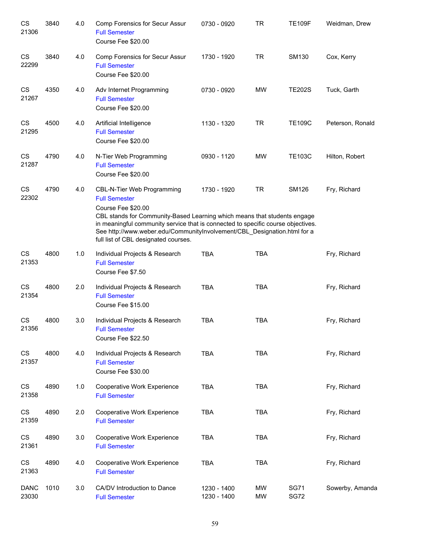| CS<br>21306          | 3840 | 4.0 | Comp Forensics for Secur Assur<br><b>Full Semester</b><br>Course Fee \$20.00                                                                                                                                                                                                                                                                                        | 0730 - 0920                | <b>TR</b>              | <b>TE109F</b>              | Weidman, Drew    |
|----------------------|------|-----|---------------------------------------------------------------------------------------------------------------------------------------------------------------------------------------------------------------------------------------------------------------------------------------------------------------------------------------------------------------------|----------------------------|------------------------|----------------------------|------------------|
| CS<br>22299          | 3840 | 4.0 | Comp Forensics for Secur Assur<br><b>Full Semester</b><br>Course Fee \$20.00                                                                                                                                                                                                                                                                                        | 1730 - 1920                | <b>TR</b>              | <b>SM130</b>               | Cox, Kerry       |
| CS<br>21267          | 4350 | 4.0 | Adv Internet Programming<br><b>Full Semester</b><br>Course Fee \$20.00                                                                                                                                                                                                                                                                                              | 0730 - 0920                | MW                     | <b>TE202S</b>              | Tuck, Garth      |
| CS<br>21295          | 4500 | 4.0 | Artificial Intelligence<br><b>Full Semester</b><br>Course Fee \$20.00                                                                                                                                                                                                                                                                                               | 1130 - 1320                | <b>TR</b>              | <b>TE109C</b>              | Peterson, Ronald |
| CS<br>21287          | 4790 | 4.0 | N-Tier Web Programming<br><b>Full Semester</b><br>Course Fee \$20.00                                                                                                                                                                                                                                                                                                | 0930 - 1120                | MW                     | <b>TE103C</b>              | Hilton, Robert   |
| CS<br>22302          | 4790 | 4.0 | <b>CBL-N-Tier Web Programming</b><br><b>Full Semester</b><br>Course Fee \$20.00<br>CBL stands for Community-Based Learning which means that students engage<br>in meaningful community service that is connected to specific course objectives.<br>See http://www.weber.edu/CommunityInvolvement/CBL_Designation.html for a<br>full list of CBL designated courses. | 1730 - 1920                | <b>TR</b>              | <b>SM126</b>               | Fry, Richard     |
| CS<br>21353          | 4800 | 1.0 | Individual Projects & Research<br><b>Full Semester</b><br>Course Fee \$7.50                                                                                                                                                                                                                                                                                         | <b>TBA</b>                 | <b>TBA</b>             |                            | Fry, Richard     |
| CS<br>21354          | 4800 | 2.0 | Individual Projects & Research<br><b>Full Semester</b><br>Course Fee \$15.00                                                                                                                                                                                                                                                                                        | <b>TBA</b>                 | <b>TBA</b>             |                            | Fry, Richard     |
| <b>CS</b><br>21356   | 4800 | 3.0 | Individual Projects & Research<br><b>Full Semester</b><br>Course Fee \$22.50                                                                                                                                                                                                                                                                                        | <b>TBA</b>                 | <b>TBA</b>             |                            | Fry, Richard     |
| CS<br>21357          | 4800 | 4.0 | Individual Projects & Research<br><b>Full Semester</b><br>Course Fee \$30.00                                                                                                                                                                                                                                                                                        | <b>TBA</b>                 | <b>TBA</b>             |                            | Fry, Richard     |
| CS<br>21358          | 4890 | 1.0 | Cooperative Work Experience<br><b>Full Semester</b>                                                                                                                                                                                                                                                                                                                 | <b>TBA</b>                 | <b>TBA</b>             |                            | Fry, Richard     |
| CS<br>21359          | 4890 | 2.0 | Cooperative Work Experience<br><b>Full Semester</b>                                                                                                                                                                                                                                                                                                                 | <b>TBA</b>                 | <b>TBA</b>             |                            | Fry, Richard     |
| CS<br>21361          | 4890 | 3.0 | Cooperative Work Experience<br><b>Full Semester</b>                                                                                                                                                                                                                                                                                                                 | <b>TBA</b>                 | <b>TBA</b>             |                            | Fry, Richard     |
| CS<br>21363          | 4890 | 4.0 | Cooperative Work Experience<br><b>Full Semester</b>                                                                                                                                                                                                                                                                                                                 | <b>TBA</b>                 | <b>TBA</b>             |                            | Fry, Richard     |
| <b>DANC</b><br>23030 | 1010 | 3.0 | CA/DV Introduction to Dance<br><b>Full Semester</b>                                                                                                                                                                                                                                                                                                                 | 1230 - 1400<br>1230 - 1400 | <b>MW</b><br><b>MW</b> | <b>SG71</b><br><b>SG72</b> | Sowerby, Amanda  |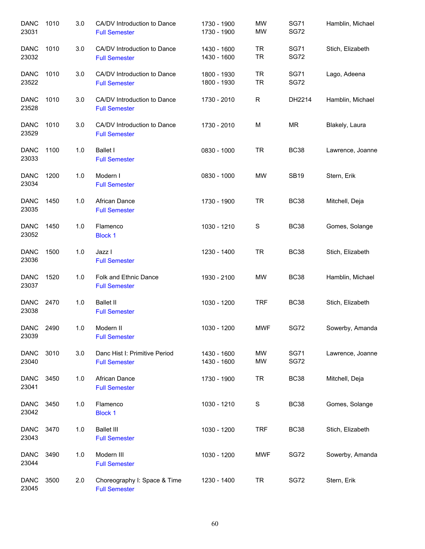| <b>DANC</b><br>23031 | 1010 | 3.0 | CA/DV Introduction to Dance<br><b>Full Semester</b>   | 1730 - 1900<br>1730 - 1900 | <b>MW</b><br><b>MW</b> | <b>SG71</b><br><b>SG72</b> | Hamblin, Michael |
|----------------------|------|-----|-------------------------------------------------------|----------------------------|------------------------|----------------------------|------------------|
| <b>DANC</b><br>23032 | 1010 | 3.0 | CA/DV Introduction to Dance<br><b>Full Semester</b>   | 1430 - 1600<br>1430 - 1600 | <b>TR</b><br><b>TR</b> | <b>SG71</b><br><b>SG72</b> | Stich, Elizabeth |
| <b>DANC</b><br>23522 | 1010 | 3.0 | CA/DV Introduction to Dance<br><b>Full Semester</b>   | 1800 - 1930<br>1800 - 1930 | <b>TR</b><br>TR        | <b>SG71</b><br><b>SG72</b> | Lago, Adeena     |
| <b>DANC</b><br>23528 | 1010 | 3.0 | CA/DV Introduction to Dance<br><b>Full Semester</b>   | 1730 - 2010                | R                      | DH2214                     | Hamblin, Michael |
| <b>DANC</b><br>23529 | 1010 | 3.0 | CA/DV Introduction to Dance<br><b>Full Semester</b>   | 1730 - 2010                | M                      | ΜR                         | Blakely, Laura   |
| <b>DANC</b><br>23033 | 1100 | 1.0 | <b>Ballet I</b><br><b>Full Semester</b>               | 0830 - 1000                | <b>TR</b>              | <b>BC38</b>                | Lawrence, Joanne |
| <b>DANC</b><br>23034 | 1200 | 1.0 | Modern I<br><b>Full Semester</b>                      | 0830 - 1000                | MW                     | <b>SB19</b>                | Stern, Erik      |
| <b>DANC</b><br>23035 | 1450 | 1.0 | African Dance<br><b>Full Semester</b>                 | 1730 - 1900                | <b>TR</b>              | <b>BC38</b>                | Mitchell, Deja   |
| <b>DANC</b><br>23052 | 1450 | 1.0 | Flamenco<br><b>Block 1</b>                            | 1030 - 1210                | $\mathbf S$            | <b>BC38</b>                | Gomes, Solange   |
| <b>DANC</b><br>23036 | 1500 | 1.0 | Jazz I<br><b>Full Semester</b>                        | 1230 - 1400                | <b>TR</b>              | <b>BC38</b>                | Stich, Elizabeth |
| <b>DANC</b><br>23037 | 1520 | 1.0 | Folk and Ethnic Dance<br><b>Full Semester</b>         | 1930 - 2100                | MW                     | <b>BC38</b>                | Hamblin, Michael |
| <b>DANC</b><br>23038 | 2470 | 1.0 | <b>Ballet II</b><br><b>Full Semester</b>              | 1030 - 1200                | <b>TRF</b>             | <b>BC38</b>                | Stich, Elizabeth |
| DANC<br>23039        | 2490 | 1.0 | Modern II<br><b>Full Semester</b>                     | 1030 - 1200                | <b>MWF</b>             | <b>SG72</b>                | Sowerby, Amanda  |
| <b>DANC</b><br>23040 | 3010 | 3.0 | Danc Hist I: Primitive Period<br><b>Full Semester</b> | 1430 - 1600<br>1430 - 1600 | <b>MW</b><br><b>MW</b> | <b>SG71</b><br><b>SG72</b> | Lawrence, Joanne |
| <b>DANC</b><br>23041 | 3450 | 1.0 | African Dance<br><b>Full Semester</b>                 | 1730 - 1900                | <b>TR</b>              | <b>BC38</b>                | Mitchell, Deja   |
| <b>DANC</b><br>23042 | 3450 | 1.0 | Flamenco<br><b>Block 1</b>                            | 1030 - 1210                | $\mathbf S$            | <b>BC38</b>                | Gomes, Solange   |
| <b>DANC</b><br>23043 | 3470 | 1.0 | <b>Ballet III</b><br><b>Full Semester</b>             | 1030 - 1200                | <b>TRF</b>             | <b>BC38</b>                | Stich, Elizabeth |
| <b>DANC</b><br>23044 | 3490 | 1.0 | Modern III<br><b>Full Semester</b>                    | 1030 - 1200                | <b>MWF</b>             | <b>SG72</b>                | Sowerby, Amanda  |
| <b>DANC</b><br>23045 | 3500 | 2.0 | Choreography I: Space & Time<br><b>Full Semester</b>  | 1230 - 1400                | TR                     | <b>SG72</b>                | Stern, Erik      |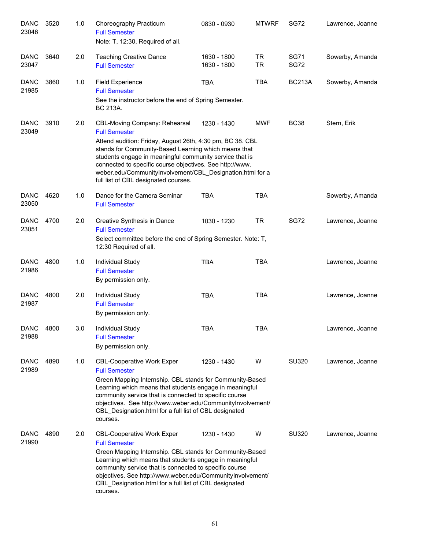| <b>DANC</b><br>23046 | 3520 | 1.0 | Choreography Practicum<br><b>Full Semester</b><br>Note: T, 12:30, Required of all.                                                                                                                                                                                                                                                                                                                     | 0830 - 0930                | <b>MTWRF</b>           | <b>SG72</b>                | Lawrence, Joanne |
|----------------------|------|-----|--------------------------------------------------------------------------------------------------------------------------------------------------------------------------------------------------------------------------------------------------------------------------------------------------------------------------------------------------------------------------------------------------------|----------------------------|------------------------|----------------------------|------------------|
| <b>DANC</b><br>23047 | 3640 | 2.0 | <b>Teaching Creative Dance</b><br><b>Full Semester</b>                                                                                                                                                                                                                                                                                                                                                 | 1630 - 1800<br>1630 - 1800 | <b>TR</b><br><b>TR</b> | <b>SG71</b><br><b>SG72</b> | Sowerby, Amanda  |
| <b>DANC</b><br>21985 | 3860 | 1.0 | <b>Field Experience</b><br><b>Full Semester</b><br>See the instructor before the end of Spring Semester.<br>BC 213A.                                                                                                                                                                                                                                                                                   | <b>TBA</b>                 | <b>TBA</b>             | <b>BC213A</b>              | Sowerby, Amanda  |
| <b>DANC</b><br>23049 | 3910 | 2.0 | CBL-Moving Company: Rehearsal<br><b>Full Semester</b><br>Attend audition: Friday, August 26th, 4:30 pm, BC 38. CBL<br>stands for Community-Based Learning which means that<br>students engage in meaningful community service that is<br>connected to specific course objectives. See http://www.<br>weber.edu/CommunityInvolvement/CBL_Designation.html for a<br>full list of CBL designated courses. | 1230 - 1430                | <b>MWF</b>             | <b>BC38</b>                | Stern, Erik      |
| <b>DANC</b><br>23050 | 4620 | 1.0 | Dance for the Camera Seminar<br><b>Full Semester</b>                                                                                                                                                                                                                                                                                                                                                   | <b>TBA</b>                 | <b>TBA</b>             |                            | Sowerby, Amanda  |
| <b>DANC</b><br>23051 | 4700 | 2.0 | Creative Synthesis in Dance<br><b>Full Semester</b><br>Select committee before the end of Spring Semester. Note: T,<br>12:30 Required of all.                                                                                                                                                                                                                                                          | 1030 - 1230                | <b>TR</b>              | <b>SG72</b>                | Lawrence, Joanne |
| <b>DANC</b><br>21986 | 4800 | 1.0 | Individual Study<br><b>Full Semester</b><br>By permission only.                                                                                                                                                                                                                                                                                                                                        | <b>TBA</b>                 | <b>TBA</b>             |                            | Lawrence, Joanne |
| <b>DANC</b><br>21987 | 4800 | 2.0 | Individual Study<br><b>Full Semester</b><br>By permission only.                                                                                                                                                                                                                                                                                                                                        | <b>TBA</b>                 | <b>TBA</b>             |                            | Lawrence, Joanne |
| <b>DANC</b><br>21988 | 4800 | 3.0 | Individual Study<br><b>Full Semester</b><br>By permission only.                                                                                                                                                                                                                                                                                                                                        | TBA                        | <b>TBA</b>             |                            | Lawrence, Joanne |
| <b>DANC</b><br>21989 | 4890 | 1.0 | <b>CBL-Cooperative Work Exper</b><br><b>Full Semester</b><br>Green Mapping Internship. CBL stands for Community-Based<br>Learning which means that students engage in meaningful<br>community service that is connected to specific course<br>objectives. See http://www.weber.edu/CommunityInvolvement/<br>CBL Designation.html for a full list of CBL designated<br>courses.                         | 1230 - 1430                | W                      | SU320                      | Lawrence, Joanne |
| <b>DANC</b><br>21990 | 4890 | 2.0 | <b>CBL-Cooperative Work Exper</b><br><b>Full Semester</b><br>Green Mapping Internship. CBL stands for Community-Based<br>Learning which means that students engage in meaningful<br>community service that is connected to specific course<br>objectives. See http://www.weber.edu/CommunityInvolvement/<br>CBL_Designation.html for a full list of CBL designated<br>courses.                         | 1230 - 1430                | W                      | SU320                      | Lawrence, Joanne |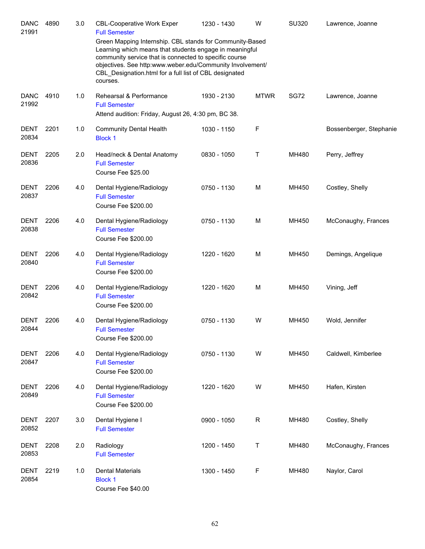| <b>DANC</b><br>21991 | 4890 | 3.0 | <b>CBL-Cooperative Work Exper</b><br><b>Full Semester</b><br>Green Mapping Internship. CBL stands for Community-Based<br>Learning which means that students engage in meaningful<br>community service that is connected to specific course<br>objectives. See http:www.weber.edu/Community Involvement/<br>CBL_Designation.html for a full list of CBL designated<br>courses. | 1230 - 1430 | W           | <b>SU320</b> | Lawrence, Joanne        |
|----------------------|------|-----|-------------------------------------------------------------------------------------------------------------------------------------------------------------------------------------------------------------------------------------------------------------------------------------------------------------------------------------------------------------------------------|-------------|-------------|--------------|-------------------------|
| <b>DANC</b><br>21992 | 4910 | 1.0 | Rehearsal & Performance<br><b>Full Semester</b><br>Attend audition: Friday, August 26, 4:30 pm, BC 38.                                                                                                                                                                                                                                                                        | 1930 - 2130 | <b>MTWR</b> | <b>SG72</b>  | Lawrence, Joanne        |
| <b>DENT</b><br>20834 | 2201 | 1.0 | <b>Community Dental Health</b><br><b>Block 1</b>                                                                                                                                                                                                                                                                                                                              | 1030 - 1150 | F           |              | Bossenberger, Stephanie |
| <b>DENT</b><br>20836 | 2205 | 2.0 | Head/neck & Dental Anatomy<br><b>Full Semester</b><br>Course Fee \$25.00                                                                                                                                                                                                                                                                                                      | 0830 - 1050 | Τ           | MH480        | Perry, Jeffrey          |
| <b>DENT</b><br>20837 | 2206 | 4.0 | Dental Hygiene/Radiology<br><b>Full Semester</b><br>Course Fee \$200.00                                                                                                                                                                                                                                                                                                       | 0750 - 1130 | M           | MH450        | Costley, Shelly         |
| <b>DENT</b><br>20838 | 2206 | 4.0 | Dental Hygiene/Radiology<br><b>Full Semester</b><br>Course Fee \$200.00                                                                                                                                                                                                                                                                                                       | 0750 - 1130 | M           | MH450        | McConaughy, Frances     |
| <b>DENT</b><br>20840 | 2206 | 4.0 | Dental Hygiene/Radiology<br><b>Full Semester</b><br>Course Fee \$200.00                                                                                                                                                                                                                                                                                                       | 1220 - 1620 | M           | MH450        | Demings, Angelique      |
| DENT<br>20842        | 2206 | 4.0 | Dental Hygiene/Radiology<br><b>Full Semester</b><br>Course Fee \$200.00                                                                                                                                                                                                                                                                                                       | 1220 - 1620 | M           | MH450        | Vining, Jeff            |
| <b>DENT</b><br>20844 | 2206 | 4.0 | Dental Hygiene/Radiology<br><b>Full Semester</b><br>Course Fee \$200.00                                                                                                                                                                                                                                                                                                       | 0750 - 1130 | W           | MH450        | Wold, Jennifer          |
| <b>DENT</b><br>20847 | 2206 | 4.0 | Dental Hygiene/Radiology<br><b>Full Semester</b><br>Course Fee \$200.00                                                                                                                                                                                                                                                                                                       | 0750 - 1130 | W           | MH450        | Caldwell, Kimberlee     |
| <b>DENT</b><br>20849 | 2206 | 4.0 | Dental Hygiene/Radiology<br><b>Full Semester</b><br>Course Fee \$200.00                                                                                                                                                                                                                                                                                                       | 1220 - 1620 | W           | MH450        | Hafen, Kirsten          |
| <b>DENT</b><br>20852 | 2207 | 3.0 | Dental Hygiene I<br><b>Full Semester</b>                                                                                                                                                                                                                                                                                                                                      | 0900 - 1050 | R           | MH480        | Costley, Shelly         |
| <b>DENT</b><br>20853 | 2208 | 2.0 | Radiology<br><b>Full Semester</b>                                                                                                                                                                                                                                                                                                                                             | 1200 - 1450 | Τ           | MH480        | McConaughy, Frances     |
| <b>DENT</b><br>20854 | 2219 | 1.0 | <b>Dental Materials</b><br><b>Block 1</b><br>Course Fee \$40.00                                                                                                                                                                                                                                                                                                               | 1300 - 1450 | F           | MH480        | Naylor, Carol           |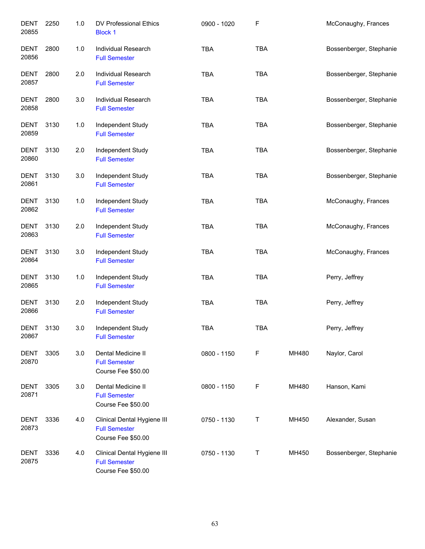| <b>DENT</b><br>20855 | 2250 | 1.0   | DV Professional Ethics<br><b>Block 1</b>                                  | 0900 - 1020 | F          |       | McConaughy, Frances     |
|----------------------|------|-------|---------------------------------------------------------------------------|-------------|------------|-------|-------------------------|
| <b>DENT</b><br>20856 | 2800 | 1.0   | Individual Research<br><b>Full Semester</b>                               | <b>TBA</b>  | <b>TBA</b> |       | Bossenberger, Stephanie |
| DENT<br>20857        | 2800 | 2.0   | Individual Research<br><b>Full Semester</b>                               | <b>TBA</b>  | <b>TBA</b> |       | Bossenberger, Stephanie |
| DENT<br>20858        | 2800 | 3.0   | Individual Research<br><b>Full Semester</b>                               | <b>TBA</b>  | <b>TBA</b> |       | Bossenberger, Stephanie |
| DENT<br>20859        | 3130 | 1.0   | Independent Study<br><b>Full Semester</b>                                 | <b>TBA</b>  | <b>TBA</b> |       | Bossenberger, Stephanie |
| <b>DENT</b><br>20860 | 3130 | 2.0   | Independent Study<br><b>Full Semester</b>                                 | <b>TBA</b>  | <b>TBA</b> |       | Bossenberger, Stephanie |
| <b>DENT</b><br>20861 | 3130 | 3.0   | Independent Study<br><b>Full Semester</b>                                 | <b>TBA</b>  | TBA        |       | Bossenberger, Stephanie |
| <b>DENT</b><br>20862 | 3130 | 1.0   | Independent Study<br><b>Full Semester</b>                                 | <b>TBA</b>  | <b>TBA</b> |       | McConaughy, Frances     |
| <b>DENT</b><br>20863 | 3130 | 2.0   | Independent Study<br><b>Full Semester</b>                                 | <b>TBA</b>  | <b>TBA</b> |       | McConaughy, Frances     |
| <b>DENT</b><br>20864 | 3130 | 3.0   | Independent Study<br><b>Full Semester</b>                                 | <b>TBA</b>  | <b>TBA</b> |       | McConaughy, Frances     |
| <b>DENT</b><br>20865 | 3130 | $1.0$ | Independent Study<br><b>Full Semester</b>                                 | <b>TBA</b>  | <b>TBA</b> |       | Perry, Jeffrey          |
| <b>DENT</b><br>20866 | 3130 | 2.0   | Independent Study<br><b>Full Semester</b>                                 | <b>TBA</b>  | <b>TBA</b> |       | Perry, Jeffrey          |
| DENT<br>20867        | 3130 | 3.0   | Independent Study<br><b>Full Semester</b>                                 | <b>TBA</b>  | <b>TBA</b> |       | Perry, Jeffrey          |
| <b>DENT</b><br>20870 | 3305 | 3.0   | Dental Medicine II<br><b>Full Semester</b><br>Course Fee \$50.00          | 0800 - 1150 | F          | MH480 | Naylor, Carol           |
| DENT<br>20871        | 3305 | 3.0   | Dental Medicine II<br><b>Full Semester</b><br>Course Fee \$50.00          | 0800 - 1150 | F          | MH480 | Hanson, Kami            |
| DENT<br>20873        | 3336 | 4.0   | Clinical Dental Hygiene III<br><b>Full Semester</b><br>Course Fee \$50.00 | 0750 - 1130 | Т          | MH450 | Alexander, Susan        |
| DENT<br>20875        | 3336 | 4.0   | Clinical Dental Hygiene III<br><b>Full Semester</b><br>Course Fee \$50.00 | 0750 - 1130 | Т          | MH450 | Bossenberger, Stephanie |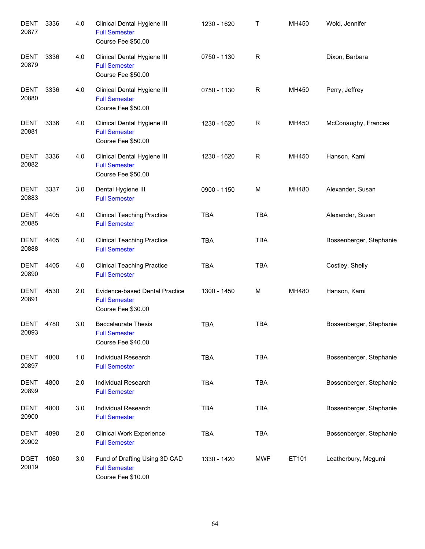| <b>DENT</b><br>20877 | 3336 | 4.0 | Clinical Dental Hygiene III<br><b>Full Semester</b><br>Course Fee \$50.00    | 1230 - 1620 | Τ          | MH450 | Wold, Jennifer          |
|----------------------|------|-----|------------------------------------------------------------------------------|-------------|------------|-------|-------------------------|
| <b>DENT</b><br>20879 | 3336 | 4.0 | Clinical Dental Hygiene III<br><b>Full Semester</b><br>Course Fee \$50.00    | 0750 - 1130 | R          |       | Dixon, Barbara          |
| <b>DENT</b><br>20880 | 3336 | 4.0 | Clinical Dental Hygiene III<br><b>Full Semester</b><br>Course Fee \$50.00    | 0750 - 1130 | R          | MH450 | Perry, Jeffrey          |
| <b>DENT</b><br>20881 | 3336 | 4.0 | Clinical Dental Hygiene III<br><b>Full Semester</b><br>Course Fee \$50.00    | 1230 - 1620 | R          | MH450 | McConaughy, Frances     |
| <b>DENT</b><br>20882 | 3336 | 4.0 | Clinical Dental Hygiene III<br><b>Full Semester</b><br>Course Fee \$50.00    | 1230 - 1620 | R          | MH450 | Hanson, Kami            |
| <b>DENT</b><br>20883 | 3337 | 3.0 | Dental Hygiene III<br><b>Full Semester</b>                                   | 0900 - 1150 | M          | MH480 | Alexander, Susan        |
| <b>DENT</b><br>20885 | 4405 | 4.0 | <b>Clinical Teaching Practice</b><br><b>Full Semester</b>                    | <b>TBA</b>  | <b>TBA</b> |       | Alexander, Susan        |
| DENT<br>20888        | 4405 | 4.0 | <b>Clinical Teaching Practice</b><br><b>Full Semester</b>                    | <b>TBA</b>  | <b>TBA</b> |       | Bossenberger, Stephanie |
| <b>DENT</b><br>20890 | 4405 | 4.0 | <b>Clinical Teaching Practice</b><br><b>Full Semester</b>                    | <b>TBA</b>  | <b>TBA</b> |       | Costley, Shelly         |
| <b>DENT</b><br>20891 | 4530 | 2.0 | Evidence-based Dental Practice<br><b>Full Semester</b><br>Course Fee \$30.00 | 1300 - 1450 | М          | MH480 | Hanson, Kami            |
| DENT<br>20893        | 4780 | 3.0 | <b>Baccalaurate Thesis</b><br><b>Full Semester</b><br>Course Fee \$40.00     | <b>TBA</b>  | <b>TBA</b> |       | Bossenberger, Stephanie |
| <b>DENT</b><br>20897 | 4800 | 1.0 | <b>Individual Research</b><br><b>Full Semester</b>                           | <b>TBA</b>  | <b>TBA</b> |       | Bossenberger, Stephanie |
| <b>DENT</b><br>20899 | 4800 | 2.0 | Individual Research<br><b>Full Semester</b>                                  | <b>TBA</b>  | <b>TBA</b> |       | Bossenberger, Stephanie |
| <b>DENT</b><br>20900 | 4800 | 3.0 | <b>Individual Research</b><br><b>Full Semester</b>                           | <b>TBA</b>  | <b>TBA</b> |       | Bossenberger, Stephanie |
| DENT<br>20902        | 4890 | 2.0 | <b>Clinical Work Experience</b><br><b>Full Semester</b>                      | <b>TBA</b>  | <b>TBA</b> |       | Bossenberger, Stephanie |
| <b>DGET</b><br>20019 | 1060 | 3.0 | Fund of Drafting Using 3D CAD<br><b>Full Semester</b><br>Course Fee \$10.00  | 1330 - 1420 | <b>MWF</b> | ET101 | Leatherbury, Megumi     |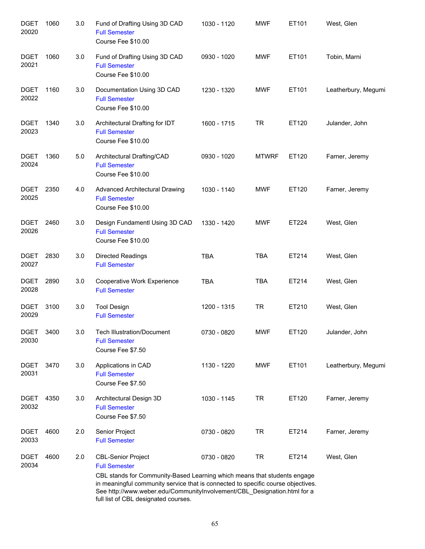| <b>DGET</b><br>20020 | 1060 | 3.0 | Fund of Drafting Using 3D CAD<br><b>Full Semester</b><br>Course Fee \$10.00                                                                                                                                                                                                                                                           | 1030 - 1120 | <b>MWF</b>   | ET101 | West, Glen          |
|----------------------|------|-----|---------------------------------------------------------------------------------------------------------------------------------------------------------------------------------------------------------------------------------------------------------------------------------------------------------------------------------------|-------------|--------------|-------|---------------------|
| <b>DGET</b><br>20021 | 1060 | 3.0 | Fund of Drafting Using 3D CAD<br><b>Full Semester</b><br>Course Fee \$10.00                                                                                                                                                                                                                                                           | 0930 - 1020 | <b>MWF</b>   | ET101 | Tobin, Marni        |
| <b>DGET</b><br>20022 | 1160 | 3.0 | Documentation Using 3D CAD<br><b>Full Semester</b><br>Course Fee \$10.00                                                                                                                                                                                                                                                              | 1230 - 1320 | <b>MWF</b>   | ET101 | Leatherbury, Megumi |
| <b>DGET</b><br>20023 | 1340 | 3.0 | Architectural Drafting for IDT<br><b>Full Semester</b><br>Course Fee \$10.00                                                                                                                                                                                                                                                          | 1600 - 1715 | <b>TR</b>    | ET120 | Julander, John      |
| <b>DGET</b><br>20024 | 1360 | 5.0 | Architectural Drafting/CAD<br><b>Full Semester</b><br>Course Fee \$10.00                                                                                                                                                                                                                                                              | 0930 - 1020 | <b>MTWRF</b> | ET120 | Farner, Jeremy      |
| <b>DGET</b><br>20025 | 2350 | 4.0 | <b>Advanced Architectural Drawing</b><br><b>Full Semester</b><br>Course Fee \$10.00                                                                                                                                                                                                                                                   | 1030 - 1140 | <b>MWF</b>   | ET120 | Farner, Jeremy      |
| <b>DGET</b><br>20026 | 2460 | 3.0 | Design Fundamentl Using 3D CAD<br><b>Full Semester</b><br>Course Fee \$10.00                                                                                                                                                                                                                                                          | 1330 - 1420 | <b>MWF</b>   | ET224 | West, Glen          |
| <b>DGET</b><br>20027 | 2830 | 3.0 | Directed Readings<br><b>Full Semester</b>                                                                                                                                                                                                                                                                                             | <b>TBA</b>  | <b>TBA</b>   | ET214 | West, Glen          |
| <b>DGET</b><br>20028 | 2890 | 3.0 | Cooperative Work Experience<br><b>Full Semester</b>                                                                                                                                                                                                                                                                                   | <b>TBA</b>  | <b>TBA</b>   | ET214 | West, Glen          |
| <b>DGET</b><br>20029 | 3100 | 3.0 | <b>Tool Design</b><br><b>Full Semester</b>                                                                                                                                                                                                                                                                                            | 1200 - 1315 | <b>TR</b>    | ET210 | West, Glen          |
| <b>DGET</b><br>20030 | 3400 | 3.0 | <b>Tech Illustration/Document</b><br><b>Full Semester</b><br>Course Fee \$7.50                                                                                                                                                                                                                                                        | 0730 - 0820 | <b>MWF</b>   | ET120 | Julander, John      |
| <b>DGET</b><br>20031 | 3470 | 3.0 | Applications in CAD<br><b>Full Semester</b><br>Course Fee \$7.50                                                                                                                                                                                                                                                                      | 1130 - 1220 | <b>MWF</b>   | ET101 | Leatherbury, Megumi |
| <b>DGET</b><br>20032 | 4350 | 3.0 | Architectural Design 3D<br><b>Full Semester</b><br>Course Fee \$7.50                                                                                                                                                                                                                                                                  | 1030 - 1145 | <b>TR</b>    | ET120 | Farner, Jeremy      |
| <b>DGET</b><br>20033 | 4600 | 2.0 | Senior Project<br><b>Full Semester</b>                                                                                                                                                                                                                                                                                                | 0730 - 0820 | <b>TR</b>    | ET214 | Farner, Jeremy      |
| <b>DGET</b><br>20034 | 4600 | 2.0 | <b>CBL-Senior Project</b><br><b>Full Semester</b><br>CBL stands for Community-Based Learning which means that students engage<br>in meaningful community service that is connected to specific course objectives.<br>See http://www.weber.edu/CommunityInvolvement/CBL_Designation.html for a<br>full list of CBL designated courses. | 0730 - 0820 | <b>TR</b>    | ET214 | West, Glen          |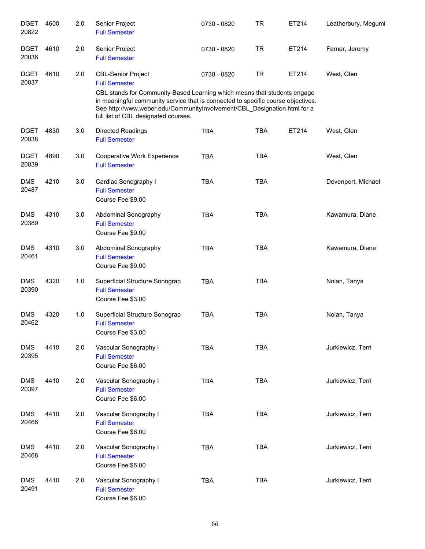| <b>DGET</b><br>20822 | 4600 | 2.0 | Senior Project<br><b>Full Semester</b>                                                                                                                                                                                                                                                                                                | 0730 - 0820 | <b>TR</b>  | ET214 | Leatherbury, Megumi |
|----------------------|------|-----|---------------------------------------------------------------------------------------------------------------------------------------------------------------------------------------------------------------------------------------------------------------------------------------------------------------------------------------|-------------|------------|-------|---------------------|
| <b>DGET</b><br>20036 | 4610 | 2.0 | Senior Project<br><b>Full Semester</b>                                                                                                                                                                                                                                                                                                | 0730 - 0820 | <b>TR</b>  | ET214 | Farner, Jeremy      |
| <b>DGET</b><br>20037 | 4610 | 2.0 | <b>CBL-Senior Project</b><br><b>Full Semester</b><br>CBL stands for Community-Based Learning which means that students engage<br>in meaningful community service that is connected to specific course objectives.<br>See http://www.weber.edu/CommunityInvolvement/CBL_Designation.html for a<br>full list of CBL designated courses. | 0730 - 0820 | <b>TR</b>  | ET214 | West, Glen          |
| <b>DGET</b><br>20038 | 4830 | 3.0 | Directed Readings<br><b>Full Semester</b>                                                                                                                                                                                                                                                                                             | <b>TBA</b>  | <b>TBA</b> | ET214 | West, Glen          |
| <b>DGET</b><br>20039 | 4890 | 3.0 | Cooperative Work Experience<br><b>Full Semester</b>                                                                                                                                                                                                                                                                                   | <b>TBA</b>  | <b>TBA</b> |       | West, Glen          |
| <b>DMS</b><br>20487  | 4210 | 3.0 | Cardiac Sonography I<br><b>Full Semester</b><br>Course Fee \$9.00                                                                                                                                                                                                                                                                     | <b>TBA</b>  | <b>TBA</b> |       | Devenport, Michael  |
| <b>DMS</b><br>20389  | 4310 | 3.0 | Abdominal Sonography<br><b>Full Semester</b><br>Course Fee \$9.00                                                                                                                                                                                                                                                                     | <b>TBA</b>  | <b>TBA</b> |       | Kawamura, Diane     |
| <b>DMS</b><br>20461  | 4310 | 3.0 | Abdominal Sonography<br><b>Full Semester</b><br>Course Fee \$9.00                                                                                                                                                                                                                                                                     | <b>TBA</b>  | <b>TBA</b> |       | Kawamura, Diane     |
| <b>DMS</b><br>20390  | 4320 | 1.0 | Superficial Structure Sonograp<br><b>Full Semester</b><br>Course Fee \$3.00                                                                                                                                                                                                                                                           | <b>TBA</b>  | <b>TBA</b> |       | Nolan, Tanya        |
| <b>DMS</b><br>20462  | 4320 | 1.0 | Superficial Structure Sonograp<br><b>Full Semester</b><br>Course Fee \$3.00                                                                                                                                                                                                                                                           | <b>TBA</b>  | <b>TBA</b> |       | Nolan, Tanya        |
| <b>DMS</b><br>20395  | 4410 | 2.0 | Vascular Sonography I<br><b>Full Semester</b><br>Course Fee \$6.00                                                                                                                                                                                                                                                                    | <b>TBA</b>  | <b>TBA</b> |       | Jurkiewicz, Terri   |
| <b>DMS</b><br>20397  | 4410 | 2.0 | Vascular Sonography I<br><b>Full Semester</b><br>Course Fee \$6.00                                                                                                                                                                                                                                                                    | <b>TBA</b>  | <b>TBA</b> |       | Jurkiewicz, Terri   |
| <b>DMS</b><br>20466  | 4410 | 2.0 | Vascular Sonography I<br><b>Full Semester</b><br>Course Fee \$6.00                                                                                                                                                                                                                                                                    | <b>TBA</b>  | <b>TBA</b> |       | Jurkiewicz, Terri   |
| <b>DMS</b><br>20468  | 4410 | 2.0 | Vascular Sonography I<br><b>Full Semester</b><br>Course Fee \$6.00                                                                                                                                                                                                                                                                    | <b>TBA</b>  | <b>TBA</b> |       | Jurkiewicz, Terri   |
| <b>DMS</b><br>20491  | 4410 | 2.0 | Vascular Sonography I<br><b>Full Semester</b><br>Course Fee \$6.00                                                                                                                                                                                                                                                                    | <b>TBA</b>  | <b>TBA</b> |       | Jurkiewicz, Terri   |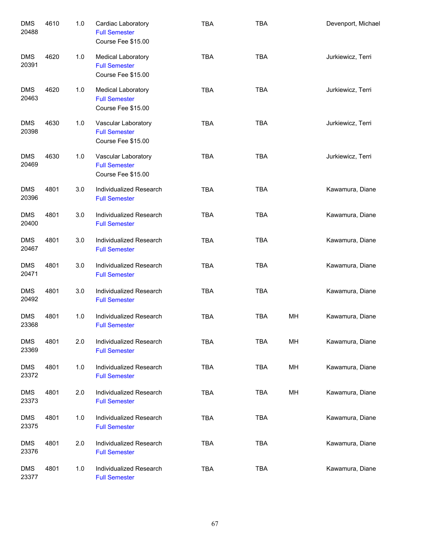| <b>DMS</b><br>20488 | 4610 | 1.0 | Cardiac Laboratory<br><b>Full Semester</b><br>Course Fee \$15.00        | <b>TBA</b> | <b>TBA</b> |    | Devenport, Michael |
|---------------------|------|-----|-------------------------------------------------------------------------|------------|------------|----|--------------------|
| <b>DMS</b><br>20391 | 4620 | 1.0 | <b>Medical Laboratory</b><br><b>Full Semester</b><br>Course Fee \$15.00 | <b>TBA</b> | <b>TBA</b> |    | Jurkiewicz, Terri  |
| <b>DMS</b><br>20463 | 4620 | 1.0 | <b>Medical Laboratory</b><br><b>Full Semester</b><br>Course Fee \$15.00 | <b>TBA</b> | <b>TBA</b> |    | Jurkiewicz, Terri  |
| <b>DMS</b><br>20398 | 4630 | 1.0 | Vascular Laboratory<br><b>Full Semester</b><br>Course Fee \$15.00       | <b>TBA</b> | <b>TBA</b> |    | Jurkiewicz, Terri  |
| <b>DMS</b><br>20469 | 4630 | 1.0 | Vascular Laboratory<br><b>Full Semester</b><br>Course Fee \$15.00       | <b>TBA</b> | <b>TBA</b> |    | Jurkiewicz, Terri  |
| <b>DMS</b><br>20396 | 4801 | 3.0 | Individualized Research<br><b>Full Semester</b>                         | <b>TBA</b> | <b>TBA</b> |    | Kawamura, Diane    |
| <b>DMS</b><br>20400 | 4801 | 3.0 | Individualized Research<br><b>Full Semester</b>                         | <b>TBA</b> | <b>TBA</b> |    | Kawamura, Diane    |
| <b>DMS</b><br>20467 | 4801 | 3.0 | Individualized Research<br><b>Full Semester</b>                         | <b>TBA</b> | <b>TBA</b> |    | Kawamura, Diane    |
| <b>DMS</b><br>20471 | 4801 | 3.0 | Individualized Research<br><b>Full Semester</b>                         | <b>TBA</b> | <b>TBA</b> |    | Kawamura, Diane    |
| <b>DMS</b><br>20492 | 4801 | 3.0 | Individualized Research<br><b>Full Semester</b>                         | <b>TBA</b> | <b>TBA</b> |    | Kawamura, Diane    |
| <b>DMS</b><br>23368 | 4801 | 1.0 | Individualized Research<br><b>Full Semester</b>                         | <b>TBA</b> | <b>TBA</b> | MH | Kawamura, Diane    |
| <b>DMS</b><br>23369 | 4801 | 2.0 | Individualized Research<br><b>Full Semester</b>                         | <b>TBA</b> | <b>TBA</b> | MH | Kawamura, Diane    |
| <b>DMS</b><br>23372 | 4801 | 1.0 | Individualized Research<br><b>Full Semester</b>                         | <b>TBA</b> | <b>TBA</b> | MH | Kawamura, Diane    |
| <b>DMS</b><br>23373 | 4801 | 2.0 | Individualized Research<br><b>Full Semester</b>                         | <b>TBA</b> | <b>TBA</b> | MH | Kawamura, Diane    |
| <b>DMS</b><br>23375 | 4801 | 1.0 | Individualized Research<br><b>Full Semester</b>                         | <b>TBA</b> | <b>TBA</b> |    | Kawamura, Diane    |
| <b>DMS</b><br>23376 | 4801 | 2.0 | Individualized Research<br><b>Full Semester</b>                         | <b>TBA</b> | <b>TBA</b> |    | Kawamura, Diane    |
| <b>DMS</b><br>23377 | 4801 | 1.0 | Individualized Research<br><b>Full Semester</b>                         | <b>TBA</b> | <b>TBA</b> |    | Kawamura, Diane    |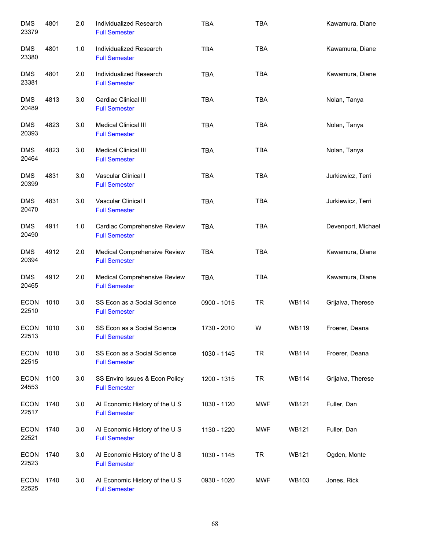| <b>DMS</b><br>23379  | 4801 | 2.0 | Individualized Research<br><b>Full Semester</b>        | <b>TBA</b>  | <b>TBA</b> |              | Kawamura, Diane    |
|----------------------|------|-----|--------------------------------------------------------|-------------|------------|--------------|--------------------|
| <b>DMS</b><br>23380  | 4801 | 1.0 | Individualized Research<br><b>Full Semester</b>        | <b>TBA</b>  | <b>TBA</b> |              | Kawamura, Diane    |
| <b>DMS</b><br>23381  | 4801 | 2.0 | Individualized Research<br><b>Full Semester</b>        | <b>TBA</b>  | <b>TBA</b> |              | Kawamura, Diane    |
| <b>DMS</b><br>20489  | 4813 | 3.0 | Cardiac Clinical III<br><b>Full Semester</b>           | <b>TBA</b>  | <b>TBA</b> |              | Nolan, Tanya       |
| <b>DMS</b><br>20393  | 4823 | 3.0 | <b>Medical Clinical III</b><br><b>Full Semester</b>    | <b>TBA</b>  | <b>TBA</b> |              | Nolan, Tanya       |
| <b>DMS</b><br>20464  | 4823 | 3.0 | <b>Medical Clinical III</b><br><b>Full Semester</b>    | <b>TBA</b>  | <b>TBA</b> |              | Nolan, Tanya       |
| <b>DMS</b><br>20399  | 4831 | 3.0 | Vascular Clinical I<br><b>Full Semester</b>            | <b>TBA</b>  | <b>TBA</b> |              | Jurkiewicz, Terri  |
| <b>DMS</b><br>20470  | 4831 | 3.0 | Vascular Clinical I<br><b>Full Semester</b>            | <b>TBA</b>  | <b>TBA</b> |              | Jurkiewicz, Terri  |
| <b>DMS</b><br>20490  | 4911 | 1.0 | Cardiac Comprehensive Review<br><b>Full Semester</b>   | <b>TBA</b>  | <b>TBA</b> |              | Devenport, Michael |
| <b>DMS</b><br>20394  | 4912 | 2.0 | Medical Comprehensive Review<br><b>Full Semester</b>   | <b>TBA</b>  | <b>TBA</b> |              | Kawamura, Diane    |
| <b>DMS</b><br>20465  | 4912 | 2.0 | Medical Comprehensive Review<br><b>Full Semester</b>   | <b>TBA</b>  | <b>TBA</b> |              | Kawamura, Diane    |
| <b>ECON</b><br>22510 | 1010 | 3.0 | SS Econ as a Social Science<br><b>Full Semester</b>    | 0900 - 1015 | <b>TR</b>  | <b>WB114</b> | Grijalva, Therese  |
| <b>ECON</b><br>22513 | 1010 | 3.0 | SS Econ as a Social Science<br><b>Full Semester</b>    | 1730 - 2010 | W          | <b>WB119</b> | Froerer, Deana     |
| <b>ECON</b><br>22515 | 1010 | 3.0 | SS Econ as a Social Science<br><b>Full Semester</b>    | 1030 - 1145 | <b>TR</b>  | <b>WB114</b> | Froerer, Deana     |
| <b>ECON</b><br>24553 | 1100 | 3.0 | SS Enviro Issues & Econ Policy<br><b>Full Semester</b> | 1200 - 1315 | <b>TR</b>  | <b>WB114</b> | Grijalva, Therese  |
| <b>ECON</b><br>22517 | 1740 | 3.0 | AI Economic History of the U S<br><b>Full Semester</b> | 1030 - 1120 | <b>MWF</b> | <b>WB121</b> | Fuller, Dan        |
| <b>ECON</b><br>22521 | 1740 | 3.0 | Al Economic History of the U S<br><b>Full Semester</b> | 1130 - 1220 | <b>MWF</b> | <b>WB121</b> | Fuller, Dan        |
| <b>ECON</b><br>22523 | 1740 | 3.0 | Al Economic History of the U S<br><b>Full Semester</b> | 1030 - 1145 | <b>TR</b>  | <b>WB121</b> | Ogden, Monte       |
| <b>ECON</b><br>22525 | 1740 | 3.0 | Al Economic History of the U S<br><b>Full Semester</b> | 0930 - 1020 | <b>MWF</b> | WB103        | Jones, Rick        |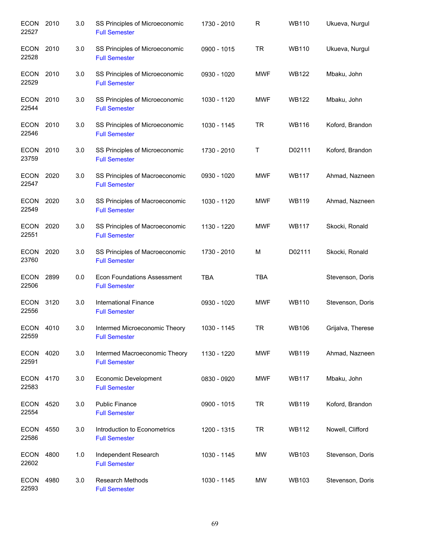| <b>ECON</b><br>22527 | 2010 | 3.0 | SS Principles of Microeconomic<br><b>Full Semester</b>     | 1730 - 2010 | $\mathsf{R}$ | <b>WB110</b> | Ukueva, Nurgul    |
|----------------------|------|-----|------------------------------------------------------------|-------------|--------------|--------------|-------------------|
| ECON<br>22528        | 2010 | 3.0 | SS Principles of Microeconomic<br><b>Full Semester</b>     | 0900 - 1015 | <b>TR</b>    | <b>WB110</b> | Ukueva, Nurgul    |
| ECON<br>22529        | 2010 | 3.0 | SS Principles of Microeconomic<br><b>Full Semester</b>     | 0930 - 1020 | <b>MWF</b>   | <b>WB122</b> | Mbaku, John       |
| ECON 2010<br>22544   |      | 3.0 | SS Principles of Microeconomic<br><b>Full Semester</b>     | 1030 - 1120 | <b>MWF</b>   | <b>WB122</b> | Mbaku, John       |
| ECON<br>22546        | 2010 | 3.0 | SS Principles of Microeconomic<br><b>Full Semester</b>     | 1030 - 1145 | <b>TR</b>    | <b>WB116</b> | Koford, Brandon   |
| <b>ECON</b><br>23759 | 2010 | 3.0 | SS Principles of Microeconomic<br><b>Full Semester</b>     | 1730 - 2010 | Τ            | D02111       | Koford, Brandon   |
| ECON<br>22547        | 2020 | 3.0 | SS Principles of Macroeconomic<br><b>Full Semester</b>     | 0930 - 1020 | <b>MWF</b>   | <b>WB117</b> | Ahmad, Nazneen    |
| ECON<br>22549        | 2020 | 3.0 | SS Principles of Macroeconomic<br><b>Full Semester</b>     | 1030 - 1120 | <b>MWF</b>   | <b>WB119</b> | Ahmad, Nazneen    |
| <b>ECON</b><br>22551 | 2020 | 3.0 | SS Principles of Macroeconomic<br><b>Full Semester</b>     | 1130 - 1220 | <b>MWF</b>   | <b>WB117</b> | Skocki, Ronald    |
| <b>ECON</b><br>23760 | 2020 | 3.0 | SS Principles of Macroeconomic<br><b>Full Semester</b>     | 1730 - 2010 | M            | D02111       | Skocki, Ronald    |
| <b>ECON</b><br>22506 | 2899 | 0.0 | <b>Econ Foundations Assessment</b><br><b>Full Semester</b> | <b>TBA</b>  | <b>TBA</b>   |              | Stevenson, Doris  |
| <b>ECON</b><br>22556 | 3120 | 3.0 | <b>International Finance</b><br><b>Full Semester</b>       | 0930 - 1020 | <b>MWF</b>   | <b>WB110</b> | Stevenson, Doris  |
| ECON 4010<br>22559   |      | 3.0 | Intermed Microeconomic Theory<br><b>Full Semester</b>      | 1030 - 1145 | TR           | <b>WB106</b> | Grijalva, Therese |
| ECON 4020<br>22591   |      | 3.0 | Intermed Macroeconomic Theory<br><b>Full Semester</b>      | 1130 - 1220 | <b>MWF</b>   | <b>WB119</b> | Ahmad, Nazneen    |
| ECON 4170<br>22583   |      | 3.0 | Economic Development<br><b>Full Semester</b>               | 0830 - 0920 | <b>MWF</b>   | <b>WB117</b> | Mbaku, John       |
| ECON 4520<br>22554   |      | 3.0 | <b>Public Finance</b><br><b>Full Semester</b>              | 0900 - 1015 | <b>TR</b>    | <b>WB119</b> | Koford, Brandon   |
| ECON 4550<br>22586   |      | 3.0 | Introduction to Econometrics<br><b>Full Semester</b>       | 1200 - 1315 | TR           | <b>WB112</b> | Nowell, Clifford  |
| ECON<br>22602        | 4800 | 1.0 | Independent Research<br><b>Full Semester</b>               | 1030 - 1145 | MW           | <b>WB103</b> | Stevenson, Doris  |
| <b>ECON</b><br>22593 | 4980 | 3.0 | <b>Research Methods</b><br><b>Full Semester</b>            | 1030 - 1145 | MW           | WB103        | Stevenson, Doris  |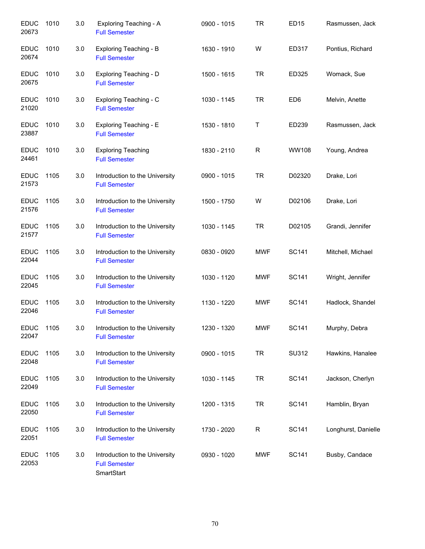| <b>EDUC</b><br>20673 | 1010 | 3.0 | Exploring Teaching - A<br><b>Full Semester</b>                       | 0900 - 1015 | <b>TR</b>   | <b>ED15</b>     | Rasmussen, Jack     |
|----------------------|------|-----|----------------------------------------------------------------------|-------------|-------------|-----------------|---------------------|
| <b>EDUC</b><br>20674 | 1010 | 3.0 | Exploring Teaching - B<br><b>Full Semester</b>                       | 1630 - 1910 | W           | ED317           | Pontius, Richard    |
| <b>EDUC</b><br>20675 | 1010 | 3.0 | Exploring Teaching - D<br><b>Full Semester</b>                       | 1500 - 1615 | <b>TR</b>   | ED325           | Womack, Sue         |
| <b>EDUC</b><br>21020 | 1010 | 3.0 | Exploring Teaching - C<br><b>Full Semester</b>                       | 1030 - 1145 | <b>TR</b>   | ED <sub>6</sub> | Melvin, Anette      |
| <b>EDUC</b><br>23887 | 1010 | 3.0 | Exploring Teaching - E<br><b>Full Semester</b>                       | 1530 - 1810 | Т           | ED239           | Rasmussen, Jack     |
| <b>EDUC</b><br>24461 | 1010 | 3.0 | <b>Exploring Teaching</b><br><b>Full Semester</b>                    | 1830 - 2110 | $\mathsf R$ | <b>WW108</b>    | Young, Andrea       |
| <b>EDUC</b><br>21573 | 1105 | 3.0 | Introduction to the University<br><b>Full Semester</b>               | 0900 - 1015 | <b>TR</b>   | D02320          | Drake, Lori         |
| <b>EDUC</b><br>21576 | 1105 | 3.0 | Introduction to the University<br><b>Full Semester</b>               | 1500 - 1750 | W           | D02106          | Drake, Lori         |
| <b>EDUC</b><br>21577 | 1105 | 3.0 | Introduction to the University<br><b>Full Semester</b>               | 1030 - 1145 | <b>TR</b>   | D02105          | Grandi, Jennifer    |
| <b>EDUC</b><br>22044 | 1105 | 3.0 | Introduction to the University<br><b>Full Semester</b>               | 0830 - 0920 | <b>MWF</b>  | <b>SC141</b>    | Mitchell, Michael   |
| <b>EDUC</b><br>22045 | 1105 | 3.0 | Introduction to the University<br><b>Full Semester</b>               | 1030 - 1120 | <b>MWF</b>  | SC141           | Wright, Jennifer    |
| <b>EDUC</b><br>22046 | 1105 | 3.0 | Introduction to the University<br><b>Full Semester</b>               | 1130 - 1220 | <b>MWF</b>  | <b>SC141</b>    | Hadlock, Shandel    |
| <b>EDUC</b><br>22047 | 1105 | 3.0 | Introduction to the University<br><b>Full Semester</b>               | 1230 - 1320 | <b>MWF</b>  | <b>SC141</b>    | Murphy, Debra       |
| <b>EDUC</b><br>22048 | 1105 | 3.0 | Introduction to the University<br><b>Full Semester</b>               | 0900 - 1015 | <b>TR</b>   | SU312           | Hawkins, Hanalee    |
| <b>EDUC</b><br>22049 | 1105 | 3.0 | Introduction to the University<br><b>Full Semester</b>               | 1030 - 1145 | <b>TR</b>   | <b>SC141</b>    | Jackson, Cherlyn    |
| <b>EDUC</b><br>22050 | 1105 | 3.0 | Introduction to the University<br><b>Full Semester</b>               | 1200 - 1315 | <b>TR</b>   | SC141           | Hamblin, Bryan      |
| <b>EDUC</b><br>22051 | 1105 | 3.0 | Introduction to the University<br><b>Full Semester</b>               | 1730 - 2020 | $\mathsf R$ | <b>SC141</b>    | Longhurst, Danielle |
| <b>EDUC</b><br>22053 | 1105 | 3.0 | Introduction to the University<br><b>Full Semester</b><br>SmartStart | 0930 - 1020 | <b>MWF</b>  | <b>SC141</b>    | Busby, Candace      |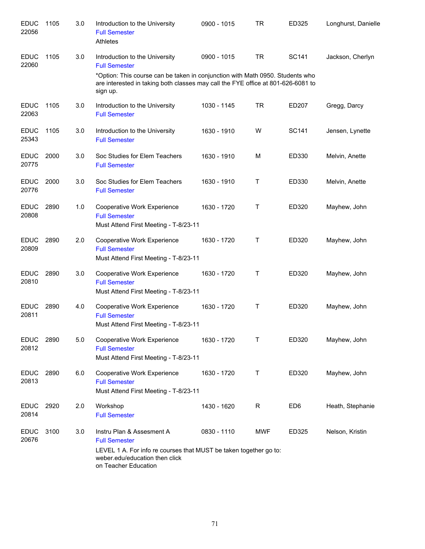| <b>EDUC</b><br>22056 | 1105 | 3.0 | Introduction to the University<br><b>Full Semester</b><br>Athletes                                                                                                                                                          | 0900 - 1015 | <b>TR</b>   | ED325           | Longhurst, Danielle |
|----------------------|------|-----|-----------------------------------------------------------------------------------------------------------------------------------------------------------------------------------------------------------------------------|-------------|-------------|-----------------|---------------------|
| <b>EDUC</b><br>22060 | 1105 | 3.0 | Introduction to the University<br><b>Full Semester</b><br>*Option: This course can be taken in conjunction with Math 0950. Students who<br>are interested in taking both classes may call the FYE office at 801-626-6081 to | 0900 - 1015 | <b>TR</b>   | SC141           | Jackson, Cherlyn    |
| <b>EDUC</b>          | 1105 | 3.0 | sign up.<br>Introduction to the University                                                                                                                                                                                  | 1030 - 1145 | <b>TR</b>   | ED207           | Gregg, Darcy        |
| 22063                |      |     | <b>Full Semester</b>                                                                                                                                                                                                        |             |             |                 |                     |
| <b>EDUC</b><br>25343 | 1105 | 3.0 | Introduction to the University<br><b>Full Semester</b>                                                                                                                                                                      | 1630 - 1910 | W           | SC141           | Jensen, Lynette     |
| <b>EDUC</b><br>20775 | 2000 | 3.0 | Soc Studies for Elem Teachers<br><b>Full Semester</b>                                                                                                                                                                       | 1630 - 1910 | M           | ED330           | Melvin, Anette      |
| <b>EDUC</b><br>20776 | 2000 | 3.0 | Soc Studies for Elem Teachers<br><b>Full Semester</b>                                                                                                                                                                       | 1630 - 1910 | Τ           | ED330           | Melvin, Anette      |
| <b>EDUC</b><br>20808 | 2890 | 1.0 | Cooperative Work Experience<br><b>Full Semester</b><br>Must Attend First Meeting - T-8/23-11                                                                                                                                | 1630 - 1720 | $\sf T$     | ED320           | Mayhew, John        |
| <b>EDUC</b><br>20809 | 2890 | 2.0 | Cooperative Work Experience<br><b>Full Semester</b><br>Must Attend First Meeting - T-8/23-11                                                                                                                                | 1630 - 1720 | $\mathsf T$ | ED320           | Mayhew, John        |
| <b>EDUC</b><br>20810 | 2890 | 3.0 | Cooperative Work Experience<br><b>Full Semester</b><br>Must Attend First Meeting - T-8/23-11                                                                                                                                | 1630 - 1720 | Τ           | ED320           | Mayhew, John        |
| <b>EDUC</b><br>20811 | 2890 | 4.0 | Cooperative Work Experience<br><b>Full Semester</b><br>Must Attend First Meeting - T-8/23-11                                                                                                                                | 1630 - 1720 | Τ           | ED320           | Mayhew, John        |
| <b>EDUC</b><br>20812 | 2890 | 5.0 | Cooperative Work Experience<br><b>Full Semester</b><br>Must Attend First Meeting - T-8/23-11                                                                                                                                | 1630 - 1720 | Τ           | ED320           | Mayhew, John        |
| <b>EDUC</b><br>20813 | 2890 | 6.0 | Cooperative Work Experience<br><b>Full Semester</b><br>Must Attend First Meeting - T-8/23-11                                                                                                                                | 1630 - 1720 | Т           | ED320           | Mayhew, John        |
| <b>EDUC</b><br>20814 | 2920 | 2.0 | Workshop<br><b>Full Semester</b>                                                                                                                                                                                            | 1430 - 1620 | R           | ED <sub>6</sub> | Heath, Stephanie    |
| <b>EDUC</b><br>20676 | 3100 | 3.0 | Instru Plan & Assesment A<br><b>Full Semester</b><br>LEVEL 1 A. For info re courses that MUST be taken together go to:<br>weber.edu/education then click<br>on Teacher Education                                            | 0830 - 1110 | <b>MWF</b>  | ED325           | Nelson, Kristin     |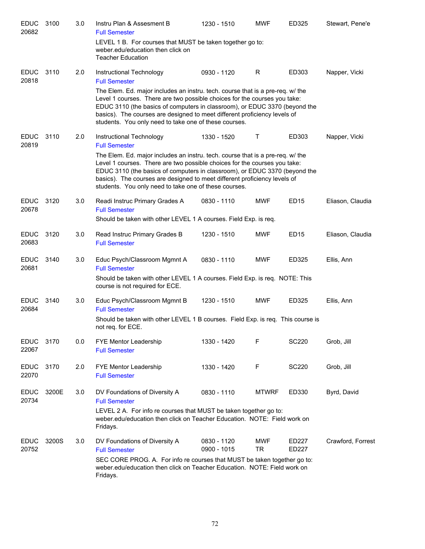| <b>EDUC</b><br>20682 | 3100  | 3.0 | Instru Plan & Assesment B<br><b>Full Semester</b>                                                                                                                                                                                                                                                                                                                                                                                   | 1230 - 1510                | <b>MWF</b>              | ED325            | Stewart, Pene'e   |
|----------------------|-------|-----|-------------------------------------------------------------------------------------------------------------------------------------------------------------------------------------------------------------------------------------------------------------------------------------------------------------------------------------------------------------------------------------------------------------------------------------|----------------------------|-------------------------|------------------|-------------------|
|                      |       |     | LEVEL 1 B. For courses that MUST be taken together go to:<br>weber.edu/education then click on<br><b>Teacher Education</b>                                                                                                                                                                                                                                                                                                          |                            |                         |                  |                   |
| <b>EDUC</b><br>20818 | 3110  | 2.0 | Instructional Technology<br><b>Full Semester</b>                                                                                                                                                                                                                                                                                                                                                                                    | 0930 - 1120                | R                       | ED303            | Napper, Vicki     |
|                      |       |     | The Elem. Ed. major includes an instru. tech. course that is a pre-req. w/ the<br>Level 1 courses. There are two possible choices for the courses you take:<br>EDUC 3110 (the basics of computers in classroom), or EDUC 3370 (beyond the<br>basics). The courses are designed to meet different proficiency levels of<br>students. You only need to take one of these courses.                                                     |                            |                         |                  |                   |
| <b>EDUC</b><br>20819 | 3110  | 2.0 | Instructional Technology<br><b>Full Semester</b><br>The Elem. Ed. major includes an instru. tech. course that is a pre-req. w/ the<br>Level 1 courses. There are two possible choices for the courses you take:<br>EDUC 3110 (the basics of computers in classroom), or EDUC 3370 (beyond the<br>basics). The courses are designed to meet different proficiency levels of<br>students. You only need to take one of these courses. | 1330 - 1520                | Τ                       | ED303            | Napper, Vicki     |
| <b>EDUC</b><br>20678 | 3120  | 3.0 | Readi Instruc Primary Grades A<br><b>Full Semester</b><br>Should be taken with other LEVEL 1 A courses. Field Exp. is req.                                                                                                                                                                                                                                                                                                          | 0830 - 1110                | <b>MWF</b>              | ED <sub>15</sub> | Eliason, Claudia  |
| <b>EDUC</b><br>20683 | 3120  | 3.0 | Read Instruc Primary Grades B<br><b>Full Semester</b>                                                                                                                                                                                                                                                                                                                                                                               | 1230 - 1510                | <b>MWF</b>              | ED <sub>15</sub> | Eliason, Claudia  |
| <b>EDUC</b><br>20681 | 3140  | 3.0 | Educ Psych/Classroom Mgmnt A<br><b>Full Semester</b><br>Should be taken with other LEVEL 1 A courses. Field Exp. is req. NOTE: This<br>course is not required for ECE.                                                                                                                                                                                                                                                              | 0830 - 1110                | <b>MWF</b>              | ED325            | Ellis, Ann        |
| <b>EDUC</b><br>20684 | 3140  | 3.0 | Educ Psych/Classroom Mgmnt B<br><b>Full Semester</b><br>Should be taken with other LEVEL 1 B courses. Field Exp. is req. This course is<br>not req. for ECE.                                                                                                                                                                                                                                                                        | 1230 - 1510                | <b>MWF</b>              | ED325            | Ellis, Ann        |
| <b>EDUC</b><br>22067 | 3170  | 0.0 | FYE Mentor Leadership<br><b>Full Semester</b>                                                                                                                                                                                                                                                                                                                                                                                       | 1330 - 1420                | F                       | <b>SC220</b>     | Grob, Jill        |
| <b>EDUC</b><br>22070 | 3170  | 2.0 | FYE Mentor Leadership<br><b>Full Semester</b>                                                                                                                                                                                                                                                                                                                                                                                       | 1330 - 1420                | F                       | <b>SC220</b>     | Grob, Jill        |
| <b>EDUC</b><br>20734 | 3200E | 3.0 | DV Foundations of Diversity A<br><b>Full Semester</b><br>LEVEL 2 A. For info re courses that MUST be taken together go to:<br>weber.edu/education then click on Teacher Education. NOTE: Field work on<br>Fridays.                                                                                                                                                                                                                  | 0830 - 1110                | <b>MTWRF</b>            | ED330            | Byrd, David       |
| <b>EDUC</b><br>20752 | 3200S | 3.0 | DV Foundations of Diversity A<br><b>Full Semester</b><br>SEC CORE PROG. A. For info re courses that MUST be taken together go to:<br>weber.edu/education then click on Teacher Education. NOTE: Field work on<br>Fridays.                                                                                                                                                                                                           | 0830 - 1120<br>0900 - 1015 | <b>MWF</b><br><b>TR</b> | ED227<br>ED227   | Crawford, Forrest |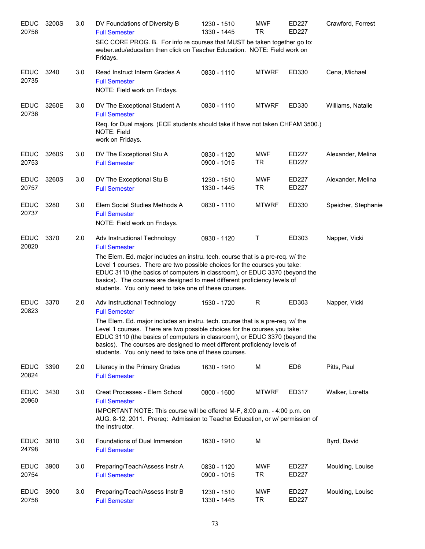| <b>EDUC</b><br>20756 | 3200S | 3.0 | DV Foundations of Diversity B<br><b>Full Semester</b>                                                                                                                                                                                                                                                                                                                                                                                   | 1230 - 1510<br>1330 - 1445 | <b>MWF</b><br><b>TR</b> | ED227<br><b>ED227</b> | Crawford, Forrest   |
|----------------------|-------|-----|-----------------------------------------------------------------------------------------------------------------------------------------------------------------------------------------------------------------------------------------------------------------------------------------------------------------------------------------------------------------------------------------------------------------------------------------|----------------------------|-------------------------|-----------------------|---------------------|
|                      |       |     | SEC CORE PROG. B. For info re courses that MUST be taken together go to:<br>weber.edu/education then click on Teacher Education. NOTE: Field work on<br>Fridays.                                                                                                                                                                                                                                                                        |                            |                         |                       |                     |
| <b>EDUC</b><br>20735 | 3240  | 3.0 | Read Instruct Interm Grades A<br><b>Full Semester</b><br>NOTE: Field work on Fridays.                                                                                                                                                                                                                                                                                                                                                   | 0830 - 1110                | <b>MTWRF</b>            | ED330                 | Cena, Michael       |
| <b>EDUC</b><br>20736 | 3260E | 3.0 | DV The Exceptional Student A<br><b>Full Semester</b><br>Req. for Dual majors. (ECE students should take if have not taken CHFAM 3500.)                                                                                                                                                                                                                                                                                                  | 0830 - 1110                | <b>MTWRF</b>            | ED330                 | Williams, Natalie   |
|                      |       |     | NOTE: Field<br>work on Fridays.                                                                                                                                                                                                                                                                                                                                                                                                         |                            |                         |                       |                     |
| <b>EDUC</b><br>20753 | 3260S | 3.0 | DV The Exceptional Stu A<br><b>Full Semester</b>                                                                                                                                                                                                                                                                                                                                                                                        | 0830 - 1120<br>0900 - 1015 | <b>MWF</b><br><b>TR</b> | ED227<br>ED227        | Alexander, Melina   |
| <b>EDUC</b><br>20757 | 3260S | 3.0 | DV The Exceptional Stu B<br><b>Full Semester</b>                                                                                                                                                                                                                                                                                                                                                                                        | 1230 - 1510<br>1330 - 1445 | <b>MWF</b><br><b>TR</b> | ED227<br>ED227        | Alexander, Melina   |
| <b>EDUC</b><br>20737 | 3280  | 3.0 | Elem Social Studies Methods A<br><b>Full Semester</b><br>NOTE: Field work on Fridays.                                                                                                                                                                                                                                                                                                                                                   | 0830 - 1110                | <b>MTWRF</b>            | ED330                 | Speicher, Stephanie |
| <b>EDUC</b><br>20820 | 3370  | 2.0 | Adv Instructional Technology<br><b>Full Semester</b><br>The Elem. Ed. major includes an instru. tech. course that is a pre-req. w/ the<br>Level 1 courses. There are two possible choices for the courses you take:<br>EDUC 3110 (the basics of computers in classroom), or EDUC 3370 (beyond the<br>basics). The courses are designed to meet different proficiency levels of<br>students. You only need to take one of these courses. | 0930 - 1120                | Т                       | ED303                 | Napper, Vicki       |
| <b>EDUC</b><br>20823 | 3370  | 2.0 | Adv Instructional Technology<br><b>Full Semester</b><br>The Elem. Ed. major includes an instru. tech. course that is a pre-req. w/ the<br>Level 1 courses. There are two possible choices for the courses you take:<br>EDUC 3110 (the basics of computers in classroom), or EDUC 3370 (beyond the<br>basics). The courses are designed to meet different proficiency levels of<br>students. You only need to take one of these courses. | 1530 - 1720                | R                       | ED303                 | Napper, Vicki       |
| <b>EDUC</b><br>20824 | 3390  | 2.0 | Literacy in the Primary Grades<br><b>Full Semester</b>                                                                                                                                                                                                                                                                                                                                                                                  | 1630 - 1910                | М                       | ED <sub>6</sub>       | Pitts, Paul         |
| <b>EDUC</b><br>20960 | 3430  | 3.0 | Creat Processes - Elem School<br><b>Full Semester</b><br>IMPORTANT NOTE: This course will be offered M-F, 8:00 a.m. - 4:00 p.m. on<br>AUG. 8-12, 2011. Prereq: Admission to Teacher Education, or w/ permission of<br>the Instructor.                                                                                                                                                                                                   | 0800 - 1600                | <b>MTWRF</b>            | ED317                 | Walker, Loretta     |
| <b>EDUC</b><br>24798 | 3810  | 3.0 | Foundations of Dual Immersion<br><b>Full Semester</b>                                                                                                                                                                                                                                                                                                                                                                                   | 1630 - 1910                | M                       |                       | Byrd, David         |
| <b>EDUC</b><br>20754 | 3900  | 3.0 | Preparing/Teach/Assess Instr A<br><b>Full Semester</b>                                                                                                                                                                                                                                                                                                                                                                                  | 0830 - 1120<br>0900 - 1015 | <b>MWF</b><br><b>TR</b> | ED227<br>ED227        | Moulding, Louise    |
| <b>EDUC</b><br>20758 | 3900  | 3.0 | Preparing/Teach/Assess Instr B<br><b>Full Semester</b>                                                                                                                                                                                                                                                                                                                                                                                  | 1230 - 1510<br>1330 - 1445 | <b>MWF</b><br><b>TR</b> | ED227<br>ED227        | Moulding, Louise    |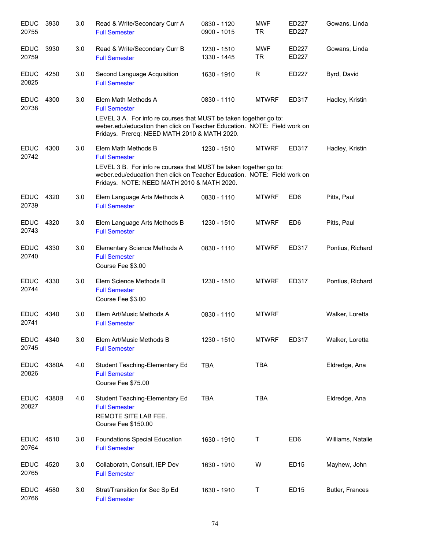| <b>EDUC</b><br>20755 | 3930  | 3.0 | Read & Write/Secondary Curr A<br><b>Full Semester</b>                                                                                                                                                                                        | 0830 - 1120<br>0900 - 1015 | <b>MWF</b><br><b>TR</b> | ED227<br>ED227   | Gowans, Linda     |
|----------------------|-------|-----|----------------------------------------------------------------------------------------------------------------------------------------------------------------------------------------------------------------------------------------------|----------------------------|-------------------------|------------------|-------------------|
| <b>EDUC</b><br>20759 | 3930  | 3.0 | Read & Write/Secondary Curr B<br><b>Full Semester</b>                                                                                                                                                                                        | 1230 - 1510<br>1330 - 1445 | <b>MWF</b><br><b>TR</b> | ED227<br>ED227   | Gowans, Linda     |
| <b>EDUC</b><br>20825 | 4250  | 3.0 | Second Language Acquisition<br><b>Full Semester</b>                                                                                                                                                                                          | 1630 - 1910                | R                       | ED227            | Byrd, David       |
| <b>EDUC</b><br>20738 | 4300  | 3.0 | Elem Math Methods A<br><b>Full Semester</b><br>LEVEL 3 A. For info re courses that MUST be taken together go to:<br>weber.edu/education then click on Teacher Education. NOTE: Field work on<br>Fridays. Prereq: NEED MATH 2010 & MATH 2020. | 0830 - 1110                | <b>MTWRF</b>            | ED317            | Hadley, Kristin   |
| <b>EDUC</b><br>20742 | 4300  | 3.0 | Elem Math Methods B<br><b>Full Semester</b><br>LEVEL 3 B. For info re courses that MUST be taken together go to:<br>weber.edu/education then click on Teacher Education. NOTE: Field work on<br>Fridays. NOTE: NEED MATH 2010 & MATH 2020.   | 1230 - 1510                | <b>MTWRF</b>            | ED317            | Hadley, Kristin   |
| <b>EDUC</b><br>20739 | 4320  | 3.0 | Elem Language Arts Methods A<br><b>Full Semester</b>                                                                                                                                                                                         | 0830 - 1110                | <b>MTWRF</b>            | ED <sub>6</sub>  | Pitts, Paul       |
| <b>EDUC</b><br>20743 | 4320  | 3.0 | Elem Language Arts Methods B<br><b>Full Semester</b>                                                                                                                                                                                         | 1230 - 1510                | <b>MTWRF</b>            | ED <sub>6</sub>  | Pitts, Paul       |
| <b>EDUC</b><br>20740 | 4330  | 3.0 | Elementary Science Methods A<br><b>Full Semester</b><br>Course Fee \$3.00                                                                                                                                                                    | 0830 - 1110                | <b>MTWRF</b>            | ED317            | Pontius, Richard  |
| <b>EDUC</b><br>20744 | 4330  | 3.0 | Elem Science Methods B<br><b>Full Semester</b><br>Course Fee \$3.00                                                                                                                                                                          | 1230 - 1510                | <b>MTWRF</b>            | ED317            | Pontius, Richard  |
| <b>EDUC</b><br>20741 | 4340  | 3.0 | Elem Art/Music Methods A<br><b>Full Semester</b>                                                                                                                                                                                             | 0830 - 1110                | <b>MTWRF</b>            |                  | Walker, Loretta   |
| <b>EDUC</b><br>20745 | 4340  | 3.0 | Elem Art/Music Methods B<br><b>Full Semester</b>                                                                                                                                                                                             | 1230 - 1510                | <b>MTWRF</b>            | ED317            | Walker, Loretta   |
| <b>EDUC</b><br>20826 | 4380A | 4.0 | Student Teaching-Elementary Ed<br><b>Full Semester</b><br>Course Fee \$75.00                                                                                                                                                                 | <b>TBA</b>                 | <b>TBA</b>              |                  | Eldredge, Ana     |
| <b>EDUC</b><br>20827 | 4380B | 4.0 | Student Teaching-Elementary Ed<br><b>Full Semester</b><br>REMOTE SITE LAB FEE.<br>Course Fee \$150.00                                                                                                                                        | <b>TBA</b>                 | <b>TBA</b>              |                  | Eldredge, Ana     |
| <b>EDUC</b><br>20764 | 4510  | 3.0 | Foundations Special Education<br><b>Full Semester</b>                                                                                                                                                                                        | 1630 - 1910                | T                       | ED <sub>6</sub>  | Williams, Natalie |
| <b>EDUC</b><br>20765 | 4520  | 3.0 | Collaboratn, Consult, IEP Dev<br><b>Full Semester</b>                                                                                                                                                                                        | 1630 - 1910                | W                       | ED <sub>15</sub> | Mayhew, John      |
| <b>EDUC</b><br>20766 | 4580  | 3.0 | Strat/Transition for Sec Sp Ed<br><b>Full Semester</b>                                                                                                                                                                                       | 1630 - 1910                | Т                       | ED <sub>15</sub> | Butler, Frances   |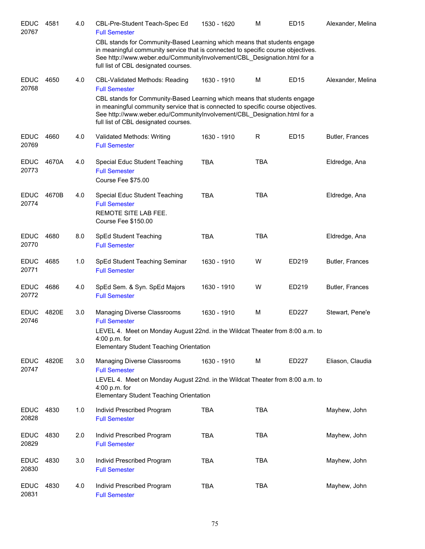| <b>EDUC</b><br>20767 | 4581  | 4.0 | CBL-Pre-Student Teach-Spec Ed<br><b>Full Semester</b>                                                                                                                                                                                                                            | 1530 - 1620 | M          | <b>ED15</b>      | Alexander, Melina |
|----------------------|-------|-----|----------------------------------------------------------------------------------------------------------------------------------------------------------------------------------------------------------------------------------------------------------------------------------|-------------|------------|------------------|-------------------|
|                      |       |     | CBL stands for Community-Based Learning which means that students engage<br>in meaningful community service that is connected to specific course objectives.<br>See http://www.weber.edu/CommunityInvolvement/CBL Designation.html for a<br>full list of CBL designated courses. |             |            |                  |                   |
| <b>EDUC</b><br>20768 | 4650  | 4.0 | <b>CBL-Validated Methods: Reading</b><br><b>Full Semester</b>                                                                                                                                                                                                                    | 1630 - 1910 | M          | ED <sub>15</sub> | Alexander, Melina |
|                      |       |     | CBL stands for Community-Based Learning which means that students engage<br>in meaningful community service that is connected to specific course objectives.<br>See http://www.weber.edu/CommunityInvolvement/CBL_Designation.html for a<br>full list of CBL designated courses. |             |            |                  |                   |
| <b>EDUC</b><br>20769 | 4660  | 4.0 | Validated Methods: Writing<br><b>Full Semester</b>                                                                                                                                                                                                                               | 1630 - 1910 | R          | ED <sub>15</sub> | Butler, Frances   |
| <b>EDUC</b><br>20773 | 4670A | 4.0 | Special Educ Student Teaching<br><b>Full Semester</b><br>Course Fee \$75.00                                                                                                                                                                                                      | <b>TBA</b>  | <b>TBA</b> |                  | Eldredge, Ana     |
| <b>EDUC</b><br>20774 | 4670B | 4.0 | Special Educ Student Teaching<br><b>Full Semester</b><br>REMOTE SITE LAB FEE.<br>Course Fee \$150.00                                                                                                                                                                             | <b>TBA</b>  | <b>TBA</b> |                  | Eldredge, Ana     |
| <b>EDUC</b><br>20770 | 4680  | 8.0 | SpEd Student Teaching<br><b>Full Semester</b>                                                                                                                                                                                                                                    | <b>TBA</b>  | <b>TBA</b> |                  | Eldredge, Ana     |
| <b>EDUC</b><br>20771 | 4685  | 1.0 | SpEd Student Teaching Seminar<br><b>Full Semester</b>                                                                                                                                                                                                                            | 1630 - 1910 | W          | ED219            | Butler, Frances   |
| <b>EDUC</b><br>20772 | 4686  | 4.0 | SpEd Sem. & Syn. SpEd Majors<br><b>Full Semester</b>                                                                                                                                                                                                                             | 1630 - 1910 | W          | ED219            | Butler, Frances   |
| <b>EDUC</b><br>20746 | 4820E | 3.0 | <b>Managing Diverse Classrooms</b><br><b>Full Semester</b>                                                                                                                                                                                                                       | 1630 - 1910 | M          | ED227            | Stewart, Pene'e   |
|                      |       |     | LEVEL 4. Meet on Monday August 22nd. in the Wildcat Theater from 8:00 a.m. to<br>$4:00$ p.m. for<br><b>Elementary Student Teaching Orientation</b>                                                                                                                               |             |            |                  |                   |
| <b>EDUC</b><br>20747 | 4820E | 3.0 | <b>Managing Diverse Classrooms</b><br><b>Full Semester</b>                                                                                                                                                                                                                       | 1630 - 1910 | M          | ED227            | Eliason, Claudia  |
|                      |       |     | LEVEL 4. Meet on Monday August 22nd. in the Wildcat Theater from 8:00 a.m. to<br>$4:00$ p.m. for<br><b>Elementary Student Teaching Orientation</b>                                                                                                                               |             |            |                  |                   |
| <b>EDUC</b><br>20828 | 4830  | 1.0 | Individ Prescribed Program<br><b>Full Semester</b>                                                                                                                                                                                                                               | <b>TBA</b>  | <b>TBA</b> |                  | Mayhew, John      |
| <b>EDUC</b><br>20829 | 4830  | 2.0 | Individ Prescribed Program<br><b>Full Semester</b>                                                                                                                                                                                                                               | <b>TBA</b>  | <b>TBA</b> |                  | Mayhew, John      |
| <b>EDUC</b><br>20830 | 4830  | 3.0 | Individ Prescribed Program<br><b>Full Semester</b>                                                                                                                                                                                                                               | <b>TBA</b>  | <b>TBA</b> |                  | Mayhew, John      |
| <b>EDUC</b><br>20831 | 4830  | 4.0 | Individ Prescribed Program<br><b>Full Semester</b>                                                                                                                                                                                                                               | <b>TBA</b>  | <b>TBA</b> |                  | Mayhew, John      |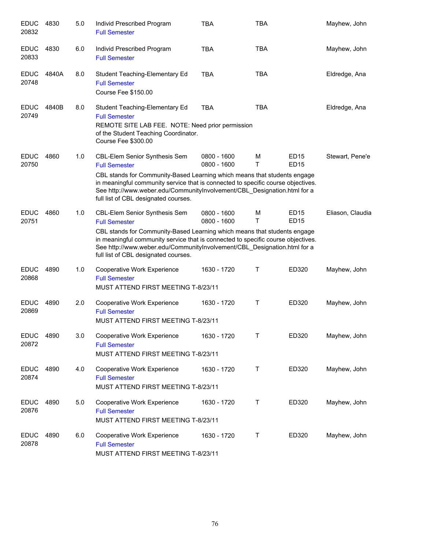| <b>EDUC</b><br>20832 | 4830  | 5.0 | Individ Prescribed Program<br><b>Full Semester</b>                                                                                                                                                                                                                               | <b>TBA</b>                   | <b>TBA</b> |                            | Mayhew, John     |
|----------------------|-------|-----|----------------------------------------------------------------------------------------------------------------------------------------------------------------------------------------------------------------------------------------------------------------------------------|------------------------------|------------|----------------------------|------------------|
| <b>EDUC</b><br>20833 | 4830  | 6.0 | Individ Prescribed Program<br><b>Full Semester</b>                                                                                                                                                                                                                               | <b>TBA</b>                   | <b>TBA</b> |                            | Mayhew, John     |
| <b>EDUC</b><br>20748 | 4840A | 8.0 | Student Teaching-Elementary Ed<br><b>Full Semester</b><br>Course Fee \$150.00                                                                                                                                                                                                    | <b>TBA</b>                   | <b>TBA</b> |                            | Eldredge, Ana    |
| <b>EDUC</b><br>20749 | 4840B | 8.0 | Student Teaching-Elementary Ed<br><b>Full Semester</b><br>REMOTE SITE LAB FEE. NOTE: Need prior permission<br>of the Student Teaching Coordinator.<br>Course Fee \$300.00                                                                                                        | <b>TBA</b>                   | <b>TBA</b> |                            | Eldredge, Ana    |
| <b>EDUC</b><br>20750 | 4860  | 1.0 | <b>CBL-Elem Senior Synthesis Sem</b><br><b>Full Semester</b>                                                                                                                                                                                                                     | 0800 - 1600<br>0800 - 1600   | M<br>T     | <b>ED15</b><br><b>ED15</b> | Stewart, Pene'e  |
|                      |       |     | CBL stands for Community-Based Learning which means that students engage<br>in meaningful community service that is connected to specific course objectives.<br>See http://www.weber.edu/CommunityInvolvement/CBL_Designation.html for a<br>full list of CBL designated courses. |                              |            |                            |                  |
| <b>EDUC</b><br>20751 | 4860  | 1.0 | CBL-Elem Senior Synthesis Sem<br><b>Full Semester</b>                                                                                                                                                                                                                            | $0800 - 1600$<br>0800 - 1600 | M<br>т     | <b>ED15</b><br><b>ED15</b> | Eliason, Claudia |
|                      |       |     | CBL stands for Community-Based Learning which means that students engage<br>in meaningful community service that is connected to specific course objectives.<br>See http://www.weber.edu/CommunityInvolvement/CBL_Designation.html for a<br>full list of CBL designated courses. |                              |            |                            |                  |
| <b>EDUC</b><br>20868 | 4890  | 1.0 | Cooperative Work Experience<br><b>Full Semester</b><br>MUST ATTEND FIRST MEETING T-8/23/11                                                                                                                                                                                       | 1630 - 1720                  | Τ          | ED320                      | Mayhew, John     |
| <b>EDUC</b><br>20869 | 4890  | 2.0 | Cooperative Work Experience<br><b>Full Semester</b><br>MUST ATTEND FIRST MEETING T-8/23/11                                                                                                                                                                                       | 1630 - 1720                  | Τ          | ED320                      | Mayhew, John     |
| <b>EDUC</b><br>20872 | 4890  | 3.0 | Cooperative Work Experience<br><b>Full Semester</b><br>MUST ATTEND FIRST MEETING T-8/23/11                                                                                                                                                                                       | 1630 - 1720                  | T          | ED320                      | Mayhew, John     |
| <b>EDUC</b><br>20874 | 4890  | 4.0 | Cooperative Work Experience<br><b>Full Semester</b><br>MUST ATTEND FIRST MEETING T-8/23/11                                                                                                                                                                                       | 1630 - 1720                  | Т          | ED320                      | Mayhew, John     |
| <b>EDUC</b><br>20876 | 4890  | 5.0 | Cooperative Work Experience<br><b>Full Semester</b><br>MUST ATTEND FIRST MEETING T-8/23/11                                                                                                                                                                                       | 1630 - 1720                  | Т          | ED320                      | Mayhew, John     |
| <b>EDUC</b><br>20878 | 4890  | 6.0 | Cooperative Work Experience<br><b>Full Semester</b><br>MUST ATTEND FIRST MEETING T-8/23/11                                                                                                                                                                                       | 1630 - 1720                  | Τ          | ED320                      | Mayhew, John     |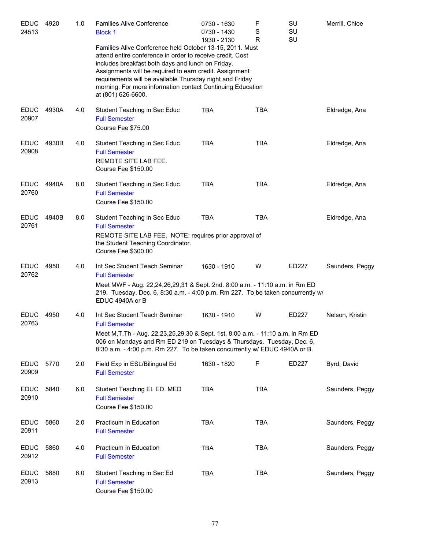| <b>EDUC</b><br>24513 | 4920  | 1.0 | <b>Families Alive Conference</b><br><b>Block 1</b>                                                                                                                                                                                                                                                                                                                                    | 0730 - 1630<br>0730 - 1430 | F<br>S<br>R | SU<br>SU | Merrill, Chloe  |
|----------------------|-------|-----|---------------------------------------------------------------------------------------------------------------------------------------------------------------------------------------------------------------------------------------------------------------------------------------------------------------------------------------------------------------------------------------|----------------------------|-------------|----------|-----------------|
|                      |       |     | Families Alive Conference held October 13-15, 2011. Must<br>attend entire conference in order to receive credit. Cost<br>includes breakfast both days and lunch on Friday.<br>Assignments will be required to earn credit. Assignment<br>requirements will be available Thursday night and Friday<br>morning. For more information contact Continuing Education<br>at (801) 626-6600. | 1930 - 2130                |             | SU       |                 |
| <b>EDUC</b><br>20907 | 4930A | 4.0 | Student Teaching in Sec Educ<br><b>Full Semester</b><br>Course Fee \$75.00                                                                                                                                                                                                                                                                                                            | <b>TBA</b>                 | TBA         |          | Eldredge, Ana   |
| <b>EDUC</b><br>20908 | 4930B | 4.0 | Student Teaching in Sec Educ<br><b>Full Semester</b><br>REMOTE SITE LAB FEE.<br>Course Fee \$150.00                                                                                                                                                                                                                                                                                   | <b>TBA</b>                 | <b>TBA</b>  |          | Eldredge, Ana   |
| <b>EDUC</b><br>20760 | 4940A | 8.0 | Student Teaching in Sec Educ<br><b>Full Semester</b><br>Course Fee \$150.00                                                                                                                                                                                                                                                                                                           | <b>TBA</b>                 | <b>TBA</b>  |          | Eldredge, Ana   |
| <b>EDUC</b><br>20761 | 4940B | 8.0 | Student Teaching in Sec Educ<br><b>Full Semester</b><br>REMOTE SITE LAB FEE. NOTE: requires prior approval of<br>the Student Teaching Coordinator.<br>Course Fee \$300.00                                                                                                                                                                                                             | <b>TBA</b>                 | <b>TBA</b>  |          | Eldredge, Ana   |
| <b>EDUC</b><br>20762 | 4950  | 4.0 | Int Sec Student Teach Seminar<br><b>Full Semester</b><br>Meet MWF - Aug. 22,24,26,29,31 & Sept. 2nd. 8:00 a.m. - 11:10 a.m. in Rm ED<br>219. Tuesday, Dec. 6, 8:30 a.m. - 4:00 p.m. Rm 227. To be taken concurrently w/<br>EDUC 4940A or B                                                                                                                                            | 1630 - 1910                | W           | ED227    | Saunders, Peggy |
| <b>EDUC</b><br>20763 | 4950  | 4.0 | Int Sec Student Teach Seminar<br><b>Full Semester</b><br>Meet M, T, Th - Aug. 22, 23, 25, 29, 30 & Sept. 1st. 8:00 a.m. - 11:10 a.m. in Rm ED<br>006 on Mondays and Rm ED 219 on Tuesdays & Thursdays. Tuesday, Dec. 6,<br>8:30 a.m. - 4:00 p.m. Rm 227. To be taken concurrently w/ EDUC 4940A or B.                                                                                 | 1630 - 1910                | W           | ED227    | Nelson, Kristin |
| <b>EDUC</b><br>20909 | 5770  | 2.0 | Field Exp in ESL/Bilingual Ed<br><b>Full Semester</b>                                                                                                                                                                                                                                                                                                                                 | 1630 - 1820                | F           | ED227    | Byrd, David     |
| <b>EDUC</b><br>20910 | 5840  | 6.0 | Student Teaching El. ED. MED<br><b>Full Semester</b><br>Course Fee \$150.00                                                                                                                                                                                                                                                                                                           | <b>TBA</b>                 | <b>TBA</b>  |          | Saunders, Peggy |
| <b>EDUC</b><br>20911 | 5860  | 2.0 | Practicum in Education<br><b>Full Semester</b>                                                                                                                                                                                                                                                                                                                                        | <b>TBA</b>                 | <b>TBA</b>  |          | Saunders, Peggy |
| <b>EDUC</b><br>20912 | 5860  | 4.0 | Practicum in Education<br><b>Full Semester</b>                                                                                                                                                                                                                                                                                                                                        | <b>TBA</b>                 | <b>TBA</b>  |          | Saunders, Peggy |
| <b>EDUC</b><br>20913 | 5880  | 6.0 | Student Teaching in Sec Ed<br><b>Full Semester</b><br>Course Fee \$150.00                                                                                                                                                                                                                                                                                                             | <b>TBA</b>                 | <b>TBA</b>  |          | Saunders, Peggy |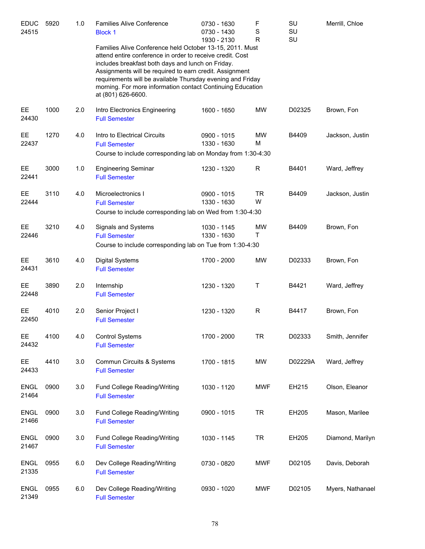| <b>EDUC</b><br>24515 | 5920 | 1.0 | <b>Families Alive Conference</b><br><b>Block 1</b>                                                                                                                                                                                                                                                                                                                                      | 0730 - 1630<br>0730 - 1430 | F<br>$\mathbf S$ | SU<br>SU | Merrill, Chloe   |
|----------------------|------|-----|-----------------------------------------------------------------------------------------------------------------------------------------------------------------------------------------------------------------------------------------------------------------------------------------------------------------------------------------------------------------------------------------|----------------------------|------------------|----------|------------------|
|                      |      |     | Families Alive Conference held October 13-15, 2011. Must<br>attend entire conference in order to receive credit. Cost<br>includes breakfast both days and lunch on Friday.<br>Assignments will be required to earn credit. Assignment<br>requirements will be available Thursday evening and Friday<br>morning. For more information contact Continuing Education<br>at (801) 626-6600. | 1930 - 2130                | $\mathsf R$      | SU       |                  |
| EE.<br>24430         | 1000 | 2.0 | Intro Electronics Engineering<br><b>Full Semester</b>                                                                                                                                                                                                                                                                                                                                   | 1600 - 1650                | MW               | D02325   | Brown, Fon       |
| <b>EE</b><br>22437   | 1270 | 4.0 | Intro to Electrical Circuits<br><b>Full Semester</b><br>Course to include corresponding lab on Monday from 1:30-4:30                                                                                                                                                                                                                                                                    | 0900 - 1015<br>1330 - 1630 | <b>MW</b><br>M   | B4409    | Jackson, Justin  |
| EE.<br>22441         | 3000 | 1.0 | <b>Engineering Seminar</b><br><b>Full Semester</b>                                                                                                                                                                                                                                                                                                                                      | 1230 - 1320                | $\mathsf R$      | B4401    | Ward, Jeffrey    |
| EE.<br>22444         | 3110 | 4.0 | Microelectronics I<br><b>Full Semester</b><br>Course to include corresponding lab on Wed from 1:30-4:30                                                                                                                                                                                                                                                                                 | 0900 - 1015<br>1330 - 1630 | <b>TR</b><br>W   | B4409    | Jackson, Justin  |
| EE.<br>22446         | 3210 | 4.0 | Signals and Systems<br><b>Full Semester</b><br>Course to include corresponding lab on Tue from 1:30-4:30                                                                                                                                                                                                                                                                                | 1030 - 1145<br>1330 - 1630 | MW<br>T          | B4409    | Brown, Fon       |
| EE.<br>24431         | 3610 | 4.0 | <b>Digital Systems</b><br><b>Full Semester</b>                                                                                                                                                                                                                                                                                                                                          | 1700 - 2000                | <b>MW</b>        | D02333   | Brown, Fon       |
| EE.<br>22448         | 3890 | 2.0 | Internship<br><b>Full Semester</b>                                                                                                                                                                                                                                                                                                                                                      | 1230 - 1320                | Τ                | B4421    | Ward, Jeffrey    |
| EE.<br>22450         | 4010 | 2.0 | Senior Project I<br><b>Full Semester</b>                                                                                                                                                                                                                                                                                                                                                | 1230 - 1320                | $\mathsf R$      | B4417    | Brown, Fon       |
| EE<br>24432          | 4100 | 4.0 | <b>Control Systems</b><br><b>Full Semester</b>                                                                                                                                                                                                                                                                                                                                          | 1700 - 2000                | <b>TR</b>        | D02333   | Smith, Jennifer  |
| EE.<br>24433         | 4410 | 3.0 | Commun Circuits & Systems<br><b>Full Semester</b>                                                                                                                                                                                                                                                                                                                                       | 1700 - 1815                | MW               | D02229A  | Ward, Jeffrey    |
| <b>ENGL</b><br>21464 | 0900 | 3.0 | Fund College Reading/Writing<br><b>Full Semester</b>                                                                                                                                                                                                                                                                                                                                    | 1030 - 1120                | MWF              | EH215    | Olson, Eleanor   |
| <b>ENGL</b><br>21466 | 0900 | 3.0 | Fund College Reading/Writing<br><b>Full Semester</b>                                                                                                                                                                                                                                                                                                                                    | 0900 - 1015                | <b>TR</b>        | EH205    | Mason, Marilee   |
| <b>ENGL</b><br>21467 | 0900 | 3.0 | Fund College Reading/Writing<br><b>Full Semester</b>                                                                                                                                                                                                                                                                                                                                    | 1030 - 1145                | <b>TR</b>        | EH205    | Diamond, Marilyn |
| <b>ENGL</b><br>21335 | 0955 | 6.0 | Dev College Reading/Writing<br><b>Full Semester</b>                                                                                                                                                                                                                                                                                                                                     | 0730 - 0820                | MWF              | D02105   | Davis, Deborah   |
| <b>ENGL</b><br>21349 | 0955 | 6.0 | Dev College Reading/Writing<br><b>Full Semester</b>                                                                                                                                                                                                                                                                                                                                     | 0930 - 1020                | <b>MWF</b>       | D02105   | Myers, Nathanael |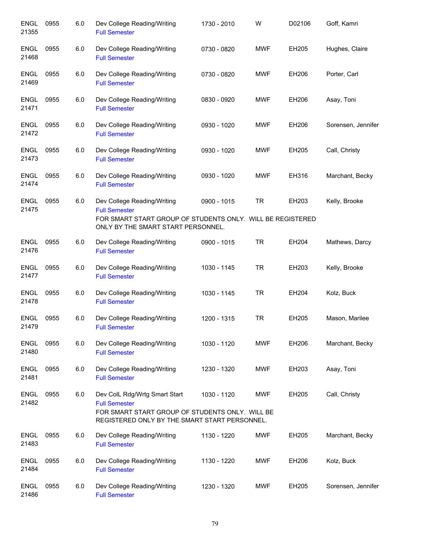| <b>ENGL</b><br>21355 | 0955 | 6.0 | Dev College Reading/Writing<br><b>Full Semester</b>                                                                                                       | 1730 - 2010 | W          | D02106 | Goff, Kamri        |
|----------------------|------|-----|-----------------------------------------------------------------------------------------------------------------------------------------------------------|-------------|------------|--------|--------------------|
| <b>ENGL</b><br>21468 | 0955 | 6.0 | Dev College Reading/Writing<br><b>Full Semester</b>                                                                                                       | 0730 - 0820 | <b>MWF</b> | EH205  | Hughes, Claire     |
| <b>ENGL</b><br>21469 | 0955 | 6.0 | Dev College Reading/Writing<br><b>Full Semester</b>                                                                                                       | 0730 - 0820 | <b>MWF</b> | EH206  | Porter, Carl       |
| <b>ENGL</b><br>21471 | 0955 | 6.0 | Dev College Reading/Writing<br><b>Full Semester</b>                                                                                                       | 0830 - 0920 | <b>MWF</b> | EH206  | Asay, Toni         |
| <b>ENGL</b><br>21472 | 0955 | 6.0 | Dev College Reading/Writing<br><b>Full Semester</b>                                                                                                       | 0930 - 1020 | <b>MWF</b> | EH206  | Sorensen, Jennifer |
| <b>ENGL</b><br>21473 | 0955 | 6.0 | Dev College Reading/Writing<br><b>Full Semester</b>                                                                                                       | 0930 - 1020 | <b>MWF</b> | EH205  | Call, Christy      |
| ENGL<br>21474        | 0955 | 6.0 | Dev College Reading/Writing<br><b>Full Semester</b>                                                                                                       | 0930 - 1020 | <b>MWF</b> | EH316  | Marchant, Becky    |
| ENGL                 | 0955 | 6.0 | Dev College Reading/Writing                                                                                                                               | 0900 - 1015 | <b>TR</b>  | EH203  | Kelly, Brooke      |
| 21475                |      |     | <b>Full Semester</b><br>FOR SMART START GROUP OF STUDENTS ONLY. WILL BE REGISTERED<br>ONLY BY THE SMART START PERSONNEL.                                  |             |            |        |                    |
| <b>ENGL</b><br>21476 | 0955 | 6.0 | Dev College Reading/Writing<br><b>Full Semester</b>                                                                                                       | 0900 - 1015 | <b>TR</b>  | EH204  | Mathews, Darcy     |
| ENGL<br>21477        | 0955 | 6.0 | Dev College Reading/Writing<br><b>Full Semester</b>                                                                                                       | 1030 - 1145 | <b>TR</b>  | EH203  | Kelly, Brooke      |
| <b>ENGL</b><br>21478 | 0955 | 6.0 | Dev College Reading/Writing<br><b>Full Semester</b>                                                                                                       | 1030 - 1145 | <b>TR</b>  | EH204  | Kolz, Buck         |
| <b>ENGL</b><br>21479 | 0955 | 6.0 | Dev College Reading/Writing<br><b>Full Semester</b>                                                                                                       | 1200 - 1315 | <b>TR</b>  | EH205  | Mason, Marilee     |
| <b>ENGL</b><br>21480 | 0955 | 6.0 | Dev College Reading/Writing<br><b>Full Semester</b>                                                                                                       | 1030 - 1120 | <b>MWF</b> | EH206  | Marchant, Becky    |
| <b>ENGL</b><br>21481 | 0955 | 6.0 | Dev College Reading/Writing<br><b>Full Semester</b>                                                                                                       | 1230 - 1320 | <b>MWF</b> | EH203  | Asay, Toni         |
| <b>ENGL</b><br>21482 | 0955 | 6.0 | Dev ColL Rdg/Wrtg Smart Start<br><b>Full Semester</b><br>FOR SMART START GROUP OF STUDENTS ONLY. WILL BE<br>REGISTERED ONLY BY THE SMART START PERSONNEL. | 1030 - 1120 | <b>MWF</b> | EH205  | Call, Christy      |
| <b>ENGL</b><br>21483 | 0955 | 6.0 | Dev College Reading/Writing<br><b>Full Semester</b>                                                                                                       | 1130 - 1220 | <b>MWF</b> | EH205  | Marchant, Becky    |
| <b>ENGL</b><br>21484 | 0955 | 6.0 | Dev College Reading/Writing<br><b>Full Semester</b>                                                                                                       | 1130 - 1220 | <b>MWF</b> | EH206  | Kolz, Buck         |
| <b>ENGL</b><br>21486 | 0955 | 6.0 | Dev College Reading/Writing<br><b>Full Semester</b>                                                                                                       | 1230 - 1320 | <b>MWF</b> | EH205  | Sorensen, Jennifer |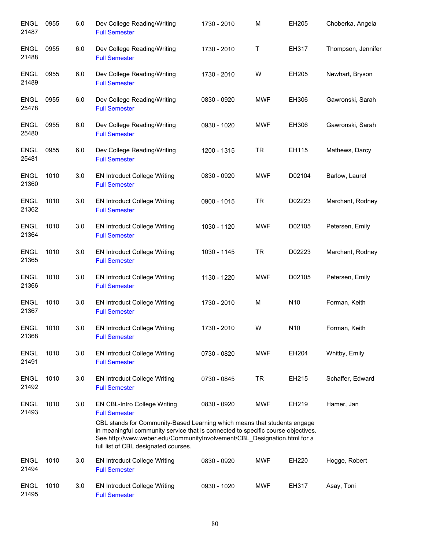| <b>ENGL</b><br>21487 | 0955 | 6.0 | Dev College Reading/Writing<br><b>Full Semester</b>                                                                                                                                                                  | 1730 - 2010 | M          | EH205           | Choberka, Angela   |
|----------------------|------|-----|----------------------------------------------------------------------------------------------------------------------------------------------------------------------------------------------------------------------|-------------|------------|-----------------|--------------------|
| <b>ENGL</b><br>21488 | 0955 | 6.0 | Dev College Reading/Writing<br><b>Full Semester</b>                                                                                                                                                                  | 1730 - 2010 | Τ          | EH317           | Thompson, Jennifer |
| <b>ENGL</b><br>21489 | 0955 | 6.0 | Dev College Reading/Writing<br><b>Full Semester</b>                                                                                                                                                                  | 1730 - 2010 | W          | EH205           | Newhart, Bryson    |
| <b>ENGL</b><br>25478 | 0955 | 6.0 | Dev College Reading/Writing<br><b>Full Semester</b>                                                                                                                                                                  | 0830 - 0920 | <b>MWF</b> | EH306           | Gawronski, Sarah   |
| <b>ENGL</b><br>25480 | 0955 | 6.0 | Dev College Reading/Writing<br><b>Full Semester</b>                                                                                                                                                                  | 0930 - 1020 | <b>MWF</b> | EH306           | Gawronski, Sarah   |
| <b>ENGL</b><br>25481 | 0955 | 6.0 | Dev College Reading/Writing<br><b>Full Semester</b>                                                                                                                                                                  | 1200 - 1315 | <b>TR</b>  | EH115           | Mathews, Darcy     |
| <b>ENGL</b><br>21360 | 1010 | 3.0 | <b>EN Introduct College Writing</b><br><b>Full Semester</b>                                                                                                                                                          | 0830 - 0920 | <b>MWF</b> | D02104          | Barlow, Laurel     |
| <b>ENGL</b><br>21362 | 1010 | 3.0 | <b>EN Introduct College Writing</b><br><b>Full Semester</b>                                                                                                                                                          | 0900 - 1015 | <b>TR</b>  | D02223          | Marchant, Rodney   |
| <b>ENGL</b><br>21364 | 1010 | 3.0 | <b>EN Introduct College Writing</b><br><b>Full Semester</b>                                                                                                                                                          | 1030 - 1120 | <b>MWF</b> | D02105          | Petersen, Emily    |
| <b>ENGL</b><br>21365 | 1010 | 3.0 | <b>EN Introduct College Writing</b><br><b>Full Semester</b>                                                                                                                                                          | 1030 - 1145 | <b>TR</b>  | D02223          | Marchant, Rodney   |
| <b>ENGL</b><br>21366 | 1010 | 3.0 | <b>EN Introduct College Writing</b><br><b>Full Semester</b>                                                                                                                                                          | 1130 - 1220 | <b>MWF</b> | D02105          | Petersen, Emily    |
| <b>ENGL</b><br>21367 | 1010 | 3.0 | <b>EN Introduct College Writing</b><br><b>Full Semester</b>                                                                                                                                                          | 1730 - 2010 | M          | N10             | Forman, Keith      |
| <b>ENGL</b><br>21368 | 1010 | 3.0 | <b>EN Introduct College Writing</b><br><b>Full Semester</b>                                                                                                                                                          | 1730 - 2010 | W          | N <sub>10</sub> | Forman, Keith      |
| <b>ENGL</b><br>21491 | 1010 | 3.0 | EN Introduct College Writing<br><b>Full Semester</b>                                                                                                                                                                 | 0730 - 0820 | <b>MWF</b> | EH204           | Whitby, Emily      |
| <b>ENGL</b><br>21492 | 1010 | 3.0 | <b>EN Introduct College Writing</b><br><b>Full Semester</b>                                                                                                                                                          | 0730 - 0845 | <b>TR</b>  | EH215           | Schaffer, Edward   |
| <b>ENGL</b><br>21493 | 1010 | 3.0 | EN CBL-Intro College Writing<br><b>Full Semester</b><br>CBL stands for Community-Based Learning which means that students engage<br>in meaningful community service that is connected to specific course objectives. | 0830 - 0920 | <b>MWF</b> | EH219           | Hamer, Jan         |
|                      |      |     | See http://www.weber.edu/CommunityInvolvement/CBL_Designation.html for a<br>full list of CBL designated courses.                                                                                                     |             |            |                 |                    |
| <b>ENGL</b><br>21494 | 1010 | 3.0 | <b>EN Introduct College Writing</b><br><b>Full Semester</b>                                                                                                                                                          | 0830 - 0920 | <b>MWF</b> | EH220           | Hogge, Robert      |
| <b>ENGL</b><br>21495 | 1010 | 3.0 | <b>EN Introduct College Writing</b><br><b>Full Semester</b>                                                                                                                                                          | 0930 - 1020 | <b>MWF</b> | EH317           | Asay, Toni         |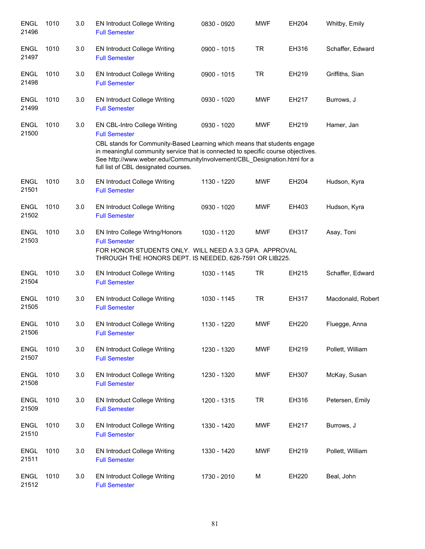| <b>ENGL</b><br>21496 | 1010 | 3.0 | <b>EN Introduct College Writing</b><br><b>Full Semester</b>                                                                                                                                                                                                                      | 0830 - 0920 | <b>MWF</b> | EH204 | Whitby, Emily     |
|----------------------|------|-----|----------------------------------------------------------------------------------------------------------------------------------------------------------------------------------------------------------------------------------------------------------------------------------|-------------|------------|-------|-------------------|
| <b>ENGL</b><br>21497 | 1010 | 3.0 | <b>EN Introduct College Writing</b><br><b>Full Semester</b>                                                                                                                                                                                                                      | 0900 - 1015 | <b>TR</b>  | EH316 | Schaffer, Edward  |
| <b>ENGL</b><br>21498 | 1010 | 3.0 | <b>EN Introduct College Writing</b><br><b>Full Semester</b>                                                                                                                                                                                                                      | 0900 - 1015 | <b>TR</b>  | EH219 | Griffiths, Sian   |
| <b>ENGL</b><br>21499 | 1010 | 3.0 | <b>EN Introduct College Writing</b><br><b>Full Semester</b>                                                                                                                                                                                                                      | 0930 - 1020 | <b>MWF</b> | EH217 | Burrows, J        |
| <b>ENGL</b><br>21500 | 1010 | 3.0 | EN CBL-Intro College Writing<br><b>Full Semester</b>                                                                                                                                                                                                                             | 0930 - 1020 | <b>MWF</b> | EH219 | Hamer, Jan        |
|                      |      |     | CBL stands for Community-Based Learning which means that students engage<br>in meaningful community service that is connected to specific course objectives.<br>See http://www.weber.edu/CommunityInvolvement/CBL_Designation.html for a<br>full list of CBL designated courses. |             |            |       |                   |
| <b>ENGL</b><br>21501 | 1010 | 3.0 | <b>EN Introduct College Writing</b><br><b>Full Semester</b>                                                                                                                                                                                                                      | 1130 - 1220 | MWF        | EH204 | Hudson, Kyra      |
| <b>ENGL</b><br>21502 | 1010 | 3.0 | <b>EN Introduct College Writing</b><br><b>Full Semester</b>                                                                                                                                                                                                                      | 0930 - 1020 | <b>MWF</b> | EH403 | Hudson, Kyra      |
| <b>ENGL</b><br>21503 | 1010 | 3.0 | EN Intro College Wrtng/Honors<br><b>Full Semester</b><br>FOR HONOR STUDENTS ONLY. WILL NEED A 3.3 GPA. APPROVAL<br>THROUGH THE HONORS DEPT. IS NEEDED, 626-7591 OR LIB225.                                                                                                       | 1030 - 1120 | <b>MWF</b> | EH317 | Asay, Toni        |
| <b>ENGL</b><br>21504 | 1010 | 3.0 | <b>EN Introduct College Writing</b><br><b>Full Semester</b>                                                                                                                                                                                                                      | 1030 - 1145 | <b>TR</b>  | EH215 | Schaffer, Edward  |
| <b>ENGL</b><br>21505 | 1010 | 3.0 | <b>EN Introduct College Writing</b><br><b>Full Semester</b>                                                                                                                                                                                                                      | 1030 - 1145 | <b>TR</b>  | EH317 | Macdonald, Robert |
| <b>ENGL</b><br>21506 | 1010 | 3.0 | <b>EN Introduct College Writing</b><br><b>Full Semester</b>                                                                                                                                                                                                                      | 1130 - 1220 | <b>MWF</b> | EH220 | Fluegge, Anna     |
| <b>ENGL</b><br>21507 | 1010 | 3.0 | <b>EN Introduct College Writing</b><br><b>Full Semester</b>                                                                                                                                                                                                                      | 1230 - 1320 | <b>MWF</b> | EH219 | Pollett, William  |
| <b>ENGL</b><br>21508 | 1010 | 3.0 | <b>EN Introduct College Writing</b><br><b>Full Semester</b>                                                                                                                                                                                                                      | 1230 - 1320 | <b>MWF</b> | EH307 | McKay, Susan      |
| <b>ENGL</b><br>21509 | 1010 | 3.0 | <b>EN Introduct College Writing</b><br><b>Full Semester</b>                                                                                                                                                                                                                      | 1200 - 1315 | <b>TR</b>  | EH316 | Petersen, Emily   |
| <b>ENGL</b><br>21510 | 1010 | 3.0 | <b>EN Introduct College Writing</b><br><b>Full Semester</b>                                                                                                                                                                                                                      | 1330 - 1420 | <b>MWF</b> | EH217 | Burrows, J        |
| <b>ENGL</b><br>21511 | 1010 | 3.0 | <b>EN Introduct College Writing</b><br><b>Full Semester</b>                                                                                                                                                                                                                      | 1330 - 1420 | <b>MWF</b> | EH219 | Pollett, William  |
| <b>ENGL</b><br>21512 | 1010 | 3.0 | <b>EN Introduct College Writing</b><br><b>Full Semester</b>                                                                                                                                                                                                                      | 1730 - 2010 | M          | EH220 | Beal, John        |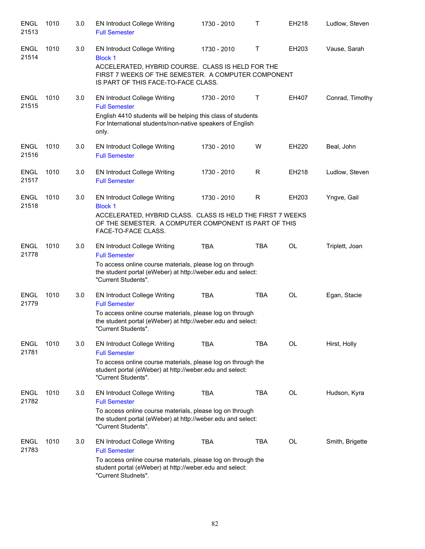| <b>ENGL</b><br>21513 | 1010 | 3.0 | <b>EN Introduct College Writing</b><br><b>Full Semester</b>                                                                                                                                                   | 1730 - 2010 | $\mathsf{T}$ | EH218     | Ludlow, Steven  |
|----------------------|------|-----|---------------------------------------------------------------------------------------------------------------------------------------------------------------------------------------------------------------|-------------|--------------|-----------|-----------------|
| <b>ENGL</b><br>21514 | 1010 | 3.0 | <b>EN Introduct College Writing</b><br><b>Block 1</b><br>ACCELERATED, HYBRID COURSE. CLASS IS HELD FOR THE<br>FIRST 7 WEEKS OF THE SEMESTER. A COMPUTER COMPONENT<br>IS PART OF THIS FACE-TO-FACE CLASS.      | 1730 - 2010 | Τ            | EH203     | Vause, Sarah    |
| <b>ENGL</b><br>21515 | 1010 | 3.0 | <b>EN Introduct College Writing</b><br><b>Full Semester</b><br>English 4410 students will be helping this class of students<br>For International students/non-native speakers of English<br>only.             | 1730 - 2010 | Τ            | EH407     | Conrad, Timothy |
| <b>ENGL</b><br>21516 | 1010 | 3.0 | <b>EN Introduct College Writing</b><br><b>Full Semester</b>                                                                                                                                                   | 1730 - 2010 | W            | EH220     | Beal, John      |
| <b>ENGL</b><br>21517 | 1010 | 3.0 | <b>EN Introduct College Writing</b><br><b>Full Semester</b>                                                                                                                                                   | 1730 - 2010 | R            | EH218     | Ludlow, Steven  |
| <b>ENGL</b><br>21518 | 1010 | 3.0 | <b>EN Introduct College Writing</b><br><b>Block 1</b><br>ACCELERATED, HYBRID CLASS. CLASS IS HELD THE FIRST 7 WEEKS<br>OF THE SEMESTER. A COMPUTER COMPONENT IS PART OF THIS<br>FACE-TO-FACE CLASS.           | 1730 - 2010 | R            | EH203     | Yngve, Gail     |
| <b>ENGL</b><br>21778 | 1010 | 3.0 | <b>EN Introduct College Writing</b><br><b>Full Semester</b><br>To access online course materials, please log on through<br>the student portal (eWeber) at http://weber.edu and select:<br>"Current Students". | <b>TBA</b>  | <b>TBA</b>   | <b>OL</b> | Triplett, Joan  |
| <b>ENGL</b><br>21779 | 1010 | 3.0 | <b>EN Introduct College Writing</b><br><b>Full Semester</b><br>To access online course materials, please log on through<br>the student portal (eWeber) at http://weber.edu and select:<br>"Current Students". | <b>TBA</b>  | <b>TBA</b>   | OL        | Egan, Stacie    |
| ENGL<br>21781        | 1010 | 3.0 | <b>EN Introduct College Writing</b><br><b>Full Semester</b><br>To access online course materials, please log on through the<br>student portal (eWeber) at http://weber.edu and select:<br>"Current Students". | TBA         | TBA          | OL        | Hirst, Holly    |
| <b>ENGL</b><br>21782 | 1010 | 3.0 | <b>EN Introduct College Writing</b><br><b>Full Semester</b><br>To access online course materials, please log on through<br>the student portal (eWeber) at http://weber.edu and select:<br>"Current Students". | <b>TBA</b>  | <b>TBA</b>   | OL        | Hudson, Kyra    |
| <b>ENGL</b><br>21783 | 1010 | 3.0 | <b>EN Introduct College Writing</b><br><b>Full Semester</b><br>To access online course materials, please log on through the<br>student portal (eWeber) at http://weber.edu and select:<br>"Current Studnets". | <b>TBA</b>  | TBA          | OL        | Smith, Brigette |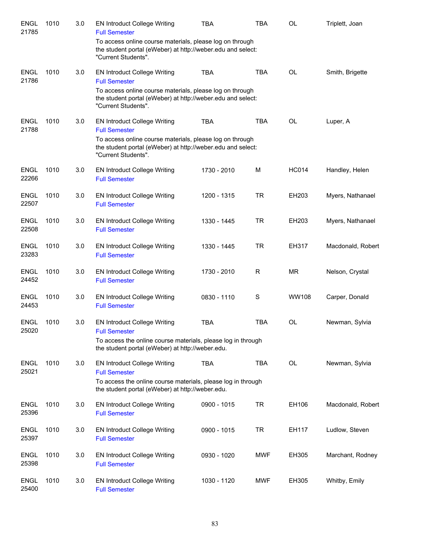| <b>ENGL</b><br>21785 | 1010 | 3.0 | <b>EN Introduct College Writing</b><br><b>Full Semester</b>                                                                                    | <b>TBA</b>  | TBA         | OL           | Triplett, Joan    |
|----------------------|------|-----|------------------------------------------------------------------------------------------------------------------------------------------------|-------------|-------------|--------------|-------------------|
|                      |      |     | To access online course materials, please log on through<br>the student portal (eWeber) at http://weber.edu and select:<br>"Current Students". |             |             |              |                   |
| <b>ENGL</b><br>21786 | 1010 | 3.0 | <b>EN Introduct College Writing</b><br><b>Full Semester</b>                                                                                    | <b>TBA</b>  | <b>TBA</b>  | <b>OL</b>    | Smith, Brigette   |
|                      |      |     | To access online course materials, please log on through<br>the student portal (eWeber) at http://weber.edu and select:<br>"Current Students". |             |             |              |                   |
| ENGL<br>21788        | 1010 | 3.0 | <b>EN Introduct College Writing</b><br><b>Full Semester</b>                                                                                    | <b>TBA</b>  | <b>TBA</b>  | OL           | Luper, A          |
|                      |      |     | To access online course materials, please log on through<br>the student portal (eWeber) at http://weber.edu and select:<br>"Current Students". |             |             |              |                   |
| <b>ENGL</b><br>22266 | 1010 | 3.0 | <b>EN Introduct College Writing</b><br><b>Full Semester</b>                                                                                    | 1730 - 2010 | M           | <b>HC014</b> | Handley, Helen    |
| <b>ENGL</b><br>22507 | 1010 | 3.0 | EN Introduct College Writing<br><b>Full Semester</b>                                                                                           | 1200 - 1315 | <b>TR</b>   | EH203        | Myers, Nathanael  |
| <b>ENGL</b><br>22508 | 1010 | 3.0 | <b>EN Introduct College Writing</b><br><b>Full Semester</b>                                                                                    | 1330 - 1445 | <b>TR</b>   | EH203        | Myers, Nathanael  |
| <b>ENGL</b><br>23283 | 1010 | 3.0 | <b>EN Introduct College Writing</b><br><b>Full Semester</b>                                                                                    | 1330 - 1445 | <b>TR</b>   | EH317        | Macdonald, Robert |
| <b>ENGL</b><br>24452 | 1010 | 3.0 | <b>EN Introduct College Writing</b><br><b>Full Semester</b>                                                                                    | 1730 - 2010 | R           | MR.          | Nelson, Crystal   |
| <b>ENGL</b><br>24453 | 1010 | 3.0 | <b>EN Introduct College Writing</b><br><b>Full Semester</b>                                                                                    | 0830 - 1110 | $\mathbf S$ | <b>WW108</b> | Carper, Donald    |
| <b>ENGL</b><br>25020 | 1010 | 3.0 | <b>EN Introduct College Writing</b><br><b>Full Semester</b>                                                                                    | <b>TBA</b>  | <b>TBA</b>  | <b>OL</b>    | Newman, Sylvia    |
|                      |      |     | To access the online course materials, please log in through<br>the student portal (eWeber) at http://weber.edu.                               |             |             |              |                   |
| <b>ENGL</b><br>25021 | 1010 | 3.0 | <b>EN Introduct College Writing</b><br><b>Full Semester</b>                                                                                    | <b>TBA</b>  | <b>TBA</b>  | <b>OL</b>    | Newman, Sylvia    |
|                      |      |     | To access the online course materials, please log in through<br>the student portal (eWeber) at http://weber.edu.                               |             |             |              |                   |
| <b>ENGL</b><br>25396 | 1010 | 3.0 | <b>EN Introduct College Writing</b><br><b>Full Semester</b>                                                                                    | 0900 - 1015 | <b>TR</b>   | EH106        | Macdonald, Robert |
| <b>ENGL</b><br>25397 | 1010 | 3.0 | <b>EN Introduct College Writing</b><br><b>Full Semester</b>                                                                                    | 0900 - 1015 | <b>TR</b>   | EH117        | Ludlow, Steven    |
| <b>ENGL</b><br>25398 | 1010 | 3.0 | <b>EN Introduct College Writing</b><br><b>Full Semester</b>                                                                                    | 0930 - 1020 | <b>MWF</b>  | EH305        | Marchant, Rodney  |
| <b>ENGL</b><br>25400 | 1010 | 3.0 | <b>EN Introduct College Writing</b><br><b>Full Semester</b>                                                                                    | 1030 - 1120 | <b>MWF</b>  | EH305        | Whitby, Emily     |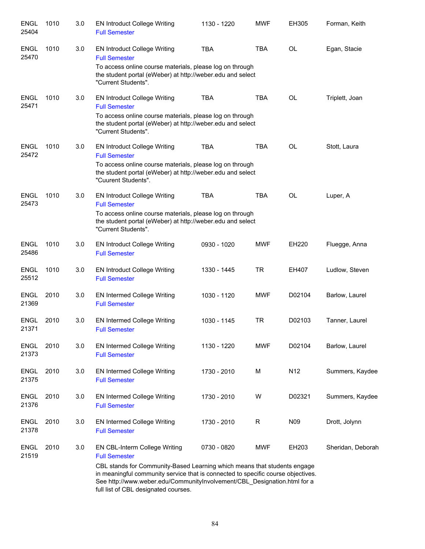| <b>ENGL</b><br>25404 | 1010 | 3.0 | <b>EN Introduct College Writing</b><br><b>Full Semester</b>                                                                                                                                                                                                                                                                               | 1130 - 1220 | <b>MWF</b> | EH305     | Forman, Keith     |
|----------------------|------|-----|-------------------------------------------------------------------------------------------------------------------------------------------------------------------------------------------------------------------------------------------------------------------------------------------------------------------------------------------|-------------|------------|-----------|-------------------|
| <b>ENGL</b><br>25470 | 1010 | 3.0 | <b>EN Introduct College Writing</b><br><b>Full Semester</b><br>To access online course materials, please log on through<br>the student portal (eWeber) at http://weber.edu and select<br>"Current Students".                                                                                                                              | <b>TBA</b>  | <b>TBA</b> | OL        | Egan, Stacie      |
| <b>ENGL</b><br>25471 | 1010 | 3.0 | <b>EN Introduct College Writing</b><br><b>Full Semester</b><br>To access online course materials, please log on through<br>the student portal (eWeber) at http://weber.edu and select<br>"Current Students".                                                                                                                              | <b>TBA</b>  | <b>TBA</b> | OL        | Triplett, Joan    |
| <b>ENGL</b><br>25472 | 1010 | 3.0 | <b>EN Introduct College Writing</b><br><b>Full Semester</b><br>To access online course materials, please log on through<br>the student portal (eWeber) at http://weber.edu and select<br>"Cuurent Students".                                                                                                                              | <b>TBA</b>  | <b>TBA</b> | <b>OL</b> | Stott, Laura      |
| <b>ENGL</b><br>25473 | 1010 | 3.0 | <b>EN Introduct College Writing</b><br><b>Full Semester</b><br>To access online course materials, please log on through<br>the student portal (eWeber) at http://weber.edu and select<br>"Current Students".                                                                                                                              | <b>TBA</b>  | <b>TBA</b> | <b>OL</b> | Luper, A          |
| <b>ENGL</b><br>25486 | 1010 | 3.0 | <b>EN Introduct College Writing</b><br><b>Full Semester</b>                                                                                                                                                                                                                                                                               | 0930 - 1020 | <b>MWF</b> | EH220     | Fluegge, Anna     |
| <b>ENGL</b><br>25512 | 1010 | 3.0 | <b>EN Introduct College Writing</b><br><b>Full Semester</b>                                                                                                                                                                                                                                                                               | 1330 - 1445 | <b>TR</b>  | EH407     | Ludlow, Steven    |
| <b>ENGL</b><br>21369 | 2010 | 3.0 | <b>EN Intermed College Writing</b><br><b>Full Semester</b>                                                                                                                                                                                                                                                                                | 1030 - 1120 | <b>MWF</b> | D02104    | Barlow, Laurel    |
| <b>ENGL</b><br>21371 | 2010 | 3.0 | <b>EN Intermed College Writing</b><br><b>Full Semester</b>                                                                                                                                                                                                                                                                                | 1030 - 1145 | <b>TR</b>  | D02103    | Tanner, Laurel    |
| <b>ENGL</b><br>21373 | 2010 | 3.0 | <b>EN Intermed College Writing</b><br><b>Full Semester</b>                                                                                                                                                                                                                                                                                | 1130 - 1220 | <b>MWF</b> | D02104    | Barlow, Laurel    |
| <b>ENGL</b><br>21375 | 2010 | 3.0 | <b>EN Intermed College Writing</b><br><b>Full Semester</b>                                                                                                                                                                                                                                                                                | 1730 - 2010 | М          | N12       | Summers, Kaydee   |
| <b>ENGL</b><br>21376 | 2010 | 3.0 | EN Intermed College Writing<br><b>Full Semester</b>                                                                                                                                                                                                                                                                                       | 1730 - 2010 | W          | D02321    | Summers, Kaydee   |
| <b>ENGL</b><br>21378 | 2010 | 3.0 | EN Intermed College Writing<br><b>Full Semester</b>                                                                                                                                                                                                                                                                                       | 1730 - 2010 | R          | N09       | Drott, Jolynn     |
| <b>ENGL</b><br>21519 | 2010 | 3.0 | EN CBL-Interm College Writing<br><b>Full Semester</b><br>CBL stands for Community-Based Learning which means that students engage<br>in meaningful community service that is connected to specific course objectives.<br>See http://www.weber.edu/CommunityInvolvement/CBL_Designation.html for a<br>full list of CBL designated courses. | 0730 - 0820 | <b>MWF</b> | EH203     | Sheridan, Deborah |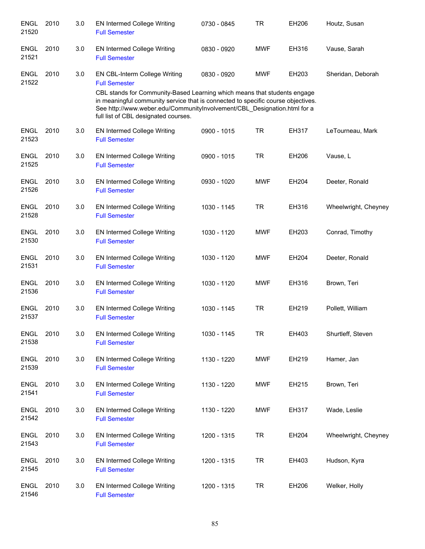| <b>ENGL</b><br>21520 | 2010 | 3.0 | <b>EN Intermed College Writing</b><br><b>Full Semester</b>                                                                                                                                                                                                                       | 0730 - 0845 | TR         | EH206 | Houtz, Susan         |
|----------------------|------|-----|----------------------------------------------------------------------------------------------------------------------------------------------------------------------------------------------------------------------------------------------------------------------------------|-------------|------------|-------|----------------------|
| <b>ENGL</b><br>21521 | 2010 | 3.0 | <b>EN Intermed College Writing</b><br><b>Full Semester</b>                                                                                                                                                                                                                       | 0830 - 0920 | <b>MWF</b> | EH316 | Vause, Sarah         |
| <b>ENGL</b><br>21522 | 2010 | 3.0 | EN CBL-Interm College Writing<br><b>Full Semester</b>                                                                                                                                                                                                                            | 0830 - 0920 | <b>MWF</b> | EH203 | Sheridan, Deborah    |
|                      |      |     | CBL stands for Community-Based Learning which means that students engage<br>in meaningful community service that is connected to specific course objectives.<br>See http://www.weber.edu/CommunityInvolvement/CBL Designation.html for a<br>full list of CBL designated courses. |             |            |       |                      |
| <b>ENGL</b><br>21523 | 2010 | 3.0 | <b>EN Intermed College Writing</b><br><b>Full Semester</b>                                                                                                                                                                                                                       | 0900 - 1015 | <b>TR</b>  | EH317 | LeTourneau, Mark     |
| <b>ENGL</b><br>21525 | 2010 | 3.0 | <b>EN Intermed College Writing</b><br><b>Full Semester</b>                                                                                                                                                                                                                       | 0900 - 1015 | <b>TR</b>  | EH206 | Vause, L             |
| <b>ENGL</b><br>21526 | 2010 | 3.0 | <b>EN Intermed College Writing</b><br><b>Full Semester</b>                                                                                                                                                                                                                       | 0930 - 1020 | <b>MWF</b> | EH204 | Deeter, Ronald       |
| <b>ENGL</b><br>21528 | 2010 | 3.0 | EN Intermed College Writing<br><b>Full Semester</b>                                                                                                                                                                                                                              | 1030 - 1145 | <b>TR</b>  | EH316 | Wheelwright, Cheyney |
| <b>ENGL</b><br>21530 | 2010 | 3.0 | <b>EN Intermed College Writing</b><br><b>Full Semester</b>                                                                                                                                                                                                                       | 1030 - 1120 | <b>MWF</b> | EH203 | Conrad, Timothy      |
| <b>ENGL</b><br>21531 | 2010 | 3.0 | EN Intermed College Writing<br><b>Full Semester</b>                                                                                                                                                                                                                              | 1030 - 1120 | <b>MWF</b> | EH204 | Deeter, Ronald       |
| <b>ENGL</b><br>21536 | 2010 | 3.0 | EN Intermed College Writing<br><b>Full Semester</b>                                                                                                                                                                                                                              | 1030 - 1120 | <b>MWF</b> | EH316 | Brown, Teri          |
| <b>ENGL</b><br>21537 | 2010 | 3.0 | <b>EN Intermed College Writing</b><br><b>Full Semester</b>                                                                                                                                                                                                                       | 1030 - 1145 | <b>TR</b>  | EH219 | Pollett, William     |
| ENGL<br>21538        | 2010 | 3.0 | EN Intermed College Writing<br><b>Full Semester</b>                                                                                                                                                                                                                              | 1030 - 1145 | <b>TR</b>  | EH403 | Shurtleff, Steven    |
| <b>ENGL</b><br>21539 | 2010 | 3.0 | <b>EN Intermed College Writing</b><br><b>Full Semester</b>                                                                                                                                                                                                                       | 1130 - 1220 | <b>MWF</b> | EH219 | Hamer, Jan           |
| <b>ENGL</b><br>21541 | 2010 | 3.0 | <b>EN Intermed College Writing</b><br><b>Full Semester</b>                                                                                                                                                                                                                       | 1130 - 1220 | <b>MWF</b> | EH215 | Brown, Teri          |
| <b>ENGL</b><br>21542 | 2010 | 3.0 | <b>EN Intermed College Writing</b><br><b>Full Semester</b>                                                                                                                                                                                                                       | 1130 - 1220 | <b>MWF</b> | EH317 | Wade, Leslie         |
| <b>ENGL</b><br>21543 | 2010 | 3.0 | <b>EN Intermed College Writing</b><br><b>Full Semester</b>                                                                                                                                                                                                                       | 1200 - 1315 | <b>TR</b>  | EH204 | Wheelwright, Cheyney |
| <b>ENGL</b><br>21545 | 2010 | 3.0 | EN Intermed College Writing<br><b>Full Semester</b>                                                                                                                                                                                                                              | 1200 - 1315 | <b>TR</b>  | EH403 | Hudson, Kyra         |
| <b>ENGL</b><br>21546 | 2010 | 3.0 | <b>EN Intermed College Writing</b><br><b>Full Semester</b>                                                                                                                                                                                                                       | 1200 - 1315 | <b>TR</b>  | EH206 | Welker, Holly        |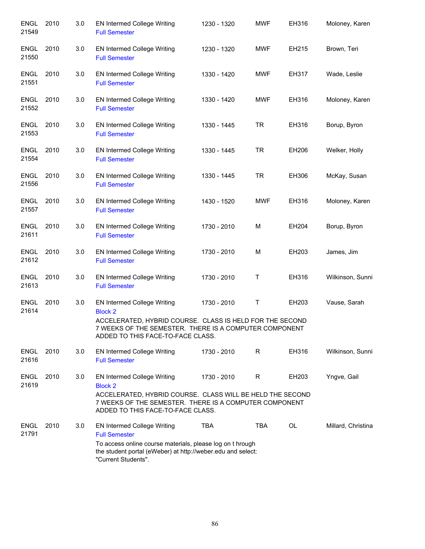| <b>ENGL</b><br>21549 | 2010 | 3.0 | <b>EN Intermed College Writing</b><br><b>Full Semester</b>                                                                                                                                                       | 1230 - 1320 | <b>MWF</b> | EH316     | Moloney, Karen     |
|----------------------|------|-----|------------------------------------------------------------------------------------------------------------------------------------------------------------------------------------------------------------------|-------------|------------|-----------|--------------------|
| <b>ENGL</b><br>21550 | 2010 | 3.0 | <b>EN Intermed College Writing</b><br><b>Full Semester</b>                                                                                                                                                       | 1230 - 1320 | <b>MWF</b> | EH215     | Brown, Teri        |
| ENGL<br>21551        | 2010 | 3.0 | <b>EN Intermed College Writing</b><br><b>Full Semester</b>                                                                                                                                                       | 1330 - 1420 | <b>MWF</b> | EH317     | Wade, Leslie       |
| ENGL<br>21552        | 2010 | 3.0 | <b>EN Intermed College Writing</b><br><b>Full Semester</b>                                                                                                                                                       | 1330 - 1420 | <b>MWF</b> | EH316     | Moloney, Karen     |
| ENGL<br>21553        | 2010 | 3.0 | <b>EN Intermed College Writing</b><br><b>Full Semester</b>                                                                                                                                                       | 1330 - 1445 | <b>TR</b>  | EH316     | Borup, Byron       |
| <b>ENGL</b><br>21554 | 2010 | 3.0 | <b>EN Intermed College Writing</b><br><b>Full Semester</b>                                                                                                                                                       | 1330 - 1445 | <b>TR</b>  | EH206     | Welker, Holly      |
| <b>ENGL</b><br>21556 | 2010 | 3.0 | <b>EN Intermed College Writing</b><br><b>Full Semester</b>                                                                                                                                                       | 1330 - 1445 | TR.        | EH306     | McKay, Susan       |
| <b>ENGL</b><br>21557 | 2010 | 3.0 | <b>EN Intermed College Writing</b><br><b>Full Semester</b>                                                                                                                                                       | 1430 - 1520 | MWF        | EH316     | Moloney, Karen     |
| <b>ENGL</b><br>21611 | 2010 | 3.0 | <b>EN Intermed College Writing</b><br><b>Full Semester</b>                                                                                                                                                       | 1730 - 2010 | M          | EH204     | Borup, Byron       |
| <b>ENGL</b><br>21612 | 2010 | 3.0 | <b>EN Intermed College Writing</b><br><b>Full Semester</b>                                                                                                                                                       | 1730 - 2010 | M          | EH203     | James, Jim         |
| <b>ENGL</b><br>21613 | 2010 | 3.0 | <b>EN Intermed College Writing</b><br><b>Full Semester</b>                                                                                                                                                       | 1730 - 2010 | Τ          | EH316     | Wilkinson, Sunni   |
| ENGL<br>21614        | 2010 | 3.0 | <b>EN Intermed College Writing</b><br><b>Block 2</b><br>ACCELERATED, HYBRID COURSE. CLASS IS HELD FOR THE SECOND<br>7 WEEKS OF THE SEMESTER. THERE IS A COMPUTER COMPONENT<br>ADDED TO THIS FACE-TO-FACE CLASS.  | 1730 - 2010 | Τ          | EH203     | Vause, Sarah       |
| <b>ENGL</b><br>21616 | 2010 | 3.0 | <b>EN Intermed College Writing</b><br><b>Full Semester</b>                                                                                                                                                       | 1730 - 2010 | R          | EH316     | Wilkinson, Sunni   |
| <b>ENGL</b><br>21619 | 2010 | 3.0 | <b>EN Intermed College Writing</b><br><b>Block 2</b><br>ACCELERATED, HYBRID COURSE. CLASS WILL BE HELD THE SECOND<br>7 WEEKS OF THE SEMESTER. THERE IS A COMPUTER COMPONENT<br>ADDED TO THIS FACE-TO-FACE CLASS. | 1730 - 2010 | R          | EH203     | Yngve, Gail        |
| <b>ENGL</b><br>21791 | 2010 | 3.0 | <b>EN Intermed College Writing</b><br><b>Full Semester</b><br>To access online course materials, please log on t hrough<br>the student portal (eWeber) at http://weber.edu and select:<br>"Current Students".    | <b>TBA</b>  | <b>TBA</b> | <b>OL</b> | Millard, Christina |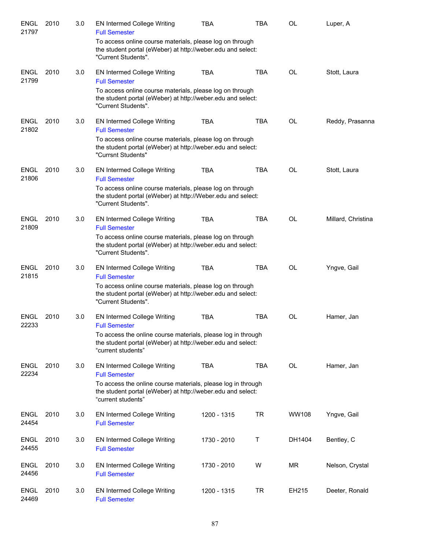| <b>ENGL</b><br>21797 | 2010 | 3.0 | <b>EN Intermed College Writing</b><br><b>Full Semester</b>                                                                                        | <b>TBA</b>  | <b>TBA</b> | <b>OL</b>    | Luper, A           |
|----------------------|------|-----|---------------------------------------------------------------------------------------------------------------------------------------------------|-------------|------------|--------------|--------------------|
|                      |      |     | To access online course materials, please log on through<br>the student portal (eWeber) at http://weber.edu and select:<br>"Current Students".    |             |            |              |                    |
| <b>ENGL</b><br>21799 | 2010 | 3.0 | <b>EN Intermed College Writing</b><br><b>Full Semester</b>                                                                                        | <b>TBA</b>  | <b>TBA</b> | <b>OL</b>    | Stott, Laura       |
|                      |      |     | To access online course materials, please log on through<br>the student portal (eWeber) at http://weber.edu and select:<br>"Current Students".    |             |            |              |                    |
| <b>ENGL</b><br>21802 | 2010 | 3.0 | EN Intermed College Writing<br><b>Full Semester</b>                                                                                               | <b>TBA</b>  | <b>TBA</b> | <b>OL</b>    | Reddy, Prasanna    |
|                      |      |     | To access online course materials, please log on through<br>the student portal (eWeber) at http://weber.edu and select:<br>"Currsnt Students"     |             |            |              |                    |
| <b>ENGL</b><br>21806 | 2010 | 3.0 | <b>EN Intermed College Writing</b><br><b>Full Semester</b>                                                                                        | <b>TBA</b>  | <b>TBA</b> | <b>OL</b>    | Stott, Laura       |
|                      |      |     | To access online course materials, please log on through<br>the student portal (eWeber) at http://Weber.edu and select:<br>"Current Students".    |             |            |              |                    |
| <b>ENGL</b><br>21809 | 2010 | 3.0 | <b>EN Intermed College Writing</b><br><b>Full Semester</b>                                                                                        | <b>TBA</b>  | <b>TBA</b> | <b>OL</b>    | Millard, Christina |
|                      |      |     | To access online course materials, please log on through<br>the student portal (eWeber) at http://weber.edu and select:<br>"Current Students".    |             |            |              |                    |
| <b>ENGL</b><br>21815 | 2010 | 3.0 | <b>EN Intermed College Writing</b><br><b>Full Semester</b>                                                                                        | <b>TBA</b>  | <b>TBA</b> | <b>OL</b>    | Yngve, Gail        |
|                      |      |     | To access online course materials, please log on through<br>the student portal (eWeber) at http://weber.edu and select:<br>"Current Students".    |             |            |              |                    |
| ENGL<br>22233        | 2010 | 3.0 | <b>EN Intermed College Writing</b><br><b>Full Semester</b>                                                                                        | <b>TBA</b>  | <b>TBA</b> | OL           | Hamer, Jan         |
|                      |      |     | To access the online course materials, please log in through<br>the student portal (eWeber) at http://weber.edu and select:<br>"current students" |             |            |              |                    |
| <b>ENGL</b><br>22234 | 2010 | 3.0 | <b>EN Intermed College Writing</b><br><b>Full Semester</b>                                                                                        | <b>TBA</b>  | <b>TBA</b> | <b>OL</b>    | Hamer, Jan         |
|                      |      |     | To access the online course materials, please log in through<br>the student portal (eWeber) at http://weber.edu and select:<br>"current students" |             |            |              |                    |
| <b>ENGL</b><br>24454 | 2010 | 3.0 | <b>EN Intermed College Writing</b><br><b>Full Semester</b>                                                                                        | 1200 - 1315 | <b>TR</b>  | <b>WW108</b> | Yngve, Gail        |
| <b>ENGL</b><br>24455 | 2010 | 3.0 | <b>EN Intermed College Writing</b><br><b>Full Semester</b>                                                                                        | 1730 - 2010 | Τ          | DH1404       | Bentley, C         |
| <b>ENGL</b><br>24456 | 2010 | 3.0 | <b>EN Intermed College Writing</b><br><b>Full Semester</b>                                                                                        | 1730 - 2010 | W          | <b>MR</b>    | Nelson, Crystal    |
| <b>ENGL</b><br>24469 | 2010 | 3.0 | <b>EN Intermed College Writing</b><br><b>Full Semester</b>                                                                                        | 1200 - 1315 | <b>TR</b>  | EH215        | Deeter, Ronald     |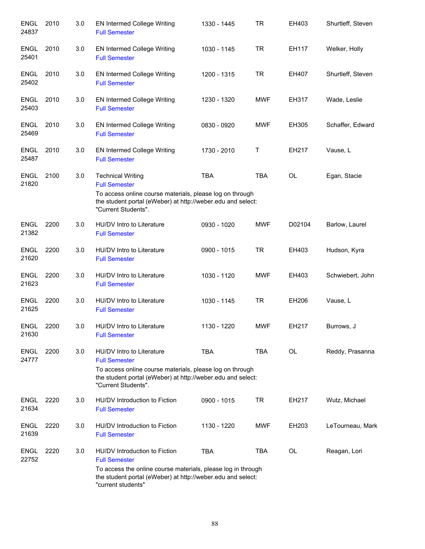| <b>ENGL</b><br>24837 | 2010 | 3.0 | <b>EN Intermed College Writing</b><br><b>Full Semester</b>                                                                                        | 1330 - 1445 | <b>TR</b>  | EH403     | Shurtleff, Steven |
|----------------------|------|-----|---------------------------------------------------------------------------------------------------------------------------------------------------|-------------|------------|-----------|-------------------|
| <b>ENGL</b><br>25401 | 2010 | 3.0 | <b>EN Intermed College Writing</b><br><b>Full Semester</b>                                                                                        | 1030 - 1145 | <b>TR</b>  | EH117     | Welker, Holly     |
| <b>ENGL</b><br>25402 | 2010 | 3.0 | <b>EN Intermed College Writing</b><br><b>Full Semester</b>                                                                                        | 1200 - 1315 | <b>TR</b>  | EH407     | Shurtleff, Steven |
| <b>ENGL</b><br>25403 | 2010 | 3.0 | <b>EN Intermed College Writing</b><br><b>Full Semester</b>                                                                                        | 1230 - 1320 | <b>MWF</b> | EH317     | Wade, Leslie      |
| <b>ENGL</b><br>25469 | 2010 | 3.0 | <b>EN Intermed College Writing</b><br><b>Full Semester</b>                                                                                        | 0830 - 0920 | <b>MWF</b> | EH305     | Schaffer, Edward  |
| <b>ENGL</b><br>25487 | 2010 | 3.0 | <b>EN Intermed College Writing</b><br><b>Full Semester</b>                                                                                        | 1730 - 2010 | Τ          | EH217     | Vause, L          |
| <b>ENGL</b><br>21820 | 2100 | 3.0 | <b>Technical Writing</b><br><b>Full Semester</b><br>To access online course materials, please log on through                                      | <b>TBA</b>  | <b>TBA</b> | <b>OL</b> | Egan, Stacie      |
|                      |      |     | the student portal (eWeber) at http://weber.edu and select:<br>"Current Students".                                                                |             |            |           |                   |
| <b>ENGL</b><br>21382 | 2200 | 3.0 | HU/DV Intro to Literature<br><b>Full Semester</b>                                                                                                 | 0930 - 1020 | <b>MWF</b> | D02104    | Barlow, Laurel    |
| <b>ENGL</b><br>21620 | 2200 | 3.0 | HU/DV Intro to Literature<br><b>Full Semester</b>                                                                                                 | 0900 - 1015 | <b>TR</b>  | EH403     | Hudson, Kyra      |
| <b>ENGL</b><br>21623 | 2200 | 3.0 | HU/DV Intro to Literature<br><b>Full Semester</b>                                                                                                 | 1030 - 1120 | <b>MWF</b> | EH403     | Schwiebert, John  |
| <b>ENGL</b><br>21625 | 2200 | 3.0 | HU/DV Intro to Literature<br><b>Full Semester</b>                                                                                                 | 1030 - 1145 | <b>TR</b>  | EH206     | Vause, L          |
| <b>ENGL</b><br>21630 | 2200 | 3.0 | HU/DV Intro to Literature<br><b>Full Semester</b>                                                                                                 | 1130 - 1220 | <b>MWF</b> | EH217     | Burrows, J        |
| <b>ENGL</b><br>24777 | 2200 | 3.0 | HU/DV Intro to Literature<br><b>Full Semester</b>                                                                                                 | <b>TBA</b>  | <b>TBA</b> | OL        | Reddy, Prasanna   |
|                      |      |     | To access online course materials, please log on through<br>the student portal (eWeber) at http://weber.edu and select:<br>"Current Students".    |             |            |           |                   |
| <b>ENGL</b><br>21634 | 2220 | 3.0 | HU/DV Introduction to Fiction<br><b>Full Semester</b>                                                                                             | 0900 - 1015 | <b>TR</b>  | EH217     | Wutz, Michael     |
| <b>ENGL</b><br>21639 | 2220 | 3.0 | HU/DV Introduction to Fiction<br><b>Full Semester</b>                                                                                             | 1130 - 1220 | <b>MWF</b> | EH203     | LeTourneau, Mark  |
| <b>ENGL</b><br>22752 | 2220 | 3.0 | HU/DV Introduction to Fiction<br><b>Full Semester</b>                                                                                             | <b>TBA</b>  | <b>TBA</b> | <b>OL</b> | Reagan, Lori      |
|                      |      |     | To access the online course materials, please log in through<br>the student portal (eWeber) at http://weber.edu and select:<br>"current students" |             |            |           |                   |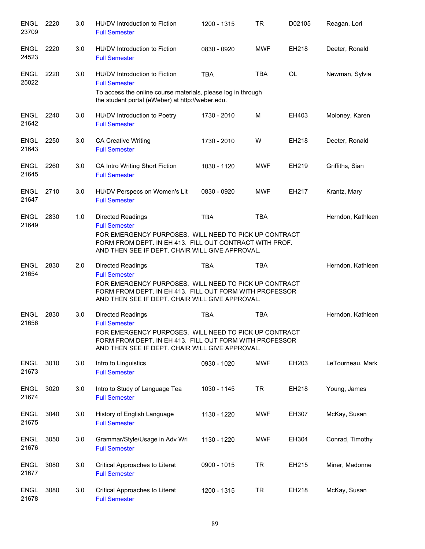| <b>ENGL</b><br>23709 | 2220 | 3.0 | HU/DV Introduction to Fiction<br><b>Full Semester</b>                                                                                                                                                                   | 1200 - 1315 | <b>TR</b>  | D02105    | Reagan, Lori      |
|----------------------|------|-----|-------------------------------------------------------------------------------------------------------------------------------------------------------------------------------------------------------------------------|-------------|------------|-----------|-------------------|
| <b>ENGL</b><br>24523 | 2220 | 3.0 | HU/DV Introduction to Fiction<br><b>Full Semester</b>                                                                                                                                                                   | 0830 - 0920 | <b>MWF</b> | EH218     | Deeter, Ronald    |
| ENGL<br>25022        | 2220 | 3.0 | HU/DV Introduction to Fiction<br><b>Full Semester</b><br>To access the online course materials, please log in through<br>the student portal (eWeber) at http://weber.edu.                                               | <b>TBA</b>  | <b>TBA</b> | <b>OL</b> | Newman, Sylvia    |
| <b>ENGL</b><br>21642 | 2240 | 3.0 | HU/DV Introduction to Poetry<br><b>Full Semester</b>                                                                                                                                                                    | 1730 - 2010 | M          | EH403     | Moloney, Karen    |
| <b>ENGL</b><br>21643 | 2250 | 3.0 | <b>CA Creative Writing</b><br><b>Full Semester</b>                                                                                                                                                                      | 1730 - 2010 | W          | EH218     | Deeter, Ronald    |
| <b>ENGL</b><br>21645 | 2260 | 3.0 | CA Intro Writing Short Fiction<br><b>Full Semester</b>                                                                                                                                                                  | 1030 - 1120 | <b>MWF</b> | EH219     | Griffiths, Sian   |
| <b>ENGL</b><br>21647 | 2710 | 3.0 | HU/DV Perspecs on Women's Lit<br><b>Full Semester</b>                                                                                                                                                                   | 0830 - 0920 | <b>MWF</b> | EH217     | Krantz, Mary      |
| <b>ENGL</b><br>21649 | 2830 | 1.0 | <b>Directed Readings</b><br><b>Full Semester</b><br>FOR EMERGENCY PURPOSES. WILL NEED TO PICK UP CONTRACT<br>FORM FROM DEPT. IN EH 413. FILL OUT CONTRACT WITH PROF.<br>AND THEN SEE IF DEPT. CHAIR WILL GIVE APPROVAL. | <b>TBA</b>  | <b>TBA</b> |           | Herndon, Kathleen |
| <b>ENGL</b><br>21654 | 2830 | 2.0 | <b>Directed Readings</b><br><b>Full Semester</b><br>FOR EMERGENCY PURPOSES. WILL NEED TO PICK UP CONTRACT<br>FORM FROM DEPT. IN EH 413. FILL OUT FORM WITH PROFESSOR<br>AND THEN SEE IF DEPT. CHAIR WILL GIVE APPROVAL. | <b>TBA</b>  | <b>TBA</b> |           | Herndon, Kathleen |
| <b>ENGL</b><br>21656 | 2830 | 3.0 | <b>Directed Readings</b><br><b>Full Semester</b><br>FOR EMERGENCY PURPOSES. WILL NEED TO PICK UP CONTRACT<br>FORM FROM DEPT. IN EH 413. FILL OUT FORM WITH PROFESSOR<br>AND THEN SEE IF DEPT. CHAIR WILL GIVE APPROVAL. | <b>TBA</b>  | <b>TBA</b> |           | Herndon, Kathleen |
| ENGL<br>21673        | 3010 | 3.0 | Intro to Linguistics<br><b>Full Semester</b>                                                                                                                                                                            | 0930 - 1020 | <b>MWF</b> | EH203     | LeTourneau, Mark  |
| <b>ENGL</b><br>21674 | 3020 | 3.0 | Intro to Study of Language Tea<br><b>Full Semester</b>                                                                                                                                                                  | 1030 - 1145 | <b>TR</b>  | EH218     | Young, James      |
| <b>ENGL</b><br>21675 | 3040 | 3.0 | History of English Language<br><b>Full Semester</b>                                                                                                                                                                     | 1130 - 1220 | <b>MWF</b> | EH307     | McKay, Susan      |
| <b>ENGL</b><br>21676 | 3050 | 3.0 | Grammar/Style/Usage in Adv Wri<br><b>Full Semester</b>                                                                                                                                                                  | 1130 - 1220 | <b>MWF</b> | EH304     | Conrad, Timothy   |
| <b>ENGL</b><br>21677 | 3080 | 3.0 | Critical Approaches to Literat<br><b>Full Semester</b>                                                                                                                                                                  | 0900 - 1015 | <b>TR</b>  | EH215     | Miner, Madonne    |
| <b>ENGL</b><br>21678 | 3080 | 3.0 | Critical Approaches to Literat<br><b>Full Semester</b>                                                                                                                                                                  | 1200 - 1315 | <b>TR</b>  | EH218     | McKay, Susan      |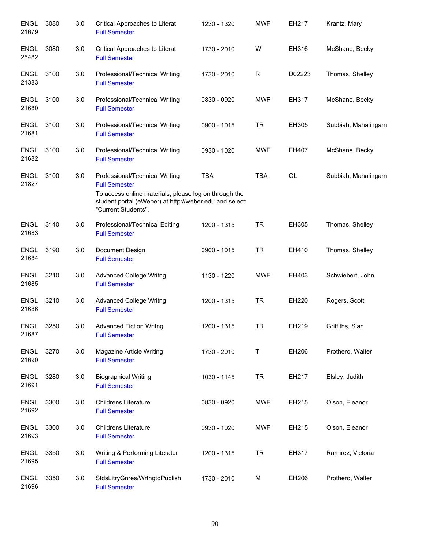| <b>ENGL</b><br>21679 | 3080 | 3.0 | Critical Approaches to Literat<br><b>Full Semester</b>                                                                                                                                            | 1230 - 1320 | <b>MWF</b> | EH217     | Krantz, Mary        |
|----------------------|------|-----|---------------------------------------------------------------------------------------------------------------------------------------------------------------------------------------------------|-------------|------------|-----------|---------------------|
| <b>ENGL</b><br>25482 | 3080 | 3.0 | Critical Approaches to Literat<br><b>Full Semester</b>                                                                                                                                            | 1730 - 2010 | W          | EH316     | McShane, Becky      |
| <b>ENGL</b><br>21383 | 3100 | 3.0 | Professional/Technical Writing<br><b>Full Semester</b>                                                                                                                                            | 1730 - 2010 | R          | D02223    | Thomas, Shelley     |
| <b>ENGL</b><br>21680 | 3100 | 3.0 | Professional/Technical Writing<br><b>Full Semester</b>                                                                                                                                            | 0830 - 0920 | <b>MWF</b> | EH317     | McShane, Becky      |
| <b>ENGL</b><br>21681 | 3100 | 3.0 | Professional/Technical Writing<br><b>Full Semester</b>                                                                                                                                            | 0900 - 1015 | <b>TR</b>  | EH305     | Subbiah, Mahalingam |
| <b>ENGL</b><br>21682 | 3100 | 3.0 | Professional/Technical Writing<br><b>Full Semester</b>                                                                                                                                            | 0930 - 1020 | <b>MWF</b> | EH407     | McShane, Becky      |
| <b>ENGL</b><br>21827 | 3100 | 3.0 | Professional/Technical Writing<br><b>Full Semester</b><br>To access online materials, please log on through the<br>student portal (eWeber) at http://weber.edu and select:<br>"Current Students". | <b>TBA</b>  | <b>TBA</b> | <b>OL</b> | Subbiah, Mahalingam |
| <b>ENGL</b><br>21683 | 3140 | 3.0 | Professional/Technical Editing<br><b>Full Semester</b>                                                                                                                                            | 1200 - 1315 | <b>TR</b>  | EH305     | Thomas, Shelley     |
| <b>ENGL</b><br>21684 | 3190 | 3.0 | Document Design<br><b>Full Semester</b>                                                                                                                                                           | 0900 - 1015 | <b>TR</b>  | EH410     | Thomas, Shelley     |
| <b>ENGL</b><br>21685 | 3210 | 3.0 | <b>Advanced College Writng</b><br><b>Full Semester</b>                                                                                                                                            | 1130 - 1220 | <b>MWF</b> | EH403     | Schwiebert, John    |
| <b>ENGL</b><br>21686 | 3210 | 3.0 | <b>Advanced College Writng</b><br><b>Full Semester</b>                                                                                                                                            | 1200 - 1315 | <b>TR</b>  | EH220     | Rogers, Scott       |
| <b>ENGL</b><br>21687 | 3250 | 3.0 | <b>Advanced Fiction Writng</b><br><b>Full Semester</b>                                                                                                                                            | 1200 - 1315 | <b>TR</b>  | EH219     | Griffiths, Sian     |
| <b>ENGL</b><br>21690 | 3270 | 3.0 | Magazine Article Writing<br><b>Full Semester</b>                                                                                                                                                  | 1730 - 2010 | Т          | EH206     | Prothero, Walter    |
| <b>ENGL</b><br>21691 | 3280 | 3.0 | <b>Biographical Writing</b><br><b>Full Semester</b>                                                                                                                                               | 1030 - 1145 | <b>TR</b>  | EH217     | Elsley, Judith      |
| <b>ENGL</b><br>21692 | 3300 | 3.0 | <b>Childrens Literature</b><br><b>Full Semester</b>                                                                                                                                               | 0830 - 0920 | <b>MWF</b> | EH215     | Olson, Eleanor      |
| <b>ENGL</b><br>21693 | 3300 | 3.0 | <b>Childrens Literature</b><br><b>Full Semester</b>                                                                                                                                               | 0930 - 1020 | <b>MWF</b> | EH215     | Olson, Eleanor      |
| <b>ENGL</b><br>21695 | 3350 | 3.0 | Writing & Performing Literatur<br><b>Full Semester</b>                                                                                                                                            | 1200 - 1315 | <b>TR</b>  | EH317     | Ramirez, Victoria   |
| <b>ENGL</b><br>21696 | 3350 | 3.0 | StdsLitryGnres/WrtngtoPublish<br><b>Full Semester</b>                                                                                                                                             | 1730 - 2010 | M          | EH206     | Prothero, Walter    |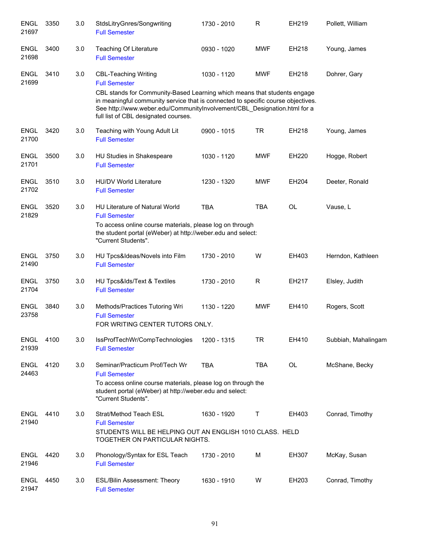| <b>ENGL</b><br>21697 | 3350 | 3.0 | StdsLitryGnres/Songwriting<br><b>Full Semester</b>                                                                                                                                                                  | 1730 - 2010 | R           | EH219     | Pollett, William    |
|----------------------|------|-----|---------------------------------------------------------------------------------------------------------------------------------------------------------------------------------------------------------------------|-------------|-------------|-----------|---------------------|
| <b>ENGL</b><br>21698 | 3400 | 3.0 | Teaching Of Literature<br><b>Full Semester</b>                                                                                                                                                                      | 0930 - 1020 | <b>MWF</b>  | EH218     | Young, James        |
| <b>ENGL</b><br>21699 | 3410 | 3.0 | <b>CBL-Teaching Writing</b><br><b>Full Semester</b><br>CBL stands for Community-Based Learning which means that students engage<br>in meaningful community service that is connected to specific course objectives. | 1030 - 1120 | <b>MWF</b>  | EH218     | Dohrer, Gary        |
|                      |      |     | See http://www.weber.edu/CommunityInvolvement/CBL_Designation.html for a<br>full list of CBL designated courses.                                                                                                    |             |             |           |                     |
| <b>ENGL</b><br>21700 | 3420 | 3.0 | Teaching with Young Adult Lit<br><b>Full Semester</b>                                                                                                                                                               | 0900 - 1015 | <b>TR</b>   | EH218     | Young, James        |
| <b>ENGL</b><br>21701 | 3500 | 3.0 | HU Studies in Shakespeare<br><b>Full Semester</b>                                                                                                                                                                   | 1030 - 1120 | <b>MWF</b>  | EH220     | Hogge, Robert       |
| <b>ENGL</b><br>21702 | 3510 | 3.0 | <b>HU/DV World Literature</b><br><b>Full Semester</b>                                                                                                                                                               | 1230 - 1320 | <b>MWF</b>  | EH204     | Deeter, Ronald      |
| <b>ENGL</b><br>21829 | 3520 | 3.0 | <b>HU Literature of Natural World</b><br><b>Full Semester</b>                                                                                                                                                       | <b>TBA</b>  | <b>TBA</b>  | <b>OL</b> | Vause, L            |
|                      |      |     | To access online course materials, please log on through<br>the student portal (eWeber) at http://weber.edu and select:<br>"Current Students".                                                                      |             |             |           |                     |
| <b>ENGL</b><br>21490 | 3750 | 3.0 | HU Tpcs&Ideas/Novels into Film<br><b>Full Semester</b>                                                                                                                                                              | 1730 - 2010 | W           | EH403     | Herndon, Kathleen   |
| <b>ENGL</b><br>21704 | 3750 | 3.0 | HU Tpcs&lds/Text & Textiles<br><b>Full Semester</b>                                                                                                                                                                 | 1730 - 2010 | R           | EH217     | Elsley, Judith      |
| <b>ENGL</b><br>23758 | 3840 | 3.0 | Methods/Practices Tutoring Wri<br><b>Full Semester</b><br>FOR WRITING CENTER TUTORS ONLY.                                                                                                                           | 1130 - 1220 | <b>MWF</b>  | EH410     | Rogers, Scott       |
| <b>ENGL</b><br>21939 | 4100 | 3.0 | IssProfTechWr/CompTechnologies<br><b>Full Semester</b>                                                                                                                                                              | 1200 - 1315 | <b>TR</b>   | EH410     | Subbiah, Mahalingam |
| <b>ENGL</b><br>24463 | 4120 | 3.0 | Seminar/Practicum Prof/Tech Wr<br><b>Full Semester</b>                                                                                                                                                              | <b>TBA</b>  | <b>TBA</b>  | OL        | McShane, Becky      |
|                      |      |     | To access online course materials, please log on through the<br>student portal (eWeber) at http://weber.edu and select:<br>"Current Students".                                                                      |             |             |           |                     |
| <b>ENGL</b><br>21940 | 4410 | 3.0 | Strat/Method Teach ESL<br><b>Full Semester</b><br>STUDENTS WILL BE HELPING OUT AN ENGLISH 1010 CLASS. HELD<br>TOGETHER ON PARTICULAR NIGHTS.                                                                        | 1630 - 1920 | $\mathsf T$ | EH403     | Conrad, Timothy     |
| <b>ENGL</b><br>21946 | 4420 | 3.0 | Phonology/Syntax for ESL Teach<br><b>Full Semester</b>                                                                                                                                                              | 1730 - 2010 | М           | EH307     | McKay, Susan        |
| <b>ENGL</b><br>21947 | 4450 | 3.0 | <b>ESL/Bilin Assessment: Theory</b><br><b>Full Semester</b>                                                                                                                                                         | 1630 - 1910 | W           | EH203     | Conrad, Timothy     |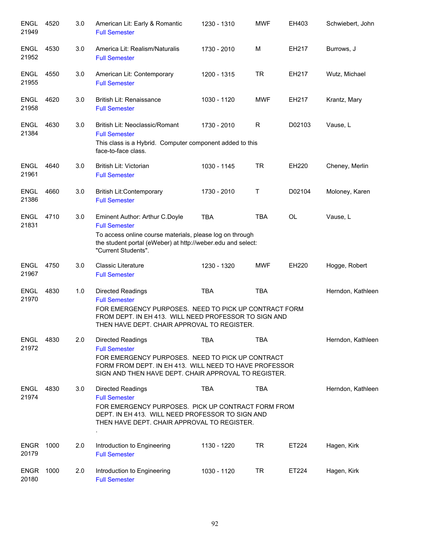| <b>ENGL</b><br>21949 | 4520 | 3.0 | American Lit: Early & Romantic<br><b>Full Semester</b>                                                                                                                                                          | 1230 - 1310 | <b>MWF</b> | EH403        | Schwiebert, John  |
|----------------------|------|-----|-----------------------------------------------------------------------------------------------------------------------------------------------------------------------------------------------------------------|-------------|------------|--------------|-------------------|
| <b>ENGL</b><br>21952 | 4530 | 3.0 | America Lit: Realism/Naturalis<br><b>Full Semester</b>                                                                                                                                                          | 1730 - 2010 | M          | EH217        | Burrows, J        |
| <b>ENGL</b><br>21955 | 4550 | 3.0 | American Lit: Contemporary<br><b>Full Semester</b>                                                                                                                                                              | 1200 - 1315 | <b>TR</b>  | EH217        | Wutz, Michael     |
| <b>ENGL</b><br>21958 | 4620 | 3.0 | British Lit: Renaissance<br><b>Full Semester</b>                                                                                                                                                                | 1030 - 1120 | <b>MWF</b> | EH217        | Krantz, Mary      |
| <b>ENGL</b><br>21384 | 4630 | 3.0 | British Lit: Neoclassic/Romant<br><b>Full Semester</b><br>This class is a Hybrid. Computer component added to this<br>face-to-face class.                                                                       | 1730 - 2010 | R          | D02103       | Vause, L          |
| <b>ENGL</b><br>21961 | 4640 | 3.0 | <b>British Lit: Victorian</b><br><b>Full Semester</b>                                                                                                                                                           | 1030 - 1145 | <b>TR</b>  | <b>EH220</b> | Cheney, Merlin    |
| <b>ENGL</b><br>21386 | 4660 | 3.0 | <b>British Lit:Contemporary</b><br><b>Full Semester</b>                                                                                                                                                         | 1730 - 2010 | T          | D02104       | Moloney, Karen    |
| <b>ENGL</b><br>21831 | 4710 | 3.0 | Eminent Author: Arthur C.Doyle<br><b>Full Semester</b><br>To access online course materials, please log on through<br>the student portal (eWeber) at http://weber.edu and select:<br>"Current Students".        | <b>TBA</b>  | <b>TBA</b> | <b>OL</b>    | Vause, L          |
| <b>ENGL</b><br>21967 | 4750 | 3.0 | <b>Classic Literature</b><br><b>Full Semester</b>                                                                                                                                                               | 1230 - 1320 | <b>MWF</b> | EH220        | Hogge, Robert     |
| <b>ENGL</b><br>21970 | 4830 | 1.0 | Directed Readings<br><b>Full Semester</b><br>FOR EMERGENCY PURPOSES. NEED TO PICK UP CONTRACT FORM<br>FROM DEPT. IN EH 413. WILL NEED PROFESSOR TO SIGN AND<br>THEN HAVE DEPT. CHAIR APPROVAL TO REGISTER.      | <b>TBA</b>  | <b>TBA</b> |              | Herndon, Kathleen |
| <b>ENGL</b><br>21972 | 4830 | 2.0 | Directed Readings<br><b>Full Semester</b><br>FOR EMERGENCY PURPOSES. NEED TO PICK UP CONTRACT<br>FORM FROM DEPT. IN EH 413. WILL NEED TO HAVE PROFESSOR<br>SIGN AND THEN HAVE DEPT. CHAIR APPROVAL TO REGISTER. | <b>TBA</b>  | TBA        |              | Herndon, Kathleen |
| <b>ENGL</b><br>21974 | 4830 | 3.0 | <b>Directed Readings</b><br><b>Full Semester</b><br>FOR EMERGENCY PURPOSES. PICK UP CONTRACT FORM FROM<br>DEPT. IN EH 413. WILL NEED PROFESSOR TO SIGN AND<br>THEN HAVE DEPT. CHAIR APPROVAL TO REGISTER.       | <b>TBA</b>  | <b>TBA</b> |              | Herndon, Kathleen |
| <b>ENGR</b><br>20179 | 1000 | 2.0 | Introduction to Engineering<br><b>Full Semester</b>                                                                                                                                                             | 1130 - 1220 | <b>TR</b>  | ET224        | Hagen, Kirk       |
| <b>ENGR</b><br>20180 | 1000 | 2.0 | Introduction to Engineering<br><b>Full Semester</b>                                                                                                                                                             | 1030 - 1120 | TR         | ET224        | Hagen, Kirk       |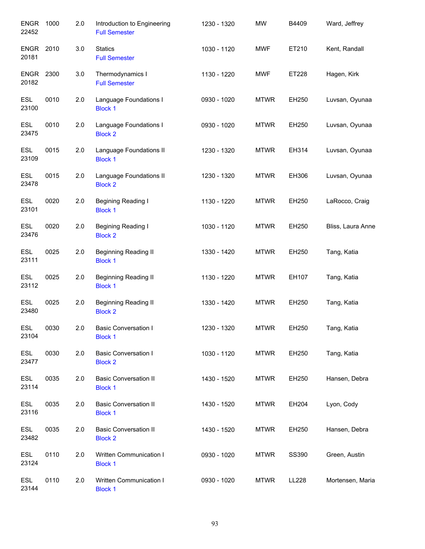| <b>ENGR</b><br>22452 | 1000 | 2.0 | Introduction to Engineering<br><b>Full Semester</b> | 1230 - 1320 | <b>MW</b>   | B4409 | Ward, Jeffrey     |
|----------------------|------|-----|-----------------------------------------------------|-------------|-------------|-------|-------------------|
| <b>ENGR</b><br>20181 | 2010 | 3.0 | <b>Statics</b><br><b>Full Semester</b>              | 1030 - 1120 | <b>MWF</b>  | ET210 | Kent, Randall     |
| ENGR<br>20182        | 2300 | 3.0 | Thermodynamics I<br><b>Full Semester</b>            | 1130 - 1220 | <b>MWF</b>  | ET228 | Hagen, Kirk       |
| <b>ESL</b><br>23100  | 0010 | 2.0 | Language Foundations I<br><b>Block 1</b>            | 0930 - 1020 | <b>MTWR</b> | EH250 | Luvsan, Oyunaa    |
| <b>ESL</b><br>23475  | 0010 | 2.0 | Language Foundations I<br><b>Block 2</b>            | 0930 - 1020 | <b>MTWR</b> | EH250 | Luvsan, Oyunaa    |
| <b>ESL</b><br>23109  | 0015 | 2.0 | Language Foundations II<br><b>Block 1</b>           | 1230 - 1320 | <b>MTWR</b> | EH314 | Luvsan, Oyunaa    |
| <b>ESL</b><br>23478  | 0015 | 2.0 | Language Foundations II<br><b>Block 2</b>           | 1230 - 1320 | <b>MTWR</b> | EH306 | Luvsan, Oyunaa    |
| <b>ESL</b><br>23101  | 0020 | 2.0 | Begining Reading I<br><b>Block 1</b>                | 1130 - 1220 | <b>MTWR</b> | EH250 | LaRocco, Craig    |
| <b>ESL</b><br>23476  | 0020 | 2.0 | Begining Reading I<br><b>Block 2</b>                | 1030 - 1120 | <b>MTWR</b> | EH250 | Bliss, Laura Anne |
| <b>ESL</b><br>23111  | 0025 | 2.0 | <b>Beginning Reading II</b><br><b>Block 1</b>       | 1330 - 1420 | <b>MTWR</b> | EH250 | Tang, Katia       |
| <b>ESL</b><br>23112  | 0025 | 2.0 | <b>Beginning Reading II</b><br><b>Block 1</b>       | 1130 - 1220 | <b>MTWR</b> | EH107 | Tang, Katia       |
| <b>ESL</b><br>23480  | 0025 | 2.0 | Beginning Reading II<br><b>Block 2</b>              | 1330 - 1420 | <b>MTWR</b> | EH250 | Tang, Katia       |
| <b>ESL</b><br>23104  | 0030 | 2.0 | <b>Basic Conversation I</b><br><b>Block 1</b>       | 1230 - 1320 | <b>MTWR</b> | EH250 | Tang, Katia       |
| <b>ESL</b><br>23477  | 0030 | 2.0 | <b>Basic Conversation I</b><br><b>Block 2</b>       | 1030 - 1120 | <b>MTWR</b> | EH250 | Tang, Katia       |
| <b>ESL</b><br>23114  | 0035 | 2.0 | <b>Basic Conversation II</b><br><b>Block 1</b>      | 1430 - 1520 | <b>MTWR</b> | EH250 | Hansen, Debra     |
| <b>ESL</b><br>23116  | 0035 | 2.0 | <b>Basic Conversation II</b><br><b>Block 1</b>      | 1430 - 1520 | <b>MTWR</b> | EH204 | Lyon, Cody        |
| <b>ESL</b><br>23482  | 0035 | 2.0 | <b>Basic Conversation II</b><br><b>Block 2</b>      | 1430 - 1520 | <b>MTWR</b> | EH250 | Hansen, Debra     |
| <b>ESL</b><br>23124  | 0110 | 2.0 | Written Communication I<br><b>Block 1</b>           | 0930 - 1020 | <b>MTWR</b> | SS390 | Green, Austin     |
| <b>ESL</b><br>23144  | 0110 | 2.0 | Written Communication I<br><b>Block 1</b>           | 0930 - 1020 | <b>MTWR</b> | LL228 | Mortensen, Maria  |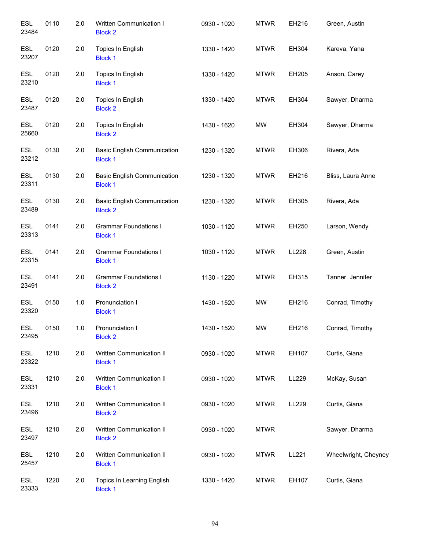| <b>ESL</b><br>23484 | 0110 | 2.0 | Written Communication I<br><b>Block 2</b>            | 0930 - 1020 | <b>MTWR</b> | EH216 | Green, Austin        |
|---------------------|------|-----|------------------------------------------------------|-------------|-------------|-------|----------------------|
| <b>ESL</b><br>23207 | 0120 | 2.0 | Topics In English<br><b>Block 1</b>                  | 1330 - 1420 | <b>MTWR</b> | EH304 | Kareva, Yana         |
| <b>ESL</b><br>23210 | 0120 | 2.0 | Topics In English<br><b>Block 1</b>                  | 1330 - 1420 | <b>MTWR</b> | EH205 | Anson, Carey         |
| <b>ESL</b><br>23487 | 0120 | 2.0 | Topics In English<br><b>Block 2</b>                  | 1330 - 1420 | <b>MTWR</b> | EH304 | Sawyer, Dharma       |
| <b>ESL</b><br>25660 | 0120 | 2.0 | Topics In English<br><b>Block 2</b>                  | 1430 - 1620 | <b>MW</b>   | EH304 | Sawyer, Dharma       |
| <b>ESL</b><br>23212 | 0130 | 2.0 | <b>Basic English Communication</b><br><b>Block 1</b> | 1230 - 1320 | <b>MTWR</b> | EH306 | Rivera, Ada          |
| <b>ESL</b><br>23311 | 0130 | 2.0 | <b>Basic English Communication</b><br><b>Block 1</b> | 1230 - 1320 | <b>MTWR</b> | EH216 | Bliss, Laura Anne    |
| <b>ESL</b><br>23489 | 0130 | 2.0 | <b>Basic English Communication</b><br><b>Block 2</b> | 1230 - 1320 | <b>MTWR</b> | EH305 | Rivera, Ada          |
| <b>ESL</b><br>23313 | 0141 | 2.0 | <b>Grammar Foundations I</b><br><b>Block 1</b>       | 1030 - 1120 | <b>MTWR</b> | EH250 | Larson, Wendy        |
| <b>ESL</b><br>23315 | 0141 | 2.0 | <b>Grammar Foundations I</b><br><b>Block 1</b>       | 1030 - 1120 | <b>MTWR</b> | LL228 | Green, Austin        |
| <b>ESL</b><br>23491 | 0141 | 2.0 | <b>Grammar Foundations I</b><br><b>Block 2</b>       | 1130 - 1220 | <b>MTWR</b> | EH315 | Tanner, Jennifer     |
| <b>ESL</b><br>23320 | 0150 | 1.0 | Pronunciation I<br><b>Block 1</b>                    | 1430 - 1520 | <b>MW</b>   | EH216 | Conrad, Timothy      |
| <b>ESL</b><br>23495 | 0150 | 1.0 | Pronunciation I<br><b>Block 2</b>                    | 1430 - 1520 | <b>MW</b>   | EH216 | Conrad, Timothy      |
| ESL<br>23322        | 1210 | 2.0 | Written Communication II<br><b>Block 1</b>           | 0930 - 1020 | <b>MTWR</b> | EH107 | Curtis, Giana        |
| <b>ESL</b><br>23331 | 1210 | 2.0 | Written Communication II<br><b>Block 1</b>           | 0930 - 1020 | <b>MTWR</b> | LL229 | McKay, Susan         |
| ESL<br>23496        | 1210 | 2.0 | Written Communication II<br><b>Block 2</b>           | 0930 - 1020 | <b>MTWR</b> | LL229 | Curtis, Giana        |
| <b>ESL</b><br>23497 | 1210 | 2.0 | Written Communication II<br><b>Block 2</b>           | 0930 - 1020 | <b>MTWR</b> |       | Sawyer, Dharma       |
| <b>ESL</b><br>25457 | 1210 | 2.0 | Written Communication II<br><b>Block 1</b>           | 0930 - 1020 | <b>MTWR</b> | LL221 | Wheelwright, Cheyney |
| <b>ESL</b><br>23333 | 1220 | 2.0 | Topics In Learning English<br><b>Block 1</b>         | 1330 - 1420 | <b>MTWR</b> | EH107 | Curtis, Giana        |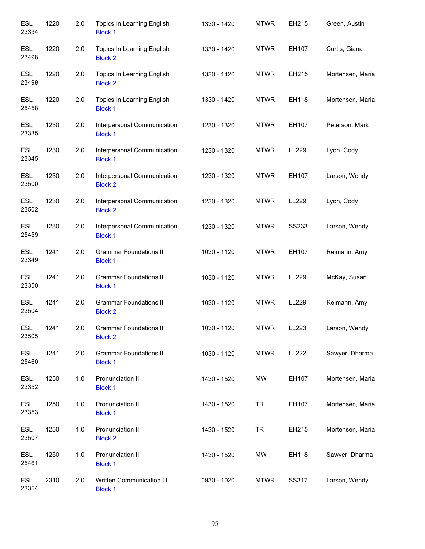| <b>ESL</b><br>23334 | 1220 | 2.0 | Topics In Learning English<br><b>Block 1</b>    | 1330 - 1420 | <b>MTWR</b> | EH215        | Green, Austin    |
|---------------------|------|-----|-------------------------------------------------|-------------|-------------|--------------|------------------|
| <b>ESL</b><br>23498 | 1220 | 2.0 | Topics In Learning English<br><b>Block 2</b>    | 1330 - 1420 | <b>MTWR</b> | EH107        | Curtis, Giana    |
| <b>ESL</b><br>23499 | 1220 | 2.0 | Topics In Learning English<br><b>Block 2</b>    | 1330 - 1420 | <b>MTWR</b> | EH215        | Mortensen, Maria |
| <b>ESL</b><br>25458 | 1220 | 2.0 | Topics In Learning English<br><b>Block 1</b>    | 1330 - 1420 | <b>MTWR</b> | EH118        | Mortensen, Maria |
| <b>ESL</b><br>23335 | 1230 | 2.0 | Interpersonal Communication<br><b>Block 1</b>   | 1230 - 1320 | <b>MTWR</b> | EH107        | Peterson, Mark   |
| <b>ESL</b><br>23345 | 1230 | 2.0 | Interpersonal Communication<br><b>Block 1</b>   | 1230 - 1320 | <b>MTWR</b> | LL229        | Lyon, Cody       |
| <b>ESL</b><br>23500 | 1230 | 2.0 | Interpersonal Communication<br><b>Block 2</b>   | 1230 - 1320 | <b>MTWR</b> | EH107        | Larson, Wendy    |
| <b>ESL</b><br>23502 | 1230 | 2.0 | Interpersonal Communication<br><b>Block 2</b>   | 1230 - 1320 | <b>MTWR</b> | LL229        | Lyon, Cody       |
| <b>ESL</b><br>25459 | 1230 | 2.0 | Interpersonal Communication<br><b>Block 1</b>   | 1230 - 1320 | <b>MTWR</b> | <b>SS233</b> | Larson, Wendy    |
| <b>ESL</b><br>23349 | 1241 | 2.0 | <b>Grammar Foundations II</b><br><b>Block 1</b> | 1030 - 1120 | <b>MTWR</b> | EH107        | Reimann, Amy     |
| <b>ESL</b><br>23350 | 1241 | 2.0 | <b>Grammar Foundations II</b><br><b>Block 1</b> | 1030 - 1120 | <b>MTWR</b> | LL229        | McKay, Susan     |
| <b>ESL</b><br>23504 | 1241 | 2.0 | <b>Grammar Foundations II</b><br><b>Block 2</b> | 1030 - 1120 | <b>MTWR</b> | LL229        | Reimann, Amy     |
| <b>ESL</b><br>23505 | 1241 | 2.0 | <b>Grammar Foundations II</b><br><b>Block 2</b> | 1030 - 1120 | <b>MTWR</b> | LL223        | Larson, Wendy    |
| <b>ESL</b><br>25460 | 1241 | 2.0 | <b>Grammar Foundations II</b><br><b>Block 1</b> | 1030 - 1120 | <b>MTWR</b> | LL222        | Sawyer, Dharma   |
| <b>ESL</b><br>23352 | 1250 | 1.0 | Pronunciation II<br><b>Block 1</b>              | 1430 - 1520 | MW          | EH107        | Mortensen, Maria |
| <b>ESL</b><br>23353 | 1250 | 1.0 | Pronunciation II<br><b>Block 1</b>              | 1430 - 1520 | <b>TR</b>   | EH107        | Mortensen, Maria |
| ESL<br>23507        | 1250 | 1.0 | Pronunciation II<br><b>Block 2</b>              | 1430 - 1520 | <b>TR</b>   | EH215        | Mortensen, Maria |
| <b>ESL</b><br>25461 | 1250 | 1.0 | Pronunciation II<br><b>Block 1</b>              | 1430 - 1520 | MW          | EH118        | Sawyer, Dharma   |
| <b>ESL</b><br>23354 | 2310 | 2.0 | Written Communication III<br><b>Block 1</b>     | 0930 - 1020 | <b>MTWR</b> | SS317        | Larson, Wendy    |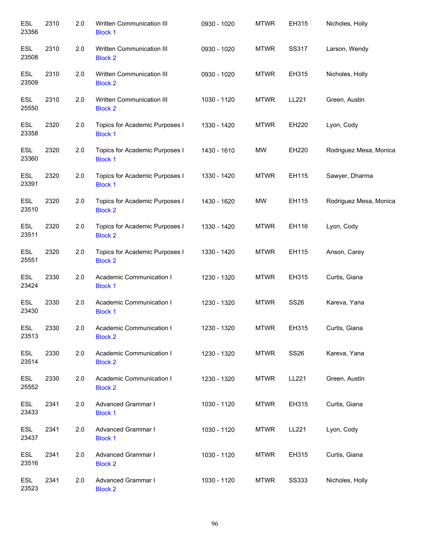| <b>ESL</b><br>23356 | 2310 | 2.0 | Written Communication III<br><b>Block 1</b>      | 0930 - 1020 | <b>MTWR</b> | EH315        | Nicholes, Holly        |
|---------------------|------|-----|--------------------------------------------------|-------------|-------------|--------------|------------------------|
| <b>ESL</b><br>23508 | 2310 | 2.0 | Written Communication III<br><b>Block 2</b>      | 0930 - 1020 | <b>MTWR</b> | <b>SS317</b> | Larson, Wendy          |
| <b>ESL</b><br>23509 | 2310 | 2.0 | Written Communication III<br><b>Block 2</b>      | 0930 - 1020 | <b>MTWR</b> | EH315        | Nicholes, Holly        |
| <b>ESL</b><br>25550 | 2310 | 2.0 | Written Communication III<br><b>Block 2</b>      | 1030 - 1120 | <b>MTWR</b> | LL221        | Green, Austin          |
| <b>ESL</b><br>23358 | 2320 | 2.0 | Topics for Academic Purposes I<br><b>Block 1</b> | 1330 - 1420 | <b>MTWR</b> | EH220        | Lyon, Cody             |
| <b>ESL</b><br>23360 | 2320 | 2.0 | Topics for Academic Purposes I<br><b>Block 1</b> | 1430 - 1610 | <b>MW</b>   | EH220        | Rodriguez Mesa, Monica |
| <b>ESL</b><br>23391 | 2320 | 2.0 | Topics for Academic Purposes I<br><b>Block 1</b> | 1330 - 1420 | <b>MTWR</b> | EH115        | Sawyer, Dharma         |
| <b>ESL</b><br>23510 | 2320 | 2.0 | Topics for Academic Purposes I<br><b>Block 2</b> | 1430 - 1620 | <b>MW</b>   | EH115        | Rodriguez Mesa, Monica |
| <b>ESL</b><br>23511 | 2320 | 2.0 | Topics for Academic Purposes I<br><b>Block 2</b> | 1330 - 1420 | <b>MTWR</b> | EH116        | Lyon, Cody             |
| ESL<br>25551        | 2320 | 2.0 | Topics for Academic Purposes I<br><b>Block 2</b> | 1330 - 1420 | <b>MTWR</b> | EH115        | Anson, Carey           |
| <b>ESL</b><br>23424 | 2330 | 2.0 | Academic Communication I<br><b>Block 1</b>       | 1230 - 1320 | <b>MTWR</b> | EH315        | Curtis, Giana          |
| <b>ESL</b><br>23430 | 2330 | 2.0 | Academic Communication I<br><b>Block 1</b>       | 1230 - 1320 | <b>MTWR</b> | <b>SS26</b>  | Kareva, Yana           |
| ESL<br>23513        | 2330 | 2.0 | Academic Communication I<br><b>Block 2</b>       | 1230 - 1320 | <b>MTWR</b> | EH315        | Curtis, Giana          |
| <b>ESL</b><br>23514 | 2330 | 2.0 | Academic Communication I<br><b>Block 2</b>       | 1230 - 1320 | <b>MTWR</b> | <b>SS26</b>  | Kareva, Yana           |
| <b>ESL</b><br>25552 | 2330 | 2.0 | Academic Communication I<br><b>Block 2</b>       | 1230 - 1320 | <b>MTWR</b> | LL221        | Green, Austin          |
| <b>ESL</b><br>23433 | 2341 | 2.0 | Advanced Grammar I<br><b>Block 1</b>             | 1030 - 1120 | <b>MTWR</b> | EH315        | Curtis, Giana          |
| <b>ESL</b><br>23437 | 2341 | 2.0 | Advanced Grammar I<br><b>Block 1</b>             | 1030 - 1120 | <b>MTWR</b> | LL221        | Lyon, Cody             |
| <b>ESL</b><br>23516 | 2341 | 2.0 | <b>Advanced Grammar I</b><br><b>Block 2</b>      | 1030 - 1120 | <b>MTWR</b> | EH315        | Curtis, Giana          |
| ESL<br>23523        | 2341 | 2.0 | Advanced Grammar I<br><b>Block 2</b>             | 1030 - 1120 | <b>MTWR</b> | <b>SS333</b> | Nicholes, Holly        |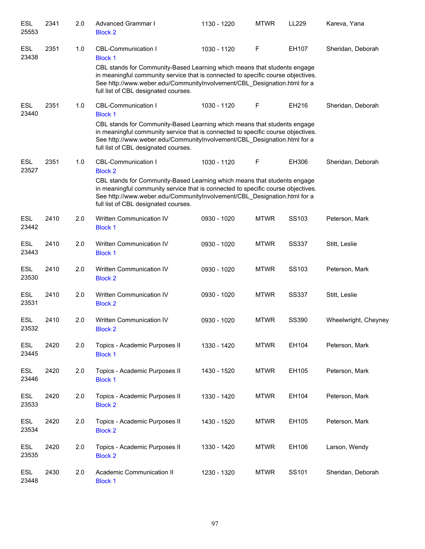| <b>ESL</b><br>25553 | 2341 | 2.0 | Advanced Grammar I<br><b>Block 2</b>                                                                                                                                                                                                                                                                                             | 1130 - 1220 | <b>MTWR</b> | LL229        | Kareva, Yana         |
|---------------------|------|-----|----------------------------------------------------------------------------------------------------------------------------------------------------------------------------------------------------------------------------------------------------------------------------------------------------------------------------------|-------------|-------------|--------------|----------------------|
| <b>ESL</b><br>23438 | 2351 | 1.0 | <b>CBL-Communication I</b><br><b>Block 1</b><br>CBL stands for Community-Based Learning which means that students engage<br>in meaningful community service that is connected to specific course objectives.<br>See http://www.weber.edu/CommunityInvolvement/CBL_Designation.html for a<br>full list of CBL designated courses. | 1030 - 1120 | F           | EH107        | Sheridan, Deborah    |
| <b>ESL</b><br>23440 | 2351 | 1.0 | <b>CBL-Communication I</b><br><b>Block 1</b><br>CBL stands for Community-Based Learning which means that students engage<br>in meaningful community service that is connected to specific course objectives.<br>See http://www.weber.edu/CommunityInvolvement/CBL_Designation.html for a<br>full list of CBL designated courses. | 1030 - 1120 | F           | EH216        | Sheridan, Deborah    |
| <b>ESL</b><br>23527 | 2351 | 1.0 | <b>CBL-Communication I</b><br><b>Block 2</b><br>CBL stands for Community-Based Learning which means that students engage<br>in meaningful community service that is connected to specific course objectives.<br>See http://www.weber.edu/CommunityInvolvement/CBL_Designation.html for a<br>full list of CBL designated courses. | 1030 - 1120 | F           | EH306        | Sheridan, Deborah    |
| <b>ESL</b><br>23442 | 2410 | 2.0 | Written Communication IV<br><b>Block 1</b>                                                                                                                                                                                                                                                                                       | 0930 - 1020 | <b>MTWR</b> | SS103        | Peterson, Mark       |
| <b>ESL</b><br>23443 | 2410 | 2.0 | Written Communication IV<br><b>Block 1</b>                                                                                                                                                                                                                                                                                       | 0930 - 1020 | <b>MTWR</b> | <b>SS337</b> | Stitt, Leslie        |
| <b>ESL</b><br>23530 | 2410 | 2.0 | Written Communication IV<br><b>Block 2</b>                                                                                                                                                                                                                                                                                       | 0930 - 1020 | <b>MTWR</b> | SS103        | Peterson, Mark       |
| <b>ESL</b><br>23531 | 2410 | 2.0 | Written Communication IV<br><b>Block 2</b>                                                                                                                                                                                                                                                                                       | 0930 - 1020 | <b>MTWR</b> | <b>SS337</b> | Stitt, Leslie        |
| <b>ESL</b><br>23532 | 2410 | 2.0 | Written Communication IV<br><b>Block 2</b>                                                                                                                                                                                                                                                                                       | 0930 - 1020 | <b>MTWR</b> | SS390        | Wheelwright, Cheyney |
| <b>ESL</b><br>23445 | 2420 | 2.0 | Topics - Academic Purposes II<br><b>Block 1</b>                                                                                                                                                                                                                                                                                  | 1330 - 1420 | <b>MTWR</b> | EH104        | Peterson, Mark       |
| <b>ESL</b><br>23446 | 2420 | 2.0 | Topics - Academic Purposes II<br><b>Block 1</b>                                                                                                                                                                                                                                                                                  | 1430 - 1520 | <b>MTWR</b> | EH105        | Peterson, Mark       |
| <b>ESL</b><br>23533 | 2420 | 2.0 | Topics - Academic Purposes II<br><b>Block 2</b>                                                                                                                                                                                                                                                                                  | 1330 - 1420 | <b>MTWR</b> | EH104        | Peterson, Mark       |
| <b>ESL</b><br>23534 | 2420 | 2.0 | Topics - Academic Purposes II<br><b>Block 2</b>                                                                                                                                                                                                                                                                                  | 1430 - 1520 | <b>MTWR</b> | EH105        | Peterson, Mark       |
| <b>ESL</b><br>23535 | 2420 | 2.0 | Topics - Academic Purposes II<br><b>Block 2</b>                                                                                                                                                                                                                                                                                  | 1330 - 1420 | <b>MTWR</b> | EH106        | Larson, Wendy        |
| <b>ESL</b><br>23448 | 2430 | 2.0 | Academic Communication II<br><b>Block 1</b>                                                                                                                                                                                                                                                                                      | 1230 - 1320 | <b>MTWR</b> | SS101        | Sheridan, Deborah    |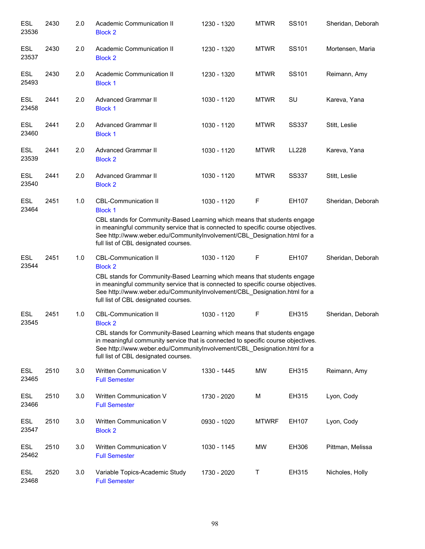| <b>ESL</b><br>23536 | 2430 | 2.0 | Academic Communication II<br><b>Block 2</b>                                                                                                                                                                                                                                      | 1230 - 1320 | <b>MTWR</b>  | SS101        | Sheridan, Deborah |
|---------------------|------|-----|----------------------------------------------------------------------------------------------------------------------------------------------------------------------------------------------------------------------------------------------------------------------------------|-------------|--------------|--------------|-------------------|
| <b>ESL</b><br>23537 | 2430 | 2.0 | Academic Communication II<br><b>Block 2</b>                                                                                                                                                                                                                                      | 1230 - 1320 | <b>MTWR</b>  | SS101        | Mortensen, Maria  |
| <b>ESL</b><br>25493 | 2430 | 2.0 | Academic Communication II<br><b>Block 1</b>                                                                                                                                                                                                                                      | 1230 - 1320 | <b>MTWR</b>  | SS101        | Reimann, Amy      |
| ESL<br>23458        | 2441 | 2.0 | <b>Advanced Grammar II</b><br><b>Block 1</b>                                                                                                                                                                                                                                     | 1030 - 1120 | <b>MTWR</b>  | SU           | Kareva, Yana      |
| ESL<br>23460        | 2441 | 2.0 | <b>Advanced Grammar II</b><br><b>Block 1</b>                                                                                                                                                                                                                                     | 1030 - 1120 | <b>MTWR</b>  | <b>SS337</b> | Stitt, Leslie     |
| <b>ESL</b><br>23539 | 2441 | 2.0 | <b>Advanced Grammar II</b><br><b>Block 2</b>                                                                                                                                                                                                                                     | 1030 - 1120 | <b>MTWR</b>  | LL228        | Kareva, Yana      |
| <b>ESL</b><br>23540 | 2441 | 2.0 | <b>Advanced Grammar II</b><br><b>Block 2</b>                                                                                                                                                                                                                                     | 1030 - 1120 | <b>MTWR</b>  | <b>SS337</b> | Stitt, Leslie     |
| ESL<br>23464        | 2451 | 1.0 | <b>CBL-Communication II</b><br><b>Block 1</b>                                                                                                                                                                                                                                    | 1030 - 1120 | F            | EH107        | Sheridan, Deborah |
|                     |      |     | CBL stands for Community-Based Learning which means that students engage<br>in meaningful community service that is connected to specific course objectives.<br>See http://www.weber.edu/CommunityInvolvement/CBL_Designation.html for a<br>full list of CBL designated courses. |             |              |              |                   |
| <b>ESL</b><br>23544 | 2451 | 1.0 | <b>CBL-Communication II</b><br><b>Block 2</b>                                                                                                                                                                                                                                    | 1030 - 1120 | F            | EH107        | Sheridan, Deborah |
|                     |      |     | CBL stands for Community-Based Learning which means that students engage<br>in meaningful community service that is connected to specific course objectives.<br>See http://www.weber.edu/CommunityInvolvement/CBL_Designation.html for a<br>full list of CBL designated courses. |             |              |              |                   |
| ESL<br>23545        | 2451 | 1.0 | <b>CBL-Communication II</b><br><b>Block 2</b>                                                                                                                                                                                                                                    | 1030 - 1120 | F            | EH315        | Sheridan, Deborah |
|                     |      |     | CBL stands for Community-Based Learning which means that students engage<br>in meaningful community service that is connected to specific course objectives.<br>See http://www.weber.edu/CommunityInvolvement/CBL_Designation.html for a<br>full list of CBL designated courses. |             |              |              |                   |
| <b>ESL</b><br>23465 | 2510 | 3.0 | Written Communication V<br><b>Full Semester</b>                                                                                                                                                                                                                                  | 1330 - 1445 | MW           | EH315        | Reimann, Amy      |
| <b>ESL</b><br>23466 | 2510 | 3.0 | Written Communication V<br><b>Full Semester</b>                                                                                                                                                                                                                                  | 1730 - 2020 | М            | EH315        | Lyon, Cody        |
| ESL<br>23547        | 2510 | 3.0 | Written Communication V<br><b>Block 2</b>                                                                                                                                                                                                                                        | 0930 - 1020 | <b>MTWRF</b> | EH107        | Lyon, Cody        |
| ESL<br>25462        | 2510 | 3.0 | Written Communication V<br><b>Full Semester</b>                                                                                                                                                                                                                                  | 1030 - 1145 | <b>MW</b>    | EH306        | Pittman, Melissa  |
| ESL<br>23468        | 2520 | 3.0 | Variable Topics-Academic Study<br><b>Full Semester</b>                                                                                                                                                                                                                           | 1730 - 2020 | Τ            | EH315        | Nicholes, Holly   |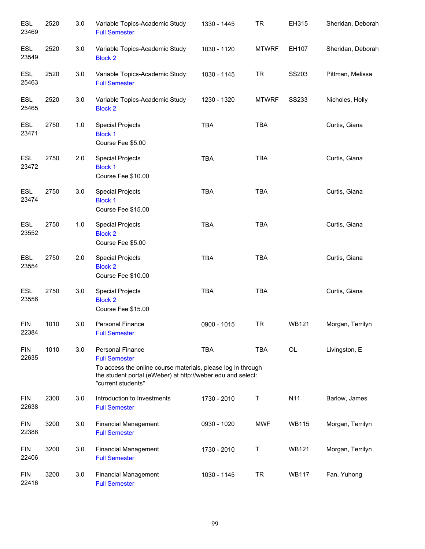| <b>ESL</b><br>23469 | 2520 | 3.0   | Variable Topics-Academic Study<br><b>Full Semester</b>                                                                                                                                               | 1330 - 1445 | <b>TR</b>    | EH315        | Sheridan, Deborah |
|---------------------|------|-------|------------------------------------------------------------------------------------------------------------------------------------------------------------------------------------------------------|-------------|--------------|--------------|-------------------|
| <b>ESL</b><br>23549 | 2520 | 3.0   | Variable Topics-Academic Study<br><b>Block 2</b>                                                                                                                                                     | 1030 - 1120 | <b>MTWRF</b> | EH107        | Sheridan, Deborah |
| <b>ESL</b><br>25463 | 2520 | 3.0   | Variable Topics-Academic Study<br><b>Full Semester</b>                                                                                                                                               | 1030 - 1145 | <b>TR</b>    | SS203        | Pittman, Melissa  |
| <b>ESL</b><br>25465 | 2520 | 3.0   | Variable Topics-Academic Study<br><b>Block 2</b>                                                                                                                                                     | 1230 - 1320 | <b>MTWRF</b> | SS233        | Nicholes, Holly   |
| ESL<br>23471        | 2750 | $1.0$ | <b>Special Projects</b><br><b>Block 1</b><br>Course Fee \$5.00                                                                                                                                       | <b>TBA</b>  | <b>TBA</b>   |              | Curtis, Giana     |
| <b>ESL</b><br>23472 | 2750 | 2.0   | <b>Special Projects</b><br><b>Block 1</b><br>Course Fee \$10.00                                                                                                                                      | <b>TBA</b>  | <b>TBA</b>   |              | Curtis, Giana     |
| <b>ESL</b><br>23474 | 2750 | 3.0   | <b>Special Projects</b><br><b>Block 1</b><br>Course Fee \$15.00                                                                                                                                      | <b>TBA</b>  | <b>TBA</b>   |              | Curtis, Giana     |
| <b>ESL</b><br>23552 | 2750 | 1.0   | <b>Special Projects</b><br><b>Block 2</b><br>Course Fee \$5.00                                                                                                                                       | <b>TBA</b>  | <b>TBA</b>   |              | Curtis, Giana     |
| <b>ESL</b><br>23554 | 2750 | 2.0   | <b>Special Projects</b><br><b>Block 2</b><br>Course Fee \$10.00                                                                                                                                      | <b>TBA</b>  | <b>TBA</b>   |              | Curtis, Giana     |
| <b>ESL</b><br>23556 | 2750 | 3.0   | <b>Special Projects</b><br><b>Block 2</b><br>Course Fee \$15.00                                                                                                                                      | <b>TBA</b>  | <b>TBA</b>   |              | Curtis, Giana     |
| <b>FIN</b><br>22384 | 1010 | 3.0   | <b>Personal Finance</b><br><b>Full Semester</b>                                                                                                                                                      | 0900 - 1015 | <b>TR</b>    | <b>WB121</b> | Morgan, Terrilyn  |
| <b>FIN</b><br>22635 | 1010 | 3.0   | <b>Personal Finance</b><br><b>Full Semester</b><br>To access the online course materials, please log in through<br>the student portal (eWeber) at http://weber.edu and select:<br>"current students" | <b>TBA</b>  | <b>TBA</b>   | OL           | Livingston, E     |
| <b>FIN</b><br>22638 | 2300 | 3.0   | Introduction to Investments<br><b>Full Semester</b>                                                                                                                                                  | 1730 - 2010 | $\sf T$      | N11          | Barlow, James     |
| <b>FIN</b><br>22388 | 3200 | 3.0   | <b>Financial Management</b><br><b>Full Semester</b>                                                                                                                                                  | 0930 - 1020 | <b>MWF</b>   | <b>WB115</b> | Morgan, Terrilyn  |
| <b>FIN</b><br>22406 | 3200 | 3.0   | <b>Financial Management</b><br><b>Full Semester</b>                                                                                                                                                  | 1730 - 2010 | T            | <b>WB121</b> | Morgan, Terrilyn  |
| <b>FIN</b><br>22416 | 3200 | 3.0   | <b>Financial Management</b><br><b>Full Semester</b>                                                                                                                                                  | 1030 - 1145 | <b>TR</b>    | <b>WB117</b> | Fan, Yuhong       |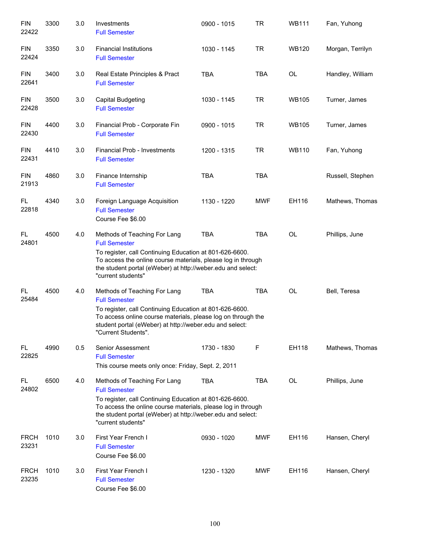| <b>FIN</b><br>22422  | 3300 | 3.0 | Investments<br><b>Full Semester</b>                                                                                                                                                                                                                                  | 0900 - 1015 | <b>TR</b>  | <b>WB111</b> | Fan, Yuhong      |
|----------------------|------|-----|----------------------------------------------------------------------------------------------------------------------------------------------------------------------------------------------------------------------------------------------------------------------|-------------|------------|--------------|------------------|
| <b>FIN</b><br>22424  | 3350 | 3.0 | <b>Financial Institutions</b><br><b>Full Semester</b>                                                                                                                                                                                                                | 1030 - 1145 | <b>TR</b>  | <b>WB120</b> | Morgan, Terrilyn |
| <b>FIN</b><br>22641  | 3400 | 3.0 | Real Estate Principles & Pract<br><b>Full Semester</b>                                                                                                                                                                                                               | <b>TBA</b>  | <b>TBA</b> | <b>OL</b>    | Handley, William |
| <b>FIN</b><br>22428  | 3500 | 3.0 | Capital Budgeting<br><b>Full Semester</b>                                                                                                                                                                                                                            | 1030 - 1145 | <b>TR</b>  | <b>WB105</b> | Turner, James    |
| <b>FIN</b><br>22430  | 4400 | 3.0 | Financial Prob - Corporate Fin<br><b>Full Semester</b>                                                                                                                                                                                                               | 0900 - 1015 | <b>TR</b>  | <b>WB105</b> | Turner, James    |
| <b>FIN</b><br>22431  | 4410 | 3.0 | Financial Prob - Investments<br><b>Full Semester</b>                                                                                                                                                                                                                 | 1200 - 1315 | <b>TR</b>  | <b>WB110</b> | Fan, Yuhong      |
| <b>FIN</b><br>21913  | 4860 | 3.0 | Finance Internship<br><b>Full Semester</b>                                                                                                                                                                                                                           | <b>TBA</b>  | <b>TBA</b> |              | Russell, Stephen |
| FL.<br>22818         | 4340 | 3.0 | Foreign Language Acquisition<br><b>Full Semester</b><br>Course Fee \$6.00                                                                                                                                                                                            | 1130 - 1220 | <b>MWF</b> | EH116        | Mathews, Thomas  |
| FL.<br>24801         | 4500 | 4.0 | Methods of Teaching For Lang<br><b>Full Semester</b><br>To register, call Continuing Education at 801-626-6600.<br>To access the online course materials, please log in through<br>the student portal (eWeber) at http://weber.edu and select:<br>"current students" | <b>TBA</b>  | <b>TBA</b> | <b>OL</b>    | Phillips, June   |
| FL<br>25484          | 4500 | 4.0 | Methods of Teaching For Lang<br><b>Full Semester</b><br>To register, call Continuing Education at 801-626-6600.<br>To access online course materials, please log on through the<br>student portal (eWeber) at http://weber.edu and select:<br>"Current Students".    | <b>TBA</b>  | <b>TBA</b> | <b>OL</b>    | Bell, Teresa     |
| FL<br>22825          | 4990 | 0.5 | Senior Assessment<br><b>Full Semester</b><br>This course meets only once: Friday, Sept. 2, 2011                                                                                                                                                                      | 1730 - 1830 | F          | EH118        | Mathews, Thomas  |
| FL<br>24802          | 6500 | 4.0 | Methods of Teaching For Lang<br><b>Full Semester</b><br>To register, call Continuing Education at 801-626-6600.<br>To access the online course materials, please log in through<br>the student portal (eWeber) at http://weber.edu and select:<br>"current students" | TBA         | <b>TBA</b> | <b>OL</b>    | Phillips, June   |
| <b>FRCH</b><br>23231 | 1010 | 3.0 | First Year French I<br><b>Full Semester</b><br>Course Fee \$6.00                                                                                                                                                                                                     | 0930 - 1020 | <b>MWF</b> | EH116        | Hansen, Cheryl   |
| <b>FRCH</b><br>23235 | 1010 | 3.0 | First Year French I<br><b>Full Semester</b><br>Course Fee \$6.00                                                                                                                                                                                                     | 1230 - 1320 | <b>MWF</b> | EH116        | Hansen, Cheryl   |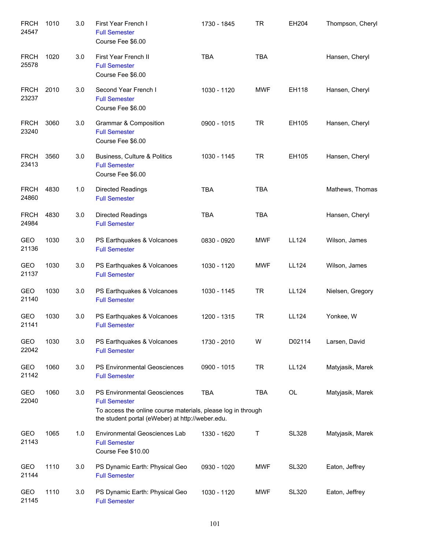| <b>FRCH</b><br>24547 | 1010 | 3.0 | First Year French I<br><b>Full Semester</b><br>Course Fee \$6.00                                                                                                                | 1730 - 1845 | <b>TR</b>  | EH204        | Thompson, Cheryl |
|----------------------|------|-----|---------------------------------------------------------------------------------------------------------------------------------------------------------------------------------|-------------|------------|--------------|------------------|
| <b>FRCH</b><br>25578 | 1020 | 3.0 | First Year French II<br><b>Full Semester</b><br>Course Fee \$6.00                                                                                                               | <b>TBA</b>  | <b>TBA</b> |              | Hansen, Cheryl   |
| <b>FRCH</b><br>23237 | 2010 | 3.0 | Second Year French I<br><b>Full Semester</b><br>Course Fee \$6.00                                                                                                               | 1030 - 1120 | <b>MWF</b> | EH118        | Hansen, Cheryl   |
| <b>FRCH</b><br>23240 | 3060 | 3.0 | Grammar & Composition<br><b>Full Semester</b><br>Course Fee \$6.00                                                                                                              | 0900 - 1015 | <b>TR</b>  | EH105        | Hansen, Cheryl   |
| <b>FRCH</b><br>23413 | 3560 | 3.0 | Business, Culture & Politics<br><b>Full Semester</b><br>Course Fee \$6.00                                                                                                       | 1030 - 1145 | <b>TR</b>  | EH105        | Hansen, Cheryl   |
| <b>FRCH</b><br>24860 | 4830 | 1.0 | <b>Directed Readings</b><br><b>Full Semester</b>                                                                                                                                | <b>TBA</b>  | <b>TBA</b> |              | Mathews, Thomas  |
| <b>FRCH</b><br>24984 | 4830 | 3.0 | Directed Readings<br><b>Full Semester</b>                                                                                                                                       | <b>TBA</b>  | <b>TBA</b> |              | Hansen, Cheryl   |
| GEO<br>21136         | 1030 | 3.0 | PS Earthquakes & Volcanoes<br><b>Full Semester</b>                                                                                                                              | 0830 - 0920 | <b>MWF</b> | LL124        | Wilson, James    |
| GEO<br>21137         | 1030 | 3.0 | PS Earthquakes & Volcanoes<br><b>Full Semester</b>                                                                                                                              | 1030 - 1120 | <b>MWF</b> | LL124        | Wilson, James    |
| GEO<br>21140         | 1030 | 3.0 | PS Earthquakes & Volcanoes<br><b>Full Semester</b>                                                                                                                              | 1030 - 1145 | <b>TR</b>  | <b>LL124</b> | Nielsen, Gregory |
| <b>GEO</b><br>21141  | 1030 | 3.0 | PS Earthquakes & Volcanoes<br><b>Full Semester</b>                                                                                                                              | 1200 - 1315 | <b>TR</b>  | LL124        | Yonkee, W        |
| GEO<br>22042         | 1030 | 3.0 | PS Earthquakes & Volcanoes<br><b>Full Semester</b>                                                                                                                              | 1730 - 2010 | W          | D02114       | Larsen, David    |
| GEO<br>21142         | 1060 | 3.0 | PS Environmental Geosciences<br><b>Full Semester</b>                                                                                                                            | 0900 - 1015 | <b>TR</b>  | LL124        | Matyjasik, Marek |
| GEO<br>22040         | 1060 | 3.0 | <b>PS Environmental Geosciences</b><br><b>Full Semester</b><br>To access the online course materials, please log in through<br>the student portal (eWeber) at http://weber.edu. | <b>TBA</b>  | <b>TBA</b> | OL           | Matyjasik, Marek |
| GEO<br>21143         | 1065 | 1.0 | <b>Environmental Geosciences Lab</b><br><b>Full Semester</b><br>Course Fee \$10.00                                                                                              | 1330 - 1620 | Τ          | <b>SL328</b> | Matyjasik, Marek |
| GEO<br>21144         | 1110 | 3.0 | PS Dynamic Earth: Physical Geo<br><b>Full Semester</b>                                                                                                                          | 0930 - 1020 | <b>MWF</b> | <b>SL320</b> | Eaton, Jeffrey   |
| GEO<br>21145         | 1110 | 3.0 | PS Dynamic Earth: Physical Geo<br><b>Full Semester</b>                                                                                                                          | 1030 - 1120 | <b>MWF</b> | <b>SL320</b> | Eaton, Jeffrey   |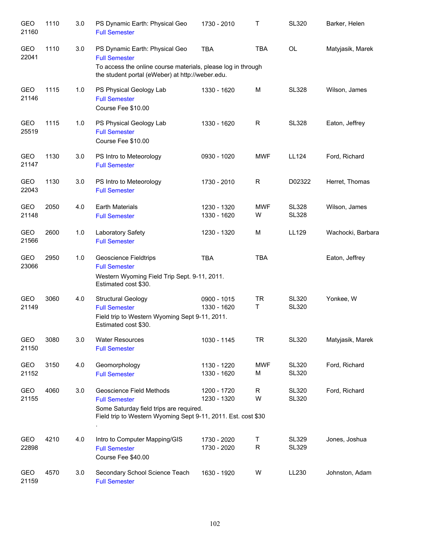| <b>GEO</b><br>21160 | 1110 | 3.0 | PS Dynamic Earth: Physical Geo<br><b>Full Semester</b>                                                                                                                     | 1730 - 2010                | Τ                | <b>SL320</b>                 | Barker, Helen     |
|---------------------|------|-----|----------------------------------------------------------------------------------------------------------------------------------------------------------------------------|----------------------------|------------------|------------------------------|-------------------|
| GEO<br>22041        | 1110 | 3.0 | PS Dynamic Earth: Physical Geo<br><b>Full Semester</b><br>To access the online course materials, please log in through<br>the student portal (eWeber) at http://weber.edu. | <b>TBA</b>                 | <b>TBA</b>       | <b>OL</b>                    | Matyjasik, Marek  |
| <b>GEO</b><br>21146 | 1115 | 1.0 | PS Physical Geology Lab<br><b>Full Semester</b><br>Course Fee \$10.00                                                                                                      | 1330 - 1620                | M                | <b>SL328</b>                 | Wilson, James     |
| GEO<br>25519        | 1115 | 1.0 | PS Physical Geology Lab<br><b>Full Semester</b><br>Course Fee \$10.00                                                                                                      | 1330 - 1620                | $\mathsf R$      | <b>SL328</b>                 | Eaton, Jeffrey    |
| GEO<br>21147        | 1130 | 3.0 | PS Intro to Meteorology<br><b>Full Semester</b>                                                                                                                            | 0930 - 1020                | <b>MWF</b>       | LL124                        | Ford, Richard     |
| GEO<br>22043        | 1130 | 3.0 | PS Intro to Meteorology<br><b>Full Semester</b>                                                                                                                            | 1730 - 2010                | R                | D02322                       | Herret, Thomas    |
| <b>GEO</b><br>21148 | 2050 | 4.0 | <b>Earth Materials</b><br><b>Full Semester</b>                                                                                                                             | 1230 - 1320<br>1330 - 1620 | <b>MWF</b><br>W  | <b>SL328</b><br><b>SL328</b> | Wilson, James     |
| <b>GEO</b><br>21566 | 2600 | 1.0 | Laboratory Safety<br><b>Full Semester</b>                                                                                                                                  | 1230 - 1320                | M                | LL129                        | Wachocki, Barbara |
| <b>GEO</b><br>23066 | 2950 | 1.0 | <b>Geoscience Fieldtrips</b><br><b>Full Semester</b><br>Western Wyoming Field Trip Sept. 9-11, 2011.<br>Estimated cost \$30.                                               | <b>TBA</b>                 | <b>TBA</b>       |                              | Eaton, Jeffrey    |
| GEO<br>21149        | 3060 | 4.0 | <b>Structural Geology</b><br><b>Full Semester</b><br>Field trip to Western Wyoming Sept 9-11, 2011.<br>Estimated cost \$30.                                                | 0900 - 1015<br>1330 - 1620 | <b>TR</b><br>T   | <b>SL320</b><br><b>SL320</b> | Yonkee, W         |
| GEO<br>21150        | 3080 | 3.0 | <b>Water Resources</b><br><b>Full Semester</b>                                                                                                                             | 1030 - 1145                | <b>TR</b>        | <b>SL320</b>                 | Matyjasik, Marek  |
| GEO<br>21152        | 3150 | 4.0 | Geomorphology<br><b>Full Semester</b>                                                                                                                                      | 1130 - 1220<br>1330 - 1620 | <b>MWF</b><br>M  | <b>SL320</b><br><b>SL320</b> | Ford, Richard     |
| GEO<br>21155        | 4060 | 3.0 | Geoscience Field Methods<br><b>Full Semester</b><br>Some Saturday field trips are required.<br>Field trip to Western Wyoming Sept 9-11, 2011. Est. cost \$30               | 1200 - 1720<br>1230 - 1320 | $\mathsf R$<br>W | <b>SL320</b><br><b>SL320</b> | Ford, Richard     |
| GEO<br>22898        | 4210 | 4.0 | Intro to Computer Mapping/GIS<br><b>Full Semester</b><br>Course Fee \$40.00                                                                                                | 1730 - 2020<br>1730 - 2020 | Τ<br>${\sf R}$   | <b>SL329</b><br><b>SL329</b> | Jones, Joshua     |
| GEO<br>21159        | 4570 | 3.0 | Secondary School Science Teach<br><b>Full Semester</b>                                                                                                                     | 1630 - 1920                | W                | LL230                        | Johnston, Adam    |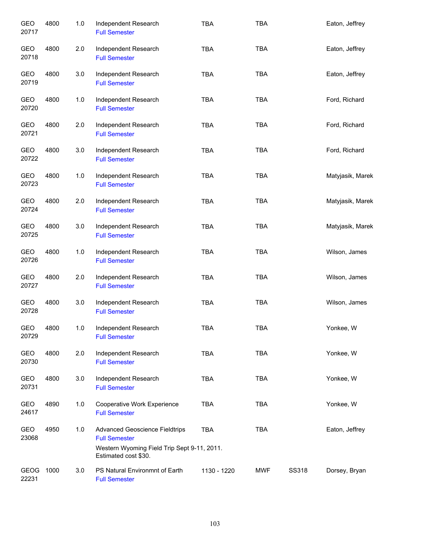| <b>GEO</b><br>20717 | 4800 | 1.0 | Independent Research<br><b>Full Semester</b>                        | <b>TBA</b>  | <b>TBA</b> |              | Eaton, Jeffrey   |
|---------------------|------|-----|---------------------------------------------------------------------|-------------|------------|--------------|------------------|
| GEO<br>20718        | 4800 | 2.0 | Independent Research<br><b>Full Semester</b>                        | <b>TBA</b>  | <b>TBA</b> |              | Eaton, Jeffrey   |
| GEO<br>20719        | 4800 | 3.0 | Independent Research<br><b>Full Semester</b>                        | <b>TBA</b>  | <b>TBA</b> |              | Eaton, Jeffrey   |
| GEO<br>20720        | 4800 | 1.0 | Independent Research<br><b>Full Semester</b>                        | <b>TBA</b>  | <b>TBA</b> |              | Ford, Richard    |
| GEO<br>20721        | 4800 | 2.0 | Independent Research<br><b>Full Semester</b>                        | <b>TBA</b>  | <b>TBA</b> |              | Ford, Richard    |
| GEO<br>20722        | 4800 | 3.0 | Independent Research<br><b>Full Semester</b>                        | <b>TBA</b>  | <b>TBA</b> |              | Ford, Richard    |
| GEO<br>20723        | 4800 | 1.0 | Independent Research<br><b>Full Semester</b>                        | <b>TBA</b>  | <b>TBA</b> |              | Matyjasik, Marek |
| GEO<br>20724        | 4800 | 2.0 | Independent Research<br><b>Full Semester</b>                        | <b>TBA</b>  | <b>TBA</b> |              | Matyjasik, Marek |
| GEO<br>20725        | 4800 | 3.0 | Independent Research<br><b>Full Semester</b>                        | <b>TBA</b>  | <b>TBA</b> |              | Matyjasik, Marek |
| GEO<br>20726        | 4800 | 1.0 | Independent Research<br><b>Full Semester</b>                        | <b>TBA</b>  | <b>TBA</b> |              | Wilson, James    |
| GEO<br>20727        | 4800 | 2.0 | Independent Research<br><b>Full Semester</b>                        | <b>TBA</b>  | <b>TBA</b> |              | Wilson, James    |
| GEO<br>20728        | 4800 | 3.0 | Independent Research<br><b>Full Semester</b>                        | <b>TBA</b>  | <b>TBA</b> |              | Wilson, James    |
| GEO<br>20729        | 4800 | 1.0 | Independent Research<br><b>Full Semester</b>                        | TBA         | TBA        |              | Yonkee, W        |
| GEO<br>20730        | 4800 | 2.0 | Independent Research<br><b>Full Semester</b>                        | <b>TBA</b>  | <b>TBA</b> |              | Yonkee, W        |
| GEO<br>20731        | 4800 | 3.0 | Independent Research<br><b>Full Semester</b>                        | <b>TBA</b>  | <b>TBA</b> |              | Yonkee, W        |
| GEO<br>24617        | 4890 | 1.0 | Cooperative Work Experience<br><b>Full Semester</b>                 | <b>TBA</b>  | <b>TBA</b> |              | Yonkee, W        |
| GEO<br>23068        | 4950 | 1.0 | <b>Advanced Geoscience Fieldtrips</b><br><b>Full Semester</b>       | <b>TBA</b>  | <b>TBA</b> |              | Eaton, Jeffrey   |
|                     |      |     | Western Wyoming Field Trip Sept 9-11, 2011.<br>Estimated cost \$30. |             |            |              |                  |
| GEOG<br>22231       | 1000 | 3.0 | PS Natural Environmnt of Earth<br><b>Full Semester</b>              | 1130 - 1220 | <b>MWF</b> | <b>SS318</b> | Dorsey, Bryan    |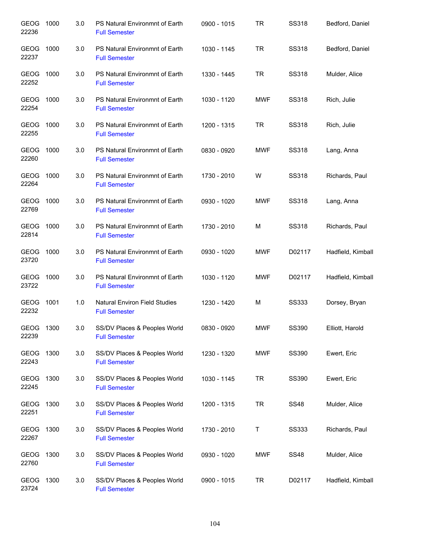| GEOG<br>22236        | 1000 | 3.0 | PS Natural Environmnt of Earth<br><b>Full Semester</b>       | 0900 - 1015 | TR         | <b>SS318</b> | Bedford, Daniel   |
|----------------------|------|-----|--------------------------------------------------------------|-------------|------------|--------------|-------------------|
| GEOG<br>22237        | 1000 | 3.0 | PS Natural Environmnt of Earth<br><b>Full Semester</b>       | 1030 - 1145 | <b>TR</b>  | <b>SS318</b> | Bedford, Daniel   |
| GEOG<br>22252        | 1000 | 3.0 | PS Natural Environmnt of Earth<br><b>Full Semester</b>       | 1330 - 1445 | TR         | <b>SS318</b> | Mulder, Alice     |
| GEOG<br>22254        | 1000 | 3.0 | PS Natural Environmnt of Earth<br><b>Full Semester</b>       | 1030 - 1120 | <b>MWF</b> | SS318        | Rich, Julie       |
| GEOG<br>22255        | 1000 | 3.0 | PS Natural Environmnt of Earth<br><b>Full Semester</b>       | 1200 - 1315 | TR         | <b>SS318</b> | Rich, Julie       |
| GEOG<br>22260        | 1000 | 3.0 | PS Natural Environmnt of Earth<br><b>Full Semester</b>       | 0830 - 0920 | <b>MWF</b> | <b>SS318</b> | Lang, Anna        |
| <b>GEOG</b><br>22264 | 1000 | 3.0 | PS Natural Environmnt of Earth<br><b>Full Semester</b>       | 1730 - 2010 | W          | <b>SS318</b> | Richards, Paul    |
| GEOG<br>22769        | 1000 | 3.0 | PS Natural Environmnt of Earth<br><b>Full Semester</b>       | 0930 - 1020 | <b>MWF</b> | <b>SS318</b> | Lang, Anna        |
| GEOG<br>22814        | 1000 | 3.0 | PS Natural Environmnt of Earth<br><b>Full Semester</b>       | 1730 - 2010 | M          | <b>SS318</b> | Richards, Paul    |
| GEOG<br>23720        | 1000 | 3.0 | PS Natural Environmnt of Earth<br><b>Full Semester</b>       | 0930 - 1020 | <b>MWF</b> | D02117       | Hadfield, Kimball |
| GEOG<br>23722        | 1000 | 3.0 | PS Natural Environmnt of Earth<br><b>Full Semester</b>       | 1030 - 1120 | <b>MWF</b> | D02117       | Hadfield, Kimball |
| GEOG<br>22232        | 1001 | 1.0 | <b>Natural Environ Field Studies</b><br><b>Full Semester</b> | 1230 - 1420 | M          | SS333        | Dorsey, Bryan     |
| GEOG<br>22239        | 1300 | 3.0 | SS/DV Places & Peoples World<br><b>Full Semester</b>         | 0830 - 0920 | <b>MWF</b> | <b>SS390</b> | Elliott, Harold   |
| GEOG<br>22243        | 1300 | 3.0 | SS/DV Places & Peoples World<br><b>Full Semester</b>         | 1230 - 1320 | <b>MWF</b> | <b>SS390</b> | Ewert, Eric       |
| GEOG<br>22245        | 1300 | 3.0 | SS/DV Places & Peoples World<br><b>Full Semester</b>         | 1030 - 1145 | TR         | <b>SS390</b> | Ewert, Eric       |
| GEOG<br>22251        | 1300 | 3.0 | SS/DV Places & Peoples World<br><b>Full Semester</b>         | 1200 - 1315 | <b>TR</b>  | <b>SS48</b>  | Mulder, Alice     |
| GEOG<br>22267        | 1300 | 3.0 | SS/DV Places & Peoples World<br><b>Full Semester</b>         | 1730 - 2010 | Τ          | <b>SS333</b> | Richards, Paul    |
| GEOG<br>22760        | 1300 | 3.0 | SS/DV Places & Peoples World<br><b>Full Semester</b>         | 0930 - 1020 | MWF        | <b>SS48</b>  | Mulder, Alice     |
| GEOG<br>23724        | 1300 | 3.0 | SS/DV Places & Peoples World<br><b>Full Semester</b>         | 0900 - 1015 | TR         | D02117       | Hadfield, Kimball |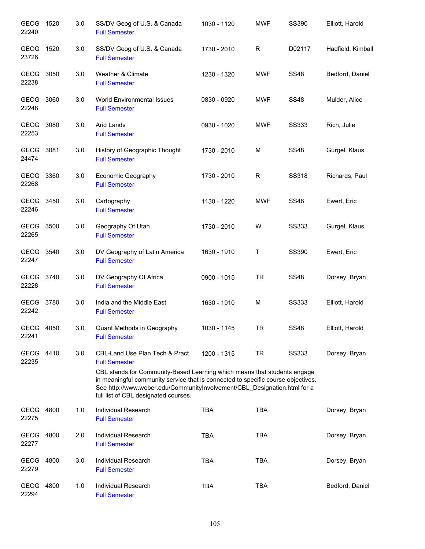| GEOG 1520<br>22240   |      | 3.0 | SS/DV Geog of U.S. & Canada<br><b>Full Semester</b>                                                                                                                                                                                                                                                                                                   | 1030 - 1120 | <b>MWF</b> | <b>SS390</b> | Elliott, Harold   |
|----------------------|------|-----|-------------------------------------------------------------------------------------------------------------------------------------------------------------------------------------------------------------------------------------------------------------------------------------------------------------------------------------------------------|-------------|------------|--------------|-------------------|
| GEOG<br>23726        | 1520 | 3.0 | SS/DV Geog of U.S. & Canada<br><b>Full Semester</b>                                                                                                                                                                                                                                                                                                   | 1730 - 2010 | R          | D02117       | Hadfield, Kimball |
| GEOG 3050<br>22238   |      | 3.0 | Weather & Climate<br><b>Full Semester</b>                                                                                                                                                                                                                                                                                                             | 1230 - 1320 | <b>MWF</b> | <b>SS48</b>  | Bedford, Daniel   |
| GEOG 3060<br>22248   |      | 3.0 | World Environmental Issues<br><b>Full Semester</b>                                                                                                                                                                                                                                                                                                    | 0830 - 0920 | <b>MWF</b> | <b>SS48</b>  | Mulder, Alice     |
| GEOG 3080<br>22253   |      | 3.0 | Arid Lands<br><b>Full Semester</b>                                                                                                                                                                                                                                                                                                                    | 0930 - 1020 | <b>MWF</b> | <b>SS333</b> | Rich, Julie       |
| GEOG 3081<br>24474   |      | 3.0 | History of Geographic Thought<br><b>Full Semester</b>                                                                                                                                                                                                                                                                                                 | 1730 - 2010 | M          | <b>SS48</b>  | Gurgel, Klaus     |
| GEOG 3360<br>22268   |      | 3.0 | Economic Geography<br><b>Full Semester</b>                                                                                                                                                                                                                                                                                                            | 1730 - 2010 | R          | <b>SS318</b> | Richards, Paul    |
| GEOG 3450<br>22246   |      | 3.0 | Cartography<br><b>Full Semester</b>                                                                                                                                                                                                                                                                                                                   | 1130 - 1220 | <b>MWF</b> | <b>SS48</b>  | Ewert, Eric       |
| GEOG 3500<br>22265   |      | 3.0 | Geography Of Utah<br><b>Full Semester</b>                                                                                                                                                                                                                                                                                                             | 1730 - 2010 | W          | <b>SS333</b> | Gurgel, Klaus     |
| GEOG 3540<br>22247   |      | 3.0 | DV Geography of Latin America<br><b>Full Semester</b>                                                                                                                                                                                                                                                                                                 | 1630 - 1910 | T          | <b>SS390</b> | Ewert, Eric       |
| GEOG 3740<br>22228   |      | 3.0 | DV Geography Of Africa<br><b>Full Semester</b>                                                                                                                                                                                                                                                                                                        | 0900 - 1015 | <b>TR</b>  | <b>SS48</b>  | Dorsey, Bryan     |
| GEOG 3780<br>22242   |      | 3.0 | India and the Middle East<br><b>Full Semester</b>                                                                                                                                                                                                                                                                                                     | 1630 - 1910 | M          | <b>SS333</b> | Elliott, Harold   |
| GEOG 4050<br>22241   |      | 3.0 | Quant Methods in Geography<br><b>Full Semester</b>                                                                                                                                                                                                                                                                                                    | 1030 - 1145 | <b>TR</b>  | <b>SS48</b>  | Elliott, Harold   |
| GEOG 4410<br>22235   |      | 3.0 | <b>CBL-Land Use Plan Tech &amp; Pract</b><br><b>Full Semester</b><br>CBL stands for Community-Based Learning which means that students engage<br>in meaningful community service that is connected to specific course objectives.<br>See http://www.weber.edu/CommunityInvolvement/CBL_Designation.html for a<br>full list of CBL designated courses. | 1200 - 1315 | TR         | <b>SS333</b> | Dorsey, Bryan     |
| GEOG 4800<br>22275   |      | 1.0 | Individual Research<br><b>Full Semester</b>                                                                                                                                                                                                                                                                                                           | <b>TBA</b>  | <b>TBA</b> |              | Dorsey, Bryan     |
| GEOG<br>22277        | 4800 | 2.0 | Individual Research<br><b>Full Semester</b>                                                                                                                                                                                                                                                                                                           | <b>TBA</b>  | <b>TBA</b> |              | Dorsey, Bryan     |
| <b>GEOG</b><br>22279 | 4800 | 3.0 | Individual Research<br><b>Full Semester</b>                                                                                                                                                                                                                                                                                                           | <b>TBA</b>  | <b>TBA</b> |              | Dorsey, Bryan     |
| <b>GEOG</b><br>22294 | 4800 | 1.0 | Individual Research<br><b>Full Semester</b>                                                                                                                                                                                                                                                                                                           | <b>TBA</b>  | <b>TBA</b> |              | Bedford, Daniel   |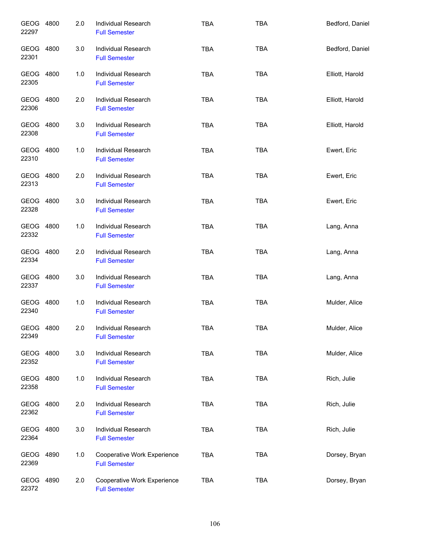| GEOG 4800<br>22297 | 2.0 | Individual Research<br><b>Full Semester</b>         | <b>TBA</b> | <b>TBA</b> | Bedford, Daniel |
|--------------------|-----|-----------------------------------------------------|------------|------------|-----------------|
| GEOG 4800<br>22301 | 3.0 | Individual Research<br><b>Full Semester</b>         | <b>TBA</b> | <b>TBA</b> | Bedford, Daniel |
| GEOG 4800<br>22305 | 1.0 | Individual Research<br><b>Full Semester</b>         | <b>TBA</b> | <b>TBA</b> | Elliott, Harold |
| GEOG 4800<br>22306 | 2.0 | Individual Research<br><b>Full Semester</b>         | <b>TBA</b> | <b>TBA</b> | Elliott, Harold |
| GEOG 4800<br>22308 | 3.0 | <b>Individual Research</b><br><b>Full Semester</b>  | <b>TBA</b> | <b>TBA</b> | Elliott, Harold |
| GEOG 4800<br>22310 | 1.0 | Individual Research<br><b>Full Semester</b>         | <b>TBA</b> | <b>TBA</b> | Ewert, Eric     |
| GEOG 4800<br>22313 | 2.0 | <b>Individual Research</b><br><b>Full Semester</b>  | <b>TBA</b> | <b>TBA</b> | Ewert, Eric     |
| GEOG 4800<br>22328 | 3.0 | Individual Research<br><b>Full Semester</b>         | <b>TBA</b> | <b>TBA</b> | Ewert, Eric     |
| GEOG 4800<br>22332 | 1.0 | <b>Individual Research</b><br><b>Full Semester</b>  | <b>TBA</b> | <b>TBA</b> | Lang, Anna      |
| GEOG 4800<br>22334 | 2.0 | Individual Research<br><b>Full Semester</b>         | <b>TBA</b> | <b>TBA</b> | Lang, Anna      |
| GEOG 4800<br>22337 | 3.0 | Individual Research<br><b>Full Semester</b>         | <b>TBA</b> | <b>TBA</b> | Lang, Anna      |
| GEOG 4800<br>22340 | 1.0 | Individual Research<br><b>Full Semester</b>         | <b>TBA</b> | <b>TBA</b> | Mulder, Alice   |
| GEOG 4800<br>22349 | 2.0 | Individual Research<br><b>Full Semester</b>         | <b>TBA</b> | TBA        | Mulder, Alice   |
| GEOG 4800<br>22352 | 3.0 | Individual Research<br><b>Full Semester</b>         | <b>TBA</b> | <b>TBA</b> | Mulder, Alice   |
| GEOG 4800<br>22358 | 1.0 | Individual Research<br><b>Full Semester</b>         | <b>TBA</b> | <b>TBA</b> | Rich, Julie     |
| GEOG 4800<br>22362 | 2.0 | Individual Research<br><b>Full Semester</b>         | <b>TBA</b> | <b>TBA</b> | Rich, Julie     |
| GEOG 4800<br>22364 | 3.0 | Individual Research<br><b>Full Semester</b>         | <b>TBA</b> | <b>TBA</b> | Rich, Julie     |
| GEOG 4890<br>22369 | 1.0 | Cooperative Work Experience<br><b>Full Semester</b> | <b>TBA</b> | <b>TBA</b> | Dorsey, Bryan   |
| GEOG 4890<br>22372 | 2.0 | Cooperative Work Experience<br><b>Full Semester</b> | <b>TBA</b> | <b>TBA</b> | Dorsey, Bryan   |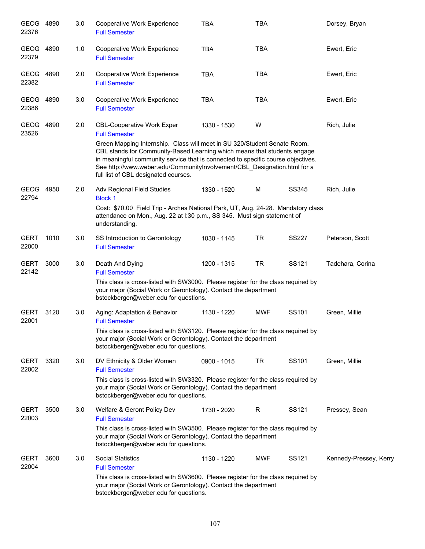| GEOG 4890<br>22376   |      | 3.0 | Cooperative Work Experience<br><b>Full Semester</b>                                                                                                                                                                                                                                                                                                                                                                       | <b>TBA</b>  | TBA        |                   | Dorsey, Bryan          |
|----------------------|------|-----|---------------------------------------------------------------------------------------------------------------------------------------------------------------------------------------------------------------------------------------------------------------------------------------------------------------------------------------------------------------------------------------------------------------------------|-------------|------------|-------------------|------------------------|
| GEOG<br>22379        | 4890 | 1.0 | Cooperative Work Experience<br><b>Full Semester</b>                                                                                                                                                                                                                                                                                                                                                                       | <b>TBA</b>  | <b>TBA</b> |                   | Ewert, Eric            |
| GEOG<br>22382        | 4890 | 2.0 | Cooperative Work Experience<br><b>Full Semester</b>                                                                                                                                                                                                                                                                                                                                                                       | <b>TBA</b>  | <b>TBA</b> |                   | Ewert, Eric            |
| GEOG<br>22386        | 4890 | 3.0 | Cooperative Work Experience<br><b>Full Semester</b>                                                                                                                                                                                                                                                                                                                                                                       | <b>TBA</b>  | <b>TBA</b> |                   | Ewert, Eric            |
| <b>GEOG</b><br>23526 | 4890 | 2.0 | <b>CBL-Cooperative Work Exper</b><br><b>Full Semester</b><br>Green Mapping Internship. Class will meet in SU 320/Student Senate Room.<br>CBL stands for Community-Based Learning which means that students engage<br>in meaningful community service that is connected to specific course objectives.<br>See http://www.weber.edu/CommunityInvolvement/CBL Designation.html for a<br>full list of CBL designated courses. | 1330 - 1530 | W          |                   | Rich, Julie            |
| <b>GEOG</b><br>22794 | 4950 | 2.0 | Adv Regional Field Studies<br><b>Block 1</b><br>Cost: \$70.00 Field Trip - Arches National Park, UT, Aug. 24-28. Mandatory class<br>attendance on Mon., Aug. 22 at I:30 p.m., SS 345. Must sign statement of<br>understanding.                                                                                                                                                                                            | 1330 - 1520 | M          | SS345             | Rich, Julie            |
| <b>GERT</b><br>22000 | 1010 | 3.0 | SS Introduction to Gerontology<br><b>Full Semester</b>                                                                                                                                                                                                                                                                                                                                                                    | 1030 - 1145 | <b>TR</b>  | <b>SS227</b>      | Peterson, Scott        |
| <b>GERT</b><br>22142 | 3000 | 3.0 | Death And Dying<br><b>Full Semester</b><br>This class is cross-listed with SW3000. Please register for the class required by<br>your major (Social Work or Gerontology). Contact the department<br>bstockberger@weber.edu for questions.                                                                                                                                                                                  | 1200 - 1315 | <b>TR</b>  | SS121             | Tadehara, Corina       |
| <b>GERT</b><br>22001 | 3120 | 3.0 | Aging: Adaptation & Behavior<br><b>Full Semester</b><br>This class is cross-listed with SW3120. Please register for the class required by<br>your major (Social Work or Gerontology). Contact the department<br>bstockberger@weber.edu for questions.                                                                                                                                                                     | 1130 - 1220 | <b>MWF</b> | SS101             | Green, Millie          |
| <b>GERT</b><br>22002 | 3320 | 3.0 | DV Ethnicity & Older Women<br><b>Full Semester</b><br>This class is cross-listed with SW3320. Please register for the class required by<br>your major (Social Work or Gerontology). Contact the department<br>bstockberger@weber.edu for questions.                                                                                                                                                                       | 0900 - 1015 | TR         | SS <sub>101</sub> | Green, Millie          |
| <b>GERT</b><br>22003 | 3500 | 3.0 | Welfare & Geront Policy Dev<br><b>Full Semester</b><br>This class is cross-listed with SW3500. Please register for the class required by<br>your major (Social Work or Gerontology). Contact the department<br>bstockberger@weber.edu for questions.                                                                                                                                                                      | 1730 - 2020 | R          | SS121             | Pressey, Sean          |
| <b>GERT</b><br>22004 | 3600 | 3.0 | <b>Social Statistics</b><br><b>Full Semester</b><br>This class is cross-listed with SW3600. Please register for the class required by<br>your major (Social Work or Gerontology). Contact the department<br>bstockberger@weber.edu for questions.                                                                                                                                                                         | 1130 - 1220 | MWF        | SS121             | Kennedy-Pressey, Kerry |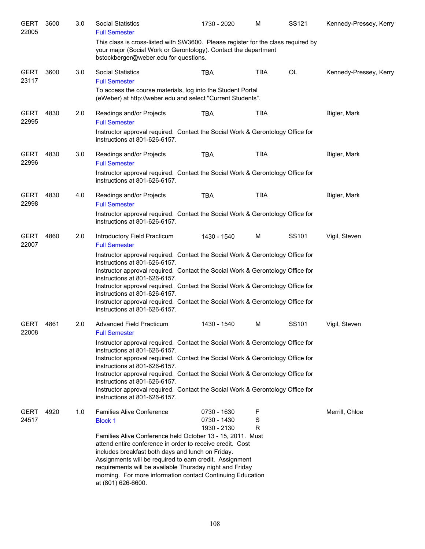| <b>GERT</b><br>22005 | 3600 | 3.0 | <b>Social Statistics</b><br><b>Full Semester</b>                                                                                                                                              | 1730 - 2020                | M          | SS121     | Kennedy-Pressey, Kerry |
|----------------------|------|-----|-----------------------------------------------------------------------------------------------------------------------------------------------------------------------------------------------|----------------------------|------------|-----------|------------------------|
|                      |      |     | This class is cross-listed with SW3600. Please register for the class required by<br>your major (Social Work or Gerontology). Contact the department<br>bstockberger@weber.edu for questions. |                            |            |           |                        |
| <b>GERT</b><br>23117 | 3600 | 3.0 | <b>Social Statistics</b><br><b>Full Semester</b>                                                                                                                                              | <b>TBA</b>                 | <b>TBA</b> | <b>OL</b> | Kennedy-Pressey, Kerry |
|                      |      |     | To access the course materials, log into the Student Portal<br>(eWeber) at http://weber.edu and select "Current Students".                                                                    |                            |            |           |                        |
| <b>GERT</b><br>22995 | 4830 | 2.0 | Readings and/or Projects<br><b>Full Semester</b>                                                                                                                                              | TBA                        | <b>TBA</b> |           | Bigler, Mark           |
|                      |      |     | Instructor approval required. Contact the Social Work & Gerontology Office for<br>instructions at 801-626-6157.                                                                               |                            |            |           |                        |
| <b>GERT</b><br>22996 | 4830 | 3.0 | Readings and/or Projects<br><b>Full Semester</b>                                                                                                                                              | TBA                        | <b>TBA</b> |           | Bigler, Mark           |
|                      |      |     | Instructor approval required. Contact the Social Work & Gerontology Office for<br>instructions at 801-626-6157.                                                                               |                            |            |           |                        |
| <b>GERT</b><br>22998 | 4830 | 4.0 | Readings and/or Projects<br><b>Full Semester</b>                                                                                                                                              | <b>TBA</b>                 | <b>TBA</b> |           | Bigler, Mark           |
|                      |      |     | Instructor approval required. Contact the Social Work & Gerontology Office for<br>instructions at 801-626-6157.                                                                               |                            |            |           |                        |
| <b>GERT</b><br>22007 | 4860 | 2.0 | Introductory Field Practicum<br><b>Full Semester</b>                                                                                                                                          | 1430 - 1540                | М          | SS101     | Vigil, Steven          |
|                      |      |     | Instructor approval required. Contact the Social Work & Gerontology Office for<br>instructions at 801-626-6157.                                                                               |                            |            |           |                        |
|                      |      |     | Instructor approval required. Contact the Social Work & Gerontology Office for<br>instructions at 801-626-6157.                                                                               |                            |            |           |                        |
|                      |      |     | Instructor approval required. Contact the Social Work & Gerontology Office for<br>instructions at 801-626-6157.                                                                               |                            |            |           |                        |
|                      |      |     | Instructor approval required. Contact the Social Work & Gerontology Office for<br>instructions at 801-626-6157.                                                                               |                            |            |           |                        |
| <b>GERT</b><br>22008 | 4861 | 2.0 | Advanced Field Practicum<br><b>Full Semester</b>                                                                                                                                              | 1430 - 1540                | м          | SS101     | Vigil, Steven          |
|                      |      |     | Instructor approval required. Contact the Social Work & Gerontology Office for<br>instructions at 801-626-6157.                                                                               |                            |            |           |                        |
|                      |      |     | Instructor approval required. Contact the Social Work & Gerontology Office for<br>instructions at 801-626-6157.                                                                               |                            |            |           |                        |
|                      |      |     | Instructor approval required. Contact the Social Work & Gerontology Office for<br>instructions at 801-626-6157.                                                                               |                            |            |           |                        |
|                      |      |     | Instructor approval required. Contact the Social Work & Gerontology Office for<br>instructions at 801-626-6157.                                                                               |                            |            |           |                        |
| <b>GERT</b><br>24517 | 4920 | 1.0 | <b>Families Alive Conference</b>                                                                                                                                                              | 0730 - 1630<br>0730 - 1430 | F<br>S     |           | Merrill, Chloe         |
|                      |      |     | <b>Block 1</b>                                                                                                                                                                                | 1930 - 2130                | R          |           |                        |
|                      |      |     | Families Alive Conference held October 13 - 15, 2011. Must<br>attend entire conference in order to receive credit. Cost                                                                       |                            |            |           |                        |
|                      |      |     | includes breakfast both days and lunch on Friday.                                                                                                                                             |                            |            |           |                        |
|                      |      |     | Assignments will be required to earn credit. Assignment<br>requirements will be available Thursday night and Friday                                                                           |                            |            |           |                        |
|                      |      |     | morning. For more information contact Continuing Education<br>at (801) 626-6600.                                                                                                              |                            |            |           |                        |
|                      |      |     |                                                                                                                                                                                               |                            |            |           |                        |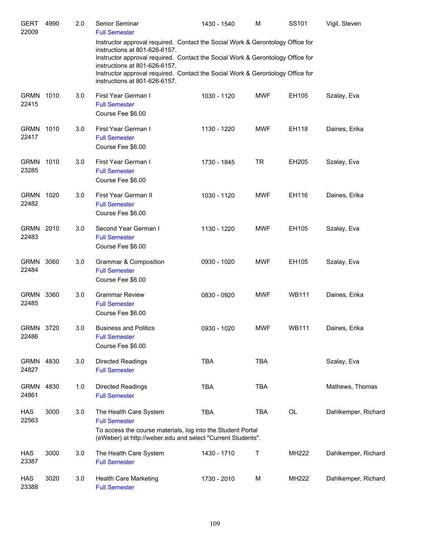| <b>GERT</b><br>22009 | 4990 | 2.0 | Senior Seminar<br><b>Full Semester</b>                                                                                                                                                                                                                                                                                                                | 1430 - 1540 | M          | SS101        | Vigil, Steven       |
|----------------------|------|-----|-------------------------------------------------------------------------------------------------------------------------------------------------------------------------------------------------------------------------------------------------------------------------------------------------------------------------------------------------------|-------------|------------|--------------|---------------------|
|                      |      |     | Instructor approval required. Contact the Social Work & Gerontology Office for<br>instructions at 801-626-6157.<br>Instructor approval required. Contact the Social Work & Gerontology Office for<br>instructions at 801-626-6157.<br>Instructor approval required. Contact the Social Work & Gerontology Office for<br>instructions at 801-626-6157. |             |            |              |                     |
| <b>GRMN</b><br>22415 | 1010 | 3.0 | First Year German I<br><b>Full Semester</b><br>Course Fee \$6.00                                                                                                                                                                                                                                                                                      | 1030 - 1120 | MWF        | EH105        | Szalay, Eva         |
| <b>GRMN</b><br>22417 | 1010 | 3.0 | First Year German I<br><b>Full Semester</b><br>Course Fee \$6.00                                                                                                                                                                                                                                                                                      | 1130 - 1220 | <b>MWF</b> | EH118        | Daines, Erika       |
| <b>GRMN</b><br>23285 | 1010 | 3.0 | First Year German I<br><b>Full Semester</b><br>Course Fee \$6.00                                                                                                                                                                                                                                                                                      | 1730 - 1845 | <b>TR</b>  | EH205        | Szalay, Eva         |
| <b>GRMN</b><br>22482 | 1020 | 3.0 | First Year German II<br><b>Full Semester</b><br>Course Fee \$6.00                                                                                                                                                                                                                                                                                     | 1030 - 1120 | <b>MWF</b> | EH116        | Daines, Erika       |
| <b>GRMN</b><br>22483 | 2010 | 3.0 | Second Year German I<br><b>Full Semester</b><br>Course Fee \$6.00                                                                                                                                                                                                                                                                                     | 1130 - 1220 | <b>MWF</b> | EH105        | Szalay, Eva         |
| <b>GRMN</b><br>22484 | 3060 | 3.0 | Grammar & Composition<br><b>Full Semester</b><br>Course Fee \$6.00                                                                                                                                                                                                                                                                                    | 0930 - 1020 | <b>MWF</b> | EH105        | Szalay, Eva         |
| <b>GRMN</b><br>22485 | 3360 | 3.0 | <b>Grammar Review</b><br><b>Full Semester</b><br>Course Fee \$6.00                                                                                                                                                                                                                                                                                    | 0830 - 0920 | <b>MWF</b> | <b>WB111</b> | Daines, Erika       |
| GRMN<br>22486        | 3720 | 3.0 | <b>Business and Politics</b><br><b>Full Semester</b><br>Course Fee \$6.00                                                                                                                                                                                                                                                                             | 0930 - 1020 | <b>MWF</b> | <b>WB111</b> | Daines, Erika       |
| GRMN<br>24827        | 4830 | 3.0 | <b>Directed Readings</b><br><b>Full Semester</b>                                                                                                                                                                                                                                                                                                      | <b>TBA</b>  | <b>TBA</b> |              | Szalay, Eva         |
| <b>GRMN</b><br>24861 | 4830 | 1.0 | <b>Directed Readings</b><br><b>Full Semester</b>                                                                                                                                                                                                                                                                                                      | <b>TBA</b>  | <b>TBA</b> |              | Mathews, Thomas     |
| HAS<br>22563         | 3000 | 3.0 | The Health Care System<br><b>Full Semester</b><br>To access the course materials, log into the Student Portal<br>(eWeber) at http://weber.edu and select "Current Students".                                                                                                                                                                          | <b>TBA</b>  | <b>TBA</b> | OL           | Dahlkemper, Richard |
| <b>HAS</b><br>23387  | 3000 | 3.0 | The Health Care System<br><b>Full Semester</b>                                                                                                                                                                                                                                                                                                        | 1430 - 1710 | Т          | MH222        | Dahlkemper, Richard |
| <b>HAS</b><br>23388  | 3020 | 3.0 | Health Care Marketing<br><b>Full Semester</b>                                                                                                                                                                                                                                                                                                         | 1730 - 2010 | M          | MH222        | Dahlkemper, Richard |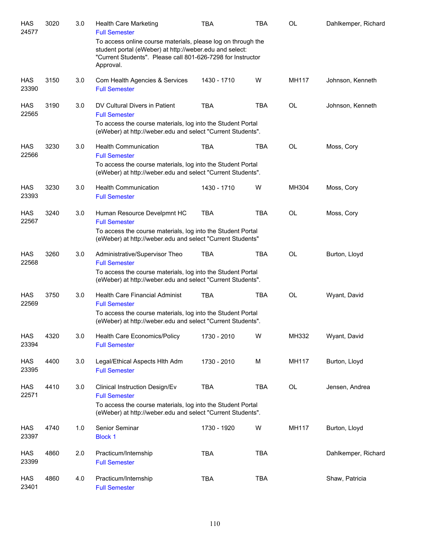| <b>HAS</b><br>24577 | 3020 | 3.0 | <b>Health Care Marketing</b><br><b>Full Semester</b>                                                                                                                                                | TBA         | TBA        | OL        | Dahlkemper, Richard |
|---------------------|------|-----|-----------------------------------------------------------------------------------------------------------------------------------------------------------------------------------------------------|-------------|------------|-----------|---------------------|
|                     |      |     | To access online course materials, please log on through the<br>student portal (eWeber) at http://weber.edu and select:<br>"Current Students". Please call 801-626-7298 for Instructor<br>Approval. |             |            |           |                     |
| <b>HAS</b><br>23390 | 3150 | 3.0 | Com Health Agencies & Services<br><b>Full Semester</b>                                                                                                                                              | 1430 - 1710 | W          | MH117     | Johnson, Kenneth    |
| HAS<br>22565        | 3190 | 3.0 | DV Cultural Divers in Patient<br><b>Full Semester</b><br>To access the course materials, log into the Student Portal<br>(eWeber) at http://weber.edu and select "Current Students".                 | <b>TBA</b>  | <b>TBA</b> | <b>OL</b> | Johnson, Kenneth    |
| HAS<br>22566        | 3230 | 3.0 | <b>Health Communication</b><br><b>Full Semester</b><br>To access the course materials, log into the Student Portal<br>(eWeber) at http://weber.edu and select "Current Students".                   | <b>TBA</b>  | <b>TBA</b> | <b>OL</b> | Moss, Cory          |
| HAS<br>23393        | 3230 | 3.0 | <b>Health Communication</b><br><b>Full Semester</b>                                                                                                                                                 | 1430 - 1710 | W          | MH304     | Moss, Cory          |
| HAS<br>22567        | 3240 | 3.0 | Human Resource Develpmnt HC<br><b>Full Semester</b><br>To access the course materials, log into the Student Portal<br>(eWeber) at http://weber.edu and select "Current Students"                    | <b>TBA</b>  | <b>TBA</b> | <b>OL</b> | Moss, Cory          |
| HAS<br>22568        | 3260 | 3.0 | Administrative/Supervisor Theo<br><b>Full Semester</b><br>To access the course materials, log into the Student Portal<br>(eWeber) at http://weber.edu and select "Current Students".                | <b>TBA</b>  | <b>TBA</b> | OL        | Burton, Lloyd       |
| HAS<br>22569        | 3750 | 3.0 | <b>Health Care Financial Administ</b><br><b>Full Semester</b><br>To access the course materials, log into the Student Portal<br>(eWeber) at http://weber.edu and select "Current Students".         | <b>TBA</b>  | <b>TBA</b> | OL        | Wyant, David        |
| <b>HAS</b><br>23394 | 4320 | 3.0 | Health Care Economics/Policy<br><b>Full Semester</b>                                                                                                                                                | 1730 - 2010 | W          | MH332     | Wyant, David        |
| HAS<br>23395        | 4400 | 3.0 | Legal/Ethical Aspects Hith Adm<br><b>Full Semester</b>                                                                                                                                              | 1730 - 2010 | M          | MH117     | Burton, Lloyd       |
| <b>HAS</b><br>22571 | 4410 | 3.0 | Clinical Instruction Design/Ev<br><b>Full Semester</b><br>To access the course materials, log into the Student Portal<br>(eWeber) at http://weber.edu and select "Current Students".                | <b>TBA</b>  | <b>TBA</b> | OL        | Jensen, Andrea      |
| HAS<br>23397        | 4740 | 1.0 | Senior Seminar<br><b>Block 1</b>                                                                                                                                                                    | 1730 - 1920 | W          | MH117     | Burton, Lloyd       |
| HAS<br>23399        | 4860 | 2.0 | Practicum/Internship<br><b>Full Semester</b>                                                                                                                                                        | <b>TBA</b>  | <b>TBA</b> |           | Dahlkemper, Richard |
| HAS<br>23401        | 4860 | 4.0 | Practicum/Internship<br><b>Full Semester</b>                                                                                                                                                        | <b>TBA</b>  | <b>TBA</b> |           | Shaw, Patricia      |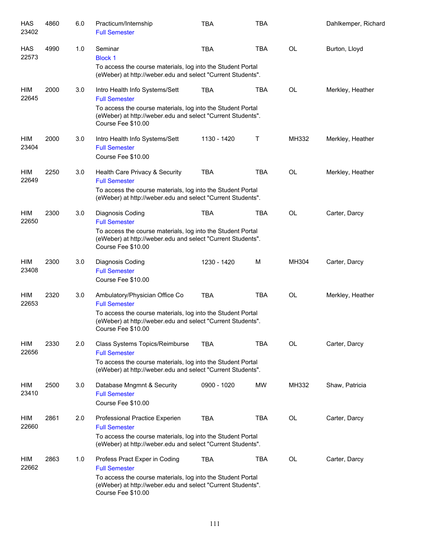| <b>HAS</b><br>23402 | 4860 | 6.0 | Practicum/Internship<br><b>Full Semester</b>                                                                                                                                                               | <b>TBA</b>  | <b>TBA</b> |           | Dahlkemper, Richard |
|---------------------|------|-----|------------------------------------------------------------------------------------------------------------------------------------------------------------------------------------------------------------|-------------|------------|-----------|---------------------|
| <b>HAS</b><br>22573 | 4990 | 1.0 | Seminar<br><b>Block 1</b><br>To access the course materials, log into the Student Portal<br>(eWeber) at http://weber.edu and select "Current Students".                                                    | <b>TBA</b>  | <b>TBA</b> | <b>OL</b> | Burton, Lloyd       |
| HIM<br>22645        | 2000 | 3.0 | Intro Health Info Systems/Sett<br><b>Full Semester</b><br>To access the course materials, log into the Student Portal<br>(eWeber) at http://weber.edu and select "Current Students".<br>Course Fee \$10.00 | <b>TBA</b>  | <b>TBA</b> | OL        | Merkley, Heather    |
| HIM<br>23404        | 2000 | 3.0 | Intro Health Info Systems/Sett<br><b>Full Semester</b><br>Course Fee \$10.00                                                                                                                               | 1130 - 1420 | Т          | MH332     | Merkley, Heather    |
| HIM<br>22649        | 2250 | 3.0 | Health Care Privacy & Security<br><b>Full Semester</b><br>To access the course materials, log into the Student Portal<br>(eWeber) at http://weber.edu and select "Current Students".                       | <b>TBA</b>  | <b>TBA</b> | OL        | Merkley, Heather    |
| HIM<br>22650        | 2300 | 3.0 | Diagnosis Coding<br><b>Full Semester</b><br>To access the course materials, log into the Student Portal<br>(eWeber) at http://weber.edu and select "Current Students".<br>Course Fee \$10.00               | <b>TBA</b>  | <b>TBA</b> | OL        | Carter, Darcy       |
| <b>HIM</b><br>23408 | 2300 | 3.0 | Diagnosis Coding<br><b>Full Semester</b><br>Course Fee \$10.00                                                                                                                                             | 1230 - 1420 | M          | MH304     | Carter, Darcy       |
| HIM<br>22653        | 2320 | 3.0 | Ambulatory/Physician Office Co<br><b>Full Semester</b><br>To access the course materials, log into the Student Portal<br>(eWeber) at http://weber.edu and select "Current Students".<br>Course Fee \$10.00 | <b>TBA</b>  | <b>TBA</b> | OL        | Merkley, Heather    |
| HIM<br>22656        | 2330 | 2.0 | Class Systems Topics/Reimburse<br><b>Full Semester</b><br>To access the course materials, log into the Student Portal<br>(eWeber) at http://weber.edu and select "Current Students".                       | <b>TBA</b>  | <b>TBA</b> | OL        | Carter, Darcy       |
| HIM<br>23410        | 2500 | 3.0 | Database Mngmnt & Security<br><b>Full Semester</b><br>Course Fee \$10.00                                                                                                                                   | 0900 - 1020 | <b>MW</b>  | MH332     | Shaw, Patricia      |
| HIM<br>22660        | 2861 | 2.0 | Professional Practice Experien<br><b>Full Semester</b><br>To access the course materials, log into the Student Portal<br>(eWeber) at http://weber.edu and select "Current Students".                       | <b>TBA</b>  | <b>TBA</b> | OL        | Carter, Darcy       |
| HIM<br>22662        | 2863 | 1.0 | Profess Pract Exper in Coding<br><b>Full Semester</b><br>To access the course materials, log into the Student Portal<br>(eWeber) at http://weber.edu and select "Current Students".<br>Course Fee \$10.00  | <b>TBA</b>  | <b>TBA</b> | OL        | Carter, Darcy       |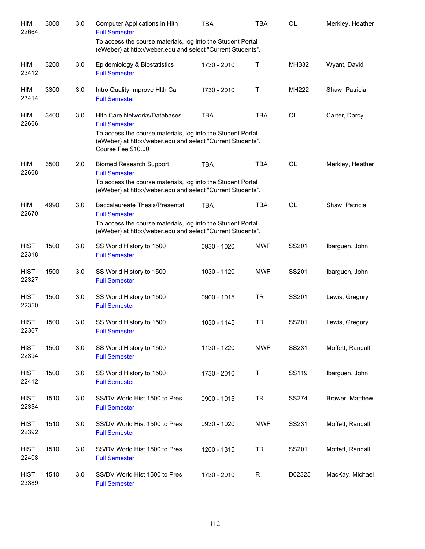| HIM<br>22664         | 3000 | 3.0 | Computer Applications in HIth<br><b>Full Semester</b>                                                                                                                                                           | TBA         | <b>TBA</b>  | <b>OL</b>    | Merkley, Heather |
|----------------------|------|-----|-----------------------------------------------------------------------------------------------------------------------------------------------------------------------------------------------------------------|-------------|-------------|--------------|------------------|
|                      |      |     | To access the course materials, log into the Student Portal<br>(eWeber) at http://weber.edu and select "Current Students".                                                                                      |             |             |              |                  |
| HIM<br>23412         | 3200 | 3.0 | Epidemiology & Biostatistics<br><b>Full Semester</b>                                                                                                                                                            | 1730 - 2010 | Т           | MH332        | Wyant, David     |
| HIM<br>23414         | 3300 | 3.0 | Intro Quality Improve Hith Car<br><b>Full Semester</b>                                                                                                                                                          | 1730 - 2010 | Τ           | MH222        | Shaw, Patricia   |
| HIM<br>22666         | 3400 | 3.0 | <b>Hith Care Networks/Databases</b><br><b>Full Semester</b><br>To access the course materials, log into the Student Portal<br>(eWeber) at http://weber.edu and select "Current Students".<br>Course Fee \$10.00 | <b>TBA</b>  | <b>TBA</b>  | <b>OL</b>    | Carter, Darcy    |
| HIM<br>22668         | 3500 | 2.0 | <b>Biomed Research Support</b><br><b>Full Semester</b><br>To access the course materials, log into the Student Portal<br>(eWeber) at http://weber.edu and select "Current Students".                            | <b>TBA</b>  | <b>TBA</b>  | <b>OL</b>    | Merkley, Heather |
| HIM<br>22670         | 4990 | 3.0 | <b>Baccalaureate Thesis/Presentat</b><br><b>Full Semester</b><br>To access the course materials, log into the Student Portal<br>(eWeber) at http://weber.edu and select "Current Students".                     | <b>TBA</b>  | <b>TBA</b>  | <b>OL</b>    | Shaw, Patricia   |
| <b>HIST</b><br>22318 | 1500 | 3.0 | SS World History to 1500<br><b>Full Semester</b>                                                                                                                                                                | 0930 - 1020 | <b>MWF</b>  | SS201        | Ibarguen, John   |
| <b>HIST</b><br>22327 | 1500 | 3.0 | SS World History to 1500<br><b>Full Semester</b>                                                                                                                                                                | 1030 - 1120 | <b>MWF</b>  | SS201        | Ibarguen, John   |
| <b>HIST</b><br>22350 | 1500 | 3.0 | SS World History to 1500<br><b>Full Semester</b>                                                                                                                                                                | 0900 - 1015 | <b>TR</b>   | SS201        | Lewis, Gregory   |
| <b>HIST</b><br>22367 | 1500 | 3.0 | SS World History to 1500<br><b>Full Semester</b>                                                                                                                                                                | 1030 - 1145 | <b>TR</b>   | SS201        | Lewis, Gregory   |
| <b>HIST</b><br>22394 | 1500 | 3.0 | SS World History to 1500<br><b>Full Semester</b>                                                                                                                                                                | 1130 - 1220 | <b>MWF</b>  | SS231        | Moffett, Randall |
| <b>HIST</b><br>22412 | 1500 | 3.0 | SS World History to 1500<br><b>Full Semester</b>                                                                                                                                                                | 1730 - 2010 | $\mathsf T$ | SS119        | Ibarguen, John   |
| <b>HIST</b><br>22354 | 1510 | 3.0 | SS/DV World Hist 1500 to Pres<br><b>Full Semester</b>                                                                                                                                                           | 0900 - 1015 | <b>TR</b>   | <b>SS274</b> | Brower, Matthew  |
| <b>HIST</b><br>22392 | 1510 | 3.0 | SS/DV World Hist 1500 to Pres<br><b>Full Semester</b>                                                                                                                                                           | 0930 - 1020 | <b>MWF</b>  | SS231        | Moffett, Randall |
| <b>HIST</b><br>22408 | 1510 | 3.0 | SS/DV World Hist 1500 to Pres<br><b>Full Semester</b>                                                                                                                                                           | 1200 - 1315 | <b>TR</b>   | SS201        | Moffett, Randall |
| <b>HIST</b><br>23389 | 1510 | 3.0 | SS/DV World Hist 1500 to Pres<br><b>Full Semester</b>                                                                                                                                                           | 1730 - 2010 | R           | D02325       | MacKay, Michael  |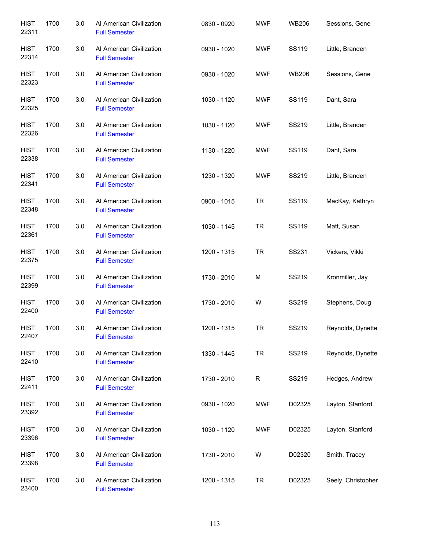| <b>HIST</b><br>22311 | 1700 | 3.0 | Al American Civilization<br><b>Full Semester</b> | 0830 - 0920   | <b>MWF</b> | <b>WB206</b> | Sessions, Gene     |
|----------------------|------|-----|--------------------------------------------------|---------------|------------|--------------|--------------------|
| <b>HIST</b><br>22314 | 1700 | 3.0 | Al American Civilization<br><b>Full Semester</b> | 0930 - 1020   | <b>MWF</b> | SS119        | Little, Branden    |
| <b>HIST</b><br>22323 | 1700 | 3.0 | Al American Civilization<br><b>Full Semester</b> | 0930 - 1020   | <b>MWF</b> | <b>WB206</b> | Sessions, Gene     |
| <b>HIST</b><br>22325 | 1700 | 3.0 | Al American Civilization<br><b>Full Semester</b> | 1030 - 1120   | <b>MWF</b> | SS119        | Dant, Sara         |
| <b>HIST</b><br>22326 | 1700 | 3.0 | Al American Civilization<br><b>Full Semester</b> | 1030 - 1120   | <b>MWF</b> | SS219        | Little, Branden    |
| <b>HIST</b><br>22338 | 1700 | 3.0 | Al American Civilization<br><b>Full Semester</b> | 1130 - 1220   | MWF        | SS119        | Dant, Sara         |
| <b>HIST</b><br>22341 | 1700 | 3.0 | Al American Civilization<br><b>Full Semester</b> | 1230 - 1320   | <b>MWF</b> | SS219        | Little, Branden    |
| <b>HIST</b><br>22348 | 1700 | 3.0 | Al American Civilization<br><b>Full Semester</b> | $0900 - 1015$ | <b>TR</b>  | <b>SS119</b> | MacKay, Kathryn    |
| <b>HIST</b><br>22361 | 1700 | 3.0 | Al American Civilization<br><b>Full Semester</b> | 1030 - 1145   | <b>TR</b>  | SS119        | Matt, Susan        |
| <b>HIST</b><br>22375 | 1700 | 3.0 | Al American Civilization<br><b>Full Semester</b> | 1200 - 1315   | <b>TR</b>  | SS231        | Vickers, Vikki     |
| <b>HIST</b><br>22399 | 1700 | 3.0 | Al American Civilization<br><b>Full Semester</b> | 1730 - 2010   | M          | SS219        | Kronmiller, Jay    |
| <b>HIST</b><br>22400 | 1700 | 3.0 | Al American Civilization<br><b>Full Semester</b> | 1730 - 2010   | W          | SS219        | Stephens, Doug     |
| <b>HIST</b><br>22407 | 1700 | 3.0 | Al American Civilization<br><b>Full Semester</b> | 1200 - 1315   | <b>TR</b>  | SS219        | Reynolds, Dynette  |
| <b>HIST</b><br>22410 | 1700 | 3.0 | Al American Civilization<br><b>Full Semester</b> | 1330 - 1445   | <b>TR</b>  | SS219        | Reynolds, Dynette  |
| <b>HIST</b><br>22411 | 1700 | 3.0 | Al American Civilization<br><b>Full Semester</b> | 1730 - 2010   | R          | SS219        | Hedges, Andrew     |
| <b>HIST</b><br>23392 | 1700 | 3.0 | Al American Civilization<br><b>Full Semester</b> | 0930 - 1020   | <b>MWF</b> | D02325       | Layton, Stanford   |
| <b>HIST</b><br>23396 | 1700 | 3.0 | Al American Civilization<br><b>Full Semester</b> | 1030 - 1120   | <b>MWF</b> | D02325       | Layton, Stanford   |
| <b>HIST</b><br>23398 | 1700 | 3.0 | Al American Civilization<br><b>Full Semester</b> | 1730 - 2010   | W          | D02320       | Smith, Tracey      |
| <b>HIST</b><br>23400 | 1700 | 3.0 | Al American Civilization<br><b>Full Semester</b> | 1200 - 1315   | <b>TR</b>  | D02325       | Seely, Christopher |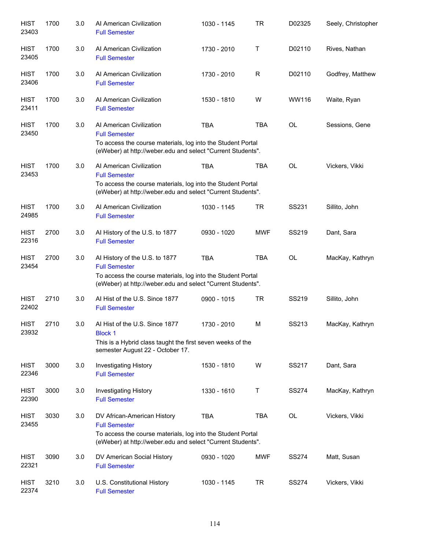| <b>HIST</b><br>23403 | 1700 | 3.0 | Al American Civilization<br><b>Full Semester</b>                                                                                                                                     | 1030 - 1145 | TR         | D02325       | Seely, Christopher |
|----------------------|------|-----|--------------------------------------------------------------------------------------------------------------------------------------------------------------------------------------|-------------|------------|--------------|--------------------|
| <b>HIST</b><br>23405 | 1700 | 3.0 | Al American Civilization<br><b>Full Semester</b>                                                                                                                                     | 1730 - 2010 | Т          | D02110       | Rives, Nathan      |
| <b>HIST</b><br>23406 | 1700 | 3.0 | Al American Civilization<br><b>Full Semester</b>                                                                                                                                     | 1730 - 2010 | R          | D02110       | Godfrey, Matthew   |
| <b>HIST</b><br>23411 | 1700 | 3.0 | Al American Civilization<br><b>Full Semester</b>                                                                                                                                     | 1530 - 1810 | W          | WW116        | Waite, Ryan        |
| <b>HIST</b><br>23450 | 1700 | 3.0 | Al American Civilization<br><b>Full Semester</b><br>To access the course materials, log into the Student Portal<br>(eWeber) at http://weber.edu and select "Current Students".       | <b>TBA</b>  | <b>TBA</b> | <b>OL</b>    | Sessions, Gene     |
| <b>HIST</b><br>23453 | 1700 | 3.0 | Al American Civilization<br><b>Full Semester</b><br>To access the course materials, log into the Student Portal<br>(eWeber) at http://weber.edu and select "Current Students".       | <b>TBA</b>  | <b>TBA</b> | <b>OL</b>    | Vickers, Vikki     |
| <b>HIST</b><br>24985 | 1700 | 3.0 | Al American Civilization<br><b>Full Semester</b>                                                                                                                                     | 1030 - 1145 | <b>TR</b>  | SS231        | Sillito, John      |
| <b>HIST</b><br>22316 | 2700 | 3.0 | Al History of the U.S. to 1877<br><b>Full Semester</b>                                                                                                                               | 0930 - 1020 | <b>MWF</b> | SS219        | Dant, Sara         |
| <b>HIST</b><br>23454 | 2700 | 3.0 | Al History of the U.S. to 1877<br><b>Full Semester</b><br>To access the course materials, log into the Student Portal<br>(eWeber) at http://weber.edu and select "Current Students". | <b>TBA</b>  | <b>TBA</b> | <b>OL</b>    | MacKay, Kathryn    |
| <b>HIST</b><br>22402 | 2710 | 3.0 | Al Hist of the U.S. Since 1877<br><b>Full Semester</b>                                                                                                                               | 0900 - 1015 | <b>TR</b>  | <b>SS219</b> | Sillito, John      |
| <b>HIST</b><br>23932 | 2710 | 3.0 | Al Hist of the U.S. Since 1877<br><b>Block 1</b><br>This is a Hybrid class taught the first seven weeks of the<br>semester August 22 - October 17.                                   | 1730 - 2010 | М          | SS213        | MacKay, Kathryn    |
| <b>HIST</b><br>22346 | 3000 | 3.0 | Investigating History<br><b>Full Semester</b>                                                                                                                                        | 1530 - 1810 | W          | SS217        | Dant, Sara         |
| <b>HIST</b><br>22390 | 3000 | 3.0 | Investigating History<br><b>Full Semester</b>                                                                                                                                        | 1330 - 1610 | Τ          | <b>SS274</b> | MacKay, Kathryn    |
| <b>HIST</b><br>23455 | 3030 | 3.0 | DV African-American History<br><b>Full Semester</b><br>To access the course materials, log into the Student Portal<br>(eWeber) at http://weber.edu and select "Current Students".    | <b>TBA</b>  | <b>TBA</b> | OL           | Vickers, Vikki     |
| <b>HIST</b><br>22321 | 3090 | 3.0 | DV American Social History<br><b>Full Semester</b>                                                                                                                                   | 0930 - 1020 | <b>MWF</b> | <b>SS274</b> | Matt, Susan        |
| <b>HIST</b><br>22374 | 3210 | 3.0 | U.S. Constitutional History<br><b>Full Semester</b>                                                                                                                                  | 1030 - 1145 | <b>TR</b>  | <b>SS274</b> | Vickers, Vikki     |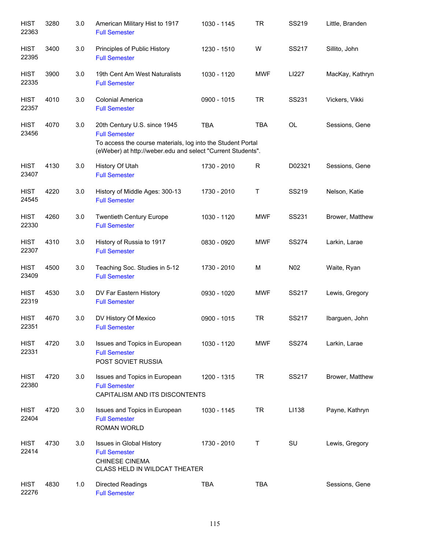| <b>HIST</b><br>22363 | 3280 | 3.0 | American Military Hist to 1917<br><b>Full Semester</b>                                                                                                                             | 1030 - 1145 | <b>TR</b>    | SS219           | Little, Branden |
|----------------------|------|-----|------------------------------------------------------------------------------------------------------------------------------------------------------------------------------------|-------------|--------------|-----------------|-----------------|
| <b>HIST</b><br>22395 | 3400 | 3.0 | Principles of Public History<br><b>Full Semester</b>                                                                                                                               | 1230 - 1510 | W            | SS217           | Sillito, John   |
| <b>HIST</b><br>22335 | 3900 | 3.0 | 19th Cent Am West Naturalists<br><b>Full Semester</b>                                                                                                                              | 1030 - 1120 | <b>MWF</b>   | LI227           | MacKay, Kathryn |
| <b>HIST</b><br>22357 | 4010 | 3.0 | <b>Colonial America</b><br><b>Full Semester</b>                                                                                                                                    | 0900 - 1015 | <b>TR</b>    | SS231           | Vickers, Vikki  |
| <b>HIST</b><br>23456 | 4070 | 3.0 | 20th Century U.S. since 1945<br><b>Full Semester</b><br>To access the course materials, log into the Student Portal<br>(eWeber) at http://weber.edu and select "Current Students". | <b>TBA</b>  | <b>TBA</b>   | OL              | Sessions, Gene  |
| <b>HIST</b><br>23407 | 4130 | 3.0 | History Of Utah<br><b>Full Semester</b>                                                                                                                                            | 1730 - 2010 | $\mathsf{R}$ | D02321          | Sessions, Gene  |
| <b>HIST</b><br>24545 | 4220 | 3.0 | History of Middle Ages: 300-13<br><b>Full Semester</b>                                                                                                                             | 1730 - 2010 | Τ            | SS219           | Nelson, Katie   |
| <b>HIST</b><br>22330 | 4260 | 3.0 | <b>Twentieth Century Europe</b><br><b>Full Semester</b>                                                                                                                            | 1030 - 1120 | <b>MWF</b>   | SS231           | Brower, Matthew |
| <b>HIST</b><br>22307 | 4310 | 3.0 | History of Russia to 1917<br><b>Full Semester</b>                                                                                                                                  | 0830 - 0920 | <b>MWF</b>   | <b>SS274</b>    | Larkin, Larae   |
| <b>HIST</b><br>23409 | 4500 | 3.0 | Teaching Soc. Studies in 5-12<br><b>Full Semester</b>                                                                                                                              | 1730 - 2010 | M            | N <sub>02</sub> | Waite, Ryan     |
| <b>HIST</b><br>22319 | 4530 | 3.0 | DV Far Eastern History<br><b>Full Semester</b>                                                                                                                                     | 0930 - 1020 | <b>MWF</b>   | SS217           | Lewis, Gregory  |
| <b>HIST</b><br>22351 | 4670 | 3.0 | DV History Of Mexico<br><b>Full Semester</b>                                                                                                                                       | 0900 - 1015 | <b>TR</b>    | SS217           | Ibarguen, John  |
| <b>HIST</b><br>22331 | 4720 | 3.0 | Issues and Topics in European<br><b>Full Semester</b><br>POST SOVIET RUSSIA                                                                                                        | 1030 - 1120 | MWF          | <b>SS274</b>    | Larkin, Larae   |
| <b>HIST</b><br>22380 | 4720 | 3.0 | Issues and Topics in European<br><b>Full Semester</b><br>CAPITALISM AND ITS DISCONTENTS                                                                                            | 1200 - 1315 | <b>TR</b>    | SS217           | Brower, Matthew |
| <b>HIST</b><br>22404 | 4720 | 3.0 | Issues and Topics in European<br><b>Full Semester</b><br><b>ROMAN WORLD</b>                                                                                                        | 1030 - 1145 | TR           | LI138           | Payne, Kathryn  |
| <b>HIST</b><br>22414 | 4730 | 3.0 | Issues in Global History<br><b>Full Semester</b><br><b>CHINESE CINEMA</b><br>CLASS HELD IN WILDCAT THEATER                                                                         | 1730 - 2010 | Τ            | SU              | Lewis, Gregory  |
| <b>HIST</b><br>22276 | 4830 | 1.0 | <b>Directed Readings</b><br><b>Full Semester</b>                                                                                                                                   | <b>TBA</b>  | <b>TBA</b>   |                 | Sessions, Gene  |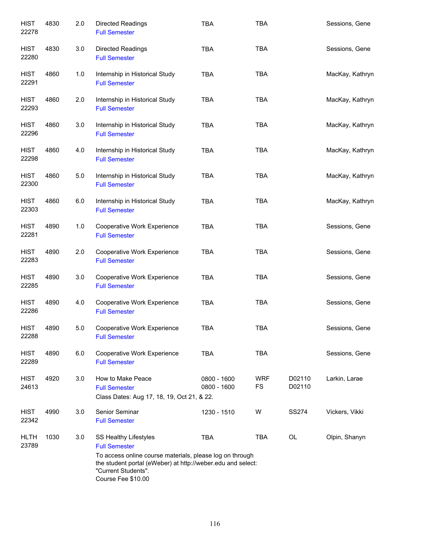| <b>HIST</b><br>22278 | 4830 | 2.0 | <b>Directed Readings</b><br><b>Full Semester</b>                                                                                                                                                                      | <b>TBA</b>                 | <b>TBA</b>              |                  | Sessions, Gene  |
|----------------------|------|-----|-----------------------------------------------------------------------------------------------------------------------------------------------------------------------------------------------------------------------|----------------------------|-------------------------|------------------|-----------------|
| <b>HIST</b><br>22280 | 4830 | 3.0 | <b>Directed Readings</b><br><b>Full Semester</b>                                                                                                                                                                      | <b>TBA</b>                 | TBA                     |                  | Sessions, Gene  |
| <b>HIST</b><br>22291 | 4860 | 1.0 | Internship in Historical Study<br><b>Full Semester</b>                                                                                                                                                                | <b>TBA</b>                 | <b>TBA</b>              |                  | MacKay, Kathryn |
| <b>HIST</b><br>22293 | 4860 | 2.0 | Internship in Historical Study<br><b>Full Semester</b>                                                                                                                                                                | <b>TBA</b>                 | <b>TBA</b>              |                  | MacKay, Kathryn |
| <b>HIST</b><br>22296 | 4860 | 3.0 | Internship in Historical Study<br><b>Full Semester</b>                                                                                                                                                                | <b>TBA</b>                 | <b>TBA</b>              |                  | MacKay, Kathryn |
| <b>HIST</b><br>22298 | 4860 | 4.0 | Internship in Historical Study<br><b>Full Semester</b>                                                                                                                                                                | <b>TBA</b>                 | <b>TBA</b>              |                  | MacKay, Kathryn |
| <b>HIST</b><br>22300 | 4860 | 5.0 | Internship in Historical Study<br><b>Full Semester</b>                                                                                                                                                                | <b>TBA</b>                 | <b>TBA</b>              |                  | MacKay, Kathryn |
| <b>HIST</b><br>22303 | 4860 | 6.0 | Internship in Historical Study<br><b>Full Semester</b>                                                                                                                                                                | <b>TBA</b>                 | <b>TBA</b>              |                  | MacKay, Kathryn |
| <b>HIST</b><br>22281 | 4890 | 1.0 | Cooperative Work Experience<br><b>Full Semester</b>                                                                                                                                                                   | <b>TBA</b>                 | <b>TBA</b>              |                  | Sessions, Gene  |
| <b>HIST</b><br>22283 | 4890 | 2.0 | Cooperative Work Experience<br><b>Full Semester</b>                                                                                                                                                                   | <b>TBA</b>                 | <b>TBA</b>              |                  | Sessions, Gene  |
| <b>HIST</b><br>22285 | 4890 | 3.0 | Cooperative Work Experience<br><b>Full Semester</b>                                                                                                                                                                   | <b>TBA</b>                 | <b>TBA</b>              |                  | Sessions, Gene  |
| <b>HIST</b><br>22286 | 4890 | 4.0 | Cooperative Work Experience<br><b>Full Semester</b>                                                                                                                                                                   | <b>TBA</b>                 | TBA                     |                  | Sessions, Gene  |
| <b>HIST</b><br>22288 | 4890 | 5.0 | Cooperative Work Experience<br><b>Full Semester</b>                                                                                                                                                                   | TBA                        | TBA                     |                  | Sessions, Gene  |
| <b>HIST</b><br>22289 | 4890 | 6.0 | Cooperative Work Experience<br><b>Full Semester</b>                                                                                                                                                                   | <b>TBA</b>                 | <b>TBA</b>              |                  | Sessions, Gene  |
| <b>HIST</b><br>24613 | 4920 | 3.0 | How to Make Peace<br><b>Full Semester</b><br>Class Dates: Aug 17, 18, 19, Oct 21, & 22.                                                                                                                               | 0800 - 1600<br>0800 - 1600 | <b>WRF</b><br><b>FS</b> | D02110<br>D02110 | Larkin, Larae   |
| <b>HIST</b><br>22342 | 4990 | 3.0 | Senior Seminar<br><b>Full Semester</b>                                                                                                                                                                                | 1230 - 1510                | W                       | <b>SS274</b>     | Vickers, Vikki  |
| <b>HLTH</b><br>23789 | 1030 | 3.0 | SS Healthy Lifestyles<br><b>Full Semester</b><br>To access online course materials, please log on through<br>the student portal (eWeber) at http://weber.edu and select:<br>"Current Students".<br>Course Fee \$10.00 | <b>TBA</b>                 | <b>TBA</b>              | OL               | Olpin, Shanyn   |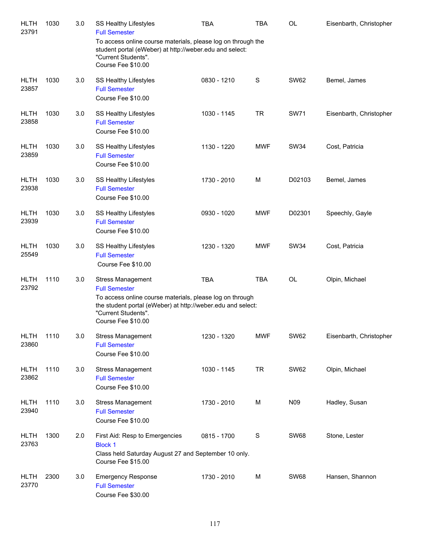| <b>HLTH</b><br>23791 | 1030 | 3.0 | <b>SS Healthy Lifestyles</b><br><b>Full Semester</b><br>To access online course materials, please log on through the<br>student portal (eWeber) at http://weber.edu and select:<br>"Current Students".<br>Course Fee \$10.00 | <b>TBA</b>  | <b>TBA</b>  | <b>OL</b>   | Eisenbarth, Christopher |
|----------------------|------|-----|------------------------------------------------------------------------------------------------------------------------------------------------------------------------------------------------------------------------------|-------------|-------------|-------------|-------------------------|
| <b>HLTH</b><br>23857 | 1030 | 3.0 | SS Healthy Lifestyles<br><b>Full Semester</b><br>Course Fee \$10.00                                                                                                                                                          | 0830 - 1210 | $\mathbf S$ | <b>SW62</b> | Bemel, James            |
| <b>HLTH</b><br>23858 | 1030 | 3.0 | SS Healthy Lifestyles<br><b>Full Semester</b><br>Course Fee \$10.00                                                                                                                                                          | 1030 - 1145 | <b>TR</b>   | <b>SW71</b> | Eisenbarth, Christopher |
| <b>HLTH</b><br>23859 | 1030 | 3.0 | SS Healthy Lifestyles<br><b>Full Semester</b><br>Course Fee \$10.00                                                                                                                                                          | 1130 - 1220 | <b>MWF</b>  | <b>SW34</b> | Cost, Patricia          |
| <b>HLTH</b><br>23938 | 1030 | 3.0 | SS Healthy Lifestyles<br><b>Full Semester</b><br>Course Fee \$10.00                                                                                                                                                          | 1730 - 2010 | M           | D02103      | Bemel, James            |
| <b>HLTH</b><br>23939 | 1030 | 3.0 | SS Healthy Lifestyles<br><b>Full Semester</b><br>Course Fee \$10.00                                                                                                                                                          | 0930 - 1020 | <b>MWF</b>  | D02301      | Speechly, Gayle         |
| <b>HLTH</b><br>25549 | 1030 | 3.0 | SS Healthy Lifestyles<br><b>Full Semester</b><br>Course Fee \$10.00                                                                                                                                                          | 1230 - 1320 | <b>MWF</b>  | <b>SW34</b> | Cost, Patricia          |
| <b>HLTH</b><br>23792 | 1110 | 3.0 | <b>Stress Management</b><br><b>Full Semester</b><br>To access online course materials, please log on through<br>the student portal (eWeber) at http://weber.edu and select:<br>"Current Students".<br>Course Fee \$10.00     | <b>TBA</b>  | <b>TBA</b>  | OL          | Olpin, Michael          |
| <b>HLTH</b><br>23860 | 1110 | 3.0 | <b>Stress Management</b><br><b>Full Semester</b><br>Course Fee \$10.00                                                                                                                                                       | 1230 - 1320 | <b>MWF</b>  | <b>SW62</b> | Eisenbarth, Christopher |
| <b>HLTH</b><br>23862 | 1110 | 3.0 | <b>Stress Management</b><br><b>Full Semester</b><br>Course Fee \$10.00                                                                                                                                                       | 1030 - 1145 | <b>TR</b>   | <b>SW62</b> | Olpin, Michael          |
| <b>HLTH</b><br>23940 | 1110 | 3.0 | <b>Stress Management</b><br><b>Full Semester</b><br>Course Fee \$10.00                                                                                                                                                       | 1730 - 2010 | M           | N09         | Hadley, Susan           |
| <b>HLTH</b><br>23763 | 1300 | 2.0 | First Aid: Resp to Emergencies<br><b>Block 1</b><br>Class held Saturday August 27 and September 10 only.<br>Course Fee \$15.00                                                                                               | 0815 - 1700 | $\mathbf S$ | <b>SW68</b> | Stone, Lester           |
| <b>HLTH</b><br>23770 | 2300 | 3.0 | <b>Emergency Response</b><br><b>Full Semester</b><br>Course Fee \$30.00                                                                                                                                                      | 1730 - 2010 | M           | <b>SW68</b> | Hansen, Shannon         |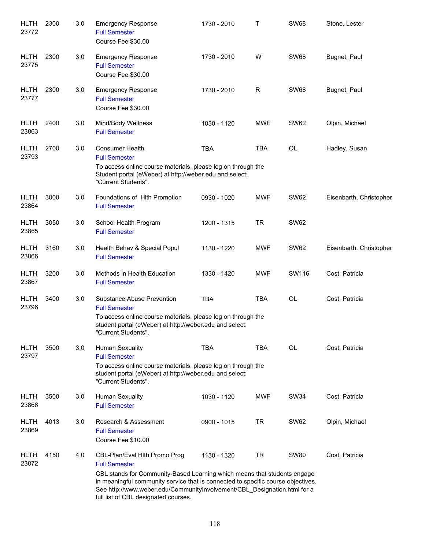| <b>HLTH</b><br>23772 | 2300 | 3.0 | <b>Emergency Response</b><br><b>Full Semester</b><br>Course Fee \$30.00                                                                                                                                                                                                                                                                   | 1730 - 2010 | т           | <b>SW68</b> | Stone, Lester           |
|----------------------|------|-----|-------------------------------------------------------------------------------------------------------------------------------------------------------------------------------------------------------------------------------------------------------------------------------------------------------------------------------------------|-------------|-------------|-------------|-------------------------|
| <b>HLTH</b><br>23775 | 2300 | 3.0 | <b>Emergency Response</b><br><b>Full Semester</b><br>Course Fee \$30.00                                                                                                                                                                                                                                                                   | 1730 - 2010 | W           | <b>SW68</b> | Bugnet, Paul            |
| <b>HLTH</b><br>23777 | 2300 | 3.0 | <b>Emergency Response</b><br><b>Full Semester</b><br>Course Fee \$30.00                                                                                                                                                                                                                                                                   | 1730 - 2010 | $\mathsf R$ | <b>SW68</b> | Bugnet, Paul            |
| <b>HLTH</b><br>23863 | 2400 | 3.0 | Mind/Body Wellness<br><b>Full Semester</b>                                                                                                                                                                                                                                                                                                | 1030 - 1120 | <b>MWF</b>  | <b>SW62</b> | Olpin, Michael          |
| <b>HLTH</b><br>23793 | 2700 | 3.0 | <b>Consumer Health</b><br><b>Full Semester</b><br>To access online course materials, please log on through the<br>Student portal (eWeber) at http://weber.edu and select:<br>"Current Students".                                                                                                                                          | <b>TBA</b>  | <b>TBA</b>  | OL          | Hadley, Susan           |
| <b>HLTH</b><br>23864 | 3000 | 3.0 | Foundations of Hith Promotion<br><b>Full Semester</b>                                                                                                                                                                                                                                                                                     | 0930 - 1020 | <b>MWF</b>  | <b>SW62</b> | Eisenbarth, Christopher |
| <b>HLTH</b><br>23865 | 3050 | 3.0 | School Health Program<br><b>Full Semester</b>                                                                                                                                                                                                                                                                                             | 1200 - 1315 | <b>TR</b>   | <b>SW62</b> |                         |
| <b>HLTH</b><br>23866 | 3160 | 3.0 | Health Behav & Special Popul<br><b>Full Semester</b>                                                                                                                                                                                                                                                                                      | 1130 - 1220 | <b>MWF</b>  | <b>SW62</b> | Eisenbarth, Christopher |
| <b>HLTH</b><br>23867 | 3200 | 3.0 | Methods in Health Education<br><b>Full Semester</b>                                                                                                                                                                                                                                                                                       | 1330 - 1420 | <b>MWF</b>  | SW116       | Cost, Patricia          |
| <b>HLTH</b><br>23796 | 3400 | 3.0 | Substance Abuse Prevention<br><b>Full Semester</b><br>To access online course materials, please log on through the<br>student portal (eWeber) at http://weber.edu and select:<br>"Current Students".                                                                                                                                      | <b>TBA</b>  | <b>TBA</b>  | <b>OL</b>   | Cost, Patricia          |
| <b>HLTH</b><br>23797 | 3500 | 3.0 | <b>Human Sexuality</b><br><b>Full Semester</b><br>To access online course materials, please log on through the<br>student portal (eWeber) at http://weber.edu and select:<br>"Current Students".                                                                                                                                          | <b>TBA</b>  | <b>TBA</b>  | <b>OL</b>   | Cost, Patricia          |
| <b>HLTH</b><br>23868 | 3500 | 3.0 | <b>Human Sexuality</b><br><b>Full Semester</b>                                                                                                                                                                                                                                                                                            | 1030 - 1120 | <b>MWF</b>  | <b>SW34</b> | Cost, Patricia          |
| <b>HLTH</b><br>23869 | 4013 | 3.0 | Research & Assessment<br><b>Full Semester</b><br>Course Fee \$10.00                                                                                                                                                                                                                                                                       | 0900 - 1015 | <b>TR</b>   | <b>SW62</b> | Olpin, Michael          |
| <b>HLTH</b><br>23872 | 4150 | 4.0 | CBL-Plan/Eval Hith Promo Prog<br><b>Full Semester</b><br>CBL stands for Community-Based Learning which means that students engage<br>in meaningful community service that is connected to specific course objectives.<br>See http://www.weber.edu/CommunityInvolvement/CBL_Designation.html for a<br>full list of CBL designated courses. | 1130 - 1320 | <b>TR</b>   | <b>SW80</b> | Cost, Patricia          |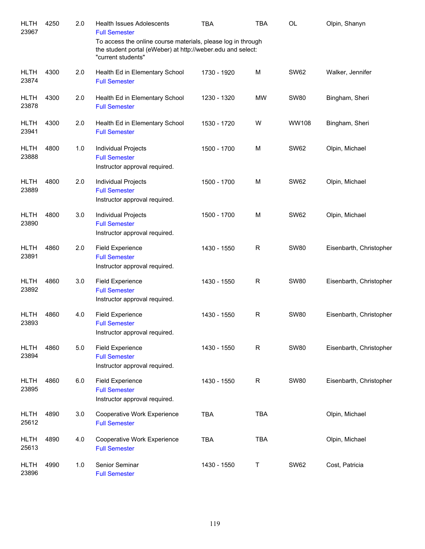| <b>HLTH</b><br>23967 | 4250 | 2.0 | <b>Health Issues Adolescents</b><br><b>Full Semester</b>                                                                                          | TBA         | <b>TBA</b>   | <b>OL</b>   | Olpin, Shanyn           |
|----------------------|------|-----|---------------------------------------------------------------------------------------------------------------------------------------------------|-------------|--------------|-------------|-------------------------|
|                      |      |     | To access the online course materials, please log in through<br>the student portal (eWeber) at http://weber.edu and select:<br>"current students" |             |              |             |                         |
| <b>HLTH</b><br>23874 | 4300 | 2.0 | Health Ed in Elementary School<br><b>Full Semester</b>                                                                                            | 1730 - 1920 | M            | <b>SW62</b> | Walker, Jennifer        |
| <b>HLTH</b><br>23878 | 4300 | 2.0 | Health Ed in Elementary School<br><b>Full Semester</b>                                                                                            | 1230 - 1320 | MW           | <b>SW80</b> | Bingham, Sheri          |
| <b>HLTH</b><br>23941 | 4300 | 2.0 | Health Ed in Elementary School<br><b>Full Semester</b>                                                                                            | 1530 - 1720 | W            | WW108       | Bingham, Sheri          |
| <b>HLTH</b><br>23888 | 4800 | 1.0 | Individual Projects<br><b>Full Semester</b><br>Instructor approval required.                                                                      | 1500 - 1700 | M            | <b>SW62</b> | Olpin, Michael          |
| <b>HLTH</b><br>23889 | 4800 | 2.0 | Individual Projects<br><b>Full Semester</b><br>Instructor approval required.                                                                      | 1500 - 1700 | M            | <b>SW62</b> | Olpin, Michael          |
| <b>HLTH</b><br>23890 | 4800 | 3.0 | Individual Projects<br><b>Full Semester</b><br>Instructor approval required.                                                                      | 1500 - 1700 | M            | <b>SW62</b> | Olpin, Michael          |
| <b>HLTH</b><br>23891 | 4860 | 2.0 | <b>Field Experience</b><br><b>Full Semester</b><br>Instructor approval required.                                                                  | 1430 - 1550 | R            | <b>SW80</b> | Eisenbarth, Christopher |
| <b>HLTH</b><br>23892 | 4860 | 3.0 | <b>Field Experience</b><br><b>Full Semester</b><br>Instructor approval required.                                                                  | 1430 - 1550 | $\mathsf{R}$ | <b>SW80</b> | Eisenbarth, Christopher |
| <b>HLTH</b><br>23893 | 4860 | 4.0 | <b>Field Experience</b><br><b>Full Semester</b><br>Instructor approval required.                                                                  | 1430 - 1550 | R            | <b>SW80</b> | Eisenbarth, Christopher |
| <b>HLTH</b><br>23894 | 4860 | 5.0 | <b>Field Experience</b><br><b>Full Semester</b><br>Instructor approval required.                                                                  | 1430 - 1550 | $\mathsf R$  | <b>SW80</b> | Eisenbarth, Christopher |
| <b>HLTH</b><br>23895 | 4860 | 6.0 | <b>Field Experience</b><br><b>Full Semester</b><br>Instructor approval required.                                                                  | 1430 - 1550 | $\mathsf R$  | <b>SW80</b> | Eisenbarth, Christopher |
| <b>HLTH</b><br>25612 | 4890 | 3.0 | Cooperative Work Experience<br><b>Full Semester</b>                                                                                               | <b>TBA</b>  | <b>TBA</b>   |             | Olpin, Michael          |
| <b>HLTH</b><br>25613 | 4890 | 4.0 | Cooperative Work Experience<br><b>Full Semester</b>                                                                                               | <b>TBA</b>  | <b>TBA</b>   |             | Olpin, Michael          |
| <b>HLTH</b><br>23896 | 4990 | 1.0 | Senior Seminar<br><b>Full Semester</b>                                                                                                            | 1430 - 1550 | T            | <b>SW62</b> | Cost, Patricia          |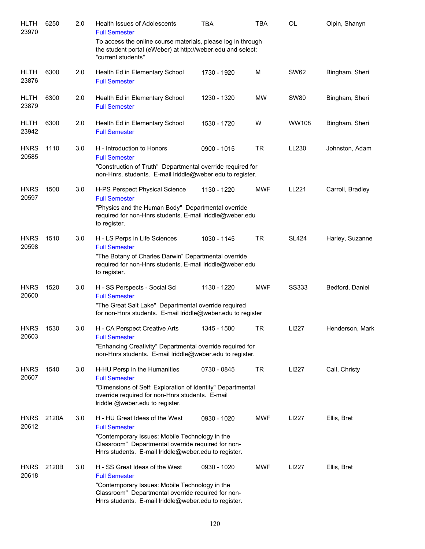| <b>HLTH</b><br>23970 | 6250  | 2.0 | Health Issues of Adolescents<br><b>Full Semester</b>                                                                                                                                                                   | TBA         | TBA        | OL           | Olpin, Shanyn    |
|----------------------|-------|-----|------------------------------------------------------------------------------------------------------------------------------------------------------------------------------------------------------------------------|-------------|------------|--------------|------------------|
|                      |       |     | To access the online course materials, please log in through<br>the student portal (eWeber) at http://weber.edu and select:<br>"current students"                                                                      |             |            |              |                  |
| <b>HLTH</b><br>23876 | 6300  | 2.0 | Health Ed in Elementary School<br><b>Full Semester</b>                                                                                                                                                                 | 1730 - 1920 | M          | <b>SW62</b>  | Bingham, Sheri   |
| <b>HLTH</b><br>23879 | 6300  | 2.0 | Health Ed in Elementary School<br><b>Full Semester</b>                                                                                                                                                                 | 1230 - 1320 | <b>MW</b>  | <b>SW80</b>  | Bingham, Sheri   |
| <b>HLTH</b><br>23942 | 6300  | 2.0 | Health Ed in Elementary School<br><b>Full Semester</b>                                                                                                                                                                 | 1530 - 1720 | W          | WW108        | Bingham, Sheri   |
| <b>HNRS</b><br>20585 | 1110  | 3.0 | H - Introduction to Honors<br><b>Full Semester</b><br>"Construction of Truth" Departmental override required for<br>non-Hnrs. students. E-mail lriddle@weber.edu to register.                                          | 0900 - 1015 | <b>TR</b>  | LL230        | Johnston, Adam   |
| <b>HNRS</b><br>20597 | 1500  | 3.0 | H-PS Perspect Physical Science<br><b>Full Semester</b><br>"Physics and the Human Body" Departmental override<br>required for non-Hnrs students. E-mail Iriddle@weber.edu<br>to register.                               | 1130 - 1220 | MWF        | <b>LL221</b> | Carroll, Bradley |
| <b>HNRS</b><br>20598 | 1510  | 3.0 | H - LS Perps in Life Sciences<br><b>Full Semester</b><br>"The Botany of Charles Darwin" Departmental override<br>required for non-Hnrs students. E-mail Iriddle@weber.edu<br>to register.                              | 1030 - 1145 | <b>TR</b>  | <b>SL424</b> | Harley, Suzanne  |
| <b>HNRS</b><br>20600 | 1520  | 3.0 | H - SS Perspects - Social Sci<br><b>Full Semester</b><br>"The Great Salt Lake" Departmental override required<br>for non-Hnrs students. E-mail Iriddle@weber.edu to register                                           | 1130 - 1220 | <b>MWF</b> | SS333        | Bedford, Daniel  |
| <b>HNRS</b><br>20603 | 1530  | 3.0 | H - CA Perspect Creative Arts<br><b>Full Semester</b><br>"Enhancing Creativity" Departmental override required for<br>non-Hnrs students. E-mail lriddle@weber.edu to register.                                         | 1345 - 1500 | TR         | LI227        | Henderson, Mark  |
| <b>HNRS</b><br>20607 | 1540  | 3.0 | H-HU Persp in the Humanities<br><b>Full Semester</b><br>"Dimensions of Self: Exploration of Identity" Departmental<br>override required for non-Hnrs students. E-mail<br>Iriddle @weber.edu to register.               | 0730 - 0845 | <b>TR</b>  | LI227        | Call, Christy    |
| <b>HNRS</b><br>20612 | 2120A | 3.0 | H - HU Great Ideas of the West<br><b>Full Semester</b><br>"Contemporary Issues: Mobile Technology in the<br>Classroom" Departmental override required for non-<br>Hnrs students. E-mail Iriddle@weber.edu to register. | 0930 - 1020 | <b>MWF</b> | LI227        | Ellis, Bret      |
| <b>HNRS</b><br>20618 | 2120B | 3.0 | H - SS Great Ideas of the West<br><b>Full Semester</b><br>"Contemporary Issues: Mobile Technology in the<br>Classroom" Departmental override required for non-<br>Hnrs students. E-mail Iriddle@weber.edu to register. | 0930 - 1020 | <b>MWF</b> | LI227        | Ellis, Bret      |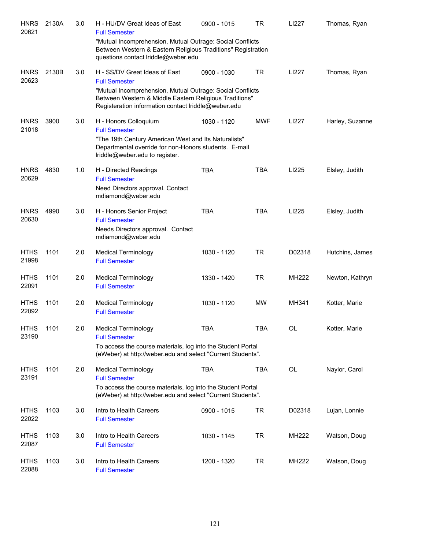| <b>HNRS</b><br>20621 | 2130A | 3.0 | H - HU/DV Great Ideas of East<br><b>Full Semester</b><br>"Mutual Incomprehension, Mutual Outrage: Social Conflicts                                                                               | 0900 - 1015 | TR         | LI227        | Thomas, Ryan    |
|----------------------|-------|-----|--------------------------------------------------------------------------------------------------------------------------------------------------------------------------------------------------|-------------|------------|--------------|-----------------|
|                      |       |     | Between Western & Eastern Religious Traditions" Registration<br>questions contact Iriddle@weber.edu                                                                                              |             |            |              |                 |
| <b>HNRS</b><br>20623 | 2130B | 3.0 | H - SS/DV Great Ideas of East<br><b>Full Semester</b>                                                                                                                                            | 0900 - 1030 | <b>TR</b>  | LI227        | Thomas, Ryan    |
|                      |       |     | "Mutual Incomprehension, Mutual Outrage: Social Conflicts<br>Between Western & Middle Eastern Religious Traditions"<br>Registeration information contact Iriddle@weber.edu                       |             |            |              |                 |
| <b>HNRS</b><br>21018 | 3900  | 3.0 | H - Honors Colloquium<br><b>Full Semester</b><br>"The 19th Century American West and Its Naturalists"<br>Departmental override for non-Honors students. E-mail<br>Iriddle@weber.edu to register. | 1030 - 1120 | <b>MWF</b> | LI227        | Harley, Suzanne |
| <b>HNRS</b><br>20629 | 4830  | 1.0 | H - Directed Readings<br><b>Full Semester</b><br>Need Directors approval. Contact<br>mdiamond@weber.edu                                                                                          | <b>TBA</b>  | <b>TBA</b> | LI225        | Elsley, Judith  |
| <b>HNRS</b><br>20630 | 4990  | 3.0 | H - Honors Senior Project<br><b>Full Semester</b><br>Needs Directors approval. Contact<br>mdiamond@weber.edu                                                                                     | <b>TBA</b>  | <b>TBA</b> | LI225        | Elsley, Judith  |
| <b>HTHS</b><br>21998 | 1101  | 2.0 | <b>Medical Terminology</b><br><b>Full Semester</b>                                                                                                                                               | 1030 - 1120 | <b>TR</b>  | D02318       | Hutchins, James |
| <b>HTHS</b><br>22091 | 1101  | 2.0 | <b>Medical Terminology</b><br><b>Full Semester</b>                                                                                                                                               | 1330 - 1420 | <b>TR</b>  | <b>MH222</b> | Newton, Kathryn |
| <b>HTHS</b><br>22092 | 1101  | 2.0 | <b>Medical Terminology</b><br><b>Full Semester</b>                                                                                                                                               | 1030 - 1120 | <b>MW</b>  | MH341        | Kotter, Marie   |
| <b>HTHS</b><br>23190 | 1101  | 2.0 | <b>Medical Terminology</b><br><b>Full Semester</b>                                                                                                                                               | <b>TBA</b>  | <b>TBA</b> | OL           | Kotter, Marie   |
|                      |       |     | To access the course materials, log into the Student Portal<br>(eWeber) at http://weber.edu and select "Current Students".                                                                       |             |            |              |                 |
| <b>HTHS</b><br>23191 | 1101  | 2.0 | <b>Medical Terminology</b><br><b>Full Semester</b><br>To access the course materials, log into the Student Portal<br>(eWeber) at http://weber.edu and select "Current Students".                 | <b>TBA</b>  | <b>TBA</b> | <b>OL</b>    | Naylor, Carol   |
| <b>HTHS</b><br>22022 | 1103  | 3.0 | Intro to Health Careers<br><b>Full Semester</b>                                                                                                                                                  | 0900 - 1015 | TR         | D02318       | Lujan, Lonnie   |
| <b>HTHS</b><br>22087 | 1103  | 3.0 | Intro to Health Careers<br><b>Full Semester</b>                                                                                                                                                  | 1030 - 1145 | <b>TR</b>  | <b>MH222</b> | Watson, Doug    |
| <b>HTHS</b><br>22088 | 1103  | 3.0 | Intro to Health Careers<br><b>Full Semester</b>                                                                                                                                                  | 1200 - 1320 | <b>TR</b>  | MH222        | Watson, Doug    |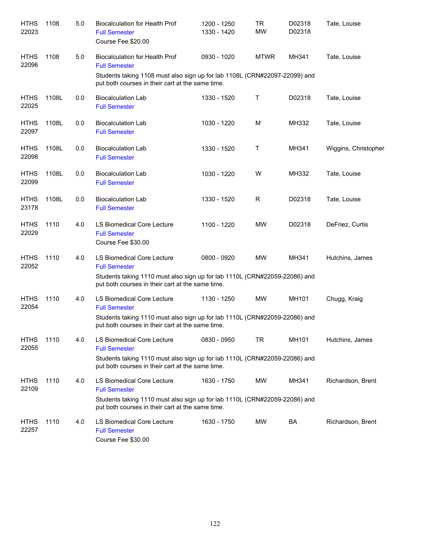| <b>HTHS</b><br>22023 | 1108  | 5.0 | <b>Biocalculation for Health Prof</b><br><b>Full Semester</b><br>Course Fee \$20.00                                                                                                         | 1200 - 1250<br>1330 - 1420 | <b>TR</b><br><b>MW</b> | D02318<br>D02318 | Tate, Louise         |
|----------------------|-------|-----|---------------------------------------------------------------------------------------------------------------------------------------------------------------------------------------------|----------------------------|------------------------|------------------|----------------------|
| <b>HTHS</b><br>22096 | 1108  | 5.0 | <b>Biocalculation for Health Prof</b><br><b>Full Semester</b>                                                                                                                               | 0930 - 1020                | <b>MTWR</b>            | MH341            | Tate, Louise         |
|                      |       |     | Students taking 1108 must also sign up for lab 1108L (CRN#22097-22099) and<br>put both courses in their cart at the same time.                                                              |                            |                        |                  |                      |
| <b>HTHS</b><br>22025 | 1108L | 0.0 | <b>Biocalculation Lab</b><br><b>Full Semester</b>                                                                                                                                           | 1330 - 1520                | Т                      | D02318           | Tate, Louise         |
| <b>HTHS</b><br>22097 | 1108L | 0.0 | <b>Biocalculation Lab</b><br><b>Full Semester</b>                                                                                                                                           | 1030 - 1220                | M                      | MH332            | Tate, Louise         |
| <b>HTHS</b><br>22098 | 1108L | 0.0 | <b>Biocalculation Lab</b><br><b>Full Semester</b>                                                                                                                                           | 1330 - 1520                | Т                      | MH341            | Wiggins, Christopher |
| <b>HTHS</b><br>22099 | 1108L | 0.0 | <b>Biocalculation Lab</b><br><b>Full Semester</b>                                                                                                                                           | 1030 - 1220                | W                      | MH332            | Tate, Louise         |
| <b>HTHS</b><br>23178 | 1108L | 0.0 | <b>Biocalculation Lab</b><br><b>Full Semester</b>                                                                                                                                           | 1330 - 1520                | R                      | D02318           | Tate, Louise         |
| <b>HTHS</b><br>22029 | 1110  | 4.0 | LS Biomedical Core Lecture<br><b>Full Semester</b><br>Course Fee \$30.00                                                                                                                    | 1100 - 1220                | <b>MW</b>              | D02318           | DeFriez, Curtis      |
| <b>HTHS</b><br>22052 | 1110  | 4.0 | LS Biomedical Core Lecture<br><b>Full Semester</b><br>Students taking 1110 must also sign up for lab 1110L (CRN#22059-22086) and<br>put both courses in their cart at the same time.        | 0800 - 0920                | MW                     | MH341            | Hutchins, James      |
| <b>HTHS</b><br>22054 | 1110  | 4.0 | LS Biomedical Core Lecture<br><b>Full Semester</b><br>Students taking 1110 must also sign up for lab 1110L (CRN#22059-22086) and<br>put both courses in their cart at the same time.        | 1130 - 1250                | <b>MW</b>              | MH101            | Chugg, Kraig         |
| <b>HTHS</b><br>22055 | 1110  | 4.0 | <b>LS Biomedical Core Lecture</b><br><b>Full Semester</b><br>Students taking 1110 must also sign up for lab 1110L (CRN#22059-22086) and<br>put both courses in their cart at the same time. | 0830 - 0950                | TR                     | MH101            | Hutchins, James      |
| <b>HTHS</b><br>22109 | 1110  | 4.0 | LS Biomedical Core Lecture<br><b>Full Semester</b><br>Students taking 1110 must also sign up for lab 1110L (CRN#22059-22086) and<br>put both courses in their cart at the same time.        | 1630 - 1750                | MW                     | MH341            | Richardson, Brent    |
| <b>HTHS</b><br>22257 | 1110  | 4.0 | LS Biomedical Core Lecture<br><b>Full Semester</b><br>Course Fee \$30.00                                                                                                                    | 1630 - 1750                | MW                     | BA               | Richardson, Brent    |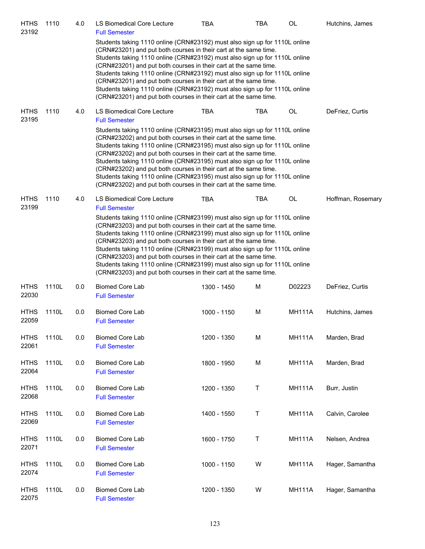| <b>HTHS</b><br>23192 | 1110  | 4.0 | LS Biomedical Core Lecture<br><b>Full Semester</b>                                                                                                                                                                                                                                                                                                                                                                                                                                                                                                                                                                                                         | <b>TBA</b>  | TBA        | OL            | Hutchins, James   |
|----------------------|-------|-----|------------------------------------------------------------------------------------------------------------------------------------------------------------------------------------------------------------------------------------------------------------------------------------------------------------------------------------------------------------------------------------------------------------------------------------------------------------------------------------------------------------------------------------------------------------------------------------------------------------------------------------------------------------|-------------|------------|---------------|-------------------|
|                      |       |     | Students taking 1110 online (CRN#23192) must also sign up for 1110L online<br>(CRN#23201) and put both courses in their cart at the same time.<br>Students taking 1110 online (CRN#23192) must also sign up for 1110L online<br>(CRN#23201) and put both courses in their cart at the same time.<br>Students taking 1110 online (CRN#23192) must also sign up for 1110L online<br>(CRN#23201) and put both courses in their cart at the same time.<br>Students taking 1110 online (CRN#23192) must also sign up for 1110L online<br>(CRN#23201) and put both courses in their cart at the same time.                                                       |             |            |               |                   |
| <b>HTHS</b><br>23195 | 1110  | 4.0 | <b>LS Biomedical Core Lecture</b><br><b>Full Semester</b>                                                                                                                                                                                                                                                                                                                                                                                                                                                                                                                                                                                                  | <b>TBA</b>  | TBA        | OL            | DeFriez, Curtis   |
|                      |       |     | Students taking 1110 online (CRN#23195) must also sign up for 1110L online<br>(CRN#23202) and put both courses in their cart at the same time.<br>Students taking 1110 online (CRN#23195) must also sign up for 1110L online<br>(CRN#23202) and put both courses in their cart at the same time.<br>Students taking 1110 online (CRN#23195) must also sign up for 1110L online<br>(CRN#23202) and put both courses in their cart at the same time.<br>Students taking 1110 online (CRN#23195) must also sign up for 1110L online<br>(CRN#23202) and put both courses in their cart at the same time.                                                       |             |            |               |                   |
| <b>HTHS</b><br>23199 | 1110  | 4.0 | LS Biomedical Core Lecture<br><b>Full Semester</b><br>Students taking 1110 online (CRN#23199) must also sign up for 1110L online<br>(CRN#23203) and put both courses in their cart at the same time.<br>Students taking 1110 online (CRN#23199) must also sign up for 1110L online<br>(CRN#23203) and put both courses in their cart at the same time.<br>Students taking 1110 online (CRN#23199) must also sign up for 1110L online<br>(CRN#23203) and put both courses in their cart at the same time.<br>Students taking 1110 online (CRN#23199) must also sign up for 1110L online<br>(CRN#23203) and put both courses in their cart at the same time. | <b>TBA</b>  | <b>TBA</b> | OL            | Hoffman, Rosemary |
| <b>HTHS</b><br>22030 | 1110L | 0.0 | <b>Biomed Core Lab</b><br><b>Full Semester</b>                                                                                                                                                                                                                                                                                                                                                                                                                                                                                                                                                                                                             | 1300 - 1450 | M          | D02223        | DeFriez, Curtis   |
| <b>HTHS</b><br>22059 | 1110L | 0.0 | <b>Biomed Core Lab</b><br><b>Full Semester</b>                                                                                                                                                                                                                                                                                                                                                                                                                                                                                                                                                                                                             | 1000 - 1150 | M          | <b>MH111A</b> | Hutchins, James   |
| <b>HTHS</b><br>22061 | 1110L | 0.0 | <b>Biomed Core Lab</b><br><b>Full Semester</b>                                                                                                                                                                                                                                                                                                                                                                                                                                                                                                                                                                                                             | 1200 - 1350 | M          | <b>MH111A</b> | Marden, Brad      |
| <b>HTHS</b><br>22064 | 1110L | 0.0 | <b>Biomed Core Lab</b><br><b>Full Semester</b>                                                                                                                                                                                                                                                                                                                                                                                                                                                                                                                                                                                                             | 1800 - 1950 | M          | <b>MH111A</b> | Marden, Brad      |
| <b>HTHS</b><br>22068 | 1110L | 0.0 | <b>Biomed Core Lab</b><br><b>Full Semester</b>                                                                                                                                                                                                                                                                                                                                                                                                                                                                                                                                                                                                             | 1200 - 1350 | T          | <b>MH111A</b> | Burr, Justin      |
| <b>HTHS</b><br>22069 | 1110L | 0.0 | <b>Biomed Core Lab</b><br><b>Full Semester</b>                                                                                                                                                                                                                                                                                                                                                                                                                                                                                                                                                                                                             | 1400 - 1550 | T          | <b>MH111A</b> | Calvin, Carolee   |
| <b>HTHS</b><br>22071 | 1110L | 0.0 | <b>Biomed Core Lab</b><br><b>Full Semester</b>                                                                                                                                                                                                                                                                                                                                                                                                                                                                                                                                                                                                             | 1600 - 1750 | T          | <b>MH111A</b> | Nelsen, Andrea    |
| <b>HTHS</b><br>22074 | 1110L | 0.0 | <b>Biomed Core Lab</b><br><b>Full Semester</b>                                                                                                                                                                                                                                                                                                                                                                                                                                                                                                                                                                                                             | 1000 - 1150 | W          | <b>MH111A</b> | Hager, Samantha   |
| <b>HTHS</b><br>22075 | 1110L | 0.0 | <b>Biomed Core Lab</b><br><b>Full Semester</b>                                                                                                                                                                                                                                                                                                                                                                                                                                                                                                                                                                                                             | 1200 - 1350 | W          | <b>MH111A</b> | Hager, Samantha   |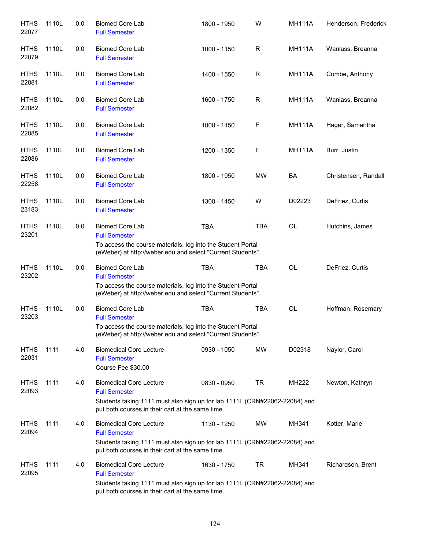| <b>HTHS</b><br>22077 | 1110L | 0.0 | <b>Biomed Core Lab</b><br><b>Full Semester</b>                                                                                                                                           | 1800 - 1950 | W            | <b>MH111A</b> | Henderson, Frederick |
|----------------------|-------|-----|------------------------------------------------------------------------------------------------------------------------------------------------------------------------------------------|-------------|--------------|---------------|----------------------|
| <b>HTHS</b><br>22079 | 1110L | 0.0 | <b>Biomed Core Lab</b><br><b>Full Semester</b>                                                                                                                                           | 1000 - 1150 | R            | <b>MH111A</b> | Wanlass, Breanna     |
| <b>HTHS</b><br>22081 | 1110L | 0.0 | <b>Biomed Core Lab</b><br><b>Full Semester</b>                                                                                                                                           | 1400 - 1550 | $\mathsf{R}$ | <b>MH111A</b> | Combe, Anthony       |
| <b>HTHS</b><br>22082 | 1110L | 0.0 | <b>Biomed Core Lab</b><br><b>Full Semester</b>                                                                                                                                           | 1600 - 1750 | $\mathsf{R}$ | <b>MH111A</b> | Wanlass, Breanna     |
| <b>HTHS</b><br>22085 | 1110L | 0.0 | <b>Biomed Core Lab</b><br><b>Full Semester</b>                                                                                                                                           | 1000 - 1150 | F            | <b>MH111A</b> | Hager, Samantha      |
| <b>HTHS</b><br>22086 | 1110L | 0.0 | <b>Biomed Core Lab</b><br><b>Full Semester</b>                                                                                                                                           | 1200 - 1350 | F            | <b>MH111A</b> | Burr, Justin         |
| <b>HTHS</b><br>22258 | 1110L | 0.0 | <b>Biomed Core Lab</b><br><b>Full Semester</b>                                                                                                                                           | 1800 - 1950 | <b>MW</b>    | BA            | Christensen, Randall |
| <b>HTHS</b><br>23183 | 1110L | 0.0 | <b>Biomed Core Lab</b><br><b>Full Semester</b>                                                                                                                                           | 1300 - 1450 | W            | D02223        | DeFriez, Curtis      |
| <b>HTHS</b><br>23201 | 1110L | 0.0 | <b>Biomed Core Lab</b><br><b>Full Semester</b><br>To access the course materials, log into the Student Portal<br>(eWeber) at http://weber.edu and select "Current Students".             | <b>TBA</b>  | <b>TBA</b>   | OL            | Hutchins, James      |
| <b>HTHS</b><br>23202 | 1110L | 0.0 | <b>Biomed Core Lab</b><br><b>Full Semester</b><br>To access the course materials, log into the Student Portal<br>(eWeber) at http://weber.edu and select "Current Students".             | <b>TBA</b>  | <b>TBA</b>   | <b>OL</b>     | DeFriez, Curtis      |
| <b>HTHS</b><br>23203 | 1110L | 0.0 | <b>Biomed Core Lab</b><br><b>Full Semester</b><br>To access the course materials, log into the Student Portal<br>(eWeber) at http://weber.edu and select "Current Students".             | <b>TBA</b>  | <b>TBA</b>   | OL            | Hoffman, Rosemary    |
| <b>HTHS</b><br>22031 | 1111  | 4.0 | <b>Biomedical Core Lecture</b><br><b>Full Semester</b><br>Course Fee \$30.00                                                                                                             | 0930 - 1050 | <b>MW</b>    | D02318        | Naylor, Carol        |
| <b>HTHS</b><br>22093 | 1111  | 4.0 | <b>Biomedical Core Lecture</b><br><b>Full Semester</b><br>Students taking 1111 must also sign up for lab 1111L (CRN#22062-22084) and<br>put both courses in their cart at the same time. | 0830 - 0950 | TR           | <b>MH222</b>  | Newton, Kathryn      |
| <b>HTHS</b><br>22094 | 1111  | 4.0 | <b>Biomedical Core Lecture</b><br><b>Full Semester</b><br>Students taking 1111 must also sign up for lab 1111L (CRN#22062-22084) and<br>put both courses in their cart at the same time. | 1130 - 1250 | MW           | MH341         | Kotter, Marie        |
| <b>HTHS</b><br>22095 | 1111  | 4.0 | <b>Biomedical Core Lecture</b><br><b>Full Semester</b><br>Students taking 1111 must also sign up for lab 1111L (CRN#22062-22084) and<br>put both courses in their cart at the same time. | 1630 - 1750 | TR           | MH341         | Richardson, Brent    |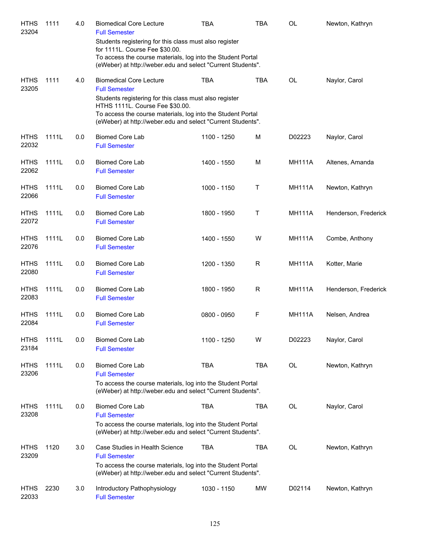| <b>HTHS</b><br>23204 | 1111  | 4.0 | <b>Biomedical Core Lecture</b><br><b>Full Semester</b>                                                                                                                                                                  | TBA         | TBA        | OL            | Newton, Kathryn      |
|----------------------|-------|-----|-------------------------------------------------------------------------------------------------------------------------------------------------------------------------------------------------------------------------|-------------|------------|---------------|----------------------|
|                      |       |     | Students registering for this class must also register<br>for 1111L. Course Fee \$30.00.                                                                                                                                |             |            |               |                      |
|                      |       |     | To access the course materials, log into the Student Portal<br>(eWeber) at http://weber.edu and select "Current Students".                                                                                              |             |            |               |                      |
| <b>HTHS</b><br>23205 | 1111  | 4.0 | <b>Biomedical Core Lecture</b><br><b>Full Semester</b>                                                                                                                                                                  | <b>TBA</b>  | <b>TBA</b> | OL            | Naylor, Carol        |
|                      |       |     | Students registering for this class must also register<br>HTHS 1111L. Course Fee \$30.00.<br>To access the course materials, log into the Student Portal<br>(eWeber) at http://weber.edu and select "Current Students". |             |            |               |                      |
| <b>HTHS</b><br>22032 | 1111L | 0.0 | <b>Biomed Core Lab</b><br><b>Full Semester</b>                                                                                                                                                                          | 1100 - 1250 | M          | D02223        | Naylor, Carol        |
| <b>HTHS</b><br>22062 | 1111L | 0.0 | <b>Biomed Core Lab</b><br><b>Full Semester</b>                                                                                                                                                                          | 1400 - 1550 | M          | <b>MH111A</b> | Altenes, Amanda      |
| <b>HTHS</b><br>22066 | 1111L | 0.0 | <b>Biomed Core Lab</b><br><b>Full Semester</b>                                                                                                                                                                          | 1000 - 1150 | Т          | <b>MH111A</b> | Newton, Kathryn      |
| <b>HTHS</b><br>22072 | 1111L | 0.0 | <b>Biomed Core Lab</b><br><b>Full Semester</b>                                                                                                                                                                          | 1800 - 1950 | Т          | <b>MH111A</b> | Henderson, Frederick |
| <b>HTHS</b><br>22076 | 1111L | 0.0 | <b>Biomed Core Lab</b><br><b>Full Semester</b>                                                                                                                                                                          | 1400 - 1550 | W          | <b>MH111A</b> | Combe, Anthony       |
| <b>HTHS</b><br>22080 | 1111L | 0.0 | <b>Biomed Core Lab</b><br><b>Full Semester</b>                                                                                                                                                                          | 1200 - 1350 | R          | <b>MH111A</b> | Kotter, Marie        |
| <b>HTHS</b><br>22083 | 1111L | 0.0 | <b>Biomed Core Lab</b><br><b>Full Semester</b>                                                                                                                                                                          | 1800 - 1950 | R          | <b>MH111A</b> | Henderson, Frederick |
| <b>HTHS</b><br>22084 | 1111L | 0.0 | <b>Biomed Core Lab</b><br><b>Full Semester</b>                                                                                                                                                                          | 0800 - 0950 | F          | <b>MH111A</b> | Nelsen, Andrea       |
| <b>HTHS</b><br>23184 | 1111L | 0.0 | <b>Biomed Core Lab</b><br><b>Full Semester</b>                                                                                                                                                                          | 1100 - 1250 | W          | D02223        | Naylor, Carol        |
| <b>HTHS</b><br>23206 | 1111L | 0.0 | <b>Biomed Core Lab</b><br><b>Full Semester</b>                                                                                                                                                                          | <b>TBA</b>  | <b>TBA</b> | OL            | Newton, Kathryn      |
|                      |       |     | To access the course materials, log into the Student Portal<br>(eWeber) at http://weber.edu and select "Current Students".                                                                                              |             |            |               |                      |
| <b>HTHS</b><br>23208 | 1111L | 0.0 | <b>Biomed Core Lab</b><br><b>Full Semester</b><br>To access the course materials, log into the Student Portal                                                                                                           | <b>TBA</b>  | TBA        | OL            | Naylor, Carol        |
|                      |       |     | (eWeber) at http://weber.edu and select "Current Students".                                                                                                                                                             |             |            |               |                      |
| <b>HTHS</b><br>23209 | 1120  | 3.0 | Case Studies in Health Science<br><b>Full Semester</b><br>To access the course materials, log into the Student Portal                                                                                                   | <b>TBA</b>  | TBA        | OL            | Newton, Kathryn      |
|                      |       |     | (eWeber) at http://weber.edu and select "Current Students".                                                                                                                                                             |             |            |               |                      |
| <b>HTHS</b><br>22033 | 2230  | 3.0 | Introductory Pathophysiology<br><b>Full Semester</b>                                                                                                                                                                    | 1030 - 1150 | <b>MW</b>  | D02114        | Newton, Kathryn      |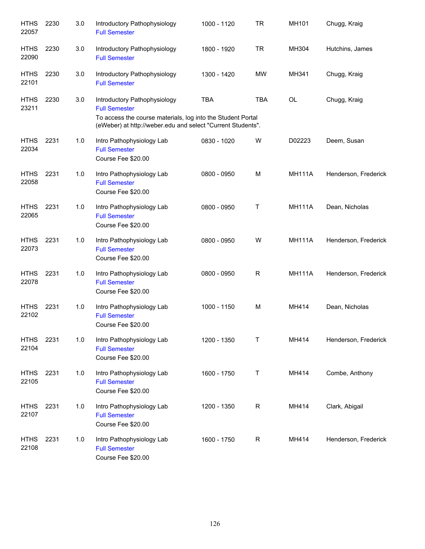| <b>HTHS</b><br>22057 | 2230 | 3.0 | Introductory Pathophysiology<br><b>Full Semester</b>                                                                                                                               | 1000 - 1120 | <b>TR</b>    | MH101         | Chugg, Kraig         |
|----------------------|------|-----|------------------------------------------------------------------------------------------------------------------------------------------------------------------------------------|-------------|--------------|---------------|----------------------|
| <b>HTHS</b><br>22090 | 2230 | 3.0 | Introductory Pathophysiology<br><b>Full Semester</b>                                                                                                                               | 1800 - 1920 | <b>TR</b>    | MH304         | Hutchins, James      |
| <b>HTHS</b><br>22101 | 2230 | 3.0 | Introductory Pathophysiology<br><b>Full Semester</b>                                                                                                                               | 1300 - 1420 | <b>MW</b>    | MH341         | Chugg, Kraig         |
| <b>HTHS</b><br>23211 | 2230 | 3.0 | Introductory Pathophysiology<br><b>Full Semester</b><br>To access the course materials, log into the Student Portal<br>(eWeber) at http://weber.edu and select "Current Students". | <b>TBA</b>  | TBA          | OL            | Chugg, Kraig         |
| <b>HTHS</b><br>22034 | 2231 | 1.0 | Intro Pathophysiology Lab<br><b>Full Semester</b><br>Course Fee \$20.00                                                                                                            | 0830 - 1020 | W            | D02223        | Deem, Susan          |
| <b>HTHS</b><br>22058 | 2231 | 1.0 | Intro Pathophysiology Lab<br><b>Full Semester</b><br>Course Fee \$20.00                                                                                                            | 0800 - 0950 | M            | <b>MH111A</b> | Henderson, Frederick |
| <b>HTHS</b><br>22065 | 2231 | 1.0 | Intro Pathophysiology Lab<br><b>Full Semester</b><br>Course Fee \$20.00                                                                                                            | 0800 - 0950 | $\top$       | <b>MH111A</b> | Dean, Nicholas       |
| <b>HTHS</b><br>22073 | 2231 | 1.0 | Intro Pathophysiology Lab<br><b>Full Semester</b><br>Course Fee \$20.00                                                                                                            | 0800 - 0950 | W            | <b>MH111A</b> | Henderson, Frederick |
| <b>HTHS</b><br>22078 | 2231 | 1.0 | Intro Pathophysiology Lab<br><b>Full Semester</b><br>Course Fee \$20.00                                                                                                            | 0800 - 0950 | R            | <b>MH111A</b> | Henderson, Frederick |
| <b>HTHS</b><br>22102 | 2231 | 1.0 | Intro Pathophysiology Lab<br><b>Full Semester</b><br>Course Fee \$20.00                                                                                                            | 1000 - 1150 | M            | MH414         | Dean, Nicholas       |
| <b>HTHS</b><br>22104 | 2231 | 1.0 | Intro Pathophysiology Lab<br><b>Full Semester</b><br>Course Fee \$20.00                                                                                                            | 1200 - 1350 | T            | MH414         | Henderson, Frederick |
| <b>HTHS</b><br>22105 | 2231 | 1.0 | Intro Pathophysiology Lab<br><b>Full Semester</b><br>Course Fee \$20.00                                                                                                            | 1600 - 1750 | $\sf T$      | MH414         | Combe, Anthony       |
| <b>HTHS</b><br>22107 | 2231 | 1.0 | Intro Pathophysiology Lab<br><b>Full Semester</b><br>Course Fee \$20.00                                                                                                            | 1200 - 1350 | $\mathsf{R}$ | MH414         | Clark, Abigail       |
| <b>HTHS</b><br>22108 | 2231 | 1.0 | Intro Pathophysiology Lab<br><b>Full Semester</b><br>Course Fee \$20.00                                                                                                            | 1600 - 1750 | $\mathsf{R}$ | MH414         | Henderson, Frederick |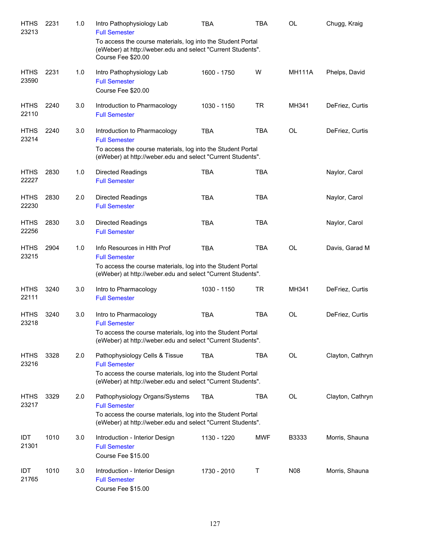| <b>HTHS</b><br>23213 | 2231 | 1.0 | Intro Pathophysiology Lab<br><b>Full Semester</b>                                                                                                | TBA         | TBA        | OL            | Chugg, Kraig     |
|----------------------|------|-----|--------------------------------------------------------------------------------------------------------------------------------------------------|-------------|------------|---------------|------------------|
|                      |      |     | To access the course materials, log into the Student Portal<br>(eWeber) at http://weber.edu and select "Current Students".<br>Course Fee \$20.00 |             |            |               |                  |
| <b>HTHS</b><br>23590 | 2231 | 1.0 | Intro Pathophysiology Lab<br><b>Full Semester</b><br>Course Fee \$20.00                                                                          | 1600 - 1750 | W          | <b>MH111A</b> | Phelps, David    |
| <b>HTHS</b><br>22110 | 2240 | 3.0 | Introduction to Pharmacology<br><b>Full Semester</b>                                                                                             | 1030 - 1150 | <b>TR</b>  | MH341         | DeFriez, Curtis  |
| <b>HTHS</b><br>23214 | 2240 | 3.0 | Introduction to Pharmacology<br><b>Full Semester</b>                                                                                             | <b>TBA</b>  | <b>TBA</b> | OL            | DeFriez, Curtis  |
|                      |      |     | To access the course materials, log into the Student Portal<br>(eWeber) at http://weber.edu and select "Current Students".                       |             |            |               |                  |
| <b>HTHS</b><br>22227 | 2830 | 1.0 | <b>Directed Readings</b><br><b>Full Semester</b>                                                                                                 | <b>TBA</b>  | <b>TBA</b> |               | Naylor, Carol    |
| <b>HTHS</b><br>22230 | 2830 | 2.0 | <b>Directed Readings</b><br><b>Full Semester</b>                                                                                                 | <b>TBA</b>  | <b>TBA</b> |               | Naylor, Carol    |
| <b>HTHS</b><br>22256 | 2830 | 3.0 | <b>Directed Readings</b><br><b>Full Semester</b>                                                                                                 | <b>TBA</b>  | <b>TBA</b> |               | Naylor, Carol    |
| <b>HTHS</b><br>23215 | 2904 | 1.0 | Info Resources in Hith Prof<br><b>Full Semester</b>                                                                                              | <b>TBA</b>  | <b>TBA</b> | OL            | Davis, Garad M   |
|                      |      |     | To access the course materials, log into the Student Portal<br>(eWeber) at http://weber.edu and select "Current Students".                       |             |            |               |                  |
| <b>HTHS</b><br>22111 | 3240 | 3.0 | Intro to Pharmacology<br><b>Full Semester</b>                                                                                                    | 1030 - 1150 | <b>TR</b>  | MH341         | DeFriez, Curtis  |
| <b>HTHS</b><br>23218 | 3240 | 3.0 | Intro to Pharmacology<br><b>Full Semester</b>                                                                                                    | <b>TBA</b>  | <b>TBA</b> | OL            | DeFriez, Curtis  |
|                      |      |     | To access the course materials, log into the Student Portal<br>(eWeber) at http://weber.edu and select "Current Students".                       |             |            |               |                  |
| <b>HTHS</b><br>23216 | 3328 | 2.0 | Pathophysiology Cells & Tissue<br><b>Full Semester</b>                                                                                           | <b>TBA</b>  | TBA        | OL            | Clayton, Cathryn |
|                      |      |     | To access the course materials, log into the Student Portal<br>(eWeber) at http://weber.edu and select "Current Students".                       |             |            |               |                  |
| <b>HTHS</b><br>23217 | 3329 | 2.0 | Pathophysiology Organs/Systems<br><b>Full Semester</b>                                                                                           | <b>TBA</b>  | TBA        | OL            | Clayton, Cathryn |
|                      |      |     | To access the course materials, log into the Student Portal<br>(eWeber) at http://weber.edu and select "Current Students".                       |             |            |               |                  |
| <b>IDT</b><br>21301  | 1010 | 3.0 | Introduction - Interior Design<br><b>Full Semester</b><br>Course Fee \$15.00                                                                     | 1130 - 1220 | <b>MWF</b> | B3333         | Morris, Shauna   |
| <b>IDT</b><br>21765  | 1010 | 3.0 | Introduction - Interior Design<br><b>Full Semester</b><br>Course Fee \$15.00                                                                     | 1730 - 2010 | Τ          | N08           | Morris, Shauna   |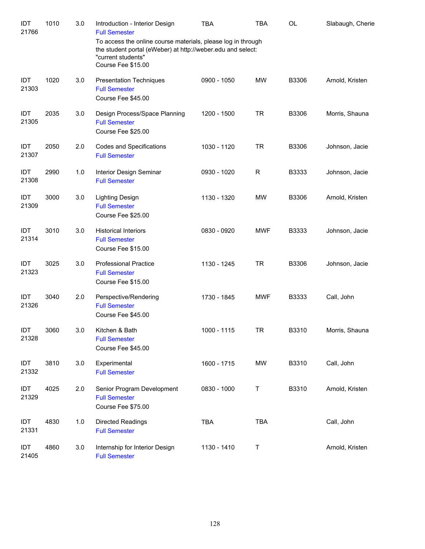| IDT<br>21766  | 1010 | 3.0 | Introduction - Interior Design<br><b>Full Semester</b><br>To access the online course materials, please log in through<br>the student portal (eWeber) at http://weber.edu and select:<br>"current students"<br>Course Fee \$15.00 | <b>TBA</b>  | <b>TBA</b>  | OL    | Slabaugh, Cherie |
|---------------|------|-----|-----------------------------------------------------------------------------------------------------------------------------------------------------------------------------------------------------------------------------------|-------------|-------------|-------|------------------|
| IDT<br>21303  | 1020 | 3.0 | <b>Presentation Techniques</b><br><b>Full Semester</b><br>Course Fee \$45.00                                                                                                                                                      | 0900 - 1050 | <b>MW</b>   | B3306 | Arnold, Kristen  |
| IDT<br>21305  | 2035 | 3.0 | Design Process/Space Planning<br><b>Full Semester</b><br>Course Fee \$25.00                                                                                                                                                       | 1200 - 1500 | <b>TR</b>   | B3306 | Morris, Shauna   |
| IDT<br>21307  | 2050 | 2.0 | Codes and Specifications<br><b>Full Semester</b>                                                                                                                                                                                  | 1030 - 1120 | <b>TR</b>   | B3306 | Johnson, Jacie   |
| IDT<br>21308  | 2990 | 1.0 | Interior Design Seminar<br><b>Full Semester</b>                                                                                                                                                                                   | 0930 - 1020 | $\mathsf R$ | B3333 | Johnson, Jacie   |
| IDT<br>21309  | 3000 | 3.0 | <b>Lighting Design</b><br><b>Full Semester</b><br>Course Fee \$25.00                                                                                                                                                              | 1130 - 1320 | <b>MW</b>   | B3306 | Arnold, Kristen  |
| IDT<br>21314  | 3010 | 3.0 | <b>Historical Interiors</b><br><b>Full Semester</b><br>Course Fee \$15.00                                                                                                                                                         | 0830 - 0920 | <b>MWF</b>  | B3333 | Johnson, Jacie   |
| IDT<br>21323  | 3025 | 3.0 | <b>Professional Practice</b><br><b>Full Semester</b><br>Course Fee \$15.00                                                                                                                                                        | 1130 - 1245 | <b>TR</b>   | B3306 | Johnson, Jacie   |
| IDT<br>21326  | 3040 | 2.0 | Perspective/Rendering<br><b>Full Semester</b><br>Course Fee \$45.00                                                                                                                                                               | 1730 - 1845 | <b>MWF</b>  | B3333 | Call, John       |
| IDT.<br>21328 | 3060 | 3.0 | Kitchen & Bath<br><b>Full Semester</b><br>Course Fee \$45.00                                                                                                                                                                      | 1000 - 1115 | <b>TR</b>   | B3310 | Morris, Shauna   |
| IDT<br>21332  | 3810 | 3.0 | Experimental<br><b>Full Semester</b>                                                                                                                                                                                              | 1600 - 1715 | <b>MW</b>   | B3310 | Call, John       |
| IDT<br>21329  | 4025 | 2.0 | Senior Program Development<br><b>Full Semester</b><br>Course Fee \$75.00                                                                                                                                                          | 0830 - 1000 | Τ           | B3310 | Arnold, Kristen  |
| IDT<br>21331  | 4830 | 1.0 | <b>Directed Readings</b><br><b>Full Semester</b>                                                                                                                                                                                  | <b>TBA</b>  | <b>TBA</b>  |       | Call, John       |
| IDT<br>21405  | 4860 | 3.0 | Internship for Interior Design<br><b>Full Semester</b>                                                                                                                                                                            | 1130 - 1410 | Τ           |       | Arnold, Kristen  |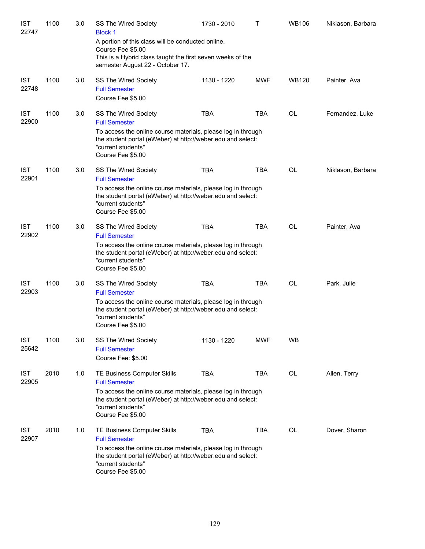| <b>IST</b><br>22747 | 1100 | 3.0 | SS The Wired Society<br><b>Block 1</b>                                                                                                                                      | 1730 - 2010 | т          | <b>WB106</b> | Niklason, Barbara |
|---------------------|------|-----|-----------------------------------------------------------------------------------------------------------------------------------------------------------------------------|-------------|------------|--------------|-------------------|
|                     |      |     | A portion of this class will be conducted online.<br>Course Fee \$5.00<br>This is a Hybrid class taught the first seven weeks of the                                        |             |            |              |                   |
|                     |      |     | semester August 22 - October 17.                                                                                                                                            |             |            |              |                   |
| <b>IST</b><br>22748 | 1100 | 3.0 | SS The Wired Society<br><b>Full Semester</b><br>Course Fee \$5.00                                                                                                           | 1130 - 1220 | <b>MWF</b> | <b>WB120</b> | Painter, Ava      |
| <b>IST</b><br>22900 | 1100 | 3.0 | SS The Wired Society<br><b>Full Semester</b><br>To access the online course materials, please log in through<br>the student portal (eWeber) at http://weber.edu and select: | <b>TBA</b>  | <b>TBA</b> | <b>OL</b>    | Fernandez, Luke   |
|                     |      |     | "current students"<br>Course Fee \$5.00                                                                                                                                     |             |            |              |                   |
| <b>IST</b><br>22901 | 1100 | 3.0 | SS The Wired Society<br><b>Full Semester</b>                                                                                                                                | <b>TBA</b>  | <b>TBA</b> | OL           | Niklason, Barbara |
|                     |      |     | To access the online course materials, please log in through<br>the student portal (eWeber) at http://weber.edu and select:<br>"current students"<br>Course Fee \$5.00      |             |            |              |                   |
| <b>IST</b><br>22902 | 1100 | 3.0 | SS The Wired Society<br><b>Full Semester</b>                                                                                                                                | <b>TBA</b>  | <b>TBA</b> | <b>OL</b>    | Painter, Ava      |
|                     |      |     | To access the online course materials, please log in through<br>the student portal (eWeber) at http://weber.edu and select:<br>"current students"<br>Course Fee \$5.00      |             |            |              |                   |
| <b>IST</b><br>22903 | 1100 | 3.0 | SS The Wired Society<br><b>Full Semester</b>                                                                                                                                | <b>TBA</b>  | <b>TBA</b> | <b>OL</b>    | Park, Julie       |
|                     |      |     | To access the online course materials, please log in through<br>the student portal (eWeber) at http://weber.edu and select:<br>"current students"<br>Course Fee \$5.00      |             |            |              |                   |
| <b>IST</b><br>25642 | 1100 | 3.0 | SS The Wired Society<br><b>Full Semester</b><br>Course Fee: \$5.00                                                                                                          | 1130 - 1220 | <b>MWF</b> | WB           |                   |
| <b>IST</b><br>22905 | 2010 | 1.0 | TE Business Computer Skills<br><b>Full Semester</b>                                                                                                                         | <b>TBA</b>  | <b>TBA</b> | OL           | Allen, Terry      |
|                     |      |     | To access the online course materials, please log in through<br>the student portal (eWeber) at http://weber.edu and select:<br>"current students"<br>Course Fee \$5.00      |             |            |              |                   |
| <b>IST</b><br>22907 | 2010 | 1.0 | TE Business Computer Skills<br><b>Full Semester</b>                                                                                                                         | <b>TBA</b>  | <b>TBA</b> | OL           | Dover, Sharon     |
|                     |      |     | To access the online course materials, please log in through<br>the student portal (eWeber) at http://weber.edu and select:<br>"current students"<br>Course Fee \$5.00      |             |            |              |                   |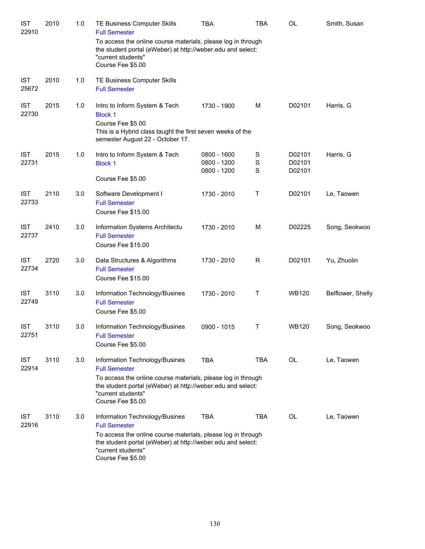| <b>IST</b><br>22910 | 2010 | 1.0 | <b>TE Business Computer Skills</b><br><b>Full Semester</b>                                                                                                                                                                       | TBA                                       | TBA                             | OL                         | Smith, Susan      |
|---------------------|------|-----|----------------------------------------------------------------------------------------------------------------------------------------------------------------------------------------------------------------------------------|-------------------------------------------|---------------------------------|----------------------------|-------------------|
|                     |      |     | To access the online course materials, please log in through<br>the student portal (eWeber) at http://weber.edu and select:<br>"current students"<br>Course Fee \$5.00                                                           |                                           |                                 |                            |                   |
| <b>IST</b><br>25672 | 2010 | 1.0 | TE Business Computer Skills<br><b>Full Semester</b>                                                                                                                                                                              |                                           |                                 |                            |                   |
| <b>IST</b><br>22730 | 2015 | 1.0 | Intro to Inform System & Tech<br><b>Block 1</b><br>Course Fee \$5.00<br>This is a Hybrid class taught the first seven weeks of the<br>semester August 22 - October 17.                                                           | 1730 - 1900                               | M                               | D02101                     | Harris, G         |
| <b>IST</b><br>22731 | 2015 | 1.0 | Intro to Inform System & Tech<br><b>Block 1</b><br>Course Fee \$5.00                                                                                                                                                             | 0800 - 1600<br>0800 - 1200<br>0800 - 1200 | S<br>$\mathbf S$<br>$\mathbf S$ | D02101<br>D02101<br>D02101 | Harris, G         |
| <b>IST</b><br>22733 | 2110 | 3.0 | Software Development I<br><b>Full Semester</b><br>Course Fee \$15.00                                                                                                                                                             | 1730 - 2010                               | Τ                               | D02101                     | Le, Taowen        |
| <b>IST</b><br>22737 | 2410 | 3.0 | Information Systems Architectu<br><b>Full Semester</b><br>Course Fee \$15.00                                                                                                                                                     | 1730 - 2010                               | M                               | D02225                     | Song, Seokwoo     |
| <b>IST</b><br>22734 | 2720 | 3.0 | Data Structures & Algorithms<br><b>Full Semester</b><br>Course Fee \$15.00                                                                                                                                                       | 1730 - 2010                               | $\mathsf{R}$                    | D02101                     | Yu, Zhuolin       |
| <b>IST</b><br>22749 | 3110 | 3.0 | Information Technology/Busines<br><b>Full Semester</b><br>Course Fee \$5.00                                                                                                                                                      | 1730 - 2010                               | Τ                               | <b>WB120</b>               | Belflower, Shelly |
| <b>IST</b><br>22751 | 3110 | 3.0 | Information Technology/Busines<br><b>Full Semester</b><br>Course Fee \$5.00                                                                                                                                                      | 0900 - 1015                               | Τ                               | <b>WB120</b>               | Song, Seokwoo     |
| <b>IST</b><br>22914 | 3110 | 3.0 | Information Technology/Busines<br><b>Full Semester</b><br>To access the online course materials, please log in through<br>the student portal (eWeber) at http://weber.edu and select:<br>"current students"<br>Course Fee \$5.00 | <b>TBA</b>                                | <b>TBA</b>                      | OL                         | Le, Taowen        |
| <b>IST</b><br>22916 | 3110 | 3.0 | Information Technology/Busines<br><b>Full Semester</b><br>To access the online course materials, please log in through<br>the student portal (eWeber) at http://weber.edu and select:<br>"current students"<br>Course Fee \$5.00 | <b>TBA</b>                                | TBA                             | OL                         | Le, Taowen        |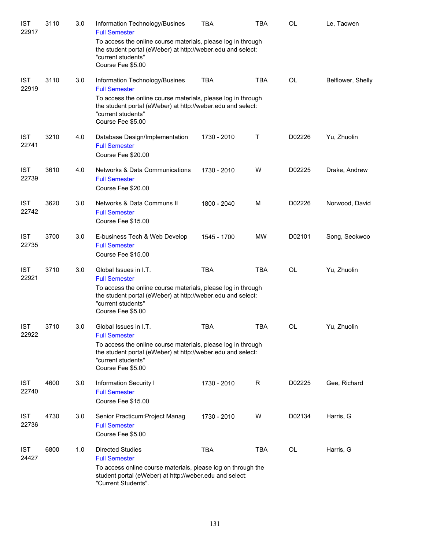| <b>IST</b><br>22917 | 3110 | 3.0 | Information Technology/Busines<br><b>Full Semester</b>                                                                                                                                                                  | TBA         | TBA        | <b>OL</b> | Le, Taowen        |
|---------------------|------|-----|-------------------------------------------------------------------------------------------------------------------------------------------------------------------------------------------------------------------------|-------------|------------|-----------|-------------------|
|                     |      |     | To access the online course materials, please log in through<br>the student portal (eWeber) at http://weber.edu and select:<br>"current students"<br>Course Fee \$5.00                                                  |             |            |           |                   |
| <b>IST</b><br>22919 | 3110 | 3.0 | Information Technology/Busines<br><b>Full Semester</b>                                                                                                                                                                  | <b>TBA</b>  | <b>TBA</b> | OL        | Belflower, Shelly |
|                     |      |     | To access the online course materials, please log in through<br>the student portal (eWeber) at http://weber.edu and select:<br>"current students"<br>Course Fee \$5.00                                                  |             |            |           |                   |
| <b>IST</b><br>22741 | 3210 | 4.0 | Database Design/Implementation<br><b>Full Semester</b><br>Course Fee \$20.00                                                                                                                                            | 1730 - 2010 | Τ          | D02226    | Yu, Zhuolin       |
| <b>IST</b><br>22739 | 3610 | 4.0 | Networks & Data Communications<br><b>Full Semester</b><br>Course Fee \$20.00                                                                                                                                            | 1730 - 2010 | W          | D02225    | Drake, Andrew     |
| <b>IST</b><br>22742 | 3620 | 3.0 | Networks & Data Communs II<br><b>Full Semester</b><br>Course Fee \$15.00                                                                                                                                                | 1800 - 2040 | М          | D02226    | Norwood, David    |
| <b>IST</b><br>22735 | 3700 | 3.0 | E-business Tech & Web Develop<br><b>Full Semester</b><br>Course Fee \$15.00                                                                                                                                             | 1545 - 1700 | MW         | D02101    | Song, Seokwoo     |
| <b>IST</b><br>22921 | 3710 | 3.0 | Global Issues in I.T.<br><b>Full Semester</b><br>To access the online course materials, please log in through<br>the student portal (eWeber) at http://weber.edu and select:<br>"current students"<br>Course Fee \$5.00 | <b>TBA</b>  | <b>TBA</b> | <b>OL</b> | Yu, Zhuolin       |
| <b>IST</b><br>22922 | 3710 | 3.0 | Global Issues in I.T.<br><b>Full Semester</b><br>To access the online course materials, please log in through<br>the student portal (eWeber) at http://weber.edu and select:<br>"current students"<br>Course Fee \$5.00 | <b>TBA</b>  | <b>TBA</b> | OL        | Yu, Zhuolin       |
| <b>IST</b><br>22740 | 4600 | 3.0 | Information Security I<br><b>Full Semester</b><br>Course Fee \$15.00                                                                                                                                                    | 1730 - 2010 | R          | D02225    | Gee, Richard      |
| <b>IST</b><br>22736 | 4730 | 3.0 | Senior Practicum: Project Manag<br><b>Full Semester</b><br>Course Fee \$5.00                                                                                                                                            | 1730 - 2010 | W          | D02134    | Harris, G         |
| <b>IST</b><br>24427 | 6800 | 1.0 | <b>Directed Studies</b><br><b>Full Semester</b><br>To access online course materials, please log on through the<br>student portal (eWeber) at http://weber.edu and select:<br>"Current Students".                       | <b>TBA</b>  | <b>TBA</b> | OL        | Harris, G         |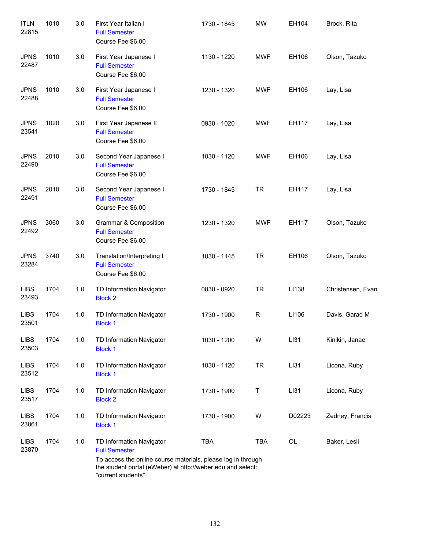| <b>ITLN</b><br>22815 | 1010 | 3.0 | First Year Italian I<br><b>Full Semester</b><br>Course Fee \$6.00                                                                                                                                     | 1730 - 1845 | <b>MW</b>    | EH104  | Brock, Rita       |
|----------------------|------|-----|-------------------------------------------------------------------------------------------------------------------------------------------------------------------------------------------------------|-------------|--------------|--------|-------------------|
| <b>JPNS</b><br>22487 | 1010 | 3.0 | First Year Japanese I<br><b>Full Semester</b><br>Course Fee \$6.00                                                                                                                                    | 1130 - 1220 | <b>MWF</b>   | EH106  | Olson, Tazuko     |
| <b>JPNS</b><br>22488 | 1010 | 3.0 | First Year Japanese I<br><b>Full Semester</b><br>Course Fee \$6.00                                                                                                                                    | 1230 - 1320 | MWF          | EH106  | Lay, Lisa         |
| <b>JPNS</b><br>23541 | 1020 | 3.0 | First Year Japanese II<br><b>Full Semester</b><br>Course Fee \$6.00                                                                                                                                   | 0930 - 1020 | <b>MWF</b>   | EH117  | Lay, Lisa         |
| <b>JPNS</b><br>22490 | 2010 | 3.0 | Second Year Japanese I<br><b>Full Semester</b><br>Course Fee \$6.00                                                                                                                                   | 1030 - 1120 | MWF          | EH106  | Lay, Lisa         |
| <b>JPNS</b><br>22491 | 2010 | 3.0 | Second Year Japanese I<br><b>Full Semester</b><br>Course Fee \$6.00                                                                                                                                   | 1730 - 1845 | <b>TR</b>    | EH117  | Lay, Lisa         |
| <b>JPNS</b><br>22492 | 3060 | 3.0 | Grammar & Composition<br><b>Full Semester</b><br>Course Fee \$6.00                                                                                                                                    | 1230 - 1320 | <b>MWF</b>   | EH117  | Olson, Tazuko     |
| <b>JPNS</b><br>23284 | 3740 | 3.0 | Translation/Interpreting I<br><b>Full Semester</b><br>Course Fee \$6.00                                                                                                                               | 1030 - 1145 | <b>TR</b>    | EH106  | Olson, Tazuko     |
| <b>LIBS</b><br>23493 | 1704 | 1.0 | TD Information Navigator<br><b>Block 2</b>                                                                                                                                                            | 0830 - 0920 | <b>TR</b>    | LI138  | Christensen, Evan |
| <b>LIBS</b><br>23501 | 1704 | 1.0 | TD Information Navigator<br><b>Block 1</b>                                                                                                                                                            | 1730 - 1900 | $\mathsf{R}$ | LI106  | Davis, Garad M    |
| <b>LIBS</b><br>23503 | 1704 | 1.0 | TD Information Navigator<br><b>Block 1</b>                                                                                                                                                            | 1030 - 1200 | W            | LI31   | Kinikin, Janae    |
| <b>LIBS</b><br>23512 | 1704 | 1.0 | TD Information Navigator<br><b>Block 1</b>                                                                                                                                                            | 1030 - 1120 | <b>TR</b>    | LI31   | Licona, Ruby      |
| <b>LIBS</b><br>23517 | 1704 | 1.0 | TD Information Navigator<br><b>Block 2</b>                                                                                                                                                            | 1730 - 1900 | Τ            | LI31   | Licona, Ruby      |
| <b>LIBS</b><br>23861 | 1704 | 1.0 | TD Information Navigator<br><b>Block 1</b>                                                                                                                                                            | 1730 - 1900 | W            | D02223 | Zedney, Francis   |
| <b>LIBS</b><br>23870 | 1704 | 1.0 | TD Information Navigator<br><b>Full Semester</b><br>To access the online course materials, please log in through<br>the student portal (eWeber) at http://weber.edu and select:<br>"current students" | <b>TBA</b>  | <b>TBA</b>   | OL     | Baker, Lesli      |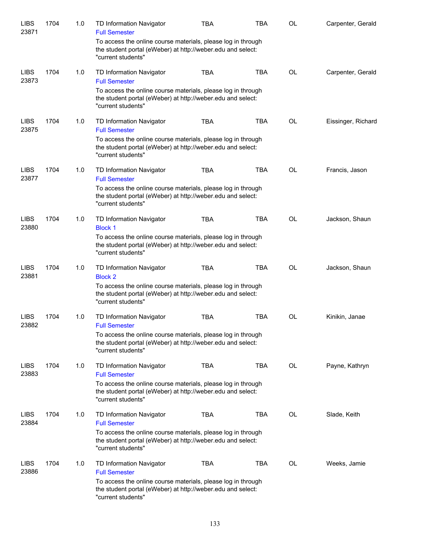| <b>LIBS</b><br>23871 | 1704 | 1.0 | <b>TD Information Navigator</b><br><b>Full Semester</b>                                                                                           | <b>TBA</b> | <b>TBA</b> | <b>OL</b> | Carpenter, Gerald  |
|----------------------|------|-----|---------------------------------------------------------------------------------------------------------------------------------------------------|------------|------------|-----------|--------------------|
|                      |      |     | To access the online course materials, please log in through<br>the student portal (eWeber) at http://weber.edu and select:<br>"current students" |            |            |           |                    |
| <b>LIBS</b><br>23873 | 1704 | 1.0 | TD Information Navigator<br><b>Full Semester</b>                                                                                                  | <b>TBA</b> | <b>TBA</b> | <b>OL</b> | Carpenter, Gerald  |
|                      |      |     | To access the online course materials, please log in through<br>the student portal (eWeber) at http://weber.edu and select:<br>"current students" |            |            |           |                    |
| <b>LIBS</b><br>23875 | 1704 | 1.0 | TD Information Navigator<br><b>Full Semester</b>                                                                                                  | <b>TBA</b> | <b>TBA</b> | <b>OL</b> | Eissinger, Richard |
|                      |      |     | To access the online course materials, please log in through<br>the student portal (eWeber) at http://weber.edu and select:<br>"current students" |            |            |           |                    |
| <b>LIBS</b><br>23877 | 1704 | 1.0 | TD Information Navigator<br><b>Full Semester</b>                                                                                                  | <b>TBA</b> | <b>TBA</b> | <b>OL</b> | Francis, Jason     |
|                      |      |     | To access the online course materials, please log in through<br>the student portal (eWeber) at http://weber.edu and select:<br>"current students" |            |            |           |                    |
| <b>LIBS</b><br>23880 | 1704 | 1.0 | TD Information Navigator<br><b>Block 1</b>                                                                                                        | <b>TBA</b> | <b>TBA</b> | <b>OL</b> | Jackson, Shaun     |
|                      |      |     | To access the online course materials, please log in through<br>the student portal (eWeber) at http://weber.edu and select:<br>"current students" |            |            |           |                    |
| <b>LIBS</b><br>23881 | 1704 | 1.0 | TD Information Navigator<br><b>Block 2</b>                                                                                                        | <b>TBA</b> | <b>TBA</b> | <b>OL</b> | Jackson, Shaun     |
|                      |      |     | To access the online course materials, please log in through<br>the student portal (eWeber) at http://weber.edu and select:<br>"current students" |            |            |           |                    |
| <b>LIBS</b><br>23882 | 1704 | 1.0 | TD Information Navigator<br><b>Full Semester</b>                                                                                                  | <b>TBA</b> | <b>TBA</b> | <b>OL</b> | Kinikin, Janae     |
|                      |      |     | To access the online course materials, please log in through<br>the student portal (eWeber) at http://weber.edu and select:<br>"current students" |            |            |           |                    |
| <b>LIBS</b><br>23883 | 1704 | 1.0 | TD Information Navigator<br><b>Full Semester</b>                                                                                                  | <b>TBA</b> | <b>TBA</b> | <b>OL</b> | Payne, Kathryn     |
|                      |      |     | To access the online course materials, please log in through<br>the student portal (eWeber) at http://weber.edu and select:<br>"current students" |            |            |           |                    |
| <b>LIBS</b><br>23884 | 1704 | 1.0 | TD Information Navigator<br><b>Full Semester</b>                                                                                                  | TBA        | <b>TBA</b> | OL        | Slade, Keith       |
|                      |      |     | To access the online course materials, please log in through<br>the student portal (eWeber) at http://weber.edu and select:<br>"current students" |            |            |           |                    |
| <b>LIBS</b><br>23886 | 1704 | 1.0 | TD Information Navigator<br><b>Full Semester</b>                                                                                                  | <b>TBA</b> | <b>TBA</b> | <b>OL</b> | Weeks, Jamie       |
|                      |      |     | To access the online course materials, please log in through<br>the student portal (eWeber) at http://weber.edu and select:<br>"current students" |            |            |           |                    |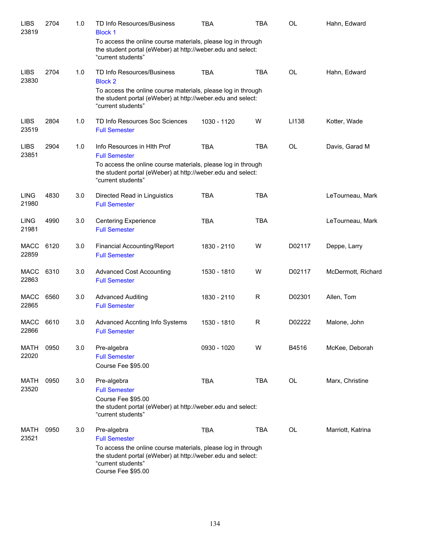| <b>LIBS</b><br>23819 | 2704 | 1.0 | TD Info Resources/Business<br><b>Block 1</b>                                                                                                                                                                   | <b>TBA</b>  | <b>TBA</b> | <b>OL</b> | Hahn, Edward       |
|----------------------|------|-----|----------------------------------------------------------------------------------------------------------------------------------------------------------------------------------------------------------------|-------------|------------|-----------|--------------------|
|                      |      |     | To access the online course materials, please log in through<br>the student portal (eWeber) at http://weber.edu and select:<br>"current students"                                                              |             |            |           |                    |
| <b>LIBS</b><br>23830 | 2704 | 1.0 | TD Info Resources/Business<br><b>Block 2</b>                                                                                                                                                                   | <b>TBA</b>  | <b>TBA</b> | <b>OL</b> | Hahn, Edward       |
|                      |      |     | To access the online course materials, please log in through<br>the student portal (eWeber) at http://weber.edu and select:<br>"current students"                                                              |             |            |           |                    |
| <b>LIBS</b><br>23519 | 2804 | 1.0 | TD Info Resources Soc Sciences<br><b>Full Semester</b>                                                                                                                                                         | 1030 - 1120 | W          | LI138     | Kotter, Wade       |
| <b>LIBS</b><br>23851 | 2904 | 1.0 | Info Resources in Hith Prof<br><b>Full Semester</b>                                                                                                                                                            | <b>TBA</b>  | <b>TBA</b> | <b>OL</b> | Davis, Garad M     |
|                      |      |     | To access the online course materials, please log in through<br>the student portal (eWeber) at http://weber.edu and select:<br>"current students"                                                              |             |            |           |                    |
| <b>LING</b><br>21980 | 4830 | 3.0 | Directed Read in Linguistics<br><b>Full Semester</b>                                                                                                                                                           | <b>TBA</b>  | <b>TBA</b> |           | LeTourneau, Mark   |
| <b>LING</b><br>21981 | 4990 | 3.0 | <b>Centering Experience</b><br><b>Full Semester</b>                                                                                                                                                            | <b>TBA</b>  | <b>TBA</b> |           | LeTourneau, Mark   |
| <b>MACC</b><br>22859 | 6120 | 3.0 | <b>Financial Accounting/Report</b><br><b>Full Semester</b>                                                                                                                                                     | 1830 - 2110 | W          | D02117    | Deppe, Larry       |
| MACC<br>22863        | 6310 | 3.0 | <b>Advanced Cost Accounting</b><br><b>Full Semester</b>                                                                                                                                                        | 1530 - 1810 | W          | D02117    | McDermott, Richard |
| MACC<br>22865        | 6560 | 3.0 | <b>Advanced Auditing</b><br><b>Full Semester</b>                                                                                                                                                               | 1830 - 2110 | R          | D02301    | Allen, Tom         |
| MACC<br>22866        | 6610 | 3.0 | Advanced Accnting Info Systems<br><b>Full Semester</b>                                                                                                                                                         | 1530 - 1810 | R          | D02222    | Malone, John       |
| MATH<br>22020        | 0950 | 3.0 | Pre-algebra<br><b>Full Semester</b><br>Course Fee \$95.00                                                                                                                                                      | 0930 - 1020 | W          | B4516     | McKee, Deborah     |
| MATH<br>23520        | 0950 | 3.0 | Pre-algebra<br><b>Full Semester</b><br>Course Fee \$95.00<br>the student portal (eWeber) at http://weber.edu and select:<br>"current students"                                                                 | <b>TBA</b>  | <b>TBA</b> | OL        | Marx, Christine    |
| MATH<br>23521        | 0950 | 3.0 | Pre-algebra<br><b>Full Semester</b><br>To access the online course materials, please log in through<br>the student portal (eWeber) at http://weber.edu and select:<br>"current students"<br>Course Fee \$95.00 | <b>TBA</b>  | <b>TBA</b> | OL        | Marriott, Katrina  |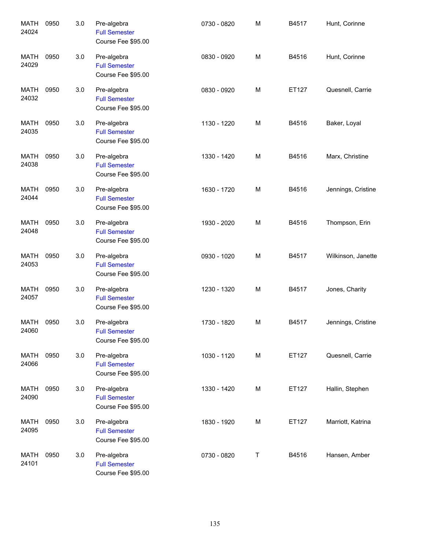| <b>MATH</b><br>24024 | 0950 | 3.0 | Pre-algebra<br><b>Full Semester</b><br>Course Fee \$95.00 | 0730 - 0820 | M | B4517 | Hunt, Corinne      |
|----------------------|------|-----|-----------------------------------------------------------|-------------|---|-------|--------------------|
| <b>MATH</b><br>24029 | 0950 | 3.0 | Pre-algebra<br><b>Full Semester</b><br>Course Fee \$95.00 | 0830 - 0920 | M | B4516 | Hunt, Corinne      |
| MATH<br>24032        | 0950 | 3.0 | Pre-algebra<br><b>Full Semester</b><br>Course Fee \$95.00 | 0830 - 0920 | M | ET127 | Quesnell, Carrie   |
| <b>MATH</b><br>24035 | 0950 | 3.0 | Pre-algebra<br><b>Full Semester</b><br>Course Fee \$95.00 | 1130 - 1220 | M | B4516 | Baker, Loyal       |
| <b>MATH</b><br>24038 | 0950 | 3.0 | Pre-algebra<br><b>Full Semester</b><br>Course Fee \$95.00 | 1330 - 1420 | M | B4516 | Marx, Christine    |
| <b>MATH</b><br>24044 | 0950 | 3.0 | Pre-algebra<br><b>Full Semester</b><br>Course Fee \$95.00 | 1630 - 1720 | M | B4516 | Jennings, Cristine |
| <b>MATH</b><br>24048 | 0950 | 3.0 | Pre-algebra<br><b>Full Semester</b><br>Course Fee \$95.00 | 1930 - 2020 | M | B4516 | Thompson, Erin     |
| <b>MATH</b><br>24053 | 0950 | 3.0 | Pre-algebra<br><b>Full Semester</b><br>Course Fee \$95.00 | 0930 - 1020 | M | B4517 | Wilkinson, Janette |
| <b>MATH</b><br>24057 | 0950 | 3.0 | Pre-algebra<br><b>Full Semester</b><br>Course Fee \$95.00 | 1230 - 1320 | M | B4517 | Jones, Charity     |
| MATH<br>24060        | 0950 | 3.0 | Pre-algebra<br><b>Full Semester</b><br>Course Fee \$95.00 | 1730 - 1820 | M | B4517 | Jennings, Cristine |
| <b>MATH</b><br>24066 | 0950 | 3.0 | Pre-algebra<br><b>Full Semester</b><br>Course Fee \$95.00 | 1030 - 1120 | M | ET127 | Quesnell, Carrie   |
| <b>MATH</b><br>24090 | 0950 | 3.0 | Pre-algebra<br><b>Full Semester</b><br>Course Fee \$95.00 | 1330 - 1420 | M | ET127 | Hallin, Stephen    |
| <b>MATH</b><br>24095 | 0950 | 3.0 | Pre-algebra<br><b>Full Semester</b><br>Course Fee \$95.00 | 1830 - 1920 | M | ET127 | Marriott, Katrina  |
| <b>MATH</b><br>24101 | 0950 | 3.0 | Pre-algebra<br><b>Full Semester</b><br>Course Fee \$95.00 | 0730 - 0820 | T | B4516 | Hansen, Amber      |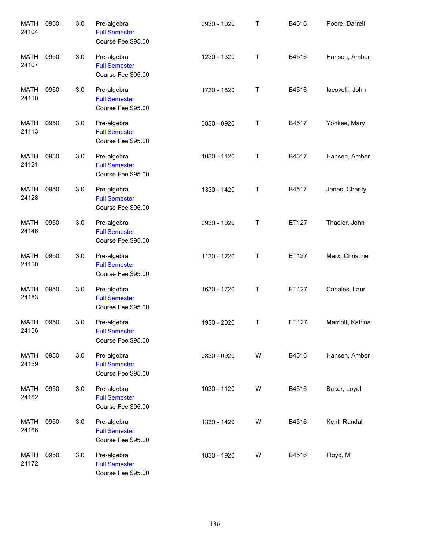| <b>MATH</b><br>24104 | 0950 | 3.0 | Pre-algebra<br><b>Full Semester</b><br>Course Fee \$95.00 | 0930 - 1020 | Τ           | B4516 | Poore, Darrell    |
|----------------------|------|-----|-----------------------------------------------------------|-------------|-------------|-------|-------------------|
| <b>MATH</b><br>24107 | 0950 | 3.0 | Pre-algebra<br><b>Full Semester</b><br>Course Fee \$95.00 | 1230 - 1320 | Τ           | B4516 | Hansen, Amber     |
| <b>MATH</b><br>24110 | 0950 | 3.0 | Pre-algebra<br><b>Full Semester</b><br>Course Fee \$95.00 | 1730 - 1820 | $\mathsf T$ | B4516 | lacovelli, John   |
| <b>MATH</b><br>24113 | 0950 | 3.0 | Pre-algebra<br><b>Full Semester</b><br>Course Fee \$95.00 | 0830 - 0920 | Τ           | B4517 | Yonkee, Mary      |
| <b>MATH</b><br>24121 | 0950 | 3.0 | Pre-algebra<br><b>Full Semester</b><br>Course Fee \$95.00 | 1030 - 1120 | Τ           | B4517 | Hansen, Amber     |
| <b>MATH</b><br>24128 | 0950 | 3.0 | Pre-algebra<br><b>Full Semester</b><br>Course Fee \$95.00 | 1330 - 1420 | Τ           | B4517 | Jones, Charity    |
| MATH<br>24146        | 0950 | 3.0 | Pre-algebra<br><b>Full Semester</b><br>Course Fee \$95.00 | 0930 - 1020 | Τ           | ET127 | Thaeler, John     |
| <b>MATH</b><br>24150 | 0950 | 3.0 | Pre-algebra<br><b>Full Semester</b><br>Course Fee \$95.00 | 1130 - 1220 | Τ           | ET127 | Marx, Christine   |
| MATH<br>24153        | 0950 | 3.0 | Pre-algebra<br><b>Full Semester</b><br>Course Fee \$95.00 | 1630 - 1720 | Τ           | ET127 | Canales, Lauri    |
| MATH<br>24156        | 0950 | 3.0 | Pre-algebra<br><b>Full Semester</b><br>Course Fee \$95.00 | 1930 - 2020 | $\mathsf T$ | ET127 | Marriott, Katrina |
| <b>MATH</b><br>24159 | 0950 | 3.0 | Pre-algebra<br><b>Full Semester</b><br>Course Fee \$95.00 | 0830 - 0920 | W           | B4516 | Hansen, Amber     |
| <b>MATH</b><br>24162 | 0950 | 3.0 | Pre-algebra<br><b>Full Semester</b><br>Course Fee \$95.00 | 1030 - 1120 | W           | B4516 | Baker, Loyal      |
| <b>MATH</b><br>24166 | 0950 | 3.0 | Pre-algebra<br><b>Full Semester</b><br>Course Fee \$95.00 | 1330 - 1420 | W           | B4516 | Kent, Randall     |
| MATH<br>24172        | 0950 | 3.0 | Pre-algebra<br><b>Full Semester</b><br>Course Fee \$95.00 | 1830 - 1920 | W           | B4516 | Floyd, M          |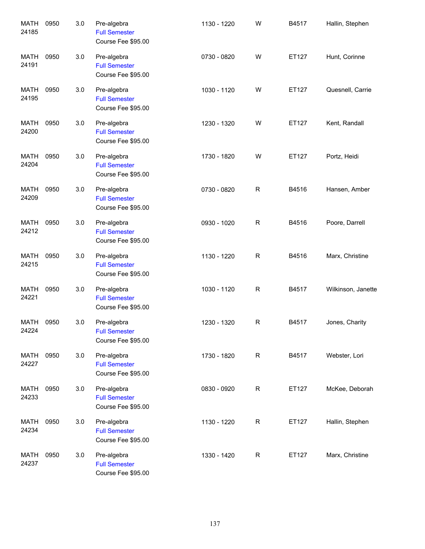| <b>MATH</b><br>24185 | 0950 | 3.0 | Pre-algebra<br><b>Full Semester</b><br>Course Fee \$95.00 | 1130 - 1220 | W | B4517 | Hallin, Stephen    |
|----------------------|------|-----|-----------------------------------------------------------|-------------|---|-------|--------------------|
| <b>MATH</b><br>24191 | 0950 | 3.0 | Pre-algebra<br><b>Full Semester</b><br>Course Fee \$95.00 | 0730 - 0820 | W | ET127 | Hunt, Corinne      |
| <b>MATH</b><br>24195 | 0950 | 3.0 | Pre-algebra<br><b>Full Semester</b><br>Course Fee \$95.00 | 1030 - 1120 | W | ET127 | Quesnell, Carrie   |
| <b>MATH</b><br>24200 | 0950 | 3.0 | Pre-algebra<br><b>Full Semester</b><br>Course Fee \$95.00 | 1230 - 1320 | W | ET127 | Kent, Randall      |
| <b>MATH</b><br>24204 | 0950 | 3.0 | Pre-algebra<br><b>Full Semester</b><br>Course Fee \$95.00 | 1730 - 1820 | W | ET127 | Portz, Heidi       |
| <b>MATH</b><br>24209 | 0950 | 3.0 | Pre-algebra<br><b>Full Semester</b><br>Course Fee \$95.00 | 0730 - 0820 | R | B4516 | Hansen, Amber      |
| MATH<br>24212        | 0950 | 3.0 | Pre-algebra<br><b>Full Semester</b><br>Course Fee \$95.00 | 0930 - 1020 | R | B4516 | Poore, Darrell     |
| <b>MATH</b><br>24215 | 0950 | 3.0 | Pre-algebra<br><b>Full Semester</b><br>Course Fee \$95.00 | 1130 - 1220 | R | B4516 | Marx, Christine    |
| <b>MATH</b><br>24221 | 0950 | 3.0 | Pre-algebra<br><b>Full Semester</b><br>Course Fee \$95.00 | 1030 - 1120 | R | B4517 | Wilkinson, Janette |
| MATH<br>24224        | 0950 | 3.0 | Pre-algebra<br><b>Full Semester</b><br>Course Fee \$95.00 | 1230 - 1320 | R | B4517 | Jones, Charity     |
| MATH<br>24227        | 0950 | 3.0 | Pre-algebra<br><b>Full Semester</b><br>Course Fee \$95.00 | 1730 - 1820 | R | B4517 | Webster, Lori      |
| MATH<br>24233        | 0950 | 3.0 | Pre-algebra<br><b>Full Semester</b><br>Course Fee \$95.00 | 0830 - 0920 | R | ET127 | McKee, Deborah     |
| MATH<br>24234        | 0950 | 3.0 | Pre-algebra<br><b>Full Semester</b><br>Course Fee \$95.00 | 1130 - 1220 | R | ET127 | Hallin, Stephen    |
| MATH<br>24237        | 0950 | 3.0 | Pre-algebra<br><b>Full Semester</b><br>Course Fee \$95.00 | 1330 - 1420 | R | ET127 | Marx, Christine    |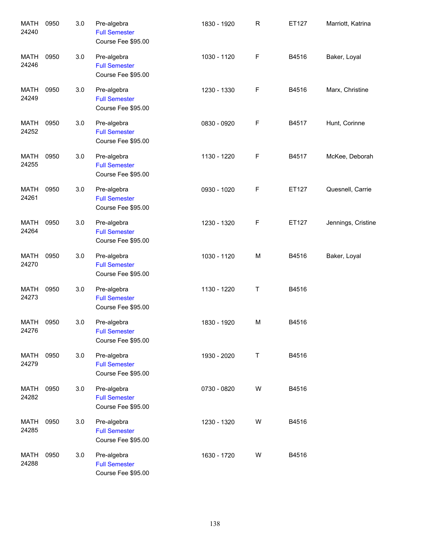| <b>MATH</b><br>24240 | 0950 | 3.0 | Pre-algebra<br><b>Full Semester</b><br>Course Fee \$95.00 | 1830 - 1920 | $\mathsf R$ | ET127 | Marriott, Katrina  |
|----------------------|------|-----|-----------------------------------------------------------|-------------|-------------|-------|--------------------|
| <b>MATH</b><br>24246 | 0950 | 3.0 | Pre-algebra<br><b>Full Semester</b><br>Course Fee \$95.00 | 1030 - 1120 | F           | B4516 | Baker, Loyal       |
| <b>MATH</b><br>24249 | 0950 | 3.0 | Pre-algebra<br><b>Full Semester</b><br>Course Fee \$95.00 | 1230 - 1330 | F           | B4516 | Marx, Christine    |
| <b>MATH</b><br>24252 | 0950 | 3.0 | Pre-algebra<br><b>Full Semester</b><br>Course Fee \$95.00 | 0830 - 0920 | F           | B4517 | Hunt, Corinne      |
| MATH<br>24255        | 0950 | 3.0 | Pre-algebra<br><b>Full Semester</b><br>Course Fee \$95.00 | 1130 - 1220 | F           | B4517 | McKee, Deborah     |
| <b>MATH</b><br>24261 | 0950 | 3.0 | Pre-algebra<br><b>Full Semester</b><br>Course Fee \$95.00 | 0930 - 1020 | F           | ET127 | Quesnell, Carrie   |
| MATH<br>24264        | 0950 | 3.0 | Pre-algebra<br><b>Full Semester</b><br>Course Fee \$95.00 | 1230 - 1320 | F           | ET127 | Jennings, Cristine |
| <b>MATH</b><br>24270 | 0950 | 3.0 | Pre-algebra<br><b>Full Semester</b><br>Course Fee \$95.00 | 1030 - 1120 | M           | B4516 | Baker, Loyal       |
| <b>MATH</b><br>24273 | 0950 | 3.0 | Pre-algebra<br><b>Full Semester</b><br>Course Fee \$95.00 | 1130 - 1220 | T           | B4516 |                    |
| MATH<br>24276        | 0950 | 3.0 | Pre-algebra<br><b>Full Semester</b><br>Course Fee \$95.00 | 1830 - 1920 | M           | B4516 |                    |
| <b>MATH</b><br>24279 | 0950 | 3.0 | Pre-algebra<br><b>Full Semester</b><br>Course Fee \$95.00 | 1930 - 2020 | $\sf T$     | B4516 |                    |
| <b>MATH</b><br>24282 | 0950 | 3.0 | Pre-algebra<br><b>Full Semester</b><br>Course Fee \$95.00 | 0730 - 0820 | W           | B4516 |                    |
| <b>MATH</b><br>24285 | 0950 | 3.0 | Pre-algebra<br><b>Full Semester</b><br>Course Fee \$95.00 | 1230 - 1320 | W           | B4516 |                    |
| <b>MATH</b><br>24288 | 0950 | 3.0 | Pre-algebra<br><b>Full Semester</b><br>Course Fee \$95.00 | 1630 - 1720 | W           | B4516 |                    |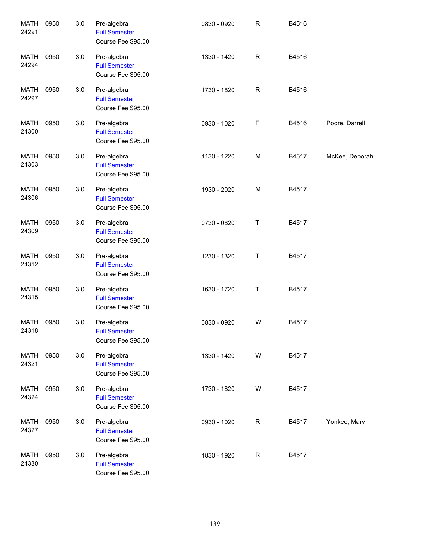| <b>MATH</b><br>24291 | 0950 | 3.0 | Pre-algebra<br><b>Full Semester</b><br>Course Fee \$95.00 | 0830 - 0920 | ${\sf R}$   | B4516 |                |
|----------------------|------|-----|-----------------------------------------------------------|-------------|-------------|-------|----------------|
| <b>MATH</b><br>24294 | 0950 | 3.0 | Pre-algebra<br><b>Full Semester</b><br>Course Fee \$95.00 | 1330 - 1420 | R           | B4516 |                |
| <b>MATH</b><br>24297 | 0950 | 3.0 | Pre-algebra<br><b>Full Semester</b><br>Course Fee \$95.00 | 1730 - 1820 | ${\sf R}$   | B4516 |                |
| <b>MATH</b><br>24300 | 0950 | 3.0 | Pre-algebra<br><b>Full Semester</b><br>Course Fee \$95.00 | 0930 - 1020 | $\mathsf F$ | B4516 | Poore, Darrell |
| <b>MATH</b><br>24303 | 0950 | 3.0 | Pre-algebra<br><b>Full Semester</b><br>Course Fee \$95.00 | 1130 - 1220 | M           | B4517 | McKee, Deborah |
| <b>MATH</b><br>24306 | 0950 | 3.0 | Pre-algebra<br><b>Full Semester</b><br>Course Fee \$95.00 | 1930 - 2020 | M           | B4517 |                |
| <b>MATH</b><br>24309 | 0950 | 3.0 | Pre-algebra<br><b>Full Semester</b><br>Course Fee \$95.00 | 0730 - 0820 | Τ           | B4517 |                |
| <b>MATH</b><br>24312 | 0950 | 3.0 | Pre-algebra<br><b>Full Semester</b><br>Course Fee \$95.00 | 1230 - 1320 | Τ           | B4517 |                |
| <b>MATH</b><br>24315 | 0950 | 3.0 | Pre-algebra<br><b>Full Semester</b><br>Course Fee \$95.00 | 1630 - 1720 | Τ           | B4517 |                |
| <b>MATH</b><br>24318 | 0950 | 3.0 | Pre-algebra<br><b>Full Semester</b><br>Course Fee \$95.00 | 0830 - 0920 | W           | B4517 |                |
| <b>MATH</b><br>24321 | 0950 | 3.0 | Pre-algebra<br><b>Full Semester</b><br>Course Fee \$95.00 | 1330 - 1420 | W           | B4517 |                |
| <b>MATH</b><br>24324 | 0950 | 3.0 | Pre-algebra<br><b>Full Semester</b><br>Course Fee \$95.00 | 1730 - 1820 | W           | B4517 |                |
| <b>MATH</b><br>24327 | 0950 | 3.0 | Pre-algebra<br><b>Full Semester</b><br>Course Fee \$95.00 | 0930 - 1020 | R           | B4517 | Yonkee, Mary   |
| <b>MATH</b><br>24330 | 0950 | 3.0 | Pre-algebra<br><b>Full Semester</b><br>Course Fee \$95.00 | 1830 - 1920 | R           | B4517 |                |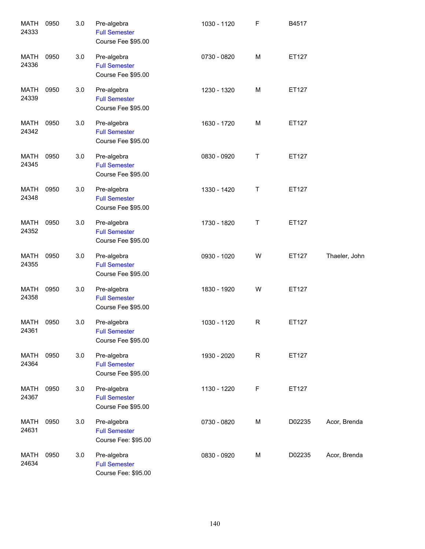| <b>MATH</b><br>24333 | 0950 | 3.0 | Pre-algebra<br><b>Full Semester</b><br>Course Fee \$95.00  | 1030 - 1120 | F           | B4517  |               |
|----------------------|------|-----|------------------------------------------------------------|-------------|-------------|--------|---------------|
| <b>MATH</b><br>24336 | 0950 | 3.0 | Pre-algebra<br><b>Full Semester</b><br>Course Fee \$95.00  | 0730 - 0820 | M           | ET127  |               |
| <b>MATH</b><br>24339 | 0950 | 3.0 | Pre-algebra<br><b>Full Semester</b><br>Course Fee \$95.00  | 1230 - 1320 | M           | ET127  |               |
| MATH<br>24342        | 0950 | 3.0 | Pre-algebra<br><b>Full Semester</b><br>Course Fee \$95.00  | 1630 - 1720 | M           | ET127  |               |
| <b>MATH</b><br>24345 | 0950 | 3.0 | Pre-algebra<br><b>Full Semester</b><br>Course Fee \$95.00  | 0830 - 0920 | Τ           | ET127  |               |
| <b>MATH</b><br>24348 | 0950 | 3.0 | Pre-algebra<br><b>Full Semester</b><br>Course Fee \$95.00  | 1330 - 1420 | Τ           | ET127  |               |
| <b>MATH</b><br>24352 | 0950 | 3.0 | Pre-algebra<br><b>Full Semester</b><br>Course Fee \$95.00  | 1730 - 1820 | Τ           | ET127  |               |
| <b>MATH</b><br>24355 | 0950 | 3.0 | Pre-algebra<br><b>Full Semester</b><br>Course Fee \$95.00  | 0930 - 1020 | W           | ET127  | Thaeler, John |
| <b>MATH</b><br>24358 | 0950 | 3.0 | Pre-algebra<br><b>Full Semester</b><br>Course Fee \$95.00  | 1830 - 1920 | W           | ET127  |               |
| MATH<br>24361        | 0950 | 3.0 | Pre-algebra<br><b>Full Semester</b><br>Course Fee \$95.00  | 1030 - 1120 | R           | ET127  |               |
| MATH<br>24364        | 0950 | 3.0 | Pre-algebra<br><b>Full Semester</b><br>Course Fee \$95.00  | 1930 - 2020 | $\mathsf R$ | ET127  |               |
| MATH<br>24367        | 0950 | 3.0 | Pre-algebra<br><b>Full Semester</b><br>Course Fee \$95.00  | 1130 - 1220 | F           | ET127  |               |
| MATH<br>24631        | 0950 | 3.0 | Pre-algebra<br><b>Full Semester</b><br>Course Fee: \$95.00 | 0730 - 0820 | М           | D02235 | Acor, Brenda  |
| MATH<br>24634        | 0950 | 3.0 | Pre-algebra<br><b>Full Semester</b><br>Course Fee: \$95.00 | 0830 - 0920 | М           | D02235 | Acor, Brenda  |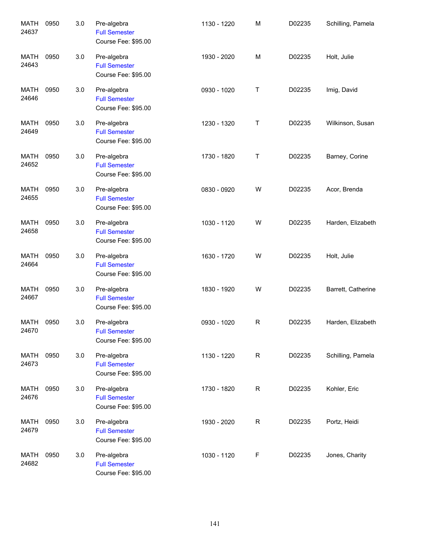| <b>MATH</b><br>24637 | 0950 | 3.0 | Pre-algebra<br><b>Full Semester</b><br>Course Fee: \$95.00 | 1130 - 1220 | M | D02235 | Schilling, Pamela  |
|----------------------|------|-----|------------------------------------------------------------|-------------|---|--------|--------------------|
| <b>MATH</b><br>24643 | 0950 | 3.0 | Pre-algebra<br><b>Full Semester</b><br>Course Fee: \$95.00 | 1930 - 2020 | M | D02235 | Holt, Julie        |
| <b>MATH</b><br>24646 | 0950 | 3.0 | Pre-algebra<br><b>Full Semester</b><br>Course Fee: \$95.00 | 0930 - 1020 | Τ | D02235 | Imig, David        |
| MATH<br>24649        | 0950 | 3.0 | Pre-algebra<br><b>Full Semester</b><br>Course Fee: \$95.00 | 1230 - 1320 | Τ | D02235 | Wilkinson, Susan   |
| MATH<br>24652        | 0950 | 3.0 | Pre-algebra<br><b>Full Semester</b><br>Course Fee: \$95.00 | 1730 - 1820 | Τ | D02235 | Barney, Corine     |
| <b>MATH</b><br>24655 | 0950 | 3.0 | Pre-algebra<br><b>Full Semester</b><br>Course Fee: \$95.00 | 0830 - 0920 | W | D02235 | Acor, Brenda       |
| MATH<br>24658        | 0950 | 3.0 | Pre-algebra<br><b>Full Semester</b><br>Course Fee: \$95.00 | 1030 - 1120 | W | D02235 | Harden, Elizabeth  |
| MATH<br>24664        | 0950 | 3.0 | Pre-algebra<br><b>Full Semester</b><br>Course Fee: \$95.00 | 1630 - 1720 | W | D02235 | Holt, Julie        |
| MATH<br>24667        | 0950 | 3.0 | Pre-algebra<br><b>Full Semester</b><br>Course Fee: \$95.00 | 1830 - 1920 | W | D02235 | Barrett, Catherine |
| MATH<br>24670        | 0950 | 3.0 | Pre-algebra<br><b>Full Semester</b><br>Course Fee: \$95.00 | 0930 - 1020 | R | D02235 | Harden, Elizabeth  |
| <b>MATH</b><br>24673 | 0950 | 3.0 | Pre-algebra<br><b>Full Semester</b><br>Course Fee: \$95.00 | 1130 - 1220 | R | D02235 | Schilling, Pamela  |
| MATH<br>24676        | 0950 | 3.0 | Pre-algebra<br><b>Full Semester</b><br>Course Fee: \$95.00 | 1730 - 1820 | R | D02235 | Kohler, Eric       |
| <b>MATH</b><br>24679 | 0950 | 3.0 | Pre-algebra<br><b>Full Semester</b><br>Course Fee: \$95.00 | 1930 - 2020 | R | D02235 | Portz, Heidi       |
| MATH<br>24682        | 0950 | 3.0 | Pre-algebra<br><b>Full Semester</b><br>Course Fee: \$95.00 | 1030 - 1120 | F | D02235 | Jones, Charity     |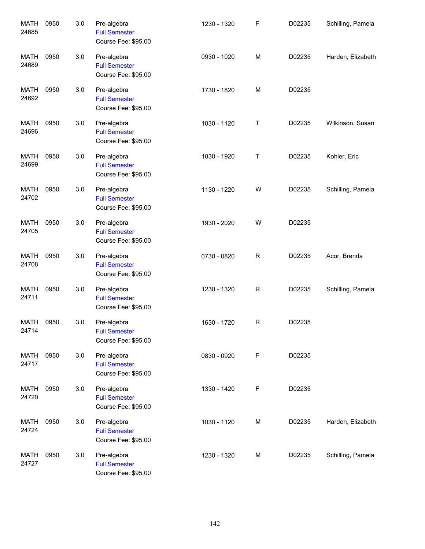| <b>MATH</b><br>24685 | 0950 | 3.0 | Pre-algebra<br><b>Full Semester</b><br>Course Fee: \$95.00 | 1230 - 1320 | F            | D02235 | Schilling, Pamela |
|----------------------|------|-----|------------------------------------------------------------|-------------|--------------|--------|-------------------|
| <b>MATH</b><br>24689 | 0950 | 3.0 | Pre-algebra<br><b>Full Semester</b><br>Course Fee: \$95.00 | 0930 - 1020 | M            | D02235 | Harden, Elizabeth |
| <b>MATH</b><br>24692 | 0950 | 3.0 | Pre-algebra<br><b>Full Semester</b><br>Course Fee: \$95.00 | 1730 - 1820 | M            | D02235 |                   |
| <b>MATH</b><br>24696 | 0950 | 3.0 | Pre-algebra<br><b>Full Semester</b><br>Course Fee: \$95.00 | 1030 - 1120 | Τ            | D02235 | Wilkinson, Susan  |
| <b>MATH</b><br>24699 | 0950 | 3.0 | Pre-algebra<br><b>Full Semester</b><br>Course Fee: \$95.00 | 1830 - 1920 | Τ            | D02235 | Kohler, Eric      |
| <b>MATH</b><br>24702 | 0950 | 3.0 | Pre-algebra<br><b>Full Semester</b><br>Course Fee: \$95.00 | 1130 - 1220 | W            | D02235 | Schilling, Pamela |
| MATH<br>24705        | 0950 | 3.0 | Pre-algebra<br><b>Full Semester</b><br>Course Fee: \$95.00 | 1930 - 2020 | W            | D02235 |                   |
| MATH<br>24708        | 0950 | 3.0 | Pre-algebra<br><b>Full Semester</b><br>Course Fee: \$95.00 | 0730 - 0820 | $\mathsf{R}$ | D02235 | Acor, Brenda      |
| MATH<br>24711        | 0950 | 3.0 | Pre-algebra<br><b>Full Semester</b><br>Course Fee: \$95.00 | 1230 - 1320 | R            | D02235 | Schilling, Pamela |
| MATH<br>24714        | 0950 | 3.0 | Pre-algebra<br><b>Full Semester</b><br>Course Fee: \$95.00 | 1630 - 1720 | R            | D02235 |                   |
| MATH<br>24717        | 0950 | 3.0 | Pre-algebra<br><b>Full Semester</b><br>Course Fee: \$95.00 | 0830 - 0920 | F            | D02235 |                   |
| MATH<br>24720        | 0950 | 3.0 | Pre-algebra<br><b>Full Semester</b><br>Course Fee: \$95.00 | 1330 - 1420 | F            | D02235 |                   |
| MATH<br>24724        | 0950 | 3.0 | Pre-algebra<br><b>Full Semester</b><br>Course Fee: \$95.00 | 1030 - 1120 | M            | D02235 | Harden, Elizabeth |
| MATH<br>24727        | 0950 | 3.0 | Pre-algebra<br><b>Full Semester</b><br>Course Fee: \$95.00 | 1230 - 1320 | M            | D02235 | Schilling, Pamela |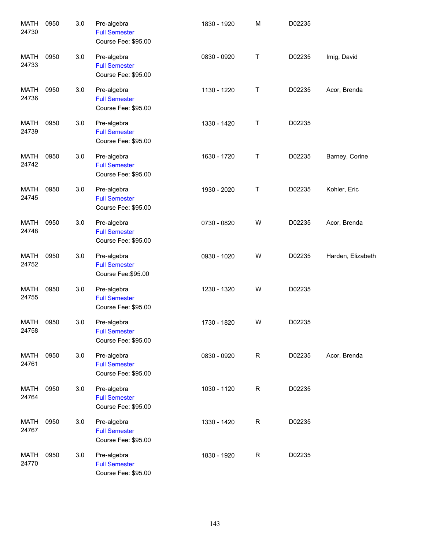| <b>MATH</b><br>24730 | 0950 | 3.0 | Pre-algebra<br><b>Full Semester</b><br>Course Fee: \$95.00 | 1830 - 1920 | M | D02235 |                   |
|----------------------|------|-----|------------------------------------------------------------|-------------|---|--------|-------------------|
| MATH<br>24733        | 0950 | 3.0 | Pre-algebra<br><b>Full Semester</b><br>Course Fee: \$95.00 | 0830 - 0920 | Τ | D02235 | Imig, David       |
| MATH<br>24736        | 0950 | 3.0 | Pre-algebra<br><b>Full Semester</b><br>Course Fee: \$95.00 | 1130 - 1220 | Τ | D02235 | Acor, Brenda      |
| MATH<br>24739        | 0950 | 3.0 | Pre-algebra<br><b>Full Semester</b><br>Course Fee: \$95.00 | 1330 - 1420 | Τ | D02235 |                   |
| MATH<br>24742        | 0950 | 3.0 | Pre-algebra<br><b>Full Semester</b><br>Course Fee: \$95.00 | 1630 - 1720 | T | D02235 | Barney, Corine    |
| MATH<br>24745        | 0950 | 3.0 | Pre-algebra<br><b>Full Semester</b><br>Course Fee: \$95.00 | 1930 - 2020 | Τ | D02235 | Kohler, Eric      |
| <b>MATH</b><br>24748 | 0950 | 3.0 | Pre-algebra<br><b>Full Semester</b><br>Course Fee: \$95.00 | 0730 - 0820 | W | D02235 | Acor, Brenda      |
| <b>MATH</b><br>24752 | 0950 | 3.0 | Pre-algebra<br><b>Full Semester</b><br>Course Fee: \$95.00 | 0930 - 1020 | W | D02235 | Harden, Elizabeth |
| <b>MATH</b><br>24755 | 0950 | 3.0 | Pre-algebra<br><b>Full Semester</b><br>Course Fee: \$95.00 | 1230 - 1320 | W | D02235 |                   |
| MATH<br>24758        | 0950 | 3.0 | Pre-algebra<br><b>Full Semester</b><br>Course Fee: \$95.00 | 1730 - 1820 | W | D02235 |                   |
| <b>MATH</b><br>24761 | 0950 | 3.0 | Pre-algebra<br><b>Full Semester</b><br>Course Fee: \$95.00 | 0830 - 0920 | R | D02235 | Acor, Brenda      |
| <b>MATH</b><br>24764 | 0950 | 3.0 | Pre-algebra<br><b>Full Semester</b><br>Course Fee: \$95.00 | 1030 - 1120 | R | D02235 |                   |
| <b>MATH</b><br>24767 | 0950 | 3.0 | Pre-algebra<br><b>Full Semester</b><br>Course Fee: \$95.00 | 1330 - 1420 | R | D02235 |                   |
| <b>MATH</b><br>24770 | 0950 | 3.0 | Pre-algebra<br><b>Full Semester</b><br>Course Fee: \$95.00 | 1830 - 1920 | R | D02235 |                   |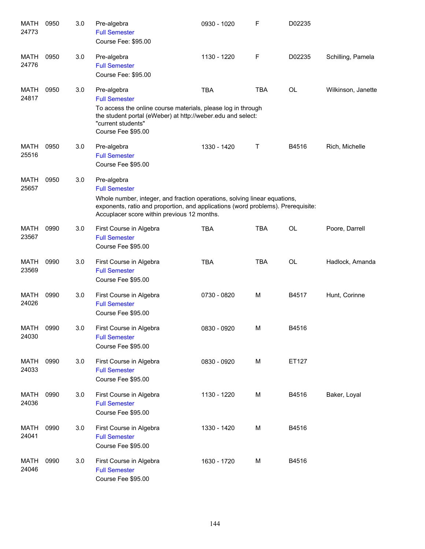| MATH<br>24773        | 0950 | 3.0 | Pre-algebra<br><b>Full Semester</b><br>Course Fee: \$95.00                                                                                                                                                                                          | 0930 - 1020 | F          | D02235    |                    |
|----------------------|------|-----|-----------------------------------------------------------------------------------------------------------------------------------------------------------------------------------------------------------------------------------------------------|-------------|------------|-----------|--------------------|
| MATH<br>24776        | 0950 | 3.0 | Pre-algebra<br><b>Full Semester</b><br>Course Fee: \$95.00                                                                                                                                                                                          | 1130 - 1220 | F          | D02235    | Schilling, Pamela  |
| MATH<br>24817        | 0950 | 3.0 | Pre-algebra<br><b>Full Semester</b><br>To access the online course materials, please log in through<br>the student portal (eWeber) at http://weber.edu and select:<br>"current students"<br>Course Fee \$95.00                                      | <b>TBA</b>  | <b>TBA</b> | <b>OL</b> | Wilkinson, Janette |
| <b>MATH</b><br>25516 | 0950 | 3.0 | Pre-algebra<br><b>Full Semester</b><br>Course Fee \$95.00                                                                                                                                                                                           | 1330 - 1420 | Т          | B4516     | Rich, Michelle     |
| <b>MATH</b><br>25657 | 0950 | 3.0 | Pre-algebra<br><b>Full Semester</b><br>Whole number, integer, and fraction operations, solving linear equations,<br>exponents, ratio and proportion, and applications (word problems). Prerequisite:<br>Accuplacer score within previous 12 months. |             |            |           |                    |
| <b>MATH</b><br>23567 | 0990 | 3.0 | First Course in Algebra<br><b>Full Semester</b><br>Course Fee \$95.00                                                                                                                                                                               | <b>TBA</b>  | <b>TBA</b> | <b>OL</b> | Poore, Darrell     |
| <b>MATH</b><br>23569 | 0990 | 3.0 | First Course in Algebra<br><b>Full Semester</b><br>Course Fee \$95.00                                                                                                                                                                               | <b>TBA</b>  | <b>TBA</b> | <b>OL</b> | Hadlock, Amanda    |
| <b>MATH</b><br>24026 | 0990 | 3.0 | First Course in Algebra<br><b>Full Semester</b><br>Course Fee \$95.00                                                                                                                                                                               | 0730 - 0820 | M          | B4517     | Hunt, Corinne      |
| <b>MATH</b><br>24030 | 0990 | 3.0 | First Course in Algebra<br><b>Full Semester</b><br>Course Fee \$95.00                                                                                                                                                                               | 0830 - 0920 | M          | B4516     |                    |
| <b>MATH</b><br>24033 | 0990 | 3.0 | First Course in Algebra<br><b>Full Semester</b><br>Course Fee \$95.00                                                                                                                                                                               | 0830 - 0920 | M          | ET127     |                    |
| MATH<br>24036        | 0990 | 3.0 | First Course in Algebra<br><b>Full Semester</b><br>Course Fee \$95.00                                                                                                                                                                               | 1130 - 1220 | M          | B4516     | Baker, Loyal       |
| <b>MATH</b><br>24041 | 0990 | 3.0 | First Course in Algebra<br><b>Full Semester</b><br>Course Fee \$95.00                                                                                                                                                                               | 1330 - 1420 | M          | B4516     |                    |
| MATH<br>24046        | 0990 | 3.0 | First Course in Algebra<br><b>Full Semester</b><br>Course Fee \$95.00                                                                                                                                                                               | 1630 - 1720 | M          | B4516     |                    |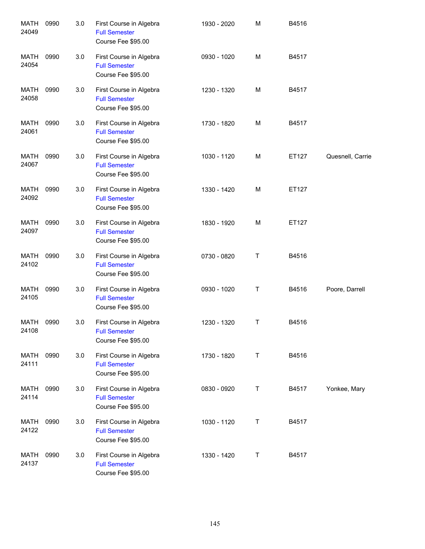| <b>MATH</b><br>24049 | 0990 | 3.0 | First Course in Algebra<br><b>Full Semester</b><br>Course Fee \$95.00 | 1930 - 2020 | M | B4516 |                  |
|----------------------|------|-----|-----------------------------------------------------------------------|-------------|---|-------|------------------|
| <b>MATH</b><br>24054 | 0990 | 3.0 | First Course in Algebra<br><b>Full Semester</b><br>Course Fee \$95.00 | 0930 - 1020 | M | B4517 |                  |
| <b>MATH</b><br>24058 | 0990 | 3.0 | First Course in Algebra<br><b>Full Semester</b><br>Course Fee \$95.00 | 1230 - 1320 | M | B4517 |                  |
| <b>MATH</b><br>24061 | 0990 | 3.0 | First Course in Algebra<br><b>Full Semester</b><br>Course Fee \$95.00 | 1730 - 1820 | M | B4517 |                  |
| <b>MATH</b><br>24067 | 0990 | 3.0 | First Course in Algebra<br><b>Full Semester</b><br>Course Fee \$95.00 | 1030 - 1120 | M | ET127 | Quesnell, Carrie |
| <b>MATH</b><br>24092 | 0990 | 3.0 | First Course in Algebra<br><b>Full Semester</b><br>Course Fee \$95.00 | 1330 - 1420 | M | ET127 |                  |
| <b>MATH</b><br>24097 | 0990 | 3.0 | First Course in Algebra<br><b>Full Semester</b><br>Course Fee \$95.00 | 1830 - 1920 | M | ET127 |                  |
| <b>MATH</b><br>24102 | 0990 | 3.0 | First Course in Algebra<br><b>Full Semester</b><br>Course Fee \$95.00 | 0730 - 0820 | Τ | B4516 |                  |
| <b>MATH</b><br>24105 | 0990 | 3.0 | First Course in Algebra<br><b>Full Semester</b><br>Course Fee \$95.00 | 0930 - 1020 | Τ | B4516 | Poore, Darrell   |
| MATH<br>24108        | 0990 | 3.0 | First Course in Algebra<br><b>Full Semester</b><br>Course Fee \$95.00 | 1230 - 1320 | Τ | B4516 |                  |
| MATH<br>24111        | 0990 | 3.0 | First Course in Algebra<br><b>Full Semester</b><br>Course Fee \$95.00 | 1730 - 1820 | T | B4516 |                  |
| MATH<br>24114        | 0990 | 3.0 | First Course in Algebra<br><b>Full Semester</b><br>Course Fee \$95.00 | 0830 - 0920 | Τ | B4517 | Yonkee, Mary     |
| MATH<br>24122        | 0990 | 3.0 | First Course in Algebra<br><b>Full Semester</b><br>Course Fee \$95.00 | 1030 - 1120 | T | B4517 |                  |
| MATH<br>24137        | 0990 | 3.0 | First Course in Algebra<br><b>Full Semester</b><br>Course Fee \$95.00 | 1330 - 1420 | T | B4517 |                  |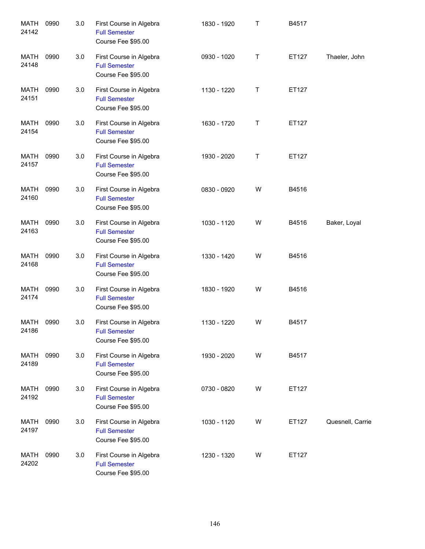| <b>MATH</b><br>24142 | 0990 | 3.0 | First Course in Algebra<br><b>Full Semester</b><br>Course Fee \$95.00 | 1830 - 1920 | $\mathsf{T}$ | B4517 |                  |
|----------------------|------|-----|-----------------------------------------------------------------------|-------------|--------------|-------|------------------|
| <b>MATH</b><br>24148 | 0990 | 3.0 | First Course in Algebra<br><b>Full Semester</b><br>Course Fee \$95.00 | 0930 - 1020 | Τ            | ET127 | Thaeler, John    |
| <b>MATH</b><br>24151 | 0990 | 3.0 | First Course in Algebra<br><b>Full Semester</b><br>Course Fee \$95.00 | 1130 - 1220 | Τ            | ET127 |                  |
| <b>MATH</b><br>24154 | 0990 | 3.0 | First Course in Algebra<br><b>Full Semester</b><br>Course Fee \$95.00 | 1630 - 1720 | Τ            | ET127 |                  |
| <b>MATH</b><br>24157 | 0990 | 3.0 | First Course in Algebra<br><b>Full Semester</b><br>Course Fee \$95.00 | 1930 - 2020 | Τ            | ET127 |                  |
| <b>MATH</b><br>24160 | 0990 | 3.0 | First Course in Algebra<br><b>Full Semester</b><br>Course Fee \$95.00 | 0830 - 0920 | W            | B4516 |                  |
| <b>MATH</b><br>24163 | 0990 | 3.0 | First Course in Algebra<br><b>Full Semester</b><br>Course Fee \$95.00 | 1030 - 1120 | W            | B4516 | Baker, Loyal     |
| <b>MATH</b><br>24168 | 0990 | 3.0 | First Course in Algebra<br><b>Full Semester</b><br>Course Fee \$95.00 | 1330 - 1420 | W            | B4516 |                  |
| <b>MATH</b><br>24174 | 0990 | 3.0 | First Course in Algebra<br><b>Full Semester</b><br>Course Fee \$95.00 | 1830 - 1920 | W            | B4516 |                  |
| MATH<br>24186        | 0990 | 3.0 | First Course in Algebra<br><b>Full Semester</b><br>Course Fee \$95.00 | 1130 - 1220 | W            | B4517 |                  |
| <b>MATH</b><br>24189 | 0990 | 3.0 | First Course in Algebra<br><b>Full Semester</b><br>Course Fee \$95.00 | 1930 - 2020 | W            | B4517 |                  |
| MATH<br>24192        | 0990 | 3.0 | First Course in Algebra<br><b>Full Semester</b><br>Course Fee \$95.00 | 0730 - 0820 | W            | ET127 |                  |
| MATH<br>24197        | 0990 | 3.0 | First Course in Algebra<br><b>Full Semester</b><br>Course Fee \$95.00 | 1030 - 1120 | W            | ET127 | Quesnell, Carrie |
| MATH<br>24202        | 0990 | 3.0 | First Course in Algebra<br><b>Full Semester</b><br>Course Fee \$95.00 | 1230 - 1320 | W            | ET127 |                  |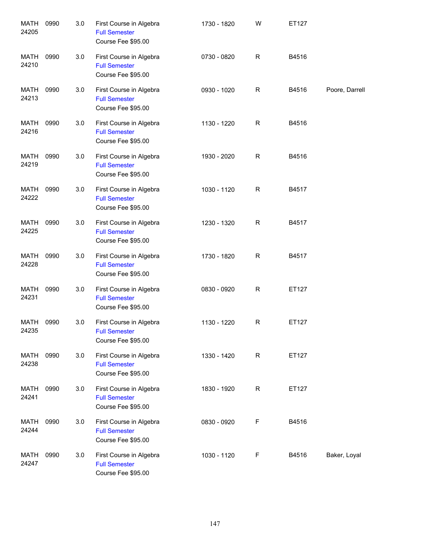| <b>MATH</b><br>24205 | 0990 | 3.0 | First Course in Algebra<br><b>Full Semester</b><br>Course Fee \$95.00 | 1730 - 1820 | W | ET127 |                |
|----------------------|------|-----|-----------------------------------------------------------------------|-------------|---|-------|----------------|
| <b>MATH</b><br>24210 | 0990 | 3.0 | First Course in Algebra<br><b>Full Semester</b><br>Course Fee \$95.00 | 0730 - 0820 | R | B4516 |                |
| <b>MATH</b><br>24213 | 0990 | 3.0 | First Course in Algebra<br><b>Full Semester</b><br>Course Fee \$95.00 | 0930 - 1020 | R | B4516 | Poore, Darrell |
| <b>MATH</b><br>24216 | 0990 | 3.0 | First Course in Algebra<br><b>Full Semester</b><br>Course Fee \$95.00 | 1130 - 1220 | R | B4516 |                |
| <b>MATH</b><br>24219 | 0990 | 3.0 | First Course in Algebra<br><b>Full Semester</b><br>Course Fee \$95.00 | 1930 - 2020 | R | B4516 |                |
| <b>MATH</b><br>24222 | 0990 | 3.0 | First Course in Algebra<br><b>Full Semester</b><br>Course Fee \$95.00 | 1030 - 1120 | R | B4517 |                |
| <b>MATH</b><br>24225 | 0990 | 3.0 | First Course in Algebra<br><b>Full Semester</b><br>Course Fee \$95.00 | 1230 - 1320 | R | B4517 |                |
| <b>MATH</b><br>24228 | 0990 | 3.0 | First Course in Algebra<br><b>Full Semester</b><br>Course Fee \$95.00 | 1730 - 1820 | R | B4517 |                |
| <b>MATH</b><br>24231 | 0990 | 3.0 | First Course in Algebra<br><b>Full Semester</b><br>Course Fee \$95.00 | 0830 - 0920 | R | ET127 |                |
| MATH<br>24235        | 0990 | 3.0 | First Course in Algebra<br><b>Full Semester</b><br>Course Fee \$95.00 | 1130 - 1220 | R | ET127 |                |
| MATH<br>24238        | 0990 | 3.0 | First Course in Algebra<br><b>Full Semester</b><br>Course Fee \$95.00 | 1330 - 1420 | R | ET127 |                |
| MATH<br>24241        | 0990 | 3.0 | First Course in Algebra<br><b>Full Semester</b><br>Course Fee \$95.00 | 1830 - 1920 | R | ET127 |                |
| MATH<br>24244        | 0990 | 3.0 | First Course in Algebra<br><b>Full Semester</b><br>Course Fee \$95.00 | 0830 - 0920 | F | B4516 |                |
| MATH<br>24247        | 0990 | 3.0 | First Course in Algebra<br><b>Full Semester</b><br>Course Fee \$95.00 | 1030 - 1120 | F | B4516 | Baker, Loyal   |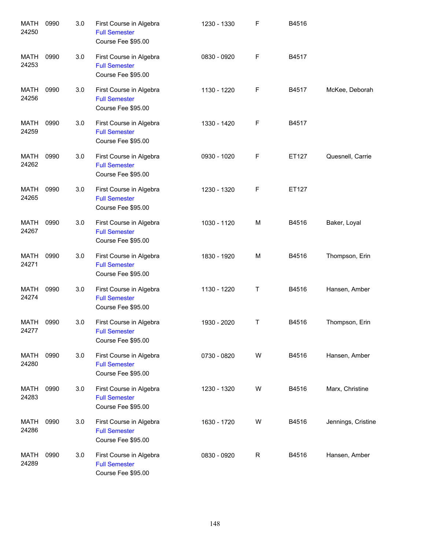| <b>MATH</b><br>24250 | 0990 | 3.0 | First Course in Algebra<br><b>Full Semester</b><br>Course Fee \$95.00 | 1230 - 1330 | F | B4516 |                    |
|----------------------|------|-----|-----------------------------------------------------------------------|-------------|---|-------|--------------------|
| MATH<br>24253        | 0990 | 3.0 | First Course in Algebra<br><b>Full Semester</b><br>Course Fee \$95.00 | 0830 - 0920 | F | B4517 |                    |
| MATH<br>24256        | 0990 | 3.0 | First Course in Algebra<br><b>Full Semester</b><br>Course Fee \$95.00 | 1130 - 1220 | F | B4517 | McKee, Deborah     |
| MATH<br>24259        | 0990 | 3.0 | First Course in Algebra<br><b>Full Semester</b><br>Course Fee \$95.00 | 1330 - 1420 | F | B4517 |                    |
| MATH<br>24262        | 0990 | 3.0 | First Course in Algebra<br><b>Full Semester</b><br>Course Fee \$95.00 | 0930 - 1020 | F | ET127 | Quesnell, Carrie   |
| MATH<br>24265        | 0990 | 3.0 | First Course in Algebra<br><b>Full Semester</b><br>Course Fee \$95.00 | 1230 - 1320 | F | ET127 |                    |
| <b>MATH</b><br>24267 | 0990 | 3.0 | First Course in Algebra<br><b>Full Semester</b><br>Course Fee \$95.00 | 1030 - 1120 | М | B4516 | Baker, Loyal       |
| <b>MATH</b><br>24271 | 0990 | 3.0 | First Course in Algebra<br><b>Full Semester</b><br>Course Fee \$95.00 | 1830 - 1920 | М | B4516 | Thompson, Erin     |
| <b>MATH</b><br>24274 | 0990 | 3.0 | First Course in Algebra<br><b>Full Semester</b><br>Course Fee \$95.00 | 1130 - 1220 | Τ | B4516 | Hansen, Amber      |
| MATH<br>24277        | 0990 | 3.0 | First Course in Algebra<br><b>Full Semester</b><br>Course Fee \$95.00 | 1930 - 2020 | Τ | B4516 | Thompson, Erin     |
| <b>MATH</b><br>24280 | 0990 | 3.0 | First Course in Algebra<br><b>Full Semester</b><br>Course Fee \$95.00 | 0730 - 0820 | W | B4516 | Hansen, Amber      |
| MATH<br>24283        | 0990 | 3.0 | First Course in Algebra<br><b>Full Semester</b><br>Course Fee \$95.00 | 1230 - 1320 | W | B4516 | Marx, Christine    |
| MATH<br>24286        | 0990 | 3.0 | First Course in Algebra<br><b>Full Semester</b><br>Course Fee \$95.00 | 1630 - 1720 | W | B4516 | Jennings, Cristine |
| MATH<br>24289        | 0990 | 3.0 | First Course in Algebra<br><b>Full Semester</b><br>Course Fee \$95.00 | 0830 - 0920 | R | B4516 | Hansen, Amber      |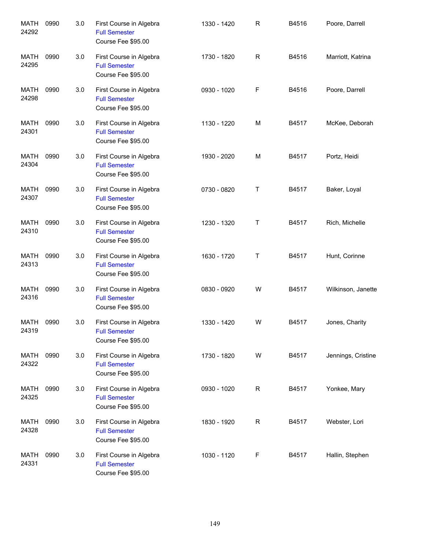| <b>MATH</b><br>24292 | 0990 | 3.0 | First Course in Algebra<br><b>Full Semester</b><br>Course Fee \$95.00 | 1330 - 1420 | $\mathsf R$ | B4516 | Poore, Darrell     |
|----------------------|------|-----|-----------------------------------------------------------------------|-------------|-------------|-------|--------------------|
| MATH<br>24295        | 0990 | 3.0 | First Course in Algebra<br><b>Full Semester</b><br>Course Fee \$95.00 | 1730 - 1820 | $\mathsf R$ | B4516 | Marriott, Katrina  |
| MATH<br>24298        | 0990 | 3.0 | First Course in Algebra<br><b>Full Semester</b><br>Course Fee \$95.00 | 0930 - 1020 | F           | B4516 | Poore, Darrell     |
| MATH<br>24301        | 0990 | 3.0 | First Course in Algebra<br><b>Full Semester</b><br>Course Fee \$95.00 | 1130 - 1220 | M           | B4517 | McKee, Deborah     |
| <b>MATH</b><br>24304 | 0990 | 3.0 | First Course in Algebra<br><b>Full Semester</b><br>Course Fee \$95.00 | 1930 - 2020 | M           | B4517 | Portz, Heidi       |
| <b>MATH</b><br>24307 | 0990 | 3.0 | First Course in Algebra<br><b>Full Semester</b><br>Course Fee \$95.00 | 0730 - 0820 | Т           | B4517 | Baker, Loyal       |
| <b>MATH</b><br>24310 | 0990 | 3.0 | First Course in Algebra<br><b>Full Semester</b><br>Course Fee \$95.00 | 1230 - 1320 | Т           | B4517 | Rich, Michelle     |
| MATH<br>24313        | 0990 | 3.0 | First Course in Algebra<br><b>Full Semester</b><br>Course Fee \$95.00 | 1630 - 1720 | Т           | B4517 | Hunt, Corinne      |
| <b>MATH</b><br>24316 | 0990 | 3.0 | First Course in Algebra<br><b>Full Semester</b><br>Course Fee \$95.00 | 0830 - 0920 | W           | B4517 | Wilkinson, Janette |
| MATH<br>24319        | 0990 | 3.0 | First Course in Algebra<br><b>Full Semester</b><br>Course Fee \$95.00 | 1330 - 1420 | W           | B4517 | Jones, Charity     |
| MATH<br>24322        | 0990 | 3.0 | First Course in Algebra<br><b>Full Semester</b><br>Course Fee \$95.00 | 1730 - 1820 | W           | B4517 | Jennings, Cristine |
| MATH<br>24325        | 0990 | 3.0 | First Course in Algebra<br><b>Full Semester</b><br>Course Fee \$95.00 | 0930 - 1020 | R           | B4517 | Yonkee, Mary       |
| MATH<br>24328        | 0990 | 3.0 | First Course in Algebra<br><b>Full Semester</b><br>Course Fee \$95.00 | 1830 - 1920 | R           | B4517 | Webster, Lori      |
| MATH<br>24331        | 0990 | 3.0 | First Course in Algebra<br><b>Full Semester</b><br>Course Fee \$95.00 | 1030 - 1120 | F           | B4517 | Hallin, Stephen    |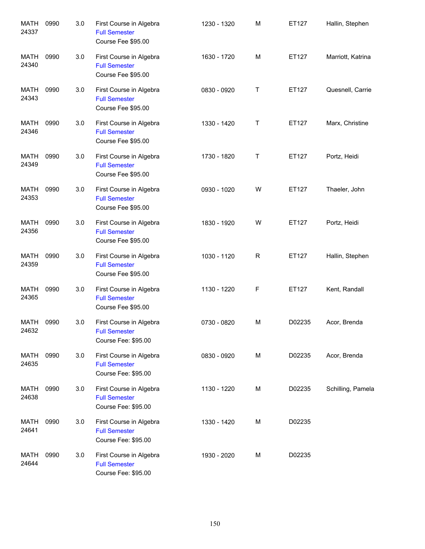| <b>MATH</b><br>24337 | 0990 | 3.0 | First Course in Algebra<br><b>Full Semester</b><br>Course Fee \$95.00  | 1230 - 1320 | M | ET127  | Hallin, Stephen   |
|----------------------|------|-----|------------------------------------------------------------------------|-------------|---|--------|-------------------|
| <b>MATH</b><br>24340 | 0990 | 3.0 | First Course in Algebra<br><b>Full Semester</b><br>Course Fee \$95.00  | 1630 - 1720 | M | ET127  | Marriott, Katrina |
| MATH<br>24343        | 0990 | 3.0 | First Course in Algebra<br><b>Full Semester</b><br>Course Fee \$95.00  | 0830 - 0920 | Τ | ET127  | Quesnell, Carrie  |
| MATH<br>24346        | 0990 | 3.0 | First Course in Algebra<br><b>Full Semester</b><br>Course Fee \$95.00  | 1330 - 1420 | Τ | ET127  | Marx, Christine   |
| <b>MATH</b><br>24349 | 0990 | 3.0 | First Course in Algebra<br><b>Full Semester</b><br>Course Fee \$95.00  | 1730 - 1820 | T | ET127  | Portz, Heidi      |
| MATH<br>24353        | 0990 | 3.0 | First Course in Algebra<br><b>Full Semester</b><br>Course Fee \$95.00  | 0930 - 1020 | W | ET127  | Thaeler, John     |
| MATH<br>24356        | 0990 | 3.0 | First Course in Algebra<br><b>Full Semester</b><br>Course Fee \$95.00  | 1830 - 1920 | W | ET127  | Portz, Heidi      |
| MATH<br>24359        | 0990 | 3.0 | First Course in Algebra<br><b>Full Semester</b><br>Course Fee \$95.00  | 1030 - 1120 | R | ET127  | Hallin, Stephen   |
| MATH<br>24365        | 0990 | 3.0 | First Course in Algebra<br><b>Full Semester</b><br>Course Fee \$95.00  | 1130 - 1220 | F | ET127  | Kent, Randall     |
| MATH<br>24632        | 0990 | 3.0 | First Course in Algebra<br><b>Full Semester</b><br>Course Fee: \$95.00 | 0730 - 0820 | M | D02235 | Acor, Brenda      |
| MATH<br>24635        | 0990 | 3.0 | First Course in Algebra<br><b>Full Semester</b><br>Course Fee: \$95.00 | 0830 - 0920 | М | D02235 | Acor, Brenda      |
| MATH<br>24638        | 0990 | 3.0 | First Course in Algebra<br><b>Full Semester</b><br>Course Fee: \$95.00 | 1130 - 1220 | М | D02235 | Schilling, Pamela |
| MATH<br>24641        | 0990 | 3.0 | First Course in Algebra<br><b>Full Semester</b><br>Course Fee: \$95.00 | 1330 - 1420 | М | D02235 |                   |
| MATH<br>24644        | 0990 | 3.0 | First Course in Algebra<br><b>Full Semester</b><br>Course Fee: \$95.00 | 1930 - 2020 | М | D02235 |                   |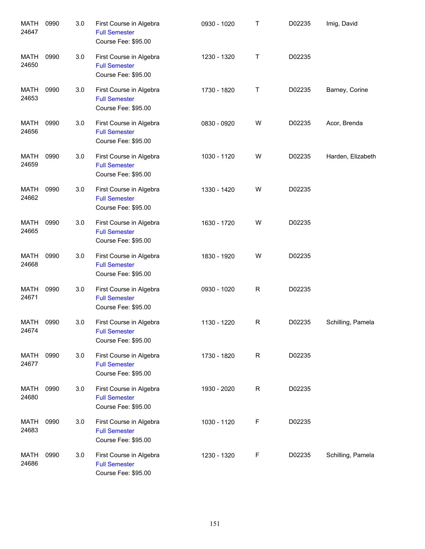| <b>MATH</b><br>24647 | 0990 | 3.0 | First Course in Algebra<br><b>Full Semester</b><br>Course Fee: \$95.00 | 0930 - 1020 | Τ | D02235 | Imig, David       |
|----------------------|------|-----|------------------------------------------------------------------------|-------------|---|--------|-------------------|
| <b>MATH</b><br>24650 | 0990 | 3.0 | First Course in Algebra<br><b>Full Semester</b><br>Course Fee: \$95.00 | 1230 - 1320 | Τ | D02235 |                   |
| MATH<br>24653        | 0990 | 3.0 | First Course in Algebra<br><b>Full Semester</b><br>Course Fee: \$95.00 | 1730 - 1820 | Т | D02235 | Barney, Corine    |
| MATH<br>24656        | 0990 | 3.0 | First Course in Algebra<br><b>Full Semester</b><br>Course Fee: \$95.00 | 0830 - 0920 | W | D02235 | Acor, Brenda      |
| MATH<br>24659        | 0990 | 3.0 | First Course in Algebra<br><b>Full Semester</b><br>Course Fee: \$95.00 | 1030 - 1120 | W | D02235 | Harden, Elizabeth |
| MATH<br>24662        | 0990 | 3.0 | First Course in Algebra<br><b>Full Semester</b><br>Course Fee: \$95.00 | 1330 - 1420 | W | D02235 |                   |
| MATH<br>24665        | 0990 | 3.0 | First Course in Algebra<br><b>Full Semester</b><br>Course Fee: \$95.00 | 1630 - 1720 | W | D02235 |                   |
| MATH<br>24668        | 0990 | 3.0 | First Course in Algebra<br><b>Full Semester</b><br>Course Fee: \$95.00 | 1830 - 1920 | W | D02235 |                   |
| MATH<br>24671        | 0990 | 3.0 | First Course in Algebra<br><b>Full Semester</b><br>Course Fee: \$95.00 | 0930 - 1020 | R | D02235 |                   |
| MATH<br>24674        | 0990 | 3.0 | First Course in Algebra<br><b>Full Semester</b><br>Course Fee: \$95.00 | 1130 - 1220 | R | D02235 | Schilling, Pamela |
| MATH<br>24677        | 0990 | 3.0 | First Course in Algebra<br><b>Full Semester</b><br>Course Fee: \$95.00 | 1730 - 1820 | R | D02235 |                   |
| <b>MATH</b><br>24680 | 0990 | 3.0 | First Course in Algebra<br><b>Full Semester</b><br>Course Fee: \$95.00 | 1930 - 2020 | R | D02235 |                   |
| MATH<br>24683        | 0990 | 3.0 | First Course in Algebra<br><b>Full Semester</b><br>Course Fee: \$95.00 | 1030 - 1120 | F | D02235 |                   |
| MATH<br>24686        | 0990 | 3.0 | First Course in Algebra<br><b>Full Semester</b><br>Course Fee: \$95.00 | 1230 - 1320 | F | D02235 | Schilling, Pamela |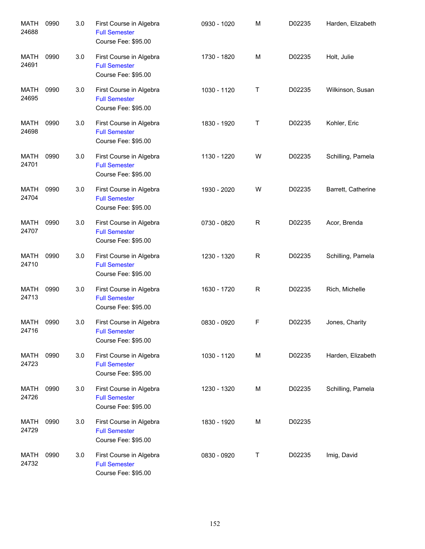| <b>MATH</b><br>24688 | 0990 | 3.0 | First Course in Algebra<br><b>Full Semester</b><br>Course Fee: \$95.00 | 0930 - 1020 | M           | D02235 | Harden, Elizabeth  |
|----------------------|------|-----|------------------------------------------------------------------------|-------------|-------------|--------|--------------------|
| MATH<br>24691        | 0990 | 3.0 | First Course in Algebra<br><b>Full Semester</b><br>Course Fee: \$95.00 | 1730 - 1820 | M           | D02235 | Holt, Julie        |
| MATH<br>24695        | 0990 | 3.0 | First Course in Algebra<br><b>Full Semester</b><br>Course Fee: \$95.00 | 1030 - 1120 | Τ           | D02235 | Wilkinson, Susan   |
| <b>MATH</b><br>24698 | 0990 | 3.0 | First Course in Algebra<br><b>Full Semester</b><br>Course Fee: \$95.00 | 1830 - 1920 | Τ           | D02235 | Kohler, Eric       |
| <b>MATH</b><br>24701 | 0990 | 3.0 | First Course in Algebra<br><b>Full Semester</b><br>Course Fee: \$95.00 | 1130 - 1220 | W           | D02235 | Schilling, Pamela  |
| MATH<br>24704        | 0990 | 3.0 | First Course in Algebra<br><b>Full Semester</b><br>Course Fee: \$95.00 | 1930 - 2020 | W           | D02235 | Barrett, Catherine |
| MATH<br>24707        | 0990 | 3.0 | First Course in Algebra<br><b>Full Semester</b><br>Course Fee: \$95.00 | 0730 - 0820 | $\mathsf R$ | D02235 | Acor, Brenda       |
| MATH<br>24710        | 0990 | 3.0 | First Course in Algebra<br><b>Full Semester</b><br>Course Fee: \$95.00 | 1230 - 1320 | $\mathsf R$ | D02235 | Schilling, Pamela  |
| <b>MATH</b><br>24713 | 0990 | 3.0 | First Course in Algebra<br><b>Full Semester</b><br>Course Fee: \$95.00 | 1630 - 1720 | $\mathsf R$ | D02235 | Rich, Michelle     |
| MATH<br>24716        | 0990 | 3.0 | First Course in Algebra<br><b>Full Semester</b><br>Course Fee: \$95.00 | 0830 - 0920 | F           | D02235 | Jones, Charity     |
| MATH<br>24723        | 0990 | 3.0 | First Course in Algebra<br><b>Full Semester</b><br>Course Fee: \$95.00 | 1030 - 1120 | M           | D02235 | Harden, Elizabeth  |
| <b>MATH</b><br>24726 | 0990 | 3.0 | First Course in Algebra<br><b>Full Semester</b><br>Course Fee: \$95.00 | 1230 - 1320 | M           | D02235 | Schilling, Pamela  |
| MATH<br>24729        | 0990 | 3.0 | First Course in Algebra<br><b>Full Semester</b><br>Course Fee: \$95.00 | 1830 - 1920 | M           | D02235 |                    |
| MATH<br>24732        | 0990 | 3.0 | First Course in Algebra<br><b>Full Semester</b><br>Course Fee: \$95.00 | 0830 - 0920 | Τ           | D02235 | Imig, David        |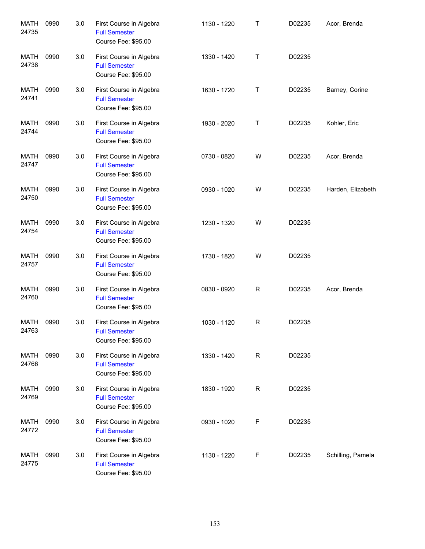| <b>MATH</b><br>24735 | 0990 | 3.0 | First Course in Algebra<br><b>Full Semester</b><br>Course Fee: \$95.00 | 1130 - 1220 | Τ           | D02235 | Acor, Brenda      |
|----------------------|------|-----|------------------------------------------------------------------------|-------------|-------------|--------|-------------------|
| MATH<br>24738        | 0990 | 3.0 | First Course in Algebra<br><b>Full Semester</b><br>Course Fee: \$95.00 | 1330 - 1420 | $\mathsf T$ | D02235 |                   |
| MATH<br>24741        | 0990 | 3.0 | First Course in Algebra<br><b>Full Semester</b><br>Course Fee: \$95.00 | 1630 - 1720 | $\mathsf T$ | D02235 | Barney, Corine    |
| MATH<br>24744        | 0990 | 3.0 | First Course in Algebra<br><b>Full Semester</b><br>Course Fee: \$95.00 | 1930 - 2020 | T           | D02235 | Kohler, Eric      |
| MATH<br>24747        | 0990 | 3.0 | First Course in Algebra<br><b>Full Semester</b><br>Course Fee: \$95.00 | 0730 - 0820 | W           | D02235 | Acor, Brenda      |
| MATH<br>24750        | 0990 | 3.0 | First Course in Algebra<br><b>Full Semester</b><br>Course Fee: \$95.00 | 0930 - 1020 | W           | D02235 | Harden, Elizabeth |
| MATH<br>24754        | 0990 | 3.0 | First Course in Algebra<br><b>Full Semester</b><br>Course Fee: \$95.00 | 1230 - 1320 | W           | D02235 |                   |
| MATH<br>24757        | 0990 | 3.0 | First Course in Algebra<br><b>Full Semester</b><br>Course Fee: \$95.00 | 1730 - 1820 | W           | D02235 |                   |
| MATH<br>24760        | 0990 | 3.0 | First Course in Algebra<br><b>Full Semester</b><br>Course Fee: \$95.00 | 0830 - 0920 | R           | D02235 | Acor, Brenda      |
| MATH<br>24763        | 0990 | 3.0 | First Course in Algebra<br><b>Full Semester</b><br>Course Fee: \$95.00 | 1030 - 1120 | R           | D02235 |                   |
| MATH<br>24766        | 0990 | 3.0 | First Course in Algebra<br><b>Full Semester</b><br>Course Fee: \$95.00 | 1330 - 1420 | R           | D02235 |                   |
| MATH<br>24769        | 0990 | 3.0 | First Course in Algebra<br><b>Full Semester</b><br>Course Fee: \$95.00 | 1830 - 1920 | R           | D02235 |                   |
| MATH<br>24772        | 0990 | 3.0 | First Course in Algebra<br><b>Full Semester</b><br>Course Fee: \$95.00 | 0930 - 1020 | F           | D02235 |                   |
| MATH<br>24775        | 0990 | 3.0 | First Course in Algebra<br><b>Full Semester</b><br>Course Fee: \$95.00 | 1130 - 1220 | F           | D02235 | Schilling, Pamela |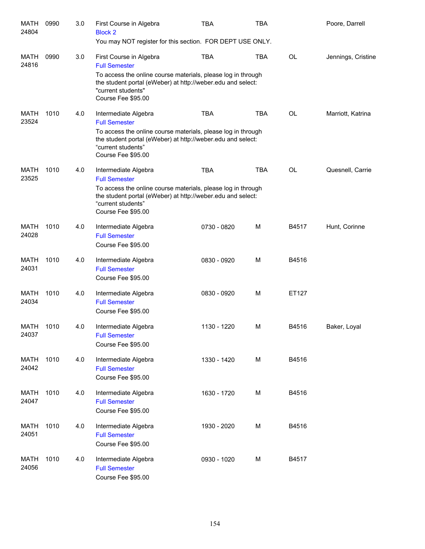| <b>MATH</b><br>24804 | 0990 | 3.0 | First Course in Algebra<br><b>Block 2</b><br>You may NOT register for this section. FOR DEPT USE ONLY.                                                                                                                     | <b>TBA</b>  | <b>TBA</b> |           | Poore, Darrell     |
|----------------------|------|-----|----------------------------------------------------------------------------------------------------------------------------------------------------------------------------------------------------------------------------|-------------|------------|-----------|--------------------|
| MATH<br>24816        | 0990 | 3.0 | First Course in Algebra<br><b>Full Semester</b><br>To access the online course materials, please log in through<br>the student portal (eWeber) at http://weber.edu and select:<br>"current students"<br>Course Fee \$95.00 | TBA         | <b>TBA</b> | <b>OL</b> | Jennings, Cristine |
| MATH<br>23524        | 1010 | 4.0 | Intermediate Algebra<br><b>Full Semester</b><br>To access the online course materials, please log in through<br>the student portal (eWeber) at http://weber.edu and select:<br>"current students"<br>Course Fee \$95.00    | <b>TBA</b>  | <b>TBA</b> | <b>OL</b> | Marriott, Katrina  |
| MATH<br>23525        | 1010 | 4.0 | Intermediate Algebra<br><b>Full Semester</b><br>To access the online course materials, please log in through<br>the student portal (eWeber) at http://weber.edu and select:<br>"current students"<br>Course Fee \$95.00    | <b>TBA</b>  | <b>TBA</b> | <b>OL</b> | Quesnell, Carrie   |
| MATH<br>24028        | 1010 | 4.0 | Intermediate Algebra<br><b>Full Semester</b><br>Course Fee \$95.00                                                                                                                                                         | 0730 - 0820 | M          | B4517     | Hunt, Corinne      |
| <b>MATH</b><br>24031 | 1010 | 4.0 | Intermediate Algebra<br><b>Full Semester</b><br>Course Fee \$95.00                                                                                                                                                         | 0830 - 0920 | M          | B4516     |                    |
| MATH<br>24034        | 1010 | 4.0 | Intermediate Algebra<br><b>Full Semester</b><br>Course Fee \$95.00                                                                                                                                                         | 0830 - 0920 | M          | ET127     |                    |
| <b>MATH</b><br>24037 | 1010 | 4.0 | Intermediate Algebra<br><b>Full Semester</b><br>Course Fee \$95.00                                                                                                                                                         | 1130 - 1220 | м          | B4516     | Baker, Loyal       |
| <b>MATH</b><br>24042 | 1010 | 4.0 | Intermediate Algebra<br><b>Full Semester</b><br>Course Fee \$95.00                                                                                                                                                         | 1330 - 1420 | M          | B4516     |                    |
| <b>MATH</b><br>24047 | 1010 | 4.0 | Intermediate Algebra<br><b>Full Semester</b><br>Course Fee \$95.00                                                                                                                                                         | 1630 - 1720 | M          | B4516     |                    |
| <b>MATH</b><br>24051 | 1010 | 4.0 | Intermediate Algebra<br><b>Full Semester</b><br>Course Fee \$95.00                                                                                                                                                         | 1930 - 2020 | M          | B4516     |                    |
| <b>MATH</b><br>24056 | 1010 | 4.0 | Intermediate Algebra<br><b>Full Semester</b><br>Course Fee \$95.00                                                                                                                                                         | 0930 - 1020 | M          | B4517     |                    |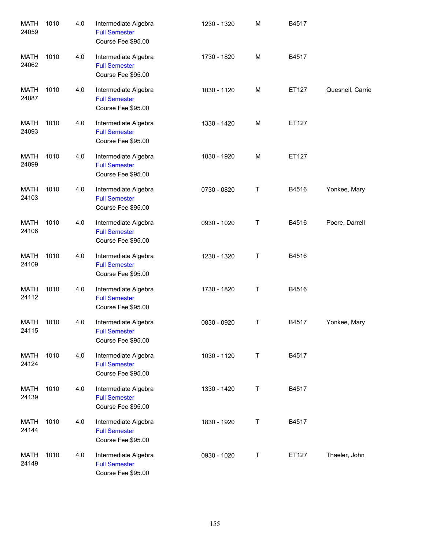| <b>MATH</b><br>24059 | 1010 | 4.0 | Intermediate Algebra<br><b>Full Semester</b><br>Course Fee \$95.00 | 1230 - 1320 | M       | B4517 |                  |
|----------------------|------|-----|--------------------------------------------------------------------|-------------|---------|-------|------------------|
| <b>MATH</b><br>24062 | 1010 | 4.0 | Intermediate Algebra<br><b>Full Semester</b><br>Course Fee \$95.00 | 1730 - 1820 | M       | B4517 |                  |
| <b>MATH</b><br>24087 | 1010 | 4.0 | Intermediate Algebra<br><b>Full Semester</b><br>Course Fee \$95.00 | 1030 - 1120 | M       | ET127 | Quesnell, Carrie |
| <b>MATH</b><br>24093 | 1010 | 4.0 | Intermediate Algebra<br><b>Full Semester</b><br>Course Fee \$95.00 | 1330 - 1420 | M       | ET127 |                  |
| <b>MATH</b><br>24099 | 1010 | 4.0 | Intermediate Algebra<br><b>Full Semester</b><br>Course Fee \$95.00 | 1830 - 1920 | M       | ET127 |                  |
| <b>MATH</b><br>24103 | 1010 | 4.0 | Intermediate Algebra<br><b>Full Semester</b><br>Course Fee \$95.00 | 0730 - 0820 | Τ       | B4516 | Yonkee, Mary     |
| <b>MATH</b><br>24106 | 1010 | 4.0 | Intermediate Algebra<br><b>Full Semester</b><br>Course Fee \$95.00 | 0930 - 1020 | Τ       | B4516 | Poore, Darrell   |
| <b>MATH</b><br>24109 | 1010 | 4.0 | Intermediate Algebra<br><b>Full Semester</b><br>Course Fee \$95.00 | 1230 - 1320 | $\sf T$ | B4516 |                  |
| <b>MATH</b><br>24112 | 1010 | 4.0 | Intermediate Algebra<br><b>Full Semester</b><br>Course Fee \$95.00 | 1730 - 1820 | Τ       | B4516 |                  |
| <b>MATH</b><br>24115 | 1010 | 4.0 | Intermediate Algebra<br><b>Full Semester</b><br>Course Fee \$95.00 | 0830 - 0920 | Τ       | B4517 | Yonkee, Mary     |
| <b>MATH</b><br>24124 | 1010 | 4.0 | Intermediate Algebra<br><b>Full Semester</b><br>Course Fee \$95.00 | 1030 - 1120 | Τ       | B4517 |                  |
| <b>MATH</b><br>24139 | 1010 | 4.0 | Intermediate Algebra<br><b>Full Semester</b><br>Course Fee \$95.00 | 1330 - 1420 | T       | B4517 |                  |
| <b>MATH</b><br>24144 | 1010 | 4.0 | Intermediate Algebra<br><b>Full Semester</b><br>Course Fee \$95.00 | 1830 - 1920 | T       | B4517 |                  |
| <b>MATH</b><br>24149 | 1010 | 4.0 | Intermediate Algebra<br><b>Full Semester</b><br>Course Fee \$95.00 | 0930 - 1020 | Τ       | ET127 | Thaeler, John    |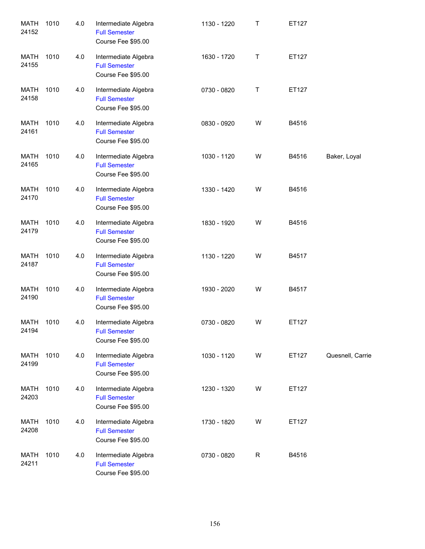| <b>MATH</b><br>24152 | 1010 | 4.0 | Intermediate Algebra<br><b>Full Semester</b><br>Course Fee \$95.00 | 1130 - 1220 | T            | ET127 |                  |
|----------------------|------|-----|--------------------------------------------------------------------|-------------|--------------|-------|------------------|
| <b>MATH</b><br>24155 | 1010 | 4.0 | Intermediate Algebra<br><b>Full Semester</b><br>Course Fee \$95.00 | 1630 - 1720 | Τ            | ET127 |                  |
| MATH<br>24158        | 1010 | 4.0 | Intermediate Algebra<br><b>Full Semester</b><br>Course Fee \$95.00 | 0730 - 0820 | Τ            | ET127 |                  |
| <b>MATH</b><br>24161 | 1010 | 4.0 | Intermediate Algebra<br><b>Full Semester</b><br>Course Fee \$95.00 | 0830 - 0920 | W            | B4516 |                  |
| <b>MATH</b><br>24165 | 1010 | 4.0 | Intermediate Algebra<br><b>Full Semester</b><br>Course Fee \$95.00 | 1030 - 1120 | W            | B4516 | Baker, Loyal     |
| <b>MATH</b><br>24170 | 1010 | 4.0 | Intermediate Algebra<br><b>Full Semester</b><br>Course Fee \$95.00 | 1330 - 1420 | W            | B4516 |                  |
| <b>MATH</b><br>24179 | 1010 | 4.0 | Intermediate Algebra<br><b>Full Semester</b><br>Course Fee \$95.00 | 1830 - 1920 | W            | B4516 |                  |
| <b>MATH</b><br>24187 | 1010 | 4.0 | Intermediate Algebra<br><b>Full Semester</b><br>Course Fee \$95.00 | 1130 - 1220 | W            | B4517 |                  |
| <b>MATH</b><br>24190 | 1010 | 4.0 | Intermediate Algebra<br><b>Full Semester</b><br>Course Fee \$95.00 | 1930 - 2020 | W            | B4517 |                  |
| <b>MATH</b><br>24194 | 1010 | 4.0 | Intermediate Algebra<br><b>Full Semester</b><br>Course Fee \$95.00 | 0730 - 0820 | W            | ET127 |                  |
| <b>MATH</b><br>24199 | 1010 | 4.0 | Intermediate Algebra<br><b>Full Semester</b><br>Course Fee \$95.00 | 1030 - 1120 | W            | ET127 | Quesnell, Carrie |
| <b>MATH</b><br>24203 | 1010 | 4.0 | Intermediate Algebra<br><b>Full Semester</b><br>Course Fee \$95.00 | 1230 - 1320 | W            | ET127 |                  |
| <b>MATH</b><br>24208 | 1010 | 4.0 | Intermediate Algebra<br><b>Full Semester</b><br>Course Fee \$95.00 | 1730 - 1820 | W            | ET127 |                  |
| <b>MATH</b><br>24211 | 1010 | 4.0 | Intermediate Algebra<br><b>Full Semester</b><br>Course Fee \$95.00 | 0730 - 0820 | $\mathsf{R}$ | B4516 |                  |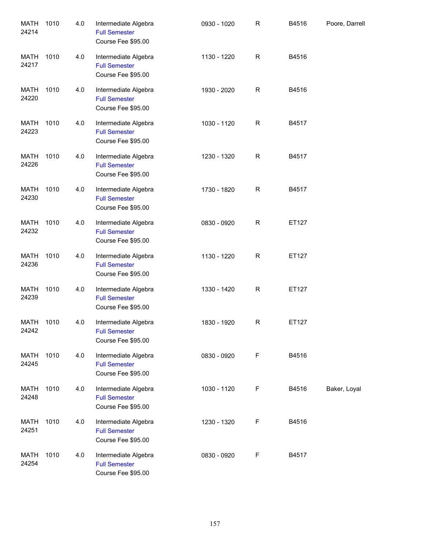| <b>MATH</b><br>24214 | 1010 | 4.0 | Intermediate Algebra<br><b>Full Semester</b><br>Course Fee \$95.00 | 0930 - 1020 | $\mathsf R$ | B4516 | Poore, Darrell |
|----------------------|------|-----|--------------------------------------------------------------------|-------------|-------------|-------|----------------|
| MATH<br>24217        | 1010 | 4.0 | Intermediate Algebra<br><b>Full Semester</b><br>Course Fee \$95.00 | 1130 - 1220 | R           | B4516 |                |
| MATH<br>24220        | 1010 | 4.0 | Intermediate Algebra<br><b>Full Semester</b><br>Course Fee \$95.00 | 1930 - 2020 | R           | B4516 |                |
| MATH<br>24223        | 1010 | 4.0 | Intermediate Algebra<br><b>Full Semester</b><br>Course Fee \$95.00 | 1030 - 1120 | R           | B4517 |                |
| MATH<br>24226        | 1010 | 4.0 | Intermediate Algebra<br><b>Full Semester</b><br>Course Fee \$95.00 | 1230 - 1320 | R           | B4517 |                |
| <b>MATH</b><br>24230 | 1010 | 4.0 | Intermediate Algebra<br><b>Full Semester</b><br>Course Fee \$95.00 | 1730 - 1820 | R           | B4517 |                |
| <b>MATH</b><br>24232 | 1010 | 4.0 | Intermediate Algebra<br><b>Full Semester</b><br>Course Fee \$95.00 | 0830 - 0920 | R           | ET127 |                |
| <b>MATH</b><br>24236 | 1010 | 4.0 | Intermediate Algebra<br><b>Full Semester</b><br>Course Fee \$95.00 | 1130 - 1220 | R           | ET127 |                |
| <b>MATH</b><br>24239 | 1010 | 4.0 | Intermediate Algebra<br><b>Full Semester</b><br>Course Fee \$95.00 | 1330 - 1420 | R           | ET127 |                |
| MATH<br>24242        | 1010 | 4.0 | Intermediate Algebra<br><b>Full Semester</b><br>Course Fee \$95.00 | 1830 - 1920 | R           | ET127 |                |
| MATH<br>24245        | 1010 | 4.0 | Intermediate Algebra<br><b>Full Semester</b><br>Course Fee \$95.00 | 0830 - 0920 | F           | B4516 |                |
| MATH<br>24248        | 1010 | 4.0 | Intermediate Algebra<br><b>Full Semester</b><br>Course Fee \$95.00 | 1030 - 1120 | F           | B4516 | Baker, Loyal   |
| MATH<br>24251        | 1010 | 4.0 | Intermediate Algebra<br><b>Full Semester</b><br>Course Fee \$95.00 | 1230 - 1320 | F           | B4516 |                |
| MATH<br>24254        | 1010 | 4.0 | Intermediate Algebra<br><b>Full Semester</b><br>Course Fee \$95.00 | 0830 - 0920 | F           | B4517 |                |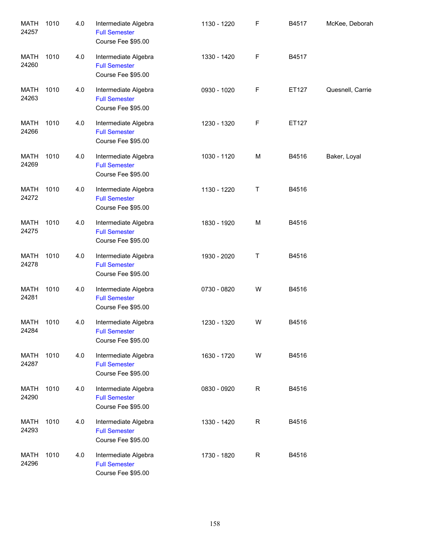| <b>MATH</b><br>24257 | 1010 | 4.0 | Intermediate Algebra<br><b>Full Semester</b><br>Course Fee \$95.00 | 1130 - 1220 | F            | B4517 | McKee, Deborah   |
|----------------------|------|-----|--------------------------------------------------------------------|-------------|--------------|-------|------------------|
| <b>MATH</b><br>24260 | 1010 | 4.0 | Intermediate Algebra<br><b>Full Semester</b><br>Course Fee \$95.00 | 1330 - 1420 | $\mathsf F$  | B4517 |                  |
| <b>MATH</b><br>24263 | 1010 | 4.0 | Intermediate Algebra<br><b>Full Semester</b><br>Course Fee \$95.00 | 0930 - 1020 | F            | ET127 | Quesnell, Carrie |
| <b>MATH</b><br>24266 | 1010 | 4.0 | Intermediate Algebra<br><b>Full Semester</b><br>Course Fee \$95.00 | 1230 - 1320 | $\mathsf F$  | ET127 |                  |
| <b>MATH</b><br>24269 | 1010 | 4.0 | Intermediate Algebra<br><b>Full Semester</b><br>Course Fee \$95.00 | 1030 - 1120 | M            | B4516 | Baker, Loyal     |
| <b>MATH</b><br>24272 | 1010 | 4.0 | Intermediate Algebra<br><b>Full Semester</b><br>Course Fee \$95.00 | 1130 - 1220 | Τ            | B4516 |                  |
| <b>MATH</b><br>24275 | 1010 | 4.0 | Intermediate Algebra<br><b>Full Semester</b><br>Course Fee \$95.00 | 1830 - 1920 | M            | B4516 |                  |
| <b>MATH</b><br>24278 | 1010 | 4.0 | Intermediate Algebra<br><b>Full Semester</b><br>Course Fee \$95.00 | 1930 - 2020 | T            | B4516 |                  |
| <b>MATH</b><br>24281 | 1010 | 4.0 | Intermediate Algebra<br><b>Full Semester</b><br>Course Fee \$95.00 | 0730 - 0820 | W            | B4516 |                  |
| MATH<br>24284        | 1010 | 4.0 | Intermediate Algebra<br><b>Full Semester</b><br>Course Fee \$95.00 | 1230 - 1320 | W            | B4516 |                  |
| <b>MATH</b><br>24287 | 1010 | 4.0 | Intermediate Algebra<br><b>Full Semester</b><br>Course Fee \$95.00 | 1630 - 1720 | W            | B4516 |                  |
| <b>MATH</b><br>24290 | 1010 | 4.0 | Intermediate Algebra<br><b>Full Semester</b><br>Course Fee \$95.00 | 0830 - 0920 | $\mathsf{R}$ | B4516 |                  |
| <b>MATH</b><br>24293 | 1010 | 4.0 | Intermediate Algebra<br><b>Full Semester</b><br>Course Fee \$95.00 | 1330 - 1420 | $\mathsf R$  | B4516 |                  |
| <b>MATH</b><br>24296 | 1010 | 4.0 | Intermediate Algebra<br><b>Full Semester</b><br>Course Fee \$95.00 | 1730 - 1820 | $\mathsf R$  | B4516 |                  |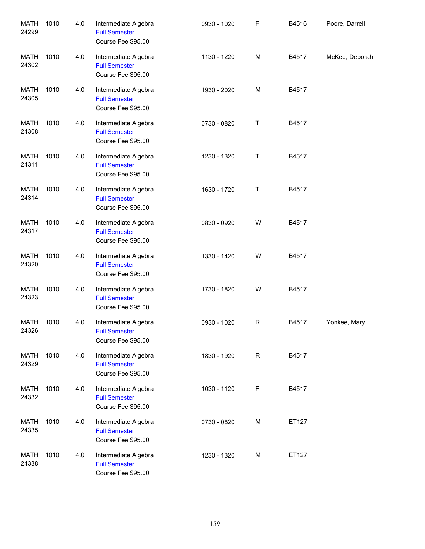| <b>MATH</b><br>24299 | 1010 | 4.0 | Intermediate Algebra<br><b>Full Semester</b><br>Course Fee \$95.00 | 0930 - 1020 | F | B4516 | Poore, Darrell |
|----------------------|------|-----|--------------------------------------------------------------------|-------------|---|-------|----------------|
| <b>MATH</b><br>24302 | 1010 | 4.0 | Intermediate Algebra<br><b>Full Semester</b><br>Course Fee \$95.00 | 1130 - 1220 | M | B4517 | McKee, Deborah |
| <b>MATH</b><br>24305 | 1010 | 4.0 | Intermediate Algebra<br><b>Full Semester</b><br>Course Fee \$95.00 | 1930 - 2020 | M | B4517 |                |
| <b>MATH</b><br>24308 | 1010 | 4.0 | Intermediate Algebra<br><b>Full Semester</b><br>Course Fee \$95.00 | 0730 - 0820 | T | B4517 |                |
| <b>MATH</b><br>24311 | 1010 | 4.0 | Intermediate Algebra<br><b>Full Semester</b><br>Course Fee \$95.00 | 1230 - 1320 | T | B4517 |                |
| <b>MATH</b><br>24314 | 1010 | 4.0 | Intermediate Algebra<br><b>Full Semester</b><br>Course Fee \$95.00 | 1630 - 1720 | Τ | B4517 |                |
| <b>MATH</b><br>24317 | 1010 | 4.0 | Intermediate Algebra<br><b>Full Semester</b><br>Course Fee \$95.00 | 0830 - 0920 | W | B4517 |                |
| <b>MATH</b><br>24320 | 1010 | 4.0 | Intermediate Algebra<br><b>Full Semester</b><br>Course Fee \$95.00 | 1330 - 1420 | W | B4517 |                |
| <b>MATH</b><br>24323 | 1010 | 4.0 | Intermediate Algebra<br><b>Full Semester</b><br>Course Fee \$95.00 | 1730 - 1820 | W | B4517 |                |
| MATH<br>24326        | 1010 | 4.0 | Intermediate Algebra<br><b>Full Semester</b><br>Course Fee \$95.00 | 0930 - 1020 | R | B4517 | Yonkee, Mary   |
| <b>MATH</b><br>24329 | 1010 | 4.0 | Intermediate Algebra<br><b>Full Semester</b><br>Course Fee \$95.00 | 1830 - 1920 | R | B4517 |                |
| <b>MATH</b><br>24332 | 1010 | 4.0 | Intermediate Algebra<br><b>Full Semester</b><br>Course Fee \$95.00 | 1030 - 1120 | F | B4517 |                |
| <b>MATH</b><br>24335 | 1010 | 4.0 | Intermediate Algebra<br><b>Full Semester</b><br>Course Fee \$95.00 | 0730 - 0820 | M | ET127 |                |
| <b>MATH</b><br>24338 | 1010 | 4.0 | Intermediate Algebra<br><b>Full Semester</b><br>Course Fee \$95.00 | 1230 - 1320 | M | ET127 |                |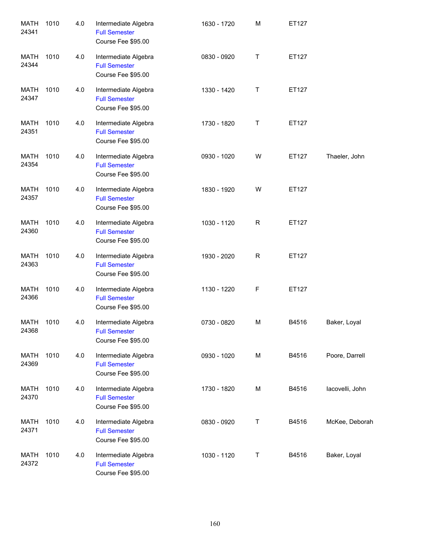| <b>MATH</b><br>24341 | 1010 | 4.0 | Intermediate Algebra<br><b>Full Semester</b><br>Course Fee \$95.00 | 1630 - 1720 | M | ET127 |                 |
|----------------------|------|-----|--------------------------------------------------------------------|-------------|---|-------|-----------------|
| MATH<br>24344        | 1010 | 4.0 | Intermediate Algebra<br><b>Full Semester</b><br>Course Fee \$95.00 | 0830 - 0920 | Τ | ET127 |                 |
| <b>MATH</b><br>24347 | 1010 | 4.0 | Intermediate Algebra<br><b>Full Semester</b><br>Course Fee \$95.00 | 1330 - 1420 | Τ | ET127 |                 |
| <b>MATH</b><br>24351 | 1010 | 4.0 | Intermediate Algebra<br><b>Full Semester</b><br>Course Fee \$95.00 | 1730 - 1820 | T | ET127 |                 |
| <b>MATH</b><br>24354 | 1010 | 4.0 | Intermediate Algebra<br><b>Full Semester</b><br>Course Fee \$95.00 | 0930 - 1020 | W | ET127 | Thaeler, John   |
| <b>MATH</b><br>24357 | 1010 | 4.0 | Intermediate Algebra<br><b>Full Semester</b><br>Course Fee \$95.00 | 1830 - 1920 | W | ET127 |                 |
| <b>MATH</b><br>24360 | 1010 | 4.0 | Intermediate Algebra<br><b>Full Semester</b><br>Course Fee \$95.00 | 1030 - 1120 | R | ET127 |                 |
| <b>MATH</b><br>24363 | 1010 | 4.0 | Intermediate Algebra<br><b>Full Semester</b><br>Course Fee \$95.00 | 1930 - 2020 | R | ET127 |                 |
| <b>MATH</b><br>24366 | 1010 | 4.0 | Intermediate Algebra<br><b>Full Semester</b><br>Course Fee \$95.00 | 1130 - 1220 | F | ET127 |                 |
| MATH<br>24368        | 1010 | 4.0 | Intermediate Algebra<br><b>Full Semester</b><br>Course Fee \$95.00 | 0730 - 0820 | M | B4516 | Baker, Loyal    |
| MATH<br>24369        | 1010 | 4.0 | Intermediate Algebra<br><b>Full Semester</b><br>Course Fee \$95.00 | 0930 - 1020 | M | B4516 | Poore, Darrell  |
| MATH<br>24370        | 1010 | 4.0 | Intermediate Algebra<br><b>Full Semester</b><br>Course Fee \$95.00 | 1730 - 1820 | M | B4516 | lacovelli, John |
| MATH<br>24371        | 1010 | 4.0 | Intermediate Algebra<br><b>Full Semester</b><br>Course Fee \$95.00 | 0830 - 0920 | Τ | B4516 | McKee, Deborah  |
| <b>MATH</b><br>24372 | 1010 | 4.0 | Intermediate Algebra<br><b>Full Semester</b><br>Course Fee \$95.00 | 1030 - 1120 | T | B4516 | Baker, Loyal    |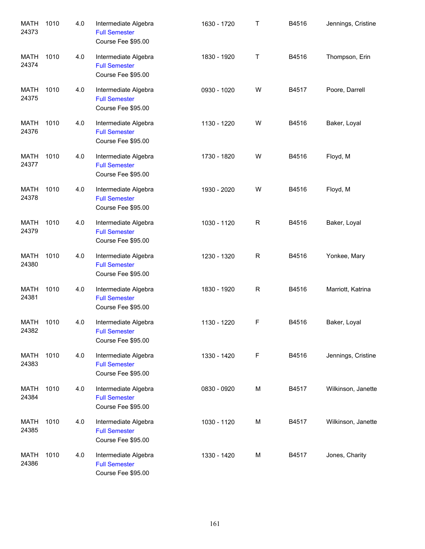| <b>MATH</b><br>24373 | 1010 | 4.0 | Intermediate Algebra<br><b>Full Semester</b><br>Course Fee \$95.00 | 1630 - 1720 | Т           | B4516 | Jennings, Cristine |
|----------------------|------|-----|--------------------------------------------------------------------|-------------|-------------|-------|--------------------|
| <b>MATH</b><br>24374 | 1010 | 4.0 | Intermediate Algebra<br><b>Full Semester</b><br>Course Fee \$95.00 | 1830 - 1920 | Т           | B4516 | Thompson, Erin     |
| <b>MATH</b><br>24375 | 1010 | 4.0 | Intermediate Algebra<br><b>Full Semester</b><br>Course Fee \$95.00 | 0930 - 1020 | W           | B4517 | Poore, Darrell     |
| MATH<br>24376        | 1010 | 4.0 | Intermediate Algebra<br><b>Full Semester</b><br>Course Fee \$95.00 | 1130 - 1220 | W           | B4516 | Baker, Loyal       |
| MATH<br>24377        | 1010 | 4.0 | Intermediate Algebra<br><b>Full Semester</b><br>Course Fee \$95.00 | 1730 - 1820 | W           | B4516 | Floyd, M           |
| MATH<br>24378        | 1010 | 4.0 | Intermediate Algebra<br><b>Full Semester</b><br>Course Fee \$95.00 | 1930 - 2020 | W           | B4516 | Floyd, M           |
| <b>MATH</b><br>24379 | 1010 | 4.0 | Intermediate Algebra<br><b>Full Semester</b><br>Course Fee \$95.00 | 1030 - 1120 | $\mathsf R$ | B4516 | Baker, Loyal       |
| <b>MATH</b><br>24380 | 1010 | 4.0 | Intermediate Algebra<br><b>Full Semester</b><br>Course Fee \$95.00 | 1230 - 1320 | $\mathsf R$ | B4516 | Yonkee, Mary       |
| <b>MATH</b><br>24381 | 1010 | 4.0 | Intermediate Algebra<br><b>Full Semester</b><br>Course Fee \$95.00 | 1830 - 1920 | $\mathsf R$ | B4516 | Marriott, Katrina  |
| MATH<br>24382        | 1010 | 4.0 | Intermediate Algebra<br><b>Full Semester</b><br>Course Fee \$95.00 | 1130 - 1220 | F           | B4516 | Baker, Loyal       |
| <b>MATH</b><br>24383 | 1010 | 4.0 | Intermediate Algebra<br><b>Full Semester</b><br>Course Fee \$95.00 | 1330 - 1420 | F           | B4516 | Jennings, Cristine |
| MATH<br>24384        | 1010 | 4.0 | Intermediate Algebra<br><b>Full Semester</b><br>Course Fee \$95.00 | 0830 - 0920 | M           | B4517 | Wilkinson, Janette |
| MATH<br>24385        | 1010 | 4.0 | Intermediate Algebra<br><b>Full Semester</b><br>Course Fee \$95.00 | 1030 - 1120 | M           | B4517 | Wilkinson, Janette |
| MATH<br>24386        | 1010 | 4.0 | Intermediate Algebra<br><b>Full Semester</b><br>Course Fee \$95.00 | 1330 - 1420 | M           | B4517 | Jones, Charity     |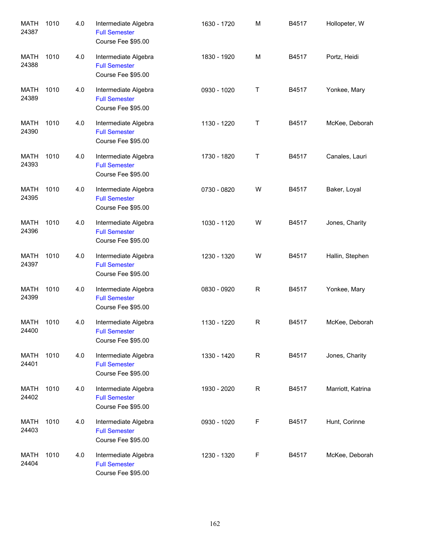| <b>MATH</b><br>24387 | 1010 | 4.0 | Intermediate Algebra<br><b>Full Semester</b><br>Course Fee \$95.00 | 1630 - 1720 | M           | B4517 | Hollopeter, W     |
|----------------------|------|-----|--------------------------------------------------------------------|-------------|-------------|-------|-------------------|
| <b>MATH</b><br>24388 | 1010 | 4.0 | Intermediate Algebra<br><b>Full Semester</b><br>Course Fee \$95.00 | 1830 - 1920 | M           | B4517 | Portz, Heidi      |
| <b>MATH</b><br>24389 | 1010 | 4.0 | Intermediate Algebra<br><b>Full Semester</b><br>Course Fee \$95.00 | 0930 - 1020 | T           | B4517 | Yonkee, Mary      |
| MATH<br>24390        | 1010 | 4.0 | Intermediate Algebra<br><b>Full Semester</b><br>Course Fee \$95.00 | 1130 - 1220 | T           | B4517 | McKee, Deborah    |
| MATH<br>24393        | 1010 | 4.0 | Intermediate Algebra<br><b>Full Semester</b><br>Course Fee \$95.00 | 1730 - 1820 | T           | B4517 | Canales, Lauri    |
| MATH<br>24395        | 1010 | 4.0 | Intermediate Algebra<br><b>Full Semester</b><br>Course Fee \$95.00 | 0730 - 0820 | W           | B4517 | Baker, Loyal      |
| MATH<br>24396        | 1010 | 4.0 | Intermediate Algebra<br><b>Full Semester</b><br>Course Fee \$95.00 | 1030 - 1120 | W           | B4517 | Jones, Charity    |
| MATH<br>24397        | 1010 | 4.0 | Intermediate Algebra<br><b>Full Semester</b><br>Course Fee \$95.00 | 1230 - 1320 | W           | B4517 | Hallin, Stephen   |
| MATH<br>24399        | 1010 | 4.0 | Intermediate Algebra<br><b>Full Semester</b><br>Course Fee \$95.00 | 0830 - 0920 | R           | B4517 | Yonkee, Mary      |
| MATH<br>24400        | 1010 | 4.0 | Intermediate Algebra<br><b>Full Semester</b><br>Course Fee \$95.00 | 1130 - 1220 | $\mathsf R$ | B4517 | McKee, Deborah    |
| <b>MATH</b><br>24401 | 1010 | 4.0 | Intermediate Algebra<br><b>Full Semester</b><br>Course Fee \$95.00 | 1330 - 1420 | R           | B4517 | Jones, Charity    |
| <b>MATH</b><br>24402 | 1010 | 4.0 | Intermediate Algebra<br><b>Full Semester</b><br>Course Fee \$95.00 | 1930 - 2020 | R           | B4517 | Marriott, Katrina |
| MATH<br>24403        | 1010 | 4.0 | Intermediate Algebra<br><b>Full Semester</b><br>Course Fee \$95.00 | 0930 - 1020 | F           | B4517 | Hunt, Corinne     |
| MATH<br>24404        | 1010 | 4.0 | Intermediate Algebra<br><b>Full Semester</b><br>Course Fee \$95.00 | 1230 - 1320 | F           | B4517 | McKee, Deborah    |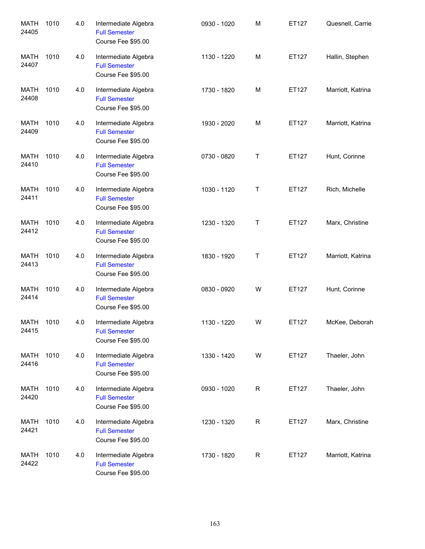| <b>MATH</b><br>24405 | 1010 | 4.0 | Intermediate Algebra<br><b>Full Semester</b><br>Course Fee \$95.00 | 0930 - 1020 | M           | ET127 | Quesnell, Carrie  |
|----------------------|------|-----|--------------------------------------------------------------------|-------------|-------------|-------|-------------------|
| <b>MATH</b><br>24407 | 1010 | 4.0 | Intermediate Algebra<br><b>Full Semester</b><br>Course Fee \$95.00 | 1130 - 1220 | M           | ET127 | Hallin, Stephen   |
| <b>MATH</b><br>24408 | 1010 | 4.0 | Intermediate Algebra<br><b>Full Semester</b><br>Course Fee \$95.00 | 1730 - 1820 | M           | ET127 | Marriott, Katrina |
| MATH<br>24409        | 1010 | 4.0 | Intermediate Algebra<br><b>Full Semester</b><br>Course Fee \$95.00 | 1930 - 2020 | M           | ET127 | Marriott, Katrina |
| <b>MATH</b><br>24410 | 1010 | 4.0 | Intermediate Algebra<br><b>Full Semester</b><br>Course Fee \$95.00 | 0730 - 0820 | Τ           | ET127 | Hunt, Corinne     |
| <b>MATH</b><br>24411 | 1010 | 4.0 | Intermediate Algebra<br><b>Full Semester</b><br>Course Fee \$95.00 | 1030 - 1120 | Τ           | ET127 | Rich, Michelle    |
| <b>MATH</b><br>24412 | 1010 | 4.0 | Intermediate Algebra<br><b>Full Semester</b><br>Course Fee \$95.00 | 1230 - 1320 | Τ           | ET127 | Marx, Christine   |
| <b>MATH</b><br>24413 | 1010 | 4.0 | Intermediate Algebra<br><b>Full Semester</b><br>Course Fee \$95.00 | 1830 - 1920 | Τ           | ET127 | Marriott, Katrina |
| <b>MATH</b><br>24414 | 1010 | 4.0 | Intermediate Algebra<br><b>Full Semester</b><br>Course Fee \$95.00 | 0830 - 0920 | W           | ET127 | Hunt, Corinne     |
| MATH<br>24415        | 1010 | 4.0 | Intermediate Algebra<br><b>Full Semester</b><br>Course Fee \$95.00 | 1130 - 1220 | W           | ET127 | McKee, Deborah    |
| <b>MATH</b><br>24416 | 1010 | 4.0 | Intermediate Algebra<br><b>Full Semester</b><br>Course Fee \$95.00 | 1330 - 1420 | W           | ET127 | Thaeler, John     |
| MATH<br>24420        | 1010 | 4.0 | Intermediate Algebra<br><b>Full Semester</b><br>Course Fee \$95.00 | 0930 - 1020 | $\mathsf R$ | ET127 | Thaeler, John     |
| MATH<br>24421        | 1010 | 4.0 | Intermediate Algebra<br><b>Full Semester</b><br>Course Fee \$95.00 | 1230 - 1320 | $\mathsf R$ | ET127 | Marx, Christine   |
| MATH<br>24422        | 1010 | 4.0 | Intermediate Algebra<br><b>Full Semester</b><br>Course Fee \$95.00 | 1730 - 1820 | $\mathsf R$ | ET127 | Marriott, Katrina |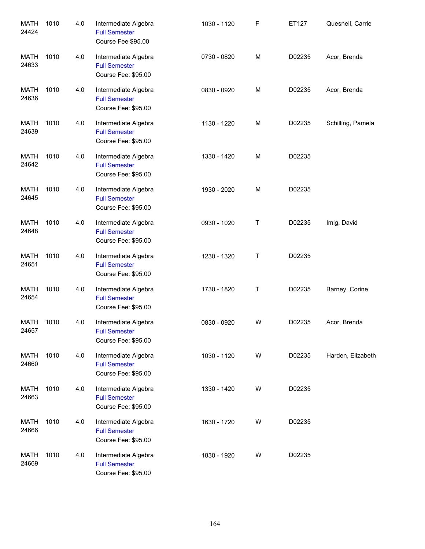| <b>MATH</b><br>24424 | 1010 | 4.0 | Intermediate Algebra<br><b>Full Semester</b><br>Course Fee \$95.00  | 1030 - 1120 | F | ET127  | Quesnell, Carrie  |
|----------------------|------|-----|---------------------------------------------------------------------|-------------|---|--------|-------------------|
| MATH<br>24633        | 1010 | 4.0 | Intermediate Algebra<br><b>Full Semester</b><br>Course Fee: \$95.00 | 0730 - 0820 | М | D02235 | Acor, Brenda      |
| MATH<br>24636        | 1010 | 4.0 | Intermediate Algebra<br><b>Full Semester</b><br>Course Fee: \$95.00 | 0830 - 0920 | М | D02235 | Acor, Brenda      |
| <b>MATH</b><br>24639 | 1010 | 4.0 | Intermediate Algebra<br><b>Full Semester</b><br>Course Fee: \$95.00 | 1130 - 1220 | М | D02235 | Schilling, Pamela |
| <b>MATH</b><br>24642 | 1010 | 4.0 | Intermediate Algebra<br><b>Full Semester</b><br>Course Fee: \$95.00 | 1330 - 1420 | М | D02235 |                   |
| MATH<br>24645        | 1010 | 4.0 | Intermediate Algebra<br><b>Full Semester</b><br>Course Fee: \$95.00 | 1930 - 2020 | М | D02235 |                   |
| <b>MATH</b><br>24648 | 1010 | 4.0 | Intermediate Algebra<br><b>Full Semester</b><br>Course Fee: \$95.00 | 0930 - 1020 | Τ | D02235 | Imig, David       |
| <b>MATH</b><br>24651 | 1010 | 4.0 | Intermediate Algebra<br><b>Full Semester</b><br>Course Fee: \$95.00 | 1230 - 1320 | Τ | D02235 |                   |
| MATH<br>24654        | 1010 | 4.0 | Intermediate Algebra<br><b>Full Semester</b><br>Course Fee: \$95.00 | 1730 - 1820 | T | D02235 | Barney, Corine    |
| MATH<br>24657        | 1010 | 4.0 | Intermediate Algebra<br><b>Full Semester</b><br>Course Fee: \$95.00 | 0830 - 0920 | W | D02235 | Acor, Brenda      |
| <b>MATH</b><br>24660 | 1010 | 4.0 | Intermediate Algebra<br><b>Full Semester</b><br>Course Fee: \$95.00 | 1030 - 1120 | W | D02235 | Harden, Elizabeth |
| <b>MATH</b><br>24663 | 1010 | 4.0 | Intermediate Algebra<br><b>Full Semester</b><br>Course Fee: \$95.00 | 1330 - 1420 | W | D02235 |                   |
| <b>MATH</b><br>24666 | 1010 | 4.0 | Intermediate Algebra<br><b>Full Semester</b><br>Course Fee: \$95.00 | 1630 - 1720 | W | D02235 |                   |
| MATH<br>24669        | 1010 | 4.0 | Intermediate Algebra<br><b>Full Semester</b><br>Course Fee: \$95.00 | 1830 - 1920 | W | D02235 |                   |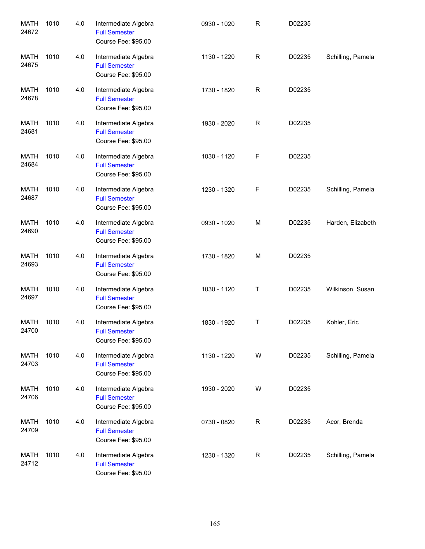| <b>MATH</b><br>24672 | 1010 | 4.0 | Intermediate Algebra<br><b>Full Semester</b><br>Course Fee: \$95.00 | 0930 - 1020 | R           | D02235 |                   |
|----------------------|------|-----|---------------------------------------------------------------------|-------------|-------------|--------|-------------------|
| <b>MATH</b><br>24675 | 1010 | 4.0 | Intermediate Algebra<br><b>Full Semester</b><br>Course Fee: \$95.00 | 1130 - 1220 | $\mathsf R$ | D02235 | Schilling, Pamela |
| <b>MATH</b><br>24678 | 1010 | 4.0 | Intermediate Algebra<br><b>Full Semester</b><br>Course Fee: \$95.00 | 1730 - 1820 | R           | D02235 |                   |
| <b>MATH</b><br>24681 | 1010 | 4.0 | Intermediate Algebra<br><b>Full Semester</b><br>Course Fee: \$95.00 | 1930 - 2020 | $\mathsf R$ | D02235 |                   |
| <b>MATH</b><br>24684 | 1010 | 4.0 | Intermediate Algebra<br><b>Full Semester</b><br>Course Fee: \$95.00 | 1030 - 1120 | F           | D02235 |                   |
| <b>MATH</b><br>24687 | 1010 | 4.0 | Intermediate Algebra<br><b>Full Semester</b><br>Course Fee: \$95.00 | 1230 - 1320 | F           | D02235 | Schilling, Pamela |
| <b>MATH</b><br>24690 | 1010 | 4.0 | Intermediate Algebra<br><b>Full Semester</b><br>Course Fee: \$95.00 | 0930 - 1020 | M           | D02235 | Harden, Elizabeth |
| <b>MATH</b><br>24693 | 1010 | 4.0 | Intermediate Algebra<br><b>Full Semester</b><br>Course Fee: \$95.00 | 1730 - 1820 | M           | D02235 |                   |
| <b>MATH</b><br>24697 | 1010 | 4.0 | Intermediate Algebra<br><b>Full Semester</b><br>Course Fee: \$95.00 | 1030 - 1120 | Т           | D02235 | Wilkinson, Susan  |
| MATH<br>24700        | 1010 | 4.0 | Intermediate Algebra<br><b>Full Semester</b><br>Course Fee: \$95.00 | 1830 - 1920 | Τ           | D02235 | Kohler, Eric      |
| MATH<br>24703        | 1010 | 4.0 | Intermediate Algebra<br><b>Full Semester</b><br>Course Fee: \$95.00 | 1130 - 1220 | W           | D02235 | Schilling, Pamela |
| MATH<br>24706        | 1010 | 4.0 | Intermediate Algebra<br><b>Full Semester</b><br>Course Fee: \$95.00 | 1930 - 2020 | W           | D02235 |                   |
| MATH<br>24709        | 1010 | 4.0 | Intermediate Algebra<br><b>Full Semester</b><br>Course Fee: \$95.00 | 0730 - 0820 | R           | D02235 | Acor, Brenda      |
| MATH<br>24712        | 1010 | 4.0 | Intermediate Algebra<br><b>Full Semester</b><br>Course Fee: \$95.00 | 1230 - 1320 | $\mathsf R$ | D02235 | Schilling, Pamela |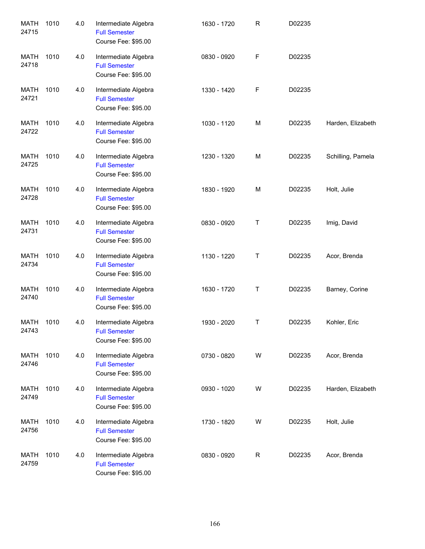| <b>MATH</b><br>24715 | 1010 | 4.0 | Intermediate Algebra<br><b>Full Semester</b><br>Course Fee: \$95.00 | 1630 - 1720 | R | D02235 |                   |
|----------------------|------|-----|---------------------------------------------------------------------|-------------|---|--------|-------------------|
| <b>MATH</b><br>24718 | 1010 | 4.0 | Intermediate Algebra<br><b>Full Semester</b><br>Course Fee: \$95.00 | 0830 - 0920 | F | D02235 |                   |
| <b>MATH</b><br>24721 | 1010 | 4.0 | Intermediate Algebra<br><b>Full Semester</b><br>Course Fee: \$95.00 | 1330 - 1420 | F | D02235 |                   |
| <b>MATH</b><br>24722 | 1010 | 4.0 | Intermediate Algebra<br><b>Full Semester</b><br>Course Fee: \$95.00 | 1030 - 1120 | M | D02235 | Harden, Elizabeth |
| <b>MATH</b><br>24725 | 1010 | 4.0 | Intermediate Algebra<br><b>Full Semester</b><br>Course Fee: \$95.00 | 1230 - 1320 | M | D02235 | Schilling, Pamela |
| <b>MATH</b><br>24728 | 1010 | 4.0 | Intermediate Algebra<br><b>Full Semester</b><br>Course Fee: \$95.00 | 1830 - 1920 | M | D02235 | Holt, Julie       |
| <b>MATH</b><br>24731 | 1010 | 4.0 | Intermediate Algebra<br><b>Full Semester</b><br>Course Fee: \$95.00 | 0830 - 0920 | Т | D02235 | Imig, David       |
| <b>MATH</b><br>24734 | 1010 | 4.0 | Intermediate Algebra<br><b>Full Semester</b><br>Course Fee: \$95.00 | 1130 - 1220 | Т | D02235 | Acor, Brenda      |
| <b>MATH</b><br>24740 | 1010 | 4.0 | Intermediate Algebra<br><b>Full Semester</b><br>Course Fee: \$95.00 | 1630 - 1720 | Τ | D02235 | Barney, Corine    |
| MATH<br>24743        | 1010 | 4.0 | Intermediate Algebra<br><b>Full Semester</b><br>Course Fee: \$95.00 | 1930 - 2020 | Τ | D02235 | Kohler, Eric      |
| <b>MATH</b><br>24746 | 1010 | 4.0 | Intermediate Algebra<br><b>Full Semester</b><br>Course Fee: \$95.00 | 0730 - 0820 | W | D02235 | Acor, Brenda      |
| <b>MATH</b><br>24749 | 1010 | 4.0 | Intermediate Algebra<br><b>Full Semester</b><br>Course Fee: \$95.00 | 0930 - 1020 | W | D02235 | Harden, Elizabeth |
| <b>MATH</b><br>24756 | 1010 | 4.0 | Intermediate Algebra<br><b>Full Semester</b><br>Course Fee: \$95.00 | 1730 - 1820 | W | D02235 | Holt, Julie       |
| <b>MATH</b><br>24759 | 1010 | 4.0 | Intermediate Algebra<br><b>Full Semester</b><br>Course Fee: \$95.00 | 0830 - 0920 | R | D02235 | Acor, Brenda      |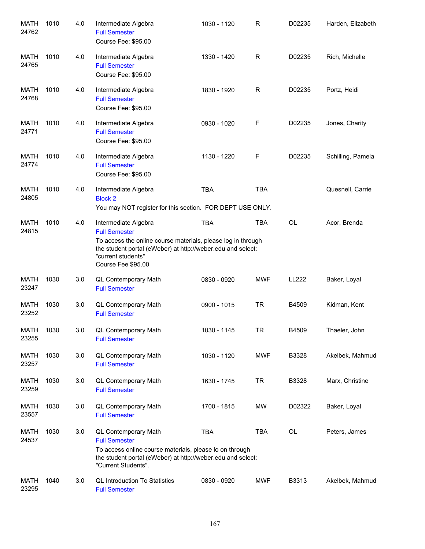| <b>MATH</b><br>24762 | 1010 | 4.0 | Intermediate Algebra<br><b>Full Semester</b><br>Course Fee: \$95.00                                                                                                                                                     | 1030 - 1120 | R          | D02235       | Harden, Elizabeth |
|----------------------|------|-----|-------------------------------------------------------------------------------------------------------------------------------------------------------------------------------------------------------------------------|-------------|------------|--------------|-------------------|
| MATH<br>24765        | 1010 | 4.0 | Intermediate Algebra<br><b>Full Semester</b><br>Course Fee: \$95.00                                                                                                                                                     | 1330 - 1420 | R          | D02235       | Rich, Michelle    |
| MATH<br>24768        | 1010 | 4.0 | Intermediate Algebra<br><b>Full Semester</b><br>Course Fee: \$95.00                                                                                                                                                     | 1830 - 1920 | R          | D02235       | Portz, Heidi      |
| MATH<br>24771        | 1010 | 4.0 | Intermediate Algebra<br><b>Full Semester</b><br>Course Fee: \$95.00                                                                                                                                                     | 0930 - 1020 | F          | D02235       | Jones, Charity    |
| MATH<br>24774        | 1010 | 4.0 | Intermediate Algebra<br><b>Full Semester</b><br>Course Fee: \$95.00                                                                                                                                                     | 1130 - 1220 | F          | D02235       | Schilling, Pamela |
| MATH<br>24805        | 1010 | 4.0 | Intermediate Algebra<br><b>Block 2</b><br>You may NOT register for this section. FOR DEPT USE ONLY.                                                                                                                     | <b>TBA</b>  | <b>TBA</b> |              | Quesnell, Carrie  |
| MATH<br>24815        | 1010 | 4.0 | Intermediate Algebra<br><b>Full Semester</b><br>To access the online course materials, please log in through<br>the student portal (eWeber) at http://weber.edu and select:<br>"current students"<br>Course Fee \$95.00 | <b>TBA</b>  | <b>TBA</b> | OL           | Acor, Brenda      |
| <b>MATH</b><br>23247 | 1030 | 3.0 | QL Contemporary Math<br><b>Full Semester</b>                                                                                                                                                                            | 0830 - 0920 | <b>MWF</b> | <b>LL222</b> | Baker, Loyal      |
| <b>MATH</b><br>23252 | 1030 | 3.0 | <b>QL Contemporary Math</b><br><b>Full Semester</b>                                                                                                                                                                     | 0900 - 1015 | <b>TR</b>  | B4509        | Kidman, Kent      |
| <b>MATH</b><br>23255 | 1030 | 3.0 | QL Contemporary Math<br><b>Full Semester</b>                                                                                                                                                                            | 1030 - 1145 | <b>TR</b>  | B4509        | Thaeler, John     |
| MATH<br>23257        | 1030 | 3.0 | QL Contemporary Math<br><b>Full Semester</b>                                                                                                                                                                            | 1030 - 1120 | <b>MWF</b> | B3328        | Akelbek, Mahmud   |
| <b>MATH</b><br>23259 | 1030 | 3.0 | QL Contemporary Math<br><b>Full Semester</b>                                                                                                                                                                            | 1630 - 1745 | <b>TR</b>  | B3328        | Marx, Christine   |
| MATH<br>23557        | 1030 | 3.0 | QL Contemporary Math<br><b>Full Semester</b>                                                                                                                                                                            | 1700 - 1815 | MW         | D02322       | Baker, Loyal      |
| <b>MATH</b><br>24537 | 1030 | 3.0 | QL Contemporary Math<br><b>Full Semester</b><br>To access online course materials, please lo on through<br>the student portal (eWeber) at http://weber.edu and select:<br>"Current Students".                           | <b>TBA</b>  | TBA        | OL           | Peters, James     |
| MATH<br>23295        | 1040 | 3.0 | <b>QL Introduction To Statistics</b><br><b>Full Semester</b>                                                                                                                                                            | 0830 - 0920 | MWF        | B3313        | Akelbek, Mahmud   |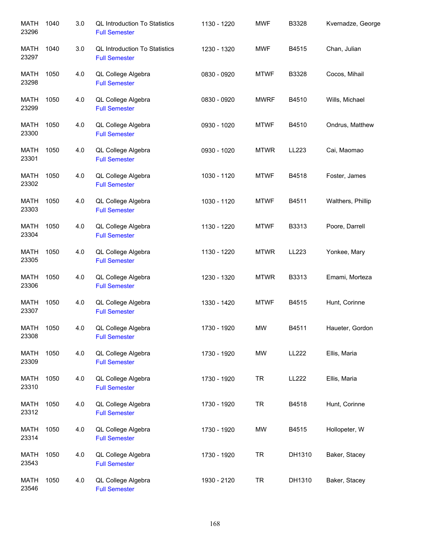| <b>MATH</b><br>23296 | 1040 | 3.0 | <b>QL Introduction To Statistics</b><br><b>Full Semester</b> | 1130 - 1220 | <b>MWF</b>  | B3328  | Kvernadze, George |
|----------------------|------|-----|--------------------------------------------------------------|-------------|-------------|--------|-------------------|
| <b>MATH</b><br>23297 | 1040 | 3.0 | <b>QL Introduction To Statistics</b><br><b>Full Semester</b> | 1230 - 1320 | <b>MWF</b>  | B4515  | Chan, Julian      |
| MATH<br>23298        | 1050 | 4.0 | QL College Algebra<br><b>Full Semester</b>                   | 0830 - 0920 | <b>MTWF</b> | B3328  | Cocos, Mihail     |
| <b>MATH</b><br>23299 | 1050 | 4.0 | QL College Algebra<br><b>Full Semester</b>                   | 0830 - 0920 | <b>MWRF</b> | B4510  | Wills, Michael    |
| MATH<br>23300        | 1050 | 4.0 | QL College Algebra<br><b>Full Semester</b>                   | 0930 - 1020 | <b>MTWF</b> | B4510  | Ondrus, Matthew   |
| <b>MATH</b><br>23301 | 1050 | 4.0 | QL College Algebra<br><b>Full Semester</b>                   | 0930 - 1020 | <b>MTWR</b> | LL223  | Cai, Maomao       |
| <b>MATH</b><br>23302 | 1050 | 4.0 | QL College Algebra<br><b>Full Semester</b>                   | 1030 - 1120 | <b>MTWF</b> | B4518  | Foster, James     |
| <b>MATH</b><br>23303 | 1050 | 4.0 | QL College Algebra<br><b>Full Semester</b>                   | 1030 - 1120 | <b>MTWF</b> | B4511  | Walthers, Phillip |
| <b>MATH</b><br>23304 | 1050 | 4.0 | QL College Algebra<br><b>Full Semester</b>                   | 1130 - 1220 | <b>MTWF</b> | B3313  | Poore, Darrell    |
| <b>MATH</b><br>23305 | 1050 | 4.0 | QL College Algebra<br><b>Full Semester</b>                   | 1130 - 1220 | <b>MTWR</b> | LL223  | Yonkee, Mary      |
| <b>MATH</b><br>23306 | 1050 | 4.0 | QL College Algebra<br><b>Full Semester</b>                   | 1230 - 1320 | <b>MTWR</b> | B3313  | Emami, Morteza    |
| <b>MATH</b><br>23307 | 1050 | 4.0 | QL College Algebra<br><b>Full Semester</b>                   | 1330 - 1420 | <b>MTWF</b> | B4515  | Hunt, Corinne     |
| <b>MATH</b><br>23308 | 1050 | 4.0 | QL College Algebra<br><b>Full Semester</b>                   | 1730 - 1920 | <b>MW</b>   | B4511  | Haueter, Gordon   |
| MATH<br>23309        | 1050 | 4.0 | QL College Algebra<br><b>Full Semester</b>                   | 1730 - 1920 | <b>MW</b>   | LL222  | Ellis, Maria      |
| <b>MATH</b><br>23310 | 1050 | 4.0 | QL College Algebra<br><b>Full Semester</b>                   | 1730 - 1920 | <b>TR</b>   | LL222  | Ellis, Maria      |
| MATH<br>23312        | 1050 | 4.0 | QL College Algebra<br><b>Full Semester</b>                   | 1730 - 1920 | <b>TR</b>   | B4518  | Hunt, Corinne     |
| <b>MATH</b><br>23314 | 1050 | 4.0 | QL College Algebra<br><b>Full Semester</b>                   | 1730 - 1920 | <b>MW</b>   | B4515  | Hollopeter, W     |
| <b>MATH</b><br>23543 | 1050 | 4.0 | QL College Algebra<br><b>Full Semester</b>                   | 1730 - 1920 | <b>TR</b>   | DH1310 | Baker, Stacey     |
| <b>MATH</b><br>23546 | 1050 | 4.0 | QL College Algebra<br><b>Full Semester</b>                   | 1930 - 2120 | <b>TR</b>   | DH1310 | Baker, Stacey     |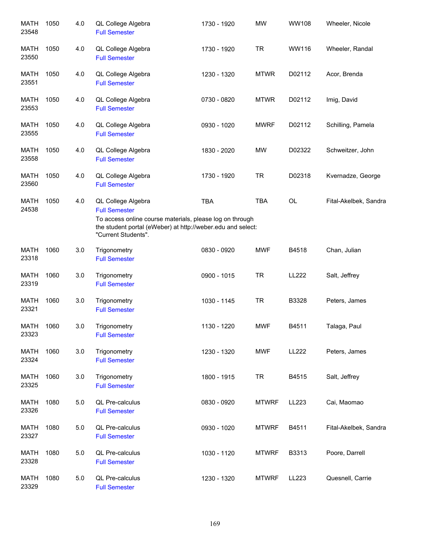| <b>MATH</b><br>23548 | 1050 | 4.0 | QL College Algebra<br><b>Full Semester</b>                                                                                                                                                   | 1730 - 1920 | <b>MW</b>    | WW108        | Wheeler, Nicole       |
|----------------------|------|-----|----------------------------------------------------------------------------------------------------------------------------------------------------------------------------------------------|-------------|--------------|--------------|-----------------------|
| <b>MATH</b><br>23550 | 1050 | 4.0 | QL College Algebra<br><b>Full Semester</b>                                                                                                                                                   | 1730 - 1920 | <b>TR</b>    | WW116        | Wheeler, Randal       |
| MATH<br>23551        | 1050 | 4.0 | QL College Algebra<br><b>Full Semester</b>                                                                                                                                                   | 1230 - 1320 | <b>MTWR</b>  | D02112       | Acor, Brenda          |
| <b>MATH</b><br>23553 | 1050 | 4.0 | QL College Algebra<br><b>Full Semester</b>                                                                                                                                                   | 0730 - 0820 | <b>MTWR</b>  | D02112       | Imig, David           |
| <b>MATH</b><br>23555 | 1050 | 4.0 | QL College Algebra<br><b>Full Semester</b>                                                                                                                                                   | 0930 - 1020 | <b>MWRF</b>  | D02112       | Schilling, Pamela     |
| <b>MATH</b><br>23558 | 1050 | 4.0 | QL College Algebra<br><b>Full Semester</b>                                                                                                                                                   | 1830 - 2020 | <b>MW</b>    | D02322       | Schweitzer, John      |
| <b>MATH</b><br>23560 | 1050 | 4.0 | QL College Algebra<br><b>Full Semester</b>                                                                                                                                                   | 1730 - 1920 | <b>TR</b>    | D02318       | Kvernadze, George     |
| <b>MATH</b><br>24538 | 1050 | 4.0 | QL College Algebra<br><b>Full Semester</b><br>To access online course materials, please log on through<br>the student portal (eWeber) at http://weber.edu and select:<br>"Current Students". | <b>TBA</b>  | <b>TBA</b>   | OL           | Fital-Akelbek, Sandra |
| <b>MATH</b><br>23318 | 1060 | 3.0 | Trigonometry<br><b>Full Semester</b>                                                                                                                                                         | 0830 - 0920 | <b>MWF</b>   | B4518        | Chan, Julian          |
| <b>MATH</b><br>23319 | 1060 | 3.0 | Trigonometry<br><b>Full Semester</b>                                                                                                                                                         | 0900 - 1015 | <b>TR</b>    | <b>LL222</b> | Salt, Jeffrey         |
| <b>MATH</b><br>23321 | 1060 | 3.0 | Trigonometry<br><b>Full Semester</b>                                                                                                                                                         | 1030 - 1145 | <b>TR</b>    | B3328        | Peters, James         |
| <b>MATH</b><br>23323 | 1060 | 3.0 | Trigonometry<br><b>Full Semester</b>                                                                                                                                                         | 1130 - 1220 | <b>MWF</b>   | B4511        | Talaga, Paul          |
| MATH<br>23324        | 1060 | 3.0 | Trigonometry<br><b>Full Semester</b>                                                                                                                                                         | 1230 - 1320 | <b>MWF</b>   | LL222        | Peters, James         |
| MATH<br>23325        | 1060 | 3.0 | Trigonometry<br><b>Full Semester</b>                                                                                                                                                         | 1800 - 1915 | <b>TR</b>    | B4515        | Salt, Jeffrey         |
| <b>MATH</b><br>23326 | 1080 | 5.0 | QL Pre-calculus<br><b>Full Semester</b>                                                                                                                                                      | 0830 - 0920 | <b>MTWRF</b> | LL223        | Cai, Maomao           |
| <b>MATH</b><br>23327 | 1080 | 5.0 | QL Pre-calculus<br><b>Full Semester</b>                                                                                                                                                      | 0930 - 1020 | <b>MTWRF</b> | B4511        | Fital-Akelbek, Sandra |
| MATH<br>23328        | 1080 | 5.0 | QL Pre-calculus<br><b>Full Semester</b>                                                                                                                                                      | 1030 - 1120 | <b>MTWRF</b> | B3313        | Poore, Darrell        |
| <b>MATH</b><br>23329 | 1080 | 5.0 | QL Pre-calculus<br><b>Full Semester</b>                                                                                                                                                      | 1230 - 1320 | <b>MTWRF</b> | LL223        | Quesnell, Carrie      |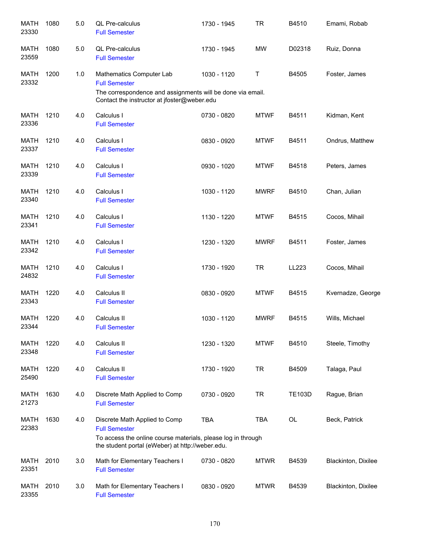| <b>MATH</b><br>23330 | 1080 | 5.0 | QL Pre-calculus<br><b>Full Semester</b>                                                                                                                                   | 1730 - 1945 | <b>TR</b>   | B4510         | Emami, Robab        |
|----------------------|------|-----|---------------------------------------------------------------------------------------------------------------------------------------------------------------------------|-------------|-------------|---------------|---------------------|
| <b>MATH</b><br>23559 | 1080 | 5.0 | <b>QL Pre-calculus</b><br><b>Full Semester</b>                                                                                                                            | 1730 - 1945 | <b>MW</b>   | D02318        | Ruiz, Donna         |
| MATH<br>23332        | 1200 | 1.0 | Mathematics Computer Lab<br><b>Full Semester</b><br>The correspondence and assignments will be done via email.<br>Contact the instructor at jfoster@weber.edu             | 1030 - 1120 | Τ           | B4505         | Foster, James       |
| <b>MATH</b><br>23336 | 1210 | 4.0 | Calculus I<br><b>Full Semester</b>                                                                                                                                        | 0730 - 0820 | <b>MTWF</b> | B4511         | Kidman, Kent        |
| MATH<br>23337        | 1210 | 4.0 | Calculus I<br><b>Full Semester</b>                                                                                                                                        | 0830 - 0920 | <b>MTWF</b> | B4511         | Ondrus, Matthew     |
| <b>MATH</b><br>23339 | 1210 | 4.0 | Calculus I<br><b>Full Semester</b>                                                                                                                                        | 0930 - 1020 | <b>MTWF</b> | B4518         | Peters, James       |
| <b>MATH</b><br>23340 | 1210 | 4.0 | Calculus I<br><b>Full Semester</b>                                                                                                                                        | 1030 - 1120 | <b>MWRF</b> | B4510         | Chan, Julian        |
| <b>MATH</b><br>23341 | 1210 | 4.0 | Calculus I<br><b>Full Semester</b>                                                                                                                                        | 1130 - 1220 | <b>MTWF</b> | B4515         | Cocos, Mihail       |
| <b>MATH</b><br>23342 | 1210 | 4.0 | Calculus I<br><b>Full Semester</b>                                                                                                                                        | 1230 - 1320 | <b>MWRF</b> | B4511         | Foster, James       |
| <b>MATH</b><br>24832 | 1210 | 4.0 | Calculus I<br><b>Full Semester</b>                                                                                                                                        | 1730 - 1920 | <b>TR</b>   | LL223         | Cocos, Mihail       |
| <b>MATH</b><br>23343 | 1220 | 4.0 | Calculus II<br><b>Full Semester</b>                                                                                                                                       | 0830 - 0920 | <b>MTWF</b> | B4515         | Kvernadze, George   |
| <b>MATH</b><br>23344 | 1220 | 4.0 | Calculus II<br><b>Full Semester</b>                                                                                                                                       | 1030 - 1120 | <b>MWRF</b> | B4515         | Wills, Michael      |
| MATH<br>23348        | 1220 | 4.0 | Calculus II<br><b>Full Semester</b>                                                                                                                                       | 1230 - 1320 | <b>MTWF</b> | B4510         | Steele, Timothy     |
| MATH<br>25490        | 1220 | 4.0 | Calculus II<br><b>Full Semester</b>                                                                                                                                       | 1730 - 1920 | <b>TR</b>   | B4509         | Talaga, Paul        |
| <b>MATH</b><br>21273 | 1630 | 4.0 | Discrete Math Applied to Comp<br><b>Full Semester</b>                                                                                                                     | 0730 - 0920 | <b>TR</b>   | <b>TE103D</b> | Rague, Brian        |
| <b>MATH</b><br>22383 | 1630 | 4.0 | Discrete Math Applied to Comp<br><b>Full Semester</b><br>To access the online course materials, please log in through<br>the student portal (eWeber) at http://weber.edu. | <b>TBA</b>  | <b>TBA</b>  | <b>OL</b>     | Beck, Patrick       |
| MATH<br>23351        | 2010 | 3.0 | Math for Elementary Teachers I<br><b>Full Semester</b>                                                                                                                    | 0730 - 0820 | <b>MTWR</b> | B4539         | Blackinton, Dixilee |
| MATH<br>23355        | 2010 | 3.0 | Math for Elementary Teachers I<br><b>Full Semester</b>                                                                                                                    | 0830 - 0920 | <b>MTWR</b> | B4539         | Blackinton, Dixilee |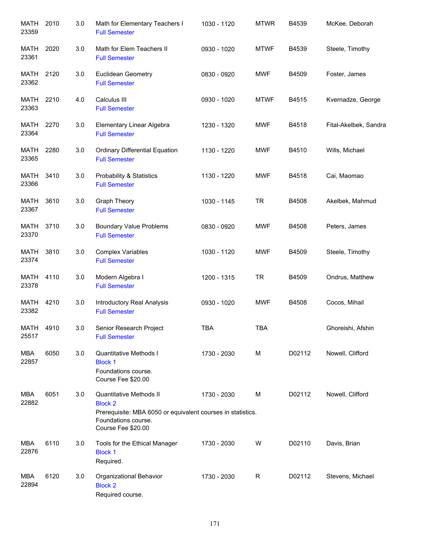| <b>MATH</b><br>23359 | 2010 | 3.0 | Math for Elementary Teachers I<br><b>Full Semester</b>                                                                                                | 1030 - 1120 | <b>MTWR</b> | B4539  | McKee, Deborah        |
|----------------------|------|-----|-------------------------------------------------------------------------------------------------------------------------------------------------------|-------------|-------------|--------|-----------------------|
| MATH<br>23361        | 2020 | 3.0 | Math for Elem Teachers II<br><b>Full Semester</b>                                                                                                     | 0930 - 1020 | <b>MTWF</b> | B4539  | Steele, Timothy       |
| MATH<br>23362        | 2120 | 3.0 | <b>Euclidean Geometry</b><br><b>Full Semester</b>                                                                                                     | 0830 - 0920 | <b>MWF</b>  | B4509  | Foster, James         |
| MATH<br>23363        | 2210 | 4.0 | Calculus III<br><b>Full Semester</b>                                                                                                                  | 0930 - 1020 | <b>MTWF</b> | B4515  | Kvernadze, George     |
| MATH<br>23364        | 2270 | 3.0 | Elementary Linear Algebra<br><b>Full Semester</b>                                                                                                     | 1230 - 1320 | <b>MWF</b>  | B4518  | Fital-Akelbek, Sandra |
| MATH<br>23365        | 2280 | 3.0 | <b>Ordinary Differential Equation</b><br><b>Full Semester</b>                                                                                         | 1130 - 1220 | <b>MWF</b>  | B4510  | Wills, Michael        |
| <b>MATH</b><br>23366 | 3410 | 3.0 | <b>Probability &amp; Statistics</b><br><b>Full Semester</b>                                                                                           | 1130 - 1220 | <b>MWF</b>  | B4518  | Cai, Maomao           |
| <b>MATH</b><br>23367 | 3610 | 3.0 | Graph Theory<br><b>Full Semester</b>                                                                                                                  | 1030 - 1145 | <b>TR</b>   | B4508  | Akelbek, Mahmud       |
| <b>MATH</b><br>23370 | 3710 | 3.0 | <b>Boundary Value Problems</b><br><b>Full Semester</b>                                                                                                | 0830 - 0920 | <b>MWF</b>  | B4508  | Peters, James         |
| <b>MATH</b><br>23374 | 3810 | 3.0 | <b>Complex Variables</b><br><b>Full Semester</b>                                                                                                      | 1030 - 1120 | <b>MWF</b>  | B4509  | Steele, Timothy       |
| <b>MATH</b><br>23378 | 4110 | 3.0 | Modern Algebra I<br><b>Full Semester</b>                                                                                                              | 1200 - 1315 | <b>TR</b>   | B4509  | Ondrus, Matthew       |
| <b>MATH</b><br>23382 | 4210 | 3.0 | Introductory Real Analysis<br><b>Full Semester</b>                                                                                                    | 0930 - 1020 | <b>MWF</b>  | B4508  | Cocos, Mihail         |
| MATH<br>25517        | 4910 | 3.0 | Senior Research Project<br><b>Full Semester</b>                                                                                                       | <b>TBA</b>  | <b>TBA</b>  |        | Ghoreishi, Afshin     |
| <b>MBA</b><br>22857  | 6050 | 3.0 | Quantitative Methods I<br><b>Block 1</b><br>Foundations course.<br>Course Fee \$20.00                                                                 | 1730 - 2030 | M           | D02112 | Nowell, Clifford      |
| MBA<br>22882         | 6051 | 3.0 | Quantitative Methods II<br><b>Block 2</b><br>Prerequisite: MBA 6050 or equivalent courses in statistics.<br>Foundations course.<br>Course Fee \$20.00 | 1730 - 2030 | M           | D02112 | Nowell, Clifford      |
| MBA<br>22876         | 6110 | 3.0 | Tools for the Ethical Manager<br><b>Block 1</b><br>Required.                                                                                          | 1730 - 2030 | W           | D02110 | Davis, Brian          |
| MBA<br>22894         | 6120 | 3.0 | Organizational Behavior<br><b>Block 2</b><br>Required course.                                                                                         | 1730 - 2030 | R           | D02112 | Stevens, Michael      |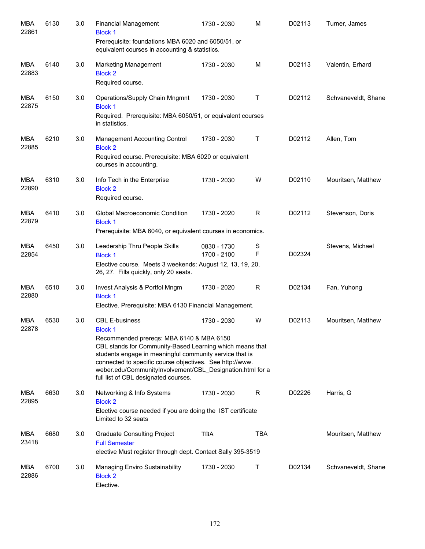| <b>MBA</b><br>22861 | 6130 | 3.0 | <b>Financial Management</b><br><b>Block 1</b><br>Prerequisite: foundations MBA 6020 and 6050/51, or<br>equivalent courses in accounting & statistics.                                                                                                                                                                                                                | 1730 - 2030                | М            | D02113 | Turner, James       |
|---------------------|------|-----|----------------------------------------------------------------------------------------------------------------------------------------------------------------------------------------------------------------------------------------------------------------------------------------------------------------------------------------------------------------------|----------------------------|--------------|--------|---------------------|
| MBA<br>22883        | 6140 | 3.0 | <b>Marketing Management</b><br><b>Block 2</b><br>Required course.                                                                                                                                                                                                                                                                                                    | 1730 - 2030                | M            | D02113 | Valentin, Erhard    |
| MBA<br>22875        | 6150 | 3.0 | Operations/Supply Chain Mngmnt<br><b>Block 1</b><br>Required. Prerequisite: MBA 6050/51, or equivalent courses<br>in statistics.                                                                                                                                                                                                                                     | 1730 - 2030                | Τ            | D02112 | Schvaneveldt, Shane |
| MBA<br>22885        | 6210 | 3.0 | Management Accounting Control<br><b>Block 2</b><br>Required course. Prerequisite: MBA 6020 or equivalent<br>courses in accounting.                                                                                                                                                                                                                                   | 1730 - 2030                | $\mathsf{T}$ | D02112 | Allen, Tom          |
| <b>MBA</b><br>22890 | 6310 | 3.0 | Info Tech in the Enterprise<br><b>Block 2</b><br>Required course.                                                                                                                                                                                                                                                                                                    | 1730 - 2030                | W            | D02110 | Mouritsen, Matthew  |
| <b>MBA</b><br>22879 | 6410 | 3.0 | Global Macroeconomic Condition<br><b>Block 1</b><br>Prerequisite: MBA 6040, or equivalent courses in economics.                                                                                                                                                                                                                                                      | 1730 - 2020                | R            | D02112 | Stevenson, Doris    |
| <b>MBA</b><br>22854 | 6450 | 3.0 | Leadership Thru People Skills<br><b>Block 1</b><br>Elective course. Meets 3 weekends: August 12, 13, 19, 20,<br>26, 27. Fills quickly, only 20 seats.                                                                                                                                                                                                                | 0830 - 1730<br>1700 - 2100 | S<br>F       | D02324 | Stevens, Michael    |
| <b>MBA</b><br>22880 | 6510 | 3.0 | Invest Analysis & Portfol Mngm<br><b>Block 1</b><br>Elective. Prerequisite: MBA 6130 Financial Management.                                                                                                                                                                                                                                                           | 1730 - 2020                | R            | D02134 | Fan, Yuhong         |
| <b>MBA</b><br>22878 | 6530 | 3.0 | <b>CBL E-business</b><br>Block 1<br>Recommended prereqs: MBA 6140 & MBA 6150<br>CBL stands for Community-Based Learning which means that<br>students engage in meaningful community service that is<br>connected to specific course objectives. See http://www.<br>weber.edu/CommunityInvolvement/CBL Designation.html for a<br>full list of CBL designated courses. | 1730 - 2030                | W            | D02113 | Mouritsen, Matthew  |
| <b>MBA</b><br>22895 | 6630 | 3.0 | Networking & Info Systems<br><b>Block 2</b><br>Elective course needed if you are doing the IST certificate<br>Limited to 32 seats                                                                                                                                                                                                                                    | 1730 - 2030                | R            | D02226 | Harris, G           |
| <b>MBA</b><br>23418 | 6680 | 3.0 | <b>Graduate Consulting Project</b><br><b>Full Semester</b><br>elective Must register through dept. Contact Sally 395-3519                                                                                                                                                                                                                                            | <b>TBA</b>                 | <b>TBA</b>   |        | Mouritsen, Matthew  |
| MBA<br>22886        | 6700 | 3.0 | Managing Enviro Sustainability<br><b>Block 2</b><br>Elective.                                                                                                                                                                                                                                                                                                        | 1730 - 2030                | Τ            | D02134 | Schvaneveldt, Shane |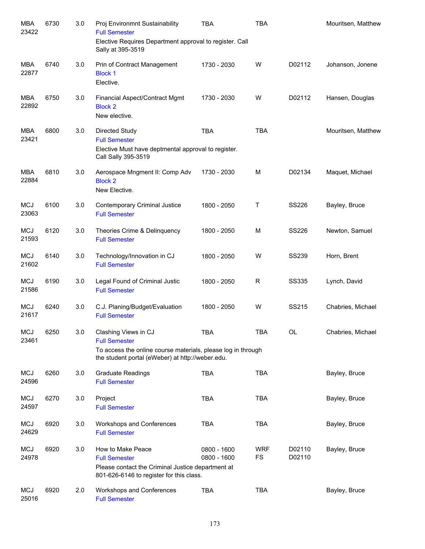| <b>MBA</b><br>23422 | 6730 | 3.0 | Proj Environmnt Sustainability<br><b>Full Semester</b>                                                                                                           | <b>TBA</b>                 | <b>TBA</b>              |                  | Mouritsen, Matthew |
|---------------------|------|-----|------------------------------------------------------------------------------------------------------------------------------------------------------------------|----------------------------|-------------------------|------------------|--------------------|
|                     |      |     | Elective Requires Department approval to register. Call<br>Sally at 395-3519                                                                                     |                            |                         |                  |                    |
| MBA<br>22877        | 6740 | 3.0 | Prin of Contract Management<br><b>Block 1</b><br>Elective.                                                                                                       | 1730 - 2030                | W                       | D02112           | Johanson, Jonene   |
| <b>MBA</b><br>22892 | 6750 | 3.0 | Financial Aspect/Contract Mgmt<br><b>Block 2</b><br>New elective.                                                                                                | 1730 - 2030                | W                       | D02112           | Hansen, Douglas    |
| <b>MBA</b><br>23421 | 6800 | 3.0 | Directed Study<br><b>Full Semester</b><br>Elective Must have deptmental approval to register.<br>Call Sally 395-3519                                             | <b>TBA</b>                 | <b>TBA</b>              |                  | Mouritsen, Matthew |
| <b>MBA</b><br>22884 | 6810 | 3.0 | Aerospace Mngment II: Comp Adv<br><b>Block 2</b><br>New Elective.                                                                                                | 1730 - 2030                | M                       | D02134           | Maquet, Michael    |
| <b>MCJ</b><br>23063 | 6100 | 3.0 | <b>Contemporary Criminal Justice</b><br><b>Full Semester</b>                                                                                                     | 1800 - 2050                | Т                       | <b>SS226</b>     | Bayley, Bruce      |
| <b>MCJ</b><br>21593 | 6120 | 3.0 | Theories Crime & Delinquency<br><b>Full Semester</b>                                                                                                             | 1800 - 2050                | M                       | <b>SS226</b>     | Newton, Samuel     |
| <b>MCJ</b><br>21602 | 6140 | 3.0 | Technology/Innovation in CJ<br><b>Full Semester</b>                                                                                                              | 1800 - 2050                | W                       | <b>SS239</b>     | Horn, Brent        |
| <b>MCJ</b><br>21586 | 6190 | 3.0 | Legal Found of Criminal Justic<br><b>Full Semester</b>                                                                                                           | 1800 - 2050                | R                       | <b>SS335</b>     | Lynch, David       |
| <b>MCJ</b><br>21617 | 6240 | 3.0 | C.J. Planing/Budget/Evaluation<br><b>Full Semester</b>                                                                                                           | 1800 - 2050                | W                       | SS215            | Chabries, Michael  |
| <b>MCJ</b><br>23461 | 6250 | 3.0 | Clashing Views in CJ<br><b>Full Semester</b><br>To access the online course materials, please log in through<br>the student portal (eWeber) at http://weber.edu. | TBA                        | <b>TBA</b>              | OL               | Chabries, Michael  |
| <b>MCJ</b><br>24596 | 6260 | 3.0 | <b>Graduate Readings</b><br><b>Full Semester</b>                                                                                                                 | <b>TBA</b>                 | <b>TBA</b>              |                  | Bayley, Bruce      |
| <b>MCJ</b><br>24597 | 6270 | 3.0 | Project<br><b>Full Semester</b>                                                                                                                                  | <b>TBA</b>                 | <b>TBA</b>              |                  | Bayley, Bruce      |
| <b>MCJ</b><br>24629 | 6920 | 3.0 | Workshops and Conferences<br><b>Full Semester</b>                                                                                                                | <b>TBA</b>                 | <b>TBA</b>              |                  | Bayley, Bruce      |
| <b>MCJ</b><br>24978 | 6920 | 3.0 | How to Make Peace<br><b>Full Semester</b><br>Please contact the Criminal Justice department at<br>801-626-6146 to register for this class.                       | 0800 - 1600<br>0800 - 1600 | <b>WRF</b><br><b>FS</b> | D02110<br>D02110 | Bayley, Bruce      |
| <b>MCJ</b><br>25016 | 6920 | 2.0 | Workshops and Conferences<br><b>Full Semester</b>                                                                                                                | <b>TBA</b>                 | <b>TBA</b>              |                  | Bayley, Bruce      |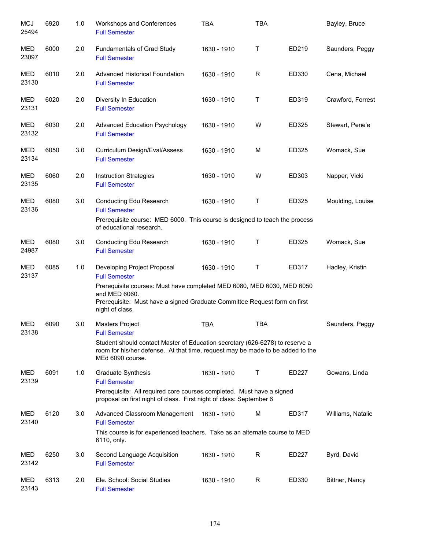| <b>MCJ</b><br>25494 | 6920 | 1.0 | Workshops and Conferences<br><b>Full Semester</b>                                                                                                                                       | <b>TBA</b>  | <b>TBA</b>  |       | Bayley, Bruce     |
|---------------------|------|-----|-----------------------------------------------------------------------------------------------------------------------------------------------------------------------------------------|-------------|-------------|-------|-------------------|
| <b>MED</b><br>23097 | 6000 | 2.0 | <b>Fundamentals of Grad Study</b><br><b>Full Semester</b>                                                                                                                               | 1630 - 1910 | $\mathsf T$ | ED219 | Saunders, Peggy   |
| MED<br>23130        | 6010 | 2.0 | <b>Advanced Historical Foundation</b><br><b>Full Semester</b>                                                                                                                           | 1630 - 1910 | R           | ED330 | Cena, Michael     |
| MED<br>23131        | 6020 | 2.0 | Diversity In Education<br><b>Full Semester</b>                                                                                                                                          | 1630 - 1910 | Τ           | ED319 | Crawford, Forrest |
| MED<br>23132        | 6030 | 2.0 | <b>Advanced Education Psychology</b><br><b>Full Semester</b>                                                                                                                            | 1630 - 1910 | W           | ED325 | Stewart, Pene'e   |
| <b>MED</b><br>23134 | 6050 | 3.0 | Curriculum Design/Eval/Assess<br><b>Full Semester</b>                                                                                                                                   | 1630 - 1910 | М           | ED325 | Womack, Sue       |
| <b>MED</b><br>23135 | 6060 | 2.0 | <b>Instruction Strategies</b><br><b>Full Semester</b>                                                                                                                                   | 1630 - 1910 | W           | ED303 | Napper, Vicki     |
| <b>MED</b><br>23136 | 6080 | 3.0 | Conducting Edu Research<br><b>Full Semester</b>                                                                                                                                         | 1630 - 1910 | Τ           | ED325 | Moulding, Louise  |
|                     |      |     | Prerequisite course: MED 6000. This course is designed to teach the process<br>of educational research.                                                                                 |             |             |       |                   |
| <b>MED</b><br>24987 | 6080 | 3.0 | Conducting Edu Research<br><b>Full Semester</b>                                                                                                                                         | 1630 - 1910 | Τ           | ED325 | Womack, Sue       |
| <b>MED</b><br>23137 | 6085 | 1.0 | Developing Project Proposal<br><b>Full Semester</b>                                                                                                                                     | 1630 - 1910 | Τ           | ED317 | Hadley, Kristin   |
|                     |      |     | Prerequisite courses: Must have completed MED 6080, MED 6030, MED 6050<br>and MED 6060.<br>Prerequisite: Must have a signed Graduate Committee Request form on first<br>night of class. |             |             |       |                   |
| <b>MED</b><br>23138 | 6090 | 3.0 | <b>Masters Project</b><br><b>Full Semester</b>                                                                                                                                          | <b>TBA</b>  | <b>TBA</b>  |       | Saunders, Peggy   |
|                     |      |     | Student should contact Master of Education secretary (626-6278) to reserve a<br>room for his/her defense. At that time, request may be made to be added to the<br>MEd 6090 course.      |             |             |       |                   |
| MED<br>23139        | 6091 | 1.0 | Graduate Synthesis<br><b>Full Semester</b>                                                                                                                                              | 1630 - 1910 | T           | ED227 | Gowans, Linda     |
|                     |      |     | Prerequisite: All required core courses completed. Must have a signed<br>proposal on first night of class. First night of class: September 6                                            |             |             |       |                   |
| MED<br>23140        | 6120 | 3.0 | Advanced Classroom Management<br><b>Full Semester</b><br>This course is for experienced teachers. Take as an alternate course to MED<br>6110, only.                                     | 1630 - 1910 | М           | ED317 | Williams, Natalie |
| MED<br>23142        | 6250 | 3.0 | Second Language Acquisition<br><b>Full Semester</b>                                                                                                                                     | 1630 - 1910 | R           | ED227 | Byrd, David       |
| MED<br>23143        | 6313 | 2.0 | Ele. School: Social Studies<br><b>Full Semester</b>                                                                                                                                     | 1630 - 1910 | R           | ED330 | Bittner, Nancy    |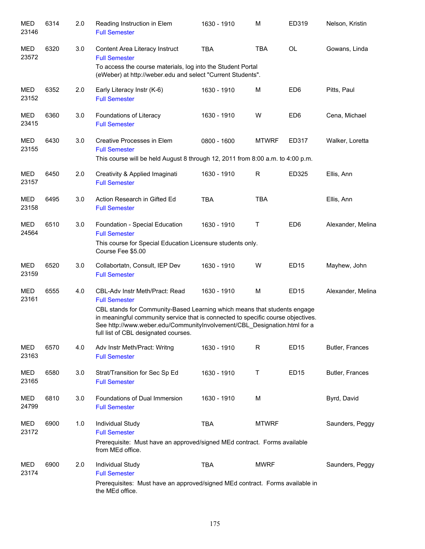| <b>MED</b><br>23146 | 6314 | 2.0 | Reading Instruction in Elem<br><b>Full Semester</b>                                                                                                                                                                                                                              | 1630 - 1910 | M            | ED319           | Nelson, Kristin   |
|---------------------|------|-----|----------------------------------------------------------------------------------------------------------------------------------------------------------------------------------------------------------------------------------------------------------------------------------|-------------|--------------|-----------------|-------------------|
| MED<br>23572        | 6320 | 3.0 | Content Area Literacy Instruct<br><b>Full Semester</b><br>To access the course materials, log into the Student Portal                                                                                                                                                            | <b>TBA</b>  | <b>TBA</b>   | <b>OL</b>       | Gowans, Linda     |
|                     |      |     | (eWeber) at http://weber.edu and select "Current Students".                                                                                                                                                                                                                      |             |              |                 |                   |
| MED<br>23152        | 6352 | 2.0 | Early Literacy Instr (K-6)<br><b>Full Semester</b>                                                                                                                                                                                                                               | 1630 - 1910 | M            | ED <sub>6</sub> | Pitts, Paul       |
| MED<br>23415        | 6360 | 3.0 | Foundations of Literacy<br><b>Full Semester</b>                                                                                                                                                                                                                                  | 1630 - 1910 | W            | ED <sub>6</sub> | Cena, Michael     |
| MED<br>23155        | 6430 | 3.0 | Creative Processes in Elem<br><b>Full Semester</b>                                                                                                                                                                                                                               | 0800 - 1600 | <b>MTWRF</b> | ED317           | Walker, Loretta   |
|                     |      |     | This course will be held August 8 through 12, 2011 from 8:00 a.m. to 4:00 p.m.                                                                                                                                                                                                   |             |              |                 |                   |
| MED<br>23157        | 6450 | 2.0 | Creativity & Applied Imaginati<br><b>Full Semester</b>                                                                                                                                                                                                                           | 1630 - 1910 | R            | ED325           | Ellis, Ann        |
| MED<br>23158        | 6495 | 3.0 | Action Research in Gifted Ed<br><b>Full Semester</b>                                                                                                                                                                                                                             | <b>TBA</b>  | <b>TBA</b>   |                 | Ellis, Ann        |
| MED<br>24564        | 6510 | 3.0 | Foundation - Special Education<br><b>Full Semester</b>                                                                                                                                                                                                                           | 1630 - 1910 | Τ            | ED <sub>6</sub> | Alexander, Melina |
|                     |      |     | This course for Special Education Licensure students only.<br>Course Fee \$5.00                                                                                                                                                                                                  |             |              |                 |                   |
| MED<br>23159        | 6520 | 3.0 | Collabortatn, Consult, IEP Dev<br><b>Full Semester</b>                                                                                                                                                                                                                           | 1630 - 1910 | W            | <b>ED15</b>     | Mayhew, John      |
| <b>MED</b><br>23161 | 6555 | 4.0 | <b>CBL-Adv Instr Meth/Pract: Read</b><br><b>Full Semester</b>                                                                                                                                                                                                                    | 1630 - 1910 | M            | ED15            | Alexander, Melina |
|                     |      |     | CBL stands for Community-Based Learning which means that students engage<br>in meaningful community service that is connected to specific course objectives.<br>See http://www.weber.edu/CommunityInvolvement/CBL Designation.html for a<br>full list of CBL designated courses. |             |              |                 |                   |
| MED<br>23163        | 6570 | 4.0 | Adv Instr Meth/Pract: Writng<br><b>Full Semester</b>                                                                                                                                                                                                                             | 1630 - 1910 | R            | <b>ED15</b>     | Butler, Frances   |
| MED<br>23165        | 6580 | 3.0 | Strat/Transition for Sec Sp Ed<br><b>Full Semester</b>                                                                                                                                                                                                                           | 1630 - 1910 | Τ            | <b>ED15</b>     | Butler, Frances   |
| MED<br>24799        | 6810 | 3.0 | Foundations of Dual Immersion<br><b>Full Semester</b>                                                                                                                                                                                                                            | 1630 - 1910 | M            |                 | Byrd, David       |
| MED<br>23172        | 6900 | 1.0 | Individual Study<br><b>Full Semester</b>                                                                                                                                                                                                                                         | <b>TBA</b>  | <b>MTWRF</b> |                 | Saunders, Peggy   |
|                     |      |     | Prerequisite: Must have an approved/signed MEd contract. Forms available<br>from MEd office.                                                                                                                                                                                     |             |              |                 |                   |
| <b>MED</b><br>23174 | 6900 | 2.0 | Individual Study<br><b>Full Semester</b>                                                                                                                                                                                                                                         | <b>TBA</b>  | <b>MWRF</b>  |                 | Saunders, Peggy   |
|                     |      |     | Prerequisites: Must have an approved/signed MEd contract. Forms available in<br>the MEd office.                                                                                                                                                                                  |             |              |                 |                   |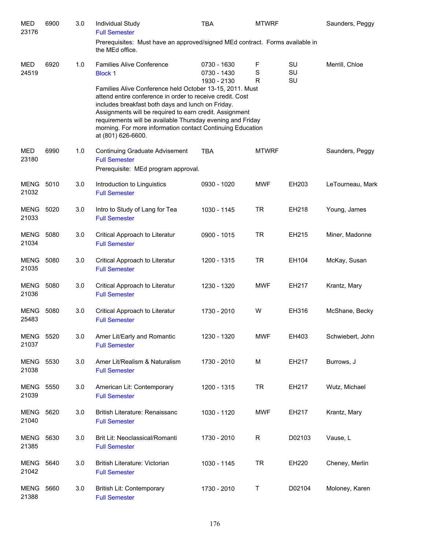| MED<br>23176              | 6900 | 3.0 | Individual Study<br><b>Full Semester</b>                                                                                                                                                                                                                                                                                                                                                | <b>TBA</b>                                | <b>MTWRF</b> |                | Saunders, Peggy  |
|---------------------------|------|-----|-----------------------------------------------------------------------------------------------------------------------------------------------------------------------------------------------------------------------------------------------------------------------------------------------------------------------------------------------------------------------------------------|-------------------------------------------|--------------|----------------|------------------|
|                           |      |     | Prerequisites: Must have an approved/signed MEd contract. Forms available in<br>the MEd office.                                                                                                                                                                                                                                                                                         |                                           |              |                |                  |
| MED<br>24519              | 6920 | 1.0 | <b>Families Alive Conference</b><br><b>Block 1</b>                                                                                                                                                                                                                                                                                                                                      | 0730 - 1630<br>0730 - 1430<br>1930 - 2130 | F<br>S<br>R  | SU<br>SU<br>SU | Merrill, Chloe   |
|                           |      |     | Families Alive Conference held October 13-15, 2011. Must<br>attend entire conference in order to receive credit. Cost<br>includes breakfast both days and lunch on Friday.<br>Assignments will be required to earn credit. Assignment<br>requirements will be available Thursday evening and Friday<br>morning. For more information contact Continuing Education<br>at (801) 626-6600. |                                           |              |                |                  |
| <b>MED</b><br>23180       | 6990 | 1.0 | Continuing Graduate Advisement<br><b>Full Semester</b><br>Prerequisite: MEd program approval.                                                                                                                                                                                                                                                                                           | <b>TBA</b>                                | <b>MTWRF</b> |                | Saunders, Peggy  |
| <b>MENG 5010</b><br>21032 |      | 3.0 | Introduction to Linguistics<br><b>Full Semester</b>                                                                                                                                                                                                                                                                                                                                     | 0930 - 1020                               | <b>MWF</b>   | EH203          | LeTourneau, Mark |
| <b>MENG 5020</b><br>21033 |      | 3.0 | Intro to Study of Lang for Tea<br><b>Full Semester</b>                                                                                                                                                                                                                                                                                                                                  | 1030 - 1145                               | <b>TR</b>    | EH218          | Young, James     |
| <b>MENG 5080</b><br>21034 |      | 3.0 | Critical Approach to Literatur<br><b>Full Semester</b>                                                                                                                                                                                                                                                                                                                                  | 0900 - 1015                               | <b>TR</b>    | EH215          | Miner, Madonne   |
| <b>MENG 5080</b><br>21035 |      | 3.0 | Critical Approach to Literatur<br><b>Full Semester</b>                                                                                                                                                                                                                                                                                                                                  | 1200 - 1315                               | <b>TR</b>    | EH104          | McKay, Susan     |
| MENG<br>21036             | 5080 | 3.0 | Critical Approach to Literatur<br><b>Full Semester</b>                                                                                                                                                                                                                                                                                                                                  | 1230 - 1320                               | <b>MWF</b>   | EH217          | Krantz, Mary     |
| <b>MENG</b><br>25483      | 5080 | 3.0 | Critical Approach to Literatur<br><b>Full Semester</b>                                                                                                                                                                                                                                                                                                                                  | 1730 - 2010                               | W            | EH316          | McShane, Becky   |
| <b>MENG 5520</b><br>21037 |      | 3.0 | Amer Lit/Early and Romantic<br><b>Full Semester</b>                                                                                                                                                                                                                                                                                                                                     | 1230 - 1320                               | <b>MWF</b>   | EH403          | Schwiebert, John |
| <b>MENG 5530</b><br>21038 |      | 3.0 | Amer Lit/Realism & Naturalism<br><b>Full Semester</b>                                                                                                                                                                                                                                                                                                                                   | 1730 - 2010                               | М            | EH217          | Burrows, J       |
| <b>MENG 5550</b><br>21039 |      | 3.0 | American Lit: Contemporary<br><b>Full Semester</b>                                                                                                                                                                                                                                                                                                                                      | 1200 - 1315                               | <b>TR</b>    | EH217          | Wutz, Michael    |
| <b>MENG 5620</b><br>21040 |      | 3.0 | British Literature: Renaissanc<br><b>Full Semester</b>                                                                                                                                                                                                                                                                                                                                  | 1030 - 1120                               | MWF          | EH217          | Krantz, Mary     |
| MENG 5630<br>21385        |      | 3.0 | Brit Lit: Neoclassical/Romanti<br><b>Full Semester</b>                                                                                                                                                                                                                                                                                                                                  | 1730 - 2010                               | R            | D02103         | Vause, L         |
| <b>MENG 5640</b><br>21042 |      | 3.0 | British Literature: Victorian<br><b>Full Semester</b>                                                                                                                                                                                                                                                                                                                                   | 1030 - 1145                               | <b>TR</b>    | EH220          | Cheney, Merlin   |
| <b>MENG 5660</b><br>21388 |      | 3.0 | British Lit: Contemporary<br><b>Full Semester</b>                                                                                                                                                                                                                                                                                                                                       | 1730 - 2010                               | Т            | D02104         | Moloney, Karen   |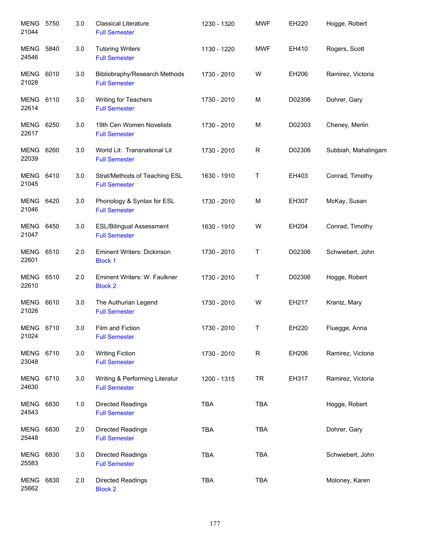| <b>MENG 5750</b><br>21044 |      | 3.0 | <b>Classical Literature</b><br><b>Full Semester</b>     | 1230 - 1320 | <b>MWF</b>  | EH220  | Hogge, Robert       |
|---------------------------|------|-----|---------------------------------------------------------|-------------|-------------|--------|---------------------|
| MENG<br>24546             | 5840 | 3.0 | <b>Tutoring Writers</b><br><b>Full Semester</b>         | 1130 - 1220 | <b>MWF</b>  | EH410  | Rogers, Scott       |
| MENG<br>21028             | 6010 | 3.0 | Bibliobraphy/Research Methods<br><b>Full Semester</b>   | 1730 - 2010 | W           | EH206  | Ramirez, Victoria   |
| <b>MENG 6110</b><br>22614 |      | 3.0 | Writing for Teachers<br><b>Full Semester</b>            | 1730 - 2010 | M           | D02306 | Dohrer, Gary        |
| MENG 6250<br>22617        |      | 3.0 | 19th Cen Women Novelists<br><b>Full Semester</b>        | 1730 - 2010 | М           | D02303 | Cheney, Merlin      |
| <b>MENG 6260</b><br>22039 |      | 3.0 | World Lit: Transnational Lit<br><b>Full Semester</b>    | 1730 - 2010 | $\mathsf R$ | D02306 | Subbiah, Mahalingam |
| <b>MENG 6410</b><br>21045 |      | 3.0 | Strat/Methods of Teaching ESL<br><b>Full Semester</b>   | 1630 - 1910 | T           | EH403  | Conrad, Timothy     |
| <b>MENG 6420</b><br>21046 |      | 3.0 | Phonology & Syntax for ESL<br><b>Full Semester</b>      | 1730 - 2010 | M           | EH307  | McKay, Susan        |
| <b>MENG 6450</b><br>21047 |      | 3.0 | <b>ESL/Bilingual Assessment</b><br><b>Full Semester</b> | 1630 - 1910 | W           | EH204  | Conrad, Timothy     |
| MENG<br>22601             | 6510 | 2.0 | <b>Eminent Writers: Dickinson</b><br><b>Block 1</b>     | 1730 - 2010 | Τ           | D02306 | Schwiebert, John    |
| MENG<br>22610             | 6510 | 2.0 | Eminent Writers: W. Faulkner<br><b>Block 2</b>          | 1730 - 2010 | $\mathsf T$ | D02306 | Hogge, Robert       |
| MENG<br>21026             | 6610 | 3.0 | The Authurian Legend<br><b>Full Semester</b>            | 1730 - 2010 | W           | EH217  | Krantz, Mary        |
| MENG<br>21024             | 6710 | 3.0 | Film and Fiction<br><b>Full Semester</b>                | 1730 - 2010 | T           | EH220  | Fluegge, Anna       |
| MENG 6710<br>23048        |      | 3.0 | <b>Writing Fiction</b><br><b>Full Semester</b>          | 1730 - 2010 | R           | EH206  | Ramirez, Victoria   |
| MENG 6710<br>24630        |      | 3.0 | Writing & Performing Literatur<br><b>Full Semester</b>  | 1200 - 1315 | <b>TR</b>   | EH317  | Ramirez, Victoria   |
| MENG<br>24543             | 6830 | 1.0 | Directed Readings<br><b>Full Semester</b>               | <b>TBA</b>  | <b>TBA</b>  |        | Hogge, Robert       |
| MENG<br>25448             | 6830 | 2.0 | Directed Readings<br><b>Full Semester</b>               | <b>TBA</b>  | <b>TBA</b>  |        | Dohrer, Gary        |
| MENG<br>25583             | 6830 | 3.0 | Directed Readings<br><b>Full Semester</b>               | <b>TBA</b>  | <b>TBA</b>  |        | Schwiebert, John    |
| MENG<br>25662             | 6830 | 2.0 | Directed Readings<br><b>Block 2</b>                     | <b>TBA</b>  | <b>TBA</b>  |        | Moloney, Karen      |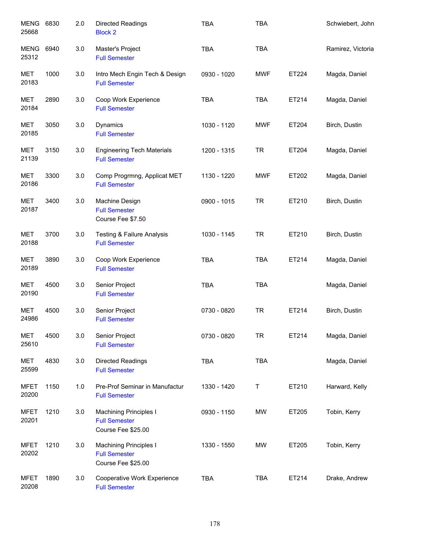| <b>MENG</b><br>25668 | 6830 | 2.0 | <b>Directed Readings</b><br><b>Block 2</b>                           | <b>TBA</b>  | <b>TBA</b> |       | Schwiebert, John  |
|----------------------|------|-----|----------------------------------------------------------------------|-------------|------------|-------|-------------------|
| MENG<br>25312        | 6940 | 3.0 | Master's Project<br><b>Full Semester</b>                             | <b>TBA</b>  | <b>TBA</b> |       | Ramirez, Victoria |
| <b>MET</b><br>20183  | 1000 | 3.0 | Intro Mech Engin Tech & Design<br><b>Full Semester</b>               | 0930 - 1020 | <b>MWF</b> | ET224 | Magda, Daniel     |
| <b>MET</b><br>20184  | 2890 | 3.0 | Coop Work Experience<br><b>Full Semester</b>                         | <b>TBA</b>  | <b>TBA</b> | ET214 | Magda, Daniel     |
| <b>MET</b><br>20185  | 3050 | 3.0 | Dynamics<br><b>Full Semester</b>                                     | 1030 - 1120 | <b>MWF</b> | ET204 | Birch, Dustin     |
| MET<br>21139         | 3150 | 3.0 | <b>Engineering Tech Materials</b><br><b>Full Semester</b>            | 1200 - 1315 | <b>TR</b>  | ET204 | Magda, Daniel     |
| <b>MET</b><br>20186  | 3300 | 3.0 | Comp Progrmng, Applicat MET<br><b>Full Semester</b>                  | 1130 - 1220 | <b>MWF</b> | ET202 | Magda, Daniel     |
| <b>MET</b><br>20187  | 3400 | 3.0 | Machine Design<br><b>Full Semester</b><br>Course Fee \$7.50          | 0900 - 1015 | <b>TR</b>  | ET210 | Birch, Dustin     |
| <b>MET</b><br>20188  | 3700 | 3.0 | <b>Testing &amp; Failure Analysis</b><br><b>Full Semester</b>        | 1030 - 1145 | <b>TR</b>  | ET210 | Birch, Dustin     |
| <b>MET</b><br>20189  | 3890 | 3.0 | Coop Work Experience<br><b>Full Semester</b>                         | <b>TBA</b>  | <b>TBA</b> | ET214 | Magda, Daniel     |
| <b>MET</b><br>20190  | 4500 | 3.0 | Senior Project<br><b>Full Semester</b>                               | <b>TBA</b>  | <b>TBA</b> |       | Magda, Daniel     |
| <b>MET</b><br>24986  | 4500 | 3.0 | Senior Project<br><b>Full Semester</b>                               | 0730 - 0820 | <b>TR</b>  | ET214 | Birch, Dustin     |
| <b>MET</b><br>25610  | 4500 | 3.0 | Senior Project<br><b>Full Semester</b>                               | 0730 - 0820 | <b>TR</b>  | ET214 | Magda, Daniel     |
| MET<br>25599         | 4830 | 3.0 | Directed Readings<br><b>Full Semester</b>                            | <b>TBA</b>  | TBA        |       | Magda, Daniel     |
| <b>MFET</b><br>20200 | 1150 | 1.0 | Pre-Prof Seminar in Manufactur<br><b>Full Semester</b>               | 1330 - 1420 | Т          | ET210 | Harward, Kelly    |
| <b>MFET</b><br>20201 | 1210 | 3.0 | Machining Principles I<br><b>Full Semester</b><br>Course Fee \$25.00 | 0930 - 1150 | MW         | ET205 | Tobin, Kerry      |
| <b>MFET</b><br>20202 | 1210 | 3.0 | Machining Principles I<br><b>Full Semester</b><br>Course Fee \$25.00 | 1330 - 1550 | MW         | ET205 | Tobin, Kerry      |
| <b>MFET</b><br>20208 | 1890 | 3.0 | Cooperative Work Experience<br><b>Full Semester</b>                  | TBA         | <b>TBA</b> | ET214 | Drake, Andrew     |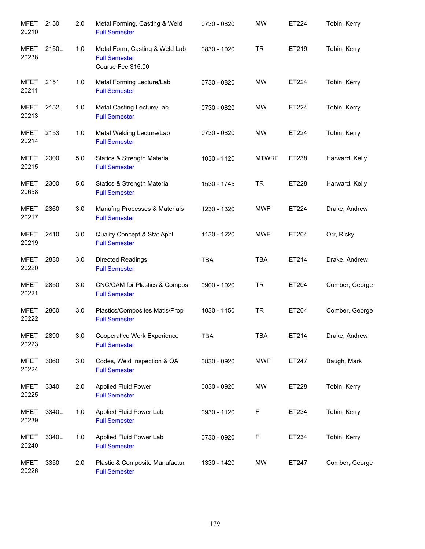| <b>MFET</b><br>20210 | 2150  | 2.0 | Metal Forming, Casting & Weld<br><b>Full Semester</b>                        | 0730 - 0820 | <b>MW</b>    | ET224        | Tobin, Kerry   |
|----------------------|-------|-----|------------------------------------------------------------------------------|-------------|--------------|--------------|----------------|
| <b>MFET</b><br>20238 | 2150L | 1.0 | Metal Form, Casting & Weld Lab<br><b>Full Semester</b><br>Course Fee \$15.00 | 0830 - 1020 | <b>TR</b>    | ET219        | Tobin, Kerry   |
| <b>MFET</b><br>20211 | 2151  | 1.0 | Metal Forming Lecture/Lab<br><b>Full Semester</b>                            | 0730 - 0820 | <b>MW</b>    | ET224        | Tobin, Kerry   |
| <b>MFET</b><br>20213 | 2152  | 1.0 | Metal Casting Lecture/Lab<br><b>Full Semester</b>                            | 0730 - 0820 | <b>MW</b>    | ET224        | Tobin, Kerry   |
| <b>MFET</b><br>20214 | 2153  | 1.0 | Metal Welding Lecture/Lab<br><b>Full Semester</b>                            | 0730 - 0820 | <b>MW</b>    | ET224        | Tobin, Kerry   |
| <b>MFET</b><br>20215 | 2300  | 5.0 | <b>Statics &amp; Strength Material</b><br><b>Full Semester</b>               | 1030 - 1120 | <b>MTWRF</b> | ET238        | Harward, Kelly |
| <b>MFET</b><br>20658 | 2300  | 5.0 | <b>Statics &amp; Strength Material</b><br><b>Full Semester</b>               | 1530 - 1745 | <b>TR</b>    | <b>ET228</b> | Harward, Kelly |
| <b>MFET</b><br>20217 | 2360  | 3.0 | Manufng Processes & Materials<br><b>Full Semester</b>                        | 1230 - 1320 | <b>MWF</b>   | ET224        | Drake, Andrew  |
| <b>MFET</b><br>20219 | 2410  | 3.0 | Quality Concept & Stat Appl<br><b>Full Semester</b>                          | 1130 - 1220 | <b>MWF</b>   | ET204        | Orr, Ricky     |
| <b>MFET</b><br>20220 | 2830  | 3.0 | Directed Readings<br><b>Full Semester</b>                                    | <b>TBA</b>  | <b>TBA</b>   | ET214        | Drake, Andrew  |
| <b>MFET</b><br>20221 | 2850  | 3.0 | CNC/CAM for Plastics & Compos<br><b>Full Semester</b>                        | 0900 - 1020 | <b>TR</b>    | ET204        | Comber, George |
| <b>MFET</b><br>20222 | 2860  | 3.0 | Plastics/Composites Matls/Prop<br><b>Full Semester</b>                       | 1030 - 1150 | <b>TR</b>    | ET204        | Comber, George |
| <b>MFET</b><br>20223 | 2890  | 3.0 | Cooperative Work Experience<br><b>Full Semester</b>                          | <b>TBA</b>  | <b>TBA</b>   | ET214        | Drake, Andrew  |
| <b>MFET</b><br>20224 | 3060  | 3.0 | Codes, Weld Inspection & QA<br><b>Full Semester</b>                          | 0830 - 0920 | <b>MWF</b>   | ET247        | Baugh, Mark    |
| <b>MFET</b><br>20225 | 3340  | 2.0 | Applied Fluid Power<br><b>Full Semester</b>                                  | 0830 - 0920 | <b>MW</b>    | ET228        | Tobin, Kerry   |
| <b>MFET</b><br>20239 | 3340L | 1.0 | Applied Fluid Power Lab<br><b>Full Semester</b>                              | 0930 - 1120 | F            | ET234        | Tobin, Kerry   |
| <b>MFET</b><br>20240 | 3340L | 1.0 | Applied Fluid Power Lab<br><b>Full Semester</b>                              | 0730 - 0920 | F            | ET234        | Tobin, Kerry   |
| <b>MFET</b><br>20226 | 3350  | 2.0 | Plastic & Composite Manufactur<br><b>Full Semester</b>                       | 1330 - 1420 | <b>MW</b>    | ET247        | Comber, George |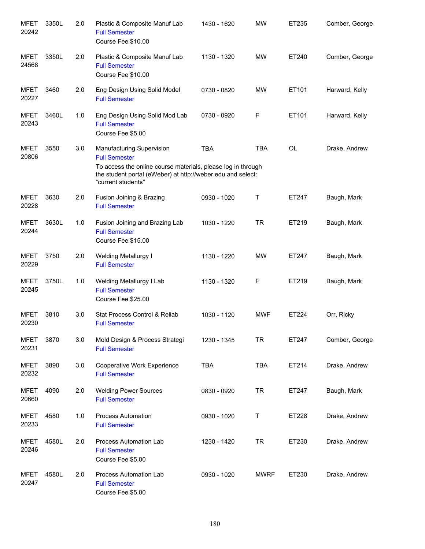| <b>MFET</b><br>20242 | 3350L | 2.0 | Plastic & Composite Manuf Lab<br><b>Full Semester</b><br>Course Fee \$10.00                                                                                                                            | 1430 - 1620 | <b>MW</b>   | ET235     | Comber, George |
|----------------------|-------|-----|--------------------------------------------------------------------------------------------------------------------------------------------------------------------------------------------------------|-------------|-------------|-----------|----------------|
| <b>MFET</b><br>24568 | 3350L | 2.0 | Plastic & Composite Manuf Lab<br><b>Full Semester</b><br>Course Fee \$10.00                                                                                                                            | 1130 - 1320 | <b>MW</b>   | ET240     | Comber, George |
| <b>MFET</b><br>20227 | 3460  | 2.0 | Eng Design Using Solid Model<br><b>Full Semester</b>                                                                                                                                                   | 0730 - 0820 | <b>MW</b>   | ET101     | Harward, Kelly |
| <b>MFET</b><br>20243 | 3460L | 1.0 | Eng Design Using Solid Mod Lab<br><b>Full Semester</b><br>Course Fee \$5.00                                                                                                                            | 0730 - 0920 | F           | ET101     | Harward, Kelly |
| <b>MFET</b><br>20806 | 3550  | 3.0 | Manufacturing Supervision<br><b>Full Semester</b><br>To access the online course materials, please log in through<br>the student portal (eWeber) at http://weber.edu and select:<br>"current students" | <b>TBA</b>  | <b>TBA</b>  | <b>OL</b> | Drake, Andrew  |
| <b>MFET</b><br>20228 | 3630  | 2.0 | Fusion Joining & Brazing<br><b>Full Semester</b>                                                                                                                                                       | 0930 - 1020 | Τ           | ET247     | Baugh, Mark    |
| <b>MFET</b><br>20244 | 3630L | 1.0 | Fusion Joining and Brazing Lab<br><b>Full Semester</b><br>Course Fee \$15.00                                                                                                                           | 1030 - 1220 | <b>TR</b>   | ET219     | Baugh, Mark    |
| <b>MFET</b><br>20229 | 3750  | 2.0 | <b>Welding Metallurgy I</b><br><b>Full Semester</b>                                                                                                                                                    | 1130 - 1220 | <b>MW</b>   | ET247     | Baugh, Mark    |
| <b>MFET</b><br>20245 | 3750L | 1.0 | Welding Metallurgy I Lab<br><b>Full Semester</b><br>Course Fee \$25.00                                                                                                                                 | 1130 - 1320 | F           | ET219     | Baugh, Mark    |
| <b>MFET</b><br>20230 | 3810  | 3.0 | Stat Process Control & Reliab<br><b>Full Semester</b>                                                                                                                                                  | 1030 - 1120 | <b>MWF</b>  | ET224     | Orr, Ricky     |
| <b>MFET</b><br>20231 | 3870  | 3.0 | Mold Design & Process Strategi<br><b>Full Semester</b>                                                                                                                                                 | 1230 - 1345 | <b>TR</b>   | ET247     | Comber, George |
| <b>MFET</b><br>20232 | 3890  | 3.0 | Cooperative Work Experience<br><b>Full Semester</b>                                                                                                                                                    | <b>TBA</b>  | <b>TBA</b>  | ET214     | Drake, Andrew  |
| <b>MFET</b><br>20660 | 4090  | 2.0 | <b>Welding Power Sources</b><br><b>Full Semester</b>                                                                                                                                                   | 0830 - 0920 | <b>TR</b>   | ET247     | Baugh, Mark    |
| <b>MFET</b><br>20233 | 4580  | 1.0 | <b>Process Automation</b><br><b>Full Semester</b>                                                                                                                                                      | 0930 - 1020 | Τ           | ET228     | Drake, Andrew  |
| <b>MFET</b><br>20246 | 4580L | 2.0 | Process Automation Lab<br><b>Full Semester</b><br>Course Fee \$5.00                                                                                                                                    | 1230 - 1420 | <b>TR</b>   | ET230     | Drake, Andrew  |
| <b>MFET</b><br>20247 | 4580L | 2.0 | Process Automation Lab<br><b>Full Semester</b><br>Course Fee \$5.00                                                                                                                                    | 0930 - 1020 | <b>MWRF</b> | ET230     | Drake, Andrew  |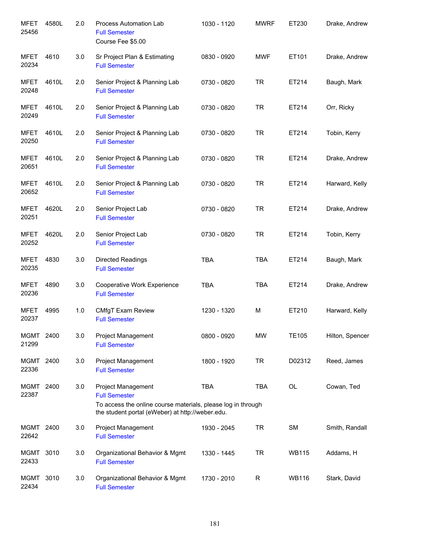| <b>MFET</b><br>25456 | 4580L | 2.0 | Process Automation Lab<br><b>Full Semester</b><br>Course Fee \$5.00                                                                                            | 1030 - 1120 | <b>MWRF</b> | ET230        | Drake, Andrew   |
|----------------------|-------|-----|----------------------------------------------------------------------------------------------------------------------------------------------------------------|-------------|-------------|--------------|-----------------|
| <b>MFET</b><br>20234 | 4610  | 3.0 | Sr Project Plan & Estimating<br><b>Full Semester</b>                                                                                                           | 0830 - 0920 | <b>MWF</b>  | ET101        | Drake, Andrew   |
| <b>MFET</b><br>20248 | 4610L | 2.0 | Senior Project & Planning Lab<br><b>Full Semester</b>                                                                                                          | 0730 - 0820 | <b>TR</b>   | ET214        | Baugh, Mark     |
| <b>MFET</b><br>20249 | 4610L | 2.0 | Senior Project & Planning Lab<br><b>Full Semester</b>                                                                                                          | 0730 - 0820 | <b>TR</b>   | ET214        | Orr, Ricky      |
| <b>MFET</b><br>20250 | 4610L | 2.0 | Senior Project & Planning Lab<br><b>Full Semester</b>                                                                                                          | 0730 - 0820 | <b>TR</b>   | ET214        | Tobin, Kerry    |
| <b>MFET</b><br>20651 | 4610L | 2.0 | Senior Project & Planning Lab<br><b>Full Semester</b>                                                                                                          | 0730 - 0820 | <b>TR</b>   | ET214        | Drake, Andrew   |
| <b>MFET</b><br>20652 | 4610L | 2.0 | Senior Project & Planning Lab<br><b>Full Semester</b>                                                                                                          | 0730 - 0820 | <b>TR</b>   | ET214        | Harward, Kelly  |
| <b>MFET</b><br>20251 | 4620L | 2.0 | Senior Project Lab<br><b>Full Semester</b>                                                                                                                     | 0730 - 0820 | <b>TR</b>   | ET214        | Drake, Andrew   |
| <b>MFET</b><br>20252 | 4620L | 2.0 | Senior Project Lab<br><b>Full Semester</b>                                                                                                                     | 0730 - 0820 | <b>TR</b>   | ET214        | Tobin, Kerry    |
| <b>MFET</b><br>20235 | 4830  | 3.0 | <b>Directed Readings</b><br><b>Full Semester</b>                                                                                                               | <b>TBA</b>  | <b>TBA</b>  | ET214        | Baugh, Mark     |
| <b>MFET</b><br>20236 | 4890  | 3.0 | Cooperative Work Experience<br><b>Full Semester</b>                                                                                                            | <b>TBA</b>  | <b>TBA</b>  | ET214        | Drake, Andrew   |
| <b>MFET</b><br>20237 | 4995  | 1.0 | <b>CMfgT Exam Review</b><br><b>Full Semester</b>                                                                                                               | 1230 - 1320 | M           | ET210        | Harward, Kelly  |
| MGMT<br>21299        | 2400  | 3.0 | <b>Project Management</b><br><b>Full Semester</b>                                                                                                              | 0800 - 0920 | <b>MW</b>   | <b>TE105</b> | Hilton, Spencer |
| MGMT 2400<br>22336   |       | 3.0 | Project Management<br><b>Full Semester</b>                                                                                                                     | 1800 - 1920 | <b>TR</b>   | D02312       | Reed, James     |
| MGMT 2400<br>22387   |       | 3.0 | Project Management<br><b>Full Semester</b><br>To access the online course materials, please log in through<br>the student portal (eWeber) at http://weber.edu. | <b>TBA</b>  | <b>TBA</b>  | OL           | Cowan, Ted      |
| MGMT 2400<br>22642   |       | 3.0 | Project Management<br><b>Full Semester</b>                                                                                                                     | 1930 - 2045 | <b>TR</b>   | SM           | Smith, Randall  |
| MGMT 3010<br>22433   |       | 3.0 | Organizational Behavior & Mgmt<br><b>Full Semester</b>                                                                                                         | 1330 - 1445 | <b>TR</b>   | <b>WB115</b> | Addams, H       |
| MGMT<br>22434        | 3010  | 3.0 | Organizational Behavior & Mgmt<br><b>Full Semester</b>                                                                                                         | 1730 - 2010 | R           | <b>WB116</b> | Stark, David    |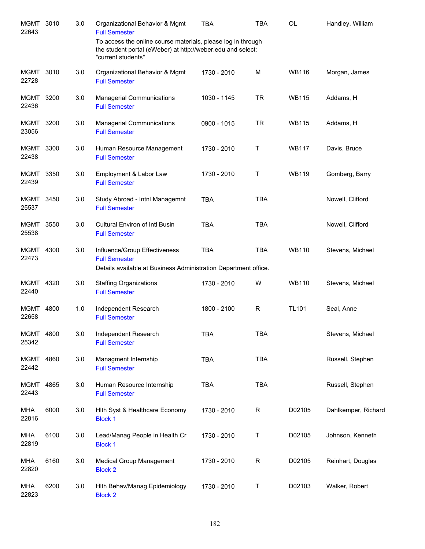| <b>MGMT</b><br>22643 | 3010 | 3.0 | Organizational Behavior & Mgmt<br><b>Full Semester</b>                                                                                            | <b>TBA</b>  | TBA         | OL           | Handley, William    |
|----------------------|------|-----|---------------------------------------------------------------------------------------------------------------------------------------------------|-------------|-------------|--------------|---------------------|
|                      |      |     | To access the online course materials, please log in through<br>the student portal (eWeber) at http://weber.edu and select:<br>"current students" |             |             |              |                     |
| MGMT 3010<br>22728   |      | 3.0 | Organizational Behavior & Mgmt<br><b>Full Semester</b>                                                                                            | 1730 - 2010 | M           | <b>WB116</b> | Morgan, James       |
| <b>MGMT</b><br>22436 | 3200 | 3.0 | <b>Managerial Communications</b><br><b>Full Semester</b>                                                                                          | 1030 - 1145 | <b>TR</b>   | <b>WB115</b> | Addams, H           |
| <b>MGMT</b><br>23056 | 3200 | 3.0 | <b>Managerial Communications</b><br><b>Full Semester</b>                                                                                          | 0900 - 1015 | <b>TR</b>   | <b>WB115</b> | Addams, H           |
| MGMT<br>22438        | 3300 | 3.0 | Human Resource Management<br><b>Full Semester</b>                                                                                                 | 1730 - 2010 | Т           | <b>WB117</b> | Davis, Bruce        |
| MGMT<br>22439        | 3350 | 3.0 | Employment & Labor Law<br><b>Full Semester</b>                                                                                                    | 1730 - 2010 | Т           | <b>WB119</b> | Gomberg, Barry      |
| MGMT<br>25537        | 3450 | 3.0 | Study Abroad - Intnl Managemnt<br><b>Full Semester</b>                                                                                            | <b>TBA</b>  | <b>TBA</b>  |              | Nowell, Clifford    |
| <b>MGMT</b><br>25538 | 3550 | 3.0 | <b>Cultural Environ of Intl Busin</b><br><b>Full Semester</b>                                                                                     | <b>TBA</b>  | <b>TBA</b>  |              | Nowell, Clifford    |
| MGMT<br>22473        | 4300 | 3.0 | Influence/Group Effectiveness<br><b>Full Semester</b><br>Details available at Business Administration Department office.                          | <b>TBA</b>  | <b>TBA</b>  | <b>WB110</b> | Stevens, Michael    |
| MGMT<br>22440        | 4320 | 3.0 | <b>Staffing Organizations</b><br><b>Full Semester</b>                                                                                             | 1730 - 2010 | W           | <b>WB110</b> | Stevens, Michael    |
| MGMT 4800<br>22658   |      | 1.0 | Independent Research<br><b>Full Semester</b>                                                                                                      | 1800 - 2100 | R           | <b>TL101</b> | Seal, Anne          |
| MGMT<br>25342        | 4800 | 3.0 | Independent Research<br><b>Full Semester</b>                                                                                                      | <b>TBA</b>  | <b>TBA</b>  |              | Stevens, Michael    |
| MGMT<br>22442        | 4860 | 3.0 | Managment Internship<br><b>Full Semester</b>                                                                                                      | <b>TBA</b>  | <b>TBA</b>  |              | Russell, Stephen    |
| MGMT<br>22443        | 4865 | 3.0 | Human Resource Internship<br><b>Full Semester</b>                                                                                                 | <b>TBA</b>  | <b>TBA</b>  |              | Russell, Stephen    |
| <b>MHA</b><br>22816  | 6000 | 3.0 | Hith Syst & Healthcare Economy<br><b>Block 1</b>                                                                                                  | 1730 - 2010 | $\mathsf R$ | D02105       | Dahlkemper, Richard |
| <b>MHA</b><br>22819  | 6100 | 3.0 | Lead/Manag People in Health Cr<br><b>Block 1</b>                                                                                                  | 1730 - 2010 | Τ           | D02105       | Johnson, Kenneth    |
| <b>MHA</b><br>22820  | 6160 | 3.0 | <b>Medical Group Management</b><br><b>Block 2</b>                                                                                                 | 1730 - 2010 | $\mathsf R$ | D02105       | Reinhart, Douglas   |
| MHA<br>22823         | 6200 | 3.0 | Hith Behav/Manag Epidemiology<br><b>Block 2</b>                                                                                                   | 1730 - 2010 | $\mathsf T$ | D02103       | Walker, Robert      |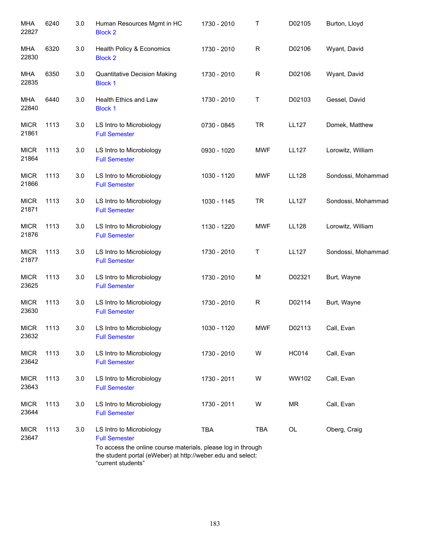| MHA<br>22827         | 6240 | 3.0 | Human Resources Mgmt in HC<br><b>Block 2</b>                                                                                                      | 1730 - 2010 | Т          | D02105       | Burton, Lloyd      |
|----------------------|------|-----|---------------------------------------------------------------------------------------------------------------------------------------------------|-------------|------------|--------------|--------------------|
| MHA<br>22830         | 6320 | 3.0 | Health Policy & Economics<br><b>Block 2</b>                                                                                                       | 1730 - 2010 | R          | D02106       | Wyant, David       |
| MHA<br>22835         | 6350 | 3.0 | <b>Quantitative Decision Making</b><br><b>Block 1</b>                                                                                             | 1730 - 2010 | R          | D02106       | Wyant, David       |
| MHA<br>22840         | 6440 | 3.0 | Health Ethics and Law<br><b>Block 1</b>                                                                                                           | 1730 - 2010 | Т          | D02103       | Gessel, David      |
| <b>MICR</b><br>21861 | 1113 | 3.0 | LS Intro to Microbiology<br><b>Full Semester</b>                                                                                                  | 0730 - 0845 | <b>TR</b>  | <b>LL127</b> | Domek, Matthew     |
| <b>MICR</b><br>21864 | 1113 | 3.0 | LS Intro to Microbiology<br><b>Full Semester</b>                                                                                                  | 0930 - 1020 | <b>MWF</b> | <b>LL127</b> | Lorowitz, William  |
| <b>MICR</b><br>21866 | 1113 | 3.0 | LS Intro to Microbiology<br><b>Full Semester</b>                                                                                                  | 1030 - 1120 | <b>MWF</b> | LL128        | Sondossi, Mohammad |
| <b>MICR</b><br>21871 | 1113 | 3.0 | LS Intro to Microbiology<br><b>Full Semester</b>                                                                                                  | 1030 - 1145 | <b>TR</b>  | <b>LL127</b> | Sondossi, Mohammad |
| <b>MICR</b><br>21876 | 1113 | 3.0 | LS Intro to Microbiology<br><b>Full Semester</b>                                                                                                  | 1130 - 1220 | <b>MWF</b> | LL128        | Lorowitz, William  |
| <b>MICR</b><br>21877 | 1113 | 3.0 | LS Intro to Microbiology<br><b>Full Semester</b>                                                                                                  | 1730 - 2010 | Τ          | <b>LL127</b> | Sondossi, Mohammad |
| <b>MICR</b><br>23625 | 1113 | 3.0 | LS Intro to Microbiology<br><b>Full Semester</b>                                                                                                  | 1730 - 2010 | M          | D02321       | Burt, Wayne        |
| <b>MICR</b><br>23630 | 1113 | 3.0 | LS Intro to Microbiology<br><b>Full Semester</b>                                                                                                  | 1730 - 2010 | R          | D02114       | Burt, Wayne        |
| <b>MICR</b><br>23632 | 1113 | 3.0 | LS Intro to Microbiology<br><b>Full Semester</b>                                                                                                  | 1030 - 1120 | <b>MWF</b> | D02113       | Call, Evan         |
| <b>MICR</b><br>23642 | 1113 | 3.0 | LS Intro to Microbiology<br><b>Full Semester</b>                                                                                                  | 1730 - 2010 | W          | <b>HC014</b> | Call, Evan         |
| <b>MICR</b><br>23643 | 1113 | 3.0 | LS Intro to Microbiology<br><b>Full Semester</b>                                                                                                  | 1730 - 2011 | W          | WW102        | Call, Evan         |
| <b>MICR</b><br>23644 | 1113 | 3.0 | LS Intro to Microbiology<br><b>Full Semester</b>                                                                                                  | 1730 - 2011 | W          | <b>MR</b>    | Call, Evan         |
| <b>MICR</b><br>23647 | 1113 | 3.0 | LS Intro to Microbiology<br><b>Full Semester</b>                                                                                                  | <b>TBA</b>  | <b>TBA</b> | OL           | Oberg, Craig       |
|                      |      |     | To access the online course materials, please log in through<br>the student portal (eWeber) at http://weber.edu and select:<br>"current students" |             |            |              |                    |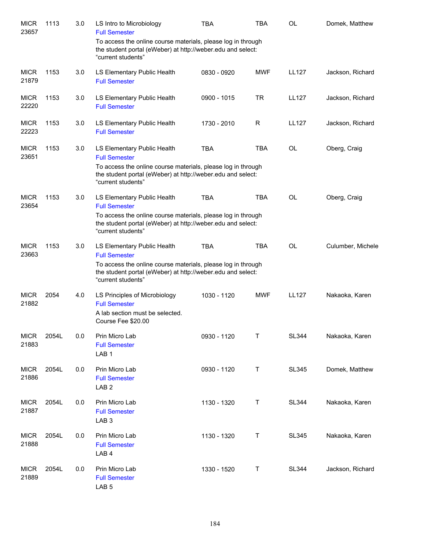| <b>MICR</b><br>23657 | 1113  | 3.0 | LS Intro to Microbiology<br><b>Full Semester</b>                                                                                                  | <b>TBA</b>    | <b>TBA</b> | <b>OL</b>    | Domek, Matthew    |
|----------------------|-------|-----|---------------------------------------------------------------------------------------------------------------------------------------------------|---------------|------------|--------------|-------------------|
|                      |       |     | To access the online course materials, please log in through<br>the student portal (eWeber) at http://weber.edu and select:<br>"current students" |               |            |              |                   |
| <b>MICR</b><br>21879 | 1153  | 3.0 | LS Elementary Public Health<br><b>Full Semester</b>                                                                                               | 0830 - 0920   | <b>MWF</b> | <b>LL127</b> | Jackson, Richard  |
| <b>MICR</b><br>22220 | 1153  | 3.0 | LS Elementary Public Health<br><b>Full Semester</b>                                                                                               | $0900 - 1015$ | <b>TR</b>  | <b>LL127</b> | Jackson, Richard  |
| <b>MICR</b><br>22223 | 1153  | 3.0 | LS Elementary Public Health<br><b>Full Semester</b>                                                                                               | 1730 - 2010   | R          | <b>LL127</b> | Jackson, Richard  |
| <b>MICR</b><br>23651 | 1153  | 3.0 | LS Elementary Public Health<br><b>Full Semester</b>                                                                                               | <b>TBA</b>    | <b>TBA</b> | <b>OL</b>    | Oberg, Craig      |
|                      |       |     | To access the online course materials, please log in through<br>the student portal (eWeber) at http://weber.edu and select:<br>"current students" |               |            |              |                   |
| <b>MICR</b><br>23654 | 1153  | 3.0 | LS Elementary Public Health<br><b>Full Semester</b>                                                                                               | <b>TBA</b>    | <b>TBA</b> | <b>OL</b>    | Oberg, Craig      |
|                      |       |     | To access the online course materials, please log in through<br>the student portal (eWeber) at http://weber.edu and select:<br>"current students" |               |            |              |                   |
| <b>MICR</b><br>23663 | 1153  | 3.0 | LS Elementary Public Health<br><b>Full Semester</b>                                                                                               | <b>TBA</b>    | <b>TBA</b> | <b>OL</b>    | Culumber, Michele |
|                      |       |     | To access the online course materials, please log in through<br>the student portal (eWeber) at http://weber.edu and select:<br>"current students" |               |            |              |                   |
| <b>MICR</b><br>21882 | 2054  | 4.0 | LS Principles of Microbiology<br><b>Full Semester</b><br>A lab section must be selected.<br>Course Fee \$20.00                                    | 1030 - 1120   | <b>MWF</b> | <b>LL127</b> | Nakaoka, Karen    |
| <b>MICR</b><br>21883 | 2054L | 0.0 | Prin Micro Lab<br><b>Full Semester</b><br>LAB <sub>1</sub>                                                                                        | 0930 - 1120   | Τ          | <b>SL344</b> | Nakaoka, Karen    |
| <b>MICR</b><br>21886 | 2054L | 0.0 | Prin Micro Lab<br><b>Full Semester</b><br>LAB <sub>2</sub>                                                                                        | 0930 - 1120   | Τ          | <b>SL345</b> | Domek, Matthew    |
| <b>MICR</b><br>21887 | 2054L | 0.0 | Prin Micro Lab<br><b>Full Semester</b><br>LAB <sub>3</sub>                                                                                        | 1130 - 1320   | Τ          | SL344        | Nakaoka, Karen    |
| <b>MICR</b><br>21888 | 2054L | 0.0 | Prin Micro Lab<br><b>Full Semester</b><br>LAB <sub>4</sub>                                                                                        | 1130 - 1320   | Τ          | SL345        | Nakaoka, Karen    |
| <b>MICR</b><br>21889 | 2054L | 0.0 | Prin Micro Lab<br><b>Full Semester</b><br>LAB <sub>5</sub>                                                                                        | 1330 - 1520   | Т          | SL344        | Jackson, Richard  |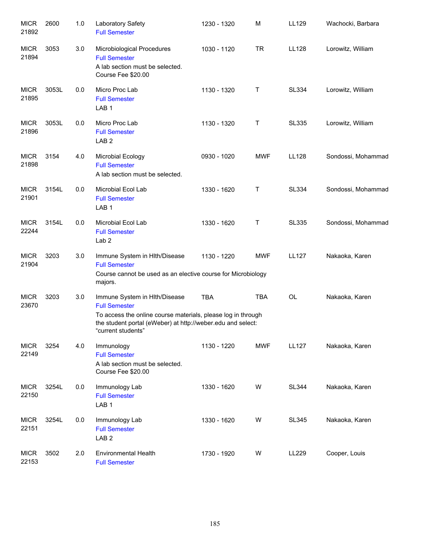| <b>MICR</b><br>21892 | 2600  | 1.0 | Laboratory Safety<br><b>Full Semester</b>                                                                                                                                                                  | 1230 - 1320 | M          | LL129        | Wachocki, Barbara  |
|----------------------|-------|-----|------------------------------------------------------------------------------------------------------------------------------------------------------------------------------------------------------------|-------------|------------|--------------|--------------------|
| <b>MICR</b><br>21894 | 3053  | 3.0 | Microbiological Procedures<br><b>Full Semester</b><br>A lab section must be selected.<br>Course Fee \$20.00                                                                                                | 1030 - 1120 | <b>TR</b>  | <b>LL128</b> | Lorowitz, William  |
| <b>MICR</b><br>21895 | 3053L | 0.0 | Micro Proc Lab<br><b>Full Semester</b><br>LAB <sub>1</sub>                                                                                                                                                 | 1130 - 1320 | Т          | <b>SL334</b> | Lorowitz, William  |
| <b>MICR</b><br>21896 | 3053L | 0.0 | Micro Proc Lab<br><b>Full Semester</b><br>LAB <sub>2</sub>                                                                                                                                                 | 1130 - 1320 | Т          | <b>SL335</b> | Lorowitz, William  |
| <b>MICR</b><br>21898 | 3154  | 4.0 | Microbial Ecology<br><b>Full Semester</b><br>A lab section must be selected.                                                                                                                               | 0930 - 1020 | <b>MWF</b> | <b>LL128</b> | Sondossi, Mohammad |
| <b>MICR</b><br>21901 | 3154L | 0.0 | Microbial Ecol Lab<br><b>Full Semester</b><br>LAB <sub>1</sub>                                                                                                                                             | 1330 - 1620 | Т          | <b>SL334</b> | Sondossi, Mohammad |
| <b>MICR</b><br>22244 | 3154L | 0.0 | Microbial Ecol Lab<br><b>Full Semester</b><br>Lab <sub>2</sub>                                                                                                                                             | 1330 - 1620 | Т          | <b>SL335</b> | Sondossi, Mohammad |
| <b>MICR</b><br>21904 | 3203  | 3.0 | Immune System in Hith/Disease<br><b>Full Semester</b><br>Course cannot be used as an elective course for Microbiology<br>majors.                                                                           | 1130 - 1220 | <b>MWF</b> | <b>LL127</b> | Nakaoka, Karen     |
| <b>MICR</b><br>23670 | 3203  | 3.0 | Immune System in Hlth/Disease<br><b>Full Semester</b><br>To access the online course materials, please log in through<br>the student portal (eWeber) at http://weber.edu and select:<br>"current students" | <b>TBA</b>  | <b>TBA</b> | <b>OL</b>    | Nakaoka, Karen     |
| <b>MICR</b><br>22149 | 3254  | 4.0 | Immunology<br><b>Full Semester</b><br>A lab section must be selected.<br>Course Fee \$20.00                                                                                                                | 1130 - 1220 | <b>MWF</b> | <b>LL127</b> | Nakaoka, Karen     |
| <b>MICR</b><br>22150 | 3254L | 0.0 | Immunology Lab<br><b>Full Semester</b><br>LAB <sub>1</sub>                                                                                                                                                 | 1330 - 1620 | W          | <b>SL344</b> | Nakaoka, Karen     |
| <b>MICR</b><br>22151 | 3254L | 0.0 | Immunology Lab<br><b>Full Semester</b><br>LAB <sub>2</sub>                                                                                                                                                 | 1330 - 1620 | W          | <b>SL345</b> | Nakaoka, Karen     |
| <b>MICR</b><br>22153 | 3502  | 2.0 | <b>Environmental Health</b><br><b>Full Semester</b>                                                                                                                                                        | 1730 - 1920 | W          | LL229        | Cooper, Louis      |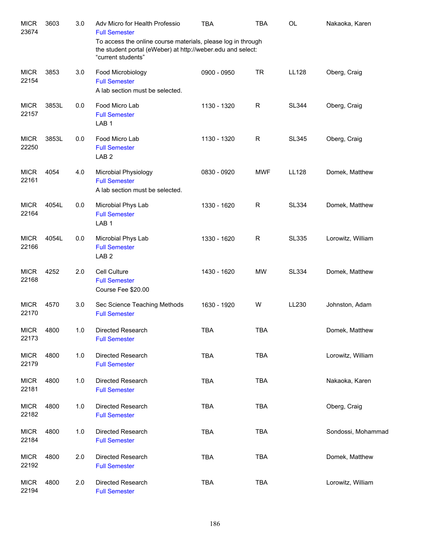| <b>MICR</b><br>23674 | 3603  | 3.0 | Adv Micro for Health Professio<br><b>Full Semester</b><br>To access the online course materials, please log in through<br>the student portal (eWeber) at http://weber.edu and select: | <b>TBA</b>  | <b>TBA</b>  | <b>OL</b>    | Nakaoka, Karen     |
|----------------------|-------|-----|---------------------------------------------------------------------------------------------------------------------------------------------------------------------------------------|-------------|-------------|--------------|--------------------|
| <b>MICR</b>          | 3853  | 3.0 | "current students"<br>Food Microbiology                                                                                                                                               | 0900 - 0950 | <b>TR</b>   | LL128        | Oberg, Craig       |
| 22154                |       |     | <b>Full Semester</b><br>A lab section must be selected.                                                                                                                               |             |             |              |                    |
| <b>MICR</b><br>22157 | 3853L | 0.0 | Food Micro Lab<br><b>Full Semester</b><br>LAB <sub>1</sub>                                                                                                                            | 1130 - 1320 | $\mathsf R$ | <b>SL344</b> | Oberg, Craig       |
| <b>MICR</b><br>22250 | 3853L | 0.0 | Food Micro Lab<br><b>Full Semester</b><br>LAB <sub>2</sub>                                                                                                                            | 1130 - 1320 | $\mathsf R$ | <b>SL345</b> | Oberg, Craig       |
| <b>MICR</b><br>22161 | 4054  | 4.0 | Microbial Physiology<br><b>Full Semester</b><br>A lab section must be selected.                                                                                                       | 0830 - 0920 | <b>MWF</b>  | LL128        | Domek, Matthew     |
| <b>MICR</b><br>22164 | 4054L | 0.0 | Microbial Phys Lab<br><b>Full Semester</b><br>LAB <sub>1</sub>                                                                                                                        | 1330 - 1620 | $\mathsf R$ | <b>SL334</b> | Domek, Matthew     |
| <b>MICR</b><br>22166 | 4054L | 0.0 | Microbial Phys Lab<br><b>Full Semester</b><br>LAB <sub>2</sub>                                                                                                                        | 1330 - 1620 | $\mathsf R$ | <b>SL335</b> | Lorowitz, William  |
| <b>MICR</b><br>22168 | 4252  | 2.0 | Cell Culture<br><b>Full Semester</b><br>Course Fee \$20.00                                                                                                                            | 1430 - 1620 | <b>MW</b>   | <b>SL334</b> | Domek, Matthew     |
| <b>MICR</b><br>22170 | 4570  | 3.0 | Sec Science Teaching Methods<br><b>Full Semester</b>                                                                                                                                  | 1630 - 1920 | W           | LL230        | Johnston, Adam     |
| <b>MICR</b><br>22173 | 4800  | 1.0 | Directed Research<br><b>Full Semester</b>                                                                                                                                             | <b>TBA</b>  | <b>TBA</b>  |              | Domek, Matthew     |
| <b>MICR</b><br>22179 | 4800  | 1.0 | Directed Research<br><b>Full Semester</b>                                                                                                                                             | <b>TBA</b>  | <b>TBA</b>  |              | Lorowitz, William  |
| <b>MICR</b><br>22181 | 4800  | 1.0 | Directed Research<br><b>Full Semester</b>                                                                                                                                             | <b>TBA</b>  | <b>TBA</b>  |              | Nakaoka, Karen     |
| <b>MICR</b><br>22182 | 4800  | 1.0 | Directed Research<br><b>Full Semester</b>                                                                                                                                             | <b>TBA</b>  | <b>TBA</b>  |              | Oberg, Craig       |
| <b>MICR</b><br>22184 | 4800  | 1.0 | Directed Research<br><b>Full Semester</b>                                                                                                                                             | <b>TBA</b>  | <b>TBA</b>  |              | Sondossi, Mohammad |
| <b>MICR</b><br>22192 | 4800  | 2.0 | <b>Directed Research</b><br><b>Full Semester</b>                                                                                                                                      | <b>TBA</b>  | <b>TBA</b>  |              | Domek, Matthew     |
| <b>MICR</b><br>22194 | 4800  | 2.0 | Directed Research<br><b>Full Semester</b>                                                                                                                                             | <b>TBA</b>  | TBA         |              | Lorowitz, William  |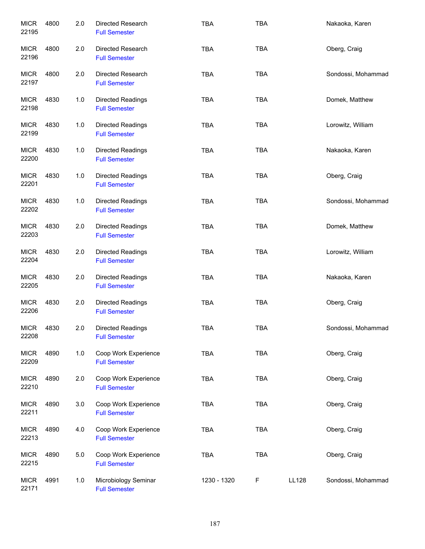| <b>MICR</b><br>22195 | 4800 | 2.0 | Directed Research<br><b>Full Semester</b>        | <b>TBA</b>  | <b>TBA</b> |       | Nakaoka, Karen     |
|----------------------|------|-----|--------------------------------------------------|-------------|------------|-------|--------------------|
| <b>MICR</b><br>22196 | 4800 | 2.0 | Directed Research<br><b>Full Semester</b>        | <b>TBA</b>  | <b>TBA</b> |       | Oberg, Craig       |
| <b>MICR</b><br>22197 | 4800 | 2.0 | Directed Research<br><b>Full Semester</b>        | <b>TBA</b>  | <b>TBA</b> |       | Sondossi, Mohammad |
| <b>MICR</b><br>22198 | 4830 | 1.0 | Directed Readings<br><b>Full Semester</b>        | <b>TBA</b>  | <b>TBA</b> |       | Domek, Matthew     |
| <b>MICR</b><br>22199 | 4830 | 1.0 | Directed Readings<br><b>Full Semester</b>        | <b>TBA</b>  | <b>TBA</b> |       | Lorowitz, William  |
| <b>MICR</b><br>22200 | 4830 | 1.0 | Directed Readings<br><b>Full Semester</b>        | <b>TBA</b>  | <b>TBA</b> |       | Nakaoka, Karen     |
| <b>MICR</b><br>22201 | 4830 | 1.0 | Directed Readings<br><b>Full Semester</b>        | <b>TBA</b>  | <b>TBA</b> |       | Oberg, Craig       |
| <b>MICR</b><br>22202 | 4830 | 1.0 | Directed Readings<br><b>Full Semester</b>        | <b>TBA</b>  | <b>TBA</b> |       | Sondossi, Mohammad |
| <b>MICR</b><br>22203 | 4830 | 2.0 | Directed Readings<br><b>Full Semester</b>        | <b>TBA</b>  | <b>TBA</b> |       | Domek, Matthew     |
| <b>MICR</b><br>22204 | 4830 | 2.0 | <b>Directed Readings</b><br><b>Full Semester</b> | <b>TBA</b>  | <b>TBA</b> |       | Lorowitz, William  |
| <b>MICR</b><br>22205 | 4830 | 2.0 | Directed Readings<br><b>Full Semester</b>        | <b>TBA</b>  | <b>TBA</b> |       | Nakaoka, Karen     |
| <b>MICR</b><br>22206 | 4830 | 2.0 | <b>Directed Readings</b><br><b>Full Semester</b> | <b>TBA</b>  | <b>TBA</b> |       | Oberg, Craig       |
| <b>MICR</b><br>22208 | 4830 | 2.0 | <b>Directed Readings</b><br><b>Full Semester</b> | <b>TBA</b>  | TBA        |       | Sondossi, Mohammad |
| <b>MICR</b><br>22209 | 4890 | 1.0 | Coop Work Experience<br><b>Full Semester</b>     | <b>TBA</b>  | TBA        |       | Oberg, Craig       |
| <b>MICR</b><br>22210 | 4890 | 2.0 | Coop Work Experience<br><b>Full Semester</b>     | <b>TBA</b>  | <b>TBA</b> |       | Oberg, Craig       |
| <b>MICR</b><br>22211 | 4890 | 3.0 | Coop Work Experience<br><b>Full Semester</b>     | <b>TBA</b>  | <b>TBA</b> |       | Oberg, Craig       |
| <b>MICR</b><br>22213 | 4890 | 4.0 | Coop Work Experience<br><b>Full Semester</b>     | <b>TBA</b>  | <b>TBA</b> |       | Oberg, Craig       |
| <b>MICR</b><br>22215 | 4890 | 5.0 | Coop Work Experience<br><b>Full Semester</b>     | <b>TBA</b>  | <b>TBA</b> |       | Oberg, Craig       |
| <b>MICR</b><br>22171 | 4991 | 1.0 | Microbiology Seminar<br><b>Full Semester</b>     | 1230 - 1320 | F          | LL128 | Sondossi, Mohammad |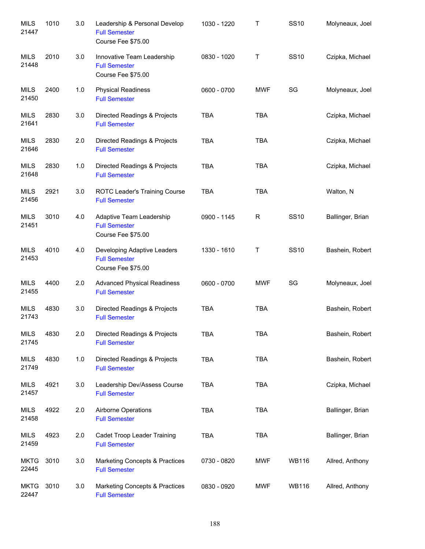| <b>MILS</b><br>21447 | 1010 | 3.0 | Leadership & Personal Develop<br><b>Full Semester</b><br>Course Fee \$75.00 | 1030 - 1220 | Τ           | <b>SS10</b>  | Molyneaux, Joel  |
|----------------------|------|-----|-----------------------------------------------------------------------------|-------------|-------------|--------------|------------------|
| <b>MILS</b><br>21448 | 2010 | 3.0 | Innovative Team Leadership<br><b>Full Semester</b><br>Course Fee \$75.00    | 0830 - 1020 | T           | <b>SS10</b>  | Czipka, Michael  |
| <b>MILS</b><br>21450 | 2400 | 1.0 | <b>Physical Readiness</b><br><b>Full Semester</b>                           | 0600 - 0700 | <b>MWF</b>  | SG           | Molyneaux, Joel  |
| <b>MILS</b><br>21641 | 2830 | 3.0 | Directed Readings & Projects<br><b>Full Semester</b>                        | <b>TBA</b>  | <b>TBA</b>  |              | Czipka, Michael  |
| <b>MILS</b><br>21646 | 2830 | 2.0 | Directed Readings & Projects<br><b>Full Semester</b>                        | <b>TBA</b>  | <b>TBA</b>  |              | Czipka, Michael  |
| <b>MILS</b><br>21648 | 2830 | 1.0 | Directed Readings & Projects<br><b>Full Semester</b>                        | <b>TBA</b>  | <b>TBA</b>  |              | Czipka, Michael  |
| <b>MILS</b><br>21456 | 2921 | 3.0 | ROTC Leader's Training Course<br><b>Full Semester</b>                       | <b>TBA</b>  | <b>TBA</b>  |              | Walton, N        |
| <b>MILS</b><br>21451 | 3010 | 4.0 | Adaptive Team Leadership<br><b>Full Semester</b><br>Course Fee \$75.00      | 0900 - 1145 | $\mathsf R$ | <b>SS10</b>  | Ballinger, Brian |
| <b>MILS</b><br>21453 | 4010 | 4.0 | Developing Adaptive Leaders<br><b>Full Semester</b><br>Course Fee \$75.00   | 1330 - 1610 | T           | <b>SS10</b>  | Bashein, Robert  |
| <b>MILS</b><br>21455 | 4400 | 2.0 | <b>Advanced Physical Readiness</b><br><b>Full Semester</b>                  | 0600 - 0700 | <b>MWF</b>  | SG           | Molyneaux, Joel  |
| <b>MILS</b><br>21743 | 4830 | 3.0 | Directed Readings & Projects<br><b>Full Semester</b>                        | <b>TBA</b>  | <b>TBA</b>  |              | Bashein, Robert  |
| <b>MILS</b><br>21745 | 4830 | 2.0 | Directed Readings & Projects<br><b>Full Semester</b>                        | <b>TBA</b>  | <b>TBA</b>  |              | Bashein, Robert  |
| <b>MILS</b><br>21749 | 4830 | 1.0 | Directed Readings & Projects<br><b>Full Semester</b>                        | TBA         | <b>TBA</b>  |              | Bashein, Robert  |
| <b>MILS</b><br>21457 | 4921 | 3.0 | Leadership Dev/Assess Course<br><b>Full Semester</b>                        | <b>TBA</b>  | <b>TBA</b>  |              | Czipka, Michael  |
| <b>MILS</b><br>21458 | 4922 | 2.0 | Airborne Operations<br><b>Full Semester</b>                                 | <b>TBA</b>  | <b>TBA</b>  |              | Ballinger, Brian |
| <b>MILS</b><br>21459 | 4923 | 2.0 | Cadet Troop Leader Training<br><b>Full Semester</b>                         | <b>TBA</b>  | <b>TBA</b>  |              | Ballinger, Brian |
| <b>MKTG</b><br>22445 | 3010 | 3.0 | Marketing Concepts & Practices<br><b>Full Semester</b>                      | 0730 - 0820 | <b>MWF</b>  | <b>WB116</b> | Allred, Anthony  |
| <b>MKTG</b><br>22447 | 3010 | 3.0 | Marketing Concepts & Practices<br><b>Full Semester</b>                      | 0830 - 0920 | <b>MWF</b>  | <b>WB116</b> | Allred, Anthony  |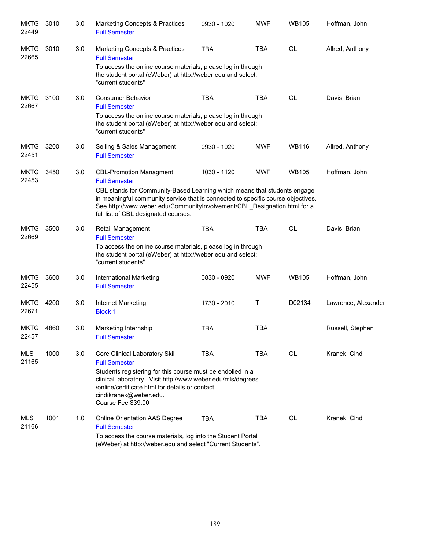| <b>MKTG</b><br>22449 | 3010 | 3.0 | <b>Marketing Concepts &amp; Practices</b><br><b>Full Semester</b>                                                                                                                                                                                                                                                                          | 0930 - 1020 | <b>MWF</b> | <b>WB105</b> | Hoffman, John       |
|----------------------|------|-----|--------------------------------------------------------------------------------------------------------------------------------------------------------------------------------------------------------------------------------------------------------------------------------------------------------------------------------------------|-------------|------------|--------------|---------------------|
| <b>MKTG</b><br>22665 | 3010 | 3.0 | <b>Marketing Concepts &amp; Practices</b><br><b>Full Semester</b><br>To access the online course materials, please log in through<br>the student portal (eWeber) at http://weber.edu and select:<br>"current students"                                                                                                                     | <b>TBA</b>  | <b>TBA</b> | <b>OL</b>    | Allred, Anthony     |
| <b>MKTG</b><br>22667 | 3100 | 3.0 | <b>Consumer Behavior</b><br><b>Full Semester</b><br>To access the online course materials, please log in through<br>the student portal (eWeber) at http://weber.edu and select:<br>"current students"                                                                                                                                      | <b>TBA</b>  | <b>TBA</b> | <b>OL</b>    | Davis, Brian        |
| <b>MKTG</b><br>22451 | 3200 | 3.0 | Selling & Sales Management<br><b>Full Semester</b>                                                                                                                                                                                                                                                                                         | 0930 - 1020 | <b>MWF</b> | <b>WB116</b> | Allred, Anthony     |
| <b>MKTG</b><br>22453 | 3450 | 3.0 | <b>CBL-Promotion Managment</b><br><b>Full Semester</b><br>CBL stands for Community-Based Learning which means that students engage<br>in meaningful community service that is connected to specific course objectives.<br>See http://www.weber.edu/CommunityInvolvement/CBL Designation.html for a<br>full list of CBL designated courses. | 1030 - 1120 | <b>MWF</b> | <b>WB105</b> | Hoffman, John       |
| <b>MKTG</b><br>22669 | 3500 | 3.0 | Retail Management<br><b>Full Semester</b><br>To access the online course materials, please log in through<br>the student portal (eWeber) at http://weber.edu and select:<br>"current students"                                                                                                                                             | <b>TBA</b>  | <b>TBA</b> | <b>OL</b>    | Davis, Brian        |
| <b>MKTG</b><br>22455 | 3600 | 3.0 | International Marketing<br><b>Full Semester</b>                                                                                                                                                                                                                                                                                            | 0830 - 0920 | <b>MWF</b> | <b>WB105</b> | Hoffman, John       |
| <b>MKTG</b><br>22671 | 4200 | 3.0 | Internet Marketing<br><b>Block 1</b>                                                                                                                                                                                                                                                                                                       | 1730 - 2010 | Т          | D02134       | Lawrence, Alexander |
| <b>MKTG</b><br>22457 | 4860 | 3.0 | Marketing Internship<br><b>Full Semester</b>                                                                                                                                                                                                                                                                                               | <b>TBA</b>  | TBA        |              | Russell, Stephen    |
| MLS<br>21165         | 1000 | 3.0 | Core Clinical Laboratory Skill<br><b>Full Semester</b><br>Students registering for this course must be endolled in a<br>clinical laboratory. Visit http://www.weber.edu/mls/degrees<br>/online/certificate.html for details or contact<br>cindikranek@weber.edu.<br>Course Fee \$39.00                                                     | <b>TBA</b>  | <b>TBA</b> | OL           | Kranek, Cindi       |
| MLS<br>21166         | 1001 | 1.0 | Online Orientation AAS Degree<br><b>Full Semester</b><br>To access the course materials, log into the Student Portal<br>(eWeber) at http://weber.edu and select "Current Students".                                                                                                                                                        | <b>TBA</b>  | <b>TBA</b> | OL           | Kranek, Cindi       |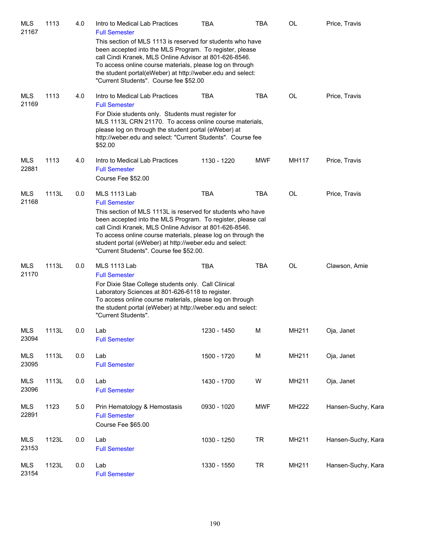| <b>MLS</b><br>21167 | 1113  | 4.0 | Intro to Medical Lab Practices<br><b>Full Semester</b><br>This section of MLS 1113 is reserved for students who have<br>been accepted into the MLS Program. To register, please<br>call Cindi Kranek, MLS Online Advisor at 801-626-8546.<br>To access online course materials, please log on through<br>the student portal(eWeber) at http://weber.edu and select:<br>"Current Students". Course fee \$52.00 | <b>TBA</b>  | TBA        | OL        | Price, Travis      |
|---------------------|-------|-----|---------------------------------------------------------------------------------------------------------------------------------------------------------------------------------------------------------------------------------------------------------------------------------------------------------------------------------------------------------------------------------------------------------------|-------------|------------|-----------|--------------------|
| <b>MLS</b><br>21169 | 1113  | 4.0 | Intro to Medical Lab Practices<br><b>Full Semester</b><br>For Dixie students only. Students must register for<br>MLS 1113L CRN 21170. To access online course materials,<br>please log on through the student portal (eWeber) at<br>http://weber.edu and select: "Current Students". Course fee<br>\$52.00                                                                                                    | <b>TBA</b>  | <b>TBA</b> | OL        | Price, Travis      |
| <b>MLS</b><br>22881 | 1113  | 4.0 | Intro to Medical Lab Practices<br><b>Full Semester</b><br>Course Fee \$52.00                                                                                                                                                                                                                                                                                                                                  | 1130 - 1220 | <b>MWF</b> | MH117     | Price, Travis      |
| <b>MLS</b><br>21168 | 1113L | 0.0 | <b>MLS 1113 Lab</b><br><b>Full Semester</b><br>This section of MLS 1113L is reserved for students who have<br>been accepted into the MLS Program. To register, please cal<br>call Cindi Kranek, MLS Online Advisor at 801-626-8546.<br>To access online course materials, please log on through the<br>student portal (eWeber) at http://weber.edu and select:<br>"Current Students". Course fee \$52.00.     | <b>TBA</b>  | <b>TBA</b> | <b>OL</b> | Price, Travis      |
| <b>MLS</b><br>21170 | 1113L | 0.0 | <b>MLS 1113 Lab</b><br><b>Full Semester</b><br>For Dixie Stae College students only. Call Clinical<br>Laboratory Sciences at 801-626-6118 to register.<br>To access online course materials, please log on through<br>the student portal (eWeber) at http://weber.edu and select:<br>"Current Students".                                                                                                      | <b>TBA</b>  | <b>TBA</b> | OL        | Clawson, Amie      |
| MLS<br>23094        | 1113L | 0.0 | Lab<br><b>Full Semester</b>                                                                                                                                                                                                                                                                                                                                                                                   | 1230 - 1450 | M          | MH211     | Oja, Janet         |
| <b>MLS</b><br>23095 | 1113L | 0.0 | Lab<br><b>Full Semester</b>                                                                                                                                                                                                                                                                                                                                                                                   | 1500 - 1720 | M          | MH211     | Oja, Janet         |
| <b>MLS</b><br>23096 | 1113L | 0.0 | Lab<br><b>Full Semester</b>                                                                                                                                                                                                                                                                                                                                                                                   | 1430 - 1700 | W          | MH211     | Oja, Janet         |
| <b>MLS</b><br>22891 | 1123  | 5.0 | Prin Hematology & Hemostasis<br><b>Full Semester</b><br>Course Fee \$65.00                                                                                                                                                                                                                                                                                                                                    | 0930 - 1020 | <b>MWF</b> | MH222     | Hansen-Suchy, Kara |
| <b>MLS</b><br>23153 | 1123L | 0.0 | Lab<br><b>Full Semester</b>                                                                                                                                                                                                                                                                                                                                                                                   | 1030 - 1250 | <b>TR</b>  | MH211     | Hansen-Suchy, Kara |
| <b>MLS</b><br>23154 | 1123L | 0.0 | Lab<br><b>Full Semester</b>                                                                                                                                                                                                                                                                                                                                                                                   | 1330 - 1550 | <b>TR</b>  | MH211     | Hansen-Suchy, Kara |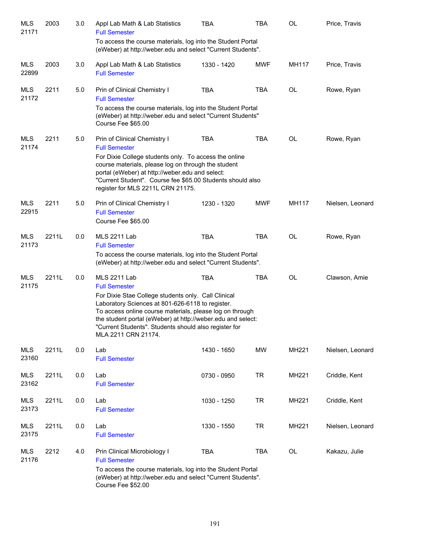| MLS<br>21171        | 2003  | 3.0 | Appl Lab Math & Lab Statistics<br><b>Full Semester</b>                                                                                                                                                                                                                                                             | <b>TBA</b>  | <b>TBA</b> | <b>OL</b> | Price, Travis    |
|---------------------|-------|-----|--------------------------------------------------------------------------------------------------------------------------------------------------------------------------------------------------------------------------------------------------------------------------------------------------------------------|-------------|------------|-----------|------------------|
|                     |       |     | To access the course materials, log into the Student Portal<br>(eWeber) at http://weber.edu and select "Current Students".                                                                                                                                                                                         |             |            |           |                  |
| MLS<br>22899        | 2003  | 3.0 | Appl Lab Math & Lab Statistics<br><b>Full Semester</b>                                                                                                                                                                                                                                                             | 1330 - 1420 | <b>MWF</b> | MH117     | Price, Travis    |
| MLS<br>21172        | 2211  | 5.0 | Prin of Clinical Chemistry I<br><b>Full Semester</b>                                                                                                                                                                                                                                                               | <b>TBA</b>  | <b>TBA</b> | <b>OL</b> | Rowe, Ryan       |
|                     |       |     | To access the course materials, log into the Student Portal<br>(eWeber) at http://weber.edu and select "Current Students"<br>Course Fee \$65.00                                                                                                                                                                    |             |            |           |                  |
| <b>MLS</b><br>21174 | 2211  | 5.0 | Prin of Clinical Chemistry I<br><b>Full Semester</b>                                                                                                                                                                                                                                                               | <b>TBA</b>  | <b>TBA</b> | <b>OL</b> | Rowe, Ryan       |
|                     |       |     | For Dixie College students only. To access the online<br>course materials, please log on through the student<br>portal (eWeber) at http://weber.edu and select:<br>"Current Student". Course fee \$65.00 Students should also<br>register for MLS 2211L CRN 21175.                                                 |             |            |           |                  |
| <b>MLS</b><br>22915 | 2211  | 5.0 | Prin of Clinical Chemistry I<br><b>Full Semester</b>                                                                                                                                                                                                                                                               | 1230 - 1320 | <b>MWF</b> | MH117     | Nielsen, Leonard |
|                     |       |     | Course Fee \$65.00                                                                                                                                                                                                                                                                                                 |             |            |           |                  |
| MLS<br>21173        | 2211L | 0.0 | <b>MLS 2211 Lab</b><br><b>Full Semester</b>                                                                                                                                                                                                                                                                        | <b>TBA</b>  | <b>TBA</b> | <b>OL</b> | Rowe, Ryan       |
|                     |       |     | To access the course materials, log into the Student Portal<br>(eWeber) at http://weber.edu and select "Current Students".                                                                                                                                                                                         |             |            |           |                  |
| MLS<br>21175        | 2211L | 0.0 | <b>MLS 2211 Lab</b><br><b>Full Semester</b>                                                                                                                                                                                                                                                                        | <b>TBA</b>  | <b>TBA</b> | <b>OL</b> | Clawson, Amie    |
|                     |       |     | For Dixie Stae College students only. Call Clinical<br>Laboratory Sciences at 801-626-6118 to register.<br>To access online course materials, please log on through<br>the student portal (eWeber) at http://weber.edu and select:<br>"Current Students". Students should also register for<br>MLA 2211 CRN 21174. |             |            |           |                  |
| <b>MLS</b><br>23160 | 2211L | 0.0 | Lab<br><b>Full Semester</b>                                                                                                                                                                                                                                                                                        | 1430 - 1650 | MW         | MH221     | Nielsen, Leonard |
| <b>MLS</b><br>23162 | 2211L | 0.0 | Lab<br><b>Full Semester</b>                                                                                                                                                                                                                                                                                        | 0730 - 0950 | <b>TR</b>  | MH221     | Criddle, Kent    |
| <b>MLS</b><br>23173 | 2211L | 0.0 | Lab<br><b>Full Semester</b>                                                                                                                                                                                                                                                                                        | 1030 - 1250 | <b>TR</b>  | MH221     | Criddle, Kent    |
| <b>MLS</b><br>23175 | 2211L | 0.0 | Lab<br><b>Full Semester</b>                                                                                                                                                                                                                                                                                        | 1330 - 1550 | <b>TR</b>  | MH221     | Nielsen, Leonard |
| <b>MLS</b><br>21176 | 2212  | 4.0 | Prin Clinical Microbiology I<br><b>Full Semester</b>                                                                                                                                                                                                                                                               | <b>TBA</b>  | <b>TBA</b> | OL        | Kakazu, Julie    |
|                     |       |     | To access the course materials, log into the Student Portal<br>(eWeber) at http://weber.edu and select "Current Students".<br>Course Fee \$52.00                                                                                                                                                                   |             |            |           |                  |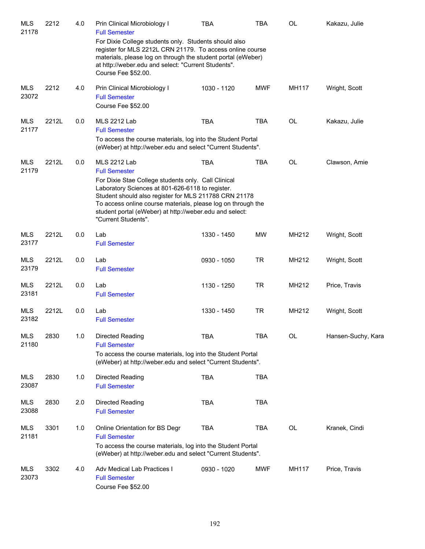| <b>MLS</b><br>21178 | 2212  | 4.0 | Prin Clinical Microbiology I<br><b>Full Semester</b>                                                                                                                                                                                                                                                               | <b>TBA</b>  | <b>TBA</b> | <b>OL</b> | Kakazu, Julie      |
|---------------------|-------|-----|--------------------------------------------------------------------------------------------------------------------------------------------------------------------------------------------------------------------------------------------------------------------------------------------------------------------|-------------|------------|-----------|--------------------|
|                     |       |     | For Dixie College students only. Students should also<br>register for MLS 2212L CRN 21179. To access online course<br>materials, please log on through the student portal (eWeber)<br>at http://weber.edu and select: "Current Students".<br>Course Fee \$52.00.                                                   |             |            |           |                    |
| <b>MLS</b>          | 2212  | 4.0 | Prin Clinical Microbiology I                                                                                                                                                                                                                                                                                       | 1030 - 1120 | <b>MWF</b> | MH117     | Wright, Scott      |
| 23072               |       |     | <b>Full Semester</b><br>Course Fee \$52.00                                                                                                                                                                                                                                                                         |             |            |           |                    |
| <b>MLS</b><br>21177 | 2212L | 0.0 | <b>MLS 2212 Lab</b><br><b>Full Semester</b>                                                                                                                                                                                                                                                                        | <b>TBA</b>  | <b>TBA</b> | <b>OL</b> | Kakazu, Julie      |
|                     |       |     | To access the course materials, log into the Student Portal<br>(eWeber) at http://weber.edu and select "Current Students".                                                                                                                                                                                         |             |            |           |                    |
| <b>MLS</b><br>21179 | 2212L | 0.0 | <b>MLS 2212 Lab</b><br><b>Full Semester</b>                                                                                                                                                                                                                                                                        | <b>TBA</b>  | <b>TBA</b> | OL        | Clawson, Amie      |
|                     |       |     | For Dixie Stae College students only. Call Clinical<br>Laboratory Sciences at 801-626-6118 to register.<br>Student should also register for MLS 211788 CRN 21178<br>To access online course materials, please log on through the<br>student portal (eWeber) at http://weber.edu and select:<br>"Current Students". |             |            |           |                    |
| <b>MLS</b><br>23177 | 2212L | 0.0 | Lab<br><b>Full Semester</b>                                                                                                                                                                                                                                                                                        | 1330 - 1450 | <b>MW</b>  | MH212     | Wright, Scott      |
| <b>MLS</b><br>23179 | 2212L | 0.0 | Lab<br><b>Full Semester</b>                                                                                                                                                                                                                                                                                        | 0930 - 1050 | <b>TR</b>  | MH212     | Wright, Scott      |
| <b>MLS</b><br>23181 | 2212L | 0.0 | Lab<br><b>Full Semester</b>                                                                                                                                                                                                                                                                                        | 1130 - 1250 | <b>TR</b>  | MH212     | Price, Travis      |
| <b>MLS</b><br>23182 | 2212L | 0.0 | Lab<br><b>Full Semester</b>                                                                                                                                                                                                                                                                                        | 1330 - 1450 | <b>TR</b>  | MH212     | Wright, Scott      |
| <b>MLS</b><br>21180 | 2830  | 1.0 | Directed Reading<br><b>Full Semester</b><br>To access the course materials, log into the Student Portal<br>(eWeber) at http://weber.edu and select "Current Students".                                                                                                                                             | <b>TBA</b>  | <b>TBA</b> | OL        | Hansen-Suchy, Kara |
| MLS<br>23087        | 2830  | 1.0 | Directed Reading<br><b>Full Semester</b>                                                                                                                                                                                                                                                                           | <b>TBA</b>  | <b>TBA</b> |           |                    |
| MLS<br>23088        | 2830  | 2.0 | Directed Reading<br><b>Full Semester</b>                                                                                                                                                                                                                                                                           | <b>TBA</b>  | <b>TBA</b> |           |                    |
| <b>MLS</b><br>21181 | 3301  | 1.0 | Online Orientation for BS Degr<br><b>Full Semester</b>                                                                                                                                                                                                                                                             | <b>TBA</b>  | <b>TBA</b> | OL        | Kranek, Cindi      |
|                     |       |     | To access the course materials, log into the Student Portal<br>(eWeber) at http://weber.edu and select "Current Students".                                                                                                                                                                                         |             |            |           |                    |
| MLS<br>23073        | 3302  | 4.0 | Adv Medical Lab Practices I<br><b>Full Semester</b><br>Course Fee \$52.00                                                                                                                                                                                                                                          | 0930 - 1020 | MWF        | MH117     | Price, Travis      |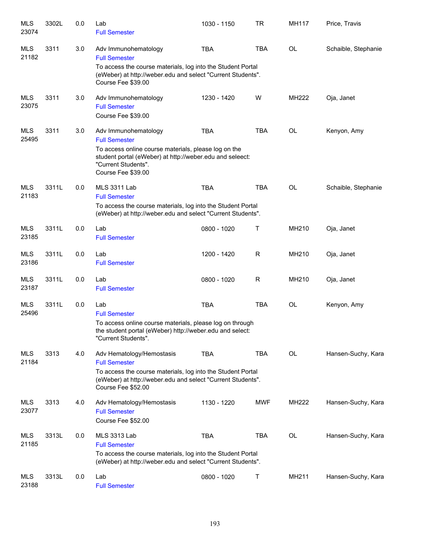| MLS<br>23074        | 3302L | 0.0 | Lab<br><b>Full Semester</b>                                                                                                                                                                                   | 1030 - 1150 | <b>TR</b>   | MH117     | Price, Travis       |
|---------------------|-------|-----|---------------------------------------------------------------------------------------------------------------------------------------------------------------------------------------------------------------|-------------|-------------|-----------|---------------------|
| <b>MLS</b><br>21182 | 3311  | 3.0 | Adv Immunohematology<br><b>Full Semester</b><br>To access the course materials, log into the Student Portal<br>(eWeber) at http://weber.edu and select "Current Students".<br>Course Fee \$39.00              | <b>TBA</b>  | <b>TBA</b>  | <b>OL</b> | Schaible, Stephanie |
| <b>MLS</b><br>23075 | 3311  | 3.0 | Adv Immunohematology<br><b>Full Semester</b><br>Course Fee \$39.00                                                                                                                                            | 1230 - 1420 | W           | MH222     | Oja, Janet          |
| <b>MLS</b><br>25495 | 3311  | 3.0 | Adv Immunohematology<br><b>Full Semester</b><br>To access online course materials, please log on the<br>student portal (eWeber) at http://weber.edu and seleect:<br>"Current Students".<br>Course Fee \$39.00 | <b>TBA</b>  | <b>TBA</b>  | <b>OL</b> | Kenyon, Amy         |
| <b>MLS</b><br>21183 | 3311L | 0.0 | <b>MLS 3311 Lab</b><br><b>Full Semester</b><br>To access the course materials, log into the Student Portal<br>(eWeber) at http://weber.edu and select "Current Students".                                     | <b>TBA</b>  | <b>TBA</b>  | <b>OL</b> | Schaible, Stephanie |
| <b>MLS</b><br>23185 | 3311L | 0.0 | Lab<br><b>Full Semester</b>                                                                                                                                                                                   | 0800 - 1020 | Т           | MH210     | Oja, Janet          |
| <b>MLS</b><br>23186 | 3311L | 0.0 | Lab<br><b>Full Semester</b>                                                                                                                                                                                   | 1200 - 1420 | $\mathsf R$ | MH210     | Oja, Janet          |
| <b>MLS</b><br>23187 | 3311L | 0.0 | Lab<br><b>Full Semester</b>                                                                                                                                                                                   | 0800 - 1020 | R           | MH210     | Oja, Janet          |
| <b>MLS</b><br>25496 | 3311L | 0.0 | Lab<br><b>Full Semester</b><br>To access online course materials, please log on through<br>the student portal (eWeber) http://weber.edu and select:<br>"Current Students".                                    | <b>TBA</b>  | <b>TBA</b>  | OL        | Kenyon, Amy         |
| <b>MLS</b><br>21184 | 3313  | 4.0 | Adv Hematology/Hemostasis<br><b>Full Semester</b><br>To access the course materials, log into the Student Portal<br>(eWeber) at http://weber.edu and select "Current Students".<br>Course Fee \$52.00         | <b>TBA</b>  | <b>TBA</b>  | <b>OL</b> | Hansen-Suchy, Kara  |
| MLS<br>23077        | 3313  | 4.0 | Adv Hematology/Hemostasis<br><b>Full Semester</b><br>Course Fee \$52.00                                                                                                                                       | 1130 - 1220 | <b>MWF</b>  | MH222     | Hansen-Suchy, Kara  |
| MLS<br>21185        | 3313L | 0.0 | MLS 3313 Lab<br><b>Full Semester</b><br>To access the course materials, log into the Student Portal<br>(eWeber) at http://weber.edu and select "Current Students".                                            | <b>TBA</b>  | <b>TBA</b>  | <b>OL</b> | Hansen-Suchy, Kara  |
| MLS<br>23188        | 3313L | 0.0 | Lab<br><b>Full Semester</b>                                                                                                                                                                                   | 0800 - 1020 | Т           | MH211     | Hansen-Suchy, Kara  |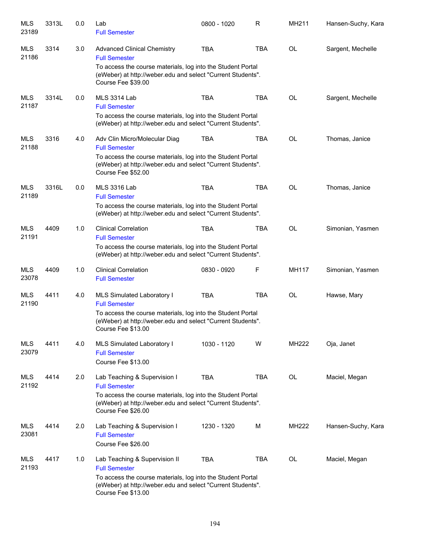| <b>MLS</b><br>23189 | 3313L | 0.0 | Lab<br><b>Full Semester</b>                                                                                                                                                                                    | 0800 - 1020 | R          | MH211        | Hansen-Suchy, Kara |
|---------------------|-------|-----|----------------------------------------------------------------------------------------------------------------------------------------------------------------------------------------------------------------|-------------|------------|--------------|--------------------|
| MLS<br>21186        | 3314  | 3.0 | <b>Advanced Clinical Chemistry</b><br><b>Full Semester</b><br>To access the course materials, log into the Student Portal<br>(eWeber) at http://weber.edu and select "Current Students".<br>Course Fee \$39.00 | <b>TBA</b>  | <b>TBA</b> | <b>OL</b>    | Sargent, Mechelle  |
| <b>MLS</b><br>21187 | 3314L | 0.0 | <b>MLS 3314 Lab</b><br><b>Full Semester</b><br>To access the course materials, log into the Student Portal<br>(eWeber) at http://weber.edu and select "Current Students".                                      | <b>TBA</b>  | <b>TBA</b> | <b>OL</b>    | Sargent, Mechelle  |
| <b>MLS</b><br>21188 | 3316  | 4.0 | Adv Clin Micro/Molecular Diag<br><b>Full Semester</b><br>To access the course materials, log into the Student Portal<br>(eWeber) at http://weber.edu and select "Current Students".<br>Course Fee \$52.00      | <b>TBA</b>  | <b>TBA</b> | <b>OL</b>    | Thomas, Janice     |
| <b>MLS</b><br>21189 | 3316L | 0.0 | <b>MLS 3316 Lab</b><br><b>Full Semester</b><br>To access the course materials, log into the Student Portal<br>(eWeber) at http://weber.edu and select "Current Students".                                      | <b>TBA</b>  | <b>TBA</b> | <b>OL</b>    | Thomas, Janice     |
| MLS<br>21191        | 4409  | 1.0 | <b>Clinical Correlation</b><br><b>Full Semester</b><br>To access the course materials, log into the Student Portal<br>(eWeber) at http://weber.edu and select "Current Students".                              | <b>TBA</b>  | <b>TBA</b> | <b>OL</b>    | Simonian, Yasmen   |
| MLS<br>23078        | 4409  | 1.0 | <b>Clinical Correlation</b><br><b>Full Semester</b>                                                                                                                                                            | 0830 - 0920 | F          | MH117        | Simonian, Yasmen   |
| MLS<br>21190        | 4411  | 4.0 | MLS Simulated Laboratory I<br><b>Full Semester</b><br>To access the course materials, log into the Student Portal<br>(eWeber) at http://weber.edu and select "Current Students".<br>Course Fee \$13.00         | <b>TBA</b>  | <b>TBA</b> | <b>OL</b>    | Hawse, Mary        |
| MLS<br>23079        | 4411  | 4.0 | MLS Simulated Laboratory I<br><b>Full Semester</b><br>Course Fee \$13.00                                                                                                                                       | 1030 - 1120 | W          | <b>MH222</b> | Oja, Janet         |
| MLS<br>21192        | 4414  | 2.0 | Lab Teaching & Supervision I<br><b>Full Semester</b><br>To access the course materials, log into the Student Portal<br>(eWeber) at http://weber.edu and select "Current Students".<br>Course Fee \$26.00       | <b>TBA</b>  | <b>TBA</b> | <b>OL</b>    | Maciel, Megan      |
| <b>MLS</b><br>23081 | 4414  | 2.0 | Lab Teaching & Supervision I<br><b>Full Semester</b><br>Course Fee \$26.00                                                                                                                                     | 1230 - 1320 | м          | <b>MH222</b> | Hansen-Suchy, Kara |
| <b>MLS</b><br>21193 | 4417  | 1.0 | Lab Teaching & Supervision II<br><b>Full Semester</b><br>To access the course materials, log into the Student Portal<br>(eWeber) at http://weber.edu and select "Current Students".<br>Course Fee \$13.00      | <b>TBA</b>  | <b>TBA</b> | <b>OL</b>    | Maciel, Megan      |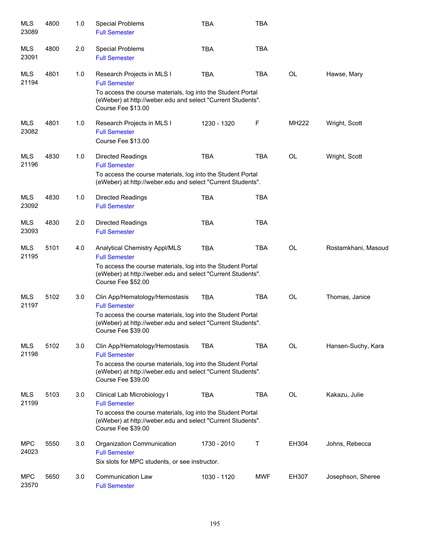| <b>MLS</b><br>23089 | 4800 | 1.0 | <b>Special Problems</b><br><b>Full Semester</b>                                                                                                  | <b>TBA</b>  | <b>TBA</b> |           |                     |
|---------------------|------|-----|--------------------------------------------------------------------------------------------------------------------------------------------------|-------------|------------|-----------|---------------------|
| <b>MLS</b><br>23091 | 4800 | 2.0 | <b>Special Problems</b><br><b>Full Semester</b>                                                                                                  | <b>TBA</b>  | <b>TBA</b> |           |                     |
| <b>MLS</b><br>21194 | 4801 | 1.0 | Research Projects in MLS I<br><b>Full Semester</b><br>To access the course materials, log into the Student Portal                                | <b>TBA</b>  | <b>TBA</b> | <b>OL</b> | Hawse, Mary         |
|                     |      |     | (eWeber) at http://weber.edu and select "Current Students".<br>Course Fee \$13.00                                                                |             |            |           |                     |
| MLS<br>23082        | 4801 | 1.0 | Research Projects in MLS I<br><b>Full Semester</b><br>Course Fee \$13.00                                                                         | 1230 - 1320 | F          | MH222     | Wright, Scott       |
| MLS<br>21196        | 4830 | 1.0 | <b>Directed Readings</b><br><b>Full Semester</b>                                                                                                 | <b>TBA</b>  | <b>TBA</b> | OL        | Wright, Scott       |
|                     |      |     | To access the course materials, log into the Student Portal<br>(eWeber) at http://weber.edu and select "Current Students".                       |             |            |           |                     |
| <b>MLS</b><br>23092 | 4830 | 1.0 | <b>Directed Readings</b><br><b>Full Semester</b>                                                                                                 | <b>TBA</b>  | <b>TBA</b> |           |                     |
| <b>MLS</b><br>23093 | 4830 | 2.0 | <b>Directed Readings</b><br><b>Full Semester</b>                                                                                                 | <b>TBA</b>  | <b>TBA</b> |           |                     |
| MLS<br>21195        | 5101 | 4.0 | Analytical Chemistry Appl/MLS<br><b>Full Semester</b>                                                                                            | <b>TBA</b>  | <b>TBA</b> | <b>OL</b> | Rostamkhani, Masoud |
|                     |      |     | To access the course materials, log into the Student Portal<br>(eWeber) at http://weber.edu and select "Current Students".<br>Course Fee \$52.00 |             |            |           |                     |
| <b>MLS</b><br>21197 | 5102 | 3.0 | Clin App/Hematology/Hemostasis<br><b>Full Semester</b>                                                                                           | <b>TBA</b>  | <b>TBA</b> | OL        | Thomas, Janice      |
|                     |      |     | To access the course materials, log into the Student Portal<br>(eWeber) at http://weber.edu and select "Current Students".<br>Course Fee \$39.00 |             |            |           |                     |
| <b>MLS</b><br>21198 | 5102 | 3.0 | Clin App/Hematology/Hemostasis<br><b>Full Semester</b>                                                                                           | <b>TBA</b>  | <b>TBA</b> | OL        | Hansen-Suchy, Kara  |
|                     |      |     | To access the course materials, log into the Student Portal<br>(eWeber) at http://weber.edu and select "Current Students".<br>Course Fee \$39.00 |             |            |           |                     |
| <b>MLS</b><br>21199 | 5103 | 3.0 | Clinical Lab Microbiology I<br><b>Full Semester</b>                                                                                              | <b>TBA</b>  | <b>TBA</b> | OL        | Kakazu, Julie       |
|                     |      |     | To access the course materials, log into the Student Portal<br>(eWeber) at http://weber.edu and select "Current Students".<br>Course Fee \$39.00 |             |            |           |                     |
| <b>MPC</b><br>24023 | 5550 | 3.0 | Organization Communication<br><b>Full Semester</b>                                                                                               | 1730 - 2010 | Т          | EH304     | Johns, Rebecca      |
|                     |      |     | Six slots for MPC students, or see instructor.                                                                                                   |             |            |           |                     |
| <b>MPC</b><br>23570 | 5650 | 3.0 | <b>Communication Law</b><br><b>Full Semester</b>                                                                                                 | 1030 - 1120 | <b>MWF</b> | EH307     | Josephson, Sheree   |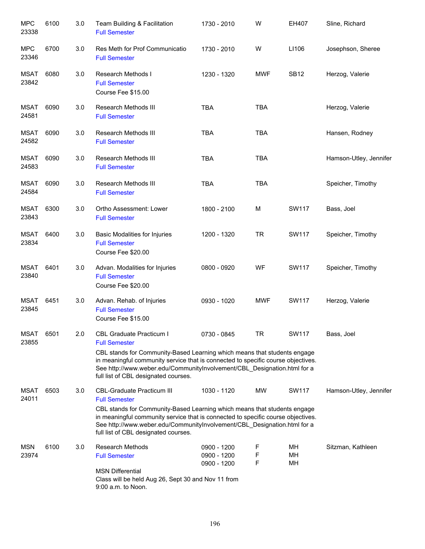| <b>MPC</b><br>23338  | 6100 | 3.0 | Team Building & Facilitation<br><b>Full Semester</b>                                                                                                                                                                                                                                                                                          | 1730 - 2010                               | W           | EH407          | Sline, Richard         |
|----------------------|------|-----|-----------------------------------------------------------------------------------------------------------------------------------------------------------------------------------------------------------------------------------------------------------------------------------------------------------------------------------------------|-------------------------------------------|-------------|----------------|------------------------|
| <b>MPC</b><br>23346  | 6700 | 3.0 | Res Meth for Prof Communicatio<br><b>Full Semester</b>                                                                                                                                                                                                                                                                                        | 1730 - 2010                               | W           | LI106          | Josephson, Sheree      |
| <b>MSAT</b><br>23842 | 6080 | 3.0 | Research Methods I<br><b>Full Semester</b><br>Course Fee \$15.00                                                                                                                                                                                                                                                                              | 1230 - 1320                               | <b>MWF</b>  | <b>SB12</b>    | Herzog, Valerie        |
| <b>MSAT</b><br>24581 | 6090 | 3.0 | Research Methods III<br><b>Full Semester</b>                                                                                                                                                                                                                                                                                                  | <b>TBA</b>                                | <b>TBA</b>  |                | Herzog, Valerie        |
| MSAT<br>24582        | 6090 | 3.0 | Research Methods III<br><b>Full Semester</b>                                                                                                                                                                                                                                                                                                  | <b>TBA</b>                                | <b>TBA</b>  |                | Hansen, Rodney         |
| MSAT<br>24583        | 6090 | 3.0 | Research Methods III<br><b>Full Semester</b>                                                                                                                                                                                                                                                                                                  | <b>TBA</b>                                | <b>TBA</b>  |                | Hamson-Utley, Jennifer |
| <b>MSAT</b><br>24584 | 6090 | 3.0 | <b>Research Methods III</b><br><b>Full Semester</b>                                                                                                                                                                                                                                                                                           | <b>TBA</b>                                | <b>TBA</b>  |                | Speicher, Timothy      |
| <b>MSAT</b><br>23843 | 6300 | 3.0 | Ortho Assessment: Lower<br><b>Full Semester</b>                                                                                                                                                                                                                                                                                               | 1800 - 2100                               | M           | <b>SW117</b>   | Bass, Joel             |
| <b>MSAT</b><br>23834 | 6400 | 3.0 | Basic Modalities for Injuries<br><b>Full Semester</b><br>Course Fee \$20.00                                                                                                                                                                                                                                                                   | 1200 - 1320                               | <b>TR</b>   | SW117          | Speicher, Timothy      |
| <b>MSAT</b><br>23840 | 6401 | 3.0 | Advan. Modalities for Injuries<br><b>Full Semester</b><br>Course Fee \$20.00                                                                                                                                                                                                                                                                  | 0800 - 0920                               | WF          | SW117          | Speicher, Timothy      |
| <b>MSAT</b><br>23845 | 6451 | 3.0 | Advan. Rehab. of Injuries<br><b>Full Semester</b><br>Course Fee \$15.00                                                                                                                                                                                                                                                                       | 0930 - 1020                               | <b>MWF</b>  | <b>SW117</b>   | Herzog, Valerie        |
| MSAT<br>23855        | 6501 | 2.0 | <b>CBL Graduate Practicum I</b><br><b>Full Semester</b><br>CBL stands for Community-Based Learning which means that students engage<br>in meaningful community service that is connected to specific course objectives.<br>See http://www.weber.edu/CommunityInvolvement/CBL_Designation.html for a<br>full list of CBL designated courses.   | 0730 - 0845                               | TR          | SW117          | Bass, Joel             |
| <b>MSAT</b><br>24011 | 6503 | 3.0 | <b>CBL-Graduate Practicum III</b><br><b>Full Semester</b><br>CBL stands for Community-Based Learning which means that students engage<br>in meaningful community service that is connected to specific course objectives.<br>See http://www.weber.edu/CommunityInvolvement/CBL_Designation.html for a<br>full list of CBL designated courses. | 1030 - 1120                               | MW          | SW117          | Hamson-Utley, Jennifer |
| <b>MSN</b><br>23974  | 6100 | 3.0 | <b>Research Methods</b><br><b>Full Semester</b><br><b>MSN Differential</b><br>Class will be held Aug 26, Sept 30 and Nov 11 from<br>9:00 a.m. to Noon.                                                                                                                                                                                        | 0900 - 1200<br>0900 - 1200<br>0900 - 1200 | F<br>F<br>F | MН<br>MН<br>MH | Sitzman, Kathleen      |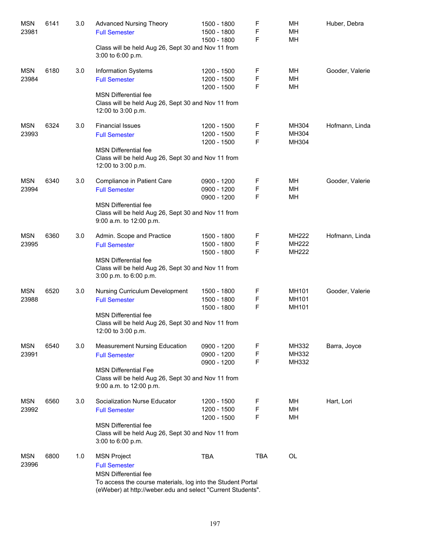| <b>MSN</b><br>23981 | 6141 | 3.0 | <b>Advanced Nursing Theory</b><br><b>Full Semester</b>                                                                                                    | 1500 - 1800<br>1500 - 1800                | F<br>F      | MН<br>MН                       | Huber, Debra    |
|---------------------|------|-----|-----------------------------------------------------------------------------------------------------------------------------------------------------------|-------------------------------------------|-------------|--------------------------------|-----------------|
|                     |      |     | Class will be held Aug 26, Sept 30 and Nov 11 from<br>3:00 to 6:00 p.m.                                                                                   | 1500 - 1800                               | F           | MН                             |                 |
| <b>MSN</b><br>23984 | 6180 | 3.0 | Information Systems<br><b>Full Semester</b>                                                                                                               | 1200 - 1500<br>1200 - 1500<br>1200 - 1500 | F<br>F<br>F | MН<br>MH<br>MH                 | Gooder, Valerie |
|                     |      |     | <b>MSN Differential fee</b><br>Class will be held Aug 26, Sept 30 and Nov 11 from<br>12:00 to 3:00 p.m.                                                   |                                           |             |                                |                 |
| <b>MSN</b><br>23993 | 6324 | 3.0 | <b>Financial Issues</b><br><b>Full Semester</b>                                                                                                           | 1200 - 1500<br>1200 - 1500<br>1200 - 1500 | F<br>F<br>F | MH304<br>MH304<br>MH304        | Hofmann, Linda  |
|                     |      |     | <b>MSN Differential fee</b><br>Class will be held Aug 26, Sept 30 and Nov 11 from<br>12:00 to 3:00 p.m.                                                   |                                           |             |                                |                 |
| <b>MSN</b><br>23994 | 6340 | 3.0 | Compliance in Patient Care<br><b>Full Semester</b>                                                                                                        | 0900 - 1200<br>0900 - 1200<br>0900 - 1200 | F<br>F<br>F | MН<br>MH<br>MН                 | Gooder, Valerie |
|                     |      |     | <b>MSN Differential fee</b><br>Class will be held Aug 26, Sept 30 and Nov 11 from<br>9:00 a.m. to 12:00 p.m.                                              |                                           |             |                                |                 |
| <b>MSN</b><br>23995 | 6360 | 3.0 | Admin. Scope and Practice<br><b>Full Semester</b>                                                                                                         | 1500 - 1800<br>1500 - 1800<br>1500 - 1800 | F<br>F<br>F | <b>MH222</b><br>MH222<br>MH222 | Hofmann, Linda  |
|                     |      |     | <b>MSN Differential fee</b><br>Class will be held Aug 26, Sept 30 and Nov 11 from<br>3:00 p.m. to 6:00 p.m.                                               |                                           |             |                                |                 |
| <b>MSN</b><br>23988 | 6520 | 3.0 | Nursing Curriculum Development<br><b>Full Semester</b>                                                                                                    | 1500 - 1800<br>1500 - 1800<br>1500 - 1800 | F<br>F<br>F | MH101<br>MH101<br>MH101        | Gooder, Valerie |
|                     |      |     | <b>MSN Differential fee</b><br>Class will be held Aug 26, Sept 30 and Nov 11 from<br>12:00 to 3:00 p.m.                                                   |                                           |             |                                |                 |
| <b>MSN</b><br>23991 | 6540 | 3.0 | <b>Measurement Nursing Education</b><br><b>Full Semester</b>                                                                                              | 0900 - 1200<br>0900 - 1200<br>0900 - 1200 | F<br>F<br>F | MH332<br>MH332<br>MH332        | Barra, Joyce    |
|                     |      |     | <b>MSN Differential Fee</b><br>Class will be held Aug 26, Sept 30 and Nov 11 from<br>9:00 a.m. to 12:00 p.m.                                              |                                           |             |                                |                 |
| <b>MSN</b><br>23992 | 6560 | 3.0 | Socialization Nurse Educator<br><b>Full Semester</b>                                                                                                      | 1200 - 1500<br>1200 - 1500<br>1200 - 1500 | F<br>F<br>F | MН<br>MH<br>MН                 | Hart, Lori      |
|                     |      |     | <b>MSN Differential fee</b><br>Class will be held Aug 26, Sept 30 and Nov 11 from<br>3:00 to 6:00 p.m.                                                    |                                           |             |                                |                 |
| <b>MSN</b><br>23996 | 6800 | 1.0 | <b>MSN Project</b><br><b>Full Semester</b>                                                                                                                | <b>TBA</b>                                | <b>TBA</b>  | <b>OL</b>                      |                 |
|                     |      |     | <b>MSN Differential fee</b><br>To access the course materials, log into the Student Portal<br>(eWeber) at http://weber.edu and select "Current Students". |                                           |             |                                |                 |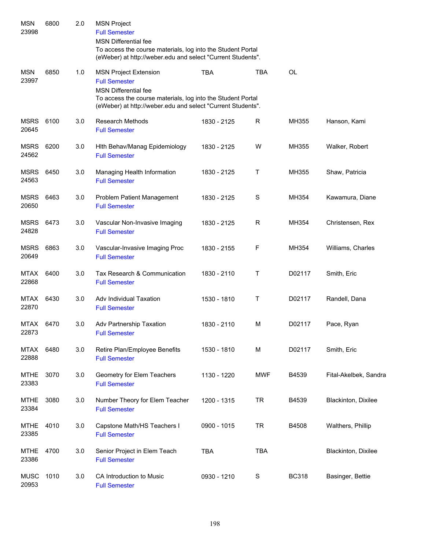| <b>MSN</b><br>23998  | 6800 | 2.0 | <b>MSN Project</b><br><b>Full Semester</b><br><b>MSN Differential fee</b><br>To access the course materials, log into the Student Portal<br>(eWeber) at http://weber.edu and select "Current Students". |             |             |              |                       |
|----------------------|------|-----|---------------------------------------------------------------------------------------------------------------------------------------------------------------------------------------------------------|-------------|-------------|--------------|-----------------------|
| <b>MSN</b><br>23997  | 6850 | 1.0 | <b>MSN Project Extension</b><br><b>Full Semester</b><br><b>MSN Differential fee</b><br>To access the course materials, log into the Student Portal                                                      | <b>TBA</b>  | <b>TBA</b>  | <b>OL</b>    |                       |
|                      |      |     | (eWeber) at http://weber.edu and select "Current Students".                                                                                                                                             |             |             |              |                       |
| MSRS<br>20645        | 6100 | 3.0 | Research Methods<br><b>Full Semester</b>                                                                                                                                                                | 1830 - 2125 | R           | MH355        | Hanson, Kami          |
| <b>MSRS</b><br>24562 | 6200 | 3.0 | Hith Behav/Manag Epidemiology<br><b>Full Semester</b>                                                                                                                                                   | 1830 - 2125 | W           | MH355        | Walker, Robert        |
| <b>MSRS</b><br>24563 | 6450 | 3.0 | Managing Health Information<br><b>Full Semester</b>                                                                                                                                                     | 1830 - 2125 | Τ           | MH355        | Shaw, Patricia        |
| <b>MSRS</b><br>20650 | 6463 | 3.0 | Problem Patient Management<br><b>Full Semester</b>                                                                                                                                                      | 1830 - 2125 | $\mathbf S$ | MH354        | Kawamura, Diane       |
| <b>MSRS</b><br>24828 | 6473 | 3.0 | Vascular Non-Invasive Imaging<br><b>Full Semester</b>                                                                                                                                                   | 1830 - 2125 | R           | MH354        | Christensen, Rex      |
| <b>MSRS</b><br>20649 | 6863 | 3.0 | Vascular-Invasive Imaging Proc<br><b>Full Semester</b>                                                                                                                                                  | 1830 - 2155 | F           | MH354        | Williams, Charles     |
| <b>MTAX</b><br>22868 | 6400 | 3.0 | Tax Research & Communication<br><b>Full Semester</b>                                                                                                                                                    | 1830 - 2110 | Т           | D02117       | Smith, Eric           |
| <b>MTAX</b><br>22870 | 6430 | 3.0 | Adv Individual Taxation<br><b>Full Semester</b>                                                                                                                                                         | 1530 - 1810 | Т           | D02117       | Randell, Dana         |
| MTAX<br>22873        | 6470 | 3.0 | Adv Partnership Taxation<br><b>Full Semester</b>                                                                                                                                                        | 1830 - 2110 | M           | D02117       | Pace, Ryan            |
| MTAX<br>22888        | 6480 | 3.0 | Retire Plan/Employee Benefits<br><b>Full Semester</b>                                                                                                                                                   | 1530 - 1810 | M           | D02117       | Smith, Eric           |
| <b>MTHE</b><br>23383 | 3070 | 3.0 | Geometry for Elem Teachers<br><b>Full Semester</b>                                                                                                                                                      | 1130 - 1220 | <b>MWF</b>  | B4539        | Fital-Akelbek, Sandra |
| <b>MTHE</b><br>23384 | 3080 | 3.0 | Number Theory for Elem Teacher<br><b>Full Semester</b>                                                                                                                                                  | 1200 - 1315 | <b>TR</b>   | B4539        | Blackinton, Dixilee   |
| <b>MTHE</b><br>23385 | 4010 | 3.0 | Capstone Math/HS Teachers I<br><b>Full Semester</b>                                                                                                                                                     | 0900 - 1015 | <b>TR</b>   | B4508        | Walthers, Phillip     |
| <b>MTHE</b><br>23386 | 4700 | 3.0 | Senior Project in Elem Teach<br><b>Full Semester</b>                                                                                                                                                    | <b>TBA</b>  | <b>TBA</b>  |              | Blackinton, Dixilee   |
| <b>MUSC</b><br>20953 | 1010 | 3.0 | CA Introduction to Music<br><b>Full Semester</b>                                                                                                                                                        | 0930 - 1210 | S           | <b>BC318</b> | Basinger, Bettie      |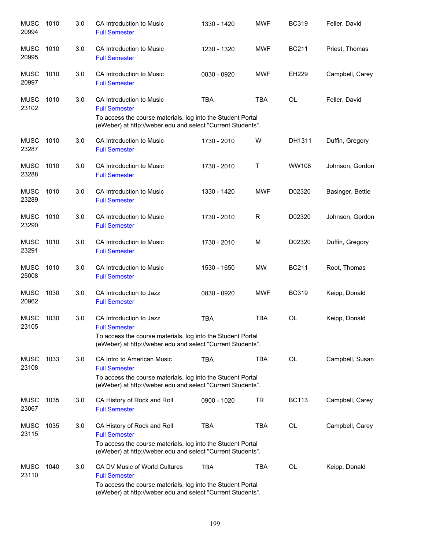| <b>MUSC</b><br>20994 | 1010 | 3.0 | CA Introduction to Music<br><b>Full Semester</b>                                                                                                                                    | 1330 - 1420 | <b>MWF</b> | <b>BC319</b> | Feller, David    |
|----------------------|------|-----|-------------------------------------------------------------------------------------------------------------------------------------------------------------------------------------|-------------|------------|--------------|------------------|
| <b>MUSC</b><br>20995 | 1010 | 3.0 | <b>CA Introduction to Music</b><br><b>Full Semester</b>                                                                                                                             | 1230 - 1320 | <b>MWF</b> | <b>BC211</b> | Priest, Thomas   |
| <b>MUSC</b><br>20997 | 1010 | 3.0 | CA Introduction to Music<br><b>Full Semester</b>                                                                                                                                    | 0830 - 0920 | <b>MWF</b> | EH229        | Campbell, Carey  |
| <b>MUSC</b><br>23102 | 1010 | 3.0 | CA Introduction to Music<br><b>Full Semester</b><br>To access the course materials, log into the Student Portal<br>(eWeber) at http://weber.edu and select "Current Students".      | <b>TBA</b>  | <b>TBA</b> | <b>OL</b>    | Feller, David    |
| <b>MUSC</b><br>23287 | 1010 | 3.0 | CA Introduction to Music<br><b>Full Semester</b>                                                                                                                                    | 1730 - 2010 | W          | DH1311       | Duffin, Gregory  |
| <b>MUSC</b><br>23288 | 1010 | 3.0 | CA Introduction to Music<br><b>Full Semester</b>                                                                                                                                    | 1730 - 2010 | Т          | <b>WW108</b> | Johnson, Gordon  |
| <b>MUSC</b><br>23289 | 1010 | 3.0 | CA Introduction to Music<br><b>Full Semester</b>                                                                                                                                    | 1330 - 1420 | <b>MWF</b> | D02320       | Basinger, Bettie |
| <b>MUSC</b><br>23290 | 1010 | 3.0 | CA Introduction to Music<br><b>Full Semester</b>                                                                                                                                    | 1730 - 2010 | R          | D02320       | Johnson, Gordon  |
| <b>MUSC</b><br>23291 | 1010 | 3.0 | CA Introduction to Music<br><b>Full Semester</b>                                                                                                                                    | 1730 - 2010 | M          | D02320       | Duffin, Gregory  |
| <b>MUSC</b><br>25008 | 1010 | 3.0 | CA Introduction to Music<br><b>Full Semester</b>                                                                                                                                    | 1530 - 1650 | <b>MW</b>  | <b>BC211</b> | Root, Thomas     |
| <b>MUSC</b><br>20962 | 1030 | 3.0 | CA Introduction to Jazz<br><b>Full Semester</b>                                                                                                                                     | 0830 - 0920 | <b>MWF</b> | <b>BC319</b> | Keipp, Donald    |
| <b>MUSC</b><br>23105 | 1030 | 3.0 | CA Introduction to Jazz<br><b>Full Semester</b><br>To access the course materials, log into the Student Portal<br>(eWeber) at http://weber.edu and select "Current Students".       | <b>TBA</b>  | <b>TBA</b> | <b>OL</b>    | Keipp, Donald    |
| <b>MUSC</b><br>23108 | 1033 | 3.0 | CA Intro to American Music<br><b>Full Semester</b><br>To access the course materials, log into the Student Portal<br>(eWeber) at http://weber.edu and select "Current Students".    | <b>TBA</b>  | <b>TBA</b> | <b>OL</b>    | Campbell, Susan  |
| <b>MUSC</b><br>23067 | 1035 | 3.0 | CA History of Rock and Roll<br><b>Full Semester</b>                                                                                                                                 | 0900 - 1020 | <b>TR</b>  | <b>BC113</b> | Campbell, Carey  |
| <b>MUSC</b><br>23115 | 1035 | 3.0 | CA History of Rock and Roll<br><b>Full Semester</b><br>To access the course materials, log into the Student Portal<br>(eWeber) at http://weber.edu and select "Current Students".   | <b>TBA</b>  | <b>TBA</b> | <b>OL</b>    | Campbell, Carey  |
| <b>MUSC</b><br>23110 | 1040 | 3.0 | CA DV Music of World Cultures<br><b>Full Semester</b><br>To access the course materials, log into the Student Portal<br>(eWeber) at http://weber.edu and select "Current Students". | <b>TBA</b>  | <b>TBA</b> | <b>OL</b>    | Keipp, Donald    |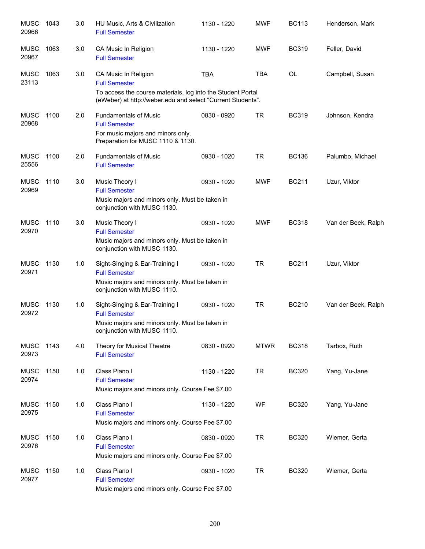| <b>MUSC</b><br>20966 | 1043 | 3.0 | HU Music, Arts & Civilization<br><b>Full Semester</b>                                                                                                                      | 1130 - 1220 | <b>MWF</b>  | <b>BC113</b> | Henderson, Mark     |
|----------------------|------|-----|----------------------------------------------------------------------------------------------------------------------------------------------------------------------------|-------------|-------------|--------------|---------------------|
| <b>MUSC</b><br>20967 | 1063 | 3.0 | CA Music In Religion<br><b>Full Semester</b>                                                                                                                               | 1130 - 1220 | <b>MWF</b>  | <b>BC319</b> | Feller, David       |
| <b>MUSC</b><br>23113 | 1063 | 3.0 | CA Music In Religion<br><b>Full Semester</b><br>To access the course materials, log into the Student Portal<br>(eWeber) at http://weber.edu and select "Current Students". | <b>TBA</b>  | <b>TBA</b>  | OL           | Campbell, Susan     |
| <b>MUSC</b><br>20968 | 1100 | 2.0 | <b>Fundamentals of Music</b><br><b>Full Semester</b><br>For music majors and minors only.<br>Preparation for MUSC 1110 & 1130.                                             | 0830 - 0920 | <b>TR</b>   | <b>BC319</b> | Johnson, Kendra     |
| <b>MUSC</b><br>25556 | 1100 | 2.0 | <b>Fundamentals of Music</b><br><b>Full Semester</b>                                                                                                                       | 0930 - 1020 | TR          | <b>BC136</b> | Palumbo, Michael    |
| <b>MUSC</b><br>20969 | 1110 | 3.0 | Music Theory I<br><b>Full Semester</b><br>Music majors and minors only. Must be taken in<br>conjunction with MUSC 1130.                                                    | 0930 - 1020 | <b>MWF</b>  | <b>BC211</b> | Uzur, Viktor        |
| <b>MUSC</b><br>20970 | 1110 | 3.0 | Music Theory I<br><b>Full Semester</b><br>Music majors and minors only. Must be taken in<br>conjunction with MUSC 1130.                                                    | 0930 - 1020 | <b>MWF</b>  | <b>BC318</b> | Van der Beek, Ralph |
| <b>MUSC</b><br>20971 | 1130 | 1.0 | Sight-Singing & Ear-Training I<br><b>Full Semester</b><br>Music majors and minors only. Must be taken in<br>conjunction with MUSC 1110.                                    | 0930 - 1020 | <b>TR</b>   | <b>BC211</b> | Uzur, Viktor        |
| <b>MUSC</b><br>20972 | 1130 | 1.0 | Sight-Singing & Ear-Training I<br><b>Full Semester</b><br>Music majors and minors only. Must be taken in<br>conjunction with MUSC 1110.                                    | 0930 - 1020 | <b>TR</b>   | <b>BC210</b> | Van der Beek, Ralph |
| MUSC<br>20973        | 1143 | 4.0 | Theory for Musical Theatre<br><b>Full Semester</b>                                                                                                                         | 0830 - 0920 | <b>MTWR</b> | <b>BC318</b> | Tarbox, Ruth        |
| <b>MUSC</b><br>20974 | 1150 | 1.0 | Class Piano I<br><b>Full Semester</b><br>Music majors and minors only. Course Fee \$7.00                                                                                   | 1130 - 1220 | <b>TR</b>   | <b>BC320</b> | Yang, Yu-Jane       |
| <b>MUSC</b><br>20975 | 1150 | 1.0 | Class Piano I<br><b>Full Semester</b><br>Music majors and minors only. Course Fee \$7.00                                                                                   | 1130 - 1220 | WF          | <b>BC320</b> | Yang, Yu-Jane       |
| <b>MUSC</b><br>20976 | 1150 | 1.0 | Class Piano I<br><b>Full Semester</b><br>Music majors and minors only. Course Fee \$7.00                                                                                   | 0830 - 0920 | <b>TR</b>   | <b>BC320</b> | Wiemer, Gerta       |
| <b>MUSC</b><br>20977 | 1150 | 1.0 | Class Piano I<br><b>Full Semester</b><br>Music majors and minors only. Course Fee \$7.00                                                                                   | 0930 - 1020 | <b>TR</b>   | <b>BC320</b> | Wiemer, Gerta       |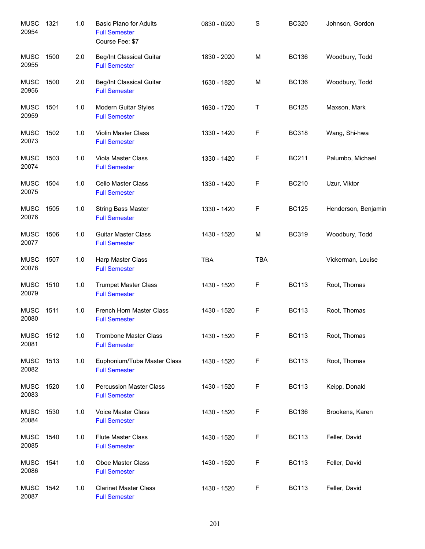| <b>MUSC</b><br>20954 | 1321 | 1.0   | <b>Basic Piano for Adults</b><br><b>Full Semester</b><br>Course Fee: \$7 | 0830 - 0920 | S          | <b>BC320</b> | Johnson, Gordon     |
|----------------------|------|-------|--------------------------------------------------------------------------|-------------|------------|--------------|---------------------|
| <b>MUSC</b><br>20955 | 1500 | 2.0   | Beg/Int Classical Guitar<br><b>Full Semester</b>                         | 1830 - 2020 | M          | <b>BC136</b> | Woodbury, Todd      |
| <b>MUSC</b><br>20956 | 1500 | 2.0   | Beg/Int Classical Guitar<br><b>Full Semester</b>                         | 1630 - 1820 | M          | <b>BC136</b> | Woodbury, Todd      |
| <b>MUSC</b><br>20959 | 1501 | 1.0   | Modern Guitar Styles<br><b>Full Semester</b>                             | 1630 - 1720 | Т          | <b>BC125</b> | Maxson, Mark        |
| <b>MUSC</b><br>20073 | 1502 | 1.0   | Violin Master Class<br><b>Full Semester</b>                              | 1330 - 1420 | F          | <b>BC318</b> | Wang, Shi-hwa       |
| <b>MUSC</b><br>20074 | 1503 | 1.0   | Viola Master Class<br><b>Full Semester</b>                               | 1330 - 1420 | F          | <b>BC211</b> | Palumbo, Michael    |
| <b>MUSC</b><br>20075 | 1504 | 1.0   | Cello Master Class<br><b>Full Semester</b>                               | 1330 - 1420 | F          | <b>BC210</b> | Uzur, Viktor        |
| <b>MUSC</b><br>20076 | 1505 | 1.0   | <b>String Bass Master</b><br><b>Full Semester</b>                        | 1330 - 1420 | F          | <b>BC125</b> | Henderson, Benjamin |
| <b>MUSC</b><br>20077 | 1506 | 1.0   | <b>Guitar Master Class</b><br><b>Full Semester</b>                       | 1430 - 1520 | M          | <b>BC319</b> | Woodbury, Todd      |
| <b>MUSC</b><br>20078 | 1507 | 1.0   | Harp Master Class<br><b>Full Semester</b>                                | <b>TBA</b>  | <b>TBA</b> |              | Vickerman, Louise   |
| <b>MUSC</b><br>20079 | 1510 | 1.0   | <b>Trumpet Master Class</b><br><b>Full Semester</b>                      | 1430 - 1520 | F          | <b>BC113</b> | Root, Thomas        |
| <b>MUSC</b><br>20080 | 1511 | $1.0$ | French Horn Master Class<br><b>Full Semester</b>                         | 1430 - 1520 | F          | <b>BC113</b> | Root, Thomas        |
| <b>MUSC</b><br>20081 | 1512 | 1.0   | <b>Trombone Master Class</b><br><b>Full Semester</b>                     | 1430 - 1520 | F          | <b>BC113</b> | Root, Thomas        |
| <b>MUSC</b><br>20082 | 1513 | 1.0   | Euphonium/Tuba Master Class<br><b>Full Semester</b>                      | 1430 - 1520 | F          | <b>BC113</b> | Root, Thomas        |
| <b>MUSC</b><br>20083 | 1520 | 1.0   | <b>Percussion Master Class</b><br><b>Full Semester</b>                   | 1430 - 1520 | F          | <b>BC113</b> | Keipp, Donald       |
| <b>MUSC</b><br>20084 | 1530 | 1.0   | Voice Master Class<br><b>Full Semester</b>                               | 1430 - 1520 | F          | <b>BC136</b> | Brookens, Karen     |
| <b>MUSC</b><br>20085 | 1540 | 1.0   | <b>Flute Master Class</b><br><b>Full Semester</b>                        | 1430 - 1520 | F          | <b>BC113</b> | Feller, David       |
| <b>MUSC</b><br>20086 | 1541 | 1.0   | Oboe Master Class<br><b>Full Semester</b>                                | 1430 - 1520 | F          | <b>BC113</b> | Feller, David       |
| <b>MUSC</b><br>20087 | 1542 | 1.0   | <b>Clarinet Master Class</b><br><b>Full Semester</b>                     | 1430 - 1520 | F          | <b>BC113</b> | Feller, David       |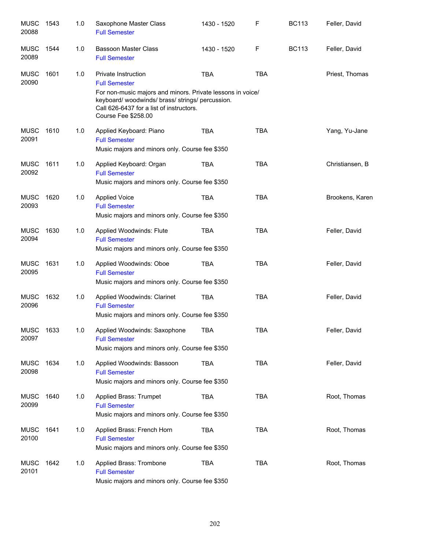| <b>MUSC</b><br>20088 | 1543 | 1.0 | Saxophone Master Class<br><b>Full Semester</b>                                                                                                                                                                               | 1430 - 1520 | F          | <b>BC113</b> | Feller, David   |
|----------------------|------|-----|------------------------------------------------------------------------------------------------------------------------------------------------------------------------------------------------------------------------------|-------------|------------|--------------|-----------------|
| <b>MUSC</b><br>20089 | 1544 | 1.0 | <b>Bassoon Master Class</b><br><b>Full Semester</b>                                                                                                                                                                          | 1430 - 1520 | F          | <b>BC113</b> | Feller, David   |
| <b>MUSC</b><br>20090 | 1601 | 1.0 | Private Instruction<br><b>Full Semester</b><br>For non-music majors and minors. Private lessons in voice/<br>keyboard/woodwinds/brass/strings/percussion.<br>Call 626-6437 for a list of instructors.<br>Course Fee \$258.00 | <b>TBA</b>  | <b>TBA</b> |              | Priest, Thomas  |
| <b>MUSC</b><br>20091 | 1610 | 1.0 | Applied Keyboard: Piano<br><b>Full Semester</b><br>Music majors and minors only. Course fee \$350                                                                                                                            | <b>TBA</b>  | <b>TBA</b> |              | Yang, Yu-Jane   |
| MUSC<br>20092        | 1611 | 1.0 | Applied Keyboard: Organ<br><b>Full Semester</b><br>Music majors and minors only. Course fee \$350                                                                                                                            | <b>TBA</b>  | <b>TBA</b> |              | Christiansen, B |
| <b>MUSC</b><br>20093 | 1620 | 1.0 | <b>Applied Voice</b><br><b>Full Semester</b><br>Music majors and minors only. Course fee \$350                                                                                                                               | <b>TBA</b>  | <b>TBA</b> |              | Brookens, Karen |
| <b>MUSC</b><br>20094 | 1630 | 1.0 | Applied Woodwinds: Flute<br><b>Full Semester</b><br>Music majors and minors only. Course fee \$350                                                                                                                           | <b>TBA</b>  | <b>TBA</b> |              | Feller, David   |
| <b>MUSC</b><br>20095 | 1631 | 1.0 | Applied Woodwinds: Oboe<br><b>Full Semester</b><br>Music majors and minors only. Course fee \$350                                                                                                                            | <b>TBA</b>  | <b>TBA</b> |              | Feller, David   |
| <b>MUSC</b><br>20096 | 1632 | 1.0 | Applied Woodwinds: Clarinet<br><b>Full Semester</b><br>Music majors and minors only. Course fee \$350                                                                                                                        | TBA         | <b>TBA</b> |              | Feller, David   |
| <b>MUSC</b><br>20097 | 1633 | 1.0 | Applied Woodwinds: Saxophone<br><b>Full Semester</b><br>Music majors and minors only. Course fee \$350                                                                                                                       | <b>TBA</b>  | <b>TBA</b> |              | Feller, David   |
| <b>MUSC</b><br>20098 | 1634 | 1.0 | Applied Woodwinds: Bassoon<br><b>Full Semester</b><br>Music majors and minors only. Course fee \$350                                                                                                                         | TBA         | <b>TBA</b> |              | Feller, David   |
| <b>MUSC</b><br>20099 | 1640 | 1.0 | Applied Brass: Trumpet<br><b>Full Semester</b><br>Music majors and minors only. Course fee \$350                                                                                                                             | TBA         | <b>TBA</b> |              | Root, Thomas    |
| <b>MUSC</b><br>20100 | 1641 | 1.0 | Applied Brass: French Horn<br><b>Full Semester</b><br>Music majors and minors only. Course fee \$350                                                                                                                         | TBA         | <b>TBA</b> |              | Root, Thomas    |
| <b>MUSC</b><br>20101 | 1642 | 1.0 | Applied Brass: Trombone<br><b>Full Semester</b><br>Music majors and minors only. Course fee \$350                                                                                                                            | TBA         | <b>TBA</b> |              | Root, Thomas    |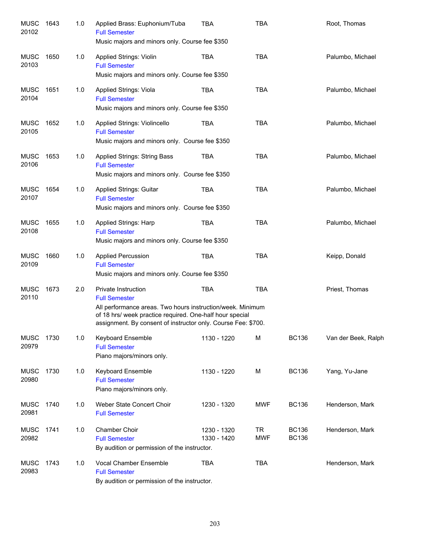| <b>MUSC</b><br>20102 | 1643 | 1.0 | Applied Brass: Euphonium/Tuba<br><b>Full Semester</b><br>Music majors and minors only. Course fee \$350                                                                                                                                | <b>TBA</b>                 | <b>TBA</b>              |                              | Root, Thomas        |
|----------------------|------|-----|----------------------------------------------------------------------------------------------------------------------------------------------------------------------------------------------------------------------------------------|----------------------------|-------------------------|------------------------------|---------------------|
| <b>MUSC</b><br>20103 | 1650 | 1.0 | Applied Strings: Violin<br><b>Full Semester</b><br>Music majors and minors only. Course fee \$350                                                                                                                                      | <b>TBA</b>                 | <b>TBA</b>              |                              | Palumbo, Michael    |
| <b>MUSC</b><br>20104 | 1651 | 1.0 | Applied Strings: Viola<br><b>Full Semester</b><br>Music majors and minors only. Course fee \$350                                                                                                                                       | <b>TBA</b>                 | <b>TBA</b>              |                              | Palumbo, Michael    |
| <b>MUSC</b><br>20105 | 1652 | 1.0 | Applied Strings: Violincello<br><b>Full Semester</b><br>Music majors and minors only. Course fee \$350                                                                                                                                 | <b>TBA</b>                 | <b>TBA</b>              |                              | Palumbo, Michael    |
| <b>MUSC</b><br>20106 | 1653 | 1.0 | <b>Applied Strings: String Bass</b><br><b>Full Semester</b><br>Music majors and minors only. Course fee \$350                                                                                                                          | <b>TBA</b>                 | <b>TBA</b>              |                              | Palumbo, Michael    |
| MUSC<br>20107        | 1654 | 1.0 | <b>Applied Strings: Guitar</b><br><b>Full Semester</b><br>Music majors and minors only. Course fee \$350                                                                                                                               | <b>TBA</b>                 | <b>TBA</b>              |                              | Palumbo, Michael    |
| <b>MUSC</b><br>20108 | 1655 | 1.0 | Applied Strings: Harp<br><b>Full Semester</b><br>Music majors and minors only. Course fee \$350                                                                                                                                        | <b>TBA</b>                 | <b>TBA</b>              |                              | Palumbo, Michael    |
| <b>MUSC</b><br>20109 | 1660 | 1.0 | <b>Applied Percussion</b><br><b>Full Semester</b><br>Music majors and minors only. Course fee \$350                                                                                                                                    | <b>TBA</b>                 | <b>TBA</b>              |                              | Keipp, Donald       |
| <b>MUSC</b><br>20110 | 1673 | 2.0 | Private Instruction<br><b>Full Semester</b><br>All performance areas. Two hours instruction/week. Minimum<br>of 18 hrs/ week practice required. One-half hour special<br>assignment. By consent of instructor only. Course Fee: \$700. | <b>TBA</b>                 | <b>TBA</b>              |                              | Priest, Thomas      |
| <b>MUSC</b><br>20979 | 1730 | 1.0 | Keyboard Ensemble<br><b>Full Semester</b><br>Piano majors/minors only.                                                                                                                                                                 | 1130 - 1220                | M                       | <b>BC136</b>                 | Van der Beek, Ralph |
| <b>MUSC</b><br>20980 | 1730 | 1.0 | Keyboard Ensemble<br><b>Full Semester</b><br>Piano majors/minors only.                                                                                                                                                                 | 1130 - 1220                | M                       | <b>BC136</b>                 | Yang, Yu-Jane       |
| <b>MUSC</b><br>20981 | 1740 | 1.0 | Weber State Concert Choir<br><b>Full Semester</b>                                                                                                                                                                                      | 1230 - 1320                | <b>MWF</b>              | <b>BC136</b>                 | Henderson, Mark     |
| <b>MUSC</b><br>20982 | 1741 | 1.0 | <b>Chamber Choir</b><br><b>Full Semester</b><br>By audition or permission of the instructor.                                                                                                                                           | 1230 - 1320<br>1330 - 1420 | <b>TR</b><br><b>MWF</b> | <b>BC136</b><br><b>BC136</b> | Henderson, Mark     |
| <b>MUSC</b><br>20983 | 1743 | 1.0 | Vocal Chamber Ensemble<br><b>Full Semester</b><br>By audition or permission of the instructor.                                                                                                                                         | <b>TBA</b>                 | <b>TBA</b>              |                              | Henderson, Mark     |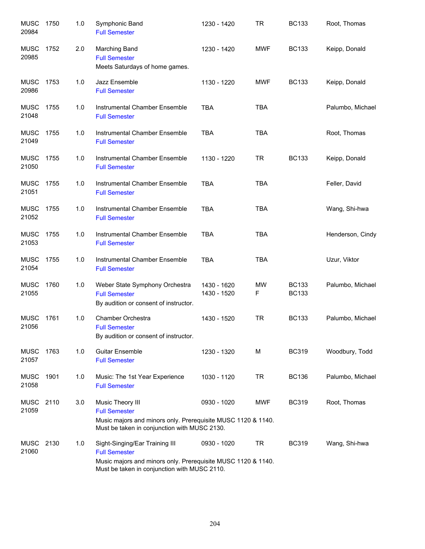| <b>MUSC</b><br>20984 | 1750 | 1.0 | Symphonic Band<br><b>Full Semester</b>                                                                                                                                 | 1230 - 1420                | <b>TR</b>  | <b>BC133</b>                 | Root, Thomas     |
|----------------------|------|-----|------------------------------------------------------------------------------------------------------------------------------------------------------------------------|----------------------------|------------|------------------------------|------------------|
| <b>MUSC</b><br>20985 | 1752 | 2.0 | <b>Marching Band</b><br><b>Full Semester</b><br>Meets Saturdays of home games.                                                                                         | 1230 - 1420                | <b>MWF</b> | <b>BC133</b>                 | Keipp, Donald    |
| <b>MUSC</b><br>20986 | 1753 | 1.0 | Jazz Ensemble<br><b>Full Semester</b>                                                                                                                                  | 1130 - 1220                | <b>MWF</b> | <b>BC133</b>                 | Keipp, Donald    |
| <b>MUSC</b><br>21048 | 1755 | 1.0 | Instrumental Chamber Ensemble<br><b>Full Semester</b>                                                                                                                  | <b>TBA</b>                 | <b>TBA</b> |                              | Palumbo, Michael |
| <b>MUSC</b><br>21049 | 1755 | 1.0 | Instrumental Chamber Ensemble<br><b>Full Semester</b>                                                                                                                  | <b>TBA</b>                 | <b>TBA</b> |                              | Root, Thomas     |
| <b>MUSC</b><br>21050 | 1755 | 1.0 | Instrumental Chamber Ensemble<br><b>Full Semester</b>                                                                                                                  | 1130 - 1220                | <b>TR</b>  | <b>BC133</b>                 | Keipp, Donald    |
| <b>MUSC</b><br>21051 | 1755 | 1.0 | Instrumental Chamber Ensemble<br><b>Full Semester</b>                                                                                                                  | <b>TBA</b>                 | <b>TBA</b> |                              | Feller, David    |
| <b>MUSC</b><br>21052 | 1755 | 1.0 | Instrumental Chamber Ensemble<br><b>Full Semester</b>                                                                                                                  | <b>TBA</b>                 | <b>TBA</b> |                              | Wang, Shi-hwa    |
| <b>MUSC</b><br>21053 | 1755 | 1.0 | Instrumental Chamber Ensemble<br><b>Full Semester</b>                                                                                                                  | <b>TBA</b>                 | <b>TBA</b> |                              | Henderson, Cindy |
| <b>MUSC</b><br>21054 | 1755 | 1.0 | Instrumental Chamber Ensemble<br><b>Full Semester</b>                                                                                                                  | <b>TBA</b>                 | <b>TBA</b> |                              | Uzur, Viktor     |
| <b>MUSC</b><br>21055 | 1760 | 1.0 | Weber State Symphony Orchestra<br><b>Full Semester</b><br>By audition or consent of instructor.                                                                        | 1430 - 1620<br>1430 - 1520 | MW<br>F    | <b>BC133</b><br><b>BC133</b> | Palumbo, Michael |
| <b>MUSC</b><br>21056 | 1761 | 1.0 | Chamber Orchestra<br><b>Full Semester</b><br>By audition or consent of instructor.                                                                                     | 1430 - 1520                | <b>TR</b>  | <b>BC133</b>                 | Palumbo, Michael |
| <b>MUSC</b><br>21057 | 1763 | 1.0 | <b>Guitar Ensemble</b><br><b>Full Semester</b>                                                                                                                         | 1230 - 1320                | M          | <b>BC319</b>                 | Woodbury, Todd   |
| <b>MUSC</b><br>21058 | 1901 | 1.0 | Music: The 1st Year Experience<br><b>Full Semester</b>                                                                                                                 | 1030 - 1120                | <b>TR</b>  | <b>BC136</b>                 | Palumbo, Michael |
| <b>MUSC</b><br>21059 | 2110 | 3.0 | Music Theory III<br><b>Full Semester</b><br>Music majors and minors only. Prerequisite MUSC 1120 & 1140.<br>Must be taken in conjunction with MUSC 2130.               | 0930 - 1020                | MWF        | <b>BC319</b>                 | Root, Thomas     |
| <b>MUSC</b><br>21060 | 2130 | 1.0 | Sight-Singing/Ear Training III<br><b>Full Semester</b><br>Music majors and minors only. Prerequisite MUSC 1120 & 1140.<br>Must be taken in conjunction with MUSC 2110. | 0930 - 1020                | <b>TR</b>  | <b>BC319</b>                 | Wang, Shi-hwa    |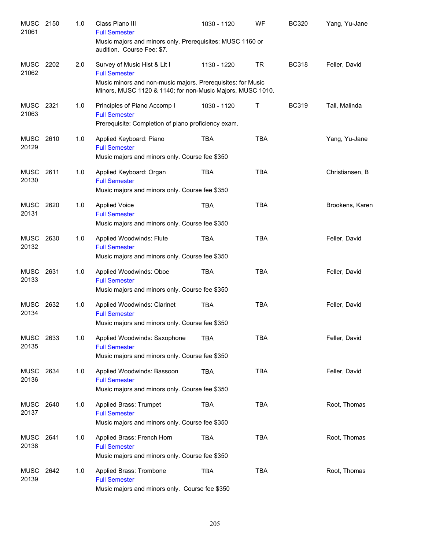| <b>MUSC</b><br>21061 | 2150 | 1.0 | Class Piano III<br><b>Full Semester</b>                                                                                   | 1030 - 1120 | WF         | <b>BC320</b> | Yang, Yu-Jane   |
|----------------------|------|-----|---------------------------------------------------------------------------------------------------------------------------|-------------|------------|--------------|-----------------|
|                      |      |     | Music majors and minors only. Prerequisites: MUSC 1160 or<br>audition. Course Fee: \$7.                                   |             |            |              |                 |
| MUSC<br>21062        | 2202 | 2.0 | Survey of Music Hist & Lit I<br><b>Full Semester</b>                                                                      | 1130 - 1220 | <b>TR</b>  | <b>BC318</b> | Feller, David   |
|                      |      |     | Music minors and non-music majors. Prerequisites: for Music<br>Minors, MUSC 1120 & 1140; for non-Music Majors, MUSC 1010. |             |            |              |                 |
| <b>MUSC</b><br>21063 | 2321 | 1.0 | Principles of Piano Accomp I<br><b>Full Semester</b><br>Prerequisite: Completion of piano proficiency exam.               | 1030 - 1120 | Τ          | <b>BC319</b> | Tall, Malinda   |
| MUSC<br>20129        | 2610 | 1.0 | Applied Keyboard: Piano<br><b>Full Semester</b><br>Music majors and minors only. Course fee \$350                         | <b>TBA</b>  | <b>TBA</b> |              | Yang, Yu-Jane   |
| <b>MUSC</b><br>20130 | 2611 | 1.0 | Applied Keyboard: Organ<br><b>Full Semester</b><br>Music majors and minors only. Course fee \$350                         | <b>TBA</b>  | <b>TBA</b> |              | Christiansen, B |
| <b>MUSC</b><br>20131 | 2620 | 1.0 | <b>Applied Voice</b><br><b>Full Semester</b><br>Music majors and minors only. Course fee \$350                            | <b>TBA</b>  | <b>TBA</b> |              | Brookens, Karen |
| <b>MUSC</b><br>20132 | 2630 | 1.0 | Applied Woodwinds: Flute<br><b>Full Semester</b><br>Music majors and minors only. Course fee \$350                        | <b>TBA</b>  | <b>TBA</b> |              | Feller, David   |
| <b>MUSC</b><br>20133 | 2631 | 1.0 | Applied Woodwinds: Oboe<br><b>Full Semester</b><br>Music majors and minors only. Course fee \$350                         | <b>TBA</b>  | <b>TBA</b> |              | Feller, David   |
| <b>MUSC</b><br>20134 | 2632 | 1.0 | Applied Woodwinds: Clarinet<br><b>Full Semester</b><br>Music majors and minors only. Course fee \$350                     | <b>TBA</b>  | <b>TBA</b> |              | Feller, David   |
| MUSC<br>20135        | 2633 | 1.0 | Applied Woodwinds: Saxophone<br><b>Full Semester</b><br>Music majors and minors only. Course fee \$350                    | <b>TBA</b>  | <b>TBA</b> |              | Feller, David   |
| MUSC<br>20136        | 2634 | 1.0 | Applied Woodwinds: Bassoon<br><b>Full Semester</b><br>Music majors and minors only. Course fee \$350                      | <b>TBA</b>  | <b>TBA</b> |              | Feller, David   |
| MUSC<br>20137        | 2640 | 1.0 | Applied Brass: Trumpet<br><b>Full Semester</b><br>Music majors and minors only. Course fee \$350                          | <b>TBA</b>  | <b>TBA</b> |              | Root, Thomas    |
| MUSC<br>20138        | 2641 | 1.0 | Applied Brass: French Horn<br><b>Full Semester</b><br>Music majors and minors only. Course fee \$350                      | <b>TBA</b>  | <b>TBA</b> |              | Root, Thomas    |
| <b>MUSC</b><br>20139 | 2642 | 1.0 | Applied Brass: Trombone<br><b>Full Semester</b><br>Music majors and minors only. Course fee \$350                         | <b>TBA</b>  | <b>TBA</b> |              | Root, Thomas    |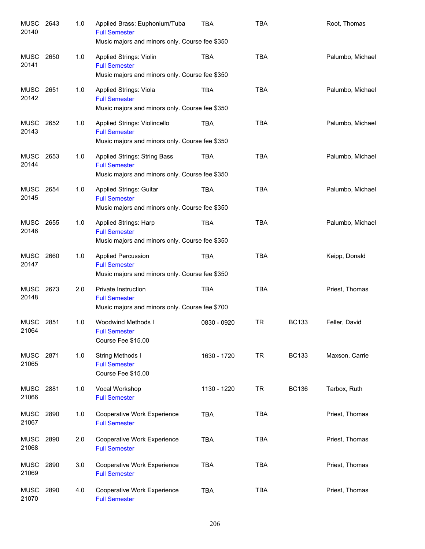| <b>MUSC</b><br>20140 | 2643 | 1.0 | Applied Brass: Euphonium/Tuba<br><b>Full Semester</b><br>Music majors and minors only. Course fee \$350  | <b>TBA</b>  | <b>TBA</b> |              | Root, Thomas     |
|----------------------|------|-----|----------------------------------------------------------------------------------------------------------|-------------|------------|--------------|------------------|
| MUSC<br>20141        | 2650 | 1.0 | <b>Applied Strings: Violin</b><br><b>Full Semester</b><br>Music majors and minors only. Course fee \$350 | TBA         | <b>TBA</b> |              | Palumbo, Michael |
| MUSC<br>20142        | 2651 | 1.0 | Applied Strings: Viola<br><b>Full Semester</b><br>Music majors and minors only. Course fee \$350         | <b>TBA</b>  | <b>TBA</b> |              | Palumbo, Michael |
| MUSC<br>20143        | 2652 | 1.0 | Applied Strings: Violincello<br><b>Full Semester</b><br>Music majors and minors only. Course fee \$350   | <b>TBA</b>  | <b>TBA</b> |              | Palumbo, Michael |
| MUSC<br>20144        | 2653 | 1.0 | Applied Strings: String Bass<br><b>Full Semester</b><br>Music majors and minors only. Course fee \$350   | <b>TBA</b>  | <b>TBA</b> |              | Palumbo, Michael |
| MUSC<br>20145        | 2654 | 1.0 | <b>Applied Strings: Guitar</b><br><b>Full Semester</b><br>Music majors and minors only. Course fee \$350 | <b>TBA</b>  | <b>TBA</b> |              | Palumbo, Michael |
| MUSC<br>20146        | 2655 | 1.0 | Applied Strings: Harp<br><b>Full Semester</b><br>Music majors and minors only. Course fee \$350          | <b>TBA</b>  | <b>TBA</b> |              | Palumbo, Michael |
| MUSC<br>20147        | 2660 | 1.0 | <b>Applied Percussion</b><br><b>Full Semester</b><br>Music majors and minors only. Course fee \$350      | <b>TBA</b>  | <b>TBA</b> |              | Keipp, Donald    |
| MUSC<br>20148        | 2673 | 2.0 | Private Instruction<br><b>Full Semester</b><br>Music majors and minors only. Course fee \$700            | <b>TBA</b>  | <b>TBA</b> |              | Priest, Thomas   |
| <b>MUSC</b><br>21064 | 2851 | 1.0 | Woodwind Methods I<br><b>Full Semester</b><br>Course Fee \$15.00                                         | 0830 - 0920 | <b>TR</b>  | <b>BC133</b> | Feller, David    |
| <b>MUSC</b><br>21065 | 2871 | 1.0 | String Methods I<br><b>Full Semester</b><br>Course Fee \$15.00                                           | 1630 - 1720 | <b>TR</b>  | <b>BC133</b> | Maxson, Carrie   |
| <b>MUSC</b><br>21066 | 2881 | 1.0 | Vocal Workshop<br><b>Full Semester</b>                                                                   | 1130 - 1220 | <b>TR</b>  | <b>BC136</b> | Tarbox, Ruth     |
| <b>MUSC</b><br>21067 | 2890 | 1.0 | <b>Cooperative Work Experience</b><br><b>Full Semester</b>                                               | <b>TBA</b>  | <b>TBA</b> |              | Priest, Thomas   |
| <b>MUSC</b><br>21068 | 2890 | 2.0 | Cooperative Work Experience<br><b>Full Semester</b>                                                      | <b>TBA</b>  | <b>TBA</b> |              | Priest, Thomas   |
| <b>MUSC</b><br>21069 | 2890 | 3.0 | Cooperative Work Experience<br><b>Full Semester</b>                                                      | <b>TBA</b>  | <b>TBA</b> |              | Priest, Thomas   |
| <b>MUSC</b><br>21070 | 2890 | 4.0 | Cooperative Work Experience<br><b>Full Semester</b>                                                      | <b>TBA</b>  | <b>TBA</b> |              | Priest, Thomas   |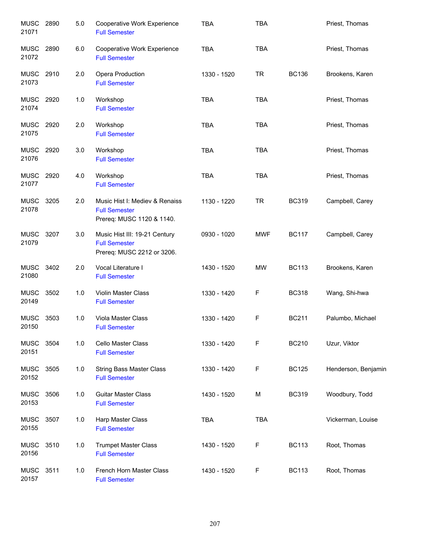| <b>MUSC</b><br>21071 | 2890 | 5.0 | Cooperative Work Experience<br><b>Full Semester</b>                                 | <b>TBA</b>  | <b>TBA</b> |              | Priest, Thomas      |
|----------------------|------|-----|-------------------------------------------------------------------------------------|-------------|------------|--------------|---------------------|
| <b>MUSC</b><br>21072 | 2890 | 6.0 | Cooperative Work Experience<br><b>Full Semester</b>                                 | <b>TBA</b>  | <b>TBA</b> |              | Priest, Thomas      |
| MUSC<br>21073        | 2910 | 2.0 | Opera Production<br><b>Full Semester</b>                                            | 1330 - 1520 | <b>TR</b>  | <b>BC136</b> | Brookens, Karen     |
| MUSC<br>21074        | 2920 | 1.0 | Workshop<br><b>Full Semester</b>                                                    | <b>TBA</b>  | <b>TBA</b> |              | Priest, Thomas      |
| MUSC<br>21075        | 2920 | 2.0 | Workshop<br><b>Full Semester</b>                                                    | <b>TBA</b>  | <b>TBA</b> |              | Priest, Thomas      |
| <b>MUSC</b><br>21076 | 2920 | 3.0 | Workshop<br><b>Full Semester</b>                                                    | <b>TBA</b>  | <b>TBA</b> |              | Priest, Thomas      |
| <b>MUSC</b><br>21077 | 2920 | 4.0 | Workshop<br><b>Full Semester</b>                                                    | <b>TBA</b>  | <b>TBA</b> |              | Priest, Thomas      |
| <b>MUSC</b><br>21078 | 3205 | 2.0 | Music Hist I: Mediev & Renaiss<br><b>Full Semester</b><br>Prereq: MUSC 1120 & 1140. | 1130 - 1220 | <b>TR</b>  | <b>BC319</b> | Campbell, Carey     |
| <b>MUSC</b><br>21079 | 3207 | 3.0 | Music Hist III: 19-21 Century<br><b>Full Semester</b><br>Prereq: MUSC 2212 or 3206. | 0930 - 1020 | <b>MWF</b> | <b>BC117</b> | Campbell, Carey     |
| <b>MUSC</b><br>21080 | 3402 | 2.0 | Vocal Literature I<br><b>Full Semester</b>                                          | 1430 - 1520 | <b>MW</b>  | <b>BC113</b> | Brookens, Karen     |
| <b>MUSC</b><br>20149 | 3502 | 1.0 | Violin Master Class<br><b>Full Semester</b>                                         | 1330 - 1420 | F          | <b>BC318</b> | Wang, Shi-hwa       |
| <b>MUSC</b><br>20150 | 3503 | 1.0 | Viola Master Class<br><b>Full Semester</b>                                          | 1330 - 1420 | F          | <b>BC211</b> | Palumbo, Michael    |
| <b>MUSC</b><br>20151 | 3504 | 1.0 | Cello Master Class<br><b>Full Semester</b>                                          | 1330 - 1420 | F          | <b>BC210</b> | Uzur, Viktor        |
| <b>MUSC</b><br>20152 | 3505 | 1.0 | <b>String Bass Master Class</b><br><b>Full Semester</b>                             | 1330 - 1420 | F          | <b>BC125</b> | Henderson, Benjamin |
| <b>MUSC</b><br>20153 | 3506 | 1.0 | <b>Guitar Master Class</b><br><b>Full Semester</b>                                  | 1430 - 1520 | M          | <b>BC319</b> | Woodbury, Todd      |
| <b>MUSC</b><br>20155 | 3507 | 1.0 | Harp Master Class<br><b>Full Semester</b>                                           | <b>TBA</b>  | <b>TBA</b> |              | Vickerman, Louise   |
| <b>MUSC</b><br>20156 | 3510 | 1.0 | <b>Trumpet Master Class</b><br><b>Full Semester</b>                                 | 1430 - 1520 | F          | <b>BC113</b> | Root, Thomas        |
| <b>MUSC</b><br>20157 | 3511 | 1.0 | French Horn Master Class<br><b>Full Semester</b>                                    | 1430 - 1520 | F          | <b>BC113</b> | Root, Thomas        |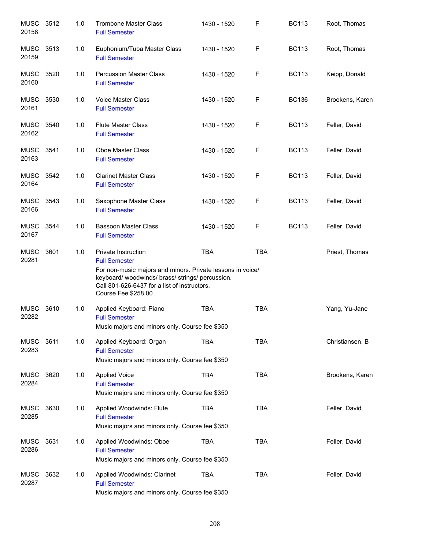| <b>MUSC</b><br>20158 | 3512 | 1.0 | <b>Trombone Master Class</b><br><b>Full Semester</b>                                                                                                                                                                             | 1430 - 1520 | $\mathsf{F}$ | <b>BC113</b> | Root, Thomas    |
|----------------------|------|-----|----------------------------------------------------------------------------------------------------------------------------------------------------------------------------------------------------------------------------------|-------------|--------------|--------------|-----------------|
| <b>MUSC</b><br>20159 | 3513 | 1.0 | Euphonium/Tuba Master Class<br><b>Full Semester</b>                                                                                                                                                                              | 1430 - 1520 | F            | <b>BC113</b> | Root, Thomas    |
| MUSC<br>20160        | 3520 | 1.0 | <b>Percussion Master Class</b><br><b>Full Semester</b>                                                                                                                                                                           | 1430 - 1520 | F            | <b>BC113</b> | Keipp, Donald   |
| <b>MUSC</b><br>20161 | 3530 | 1.0 | Voice Master Class<br><b>Full Semester</b>                                                                                                                                                                                       | 1430 - 1520 | F            | <b>BC136</b> | Brookens, Karen |
| <b>MUSC</b><br>20162 | 3540 | 1.0 | <b>Flute Master Class</b><br><b>Full Semester</b>                                                                                                                                                                                | 1430 - 1520 | F            | <b>BC113</b> | Feller, David   |
| <b>MUSC</b><br>20163 | 3541 | 1.0 | Oboe Master Class<br><b>Full Semester</b>                                                                                                                                                                                        | 1430 - 1520 | F            | <b>BC113</b> | Feller, David   |
| <b>MUSC</b><br>20164 | 3542 | 1.0 | <b>Clarinet Master Class</b><br><b>Full Semester</b>                                                                                                                                                                             | 1430 - 1520 | F            | <b>BC113</b> | Feller, David   |
| <b>MUSC</b><br>20166 | 3543 | 1.0 | Saxophone Master Class<br><b>Full Semester</b>                                                                                                                                                                                   | 1430 - 1520 | $\mathsf F$  | <b>BC113</b> | Feller, David   |
| <b>MUSC</b><br>20167 | 3544 | 1.0 | <b>Bassoon Master Class</b><br><b>Full Semester</b>                                                                                                                                                                              | 1430 - 1520 | $\mathsf F$  | <b>BC113</b> | Feller, David   |
| <b>MUSC</b><br>20281 | 3601 | 1.0 | Private Instruction<br><b>Full Semester</b><br>For non-music majors and minors. Private lessons in voice/<br>keyboard/woodwinds/brass/strings/percussion.<br>Call 801-626-6437 for a list of instructors.<br>Course Fee \$258.00 | <b>TBA</b>  | <b>TBA</b>   |              | Priest, Thomas  |
| <b>MUSC</b><br>20282 | 3610 | 1.0 | Applied Keyboard: Piano<br><b>Full Semester</b><br>Music majors and minors only. Course fee \$350                                                                                                                                | <b>TBA</b>  | <b>TBA</b>   |              | Yang, Yu-Jane   |
| <b>MUSC</b><br>20283 | 3611 | 1.0 | Applied Keyboard: Organ<br><b>Full Semester</b><br>Music majors and minors only. Course fee \$350                                                                                                                                | <b>TBA</b>  | <b>TBA</b>   |              | Christiansen, B |
| <b>MUSC</b><br>20284 | 3620 | 1.0 | <b>Applied Voice</b><br><b>Full Semester</b><br>Music majors and minors only. Course fee \$350                                                                                                                                   | <b>TBA</b>  | <b>TBA</b>   |              | Brookens, Karen |
| <b>MUSC</b><br>20285 | 3630 | 1.0 | Applied Woodwinds: Flute<br><b>Full Semester</b><br>Music majors and minors only. Course fee \$350                                                                                                                               | <b>TBA</b>  | <b>TBA</b>   |              | Feller, David   |
| <b>MUSC</b><br>20286 | 3631 | 1.0 | Applied Woodwinds: Oboe<br><b>Full Semester</b><br>Music majors and minors only. Course fee \$350                                                                                                                                | <b>TBA</b>  | <b>TBA</b>   |              | Feller, David   |
| <b>MUSC</b><br>20287 | 3632 | 1.0 | Applied Woodwinds: Clarinet<br><b>Full Semester</b><br>Music majors and minors only. Course fee \$350                                                                                                                            | <b>TBA</b>  | <b>TBA</b>   |              | Feller, David   |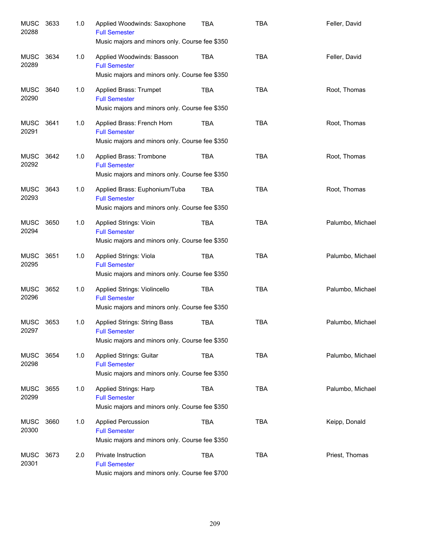| <b>MUSC</b><br>20288 | 3633 | 1.0 | Applied Woodwinds: Saxophone<br><b>Full Semester</b><br>Music majors and minors only. Course fee \$350        | <b>TBA</b> | <b>TBA</b> | Feller, David    |
|----------------------|------|-----|---------------------------------------------------------------------------------------------------------------|------------|------------|------------------|
| <b>MUSC</b><br>20289 | 3634 | 1.0 | Applied Woodwinds: Bassoon<br><b>Full Semester</b><br>Music majors and minors only. Course fee \$350          | TBA        | <b>TBA</b> | Feller, David    |
| MUSC<br>20290        | 3640 | 1.0 | Applied Brass: Trumpet<br><b>Full Semester</b><br>Music majors and minors only. Course fee \$350              | <b>TBA</b> | <b>TBA</b> | Root, Thomas     |
| MUSC<br>20291        | 3641 | 1.0 | Applied Brass: French Horn<br><b>Full Semester</b><br>Music majors and minors only. Course fee \$350          | TBA        | <b>TBA</b> | Root, Thomas     |
| MUSC<br>20292        | 3642 | 1.0 | Applied Brass: Trombone<br><b>Full Semester</b><br>Music majors and minors only. Course fee \$350             | TBA        | <b>TBA</b> | Root, Thomas     |
| MUSC<br>20293        | 3643 | 1.0 | Applied Brass: Euphonium/Tuba<br><b>Full Semester</b><br>Music majors and minors only. Course fee \$350       | TBA        | <b>TBA</b> | Root, Thomas     |
| MUSC<br>20294        | 3650 | 1.0 | Applied Strings: Vioin<br><b>Full Semester</b><br>Music majors and minors only. Course fee \$350              | TBA        | <b>TBA</b> | Palumbo, Michael |
| MUSC<br>20295        | 3651 | 1.0 | Applied Strings: Viola<br><b>Full Semester</b><br>Music majors and minors only. Course fee \$350              | <b>TBA</b> | <b>TBA</b> | Palumbo, Michael |
| MUSC<br>20296        | 3652 | 1.0 | Applied Strings: Violincello<br><b>Full Semester</b><br>Music majors and minors only. Course fee \$350        | <b>TBA</b> | <b>TBA</b> | Palumbo, Michael |
| MUSC<br>20297        | 3653 | 1.0 | <b>Applied Strings: String Bass</b><br><b>Full Semester</b><br>Music majors and minors only. Course fee \$350 | <b>TBA</b> | <b>TBA</b> | Palumbo, Michael |
| MUSC<br>20298        | 3654 | 1.0 | <b>Applied Strings: Guitar</b><br><b>Full Semester</b><br>Music majors and minors only. Course fee \$350      | TBA        | <b>TBA</b> | Palumbo, Michael |
| MUSC<br>20299        | 3655 | 1.0 | Applied Strings: Harp<br><b>Full Semester</b><br>Music majors and minors only. Course fee \$350               | TBA        | <b>TBA</b> | Palumbo, Michael |
| MUSC<br>20300        | 3660 | 1.0 | <b>Applied Percussion</b><br><b>Full Semester</b><br>Music majors and minors only. Course fee \$350           | TBA        | <b>TBA</b> | Keipp, Donald    |
| MUSC<br>20301        | 3673 | 2.0 | Private Instruction<br><b>Full Semester</b><br>Music majors and minors only. Course fee \$700                 | <b>TBA</b> | <b>TBA</b> | Priest, Thomas   |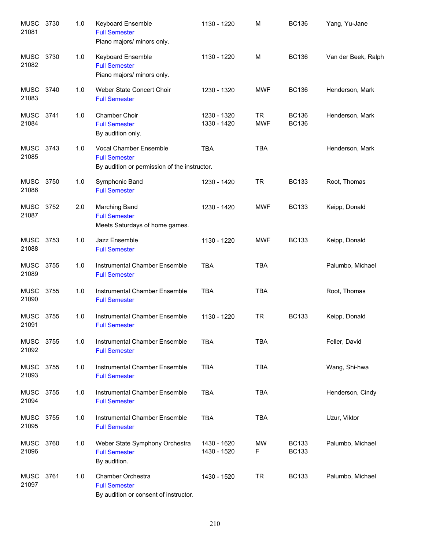| <b>MUSC</b><br>21081 | 3730 | 1.0 | <b>Keyboard Ensemble</b><br><b>Full Semester</b><br>Piano majors/ minors only.                 | 1130 - 1220                | M                       | <b>BC136</b>                 | Yang, Yu-Jane       |
|----------------------|------|-----|------------------------------------------------------------------------------------------------|----------------------------|-------------------------|------------------------------|---------------------|
| MUSC<br>21082        | 3730 | 1.0 | Keyboard Ensemble<br><b>Full Semester</b><br>Piano majors/ minors only.                        | 1130 - 1220                | M                       | <b>BC136</b>                 | Van der Beek, Ralph |
| <b>MUSC</b><br>21083 | 3740 | 1.0 | Weber State Concert Choir<br><b>Full Semester</b>                                              | 1230 - 1320                | <b>MWF</b>              | <b>BC136</b>                 | Henderson, Mark     |
| MUSC<br>21084        | 3741 | 1.0 | Chamber Choir<br><b>Full Semester</b><br>By audition only.                                     | 1230 - 1320<br>1330 - 1420 | <b>TR</b><br><b>MWF</b> | <b>BC136</b><br><b>BC136</b> | Henderson, Mark     |
| MUSC<br>21085        | 3743 | 1.0 | Vocal Chamber Ensemble<br><b>Full Semester</b><br>By audition or permission of the instructor. | <b>TBA</b>                 | <b>TBA</b>              |                              | Henderson, Mark     |
| MUSC<br>21086        | 3750 | 1.0 | Symphonic Band<br><b>Full Semester</b>                                                         | 1230 - 1420                | <b>TR</b>               | <b>BC133</b>                 | Root, Thomas        |
| <b>MUSC</b><br>21087 | 3752 | 2.0 | <b>Marching Band</b><br><b>Full Semester</b><br>Meets Saturdays of home games.                 | 1230 - 1420                | <b>MWF</b>              | <b>BC133</b>                 | Keipp, Donald       |
| <b>MUSC</b><br>21088 | 3753 | 1.0 | Jazz Ensemble<br><b>Full Semester</b>                                                          | 1130 - 1220                | <b>MWF</b>              | <b>BC133</b>                 | Keipp, Donald       |
| <b>MUSC</b><br>21089 | 3755 | 1.0 | Instrumental Chamber Ensemble<br><b>Full Semester</b>                                          | <b>TBA</b>                 | <b>TBA</b>              |                              | Palumbo, Michael    |
| <b>MUSC</b><br>21090 | 3755 | 1.0 | Instrumental Chamber Ensemble<br><b>Full Semester</b>                                          | <b>TBA</b>                 | <b>TBA</b>              |                              | Root, Thomas        |
| <b>MUSC</b><br>21091 | 3755 | 1.0 | Instrumental Chamber Ensemble<br><b>Full Semester</b>                                          | 1130 - 1220                | <b>TR</b>               | <b>BC133</b>                 | Keipp, Donald       |
| <b>MUSC</b><br>21092 | 3755 | 1.0 | Instrumental Chamber Ensemble<br><b>Full Semester</b>                                          | <b>TBA</b>                 | <b>TBA</b>              |                              | Feller, David       |
| <b>MUSC</b><br>21093 | 3755 | 1.0 | Instrumental Chamber Ensemble<br><b>Full Semester</b>                                          | <b>TBA</b>                 | <b>TBA</b>              |                              | Wang, Shi-hwa       |
| MUSC<br>21094        | 3755 | 1.0 | Instrumental Chamber Ensemble<br><b>Full Semester</b>                                          | <b>TBA</b>                 | <b>TBA</b>              |                              | Henderson, Cindy    |
| MUSC<br>21095        | 3755 | 1.0 | Instrumental Chamber Ensemble<br><b>Full Semester</b>                                          | <b>TBA</b>                 | <b>TBA</b>              |                              | Uzur, Viktor        |
| <b>MUSC</b><br>21096 | 3760 | 1.0 | Weber State Symphony Orchestra<br><b>Full Semester</b><br>By audition.                         | 1430 - 1620<br>1430 - 1520 | MW<br>F                 | <b>BC133</b><br><b>BC133</b> | Palumbo, Michael    |
| MUSC<br>21097        | 3761 | 1.0 | Chamber Orchestra<br><b>Full Semester</b><br>By audition or consent of instructor.             | 1430 - 1520                | <b>TR</b>               | <b>BC133</b>                 | Palumbo, Michael    |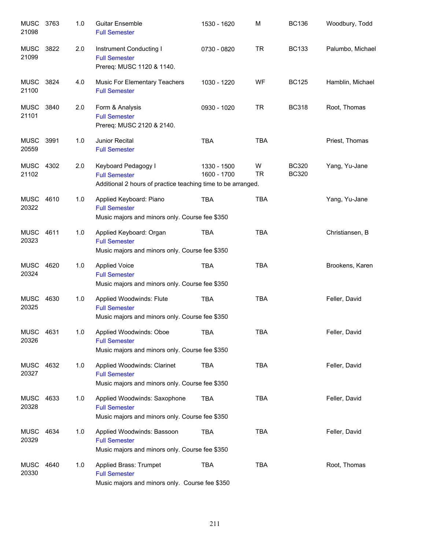| <b>MUSC</b><br>21098 | 3763 | 1.0 | <b>Guitar Ensemble</b><br><b>Full Semester</b>                                                              | 1530 - 1620                | M              | <b>BC136</b>                 | Woodbury, Todd   |
|----------------------|------|-----|-------------------------------------------------------------------------------------------------------------|----------------------------|----------------|------------------------------|------------------|
| <b>MUSC</b><br>21099 | 3822 | 2.0 | Instrument Conducting I<br><b>Full Semester</b><br>Prereq: MUSC 1120 & 1140.                                | 0730 - 0820                | <b>TR</b>      | <b>BC133</b>                 | Palumbo, Michael |
| <b>MUSC</b><br>21100 | 3824 | 4.0 | Music For Elementary Teachers<br><b>Full Semester</b>                                                       | 1030 - 1220                | WF             | <b>BC125</b>                 | Hamblin, Michael |
| <b>MUSC</b><br>21101 | 3840 | 2.0 | Form & Analysis<br><b>Full Semester</b><br>Prereq: MUSC 2120 & 2140.                                        | 0930 - 1020                | <b>TR</b>      | <b>BC318</b>                 | Root, Thomas     |
| <b>MUSC</b><br>20559 | 3991 | 1.0 | Junior Recital<br><b>Full Semester</b>                                                                      | <b>TBA</b>                 | <b>TBA</b>     |                              | Priest, Thomas   |
| MUSC 4302<br>21102   |      | 2.0 | Keyboard Pedagogy I<br><b>Full Semester</b><br>Additional 2 hours of practice teaching time to be arranged. | 1330 - 1500<br>1600 - 1700 | W<br><b>TR</b> | <b>BC320</b><br><b>BC320</b> | Yang, Yu-Jane    |
| MUSC<br>20322        | 4610 | 1.0 | Applied Keyboard: Piano<br><b>Full Semester</b><br>Music majors and minors only. Course fee \$350           | <b>TBA</b>                 | <b>TBA</b>     |                              | Yang, Yu-Jane    |
| <b>MUSC</b><br>20323 | 4611 | 1.0 | Applied Keyboard: Organ<br><b>Full Semester</b><br>Music majors and minors only. Course fee \$350           | <b>TBA</b>                 | <b>TBA</b>     |                              | Christiansen, B  |
| <b>MUSC</b><br>20324 | 4620 | 1.0 | <b>Applied Voice</b><br><b>Full Semester</b><br>Music majors and minors only. Course fee \$350              | <b>TBA</b>                 | <b>TBA</b>     |                              | Brookens, Karen  |
| <b>MUSC</b><br>20325 | 4630 | 1.0 | Applied Woodwinds: Flute<br><b>Full Semester</b><br>Music majors and minors only. Course fee \$350          | <b>TBA</b>                 | <b>TBA</b>     |                              | Feller, David    |
| MUSC 4631<br>20326   |      | 1.0 | Applied Woodwinds: Oboe<br><b>Full Semester</b><br>Music majors and minors only. Course fee \$350           | TBA                        | TBA            |                              | Feller, David    |
| MUSC<br>20327        | 4632 | 1.0 | Applied Woodwinds: Clarinet<br><b>Full Semester</b><br>Music majors and minors only. Course fee \$350       | <b>TBA</b>                 | <b>TBA</b>     |                              | Feller, David    |
| <b>MUSC</b><br>20328 | 4633 | 1.0 | Applied Woodwinds: Saxophone<br><b>Full Semester</b><br>Music majors and minors only. Course fee \$350      | TBA                        | <b>TBA</b>     |                              | Feller, David    |
| <b>MUSC</b><br>20329 | 4634 | 1.0 | Applied Woodwinds: Bassoon<br><b>Full Semester</b><br>Music majors and minors only. Course fee \$350        | <b>TBA</b>                 | <b>TBA</b>     |                              | Feller, David    |
| <b>MUSC</b><br>20330 | 4640 | 1.0 | Applied Brass: Trumpet<br><b>Full Semester</b><br>Music majors and minors only. Course fee \$350            | <b>TBA</b>                 | <b>TBA</b>     |                              | Root, Thomas     |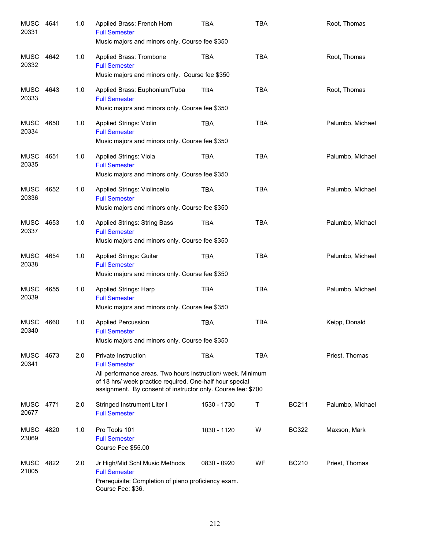| MUSC<br>20331             | 4641 | 1.0 | Applied Brass: French Horn<br><b>Full Semester</b><br>Music majors and minors only. Course fee \$350                                                                                                                                          | <b>TBA</b>  | <b>TBA</b> |              | Root, Thomas     |
|---------------------------|------|-----|-----------------------------------------------------------------------------------------------------------------------------------------------------------------------------------------------------------------------------------------------|-------------|------------|--------------|------------------|
| MUSC<br>20332             | 4642 | 1.0 | Applied Brass: Trombone<br><b>Full Semester</b><br>Music majors and minors only. Course fee \$350                                                                                                                                             | TBA         | <b>TBA</b> |              | Root, Thomas     |
| MUSC<br>20333             | 4643 | 1.0 | Applied Brass: Euphonium/Tuba<br><b>Full Semester</b><br>Music majors and minors only. Course fee \$350                                                                                                                                       | <b>TBA</b>  | <b>TBA</b> |              | Root, Thomas     |
| MUSC<br>20334             | 4650 | 1.0 | Applied Strings: Violin<br><b>Full Semester</b><br>Music majors and minors only. Course fee \$350                                                                                                                                             | <b>TBA</b>  | <b>TBA</b> |              | Palumbo, Michael |
| MUSC<br>20335             | 4651 | 1.0 | Applied Strings: Viola<br><b>Full Semester</b><br>Music majors and minors only. Course fee \$350                                                                                                                                              | <b>TBA</b>  | <b>TBA</b> |              | Palumbo, Michael |
| MUSC<br>20336             | 4652 | 1.0 | Applied Strings: Violincello<br><b>Full Semester</b><br>Music majors and minors only. Course fee \$350                                                                                                                                        | TBA         | <b>TBA</b> |              | Palumbo, Michael |
| MUSC<br>20337             | 4653 | 1.0 | <b>Applied Strings: String Bass</b><br><b>Full Semester</b><br>Music majors and minors only. Course fee \$350                                                                                                                                 | <b>TBA</b>  | <b>TBA</b> |              | Palumbo, Michael |
| MUSC<br>20338             | 4654 | 1.0 | Applied Strings: Guitar<br><b>Full Semester</b><br>Music majors and minors only. Course fee \$350                                                                                                                                             | <b>TBA</b>  | <b>TBA</b> |              | Palumbo, Michael |
| MUSC<br>20339             | 4655 | 1.0 | Applied Strings: Harp<br><b>Full Semester</b><br>Music majors and minors only. Course fee \$350                                                                                                                                               | <b>TBA</b>  | <b>TBA</b> |              | Palumbo, Michael |
| MUSC<br>20340             | 4660 | 1.0 | <b>Applied Percussion</b><br><b>Full Semester</b><br>Music majors and minors only. Course fee \$350                                                                                                                                           | <b>TBA</b>  | <b>TBA</b> |              | Keipp, Donald    |
| <b>MUSC</b><br>20341      | 4673 | 2.0 | <b>Private Instruction</b><br><b>Full Semester</b><br>All performance areas. Two hours instruction/ week. Minimum<br>of 18 hrs/ week practice required. One-half hour special<br>assignment. By consent of instructor only. Course fee: \$700 | <b>TBA</b>  | <b>TBA</b> |              | Priest, Thomas   |
| <b>MUSC 4771</b><br>20677 |      | 2.0 | Stringed Instrument Liter I<br><b>Full Semester</b>                                                                                                                                                                                           | 1530 - 1730 | Т          | <b>BC211</b> | Palumbo, Michael |
| <b>MUSC</b><br>23069      | 4820 | 1.0 | Pro Tools 101<br><b>Full Semester</b><br>Course Fee \$55.00                                                                                                                                                                                   | 1030 - 1120 | W          | <b>BC322</b> | Maxson, Mark     |
| <b>MUSC</b><br>21005      | 4822 | 2.0 | Jr High/Mid Schl Music Methods<br><b>Full Semester</b><br>Prerequisite: Completion of piano proficiency exam.<br>Course Fee: \$36.                                                                                                            | 0830 - 0920 | WF         | <b>BC210</b> | Priest, Thomas   |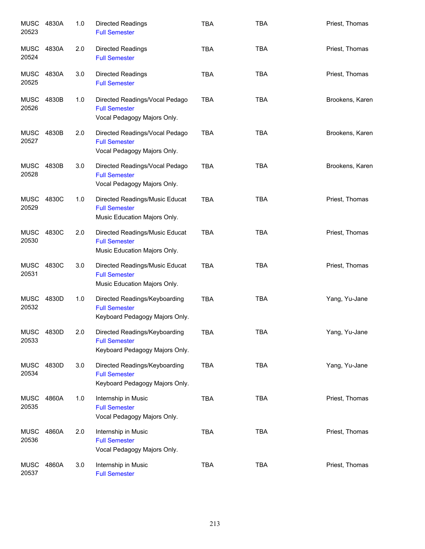| <b>MUSC 4830A</b><br>20523 |       | 1.0 | Directed Readings<br><b>Full Semester</b>                                               | <b>TBA</b> | <b>TBA</b> | Priest, Thomas  |
|----------------------------|-------|-----|-----------------------------------------------------------------------------------------|------------|------------|-----------------|
| MUSC<br>20524              | 4830A | 2.0 | <b>Directed Readings</b><br><b>Full Semester</b>                                        | <b>TBA</b> | <b>TBA</b> | Priest, Thomas  |
| <b>MUSC</b><br>20525       | 4830A | 3.0 | Directed Readings<br><b>Full Semester</b>                                               | <b>TBA</b> | <b>TBA</b> | Priest, Thomas  |
| MUSC<br>20526              | 4830B | 1.0 | Directed Readings/Vocal Pedago<br><b>Full Semester</b><br>Vocal Pedagogy Majors Only.   | <b>TBA</b> | <b>TBA</b> | Brookens, Karen |
| MUSC<br>20527              | 4830B | 2.0 | Directed Readings/Vocal Pedago<br><b>Full Semester</b><br>Vocal Pedagogy Majors Only.   | <b>TBA</b> | <b>TBA</b> | Brookens, Karen |
| <b>MUSC</b><br>20528       | 4830B | 3.0 | Directed Readings/Vocal Pedago<br><b>Full Semester</b><br>Vocal Pedagogy Majors Only.   | <b>TBA</b> | <b>TBA</b> | Brookens, Karen |
| <b>MUSC</b><br>20529       | 4830C | 1.0 | Directed Readings/Music Educat<br><b>Full Semester</b><br>Music Education Majors Only.  | <b>TBA</b> | <b>TBA</b> | Priest, Thomas  |
| <b>MUSC</b><br>20530       | 4830C | 2.0 | Directed Readings/Music Educat<br><b>Full Semester</b><br>Music Education Majors Only.  | <b>TBA</b> | <b>TBA</b> | Priest, Thomas  |
| <b>MUSC</b><br>20531       | 4830C | 3.0 | Directed Readings/Music Educat<br><b>Full Semester</b><br>Music Education Majors Only.  | <b>TBA</b> | <b>TBA</b> | Priest, Thomas  |
| <b>MUSC</b><br>20532       | 4830D | 1.0 | Directed Readings/Keyboarding<br><b>Full Semester</b><br>Keyboard Pedagogy Majors Only. | <b>TBA</b> | <b>TBA</b> | Yang, Yu-Jane   |
| <b>MUSC</b><br>20533       | 4830D | 2.0 | Directed Readings/Keyboarding<br><b>Full Semester</b><br>Keyboard Pedagogy Majors Only. | TBA        | TBA        | Yang, Yu-Jane   |
| <b>MUSC</b><br>20534       | 4830D | 3.0 | Directed Readings/Keyboarding<br><b>Full Semester</b><br>Keyboard Pedagogy Majors Only. | <b>TBA</b> | <b>TBA</b> | Yang, Yu-Jane   |
| <b>MUSC</b><br>20535       | 4860A | 1.0 | Internship in Music<br><b>Full Semester</b><br>Vocal Pedagogy Majors Only.              | <b>TBA</b> | <b>TBA</b> | Priest, Thomas  |
| <b>MUSC</b><br>20536       | 4860A | 2.0 | Internship in Music<br><b>Full Semester</b><br>Vocal Pedagogy Majors Only.              | <b>TBA</b> | <b>TBA</b> | Priest, Thomas  |
| <b>MUSC</b><br>20537       | 4860A | 3.0 | Internship in Music<br><b>Full Semester</b>                                             | <b>TBA</b> | <b>TBA</b> | Priest, Thomas  |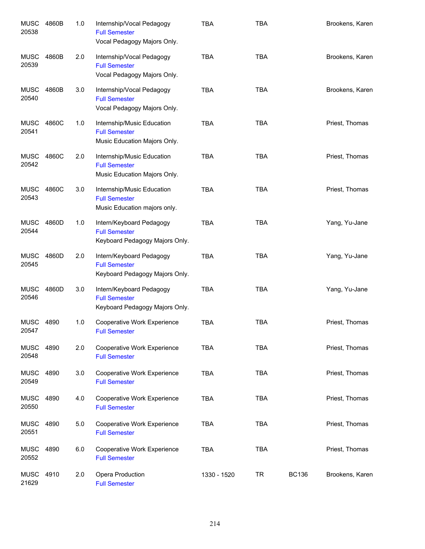| <b>MUSC</b><br>20538 | 4860B | 1.0 | Internship/Vocal Pedagogy<br><b>Full Semester</b><br>Vocal Pedagogy Majors Only.   | <b>TBA</b>  | <b>TBA</b> |              | Brookens, Karen |
|----------------------|-------|-----|------------------------------------------------------------------------------------|-------------|------------|--------------|-----------------|
| MUSC<br>20539        | 4860B | 2.0 | Internship/Vocal Pedagogy<br><b>Full Semester</b><br>Vocal Pedagogy Majors Only.   | <b>TBA</b>  | <b>TBA</b> |              | Brookens, Karen |
| <b>MUSC</b><br>20540 | 4860B | 3.0 | Internship/Vocal Pedagogy<br><b>Full Semester</b><br>Vocal Pedagogy Majors Only.   | <b>TBA</b>  | <b>TBA</b> |              | Brookens, Karen |
| <b>MUSC</b><br>20541 | 4860C | 1.0 | Internship/Music Education<br><b>Full Semester</b><br>Music Education Majors Only. | <b>TBA</b>  | <b>TBA</b> |              | Priest, Thomas  |
| <b>MUSC</b><br>20542 | 4860C | 2.0 | Internship/Music Education<br><b>Full Semester</b><br>Music Education Majors Only. | <b>TBA</b>  | <b>TBA</b> |              | Priest, Thomas  |
| <b>MUSC</b><br>20543 | 4860C | 3.0 | Internship/Music Education<br><b>Full Semester</b><br>Music Education majors only. | <b>TBA</b>  | <b>TBA</b> |              | Priest, Thomas  |
| <b>MUSC</b><br>20544 | 4860D | 1.0 | Intern/Keyboard Pedagogy<br><b>Full Semester</b><br>Keyboard Pedagogy Majors Only. | <b>TBA</b>  | <b>TBA</b> |              | Yang, Yu-Jane   |
| <b>MUSC</b><br>20545 | 4860D | 2.0 | Intern/Keyboard Pedagogy<br><b>Full Semester</b><br>Keyboard Pedagogy Majors Only. | <b>TBA</b>  | <b>TBA</b> |              | Yang, Yu-Jane   |
| <b>MUSC</b><br>20546 | 4860D | 3.0 | Intern/Keyboard Pedagogy<br><b>Full Semester</b><br>Keyboard Pedagogy Majors Only. | <b>TBA</b>  | <b>TBA</b> |              | Yang, Yu-Jane   |
| MUSC<br>20547        | 4890  | 1.0 | Cooperative Work Experience<br><b>Full Semester</b>                                | <b>TBA</b>  | <b>TBA</b> |              | Priest, Thomas  |
| <b>MUSC</b><br>20548 | 4890  | 2.0 | Cooperative Work Experience<br><b>Full Semester</b>                                | <b>TBA</b>  | <b>TBA</b> |              | Priest, Thomas  |
| <b>MUSC</b><br>20549 | 4890  | 3.0 | Cooperative Work Experience<br><b>Full Semester</b>                                | <b>TBA</b>  | <b>TBA</b> |              | Priest, Thomas  |
| <b>MUSC</b><br>20550 | 4890  | 4.0 | Cooperative Work Experience<br><b>Full Semester</b>                                | <b>TBA</b>  | <b>TBA</b> |              | Priest, Thomas  |
| <b>MUSC</b><br>20551 | 4890  | 5.0 | Cooperative Work Experience<br><b>Full Semester</b>                                | <b>TBA</b>  | <b>TBA</b> |              | Priest, Thomas  |
| <b>MUSC</b><br>20552 | 4890  | 6.0 | Cooperative Work Experience<br><b>Full Semester</b>                                | <b>TBA</b>  | <b>TBA</b> |              | Priest, Thomas  |
| <b>MUSC</b><br>21629 | 4910  | 2.0 | Opera Production<br><b>Full Semester</b>                                           | 1330 - 1520 | <b>TR</b>  | <b>BC136</b> | Brookens, Karen |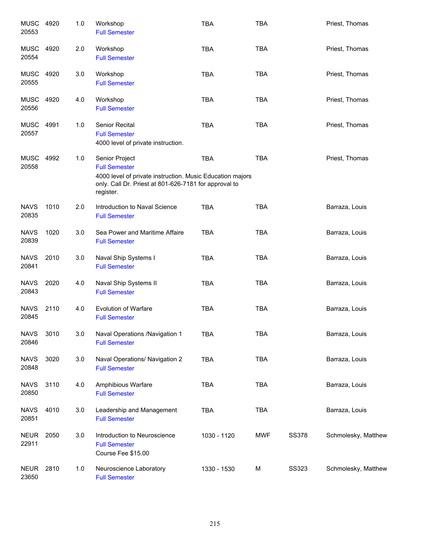| <b>MUSC</b><br>20553 | 4920 | 1.0 | Workshop<br><b>Full Semester</b>                                                                                                                                          | <b>TBA</b>  | <b>TBA</b> |              | Priest, Thomas      |
|----------------------|------|-----|---------------------------------------------------------------------------------------------------------------------------------------------------------------------------|-------------|------------|--------------|---------------------|
| <b>MUSC</b><br>20554 | 4920 | 2.0 | Workshop<br><b>Full Semester</b>                                                                                                                                          | <b>TBA</b>  | <b>TBA</b> |              | Priest, Thomas      |
| <b>MUSC</b><br>20555 | 4920 | 3.0 | Workshop<br><b>Full Semester</b>                                                                                                                                          | <b>TBA</b>  | <b>TBA</b> |              | Priest, Thomas      |
| <b>MUSC</b><br>20556 | 4920 | 4.0 | Workshop<br><b>Full Semester</b>                                                                                                                                          | <b>TBA</b>  | <b>TBA</b> |              | Priest, Thomas      |
| <b>MUSC</b><br>20557 | 4991 | 1.0 | Senior Recital<br><b>Full Semester</b><br>4000 level of private instruction.                                                                                              | <b>TBA</b>  | <b>TBA</b> |              | Priest, Thomas      |
| <b>MUSC</b><br>20558 | 4992 | 1.0 | Senior Project<br><b>Full Semester</b><br>4000 level of private instruction. Music Education majors<br>only. Call Dr. Priest at 801-626-7181 for approval to<br>register. | <b>TBA</b>  | <b>TBA</b> |              | Priest, Thomas      |
| <b>NAVS</b><br>20835 | 1010 | 2.0 | Introduction to Naval Science<br><b>Full Semester</b>                                                                                                                     | <b>TBA</b>  | <b>TBA</b> |              | Barraza, Louis      |
| <b>NAVS</b><br>20839 | 1020 | 3.0 | Sea Power and Maritime Affaire<br><b>Full Semester</b>                                                                                                                    | <b>TBA</b>  | <b>TBA</b> |              | Barraza, Louis      |
| <b>NAVS</b><br>20841 | 2010 | 3.0 | Naval Ship Systems I<br><b>Full Semester</b>                                                                                                                              | <b>TBA</b>  | <b>TBA</b> |              | Barraza, Louis      |
| <b>NAVS</b><br>20843 | 2020 | 4.0 | Naval Ship Systems II<br><b>Full Semester</b>                                                                                                                             | <b>TBA</b>  | <b>TBA</b> |              | Barraza, Louis      |
| <b>NAVS</b><br>20845 | 2110 | 4.0 | <b>Evolution of Warfare</b><br><b>Full Semester</b>                                                                                                                       | <b>TBA</b>  | <b>TBA</b> |              | Barraza, Louis      |
| <b>NAVS</b><br>20846 | 3010 | 3.0 | Naval Operations /Navigation 1<br><b>Full Semester</b>                                                                                                                    | TBA         | TBA        |              | Barraza, Louis      |
| <b>NAVS</b><br>20848 | 3020 | 3.0 | Naval Operations/ Navigation 2<br><b>Full Semester</b>                                                                                                                    | TBA         | <b>TBA</b> |              | Barraza, Louis      |
| <b>NAVS</b><br>20850 | 3110 | 4.0 | Amphibious Warfare<br><b>Full Semester</b>                                                                                                                                | <b>TBA</b>  | <b>TBA</b> |              | Barraza, Louis      |
| <b>NAVS</b><br>20851 | 4010 | 3.0 | Leadership and Management<br><b>Full Semester</b>                                                                                                                         | TBA         | <b>TBA</b> |              | Barraza, Louis      |
| <b>NEUR</b><br>22911 | 2050 | 3.0 | Introduction to Neuroscience<br><b>Full Semester</b><br>Course Fee \$15.00                                                                                                | 1030 - 1120 | <b>MWF</b> | <b>SS378</b> | Schmolesky, Matthew |
| <b>NEUR</b><br>23650 | 2810 | 1.0 | Neuroscience Laboratory<br><b>Full Semester</b>                                                                                                                           | 1330 - 1530 | M          | <b>SS323</b> | Schmolesky, Matthew |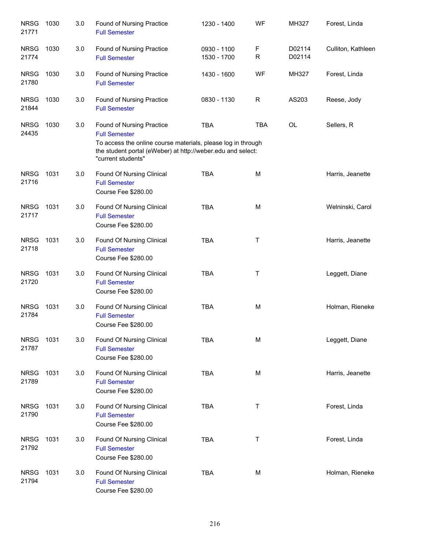| <b>NRSG</b><br>21771 | 1030 | 3.0 | <b>Found of Nursing Practice</b><br><b>Full Semester</b>                                                                                                                                               | 1230 - 1400                | WF         | MH327            | Forest, Linda      |
|----------------------|------|-----|--------------------------------------------------------------------------------------------------------------------------------------------------------------------------------------------------------|----------------------------|------------|------------------|--------------------|
| <b>NRSG</b><br>21774 | 1030 | 3.0 | Found of Nursing Practice<br><b>Full Semester</b>                                                                                                                                                      | 0930 - 1100<br>1530 - 1700 | F<br>R     | D02114<br>D02114 | Culliton, Kathleen |
| <b>NRSG</b><br>21780 | 1030 | 3.0 | <b>Found of Nursing Practice</b><br><b>Full Semester</b>                                                                                                                                               | 1430 - 1600                | WF         | MH327            | Forest, Linda      |
| <b>NRSG</b><br>21844 | 1030 | 3.0 | Found of Nursing Practice<br><b>Full Semester</b>                                                                                                                                                      | 0830 - 1130                | R          | AS203            | Reese, Jody        |
| <b>NRSG</b><br>24435 | 1030 | 3.0 | Found of Nursing Practice<br><b>Full Semester</b><br>To access the online course materials, please log in through<br>the student portal (eWeber) at http://weber.edu and select:<br>"current students" | <b>TBA</b>                 | <b>TBA</b> | <b>OL</b>        | Sellers, R         |
| <b>NRSG</b><br>21716 | 1031 | 3.0 | Found Of Nursing Clinical<br><b>Full Semester</b><br>Course Fee \$280.00                                                                                                                               | <b>TBA</b>                 | M          |                  | Harris, Jeanette   |
| <b>NRSG</b><br>21717 | 1031 | 3.0 | Found Of Nursing Clinical<br><b>Full Semester</b><br>Course Fee \$280.00                                                                                                                               | <b>TBA</b>                 | M          |                  | Welninski, Carol   |
| <b>NRSG</b><br>21718 | 1031 | 3.0 | Found Of Nursing Clinical<br><b>Full Semester</b><br>Course Fee \$280.00                                                                                                                               | <b>TBA</b>                 | T          |                  | Harris, Jeanette   |
| <b>NRSG</b><br>21720 | 1031 | 3.0 | Found Of Nursing Clinical<br><b>Full Semester</b><br>Course Fee \$280.00                                                                                                                               | <b>TBA</b>                 | Τ          |                  | Leggett, Diane     |
| <b>NRSG</b><br>21784 | 1031 | 3.0 | Found Of Nursing Clinical<br><b>Full Semester</b><br>Course Fee \$280.00                                                                                                                               | <b>TBA</b>                 | M          |                  | Holman, Rieneke    |
| <b>NRSG</b><br>21787 | 1031 | 3.0 | Found Of Nursing Clinical<br><b>Full Semester</b><br>Course Fee \$280.00                                                                                                                               | <b>TBA</b>                 | M          |                  | Leggett, Diane     |
| <b>NRSG</b><br>21789 | 1031 | 3.0 | Found Of Nursing Clinical<br><b>Full Semester</b><br>Course Fee \$280.00                                                                                                                               | <b>TBA</b>                 | M          |                  | Harris, Jeanette   |
| <b>NRSG</b><br>21790 | 1031 | 3.0 | Found Of Nursing Clinical<br><b>Full Semester</b><br>Course Fee \$280.00                                                                                                                               | <b>TBA</b>                 | Τ          |                  | Forest, Linda      |
| <b>NRSG</b><br>21792 | 1031 | 3.0 | Found Of Nursing Clinical<br><b>Full Semester</b><br>Course Fee \$280.00                                                                                                                               | <b>TBA</b>                 | Τ          |                  | Forest, Linda      |
| <b>NRSG</b><br>21794 | 1031 | 3.0 | Found Of Nursing Clinical<br><b>Full Semester</b><br>Course Fee \$280.00                                                                                                                               | <b>TBA</b>                 | M          |                  | Holman, Rieneke    |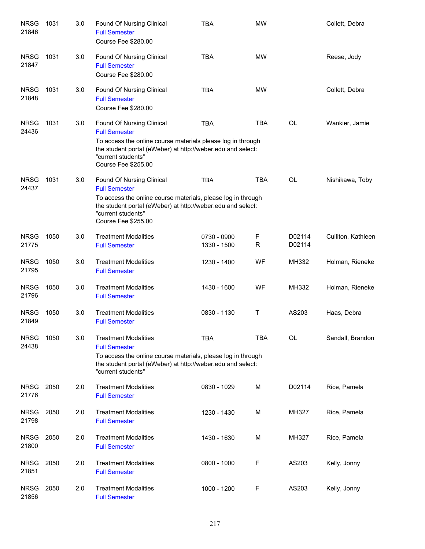| <b>NRSG</b><br>21846 | 1031 | 3.0 | Found Of Nursing Clinical<br><b>Full Semester</b><br>Course Fee \$280.00                                                                                                                                                             | <b>TBA</b>                 | <b>MW</b>  |                  | Collett, Debra     |
|----------------------|------|-----|--------------------------------------------------------------------------------------------------------------------------------------------------------------------------------------------------------------------------------------|----------------------------|------------|------------------|--------------------|
| <b>NRSG</b><br>21847 | 1031 | 3.0 | Found Of Nursing Clinical<br><b>Full Semester</b><br>Course Fee \$280.00                                                                                                                                                             | <b>TBA</b>                 | <b>MW</b>  |                  | Reese, Jody        |
| <b>NRSG</b><br>21848 | 1031 | 3.0 | Found Of Nursing Clinical<br><b>Full Semester</b><br>Course Fee \$280.00                                                                                                                                                             | <b>TBA</b>                 | <b>MW</b>  |                  | Collett, Debra     |
| <b>NRSG</b><br>24436 | 1031 | 3.0 | Found Of Nursing Clinical<br><b>Full Semester</b><br>To access the online course materials please log in through<br>the student portal (eWeber) at http://weber.edu and select:<br>"current students"<br><b>Course Fee \$255.00</b>  | <b>TBA</b>                 | <b>TBA</b> | <b>OL</b>        | Wankier, Jamie     |
| <b>NRSG</b><br>24437 | 1031 | 3.0 | Found Of Nursing Clinical<br><b>Full Semester</b><br>To access the online course materials, please log in through<br>the student portal (eWeber) at http://weber.edu and select:<br>"current students"<br><b>Course Fee \$255.00</b> | <b>TBA</b>                 | TBA        | <b>OL</b>        | Nishikawa, Toby    |
| <b>NRSG</b><br>21775 | 1050 | 3.0 | <b>Treatment Modalities</b><br><b>Full Semester</b>                                                                                                                                                                                  | 0730 - 0900<br>1330 - 1500 | F<br>R     | D02114<br>D02114 | Culliton, Kathleen |
| <b>NRSG</b><br>21795 | 1050 | 3.0 | <b>Treatment Modalities</b><br><b>Full Semester</b>                                                                                                                                                                                  | 1230 - 1400                | WF         | MH332            | Holman, Rieneke    |
| <b>NRSG</b><br>21796 | 1050 | 3.0 | <b>Treatment Modalities</b><br><b>Full Semester</b>                                                                                                                                                                                  | 1430 - 1600                | <b>WF</b>  | MH332            | Holman, Rieneke    |
| <b>NRSG</b><br>21849 | 1050 | 3.0 | <b>Treatment Modalities</b><br><b>Full Semester</b>                                                                                                                                                                                  | 0830 - 1130                | Т          | AS203            | Haas, Debra        |
| <b>NRSG</b><br>24438 | 1050 | 3.0 | <b>Treatment Modalities</b><br><b>Full Semester</b><br>To access the online course materials, please log in through<br>the student portal (eWeber) at http://weber.edu and select:<br>"current students"                             | <b>TBA</b>                 | <b>TBA</b> | OL               | Sandall, Brandon   |
| <b>NRSG</b><br>21776 | 2050 | 2.0 | <b>Treatment Modalities</b><br><b>Full Semester</b>                                                                                                                                                                                  | 0830 - 1029                | M          | D02114           | Rice, Pamela       |
| <b>NRSG</b><br>21798 | 2050 | 2.0 | <b>Treatment Modalities</b><br><b>Full Semester</b>                                                                                                                                                                                  | 1230 - 1430                | M          | MH327            | Rice, Pamela       |
| <b>NRSG</b><br>21800 | 2050 | 2.0 | <b>Treatment Modalities</b><br><b>Full Semester</b>                                                                                                                                                                                  | 1430 - 1630                | M          | MH327            | Rice, Pamela       |
| <b>NRSG</b><br>21851 | 2050 | 2.0 | <b>Treatment Modalities</b><br><b>Full Semester</b>                                                                                                                                                                                  | 0800 - 1000                | F          | AS203            | Kelly, Jonny       |
| <b>NRSG</b><br>21856 | 2050 | 2.0 | <b>Treatment Modalities</b><br><b>Full Semester</b>                                                                                                                                                                                  | 1000 - 1200                | F          | AS203            | Kelly, Jonny       |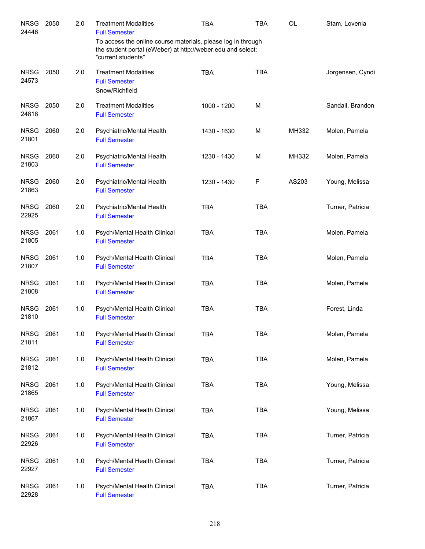| <b>NRSG</b><br>24446 | 2050 | 2.0   | <b>Treatment Modalities</b><br><b>Full Semester</b>                                                                                               | <b>TBA</b>  | <b>TBA</b> | <b>OL</b> | Stam, Lovenia    |
|----------------------|------|-------|---------------------------------------------------------------------------------------------------------------------------------------------------|-------------|------------|-----------|------------------|
|                      |      |       | To access the online course materials, please log in through<br>the student portal (eWeber) at http://weber.edu and select:<br>"current students" |             |            |           |                  |
| <b>NRSG</b><br>24573 | 2050 | 2.0   | <b>Treatment Modalities</b><br><b>Full Semester</b><br>Snow/Richfield                                                                             | <b>TBA</b>  | <b>TBA</b> |           | Jorgensen, Cyndi |
| <b>NRSG</b><br>24818 | 2050 | 2.0   | <b>Treatment Modalities</b><br><b>Full Semester</b>                                                                                               | 1000 - 1200 | M          |           | Sandall, Brandon |
| <b>NRSG</b><br>21801 | 2060 | 2.0   | Psychiatric/Mental Health<br><b>Full Semester</b>                                                                                                 | 1430 - 1630 | M          | MH332     | Molen, Pamela    |
| <b>NRSG</b><br>21803 | 2060 | 2.0   | Psychiatric/Mental Health<br><b>Full Semester</b>                                                                                                 | 1230 - 1430 | M          | MH332     | Molen, Pamela    |
| <b>NRSG</b><br>21863 | 2060 | 2.0   | Psychiatric/Mental Health<br><b>Full Semester</b>                                                                                                 | 1230 - 1430 | F          | AS203     | Young, Melissa   |
| <b>NRSG</b><br>22925 | 2060 | 2.0   | Psychiatric/Mental Health<br><b>Full Semester</b>                                                                                                 | <b>TBA</b>  | <b>TBA</b> |           | Turner, Patricia |
| <b>NRSG</b><br>21805 | 2061 | 1.0   | Psych/Mental Health Clinical<br><b>Full Semester</b>                                                                                              | <b>TBA</b>  | <b>TBA</b> |           | Molen, Pamela    |
| <b>NRSG</b><br>21807 | 2061 | 1.0   | Psych/Mental Health Clinical<br><b>Full Semester</b>                                                                                              | <b>TBA</b>  | <b>TBA</b> |           | Molen, Pamela    |
| <b>NRSG</b><br>21808 | 2061 | 1.0   | Psych/Mental Health Clinical<br><b>Full Semester</b>                                                                                              | <b>TBA</b>  | <b>TBA</b> |           | Molen, Pamela    |
| <b>NRSG</b><br>21810 | 2061 | 1.0   | Psych/Mental Health Clinical<br><b>Full Semester</b>                                                                                              | <b>TBA</b>  | <b>TBA</b> |           | Forest, Linda    |
| NRSG 2061<br>21811   |      | $1.0$ | Psych/Mental Health Clinical<br><b>Full Semester</b>                                                                                              | TBA         | TBA        |           | Molen, Pamela    |
| <b>NRSG</b><br>21812 | 2061 | 1.0   | Psych/Mental Health Clinical<br><b>Full Semester</b>                                                                                              | <b>TBA</b>  | <b>TBA</b> |           | Molen, Pamela    |
| <b>NRSG</b><br>21865 | 2061 | 1.0   | Psych/Mental Health Clinical<br><b>Full Semester</b>                                                                                              | <b>TBA</b>  | <b>TBA</b> |           | Young, Melissa   |
| <b>NRSG</b><br>21867 | 2061 | 1.0   | Psych/Mental Health Clinical<br><b>Full Semester</b>                                                                                              | <b>TBA</b>  | <b>TBA</b> |           | Young, Melissa   |
| <b>NRSG</b><br>22926 | 2061 | 1.0   | Psych/Mental Health Clinical<br><b>Full Semester</b>                                                                                              | <b>TBA</b>  | <b>TBA</b> |           | Turner, Patricia |
| NRSG<br>22927        | 2061 | 1.0   | Psych/Mental Health Clinical<br><b>Full Semester</b>                                                                                              | <b>TBA</b>  | <b>TBA</b> |           | Turner, Patricia |
| <b>NRSG</b><br>22928 | 2061 | 1.0   | Psych/Mental Health Clinical<br><b>Full Semester</b>                                                                                              | <b>TBA</b>  | <b>TBA</b> |           | Turner, Patricia |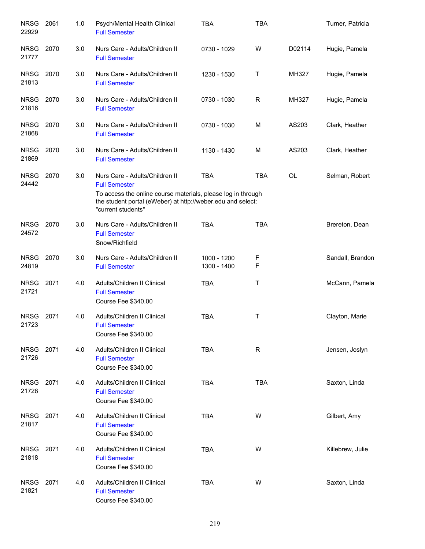| <b>NRSG</b><br>22929 | 2061 | 1.0 | Psych/Mental Health Clinical<br><b>Full Semester</b>                                                                                                                                                        | <b>TBA</b>                 | <b>TBA</b> |           | Turner, Patricia |
|----------------------|------|-----|-------------------------------------------------------------------------------------------------------------------------------------------------------------------------------------------------------------|----------------------------|------------|-----------|------------------|
| <b>NRSG</b><br>21777 | 2070 | 3.0 | Nurs Care - Adults/Children II<br><b>Full Semester</b>                                                                                                                                                      | 0730 - 1029                | W          | D02114    | Hugie, Pamela    |
| <b>NRSG</b><br>21813 | 2070 | 3.0 | Nurs Care - Adults/Children II<br><b>Full Semester</b>                                                                                                                                                      | 1230 - 1530                | Τ          | MH327     | Hugie, Pamela    |
| <b>NRSG</b><br>21816 | 2070 | 3.0 | Nurs Care - Adults/Children II<br><b>Full Semester</b>                                                                                                                                                      | 0730 - 1030                | R          | MH327     | Hugie, Pamela    |
| <b>NRSG</b><br>21868 | 2070 | 3.0 | Nurs Care - Adults/Children II<br><b>Full Semester</b>                                                                                                                                                      | 0730 - 1030                | M          | AS203     | Clark, Heather   |
| <b>NRSG</b><br>21869 | 2070 | 3.0 | Nurs Care - Adults/Children II<br><b>Full Semester</b>                                                                                                                                                      | 1130 - 1430                | M          | AS203     | Clark, Heather   |
| <b>NRSG</b><br>24442 | 2070 | 3.0 | Nurs Care - Adults/Children II<br><b>Full Semester</b><br>To access the online course materials, please log in through<br>the student portal (eWeber) at http://weber.edu and select:<br>"current students" | <b>TBA</b>                 | <b>TBA</b> | <b>OL</b> | Selman, Robert   |
| NRSG 2070<br>24572   |      | 3.0 | Nurs Care - Adults/Children II<br><b>Full Semester</b><br>Snow/Richfield                                                                                                                                    | <b>TBA</b>                 | <b>TBA</b> |           | Brereton, Dean   |
| <b>NRSG</b><br>24819 | 2070 | 3.0 | Nurs Care - Adults/Children II<br><b>Full Semester</b>                                                                                                                                                      | 1000 - 1200<br>1300 - 1400 | F<br>F     |           | Sandall, Brandon |
| <b>NRSG</b><br>21721 | 2071 | 4.0 | Adults/Children II Clinical<br><b>Full Semester</b><br>Course Fee \$340.00                                                                                                                                  | <b>TBA</b>                 | Τ          |           | McCann, Pamela   |
| <b>NRSG</b><br>21723 | 2071 | 4.0 | Adults/Children II Clinical<br><b>Full Semester</b><br>Course Fee \$340.00                                                                                                                                  | <b>TBA</b>                 | Т          |           | Clayton, Marie   |
| <b>NRSG</b><br>21726 | 2071 | 4.0 | Adults/Children II Clinical<br><b>Full Semester</b><br>Course Fee \$340.00                                                                                                                                  | <b>TBA</b>                 | R          |           | Jensen, Joslyn   |
| <b>NRSG</b><br>21728 | 2071 | 4.0 | Adults/Children II Clinical<br><b>Full Semester</b><br>Course Fee \$340.00                                                                                                                                  | <b>TBA</b>                 | <b>TBA</b> |           | Saxton, Linda    |
| <b>NRSG</b><br>21817 | 2071 | 4.0 | Adults/Children II Clinical<br><b>Full Semester</b><br>Course Fee \$340.00                                                                                                                                  | <b>TBA</b>                 | W          |           | Gilbert, Amy     |
| <b>NRSG</b><br>21818 | 2071 | 4.0 | Adults/Children II Clinical<br><b>Full Semester</b><br>Course Fee \$340.00                                                                                                                                  | <b>TBA</b>                 | W          |           | Killebrew, Julie |
| <b>NRSG</b><br>21821 | 2071 | 4.0 | Adults/Children II Clinical<br><b>Full Semester</b><br>Course Fee \$340.00                                                                                                                                  | <b>TBA</b>                 | W          |           | Saxton, Linda    |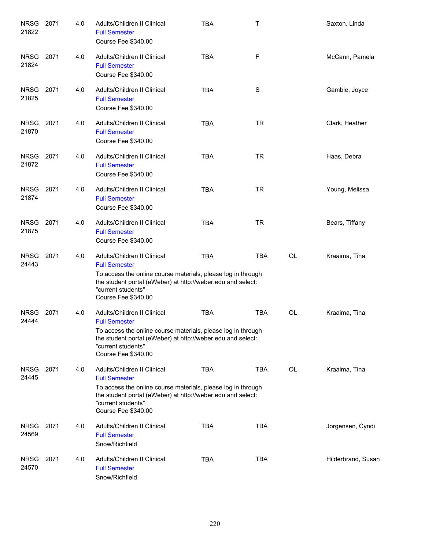| <b>NRSG</b><br>21822 | 2071 | 4.0 | Adults/Children II Clinical<br><b>Full Semester</b><br>Course Fee \$340.00                                                                                                                                                      | <b>TBA</b> | Τ          |           | Saxton, Linda      |
|----------------------|------|-----|---------------------------------------------------------------------------------------------------------------------------------------------------------------------------------------------------------------------------------|------------|------------|-----------|--------------------|
| <b>NRSG</b><br>21824 | 2071 | 4.0 | Adults/Children II Clinical<br><b>Full Semester</b><br>Course Fee \$340.00                                                                                                                                                      | <b>TBA</b> | F          |           | McCann, Pamela     |
| <b>NRSG</b><br>21825 | 2071 | 4.0 | Adults/Children II Clinical<br><b>Full Semester</b><br>Course Fee \$340.00                                                                                                                                                      | <b>TBA</b> | S          |           | Gamble, Joyce      |
| <b>NRSG</b><br>21870 | 2071 | 4.0 | Adults/Children II Clinical<br><b>Full Semester</b><br>Course Fee \$340.00                                                                                                                                                      | <b>TBA</b> | <b>TR</b>  |           | Clark, Heather     |
| NRSG<br>21872        | 2071 | 4.0 | Adults/Children II Clinical<br><b>Full Semester</b><br>Course Fee \$340.00                                                                                                                                                      | <b>TBA</b> | <b>TR</b>  |           | Haas, Debra        |
| <b>NRSG</b><br>21874 | 2071 | 4.0 | Adults/Children II Clinical<br><b>Full Semester</b><br>Course Fee \$340.00                                                                                                                                                      | <b>TBA</b> | <b>TR</b>  |           | Young, Melissa     |
| <b>NRSG</b><br>21875 | 2071 | 4.0 | Adults/Children II Clinical<br><b>Full Semester</b><br>Course Fee \$340.00                                                                                                                                                      | <b>TBA</b> | <b>TR</b>  |           | Bears, Tiffany     |
| <b>NRSG</b><br>24443 | 2071 | 4.0 | Adults/Children II Clinical<br><b>Full Semester</b><br>To access the online course materials, please log in through<br>the student portal (eWeber) at http://weber.edu and select:<br>"current students"<br>Course Fee \$340.00 | <b>TBA</b> | <b>TBA</b> | <b>OL</b> | Kraaima, Tina      |
| <b>NRSG</b><br>24444 | 2071 | 4.0 | Adults/Children II Clinical<br><b>Full Semester</b><br>To access the online course materials, please log in through<br>the student portal (eWeber) at http://weber.edu and select:<br>"current students"<br>Course Fee \$340.00 | <b>TBA</b> | <b>TBA</b> | <b>OL</b> | Kraaima, Tina      |
| <b>NRSG</b><br>24445 | 2071 | 4.0 | Adults/Children II Clinical<br><b>Full Semester</b><br>To access the online course materials, please log in through<br>the student portal (eWeber) at http://weber.edu and select:<br>"current students"<br>Course Fee \$340.00 | <b>TBA</b> | <b>TBA</b> | <b>OL</b> | Kraaima, Tina      |
| <b>NRSG</b><br>24569 | 2071 | 4.0 | Adults/Children II Clinical<br><b>Full Semester</b><br>Snow/Richfield                                                                                                                                                           | <b>TBA</b> | <b>TBA</b> |           | Jorgensen, Cyndi   |
| <b>NRSG</b><br>24570 | 2071 | 4.0 | Adults/Children II Clinical<br><b>Full Semester</b><br>Snow/Richfield                                                                                                                                                           | <b>TBA</b> | <b>TBA</b> |           | Hilderbrand, Susan |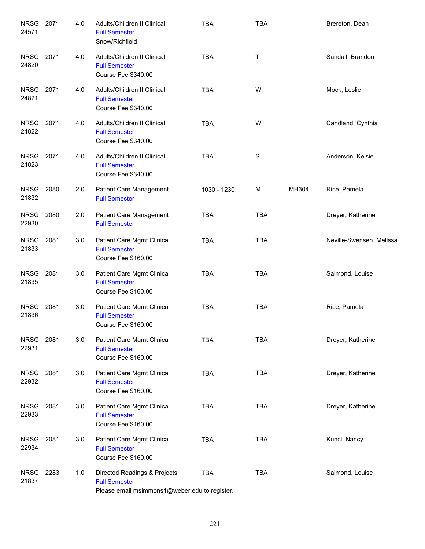| <b>NRSG</b><br>24571 | 2071 | 4.0 | Adults/Children II Clinical<br><b>Full Semester</b><br>Snow/Richfield                                 | <b>TBA</b>  | <b>TBA</b> |       | Brereton, Dean           |
|----------------------|------|-----|-------------------------------------------------------------------------------------------------------|-------------|------------|-------|--------------------------|
| <b>NRSG</b><br>24820 | 2071 | 4.0 | Adults/Children II Clinical<br><b>Full Semester</b><br>Course Fee \$340.00                            | <b>TBA</b>  | Τ          |       | Sandall, Brandon         |
| <b>NRSG</b><br>24821 | 2071 | 4.0 | Adults/Children II Clinical<br><b>Full Semester</b><br>Course Fee \$340.00                            | <b>TBA</b>  | W          |       | Mock, Leslie             |
| <b>NRSG</b><br>24822 | 2071 | 4.0 | Adults/Children II Clinical<br><b>Full Semester</b><br>Course Fee \$340.00                            | <b>TBA</b>  | W          |       | Candland, Cynthia        |
| <b>NRSG</b><br>24823 | 2071 | 4.0 | Adults/Children II Clinical<br><b>Full Semester</b><br>Course Fee \$340.00                            | <b>TBA</b>  | S          |       | Anderson, Kelsie         |
| <b>NRSG</b><br>21832 | 2080 | 2.0 | Patient Care Management<br><b>Full Semester</b>                                                       | 1030 - 1230 | м          | MH304 | Rice, Pamela             |
| <b>NRSG</b><br>22930 | 2080 | 2.0 | Patient Care Management<br><b>Full Semester</b>                                                       | <b>TBA</b>  | <b>TBA</b> |       | Dreyer, Katherine        |
| <b>NRSG</b><br>21833 | 2081 | 3.0 | Patient Care Mgmt Clinical<br><b>Full Semester</b><br>Course Fee \$160.00                             | <b>TBA</b>  | <b>TBA</b> |       | Neville-Swensen, Melissa |
| <b>NRSG</b><br>21835 | 2081 | 3.0 | Patient Care Mgmt Clinical<br><b>Full Semester</b><br>Course Fee \$160.00                             | <b>TBA</b>  | <b>TBA</b> |       | Salmond, Louise          |
| <b>NRSG</b><br>21836 | 2081 | 3.0 | Patient Care Mgmt Clinical<br><b>Full Semester</b><br>Course Fee \$160.00                             | <b>TBA</b>  | <b>TBA</b> |       | Rice, Pamela             |
| <b>NRSG</b><br>22931 | 2081 | 3.0 | Patient Care Mgmt Clinical<br><b>Full Semester</b><br>Course Fee \$160.00                             | <b>TBA</b>  | <b>TBA</b> |       | Dreyer, Katherine        |
| <b>NRSG</b><br>22932 | 2081 | 3.0 | Patient Care Mgmt Clinical<br><b>Full Semester</b><br>Course Fee \$160.00                             | <b>TBA</b>  | <b>TBA</b> |       | Dreyer, Katherine        |
| <b>NRSG</b><br>22933 | 2081 | 3.0 | Patient Care Mgmt Clinical<br><b>Full Semester</b><br>Course Fee \$160.00                             | <b>TBA</b>  | <b>TBA</b> |       | Dreyer, Katherine        |
| <b>NRSG</b><br>22934 | 2081 | 3.0 | Patient Care Mgmt Clinical<br><b>Full Semester</b><br>Course Fee \$160.00                             | <b>TBA</b>  | <b>TBA</b> |       | Kuncl, Nancy             |
| <b>NRSG</b><br>21837 | 2283 | 1.0 | Directed Readings & Projects<br><b>Full Semester</b><br>Please email msimmons1@weber.edu to register. | <b>TBA</b>  | <b>TBA</b> |       | Salmond, Louise          |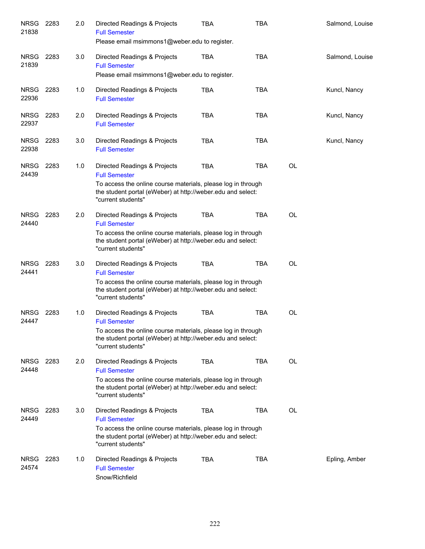| <b>NRSG</b><br>21838 | 2283 | 2.0 | Directed Readings & Projects<br><b>Full Semester</b><br>Please email msimmons1@weber.edu to register.                                                                                                                           | TBA        | <b>TBA</b> |    | Salmond, Louise |
|----------------------|------|-----|---------------------------------------------------------------------------------------------------------------------------------------------------------------------------------------------------------------------------------|------------|------------|----|-----------------|
| <b>NRSG</b><br>21839 | 2283 | 3.0 | Directed Readings & Projects<br><b>Full Semester</b><br>Please email msimmons1@weber.edu to register.                                                                                                                           | TBA        | <b>TBA</b> |    | Salmond, Louise |
| <b>NRSG</b><br>22936 | 2283 | 1.0 | Directed Readings & Projects<br><b>Full Semester</b>                                                                                                                                                                            | <b>TBA</b> | <b>TBA</b> |    | Kuncl, Nancy    |
| <b>NRSG</b><br>22937 | 2283 | 2.0 | Directed Readings & Projects<br><b>Full Semester</b>                                                                                                                                                                            | <b>TBA</b> | <b>TBA</b> |    | Kuncl, Nancy    |
| <b>NRSG</b><br>22938 | 2283 | 3.0 | Directed Readings & Projects<br><b>Full Semester</b>                                                                                                                                                                            | <b>TBA</b> | <b>TBA</b> |    | Kuncl, Nancy    |
| <b>NRSG</b><br>24439 | 2283 | 1.0 | Directed Readings & Projects<br><b>Full Semester</b><br>To access the online course materials, please log in through<br>the student portal (eWeber) at http://weber.edu and select:                                             | <b>TBA</b> | <b>TBA</b> | OL |                 |
| <b>NRSG</b><br>24440 | 2283 | 2.0 | "current students"<br>Directed Readings & Projects<br><b>Full Semester</b><br>To access the online course materials, please log in through<br>the student portal (eWeber) at http://weber.edu and select:<br>"current students" | TBA        | <b>TBA</b> | OL |                 |
| <b>NRSG</b><br>24441 | 2283 | 3.0 | Directed Readings & Projects<br><b>Full Semester</b><br>To access the online course materials, please log in through<br>the student portal (eWeber) at http://weber.edu and select:<br>"current students"                       | <b>TBA</b> | <b>TBA</b> | OL |                 |
| <b>NRSG</b><br>24447 | 2283 | 1.0 | Directed Readings & Projects<br><b>Full Semester</b><br>To access the online course materials, please log in through<br>the student portal (eWeber) at http://weber.edu and select:<br>"current students"                       | <b>TBA</b> | <b>TBA</b> | OL |                 |
| <b>NRSG</b><br>24448 | 2283 | 2.0 | Directed Readings & Projects<br><b>Full Semester</b><br>To access the online course materials, please log in through<br>the student portal (eWeber) at http://weber.edu and select:<br>"current students"                       | <b>TBA</b> | <b>TBA</b> | OL |                 |
| <b>NRSG</b><br>24449 | 2283 | 3.0 | Directed Readings & Projects<br><b>Full Semester</b><br>To access the online course materials, please log in through<br>the student portal (eWeber) at http://weber.edu and select:<br>"current students"                       | <b>TBA</b> | <b>TBA</b> | OL |                 |
| <b>NRSG</b><br>24574 | 2283 | 1.0 | Directed Readings & Projects<br><b>Full Semester</b><br>Snow/Richfield                                                                                                                                                          | <b>TBA</b> | <b>TBA</b> |    | Epling, Amber   |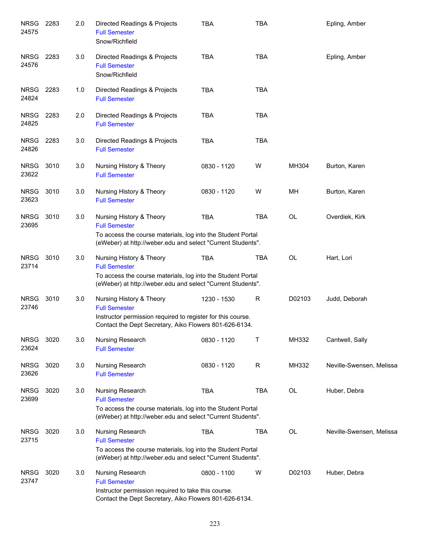| <b>NRSG</b><br>24575 | 2283 | 2.0 | Directed Readings & Projects<br><b>Full Semester</b><br>Snow/Richfield                                                                                                         | <b>TBA</b>  | <b>TBA</b> |        | Epling, Amber            |
|----------------------|------|-----|--------------------------------------------------------------------------------------------------------------------------------------------------------------------------------|-------------|------------|--------|--------------------------|
| <b>NRSG</b><br>24576 | 2283 | 3.0 | Directed Readings & Projects<br><b>Full Semester</b><br>Snow/Richfield                                                                                                         | <b>TBA</b>  | <b>TBA</b> |        | Epling, Amber            |
| <b>NRSG</b><br>24824 | 2283 | 1.0 | Directed Readings & Projects<br><b>Full Semester</b>                                                                                                                           | <b>TBA</b>  | <b>TBA</b> |        |                          |
| <b>NRSG</b><br>24825 | 2283 | 2.0 | Directed Readings & Projects<br><b>Full Semester</b>                                                                                                                           | <b>TBA</b>  | <b>TBA</b> |        |                          |
| <b>NRSG</b><br>24826 | 2283 | 3.0 | Directed Readings & Projects<br><b>Full Semester</b>                                                                                                                           | <b>TBA</b>  | <b>TBA</b> |        |                          |
| <b>NRSG</b><br>23622 | 3010 | 3.0 | Nursing History & Theory<br><b>Full Semester</b>                                                                                                                               | 0830 - 1120 | W          | MH304  | Burton, Karen            |
| <b>NRSG</b><br>23623 | 3010 | 3.0 | Nursing History & Theory<br><b>Full Semester</b>                                                                                                                               | 0830 - 1120 | W          | MН     | Burton, Karen            |
| <b>NRSG</b><br>23695 | 3010 | 3.0 | Nursing History & Theory<br><b>Full Semester</b><br>To access the course materials, log into the Student Portal<br>(eWeber) at http://weber.edu and select "Current Students". | <b>TBA</b>  | <b>TBA</b> | OL     | Overdiek, Kirk           |
| <b>NRSG</b><br>23714 | 3010 | 3.0 | Nursing History & Theory<br><b>Full Semester</b><br>To access the course materials, log into the Student Portal<br>(eWeber) at http://weber.edu and select "Current Students". | <b>TBA</b>  | TBA        | OL     | Hart, Lori               |
| <b>NRSG</b><br>23746 | 3010 | 3.0 | Nursing History & Theory<br><b>Full Semester</b><br>Instructor permission required to register for this course.<br>Contact the Dept Secretary, Aiko Flowers 801-626-6134.      | 1230 - 1530 | R          | D02103 | Judd, Deborah            |
| <b>NRSG</b><br>23624 | 3020 | 3.0 | Nursing Research<br><b>Full Semester</b>                                                                                                                                       | 0830 - 1120 | Τ          | MH332  | Cantwell, Sally          |
| <b>NRSG</b><br>23626 | 3020 | 3.0 | Nursing Research<br><b>Full Semester</b>                                                                                                                                       | 0830 - 1120 | R          | MH332  | Neville-Swensen, Melissa |
| <b>NRSG</b><br>23699 | 3020 | 3.0 | Nursing Research<br><b>Full Semester</b><br>To access the course materials, log into the Student Portal<br>(eWeber) at http://weber.edu and select "Current Students".         | TBA         | TBA        | OL     | Huber, Debra             |
| <b>NRSG</b><br>23715 | 3020 | 3.0 | Nursing Research<br><b>Full Semester</b><br>To access the course materials, log into the Student Portal<br>(eWeber) at http://weber.edu and select "Current Students".         | <b>TBA</b>  | TBA        | OL     | Neville-Swensen, Melissa |
| <b>NRSG</b><br>23747 | 3020 | 3.0 | Nursing Research<br><b>Full Semester</b><br>Instructor permission required to take this course.<br>Contact the Dept Secretary, Aiko Flowers 801-626-6134.                      | 0800 - 1100 | W          | D02103 | Huber, Debra             |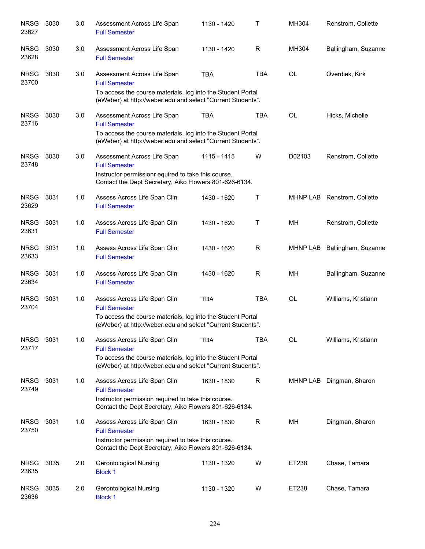| <b>NRSG</b><br>23627 | 3030 | 3.0 | Assessment Across Life Span<br><b>Full Semester</b>                                                                                                                                | 1130 - 1420 | $\mathsf T$  | MH304     | Renstrom, Collette          |
|----------------------|------|-----|------------------------------------------------------------------------------------------------------------------------------------------------------------------------------------|-------------|--------------|-----------|-----------------------------|
| <b>NRSG</b><br>23628 | 3030 | 3.0 | Assessment Across Life Span<br><b>Full Semester</b>                                                                                                                                | 1130 - 1420 | R            | MH304     | Ballingham, Suzanne         |
| <b>NRSG</b><br>23700 | 3030 | 3.0 | Assessment Across Life Span<br><b>Full Semester</b><br>To access the course materials, log into the Student Portal<br>(eWeber) at http://weber.edu and select "Current Students".  | <b>TBA</b>  | <b>TBA</b>   | <b>OL</b> | Overdiek, Kirk              |
| <b>NRSG</b><br>23716 | 3030 | 3.0 | Assessment Across Life Span<br><b>Full Semester</b><br>To access the course materials, log into the Student Portal<br>(eWeber) at http://weber.edu and select "Current Students".  | <b>TBA</b>  | <b>TBA</b>   | <b>OL</b> | Hicks, Michelle             |
| <b>NRSG</b><br>23748 | 3030 | 3.0 | Assessment Across Life Span<br><b>Full Semester</b><br>Instructor permissionr equired to take this course.<br>Contact the Dept Secretary, Aiko Flowers 801-626-6134.               | 1115 - 1415 | W            | D02103    | Renstrom, Collette          |
| <b>NRSG</b><br>23629 | 3031 | 1.0 | Assess Across Life Span Clin<br><b>Full Semester</b>                                                                                                                               | 1430 - 1620 | Τ            |           | MHNP LAB Renstrom, Collette |
| <b>NRSG</b><br>23631 | 3031 | 1.0 | Assess Across Life Span Clin<br><b>Full Semester</b>                                                                                                                               | 1430 - 1620 | $\mathsf{T}$ | MH        | Renstrom, Collette          |
| <b>NRSG</b><br>23633 | 3031 | 1.0 | Assess Across Life Span Clin<br><b>Full Semester</b>                                                                                                                               | 1430 - 1620 | R            | MHNP LAB  | Ballingham, Suzanne         |
| <b>NRSG</b><br>23634 | 3031 | 1.0 | Assess Across Life Span Clin<br><b>Full Semester</b>                                                                                                                               | 1430 - 1620 | $\mathsf{R}$ | MН        | Ballingham, Suzanne         |
| <b>NRSG</b><br>23704 | 3031 | 1.0 | Assess Across Life Span Clin<br><b>Full Semester</b><br>To access the course materials, log into the Student Portal<br>(eWeber) at http://weber.edu and select "Current Students". | <b>TBA</b>  | <b>TBA</b>   | <b>OL</b> | Williams, Kristiann         |
| <b>NRSG</b><br>23717 | 3031 | 1.0 | Assess Across Life Span Clin<br><b>Full Semester</b><br>To access the course materials, log into the Student Portal<br>(eWeber) at http://weber.edu and select "Current Students". | <b>TBA</b>  | <b>TBA</b>   | <b>OL</b> | Williams, Kristiann         |
| <b>NRSG</b><br>23749 | 3031 | 1.0 | Assess Across Life Span Clin<br><b>Full Semester</b><br>Instructor permission required to take this course.<br>Contact the Dept Secretary, Aiko Flowers 801-626-6134.              | 1630 - 1830 | R            |           | MHNP LAB Dingman, Sharon    |
| <b>NRSG</b><br>23750 | 3031 | 1.0 | Assess Across Life Span Clin<br><b>Full Semester</b><br>Instructor permission required to take this course.<br>Contact the Dept Secretary, Aiko Flowers 801-626-6134.              | 1630 - 1830 | R            | MН        | Dingman, Sharon             |
| <b>NRSG</b><br>23635 | 3035 | 2.0 | <b>Gerontological Nursing</b><br><b>Block 1</b>                                                                                                                                    | 1130 - 1320 | W            | ET238     | Chase, Tamara               |
| <b>NRSG</b><br>23636 | 3035 | 2.0 | Gerontological Nursing<br><b>Block 1</b>                                                                                                                                           | 1130 - 1320 | W            | ET238     | Chase, Tamara               |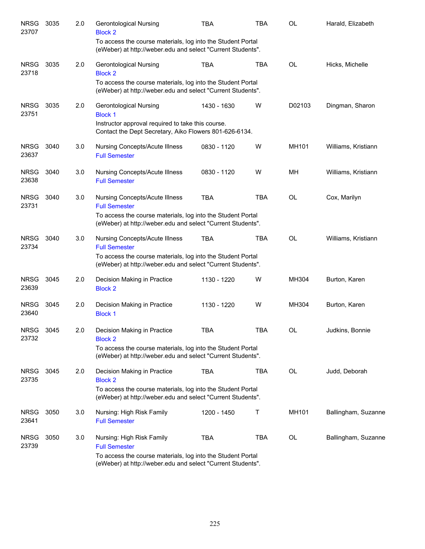| <b>NRSG</b><br>23707 | 3035 | 2.0 | <b>Gerontological Nursing</b><br><b>Block 2</b>                                                                            | <b>TBA</b>  | <b>TBA</b> | <b>OL</b> | Harald, Elizabeth   |
|----------------------|------|-----|----------------------------------------------------------------------------------------------------------------------------|-------------|------------|-----------|---------------------|
|                      |      |     | To access the course materials, log into the Student Portal<br>(eWeber) at http://weber.edu and select "Current Students". |             |            |           |                     |
| <b>NRSG</b><br>23718 | 3035 | 2.0 | Gerontological Nursing<br><b>Block 2</b>                                                                                   | <b>TBA</b>  | <b>TBA</b> | <b>OL</b> | Hicks, Michelle     |
|                      |      |     | To access the course materials, log into the Student Portal<br>(eWeber) at http://weber.edu and select "Current Students". |             |            |           |                     |
| <b>NRSG</b><br>23751 | 3035 | 2.0 | <b>Gerontological Nursing</b><br><b>Block 1</b>                                                                            | 1430 - 1630 | W          | D02103    | Dingman, Sharon     |
|                      |      |     | Instructor approval required to take this course.<br>Contact the Dept Secretary, Aiko Flowers 801-626-6134.                |             |            |           |                     |
| <b>NRSG</b><br>23637 | 3040 | 3.0 | Nursing Concepts/Acute Illness<br><b>Full Semester</b>                                                                     | 0830 - 1120 | W          | MH101     | Williams, Kristiann |
| <b>NRSG</b><br>23638 | 3040 | 3.0 | <b>Nursing Concepts/Acute Illness</b><br><b>Full Semester</b>                                                              | 0830 - 1120 | W          | MH        | Williams, Kristiann |
| <b>NRSG</b><br>23731 | 3040 | 3.0 | <b>Nursing Concepts/Acute Illness</b><br><b>Full Semester</b>                                                              | <b>TBA</b>  | <b>TBA</b> | <b>OL</b> | Cox, Marilyn        |
|                      |      |     | To access the course materials, log into the Student Portal<br>(eWeber) at http://weber.edu and select "Current Students". |             |            |           |                     |
| <b>NRSG</b><br>23734 | 3040 | 3.0 | <b>Nursing Concepts/Acute Illness</b><br><b>Full Semester</b>                                                              | <b>TBA</b>  | <b>TBA</b> | <b>OL</b> | Williams, Kristiann |
|                      |      |     | To access the course materials, log into the Student Portal<br>(eWeber) at http://weber.edu and select "Current Students". |             |            |           |                     |
| <b>NRSG</b><br>23639 | 3045 | 2.0 | Decision Making in Practice<br><b>Block 2</b>                                                                              | 1130 - 1220 | W          | MH304     | Burton, Karen       |
| <b>NRSG</b><br>23640 | 3045 | 2.0 | Decision Making in Practice<br><b>Block 1</b>                                                                              | 1130 - 1220 | W          | MH304     | Burton, Karen       |
| <b>NRSG</b><br>23732 | 3045 | 2.0 | Decision Making in Practice<br><b>Block 2</b>                                                                              | <b>TBA</b>  | <b>TBA</b> | OL        | Judkins, Bonnie     |
|                      |      |     | To access the course materials, log into the Student Portal<br>(eWeber) at http://weber.edu and select "Current Students". |             |            |           |                     |
| <b>NRSG</b><br>23735 | 3045 | 2.0 | Decision Making in Practice<br><b>Block 2</b>                                                                              | <b>TBA</b>  | TBA        | OL        | Judd, Deborah       |
|                      |      |     | To access the course materials, log into the Student Portal<br>(eWeber) at http://weber.edu and select "Current Students". |             |            |           |                     |
| <b>NRSG</b><br>23641 | 3050 | 3.0 | Nursing: High Risk Family<br><b>Full Semester</b>                                                                          | 1200 - 1450 | Τ          | MH101     | Ballingham, Suzanne |
| <b>NRSG</b><br>23739 | 3050 | 3.0 | Nursing: High Risk Family<br><b>Full Semester</b>                                                                          | <b>TBA</b>  | TBA        | OL        | Ballingham, Suzanne |
|                      |      |     | To access the course materials, log into the Student Portal<br>(eWeber) at http://weber.edu and select "Current Students". |             |            |           |                     |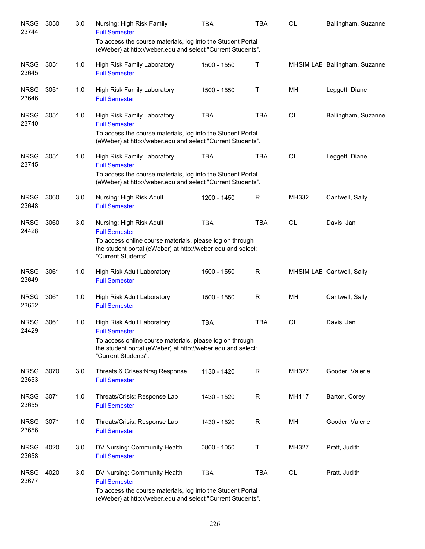| <b>NRSG</b><br>23744 | 3050 | 3.0 | Nursing: High Risk Family<br><b>Full Semester</b>                                                                                              | <b>TBA</b>  | TBA          | OL           | Ballingham, Suzanne           |
|----------------------|------|-----|------------------------------------------------------------------------------------------------------------------------------------------------|-------------|--------------|--------------|-------------------------------|
|                      |      |     | To access the course materials, log into the Student Portal<br>(eWeber) at http://weber.edu and select "Current Students".                     |             |              |              |                               |
| <b>NRSG</b><br>23645 | 3051 | 1.0 | High Risk Family Laboratory<br><b>Full Semester</b>                                                                                            | 1500 - 1550 | Τ            |              | MHSIM LAE Ballingham, Suzanne |
| <b>NRSG</b><br>23646 | 3051 | 1.0 | High Risk Family Laboratory<br><b>Full Semester</b>                                                                                            | 1500 - 1550 | Τ            | MH           | Leggett, Diane                |
| <b>NRSG</b><br>23740 | 3051 | 1.0 | <b>High Risk Family Laboratory</b><br><b>Full Semester</b><br>To access the course materials, log into the Student Portal                      | <b>TBA</b>  | <b>TBA</b>   | <b>OL</b>    | Ballingham, Suzanne           |
|                      |      |     | (eWeber) at http://weber.edu and select "Current Students".                                                                                    |             |              |              |                               |
| <b>NRSG</b><br>23745 | 3051 | 1.0 | High Risk Family Laboratory<br><b>Full Semester</b>                                                                                            | <b>TBA</b>  | <b>TBA</b>   | <b>OL</b>    | Leggett, Diane                |
|                      |      |     | To access the course materials, log into the Student Portal<br>(eWeber) at http://weber.edu and select "Current Students".                     |             |              |              |                               |
| <b>NRSG</b><br>23648 | 3060 | 3.0 | Nursing: High Risk Adult<br><b>Full Semester</b>                                                                                               | 1200 - 1450 | R            | MH332        | Cantwell, Sally               |
| <b>NRSG</b><br>24428 | 3060 | 3.0 | Nursing: High Risk Adult<br><b>Full Semester</b>                                                                                               | <b>TBA</b>  | <b>TBA</b>   | <b>OL</b>    | Davis, Jan                    |
|                      |      |     | To access online course materials, please log on through<br>the student portal (eWeber) at http://weber.edu and select:<br>"Current Students". |             |              |              |                               |
| <b>NRSG</b><br>23649 | 3061 | 1.0 | High Risk Adult Laboratory<br><b>Full Semester</b>                                                                                             | 1500 - 1550 | $\mathsf{R}$ |              | MHSIM LAE Cantwell, Sally     |
| <b>NRSG</b><br>23652 | 3061 | 1.0 | High Risk Adult Laboratory<br><b>Full Semester</b>                                                                                             | 1500 - 1550 | R            | MH           | Cantwell, Sally               |
| <b>NRSG</b><br>24429 | 3061 | 1.0 | High Risk Adult Laboratory<br><b>Full Semester</b>                                                                                             | <b>TBA</b>  | <b>TBA</b>   | <b>OL</b>    | Davis, Jan                    |
|                      |      |     | To access online course materials, please log on through<br>the student portal (eWeber) at http://weber.edu and select:<br>"Current Students". |             |              |              |                               |
| <b>NRSG</b><br>23653 | 3070 | 3.0 | Threats & Crises: Nrsg Response<br><b>Full Semester</b>                                                                                        | 1130 - 1420 | R            | MH327        | Gooder, Valerie               |
| <b>NRSG</b><br>23655 | 3071 | 1.0 | Threats/Crisis: Response Lab<br><b>Full Semester</b>                                                                                           | 1430 - 1520 | $\mathsf{R}$ | <b>MH117</b> | Barton, Corey                 |
| <b>NRSG</b><br>23656 | 3071 | 1.0 | Threats/Crisis: Response Lab<br><b>Full Semester</b>                                                                                           | 1430 - 1520 | R            | MН           | Gooder, Valerie               |
| <b>NRSG</b><br>23658 | 4020 | 3.0 | DV Nursing: Community Health<br><b>Full Semester</b>                                                                                           | 0800 - 1050 | Т            | MH327        | Pratt, Judith                 |
| <b>NRSG</b><br>23677 | 4020 | 3.0 | DV Nursing: Community Health<br><b>Full Semester</b>                                                                                           | <b>TBA</b>  | <b>TBA</b>   | OL           | Pratt, Judith                 |
|                      |      |     | To access the course materials, log into the Student Portal<br>(eWeber) at http://weber.edu and select "Current Students".                     |             |              |              |                               |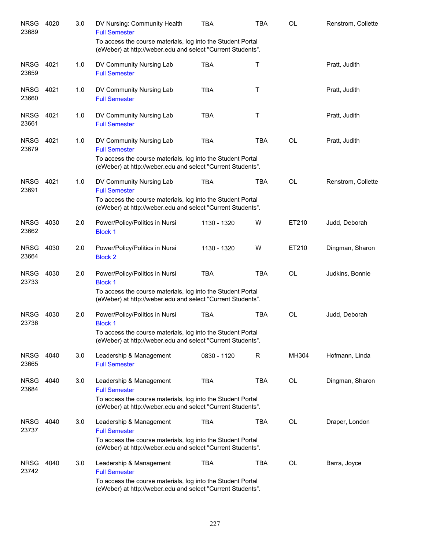| <b>NRSG</b><br>23689 | 4020 | 3.0 | DV Nursing: Community Health<br><b>Full Semester</b>                                                                                                                           | <b>TBA</b>  | <b>TBA</b> | <b>OL</b> | Renstrom, Collette |
|----------------------|------|-----|--------------------------------------------------------------------------------------------------------------------------------------------------------------------------------|-------------|------------|-----------|--------------------|
|                      |      |     | To access the course materials, log into the Student Portal<br>(eWeber) at http://weber.edu and select "Current Students".                                                     |             |            |           |                    |
| <b>NRSG</b><br>23659 | 4021 | 1.0 | DV Community Nursing Lab<br><b>Full Semester</b>                                                                                                                               | <b>TBA</b>  | Τ          |           | Pratt, Judith      |
| <b>NRSG</b><br>23660 | 4021 | 1.0 | DV Community Nursing Lab<br><b>Full Semester</b>                                                                                                                               | <b>TBA</b>  | Τ          |           | Pratt, Judith      |
| <b>NRSG</b><br>23661 | 4021 | 1.0 | DV Community Nursing Lab<br><b>Full Semester</b>                                                                                                                               | <b>TBA</b>  | Τ          |           | Pratt, Judith      |
| <b>NRSG</b><br>23679 | 4021 | 1.0 | DV Community Nursing Lab<br><b>Full Semester</b><br>To access the course materials, log into the Student Portal<br>(eWeber) at http://weber.edu and select "Current Students". | <b>TBA</b>  | <b>TBA</b> | <b>OL</b> | Pratt, Judith      |
| <b>NRSG</b><br>23691 | 4021 | 1.0 | DV Community Nursing Lab<br><b>Full Semester</b><br>To access the course materials, log into the Student Portal<br>(eWeber) at http://weber.edu and select "Current Students". | <b>TBA</b>  | <b>TBA</b> | <b>OL</b> | Renstrom, Collette |
| <b>NRSG</b><br>23662 | 4030 | 2.0 | Power/Policy/Politics in Nursi<br><b>Block 1</b>                                                                                                                               | 1130 - 1320 | W          | ET210     | Judd, Deborah      |
| <b>NRSG</b><br>23664 | 4030 | 2.0 | Power/Policy/Politics in Nursi<br><b>Block 2</b>                                                                                                                               | 1130 - 1320 | W          | ET210     | Dingman, Sharon    |
| <b>NRSG</b><br>23733 | 4030 | 2.0 | Power/Policy/Politics in Nursi<br><b>Block 1</b><br>To access the course materials, log into the Student Portal<br>(eWeber) at http://weber.edu and select "Current Students". | <b>TBA</b>  | <b>TBA</b> | <b>OL</b> | Judkins, Bonnie    |
| <b>NRSG</b><br>23736 | 4030 | 2.0 | Power/Policy/Politics in Nursi<br><b>Block 1</b><br>To access the course materials, log into the Student Portal<br>(eWeber) at http://weber.edu and select "Current Students". | <b>TBA</b>  | <b>TBA</b> | <b>OL</b> | Judd, Deborah      |
| <b>NRSG</b><br>23665 | 4040 | 3.0 | Leadership & Management<br><b>Full Semester</b>                                                                                                                                | 0830 - 1120 | R          | MH304     | Hofmann, Linda     |
| <b>NRSG</b><br>23684 | 4040 | 3.0 | Leadership & Management<br><b>Full Semester</b><br>To access the course materials, log into the Student Portal<br>(eWeber) at http://weber.edu and select "Current Students".  | <b>TBA</b>  | <b>TBA</b> | <b>OL</b> | Dingman, Sharon    |
| <b>NRSG</b><br>23737 | 4040 | 3.0 | Leadership & Management<br><b>Full Semester</b><br>To access the course materials, log into the Student Portal<br>(eWeber) at http://weber.edu and select "Current Students".  | <b>TBA</b>  | <b>TBA</b> | OL        | Draper, London     |
| <b>NRSG</b><br>23742 | 4040 | 3.0 | Leadership & Management<br><b>Full Semester</b><br>To access the course materials, log into the Student Portal<br>(eWeber) at http://weber.edu and select "Current Students".  | <b>TBA</b>  | <b>TBA</b> | OL        | Barra, Joyce       |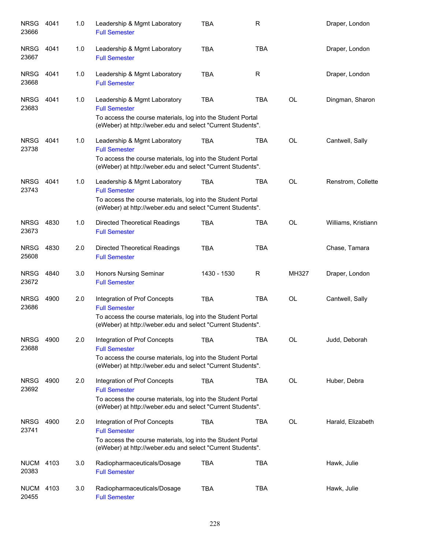| <b>NRSG</b><br>23666 | 4041 | 1.0 | Leadership & Mgmt Laboratory<br><b>Full Semester</b>                                                                                                                               | <b>TBA</b>  | R          |           | Draper, London      |
|----------------------|------|-----|------------------------------------------------------------------------------------------------------------------------------------------------------------------------------------|-------------|------------|-----------|---------------------|
| <b>NRSG</b><br>23667 | 4041 | 1.0 | Leadership & Mgmt Laboratory<br><b>Full Semester</b>                                                                                                                               | <b>TBA</b>  | <b>TBA</b> |           | Draper, London      |
| <b>NRSG</b><br>23668 | 4041 | 1.0 | Leadership & Mgmt Laboratory<br><b>Full Semester</b>                                                                                                                               | <b>TBA</b>  | R.         |           | Draper, London      |
| <b>NRSG</b><br>23683 | 4041 | 1.0 | Leadership & Mgmt Laboratory<br><b>Full Semester</b><br>To access the course materials, log into the Student Portal<br>(eWeber) at http://weber.edu and select "Current Students". | <b>TBA</b>  | <b>TBA</b> | <b>OL</b> | Dingman, Sharon     |
| <b>NRSG</b><br>23738 | 4041 | 1.0 | Leadership & Mgmt Laboratory<br><b>Full Semester</b><br>To access the course materials, log into the Student Portal<br>(eWeber) at http://weber.edu and select "Current Students". | <b>TBA</b>  | <b>TBA</b> | <b>OL</b> | Cantwell, Sally     |
| <b>NRSG</b><br>23743 | 4041 | 1.0 | Leadership & Mgmt Laboratory<br><b>Full Semester</b><br>To access the course materials, log into the Student Portal<br>(eWeber) at http://weber.edu and select "Current Students". | <b>TBA</b>  | <b>TBA</b> | <b>OL</b> | Renstrom, Collette  |
| <b>NRSG</b><br>23673 | 4830 | 1.0 | <b>Directed Theoretical Readings</b><br><b>Full Semester</b>                                                                                                                       | <b>TBA</b>  | <b>TBA</b> | <b>OL</b> | Williams, Kristiann |
| <b>NRSG</b><br>25608 | 4830 | 2.0 | <b>Directed Theoretical Readings</b><br><b>Full Semester</b>                                                                                                                       | <b>TBA</b>  | <b>TBA</b> |           | Chase, Tamara       |
| <b>NRSG</b><br>23672 | 4840 | 3.0 | Honors Nursing Seminar<br><b>Full Semester</b>                                                                                                                                     | 1430 - 1530 | R          | MH327     | Draper, London      |
| <b>NRSG</b><br>23686 | 4900 | 2.0 | Integration of Prof Concepts<br><b>Full Semester</b><br>To access the course materials, log into the Student Portal<br>(eWeber) at http://weber.edu and select "Current Students". | <b>TBA</b>  | <b>TBA</b> | <b>OL</b> | Cantwell, Sally     |
| <b>NRSG</b><br>23688 | 4900 | 2.0 | Integration of Prof Concepts<br><b>Full Semester</b><br>To access the course materials, log into the Student Portal<br>(eWeber) at http://weber.edu and select "Current Students". | <b>TBA</b>  | <b>TBA</b> | <b>OL</b> | Judd, Deborah       |
| <b>NRSG</b><br>23692 | 4900 | 2.0 | Integration of Prof Concepts<br><b>Full Semester</b><br>To access the course materials, log into the Student Portal<br>(eWeber) at http://weber.edu and select "Current Students". | <b>TBA</b>  | <b>TBA</b> | <b>OL</b> | Huber, Debra        |
| <b>NRSG</b><br>23741 | 4900 | 2.0 | Integration of Prof Concepts<br><b>Full Semester</b><br>To access the course materials, log into the Student Portal<br>(eWeber) at http://weber.edu and select "Current Students". | TBA         | <b>TBA</b> | <b>OL</b> | Harald, Elizabeth   |
| <b>NUCM</b><br>20383 | 4103 | 3.0 | Radiopharmaceuticals/Dosage<br><b>Full Semester</b>                                                                                                                                | <b>TBA</b>  | <b>TBA</b> |           | Hawk, Julie         |
| <b>NUCM</b><br>20455 | 4103 | 3.0 | Radiopharmaceuticals/Dosage<br><b>Full Semester</b>                                                                                                                                | <b>TBA</b>  | <b>TBA</b> |           | Hawk, Julie         |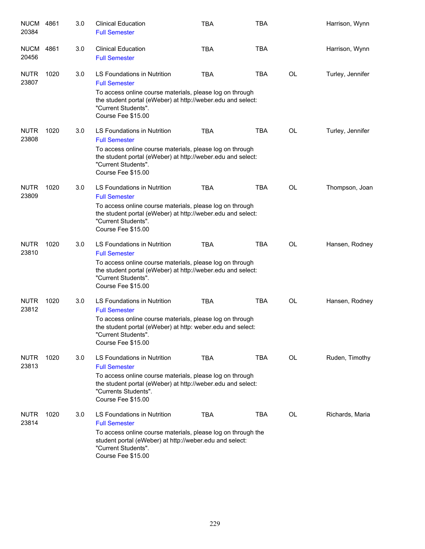| <b>NUCM</b><br>20384 | 4861 | 3.0 | <b>Clinical Education</b><br><b>Full Semester</b>                                                                                                                                                                            | <b>TBA</b> | <b>TBA</b> |           | Harrison, Wynn   |
|----------------------|------|-----|------------------------------------------------------------------------------------------------------------------------------------------------------------------------------------------------------------------------------|------------|------------|-----------|------------------|
| <b>NUCM</b><br>20456 | 4861 | 3.0 | <b>Clinical Education</b><br><b>Full Semester</b>                                                                                                                                                                            | <b>TBA</b> | <b>TBA</b> |           | Harrison, Wynn   |
| <b>NUTR</b><br>23807 | 1020 | 3.0 | LS Foundations in Nutrition<br><b>Full Semester</b><br>To access online course materials, please log on through<br>the student portal (eWeber) at http://weber.edu and select:<br>"Current Students".<br>Course Fee \$15.00  | <b>TBA</b> | <b>TBA</b> | OL        | Turley, Jennifer |
| <b>NUTR</b><br>23808 | 1020 | 3.0 | LS Foundations in Nutrition<br><b>Full Semester</b><br>To access online course materials, please log on through<br>the student portal (eWeber) at http://weber.edu and select:<br>"Current Students".<br>Course Fee \$15.00  | <b>TBA</b> | TBA        | <b>OL</b> | Turley, Jennifer |
| <b>NUTR</b><br>23809 | 1020 | 3.0 | LS Foundations in Nutrition<br><b>Full Semester</b><br>To access online course materials, please log on through<br>the student portal (eWeber) at http://weber.edu and select:<br>"Current Students".<br>Course Fee \$15.00  | <b>TBA</b> | <b>TBA</b> | <b>OL</b> | Thompson, Joan   |
| <b>NUTR</b><br>23810 | 1020 | 3.0 | LS Foundations in Nutrition<br><b>Full Semester</b><br>To access online course materials, please log on through<br>the student portal (eWeber) at http://weber.edu and select:<br>"Current Students".<br>Course Fee \$15.00  | <b>TBA</b> | <b>TBA</b> | <b>OL</b> | Hansen, Rodney   |
| <b>NUTR</b><br>23812 | 1020 | 3.0 | LS Foundations in Nutrition<br><b>Full Semester</b><br>To access online course materials, please log on through<br>the student portal (eWeber) at http: weber.edu and select:<br>"Current Students".<br>Course Fee \$15.00   | <b>TBA</b> | <b>TBA</b> | <b>OL</b> | Hansen, Rodney   |
| <b>NUTR</b><br>23813 | 1020 | 3.0 | LS Foundations in Nutrition<br><b>Full Semester</b><br>To access online course materials, please log on through<br>the student portal (eWeber) at http://weber.edu and select:<br>"Currents Students".<br>Course Fee \$15.00 | <b>TBA</b> | TBA        | OL        | Ruden, Timothy   |
| <b>NUTR</b><br>23814 | 1020 | 3.0 | LS Foundations in Nutrition<br><b>Full Semester</b><br>To access online course materials, please log on through the<br>student portal (eWeber) at http://weber.edu and select:<br>"Current Students".<br>Course Fee \$15.00  | <b>TBA</b> | <b>TBA</b> | OL        | Richards, Maria  |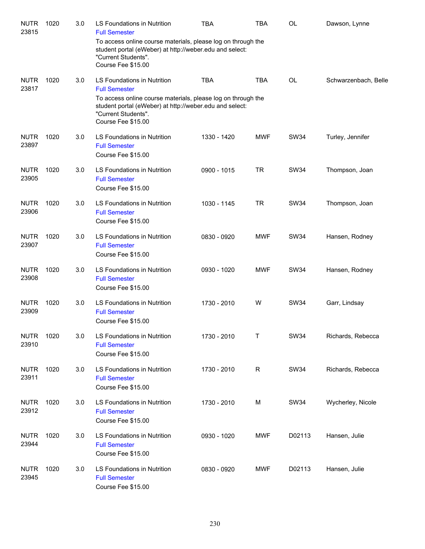| <b>NUTR</b><br>23815 | 1020 | 3.0 | LS Foundations in Nutrition<br><b>Full Semester</b>                                                                                                                  | <b>TBA</b>  | TBA         | OL          | Dawson, Lynne        |
|----------------------|------|-----|----------------------------------------------------------------------------------------------------------------------------------------------------------------------|-------------|-------------|-------------|----------------------|
|                      |      |     | To access online course materials, please log on through the<br>student portal (eWeber) at http://weber.edu and select:<br>"Current Students".<br>Course Fee \$15.00 |             |             |             |                      |
| <b>NUTR</b><br>23817 | 1020 | 3.0 | LS Foundations in Nutrition<br><b>Full Semester</b>                                                                                                                  | <b>TBA</b>  | <b>TBA</b>  | <b>OL</b>   | Schwarzenbach, Belle |
|                      |      |     | To access online course materials, please log on through the<br>student portal (eWeber) at http://weber.edu and select:<br>"Current Students".<br>Course Fee \$15.00 |             |             |             |                      |
| <b>NUTR</b><br>23897 | 1020 | 3.0 | LS Foundations in Nutrition<br><b>Full Semester</b><br>Course Fee \$15.00                                                                                            | 1330 - 1420 | <b>MWF</b>  | <b>SW34</b> | Turley, Jennifer     |
| <b>NUTR</b><br>23905 | 1020 | 3.0 | LS Foundations in Nutrition<br><b>Full Semester</b><br>Course Fee \$15.00                                                                                            | 0900 - 1015 | <b>TR</b>   | <b>SW34</b> | Thompson, Joan       |
| <b>NUTR</b><br>23906 | 1020 | 3.0 | LS Foundations in Nutrition<br><b>Full Semester</b><br>Course Fee \$15.00                                                                                            | 1030 - 1145 | <b>TR</b>   | <b>SW34</b> | Thompson, Joan       |
| <b>NUTR</b><br>23907 | 1020 | 3.0 | LS Foundations in Nutrition<br><b>Full Semester</b><br>Course Fee \$15.00                                                                                            | 0830 - 0920 | <b>MWF</b>  | <b>SW34</b> | Hansen, Rodney       |
| <b>NUTR</b><br>23908 | 1020 | 3.0 | LS Foundations in Nutrition<br><b>Full Semester</b><br>Course Fee \$15.00                                                                                            | 0930 - 1020 | <b>MWF</b>  | <b>SW34</b> | Hansen, Rodney       |
| <b>NUTR</b><br>23909 | 1020 | 3.0 | LS Foundations in Nutrition<br><b>Full Semester</b><br>Course Fee \$15.00                                                                                            | 1730 - 2010 | W           | <b>SW34</b> | Garr, Lindsay        |
| <b>NUTR</b><br>23910 | 1020 | 3.0 | LS Foundations in Nutrition<br><b>Full Semester</b><br>Course Fee \$15.00                                                                                            | 1730 - 2010 | Т           | <b>SW34</b> | Richards, Rebecca    |
| <b>NUTR</b><br>23911 | 1020 | 3.0 | LS Foundations in Nutrition<br><b>Full Semester</b><br>Course Fee \$15.00                                                                                            | 1730 - 2010 | $\mathsf R$ | <b>SW34</b> | Richards, Rebecca    |
| <b>NUTR</b><br>23912 | 1020 | 3.0 | LS Foundations in Nutrition<br><b>Full Semester</b><br>Course Fee \$15.00                                                                                            | 1730 - 2010 | M           | <b>SW34</b> | Wycherley, Nicole    |
| <b>NUTR</b><br>23944 | 1020 | 3.0 | LS Foundations in Nutrition<br><b>Full Semester</b><br>Course Fee \$15.00                                                                                            | 0930 - 1020 | <b>MWF</b>  | D02113      | Hansen, Julie        |
| <b>NUTR</b><br>23945 | 1020 | 3.0 | LS Foundations in Nutrition<br><b>Full Semester</b><br>Course Fee \$15.00                                                                                            | 0830 - 0920 | <b>MWF</b>  | D02113      | Hansen, Julie        |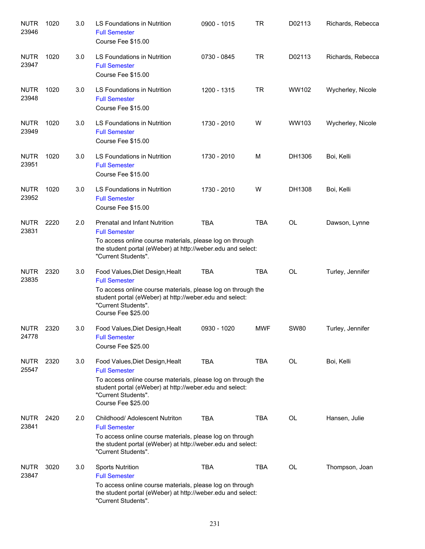| <b>NUTR</b><br>23946 | 1020 | 3.0 | LS Foundations in Nutrition<br><b>Full Semester</b><br>Course Fee \$15.00                                                                                                                                                       | 0900 - 1015 | TR         | D02113      | Richards, Rebecca |
|----------------------|------|-----|---------------------------------------------------------------------------------------------------------------------------------------------------------------------------------------------------------------------------------|-------------|------------|-------------|-------------------|
| <b>NUTR</b><br>23947 | 1020 | 3.0 | LS Foundations in Nutrition<br><b>Full Semester</b><br>Course Fee \$15.00                                                                                                                                                       | 0730 - 0845 | <b>TR</b>  | D02113      | Richards, Rebecca |
| <b>NUTR</b><br>23948 | 1020 | 3.0 | <b>LS Foundations in Nutrition</b><br><b>Full Semester</b><br>Course Fee \$15.00                                                                                                                                                | 1200 - 1315 | <b>TR</b>  | WW102       | Wycherley, Nicole |
| <b>NUTR</b><br>23949 | 1020 | 3.0 | LS Foundations in Nutrition<br><b>Full Semester</b><br>Course Fee \$15.00                                                                                                                                                       | 1730 - 2010 | W          | WW103       | Wycherley, Nicole |
| <b>NUTR</b><br>23951 | 1020 | 3.0 | LS Foundations in Nutrition<br><b>Full Semester</b><br>Course Fee \$15.00                                                                                                                                                       | 1730 - 2010 | M          | DH1306      | Boi, Kelli        |
| <b>NUTR</b><br>23952 | 1020 | 3.0 | LS Foundations in Nutrition<br><b>Full Semester</b><br>Course Fee \$15.00                                                                                                                                                       | 1730 - 2010 | W          | DH1308      | Boi, Kelli        |
| <b>NUTR</b><br>23831 | 2220 | 2.0 | <b>Prenatal and Infant Nutrition</b><br><b>Full Semester</b><br>To access online course materials, please log on through<br>the student portal (eWeber) at http://weber.edu and select:<br>"Current Students".                  | <b>TBA</b>  | <b>TBA</b> | <b>OL</b>   | Dawson, Lynne     |
| <b>NUTR</b><br>23835 | 2320 | 3.0 | Food Values, Diet Design, Healt<br><b>Full Semester</b><br>To access online course materials, please log on through the<br>student portal (eWeber) at http://weber.edu and select:<br>"Current Students".<br>Course Fee \$25.00 | <b>TBA</b>  | <b>TBA</b> | <b>OL</b>   | Turley, Jennifer  |
| <b>NUTR</b><br>24778 | 2320 | 3.0 | Food Values, Diet Design, Healt<br><b>Full Semester</b><br>Course Fee \$25.00                                                                                                                                                   | 0930 - 1020 | <b>MWF</b> | <b>SW80</b> | Turley, Jennifer  |
| <b>NUTR</b><br>25547 | 2320 | 3.0 | Food Values, Diet Design, Healt<br><b>Full Semester</b><br>To access online course materials, please log on through the<br>student portal (eWeber) at http://weber.edu and select:<br>"Current Students".<br>Course Fee \$25.00 | <b>TBA</b>  | <b>TBA</b> | OL          | Boi, Kelli        |
| <b>NUTR</b><br>23841 | 2420 | 2.0 | Childhood/ Adolescent Nutriton<br><b>Full Semester</b><br>To access online course materials, please log on through<br>the student portal (eWeber) at http://weber.edu and select:<br>"Current Students".                        | <b>TBA</b>  | <b>TBA</b> | <b>OL</b>   | Hansen, Julie     |
| <b>NUTR</b><br>23847 | 3020 | 3.0 | <b>Sports Nutrition</b><br><b>Full Semester</b><br>To access online course materials, please log on through<br>the student portal (eWeber) at http://weber.edu and select:<br>"Current Students".                               | <b>TBA</b>  | <b>TBA</b> | OL          | Thompson, Joan    |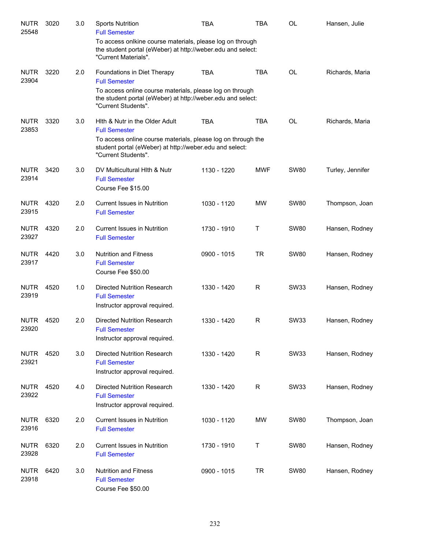| <b>NUTR</b><br>25548 | 3020 | 3.0 | <b>Sports Nutrition</b><br><b>Full Semester</b>                                                                                                  | <b>TBA</b>  | TBA        | <b>OL</b>   | Hansen, Julie    |
|----------------------|------|-----|--------------------------------------------------------------------------------------------------------------------------------------------------|-------------|------------|-------------|------------------|
|                      |      |     | To access onlkine course materials, please log on through<br>the student portal (eWeber) at http://weber.edu and select:<br>"Current Materials". |             |            |             |                  |
| <b>NUTR</b><br>23904 | 3220 | 2.0 | Foundations in Diet Therapy<br><b>Full Semester</b>                                                                                              | <b>TBA</b>  | <b>TBA</b> | <b>OL</b>   | Richards, Maria  |
|                      |      |     | To access online course materials, please log on through<br>the student portal (eWeber) at http://weber.edu and select:<br>"Current Students".   |             |            |             |                  |
| <b>NUTR</b><br>23853 | 3320 | 3.0 | Hith & Nutr in the Older Adult<br><b>Full Semester</b>                                                                                           | <b>TBA</b>  | <b>TBA</b> | <b>OL</b>   | Richards, Maria  |
|                      |      |     | To access online course materials, please log on through the<br>student portal (eWeber) at http://weber.edu and select:<br>"Current Students".   |             |            |             |                  |
| <b>NUTR</b><br>23914 | 3420 | 3.0 | DV Multicultural Hith & Nutr<br><b>Full Semester</b><br>Course Fee \$15.00                                                                       | 1130 - 1220 | <b>MWF</b> | <b>SW80</b> | Turley, Jennifer |
| <b>NUTR</b><br>23915 | 4320 | 2.0 | <b>Current Issues in Nutrition</b><br><b>Full Semester</b>                                                                                       | 1030 - 1120 | <b>MW</b>  | <b>SW80</b> | Thompson, Joan   |
| <b>NUTR</b><br>23927 | 4320 | 2.0 | <b>Current Issues in Nutrition</b><br><b>Full Semester</b>                                                                                       | 1730 - 1910 | Τ          | <b>SW80</b> | Hansen, Rodney   |
| <b>NUTR</b><br>23917 | 4420 | 3.0 | <b>Nutrition and Fitness</b><br><b>Full Semester</b><br>Course Fee \$50.00                                                                       | 0900 - 1015 | <b>TR</b>  | <b>SW80</b> | Hansen, Rodney   |
| <b>NUTR</b><br>23919 | 4520 | 1.0 | Directed Nutrition Research<br><b>Full Semester</b><br>Instructor approval required.                                                             | 1330 - 1420 | R          | <b>SW33</b> | Hansen, Rodney   |
| <b>NUTR</b><br>23920 | 4520 | 2.0 | <b>Directed Nutrition Research</b><br><b>Full Semester</b><br>Instructor approval required.                                                      | 1330 - 1420 | R          | <b>SW33</b> | Hansen, Rodney   |
| <b>NUTR</b><br>23921 | 4520 | 3.0 | Directed Nutrition Research<br><b>Full Semester</b><br>Instructor approval required.                                                             | 1330 - 1420 | R          | SW33        | Hansen, Rodney   |
| <b>NUTR</b><br>23922 | 4520 | 4.0 | <b>Directed Nutrition Research</b><br><b>Full Semester</b><br>Instructor approval required.                                                      | 1330 - 1420 | R          | SW33        | Hansen, Rodney   |
| <b>NUTR</b><br>23916 | 6320 | 2.0 | <b>Current Issues in Nutrition</b><br><b>Full Semester</b>                                                                                       | 1030 - 1120 | МW         | <b>SW80</b> | Thompson, Joan   |
| <b>NUTR</b><br>23928 | 6320 | 2.0 | <b>Current Issues in Nutrition</b><br><b>Full Semester</b>                                                                                       | 1730 - 1910 | Т          | <b>SW80</b> | Hansen, Rodney   |
| <b>NUTR</b><br>23918 | 6420 | 3.0 | <b>Nutrition and Fitness</b><br><b>Full Semester</b><br>Course Fee \$50.00                                                                       | 0900 - 1015 | <b>TR</b>  | <b>SW80</b> | Hansen, Rodney   |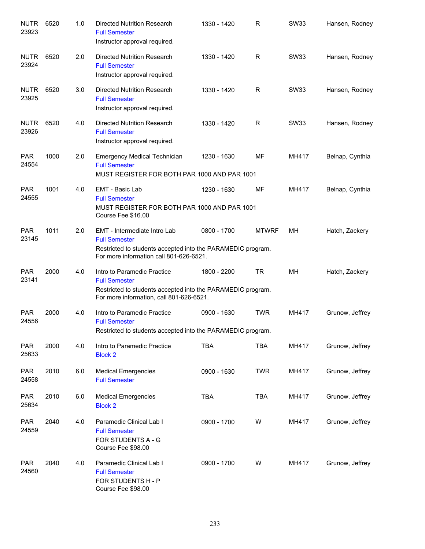| <b>NUTR</b><br>23923 | 6520 | 1.0 | <b>Directed Nutrition Research</b><br><b>Full Semester</b><br>Instructor approval required.                                                                    | 1330 - 1420 | R            | <b>SW33</b> | Hansen, Rodney  |
|----------------------|------|-----|----------------------------------------------------------------------------------------------------------------------------------------------------------------|-------------|--------------|-------------|-----------------|
| <b>NUTR</b><br>23924 | 6520 | 2.0 | <b>Directed Nutrition Research</b><br><b>Full Semester</b><br>Instructor approval required.                                                                    | 1330 - 1420 | R            | <b>SW33</b> | Hansen, Rodney  |
| <b>NUTR</b><br>23925 | 6520 | 3.0 | Directed Nutrition Research<br><b>Full Semester</b><br>Instructor approval required.                                                                           | 1330 - 1420 | R            | <b>SW33</b> | Hansen, Rodney  |
| <b>NUTR</b><br>23926 | 6520 | 4.0 | Directed Nutrition Research<br><b>Full Semester</b><br>Instructor approval required.                                                                           | 1330 - 1420 | R            | <b>SW33</b> | Hansen, Rodney  |
| <b>PAR</b><br>24554  | 1000 | 2.0 | <b>Emergency Medical Technician</b><br><b>Full Semester</b><br>MUST REGISTER FOR BOTH PAR 1000 AND PAR 1001                                                    | 1230 - 1630 | MF           | MH417       | Belnap, Cynthia |
| <b>PAR</b><br>24555  | 1001 | 4.0 | <b>EMT - Basic Lab</b><br><b>Full Semester</b><br>MUST REGISTER FOR BOTH PAR 1000 AND PAR 1001<br>Course Fee \$16.00                                           | 1230 - 1630 | МF           | MH417       | Belnap, Cynthia |
| <b>PAR</b><br>23145  | 1011 | 2.0 | EMT - Intermediate Intro Lab<br><b>Full Semester</b><br>Restricted to students accepted into the PARAMEDIC program.<br>For more information call 801-626-6521. | 0800 - 1700 | <b>MTWRF</b> | <b>MH</b>   | Hatch, Zackery  |
| <b>PAR</b><br>23141  | 2000 | 4.0 | Intro to Paramedic Practice<br><b>Full Semester</b><br>Restricted to students accepted into the PARAMEDIC program.<br>For more information, call 801-626-6521. | 1800 - 2200 | <b>TR</b>    | MH          | Hatch, Zackery  |
| <b>PAR</b><br>24556  | 2000 | 4.0 | Intro to Paramedic Practice<br><b>Full Semester</b><br>Restricted to students accepted into the PARAMEDIC program.                                             | 0900 - 1630 | <b>TWR</b>   | MH417       | Grunow, Jeffrey |
| <b>PAR</b><br>25633  | 2000 | 4.0 | Intro to Paramedic Practice<br><b>Block 2</b>                                                                                                                  | <b>TBA</b>  | TBA          | MH417       | Grunow, Jeffrey |
| <b>PAR</b><br>24558  | 2010 | 6.0 | <b>Medical Emergencies</b><br><b>Full Semester</b>                                                                                                             | 0900 - 1630 | <b>TWR</b>   | MH417       | Grunow, Jeffrey |
| <b>PAR</b><br>25634  | 2010 | 6.0 | <b>Medical Emergencies</b><br><b>Block 2</b>                                                                                                                   | <b>TBA</b>  | <b>TBA</b>   | MH417       | Grunow, Jeffrey |
| <b>PAR</b><br>24559  | 2040 | 4.0 | Paramedic Clinical Lab I<br><b>Full Semester</b><br><b>FOR STUDENTS A - G</b><br>Course Fee \$98.00                                                            | 0900 - 1700 | W            | MH417       | Grunow, Jeffrey |
| <b>PAR</b><br>24560  | 2040 | 4.0 | Paramedic Clinical Lab I<br><b>Full Semester</b><br>FOR STUDENTS H - P<br>Course Fee \$98.00                                                                   | 0900 - 1700 | W            | MH417       | Grunow, Jeffrey |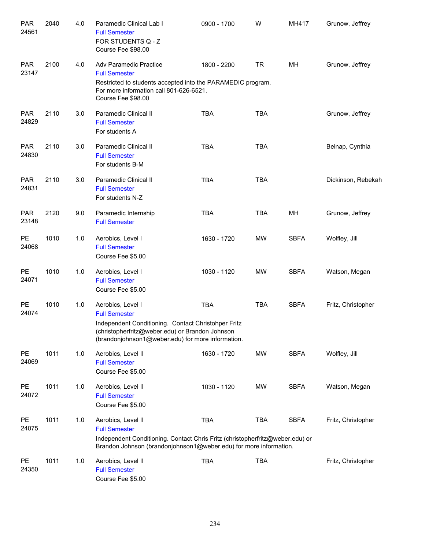| <b>PAR</b><br>24561 | 2040 | 4.0 | Paramedic Clinical Lab I<br><b>Full Semester</b><br>FOR STUDENTS Q - Z<br>Course Fee \$98.00                                                                                                             | 0900 - 1700 | W          | MH417       | Grunow, Jeffrey    |
|---------------------|------|-----|----------------------------------------------------------------------------------------------------------------------------------------------------------------------------------------------------------|-------------|------------|-------------|--------------------|
| <b>PAR</b><br>23147 | 2100 | 4.0 | Adv Paramedic Practice<br><b>Full Semester</b><br>Restricted to students accepted into the PARAMEDIC program.<br>For more information call 801-626-6521.<br>Course Fee \$98.00                           | 1800 - 2200 | <b>TR</b>  | MH          | Grunow, Jeffrey    |
| <b>PAR</b><br>24829 | 2110 | 3.0 | Paramedic Clinical II<br><b>Full Semester</b><br>For students A                                                                                                                                          | <b>TBA</b>  | <b>TBA</b> |             | Grunow, Jeffrey    |
| <b>PAR</b><br>24830 | 2110 | 3.0 | Paramedic Clinical II<br><b>Full Semester</b><br>For students B-M                                                                                                                                        | <b>TBA</b>  | <b>TBA</b> |             | Belnap, Cynthia    |
| <b>PAR</b><br>24831 | 2110 | 3.0 | Paramedic Clinical II<br><b>Full Semester</b><br>For students N-Z                                                                                                                                        | <b>TBA</b>  | <b>TBA</b> |             | Dickinson, Rebekah |
| <b>PAR</b><br>23148 | 2120 | 9.0 | Paramedic Internship<br><b>Full Semester</b>                                                                                                                                                             | <b>TBA</b>  | <b>TBA</b> | MH          | Grunow, Jeffrey    |
| <b>PE</b><br>24068  | 1010 | 1.0 | Aerobics, Level I<br><b>Full Semester</b><br>Course Fee \$5.00                                                                                                                                           | 1630 - 1720 | <b>MW</b>  | <b>SBFA</b> | Wolfley, Jill      |
| <b>PE</b><br>24071  | 1010 | 1.0 | Aerobics, Level I<br><b>Full Semester</b><br>Course Fee \$5.00                                                                                                                                           | 1030 - 1120 | <b>MW</b>  | <b>SBFA</b> | Watson, Megan      |
| <b>PE</b><br>24074  | 1010 | 1.0 | Aerobics, Level I<br><b>Full Semester</b><br>Independent Conditioning. Contact Christohper Fritz<br>(christopherfritz@weber.edu) or Brandon Johnson<br>(brandonjohnson1@weber.edu) for more information. | <b>TBA</b>  | <b>TBA</b> | <b>SBFA</b> | Fritz, Christopher |
| PE<br>24069         | 1011 | 1.0 | Aerobics, Level II<br><b>Full Semester</b><br>Course Fee \$5.00                                                                                                                                          | 1630 - 1720 | <b>MW</b>  | <b>SBFA</b> | Wolfley, Jill      |
| PE<br>24072         | 1011 | 1.0 | Aerobics, Level II<br><b>Full Semester</b><br>Course Fee \$5.00                                                                                                                                          | 1030 - 1120 | <b>MW</b>  | <b>SBFA</b> | Watson, Megan      |
| PE<br>24075         | 1011 | 1.0 | Aerobics, Level II<br><b>Full Semester</b><br>Independent Conditioning. Contact Chris Fritz (christopherfritz@weber.edu) or<br>Brandon Johnson (brandonjohnson1@weber.edu) for more information.         | <b>TBA</b>  | <b>TBA</b> | <b>SBFA</b> | Fritz, Christopher |
| PE<br>24350         | 1011 | 1.0 | Aerobics, Level II<br><b>Full Semester</b><br>Course Fee \$5.00                                                                                                                                          | <b>TBA</b>  | <b>TBA</b> |             | Fritz, Christopher |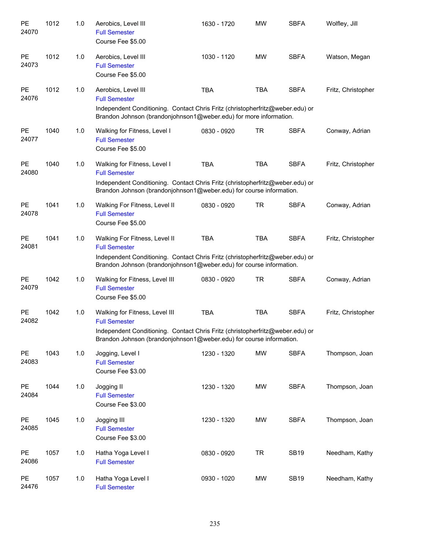| PE<br>24070        | 1012 | 1.0 | Aerobics, Level III<br><b>Full Semester</b><br>Course Fee \$5.00                                                                                                                                               | 1630 - 1720 | <b>MW</b>  | <b>SBFA</b> | Wolfley, Jill      |
|--------------------|------|-----|----------------------------------------------------------------------------------------------------------------------------------------------------------------------------------------------------------------|-------------|------------|-------------|--------------------|
| <b>PE</b><br>24073 | 1012 | 1.0 | Aerobics, Level III<br><b>Full Semester</b><br>Course Fee \$5.00                                                                                                                                               | 1030 - 1120 | <b>MW</b>  | <b>SBFA</b> | Watson, Megan      |
| <b>PE</b><br>24076 | 1012 | 1.0 | Aerobics, Level III<br><b>Full Semester</b><br>Independent Conditioning. Contact Chris Fritz (christopherfritz@weber.edu) or<br>Brandon Johnson (brandonjohnson1@weber.edu) for more information.              | <b>TBA</b>  | <b>TBA</b> | <b>SBFA</b> | Fritz, Christopher |
| <b>PE</b><br>24077 | 1040 | 1.0 | Walking for Fitness, Level I<br><b>Full Semester</b><br>Course Fee \$5.00                                                                                                                                      | 0830 - 0920 | <b>TR</b>  | <b>SBFA</b> | Conway, Adrian     |
| <b>PE</b><br>24080 | 1040 | 1.0 | Walking for Fitness, Level I<br><b>Full Semester</b><br>Independent Conditioning. Contact Chris Fritz (christopherfritz@weber.edu) or<br>Brandon Johnson (brandonjohnson1@weber.edu) for course information.   | <b>TBA</b>  | <b>TBA</b> | <b>SBFA</b> | Fritz, Christopher |
| <b>PE</b><br>24078 | 1041 | 1.0 | Walking For Fitness, Level II<br><b>Full Semester</b><br>Course Fee \$5.00                                                                                                                                     | 0830 - 0920 | <b>TR</b>  | <b>SBFA</b> | Conway, Adrian     |
| <b>PE</b><br>24081 | 1041 | 1.0 | Walking For Fitness, Level II<br><b>Full Semester</b><br>Independent Conditioning. Contact Chris Fritz (christopherfritz@weber.edu) or<br>Brandon Johnson (brandonjohnson1@weber.edu) for course information.  | <b>TBA</b>  | <b>TBA</b> | <b>SBFA</b> | Fritz, Christopher |
| <b>PE</b><br>24079 | 1042 | 1.0 | Walking for Fitness, Level III<br><b>Full Semester</b><br>Course Fee \$5.00                                                                                                                                    | 0830 - 0920 | <b>TR</b>  | <b>SBFA</b> | Conway, Adrian     |
| <b>PE</b><br>24082 | 1042 | 1.0 | Walking for Fitness, Level III<br><b>Full Semester</b><br>Independent Conditioning. Contact Chris Fritz (christopherfritz@weber.edu) or<br>Brandon Johnson (brandonjohnson1@weber.edu) for course information. | <b>TBA</b>  | <b>TBA</b> | <b>SBFA</b> | Fritz, Christopher |
| <b>PE</b><br>24083 | 1043 | 1.0 | Jogging, Level I<br><b>Full Semester</b><br>Course Fee \$3.00                                                                                                                                                  | 1230 - 1320 | <b>MW</b>  | <b>SBFA</b> | Thompson, Joan     |
| <b>PE</b><br>24084 | 1044 | 1.0 | Jogging II<br><b>Full Semester</b><br>Course Fee \$3.00                                                                                                                                                        | 1230 - 1320 | MW         | <b>SBFA</b> | Thompson, Joan     |
| <b>PE</b><br>24085 | 1045 | 1.0 | Jogging III<br><b>Full Semester</b><br>Course Fee \$3.00                                                                                                                                                       | 1230 - 1320 | MW         | <b>SBFA</b> | Thompson, Joan     |
| <b>PE</b><br>24086 | 1057 | 1.0 | Hatha Yoga Level I<br><b>Full Semester</b>                                                                                                                                                                     | 0830 - 0920 | <b>TR</b>  | <b>SB19</b> | Needham, Kathy     |
| <b>PE</b><br>24476 | 1057 | 1.0 | Hatha Yoga Level I<br><b>Full Semester</b>                                                                                                                                                                     | 0930 - 1020 | МW         | <b>SB19</b> | Needham, Kathy     |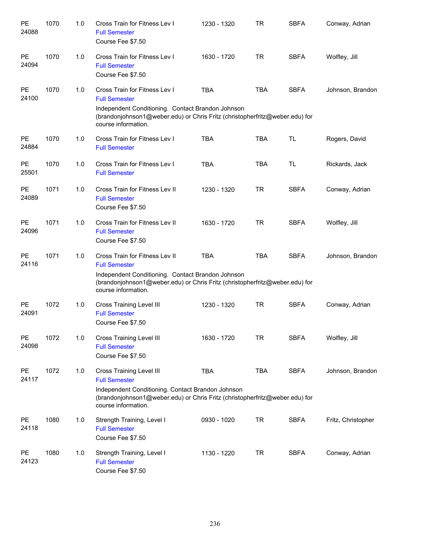| PE<br>24088        | 1070 | 1.0 | Cross Train for Fitness Lev I<br><b>Full Semester</b><br>Course Fee \$7.50                                                                                                                                         | 1230 - 1320 | TR         | <b>SBFA</b> | Conway, Adrian     |
|--------------------|------|-----|--------------------------------------------------------------------------------------------------------------------------------------------------------------------------------------------------------------------|-------------|------------|-------------|--------------------|
| PE<br>24094        | 1070 | 1.0 | Cross Train for Fitness Lev I<br><b>Full Semester</b><br>Course Fee \$7.50                                                                                                                                         | 1630 - 1720 | <b>TR</b>  | <b>SBFA</b> | Wolfley, Jill      |
| PE<br>24100        | 1070 | 1.0 | Cross Train for Fitness Lev I<br><b>Full Semester</b><br>Independent Conditioning. Contact Brandon Johnson<br>(brandonjohnson1@weber.edu) or Chris Fritz (christopherfritz@weber.edu) for<br>course information.   | <b>TBA</b>  | <b>TBA</b> | <b>SBFA</b> | Johnson, Brandon   |
| <b>PE</b><br>24884 | 1070 | 1.0 | Cross Train for Fitness Lev I<br><b>Full Semester</b>                                                                                                                                                              | <b>TBA</b>  | <b>TBA</b> | <b>TL</b>   | Rogers, David      |
| PE<br>25501        | 1070 | 1.0 | Cross Train for Fitness Lev I<br><b>Full Semester</b>                                                                                                                                                              | <b>TBA</b>  | <b>TBA</b> | <b>TL</b>   | Rickards, Jack     |
| PE<br>24089        | 1071 | 1.0 | Cross Train for Fitness Lev II<br><b>Full Semester</b><br>Course Fee \$7.50                                                                                                                                        | 1230 - 1320 | <b>TR</b>  | <b>SBFA</b> | Conway, Adrian     |
| PE<br>24096        | 1071 | 1.0 | Cross Train for Fitness Lev II<br><b>Full Semester</b><br>Course Fee \$7.50                                                                                                                                        | 1630 - 1720 | <b>TR</b>  | <b>SBFA</b> | Wolfley, Jill      |
| PE<br>24116        | 1071 | 1.0 | Cross Train for Fitness Lev II<br><b>Full Semester</b><br>Independent Conditioning. Contact Brandon Johnson<br>(brandonjohnson1@weber.edu) or Chris Fritz (christopherfritz@weber.edu) for<br>course information.  | <b>TBA</b>  | <b>TBA</b> | <b>SBFA</b> | Johnson, Brandon   |
| <b>PE</b><br>24091 | 1072 | 1.0 | Cross Training Level III<br><b>Full Semester</b><br>Course Fee \$7.50                                                                                                                                              | 1230 - 1320 | <b>TR</b>  | <b>SBFA</b> | Conway, Adrian     |
| PE<br>24098        | 1072 | 1.0 | <b>Cross Training Level III</b><br><b>Full Semester</b><br>Course Fee \$7.50                                                                                                                                       | 1630 - 1720 | <b>TR</b>  | <b>SBFA</b> | Wolfley, Jill      |
| <b>PE</b><br>24117 | 1072 | 1.0 | <b>Cross Training Level III</b><br><b>Full Semester</b><br>Independent Conditioning. Contact Brandon Johnson<br>(brandonjohnson1@weber.edu) or Chris Fritz (christopherfritz@weber.edu) for<br>course information. | <b>TBA</b>  | <b>TBA</b> | <b>SBFA</b> | Johnson, Brandon   |
| <b>PE</b><br>24118 | 1080 | 1.0 | Strength Training, Level I<br><b>Full Semester</b><br>Course Fee \$7.50                                                                                                                                            | 0930 - 1020 | <b>TR</b>  | <b>SBFA</b> | Fritz, Christopher |
| PE<br>24123        | 1080 | 1.0 | Strength Training, Level I<br><b>Full Semester</b><br>Course Fee \$7.50                                                                                                                                            | 1130 - 1220 | TR         | <b>SBFA</b> | Conway, Adrian     |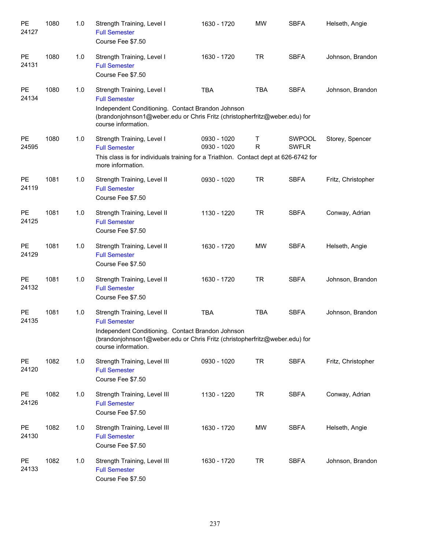| PE<br>24127 | 1080 | 1.0 | Strength Training, Level I<br><b>Full Semester</b><br>Course Fee \$7.50                                                                                                                                       | 1630 - 1720                | <b>MW</b>         | <b>SBFA</b>                   | Helseth, Angie     |
|-------------|------|-----|---------------------------------------------------------------------------------------------------------------------------------------------------------------------------------------------------------------|----------------------------|-------------------|-------------------------------|--------------------|
| PE<br>24131 | 1080 | 1.0 | Strength Training, Level I<br><b>Full Semester</b><br>Course Fee \$7.50                                                                                                                                       | 1630 - 1720                | <b>TR</b>         | <b>SBFA</b>                   | Johnson, Brandon   |
| PE<br>24134 | 1080 | 1.0 | Strength Training, Level I<br><b>Full Semester</b><br>Independent Conditioning. Contact Brandon Johnson<br>(brandonjohnson1@weber.edu or Chris Fritz (christopherfritz@weber.edu) for<br>course information.  | <b>TBA</b>                 | <b>TBA</b>        | <b>SBFA</b>                   | Johnson, Brandon   |
| PE<br>24595 | 1080 | 1.0 | Strength Training, Level I<br><b>Full Semester</b><br>This class is for individuals training for a Triathlon. Contact dept at 626-6742 for<br>more information.                                               | 0930 - 1020<br>0930 - 1020 | Τ<br>$\mathsf{R}$ | <b>SWPOOL</b><br><b>SWFLR</b> | Storey, Spencer    |
| PE<br>24119 | 1081 | 1.0 | Strength Training, Level II<br><b>Full Semester</b><br>Course Fee \$7.50                                                                                                                                      | 0930 - 1020                | <b>TR</b>         | <b>SBFA</b>                   | Fritz, Christopher |
| PE<br>24125 | 1081 | 1.0 | Strength Training, Level II<br><b>Full Semester</b><br>Course Fee \$7.50                                                                                                                                      | 1130 - 1220                | <b>TR</b>         | <b>SBFA</b>                   | Conway, Adrian     |
| PE<br>24129 | 1081 | 1.0 | Strength Training, Level II<br><b>Full Semester</b><br>Course Fee \$7.50                                                                                                                                      | 1630 - 1720                | <b>MW</b>         | <b>SBFA</b>                   | Helseth, Angie     |
| PE<br>24132 | 1081 | 1.0 | Strength Training, Level II<br><b>Full Semester</b><br>Course Fee \$7.50                                                                                                                                      | 1630 - 1720                | <b>TR</b>         | <b>SBFA</b>                   | Johnson, Brandon   |
| PE<br>24135 | 1081 | 1.0 | Strength Training, Level II<br><b>Full Semester</b><br>Independent Conditioning. Contact Brandon Johnson<br>(brandonjohnson1@weber.edu or Chris Fritz (christopherfritz@weber.edu) for<br>course information. | <b>TBA</b>                 | <b>TBA</b>        | <b>SBFA</b>                   | Johnson, Brandon   |
| PE<br>24120 | 1082 | 1.0 | Strength Training, Level III<br><b>Full Semester</b><br>Course Fee \$7.50                                                                                                                                     | 0930 - 1020                | <b>TR</b>         | <b>SBFA</b>                   | Fritz, Christopher |
| PE<br>24126 | 1082 | 1.0 | Strength Training, Level III<br><b>Full Semester</b><br>Course Fee \$7.50                                                                                                                                     | 1130 - 1220                | <b>TR</b>         | <b>SBFA</b>                   | Conway, Adrian     |
| PE<br>24130 | 1082 | 1.0 | Strength Training, Level III<br><b>Full Semester</b><br>Course Fee \$7.50                                                                                                                                     | 1630 - 1720                | MW                | <b>SBFA</b>                   | Helseth, Angie     |
| PE<br>24133 | 1082 | 1.0 | Strength Training, Level III<br><b>Full Semester</b><br>Course Fee \$7.50                                                                                                                                     | 1630 - 1720                | <b>TR</b>         | <b>SBFA</b>                   | Johnson, Brandon   |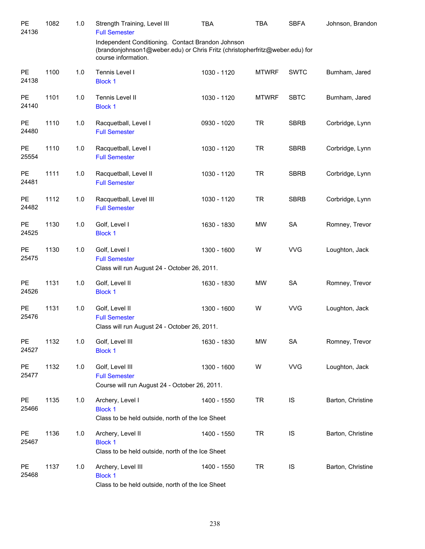| PE<br>24136        | 1082 | 1.0 | Strength Training, Level III<br><b>Full Semester</b>                                                                                                    | <b>TBA</b>  | <b>TBA</b>   | <b>SBFA</b> | Johnson, Brandon  |
|--------------------|------|-----|---------------------------------------------------------------------------------------------------------------------------------------------------------|-------------|--------------|-------------|-------------------|
|                    |      |     | Independent Conditioning. Contact Brandon Johnson<br>(brandonjohnson1@weber.edu) or Chris Fritz (christopherfritz@weber.edu) for<br>course information. |             |              |             |                   |
| PE<br>24138        | 1100 | 1.0 | Tennis Level I<br><b>Block 1</b>                                                                                                                        | 1030 - 1120 | <b>MTWRF</b> | <b>SWTC</b> | Burnham, Jared    |
| PE<br>24140        | 1101 | 1.0 | Tennis Level II<br><b>Block 1</b>                                                                                                                       | 1030 - 1120 | <b>MTWRF</b> | <b>SBTC</b> | Burnham, Jared    |
| <b>PE</b><br>24480 | 1110 | 1.0 | Racquetball, Level I<br><b>Full Semester</b>                                                                                                            | 0930 - 1020 | <b>TR</b>    | <b>SBRB</b> | Corbridge, Lynn   |
| PE<br>25554        | 1110 | 1.0 | Racquetball, Level I<br><b>Full Semester</b>                                                                                                            | 1030 - 1120 | <b>TR</b>    | <b>SBRB</b> | Corbridge, Lynn   |
| <b>PE</b><br>24481 | 1111 | 1.0 | Racquetball, Level II<br><b>Full Semester</b>                                                                                                           | 1030 - 1120 | <b>TR</b>    | <b>SBRB</b> | Corbridge, Lynn   |
| PE<br>24482        | 1112 | 1.0 | Racquetball, Level III<br><b>Full Semester</b>                                                                                                          | 1030 - 1120 | <b>TR</b>    | <b>SBRB</b> | Corbridge, Lynn   |
| PE<br>24525        | 1130 | 1.0 | Golf, Level I<br><b>Block 1</b>                                                                                                                         | 1630 - 1830 | <b>MW</b>    | <b>SA</b>   | Romney, Trevor    |
| <b>PE</b><br>25475 | 1130 | 1.0 | Golf, Level I<br><b>Full Semester</b><br>Class will run August 24 - October 26, 2011.                                                                   | 1300 - 1600 | W            | <b>VVG</b>  | Loughton, Jack    |
| <b>PE</b><br>24526 | 1131 | 1.0 | Golf, Level II<br><b>Block 1</b>                                                                                                                        | 1630 - 1830 | <b>MW</b>    | SA          | Romney, Trevor    |
| <b>PE</b><br>25476 | 1131 | 1.0 | Golf, Level II<br><b>Full Semester</b><br>Class will run August 24 - October 26, 2011.                                                                  | 1300 - 1600 | W            | <b>VVG</b>  | Loughton, Jack    |
| PE<br>24527        | 1132 | 1.0 | Golf, Level III<br><b>Block 1</b>                                                                                                                       | 1630 - 1830 | <b>MW</b>    | SA          | Romney, Trevor    |
| PE<br>25477        | 1132 | 1.0 | Golf, Level III<br><b>Full Semester</b><br>Course will run August 24 - October 26, 2011.                                                                | 1300 - 1600 | W            | <b>VVG</b>  | Loughton, Jack    |
| <b>PE</b><br>25466 | 1135 | 1.0 | Archery, Level I<br><b>Block 1</b><br>Class to be held outside, north of the Ice Sheet                                                                  | 1400 - 1550 | <b>TR</b>    | IS          | Barton, Christine |
| <b>PE</b><br>25467 | 1136 | 1.0 | Archery, Level II<br><b>Block 1</b><br>Class to be held outside, north of the Ice Sheet                                                                 | 1400 - 1550 | <b>TR</b>    | IS          | Barton, Christine |
| <b>PE</b><br>25468 | 1137 | 1.0 | Archery, Level III<br><b>Block 1</b><br>Class to be held outside, north of the Ice Sheet                                                                | 1400 - 1550 | <b>TR</b>    | IS          | Barton, Christine |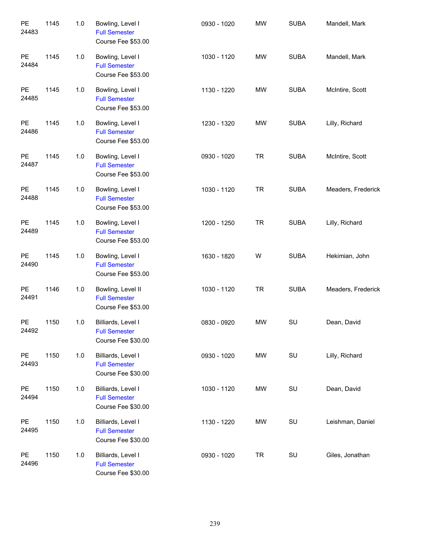| PE<br>24483 | 1145 | 1.0   | Bowling, Level I<br><b>Full Semester</b><br>Course Fee \$53.00   | 0930 - 1020 | <b>MW</b> | <b>SUBA</b> | Mandell, Mark      |
|-------------|------|-------|------------------------------------------------------------------|-------------|-----------|-------------|--------------------|
| PE<br>24484 | 1145 | 1.0   | Bowling, Level I<br><b>Full Semester</b><br>Course Fee \$53.00   | 1030 - 1120 | <b>MW</b> | <b>SUBA</b> | Mandell, Mark      |
| PE<br>24485 | 1145 | 1.0   | Bowling, Level I<br><b>Full Semester</b><br>Course Fee \$53.00   | 1130 - 1220 | <b>MW</b> | <b>SUBA</b> | McIntire, Scott    |
| PE<br>24486 | 1145 | 1.0   | Bowling, Level I<br><b>Full Semester</b><br>Course Fee \$53.00   | 1230 - 1320 | MW        | <b>SUBA</b> | Lilly, Richard     |
| PE<br>24487 | 1145 | 1.0   | Bowling, Level I<br><b>Full Semester</b><br>Course Fee \$53.00   | 0930 - 1020 | <b>TR</b> | <b>SUBA</b> | McIntire, Scott    |
| PE<br>24488 | 1145 | 1.0   | Bowling, Level I<br><b>Full Semester</b><br>Course Fee \$53.00   | 1030 - 1120 | <b>TR</b> | <b>SUBA</b> | Meaders, Frederick |
| PE<br>24489 | 1145 | 1.0   | Bowling, Level I<br><b>Full Semester</b><br>Course Fee \$53.00   | 1200 - 1250 | <b>TR</b> | <b>SUBA</b> | Lilly, Richard     |
| PE<br>24490 | 1145 | 1.0   | Bowling, Level I<br><b>Full Semester</b><br>Course Fee \$53.00   | 1630 - 1820 | W         | <b>SUBA</b> | Hekimian, John     |
| PE<br>24491 | 1146 | 1.0   | Bowling, Level II<br><b>Full Semester</b><br>Course Fee \$53.00  | 1030 - 1120 | <b>TR</b> | <b>SUBA</b> | Meaders, Frederick |
| PE<br>24492 | 1150 | 1.0   | Billiards, Level I<br><b>Full Semester</b><br>Course Fee \$30.00 | 0830 - 0920 | <b>MW</b> | SU          | Dean, David        |
| PE<br>24493 | 1150 | $1.0$ | Billiards, Level I<br><b>Full Semester</b><br>Course Fee \$30.00 | 0930 - 1020 | <b>MW</b> | SU          | Lilly, Richard     |
| PE<br>24494 | 1150 | $1.0$ | Billiards, Level I<br><b>Full Semester</b><br>Course Fee \$30.00 | 1030 - 1120 | MW        | SU          | Dean, David        |
| PE<br>24495 | 1150 | 1.0   | Billiards, Level I<br><b>Full Semester</b><br>Course Fee \$30.00 | 1130 - 1220 | MW        | SU          | Leishman, Daniel   |
| PE<br>24496 | 1150 | 1.0   | Billiards, Level I<br><b>Full Semester</b><br>Course Fee \$30.00 | 0930 - 1020 | <b>TR</b> | SU          | Giles, Jonathan    |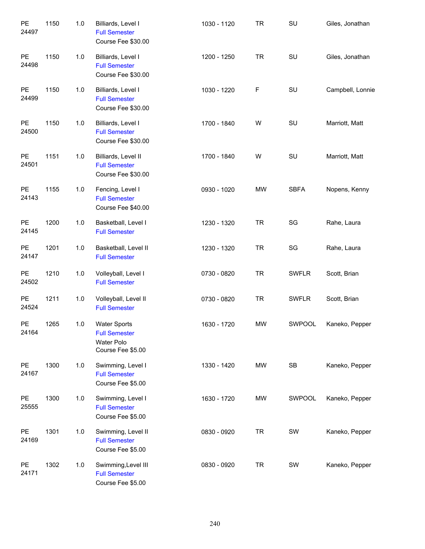| PE<br>24497 | 1150 | 1.0 | Billiards, Level I<br><b>Full Semester</b><br>Course Fee \$30.00                      | 1030 - 1120 | <b>TR</b> | SU           | Giles, Jonathan  |
|-------------|------|-----|---------------------------------------------------------------------------------------|-------------|-----------|--------------|------------------|
| PE<br>24498 | 1150 | 1.0 | Billiards, Level I<br><b>Full Semester</b><br>Course Fee \$30.00                      | 1200 - 1250 | <b>TR</b> | SU           | Giles, Jonathan  |
| PE<br>24499 | 1150 | 1.0 | Billiards, Level I<br><b>Full Semester</b><br>Course Fee \$30.00                      | 1030 - 1220 | F         | SU           | Campbell, Lonnie |
| PE<br>24500 | 1150 | 1.0 | Billiards, Level I<br><b>Full Semester</b><br>Course Fee \$30.00                      | 1700 - 1840 | W         | SU           | Marriott, Matt   |
| PE<br>24501 | 1151 | 1.0 | Billiards, Level II<br><b>Full Semester</b><br>Course Fee \$30.00                     | 1700 - 1840 | W         | SU           | Marriott, Matt   |
| PE<br>24143 | 1155 | 1.0 | Fencing, Level I<br><b>Full Semester</b><br>Course Fee \$40.00                        | 0930 - 1020 | <b>MW</b> | <b>SBFA</b>  | Nopens, Kenny    |
| PE<br>24145 | 1200 | 1.0 | Basketball, Level I<br><b>Full Semester</b>                                           | 1230 - 1320 | <b>TR</b> | SG           | Rahe, Laura      |
| PE<br>24147 | 1201 | 1.0 | Basketball, Level II<br><b>Full Semester</b>                                          | 1230 - 1320 | <b>TR</b> | SG           | Rahe, Laura      |
| PE<br>24502 | 1210 | 1.0 | Volleyball, Level I<br><b>Full Semester</b>                                           | 0730 - 0820 | <b>TR</b> | <b>SWFLR</b> | Scott, Brian     |
| PE<br>24524 | 1211 | 1.0 | Volleyball, Level II<br><b>Full Semester</b>                                          | 0730 - 0820 | <b>TR</b> | <b>SWFLR</b> | Scott, Brian     |
| PE<br>24164 | 1265 | 1.0 | <b>Water Sports</b><br><b>Full Semester</b><br><b>Water Polo</b><br>Course Fee \$5.00 | 1630 - 1720 | <b>MW</b> | SWPOOL       | Kaneko, Pepper   |
| PE<br>24167 | 1300 | 1.0 | Swimming, Level I<br><b>Full Semester</b><br>Course Fee \$5.00                        | 1330 - 1420 | <b>MW</b> | SB           | Kaneko, Pepper   |
| PE<br>25555 | 1300 | 1.0 | Swimming, Level I<br><b>Full Semester</b><br>Course Fee \$5.00                        | 1630 - 1720 | MW        | SWPOOL       | Kaneko, Pepper   |
| PE<br>24169 | 1301 | 1.0 | Swimming, Level II<br><b>Full Semester</b><br>Course Fee \$5.00                       | 0830 - 0920 | <b>TR</b> | SW           | Kaneko, Pepper   |
| PE<br>24171 | 1302 | 1.0 | Swimming, Level III<br><b>Full Semester</b><br>Course Fee \$5.00                      | 0830 - 0920 | <b>TR</b> | SW           | Kaneko, Pepper   |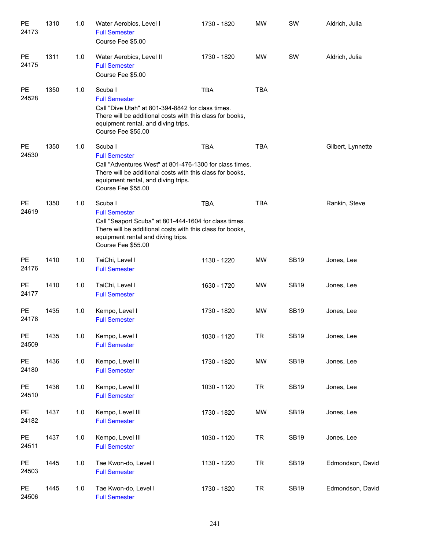| PE<br>24173        | 1310 | 1.0   | Water Aerobics, Level I<br><b>Full Semester</b><br>Course Fee \$5.00                                                                                                                                                 | 1730 - 1820 | <b>MW</b>  | SW          | Aldrich, Julia    |
|--------------------|------|-------|----------------------------------------------------------------------------------------------------------------------------------------------------------------------------------------------------------------------|-------------|------------|-------------|-------------------|
| PE<br>24175        | 1311 | 1.0   | Water Aerobics, Level II<br><b>Full Semester</b><br>Course Fee \$5.00                                                                                                                                                | 1730 - 1820 | <b>MW</b>  | SW          | Aldrich, Julia    |
| PE<br>24528        | 1350 | 1.0   | Scuba I<br><b>Full Semester</b><br>Call "Dive Utah" at 801-394-8842 for class times.<br>There will be additional costs with this class for books,<br>equipment rental, and diving trips.<br>Course Fee \$55.00       | <b>TBA</b>  | <b>TBA</b> |             |                   |
| PE<br>24530        | 1350 | 1.0   | Scuba I<br><b>Full Semester</b><br>Call "Adventures West" at 801-476-1300 for class times.<br>There will be additional costs with this class for books,<br>equipment rental, and diving trips.<br>Course Fee \$55.00 | <b>TBA</b>  | <b>TBA</b> |             | Gilbert, Lynnette |
| <b>PE</b><br>24619 | 1350 | 1.0   | Scuba I<br><b>Full Semester</b><br>Call "Seaport Scuba" at 801-444-1604 for class times.<br>There will be additional costs with this class for books,<br>equipment rental and diving trips.<br>Course Fee \$55.00    | <b>TBA</b>  | <b>TBA</b> |             | Rankin, Steve     |
| PE<br>24176        | 1410 | 1.0   | TaiChi, Level I<br><b>Full Semester</b>                                                                                                                                                                              | 1130 - 1220 | <b>MW</b>  | <b>SB19</b> | Jones, Lee        |
| <b>PE</b><br>24177 | 1410 | 1.0   | TaiChi, Level I<br><b>Full Semester</b>                                                                                                                                                                              | 1630 - 1720 | <b>MW</b>  | <b>SB19</b> | Jones, Lee        |
| <b>PE</b><br>24178 | 1435 | 1.0   | Kempo, Level I<br><b>Full Semester</b>                                                                                                                                                                               | 1730 - 1820 | <b>MW</b>  | <b>SB19</b> | Jones, Lee        |
| PE<br>24509        | 1435 | $1.0$ | Kempo, Level I<br><b>Full Semester</b>                                                                                                                                                                               | 1030 - 1120 | <b>TR</b>  | <b>SB19</b> | Jones, Lee        |
| PE<br>24180        | 1436 | 1.0   | Kempo, Level II<br><b>Full Semester</b>                                                                                                                                                                              | 1730 - 1820 | <b>MW</b>  | <b>SB19</b> | Jones, Lee        |
| PE<br>24510        | 1436 | $1.0$ | Kempo, Level II<br><b>Full Semester</b>                                                                                                                                                                              | 1030 - 1120 | <b>TR</b>  | <b>SB19</b> | Jones, Lee        |
| PE<br>24182        | 1437 | $1.0$ | Kempo, Level III<br><b>Full Semester</b>                                                                                                                                                                             | 1730 - 1820 | <b>MW</b>  | <b>SB19</b> | Jones, Lee        |
| PE<br>24511        | 1437 | $1.0$ | Kempo, Level III<br><b>Full Semester</b>                                                                                                                                                                             | 1030 - 1120 | <b>TR</b>  | <b>SB19</b> | Jones, Lee        |
| PE<br>24503        | 1445 | $1.0$ | Tae Kwon-do, Level I<br><b>Full Semester</b>                                                                                                                                                                         | 1130 - 1220 | <b>TR</b>  | <b>SB19</b> | Edmondson, David  |
| PE<br>24506        | 1445 | $1.0$ | Tae Kwon-do, Level I<br><b>Full Semester</b>                                                                                                                                                                         | 1730 - 1820 | <b>TR</b>  | <b>SB19</b> | Edmondson, David  |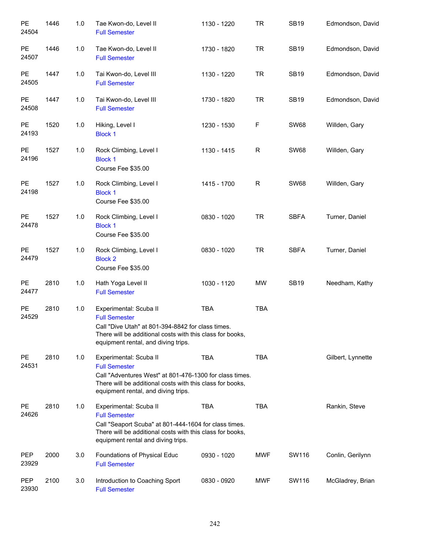| PE<br>24504            | 1446 | 1.0 | Tae Kwon-do, Level II<br><b>Full Semester</b>                                                                                                                                                                 | 1130 - 1220 | <b>TR</b>    | <b>SB19</b> | Edmondson, David  |
|------------------------|------|-----|---------------------------------------------------------------------------------------------------------------------------------------------------------------------------------------------------------------|-------------|--------------|-------------|-------------------|
| PE<br>24507            | 1446 | 1.0 | Tae Kwon-do, Level II<br><b>Full Semester</b>                                                                                                                                                                 | 1730 - 1820 | <b>TR</b>    | <b>SB19</b> | Edmondson, David  |
| $\mathsf{PE}$<br>24505 | 1447 | 1.0 | Tai Kwon-do, Level III<br><b>Full Semester</b>                                                                                                                                                                | 1130 - 1220 | <b>TR</b>    | <b>SB19</b> | Edmondson, David  |
| PE<br>24508            | 1447 | 1.0 | Tai Kwon-do, Level III<br><b>Full Semester</b>                                                                                                                                                                | 1730 - 1820 | <b>TR</b>    | <b>SB19</b> | Edmondson, David  |
| PE<br>24193            | 1520 | 1.0 | Hiking, Level I<br><b>Block 1</b>                                                                                                                                                                             | 1230 - 1530 | F            | <b>SW68</b> | Willden, Gary     |
| PE<br>24196            | 1527 | 1.0 | Rock Climbing, Level I<br><b>Block 1</b><br>Course Fee \$35.00                                                                                                                                                | 1130 - 1415 | $\mathsf R$  | <b>SW68</b> | Willden, Gary     |
| <b>PE</b><br>24198     | 1527 | 1.0 | Rock Climbing, Level I<br><b>Block 1</b><br>Course Fee \$35.00                                                                                                                                                | 1415 - 1700 | $\mathsf{R}$ | <b>SW68</b> | Willden, Gary     |
| <b>PE</b><br>24478     | 1527 | 1.0 | Rock Climbing, Level I<br><b>Block 1</b><br>Course Fee \$35.00                                                                                                                                                | 0830 - 1020 | <b>TR</b>    | <b>SBFA</b> | Turner, Daniel    |
| PE<br>24479            | 1527 | 1.0 | Rock Climbing, Level I<br><b>Block 2</b><br>Course Fee \$35.00                                                                                                                                                | 0830 - 1020 | <b>TR</b>    | <b>SBFA</b> | Turner, Daniel    |
| PE<br>24477            | 2810 | 1.0 | Hath Yoga Level II<br><b>Full Semester</b>                                                                                                                                                                    | 1030 - 1120 | <b>MW</b>    | <b>SB19</b> | Needham, Kathy    |
| PE<br>24529            | 2810 | 1.0 | Experimental: Scuba II<br><b>Full Semester</b><br>Call "Dive Utah" at 801-394-8842 for class times.<br>There will be additional costs with this class for books,<br>equipment rental, and diving trips.       | TBA         | <b>TBA</b>   |             |                   |
| PE<br>24531            | 2810 | 1.0 | Experimental: Scuba II<br><b>Full Semester</b><br>Call "Adventures West" at 801-476-1300 for class times.<br>There will be additional costs with this class for books,<br>equipment rental, and diving trips. | <b>TBA</b>  | <b>TBA</b>   |             | Gilbert, Lynnette |
| PE<br>24626            | 2810 | 1.0 | Experimental: Scuba II<br><b>Full Semester</b><br>Call "Seaport Scuba" at 801-444-1604 for class times.<br>There will be additional costs with this class for books,<br>equipment rental and diving trips.    | <b>TBA</b>  | <b>TBA</b>   |             | Rankin, Steve     |
| <b>PEP</b><br>23929    | 2000 | 3.0 | Foundations of Physical Educ<br><b>Full Semester</b>                                                                                                                                                          | 0930 - 1020 | <b>MWF</b>   | SW116       | Conlin, Gerilynn  |
| PEP<br>23930           | 2100 | 3.0 | Introduction to Coaching Sport<br><b>Full Semester</b>                                                                                                                                                        | 0830 - 0920 | <b>MWF</b>   | SW116       | McGladrey, Brian  |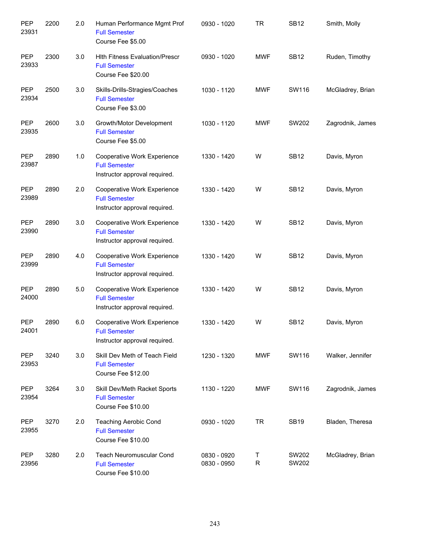| PEP<br>23931        | 2200 | 2.0 | Human Performance Mgmt Prof<br><b>Full Semester</b><br>Course Fee \$5.00                    | 0930 - 1020                | <b>TR</b>        | <b>SB12</b>    | Smith, Molly     |
|---------------------|------|-----|---------------------------------------------------------------------------------------------|----------------------------|------------------|----------------|------------------|
| PEP<br>23933        | 2300 | 3.0 | <b>Hith Fitness Evaluation/Prescr</b><br><b>Full Semester</b><br>Course Fee \$20.00         | 0930 - 1020                | <b>MWF</b>       | <b>SB12</b>    | Ruden, Timothy   |
| PEP<br>23934        | 2500 | 3.0 | Skills-Drills-Stragies/Coaches<br><b>Full Semester</b><br>Course Fee \$3.00                 | 1030 - 1120                | <b>MWF</b>       | SW116          | McGladrey, Brian |
| <b>PEP</b><br>23935 | 2600 | 3.0 | Growth/Motor Development<br><b>Full Semester</b><br>Course Fee \$5.00                       | 1030 - 1120                | <b>MWF</b>       | SW202          | Zagrodnik, James |
| <b>PEP</b><br>23987 | 2890 | 1.0 | <b>Cooperative Work Experience</b><br><b>Full Semester</b><br>Instructor approval required. | 1330 - 1420                | W                | <b>SB12</b>    | Davis, Myron     |
| <b>PEP</b><br>23989 | 2890 | 2.0 | Cooperative Work Experience<br><b>Full Semester</b><br>Instructor approval required.        | 1330 - 1420                | W                | <b>SB12</b>    | Davis, Myron     |
| <b>PEP</b><br>23990 | 2890 | 3.0 | Cooperative Work Experience<br><b>Full Semester</b><br>Instructor approval required.        | 1330 - 1420                | W                | <b>SB12</b>    | Davis, Myron     |
| <b>PEP</b><br>23999 | 2890 | 4.0 | Cooperative Work Experience<br><b>Full Semester</b><br>Instructor approval required.        | 1330 - 1420                | W                | <b>SB12</b>    | Davis, Myron     |
| <b>PEP</b><br>24000 | 2890 | 5.0 | Cooperative Work Experience<br><b>Full Semester</b><br>Instructor approval required.        | 1330 - 1420                | W                | <b>SB12</b>    | Davis, Myron     |
| <b>PEP</b><br>24001 | 2890 | 6.0 | <b>Cooperative Work Experience</b><br><b>Full Semester</b><br>Instructor approval required. | 1330 - 1420                | W                | <b>SB12</b>    | Davis, Myron     |
| PEP<br>23953        | 3240 | 3.0 | Skill Dev Meth of Teach Field<br><b>Full Semester</b><br>Course Fee \$12.00                 | 1230 - 1320                | <b>MWF</b>       | SW116          | Walker, Jennifer |
| PEP<br>23954        | 3264 | 3.0 | Skill Dev/Meth Racket Sports<br><b>Full Semester</b><br>Course Fee \$10.00                  | 1130 - 1220                | <b>MWF</b>       | SW116          | Zagrodnik, James |
| PEP<br>23955        | 3270 | 2.0 | <b>Teaching Aerobic Cond</b><br><b>Full Semester</b><br>Course Fee \$10.00                  | 0930 - 1020                | <b>TR</b>        | <b>SB19</b>    | Bladen, Theresa  |
| PEP<br>23956        | 3280 | 2.0 | Teach Neuromuscular Cond<br><b>Full Semester</b><br>Course Fee \$10.00                      | 0830 - 0920<br>0830 - 0950 | Τ<br>$\mathsf R$ | SW202<br>SW202 | McGladrey, Brian |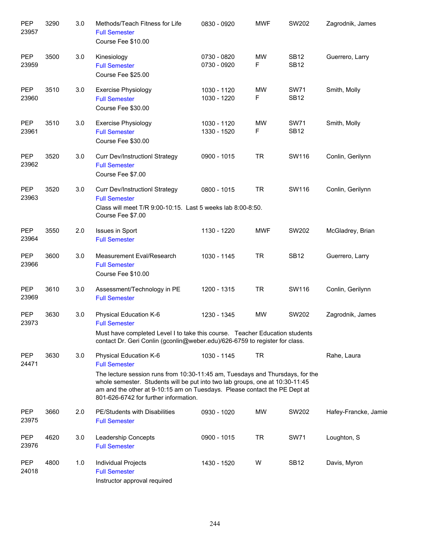| <b>PEP</b><br>23957 | 3290 | 3.0 | Methods/Teach Fitness for Life<br><b>Full Semester</b><br>Course Fee \$10.00                                                                                                                                                                                                                                                          | 0830 - 0920                | <b>MWF</b>     | SW202                      | Zagrodnik, James     |
|---------------------|------|-----|---------------------------------------------------------------------------------------------------------------------------------------------------------------------------------------------------------------------------------------------------------------------------------------------------------------------------------------|----------------------------|----------------|----------------------------|----------------------|
| PEP<br>23959        | 3500 | 3.0 | Kinesiology<br><b>Full Semester</b><br>Course Fee \$25.00                                                                                                                                                                                                                                                                             | 0730 - 0820<br>0730 - 0920 | <b>MW</b><br>F | <b>SB12</b><br><b>SB12</b> | Guerrero, Larry      |
| PEP<br>23960        | 3510 | 3.0 | <b>Exercise Physiology</b><br><b>Full Semester</b><br>Course Fee \$30.00                                                                                                                                                                                                                                                              | 1030 - 1120<br>1030 - 1220 | <b>MW</b><br>F | <b>SW71</b><br><b>SB12</b> | Smith, Molly         |
| <b>PEP</b><br>23961 | 3510 | 3.0 | <b>Exercise Physiology</b><br><b>Full Semester</b><br>Course Fee \$30.00                                                                                                                                                                                                                                                              | 1030 - 1120<br>1330 - 1520 | MW<br>F        | <b>SW71</b><br><b>SB12</b> | Smith, Molly         |
| PEP<br>23962        | 3520 | 3.0 | <b>Curr Dev/InstructionI Strategy</b><br><b>Full Semester</b><br>Course Fee \$7.00                                                                                                                                                                                                                                                    | 0900 - 1015                | <b>TR</b>      | SW116                      | Conlin, Gerilynn     |
| <b>PEP</b><br>23963 | 3520 | 3.0 | <b>Curr Dev/InstructionI Strategy</b><br><b>Full Semester</b><br>Class will meet T/R 9:00-10:15. Last 5 weeks lab 8:00-8:50.<br>Course Fee \$7.00                                                                                                                                                                                     | 0800 - 1015                | <b>TR</b>      | SW116                      | Conlin, Gerilynn     |
| PEP<br>23964        | 3550 | 2.0 | <b>Issues in Sport</b><br><b>Full Semester</b>                                                                                                                                                                                                                                                                                        | 1130 - 1220                | <b>MWF</b>     | SW202                      | McGladrey, Brian     |
| <b>PEP</b><br>23966 | 3600 | 3.0 | Measurement Eval/Research<br><b>Full Semester</b><br>Course Fee \$10.00                                                                                                                                                                                                                                                               | 1030 - 1145                | <b>TR</b>      | <b>SB12</b>                | Guerrero, Larry      |
| <b>PEP</b><br>23969 | 3610 | 3.0 | Assessment/Technology in PE<br><b>Full Semester</b>                                                                                                                                                                                                                                                                                   | 1200 - 1315                | <b>TR</b>      | SW116                      | Conlin, Gerilynn     |
| <b>PEP</b><br>23973 | 3630 | 3.0 | Physical Education K-6<br><b>Full Semester</b><br>Must have completed Level I to take this course. Teacher Education students<br>contact Dr. Geri Conlin (gconlin@weber.edu)/626-6759 to register for class.                                                                                                                          | 1230 - 1345                | <b>MW</b>      | SW202                      | Zagrodnik, James     |
| <b>PEP</b><br>24471 | 3630 | 3.0 | Physical Education K-6<br><b>Full Semester</b><br>The lecture session runs from 10:30-11:45 am, Tuesdays and Thursdays, for the<br>whole semester. Students will be put into two lab groups, one at 10:30-11:45<br>am and the other at 9-10:15 am on Tuesdays. Please contact the PE Dept at<br>801-626-6742 for further information. | 1030 - 1145                | TR             |                            | Rahe, Laura          |
| <b>PEP</b><br>23975 | 3660 | 2.0 | PE/Students with Disabilities<br><b>Full Semester</b>                                                                                                                                                                                                                                                                                 | 0930 - 1020                | MW             | SW202                      | Hafey-Francke, Jamie |
| <b>PEP</b><br>23976 | 4620 | 3.0 | Leadership Concepts<br><b>Full Semester</b>                                                                                                                                                                                                                                                                                           | 0900 - 1015                | <b>TR</b>      | <b>SW71</b>                | Loughton, S          |
| <b>PEP</b><br>24018 | 4800 | 1.0 | Individual Projects<br><b>Full Semester</b><br>Instructor approval required                                                                                                                                                                                                                                                           | 1430 - 1520                | W              | <b>SB12</b>                | Davis, Myron         |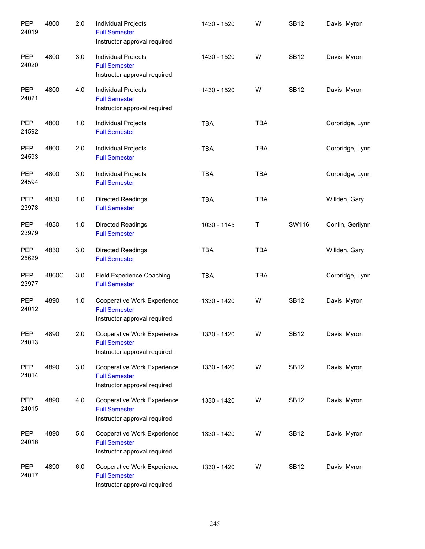| <b>PEP</b><br>24019 | 4800  | 2.0 | Individual Projects<br><b>Full Semester</b><br>Instructor approval required          | 1430 - 1520 | W          | <b>SB12</b> | Davis, Myron     |
|---------------------|-------|-----|--------------------------------------------------------------------------------------|-------------|------------|-------------|------------------|
| PEP<br>24020        | 4800  | 3.0 | Individual Projects<br><b>Full Semester</b><br>Instructor approval required          | 1430 - 1520 | W          | <b>SB12</b> | Davis, Myron     |
| <b>PEP</b><br>24021 | 4800  | 4.0 | <b>Individual Projects</b><br><b>Full Semester</b><br>Instructor approval required   | 1430 - 1520 | W          | <b>SB12</b> | Davis, Myron     |
| <b>PEP</b><br>24592 | 4800  | 1.0 | Individual Projects<br><b>Full Semester</b>                                          | <b>TBA</b>  | <b>TBA</b> |             | Corbridge, Lynn  |
| <b>PEP</b><br>24593 | 4800  | 2.0 | Individual Projects<br><b>Full Semester</b>                                          | <b>TBA</b>  | <b>TBA</b> |             | Corbridge, Lynn  |
| <b>PEP</b><br>24594 | 4800  | 3.0 | Individual Projects<br><b>Full Semester</b>                                          | <b>TBA</b>  | <b>TBA</b> |             | Corbridge, Lynn  |
| <b>PEP</b><br>23978 | 4830  | 1.0 | <b>Directed Readings</b><br><b>Full Semester</b>                                     | <b>TBA</b>  | <b>TBA</b> |             | Willden, Gary    |
| <b>PEP</b><br>23979 | 4830  | 1.0 | <b>Directed Readings</b><br><b>Full Semester</b>                                     | 1030 - 1145 | T          | SW116       | Conlin, Gerilynn |
| <b>PEP</b><br>25629 | 4830  | 3.0 | <b>Directed Readings</b><br><b>Full Semester</b>                                     | <b>TBA</b>  | <b>TBA</b> |             | Willden, Gary    |
| <b>PEP</b><br>23977 | 4860C | 3.0 | Field Experience Coaching<br><b>Full Semester</b>                                    | <b>TBA</b>  | <b>TBA</b> |             | Corbridge, Lynn  |
| <b>PEP</b><br>24012 | 4890  | 1.0 | Cooperative Work Experience<br><b>Full Semester</b><br>Instructor approval required  | 1330 - 1420 | W          | <b>SB12</b> | Davis, Myron     |
| PEP<br>24013        | 4890  | 2.0 | Cooperative Work Experience<br><b>Full Semester</b><br>Instructor approval required. | 1330 - 1420 | W          | <b>SB12</b> | Davis, Myron     |
| <b>PEP</b><br>24014 | 4890  | 3.0 | Cooperative Work Experience<br><b>Full Semester</b><br>Instructor approval required  | 1330 - 1420 | W          | <b>SB12</b> | Davis, Myron     |
| <b>PEP</b><br>24015 | 4890  | 4.0 | Cooperative Work Experience<br><b>Full Semester</b><br>Instructor approval required  | 1330 - 1420 | W          | <b>SB12</b> | Davis, Myron     |
| <b>PEP</b><br>24016 | 4890  | 5.0 | Cooperative Work Experience<br><b>Full Semester</b><br>Instructor approval required  | 1330 - 1420 | W          | <b>SB12</b> | Davis, Myron     |
| PEP<br>24017        | 4890  | 6.0 | Cooperative Work Experience<br><b>Full Semester</b><br>Instructor approval required  | 1330 - 1420 | W          | <b>SB12</b> | Davis, Myron     |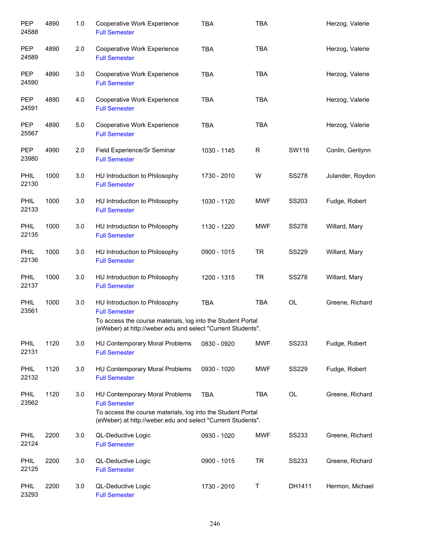| PEP<br>24588         | 4890 | 1.0 | Cooperative Work Experience<br><b>Full Semester</b>                                                                                                                                         | <b>TBA</b>  | <b>TBA</b> |              | Herzog, Valerie  |
|----------------------|------|-----|---------------------------------------------------------------------------------------------------------------------------------------------------------------------------------------------|-------------|------------|--------------|------------------|
| PEP<br>24589         | 4890 | 2.0 | Cooperative Work Experience<br><b>Full Semester</b>                                                                                                                                         | <b>TBA</b>  | <b>TBA</b> |              | Herzog, Valerie  |
| <b>PEP</b><br>24590  | 4890 | 3.0 | Cooperative Work Experience<br><b>Full Semester</b>                                                                                                                                         | <b>TBA</b>  | <b>TBA</b> |              | Herzog, Valerie  |
| <b>PEP</b><br>24591  | 4890 | 4.0 | Cooperative Work Experience<br><b>Full Semester</b>                                                                                                                                         | <b>TBA</b>  | <b>TBA</b> |              | Herzog, Valerie  |
| <b>PEP</b><br>25567  | 4890 | 5.0 | Cooperative Work Experience<br><b>Full Semester</b>                                                                                                                                         | <b>TBA</b>  | <b>TBA</b> |              | Herzog, Valerie  |
| <b>PEP</b><br>23980  | 4990 | 2.0 | Field Experience/Sr Seminar<br><b>Full Semester</b>                                                                                                                                         | 1030 - 1145 | R          | SW116        | Conlin, Gerilynn |
| <b>PHIL</b><br>22130 | 1000 | 3.0 | HU Introduction to Philosophy<br><b>Full Semester</b>                                                                                                                                       | 1730 - 2010 | W          | <b>SS278</b> | Julander, Roydon |
| <b>PHIL</b><br>22133 | 1000 | 3.0 | HU Introduction to Philosophy<br><b>Full Semester</b>                                                                                                                                       | 1030 - 1120 | <b>MWF</b> | SS203        | Fudge, Robert    |
| PHIL<br>22135        | 1000 | 3.0 | HU Introduction to Philosophy<br><b>Full Semester</b>                                                                                                                                       | 1130 - 1220 | <b>MWF</b> | <b>SS278</b> | Willard, Mary    |
| PHIL<br>22136        | 1000 | 3.0 | HU Introduction to Philosophy<br><b>Full Semester</b>                                                                                                                                       | 0900 - 1015 | <b>TR</b>  | <b>SS229</b> | Willard, Mary    |
| PHIL<br>22137        | 1000 | 3.0 | HU Introduction to Philosophy<br><b>Full Semester</b>                                                                                                                                       | 1200 - 1315 | <b>TR</b>  | <b>SS278</b> | Willard, Mary    |
| PHIL<br>23561        | 1000 | 3.0 | HU Introduction to Philosophy<br><b>Full Semester</b><br>To access the course materials, log into the Student Portal<br>(eWeber) at http://weber.edu and select "Current Students".         | <b>TBA</b>  | <b>TBA</b> | OL           | Greene, Richard  |
| PHIL<br>22131        | 1120 | 3.0 | HU Contemporary Moral Problems<br><b>Full Semester</b>                                                                                                                                      | 0830 - 0920 | <b>MWF</b> | SS233        | Fudge, Robert    |
| PHIL<br>22132        | 1120 | 3.0 | HU Contemporary Moral Problems<br><b>Full Semester</b>                                                                                                                                      | 0930 - 1020 | <b>MWF</b> | <b>SS229</b> | Fudge, Robert    |
| PHIL<br>23562        | 1120 | 3.0 | <b>HU Contemporary Moral Problems</b><br><b>Full Semester</b><br>To access the course materials, log into the Student Portal<br>(eWeber) at http://weber.edu and select "Current Students". | <b>TBA</b>  | <b>TBA</b> | OL           | Greene, Richard  |
| PHIL<br>22124        | 2200 | 3.0 | QL-Deductive Logic<br><b>Full Semester</b>                                                                                                                                                  | 0930 - 1020 | <b>MWF</b> | <b>SS233</b> | Greene, Richard  |
| PHIL<br>22125        | 2200 | 3.0 | QL-Deductive Logic<br><b>Full Semester</b>                                                                                                                                                  | 0900 - 1015 | <b>TR</b>  | <b>SS233</b> | Greene, Richard  |
| <b>PHIL</b><br>23293 | 2200 | 3.0 | QL-Deductive Logic<br><b>Full Semester</b>                                                                                                                                                  | 1730 - 2010 | Т          | DH1411       | Hermon, Michael  |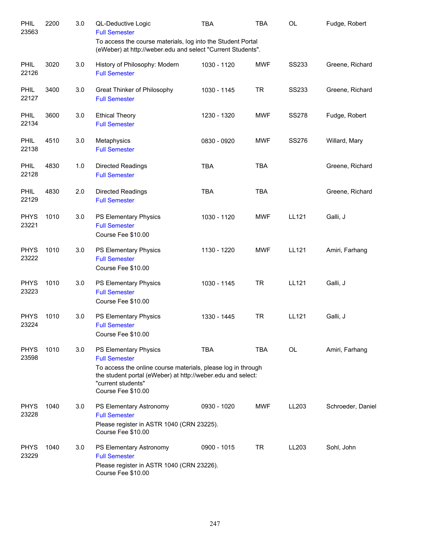| PHIL<br>23563        | 2200 | 3.0 | QL-Deductive Logic<br><b>Full Semester</b>                                                                                                                                                                               | <b>TBA</b>  | <b>TBA</b> | <b>OL</b>    | Fudge, Robert     |
|----------------------|------|-----|--------------------------------------------------------------------------------------------------------------------------------------------------------------------------------------------------------------------------|-------------|------------|--------------|-------------------|
|                      |      |     | To access the course materials, log into the Student Portal<br>(eWeber) at http://weber.edu and select "Current Students".                                                                                               |             |            |              |                   |
| PHIL<br>22126        | 3020 | 3.0 | History of Philosophy: Modern<br><b>Full Semester</b>                                                                                                                                                                    | 1030 - 1120 | <b>MWF</b> | <b>SS233</b> | Greene, Richard   |
| PHIL<br>22127        | 3400 | 3.0 | Great Thinker of Philosophy<br><b>Full Semester</b>                                                                                                                                                                      | 1030 - 1145 | <b>TR</b>  | <b>SS233</b> | Greene, Richard   |
| PHIL<br>22134        | 3600 | 3.0 | <b>Ethical Theory</b><br><b>Full Semester</b>                                                                                                                                                                            | 1230 - 1320 | <b>MWF</b> | <b>SS278</b> | Fudge, Robert     |
| PHIL<br>22138        | 4510 | 3.0 | Metaphysics<br><b>Full Semester</b>                                                                                                                                                                                      | 0830 - 0920 | <b>MWF</b> | <b>SS276</b> | Willard, Mary     |
| PHIL<br>22128        | 4830 | 1.0 | <b>Directed Readings</b><br><b>Full Semester</b>                                                                                                                                                                         | <b>TBA</b>  | <b>TBA</b> |              | Greene, Richard   |
| PHIL<br>22129        | 4830 | 2.0 | <b>Directed Readings</b><br><b>Full Semester</b>                                                                                                                                                                         | <b>TBA</b>  | <b>TBA</b> |              | Greene, Richard   |
| <b>PHYS</b><br>23221 | 1010 | 3.0 | PS Elementary Physics<br><b>Full Semester</b><br>Course Fee \$10.00                                                                                                                                                      | 1030 - 1120 | <b>MWF</b> | <b>LL121</b> | Galli, J          |
| <b>PHYS</b><br>23222 | 1010 | 3.0 | PS Elementary Physics<br><b>Full Semester</b><br>Course Fee \$10.00                                                                                                                                                      | 1130 - 1220 | <b>MWF</b> | LL121        | Amiri, Farhang    |
| <b>PHYS</b><br>23223 | 1010 | 3.0 | PS Elementary Physics<br><b>Full Semester</b><br>Course Fee \$10.00                                                                                                                                                      | 1030 - 1145 | <b>TR</b>  | <b>LL121</b> | Galli, J          |
| <b>PHYS</b><br>23224 | 1010 | 3.0 | PS Elementary Physics<br><b>Full Semester</b><br>Course Fee \$10.00                                                                                                                                                      | 1330 - 1445 | <b>TR</b>  | LL121        | Galli, J          |
| <b>PHYS</b><br>23598 | 1010 | 3.0 | PS Elementary Physics<br><b>Full Semester</b><br>To access the online course materials, please log in through<br>the student portal (eWeber) at http://weber.edu and select:<br>"current students"<br>Course Fee \$10.00 | <b>TBA</b>  | <b>TBA</b> | OL           | Amiri, Farhang    |
| <b>PHYS</b><br>23228 | 1040 | 3.0 | PS Elementary Astronomy<br><b>Full Semester</b><br>Please register in ASTR 1040 (CRN 23225).<br>Course Fee \$10.00                                                                                                       | 0930 - 1020 | <b>MWF</b> | LL203        | Schroeder, Daniel |
| <b>PHYS</b><br>23229 | 1040 | 3.0 | PS Elementary Astronomy<br><b>Full Semester</b><br>Please register in ASTR 1040 (CRN 23226).<br>Course Fee \$10.00                                                                                                       | 0900 - 1015 | <b>TR</b>  | LL203        | Sohl, John        |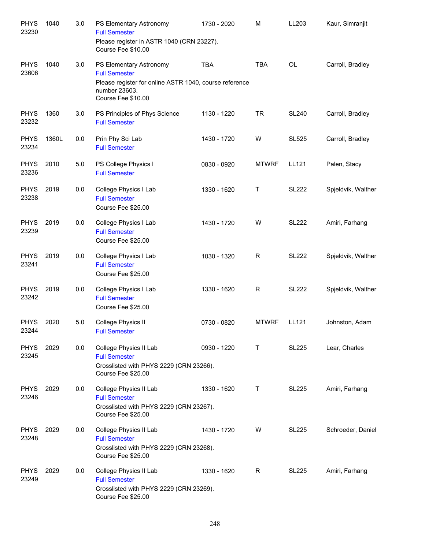| <b>PHYS</b><br>23230 | 1040  | 3.0 | PS Elementary Astronomy<br><b>Full Semester</b><br>Please register in ASTR 1040 (CRN 23227).                               | 1730 - 2020 | M            | LL203        | Kaur, Simranjit    |
|----------------------|-------|-----|----------------------------------------------------------------------------------------------------------------------------|-------------|--------------|--------------|--------------------|
|                      |       |     | Course Fee \$10.00                                                                                                         |             |              |              |                    |
| <b>PHYS</b><br>23606 | 1040  | 3.0 | PS Elementary Astronomy<br><b>Full Semester</b><br>Please register for online ASTR 1040, course reference<br>number 23603. | <b>TBA</b>  | <b>TBA</b>   | <b>OL</b>    | Carroll, Bradley   |
|                      |       |     | Course Fee \$10.00                                                                                                         |             |              |              |                    |
| <b>PHYS</b><br>23232 | 1360  | 3.0 | PS Principles of Phys Science<br><b>Full Semester</b>                                                                      | 1130 - 1220 | <b>TR</b>    | <b>SL240</b> | Carroll, Bradley   |
| <b>PHYS</b><br>23234 | 1360L | 0.0 | Prin Phy Sci Lab<br><b>Full Semester</b>                                                                                   | 1430 - 1720 | W            | <b>SL525</b> | Carroll, Bradley   |
| <b>PHYS</b><br>23236 | 2010  | 5.0 | PS College Physics I<br><b>Full Semester</b>                                                                               | 0830 - 0920 | <b>MTWRF</b> | LL121        | Palen, Stacy       |
| <b>PHYS</b><br>23238 | 2019  | 0.0 | College Physics I Lab<br><b>Full Semester</b><br>Course Fee \$25.00                                                        | 1330 - 1620 | Т            | <b>SL222</b> | Spjeldvik, Walther |
| <b>PHYS</b><br>23239 | 2019  | 0.0 | College Physics I Lab<br><b>Full Semester</b><br>Course Fee \$25.00                                                        | 1430 - 1720 | W            | <b>SL222</b> | Amiri, Farhang     |
| <b>PHYS</b><br>23241 | 2019  | 0.0 | College Physics I Lab<br><b>Full Semester</b><br>Course Fee \$25.00                                                        | 1030 - 1320 | $\mathsf R$  | <b>SL222</b> | Spjeldvik, Walther |
| <b>PHYS</b><br>23242 | 2019  | 0.0 | College Physics I Lab<br><b>Full Semester</b><br>Course Fee \$25.00                                                        | 1330 - 1620 | $\mathsf R$  | <b>SL222</b> | Spjeldvik, Walther |
| <b>PHYS</b><br>23244 | 2020  | 5.0 | College Physics II<br><b>Full Semester</b>                                                                                 | 0730 - 0820 | <b>MTWRF</b> | LL121        | Johnston, Adam     |
| <b>PHYS</b><br>23245 | 2029  | 0.0 | College Physics II Lab<br><b>Full Semester</b><br>Crosslisted with PHYS 2229 (CRN 23266).<br>Course Fee \$25.00            | 0930 - 1220 | T            | <b>SL225</b> | Lear, Charles      |
| <b>PHYS</b><br>23246 | 2029  | 0.0 | College Physics II Lab<br><b>Full Semester</b><br>Crosslisted with PHYS 2229 (CRN 23267).<br>Course Fee \$25.00            | 1330 - 1620 | Τ            | <b>SL225</b> | Amiri, Farhang     |
| <b>PHYS</b><br>23248 | 2029  | 0.0 | College Physics II Lab<br><b>Full Semester</b><br>Crosslisted with PHYS 2229 (CRN 23268).<br>Course Fee \$25.00            | 1430 - 1720 | W            | SL225        | Schroeder, Daniel  |
| <b>PHYS</b><br>23249 | 2029  | 0.0 | College Physics II Lab<br><b>Full Semester</b><br>Crosslisted with PHYS 2229 (CRN 23269).<br>Course Fee \$25.00            | 1330 - 1620 | R            | SL225        | Amiri, Farhang     |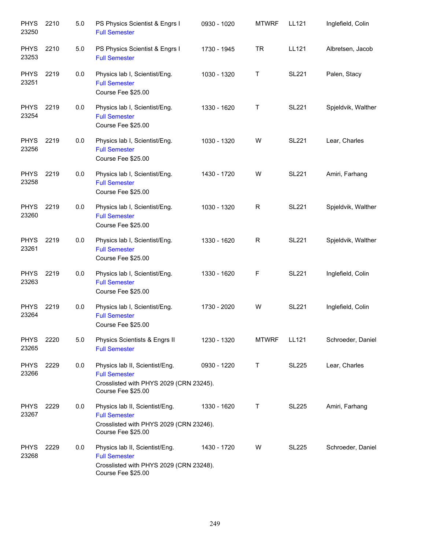| <b>PHYS</b><br>23250 | 2210 | 5.0 | PS Physics Scientist & Engrs I<br><b>Full Semester</b>                                                                  | 0930 - 1020 | <b>MTWRF</b> | LL121        | Inglefield, Colin  |
|----------------------|------|-----|-------------------------------------------------------------------------------------------------------------------------|-------------|--------------|--------------|--------------------|
| <b>PHYS</b><br>23253 | 2210 | 5.0 | PS Physics Scientist & Engrs I<br><b>Full Semester</b>                                                                  | 1730 - 1945 | <b>TR</b>    | LL121        | Albretsen, Jacob   |
| <b>PHYS</b><br>23251 | 2219 | 0.0 | Physics lab I, Scientist/Eng.<br><b>Full Semester</b><br>Course Fee \$25.00                                             | 1030 - 1320 | Τ            | <b>SL221</b> | Palen, Stacy       |
| <b>PHYS</b><br>23254 | 2219 | 0.0 | Physics lab I, Scientist/Eng.<br><b>Full Semester</b><br>Course Fee \$25.00                                             | 1330 - 1620 | T            | <b>SL221</b> | Spjeldvik, Walther |
| <b>PHYS</b><br>23256 | 2219 | 0.0 | Physics lab I, Scientist/Eng.<br><b>Full Semester</b><br>Course Fee \$25.00                                             | 1030 - 1320 | W            | <b>SL221</b> | Lear, Charles      |
| <b>PHYS</b><br>23258 | 2219 | 0.0 | Physics lab I, Scientist/Eng.<br><b>Full Semester</b><br>Course Fee \$25.00                                             | 1430 - 1720 | W            | <b>SL221</b> | Amiri, Farhang     |
| <b>PHYS</b><br>23260 | 2219 | 0.0 | Physics lab I, Scientist/Eng.<br><b>Full Semester</b><br>Course Fee \$25.00                                             | 1030 - 1320 | R            | <b>SL221</b> | Spjeldvik, Walther |
| <b>PHYS</b><br>23261 | 2219 | 0.0 | Physics lab I, Scientist/Eng.<br><b>Full Semester</b><br>Course Fee \$25.00                                             | 1330 - 1620 | R            | <b>SL221</b> | Spjeldvik, Walther |
| <b>PHYS</b><br>23263 | 2219 | 0.0 | Physics lab I, Scientist/Eng.<br><b>Full Semester</b><br>Course Fee \$25.00                                             | 1330 - 1620 | F            | <b>SL221</b> | Inglefield, Colin  |
| <b>PHYS</b><br>23264 | 2219 | 0.0 | Physics lab I, Scientist/Eng.<br><b>Full Semester</b><br>Course Fee \$25.00                                             | 1730 - 2020 | W            | <b>SL221</b> | Inglefield, Colin  |
| <b>PHYS</b><br>23265 | 2220 | 5.0 | Physics Scientists & Engrs II<br><b>Full Semester</b>                                                                   | 1230 - 1320 | <b>MTWRF</b> | LL121        | Schroeder, Daniel  |
| <b>PHYS</b><br>23266 | 2229 | 0.0 | Physics lab II, Scientist/Eng.<br><b>Full Semester</b><br>Crosslisted with PHYS 2029 (CRN 23245).<br>Course Fee \$25.00 | 0930 - 1220 | T            | <b>SL225</b> | Lear, Charles      |
| <b>PHYS</b><br>23267 | 2229 | 0.0 | Physics lab II, Scientist/Eng.<br><b>Full Semester</b><br>Crosslisted with PHYS 2029 (CRN 23246).<br>Course Fee \$25.00 | 1330 - 1620 | Τ            | <b>SL225</b> | Amiri, Farhang     |
| <b>PHYS</b><br>23268 | 2229 | 0.0 | Physics lab II, Scientist/Eng.<br><b>Full Semester</b><br>Crosslisted with PHYS 2029 (CRN 23248).<br>Course Fee \$25.00 | 1430 - 1720 | W            | <b>SL225</b> | Schroeder, Daniel  |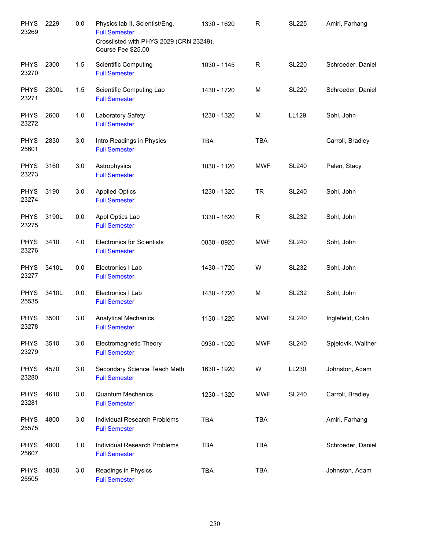| <b>PHYS</b><br>23269 | 2229  | 0.0 | Physics lab II, Scientist/Eng.<br><b>Full Semester</b><br>Crosslisted with PHYS 2029 (CRN 23249).<br>Course Fee \$25.00 | 1330 - 1620 | $\mathsf{R}$ | <b>SL225</b> | Amiri, Farhang     |
|----------------------|-------|-----|-------------------------------------------------------------------------------------------------------------------------|-------------|--------------|--------------|--------------------|
| <b>PHYS</b><br>23270 | 2300  | 1.5 | Scientific Computing<br><b>Full Semester</b>                                                                            | 1030 - 1145 | R            | <b>SL220</b> | Schroeder, Daniel  |
| <b>PHYS</b><br>23271 | 2300L | 1.5 | Scientific Computing Lab<br><b>Full Semester</b>                                                                        | 1430 - 1720 | M            | <b>SL220</b> | Schroeder, Daniel  |
| <b>PHYS</b><br>23272 | 2600  | 1.0 | Laboratory Safety<br><b>Full Semester</b>                                                                               | 1230 - 1320 | M            | LL129        | Sohl, John         |
| <b>PHYS</b><br>25601 | 2830  | 3.0 | Intro Readings in Physics<br><b>Full Semester</b>                                                                       | <b>TBA</b>  | <b>TBA</b>   |              | Carroll, Bradley   |
| <b>PHYS</b><br>23273 | 3160  | 3.0 | Astrophysics<br><b>Full Semester</b>                                                                                    | 1030 - 1120 | <b>MWF</b>   | <b>SL240</b> | Palen, Stacy       |
| <b>PHYS</b><br>23274 | 3190  | 3.0 | <b>Applied Optics</b><br><b>Full Semester</b>                                                                           | 1230 - 1320 | <b>TR</b>    | <b>SL240</b> | Sohl, John         |
| <b>PHYS</b><br>23275 | 3190L | 0.0 | Appl Optics Lab<br><b>Full Semester</b>                                                                                 | 1330 - 1620 | R            | <b>SL232</b> | Sohl, John         |
| <b>PHYS</b><br>23276 | 3410  | 4.0 | <b>Electronics for Scientists</b><br><b>Full Semester</b>                                                               | 0830 - 0920 | <b>MWF</b>   | <b>SL240</b> | Sohl, John         |
| <b>PHYS</b><br>23277 | 3410L | 0.0 | Electronics I Lab<br><b>Full Semester</b>                                                                               | 1430 - 1720 | W            | <b>SL232</b> | Sohl, John         |
| <b>PHYS</b><br>25535 | 3410L | 0.0 | Electronics I Lab<br><b>Full Semester</b>                                                                               | 1430 - 1720 | M            | <b>SL232</b> | Sohl, John         |
| <b>PHYS</b><br>23278 | 3500  | 3.0 | <b>Analytical Mechanics</b><br><b>Full Semester</b>                                                                     | 1130 - 1220 | <b>MWF</b>   | <b>SL240</b> | Inglefield, Colin  |
| <b>PHYS</b><br>23279 | 3510  | 3.0 | <b>Electromagnetic Theory</b><br><b>Full Semester</b>                                                                   | 0930 - 1020 | <b>MWF</b>   | <b>SL240</b> | Spjeldvik, Walther |
| <b>PHYS</b><br>23280 | 4570  | 3.0 | Secondary Science Teach Meth<br><b>Full Semester</b>                                                                    | 1630 - 1920 | W            | LL230        | Johnston, Adam     |
| <b>PHYS</b><br>23281 | 4610  | 3.0 | <b>Quantum Mechanics</b><br><b>Full Semester</b>                                                                        | 1230 - 1320 | <b>MWF</b>   | <b>SL240</b> | Carroll, Bradley   |
| <b>PHYS</b><br>25575 | 4800  | 3.0 | Individual Research Problems<br><b>Full Semester</b>                                                                    | <b>TBA</b>  | <b>TBA</b>   |              | Amiri, Farhang     |
| <b>PHYS</b><br>25607 | 4800  | 1.0 | Individual Research Problems<br><b>Full Semester</b>                                                                    | <b>TBA</b>  | <b>TBA</b>   |              | Schroeder, Daniel  |
| <b>PHYS</b><br>25505 | 4830  | 3.0 | Readings in Physics<br><b>Full Semester</b>                                                                             | <b>TBA</b>  | <b>TBA</b>   |              | Johnston, Adam     |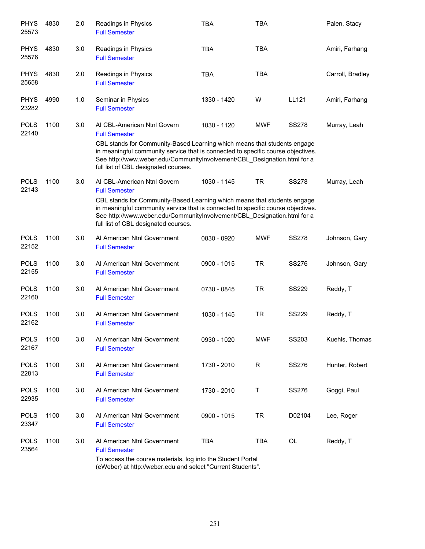| <b>PHYS</b><br>25573 | 4830 | 2.0 | Readings in Physics<br><b>Full Semester</b>                                                                                                                                                                                                                                                                                             | <b>TBA</b>  | <b>TBA</b> |              | Palen, Stacy     |
|----------------------|------|-----|-----------------------------------------------------------------------------------------------------------------------------------------------------------------------------------------------------------------------------------------------------------------------------------------------------------------------------------------|-------------|------------|--------------|------------------|
| <b>PHYS</b><br>25576 | 4830 | 3.0 | Readings in Physics<br><b>Full Semester</b>                                                                                                                                                                                                                                                                                             | <b>TBA</b>  | <b>TBA</b> |              | Amiri, Farhang   |
| <b>PHYS</b><br>25658 | 4830 | 2.0 | Readings in Physics<br><b>Full Semester</b>                                                                                                                                                                                                                                                                                             | <b>TBA</b>  | <b>TBA</b> |              | Carroll, Bradley |
| <b>PHYS</b><br>23282 | 4990 | 1.0 | Seminar in Physics<br><b>Full Semester</b>                                                                                                                                                                                                                                                                                              | 1330 - 1420 | W          | LL121        | Amiri, Farhang   |
| <b>POLS</b><br>22140 | 1100 | 3.0 | AI CBL-American Ntnl Govern<br><b>Full Semester</b><br>CBL stands for Community-Based Learning which means that students engage<br>in meaningful community service that is connected to specific course objectives.<br>See http://www.weber.edu/CommunityInvolvement/CBL Designation.html for a<br>full list of CBL designated courses. | 1030 - 1120 | <b>MWF</b> | <b>SS278</b> | Murray, Leah     |
| <b>POLS</b><br>22143 | 1100 | 3.0 | AI CBL-American Ntnl Govern<br><b>Full Semester</b><br>CBL stands for Community-Based Learning which means that students engage<br>in meaningful community service that is connected to specific course objectives.<br>See http://www.weber.edu/CommunityInvolvement/CBL_Designation.html for a<br>full list of CBL designated courses. | 1030 - 1145 | <b>TR</b>  | <b>SS278</b> | Murray, Leah     |
| <b>POLS</b><br>22152 | 1100 | 3.0 | Al American Ntnl Government<br><b>Full Semester</b>                                                                                                                                                                                                                                                                                     | 0830 - 0920 | <b>MWF</b> | <b>SS278</b> | Johnson, Gary    |
| <b>POLS</b><br>22155 | 1100 | 3.0 | Al American Ntnl Government<br><b>Full Semester</b>                                                                                                                                                                                                                                                                                     | 0900 - 1015 | <b>TR</b>  | <b>SS276</b> | Johnson, Gary    |
| <b>POLS</b><br>22160 | 1100 | 3.0 | Al American Ntnl Government<br><b>Full Semester</b>                                                                                                                                                                                                                                                                                     | 0730 - 0845 | <b>TR</b>  | <b>SS229</b> | Reddy, T         |
| <b>POLS</b><br>22162 | 1100 | 3.0 | Al American Ntnl Government<br><b>Full Semester</b>                                                                                                                                                                                                                                                                                     | 1030 - 1145 | <b>TR</b>  | <b>SS229</b> | Reddy, T         |
| <b>POLS</b><br>22167 | 1100 | 3.0 | Al American Ntnl Government<br><b>Full Semester</b>                                                                                                                                                                                                                                                                                     | 0930 - 1020 | <b>MWF</b> | SS203        | Kuehls, Thomas   |
| <b>POLS</b><br>22813 | 1100 | 3.0 | Al American Ntnl Government<br><b>Full Semester</b>                                                                                                                                                                                                                                                                                     | 1730 - 2010 | R          | SS276        | Hunter, Robert   |
| <b>POLS</b><br>22935 | 1100 | 3.0 | Al American Ntnl Government<br><b>Full Semester</b>                                                                                                                                                                                                                                                                                     | 1730 - 2010 | Т          | SS276        | Goggi, Paul      |
| <b>POLS</b><br>23347 | 1100 | 3.0 | Al American Ntnl Government<br><b>Full Semester</b>                                                                                                                                                                                                                                                                                     | 0900 - 1015 | <b>TR</b>  | D02104       | Lee, Roger       |
| <b>POLS</b><br>23564 | 1100 | 3.0 | Al American Ntnl Government<br><b>Full Semester</b><br>To access the course materials, log into the Student Portal<br>(eWeber) at http://weber.edu and select "Current Students".                                                                                                                                                       | <b>TBA</b>  | TBA        | OL           | Reddy, T         |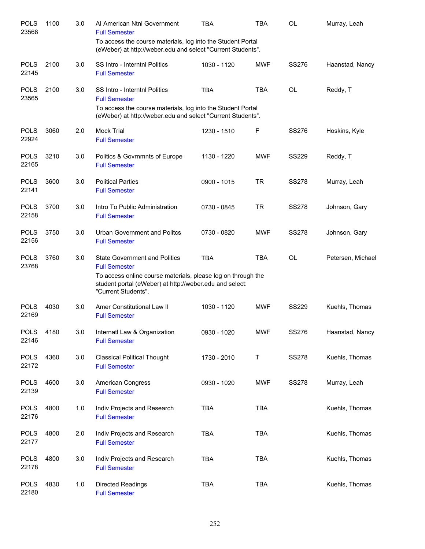| <b>POLS</b><br>23568 | 1100 | 3.0 | Al American Ntnl Government<br><b>Full Semester</b>                                                                                                                                                            | <b>TBA</b>  | <b>TBA</b> | OL           | Murray, Leah      |
|----------------------|------|-----|----------------------------------------------------------------------------------------------------------------------------------------------------------------------------------------------------------------|-------------|------------|--------------|-------------------|
|                      |      |     | To access the course materials, log into the Student Portal<br>(eWeber) at http://weber.edu and select "Current Students".                                                                                     |             |            |              |                   |
| <b>POLS</b><br>22145 | 2100 | 3.0 | SS Intro - Interntnl Politics<br><b>Full Semester</b>                                                                                                                                                          | 1030 - 1120 | <b>MWF</b> | <b>SS276</b> | Haanstad, Nancy   |
| <b>POLS</b><br>23565 | 2100 | 3.0 | <b>SS Intro - Interntnl Politics</b><br><b>Full Semester</b><br>To access the course materials, log into the Student Portal<br>(eWeber) at http://weber.edu and select "Current Students".                     | <b>TBA</b>  | <b>TBA</b> | OL           | Reddy, T          |
| <b>POLS</b><br>22924 | 3060 | 2.0 | <b>Mock Trial</b><br><b>Full Semester</b>                                                                                                                                                                      | 1230 - 1510 | F          | <b>SS276</b> | Hoskins, Kyle     |
| <b>POLS</b><br>22165 | 3210 | 3.0 | Politics & Govrnmnts of Europe<br><b>Full Semester</b>                                                                                                                                                         | 1130 - 1220 | MWF        | <b>SS229</b> | Reddy, T          |
| <b>POLS</b><br>22141 | 3600 | 3.0 | <b>Political Parties</b><br><b>Full Semester</b>                                                                                                                                                               | 0900 - 1015 | <b>TR</b>  | <b>SS278</b> | Murray, Leah      |
| <b>POLS</b><br>22158 | 3700 | 3.0 | Intro To Public Administration<br><b>Full Semester</b>                                                                                                                                                         | 0730 - 0845 | <b>TR</b>  | <b>SS278</b> | Johnson, Gary     |
| <b>POLS</b><br>22156 | 3750 | 3.0 | Urban Government and Politcs<br><b>Full Semester</b>                                                                                                                                                           | 0730 - 0820 | MWF        | <b>SS278</b> | Johnson, Gary     |
| <b>POLS</b><br>23768 | 3760 | 3.0 | <b>State Government and Politics</b><br><b>Full Semester</b><br>To access online course materials, please log on through the<br>student portal (eWeber) at http://weber.edu and select:<br>"Current Students". | <b>TBA</b>  | <b>TBA</b> | <b>OL</b>    | Petersen, Michael |
| <b>POLS</b><br>22169 | 4030 | 3.0 | Amer Constitutional Law II<br><b>Full Semester</b>                                                                                                                                                             | 1030 - 1120 | MWF        | <b>SS229</b> | Kuehls, Thomas    |
| <b>POLS</b><br>22146 | 4180 | 3.0 | Internatl Law & Organization<br><b>Full Semester</b>                                                                                                                                                           | 0930 - 1020 | <b>MWF</b> | SS276        | Haanstad, Nancy   |
| <b>POLS</b><br>22172 | 4360 | 3.0 | <b>Classical Political Thought</b><br><b>Full Semester</b>                                                                                                                                                     | 1730 - 2010 | Τ          | <b>SS278</b> | Kuehls, Thomas    |
| <b>POLS</b><br>22139 | 4600 | 3.0 | American Congress<br><b>Full Semester</b>                                                                                                                                                                      | 0930 - 1020 | <b>MWF</b> | <b>SS278</b> | Murray, Leah      |
| <b>POLS</b><br>22176 | 4800 | 1.0 | Indiv Projects and Research<br><b>Full Semester</b>                                                                                                                                                            | <b>TBA</b>  | <b>TBA</b> |              | Kuehls, Thomas    |
| <b>POLS</b><br>22177 | 4800 | 2.0 | Indiv Projects and Research<br><b>Full Semester</b>                                                                                                                                                            | <b>TBA</b>  | <b>TBA</b> |              | Kuehls, Thomas    |
| <b>POLS</b><br>22178 | 4800 | 3.0 | Indiv Projects and Research<br><b>Full Semester</b>                                                                                                                                                            | <b>TBA</b>  | <b>TBA</b> |              | Kuehls, Thomas    |
| <b>POLS</b><br>22180 | 4830 | 1.0 | <b>Directed Readings</b><br><b>Full Semester</b>                                                                                                                                                               | <b>TBA</b>  | <b>TBA</b> |              | Kuehls, Thomas    |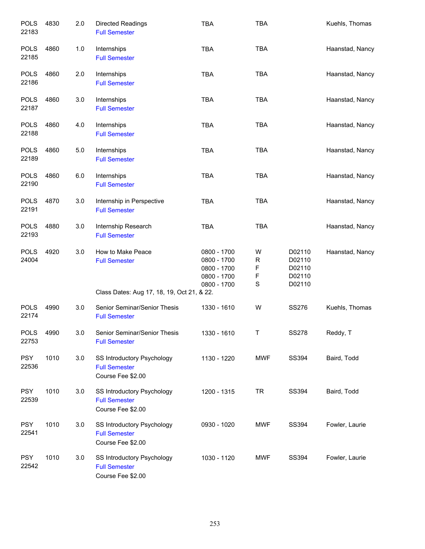| <b>POLS</b><br>22183 | 4830 | 2.0 | <b>Directed Readings</b><br><b>Full Semester</b>                        | <b>TBA</b>                                                              | <b>TBA</b>                                          |                                                | Kuehls, Thomas  |
|----------------------|------|-----|-------------------------------------------------------------------------|-------------------------------------------------------------------------|-----------------------------------------------------|------------------------------------------------|-----------------|
| <b>POLS</b><br>22185 | 4860 | 1.0 | Internships<br><b>Full Semester</b>                                     | <b>TBA</b>                                                              | <b>TBA</b>                                          |                                                | Haanstad, Nancy |
| <b>POLS</b><br>22186 | 4860 | 2.0 | Internships<br><b>Full Semester</b>                                     | <b>TBA</b>                                                              | <b>TBA</b>                                          |                                                | Haanstad, Nancy |
| <b>POLS</b><br>22187 | 4860 | 3.0 | Internships<br><b>Full Semester</b>                                     | <b>TBA</b>                                                              | <b>TBA</b>                                          |                                                | Haanstad, Nancy |
| <b>POLS</b><br>22188 | 4860 | 4.0 | Internships<br><b>Full Semester</b>                                     | <b>TBA</b>                                                              | <b>TBA</b>                                          |                                                | Haanstad, Nancy |
| <b>POLS</b><br>22189 | 4860 | 5.0 | Internships<br><b>Full Semester</b>                                     | <b>TBA</b>                                                              | <b>TBA</b>                                          |                                                | Haanstad, Nancy |
| <b>POLS</b><br>22190 | 4860 | 6.0 | Internships<br><b>Full Semester</b>                                     | <b>TBA</b>                                                              | <b>TBA</b>                                          |                                                | Haanstad, Nancy |
| <b>POLS</b><br>22191 | 4870 | 3.0 | Internship in Perspective<br><b>Full Semester</b>                       | <b>TBA</b>                                                              | <b>TBA</b>                                          |                                                | Haanstad, Nancy |
| <b>POLS</b><br>22193 | 4880 | 3.0 | Internship Research<br><b>Full Semester</b>                             | <b>TBA</b>                                                              | <b>TBA</b>                                          |                                                | Haanstad, Nancy |
| <b>POLS</b><br>24004 | 4920 | 3.0 | How to Make Peace<br><b>Full Semester</b>                               | 0800 - 1700<br>0800 - 1700<br>0800 - 1700<br>0800 - 1700<br>0800 - 1700 | W<br>$\mathsf R$<br>F<br>$\mathsf F$<br>$\mathbf S$ | D02110<br>D02110<br>D02110<br>D02110<br>D02110 | Haanstad, Nancy |
|                      |      |     | Class Dates: Aug 17, 18, 19, Oct 21, & 22.                              |                                                                         |                                                     |                                                |                 |
| <b>POLS</b><br>22174 | 4990 | 3.0 | Senior Seminar/Senior Thesis<br><b>Full Semester</b>                    | 1330 - 1610                                                             | W                                                   | <b>SS276</b>                                   | Kuehls, Thomas  |
| <b>POLS</b><br>22753 | 4990 | 3.0 | Senior Seminar/Senior Thesis<br><b>Full Semester</b>                    | 1330 - 1610                                                             | Τ                                                   | <b>SS278</b>                                   | Reddy, T        |
| <b>PSY</b><br>22536  | 1010 | 3.0 | SS Introductory Psychology<br><b>Full Semester</b><br>Course Fee \$2.00 | 1130 - 1220                                                             | <b>MWF</b>                                          | SS394                                          | Baird, Todd     |
| <b>PSY</b><br>22539  | 1010 | 3.0 | SS Introductory Psychology<br><b>Full Semester</b><br>Course Fee \$2.00 | 1200 - 1315                                                             | <b>TR</b>                                           | SS394                                          | Baird, Todd     |
| <b>PSY</b><br>22541  | 1010 | 3.0 | SS Introductory Psychology<br><b>Full Semester</b><br>Course Fee \$2.00 | 0930 - 1020                                                             | <b>MWF</b>                                          | SS394                                          | Fowler, Laurie  |
| <b>PSY</b><br>22542  | 1010 | 3.0 | SS Introductory Psychology<br><b>Full Semester</b><br>Course Fee \$2.00 | 1030 - 1120                                                             | <b>MWF</b>                                          | SS394                                          | Fowler, Laurie  |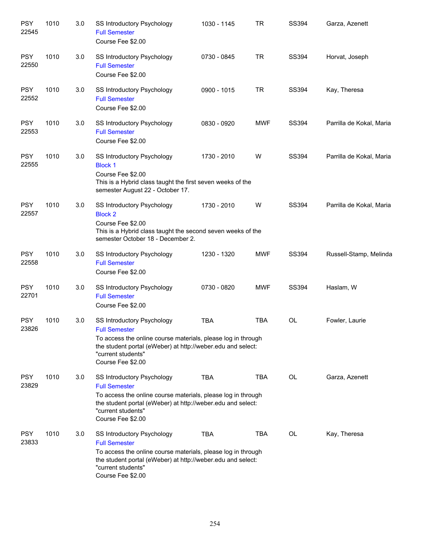| <b>PSY</b><br>22545 | 1010 | 3.0 | SS Introductory Psychology<br><b>Full Semester</b><br>Course Fee \$2.00                                                                                                                                                      | 1030 - 1145 | <b>TR</b>  | SS394        | Garza, Azenett           |
|---------------------|------|-----|------------------------------------------------------------------------------------------------------------------------------------------------------------------------------------------------------------------------------|-------------|------------|--------------|--------------------------|
| <b>PSY</b><br>22550 | 1010 | 3.0 | <b>SS Introductory Psychology</b><br><b>Full Semester</b><br>Course Fee \$2.00                                                                                                                                               | 0730 - 0845 | <b>TR</b>  | SS394        | Horvat, Joseph           |
| <b>PSY</b><br>22552 | 1010 | 3.0 | <b>SS Introductory Psychology</b><br><b>Full Semester</b><br>Course Fee \$2.00                                                                                                                                               | 0900 - 1015 | <b>TR</b>  | <b>SS394</b> | Kay, Theresa             |
| <b>PSY</b><br>22553 | 1010 | 3.0 | <b>SS Introductory Psychology</b><br><b>Full Semester</b><br>Course Fee \$2.00                                                                                                                                               | 0830 - 0920 | <b>MWF</b> | <b>SS394</b> | Parrilla de Kokal, Maria |
| <b>PSY</b><br>22555 | 1010 | 3.0 | SS Introductory Psychology<br><b>Block 1</b><br>Course Fee \$2.00<br>This is a Hybrid class taught the first seven weeks of the<br>semester August 22 - October 17.                                                          | 1730 - 2010 | W          | <b>SS394</b> | Parrilla de Kokal, Maria |
| <b>PSY</b><br>22557 | 1010 | 3.0 | SS Introductory Psychology<br><b>Block 2</b><br>Course Fee \$2.00<br>This is a Hybrid class taught the second seven weeks of the<br>semester October 18 - December 2.                                                        | 1730 - 2010 | W          | SS394        | Parrilla de Kokal, Maria |
| <b>PSY</b><br>22558 | 1010 | 3.0 | SS Introductory Psychology<br><b>Full Semester</b><br>Course Fee \$2.00                                                                                                                                                      | 1230 - 1320 | <b>MWF</b> | <b>SS394</b> | Russell-Stamp, Melinda   |
| <b>PSY</b><br>22701 | 1010 | 3.0 | SS Introductory Psychology<br><b>Full Semester</b><br>Course Fee \$2.00                                                                                                                                                      | 0730 - 0820 | <b>MWF</b> | <b>SS394</b> | Haslam, W                |
| <b>PSY</b><br>23826 | 1010 | 3.0 | SS Introductory Psychology<br><b>Full Semester</b><br>To access the online course materials, please log in through<br>the student portal (eWeber) at http://weber.edu and select:<br>"current students"<br>Course Fee \$2.00 | <b>TBA</b>  | <b>TBA</b> | <b>OL</b>    | Fowler, Laurie           |
| <b>PSY</b><br>23829 | 1010 | 3.0 | SS Introductory Psychology<br><b>Full Semester</b><br>To access the online course materials, please log in through<br>the student portal (eWeber) at http://weber.edu and select:<br>"current students"<br>Course Fee \$2.00 | <b>TBA</b>  | <b>TBA</b> | <b>OL</b>    | Garza, Azenett           |
| <b>PSY</b><br>23833 | 1010 | 3.0 | SS Introductory Psychology<br><b>Full Semester</b><br>To access the online course materials, please log in through<br>the student portal (eWeber) at http://weber.edu and select:<br>"current students"<br>Course Fee \$2.00 | <b>TBA</b>  | <b>TBA</b> | <b>OL</b>    | Kay, Theresa             |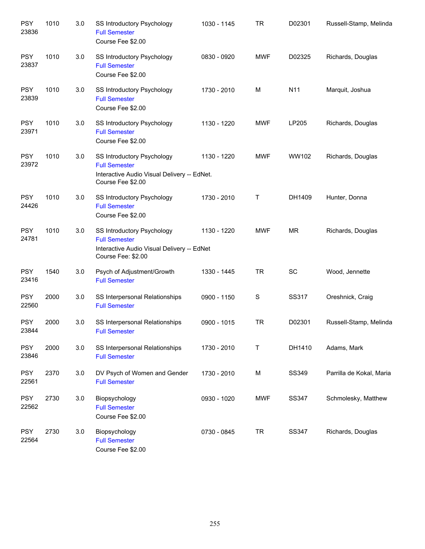| <b>PSY</b><br>23836 | 1010 | 3.0 | SS Introductory Psychology<br><b>Full Semester</b><br>Course Fee \$2.00                                                       | 1030 - 1145 | <b>TR</b>  | D02301    | Russell-Stamp, Melinda   |
|---------------------|------|-----|-------------------------------------------------------------------------------------------------------------------------------|-------------|------------|-----------|--------------------------|
| <b>PSY</b><br>23837 | 1010 | 3.0 | <b>SS Introductory Psychology</b><br><b>Full Semester</b><br>Course Fee \$2.00                                                | 0830 - 0920 | <b>MWF</b> | D02325    | Richards, Douglas        |
| <b>PSY</b><br>23839 | 1010 | 3.0 | <b>SS Introductory Psychology</b><br><b>Full Semester</b><br>Course Fee \$2.00                                                | 1730 - 2010 | M          | N11       | Marquit, Joshua          |
| <b>PSY</b><br>23971 | 1010 | 3.0 | <b>SS Introductory Psychology</b><br><b>Full Semester</b><br>Course Fee \$2.00                                                | 1130 - 1220 | <b>MWF</b> | LP205     | Richards, Douglas        |
| <b>PSY</b><br>23972 | 1010 | 3.0 | <b>SS Introductory Psychology</b><br><b>Full Semester</b><br>Interactive Audio Visual Delivery -- EdNet.<br>Course Fee \$2.00 | 1130 - 1220 | <b>MWF</b> | WW102     | Richards, Douglas        |
| <b>PSY</b><br>24426 | 1010 | 3.0 | SS Introductory Psychology<br><b>Full Semester</b><br>Course Fee \$2.00                                                       | 1730 - 2010 | Т          | DH1409    | Hunter, Donna            |
| <b>PSY</b><br>24781 | 1010 | 3.0 | SS Introductory Psychology<br><b>Full Semester</b><br>Interactive Audio Visual Delivery -- EdNet<br>Course Fee: \$2.00        | 1130 - 1220 | <b>MWF</b> | <b>MR</b> | Richards, Douglas        |
| <b>PSY</b><br>23416 | 1540 | 3.0 | Psych of Adjustment/Growth<br><b>Full Semester</b>                                                                            | 1330 - 1445 | <b>TR</b>  | SC        | Wood, Jennette           |
| <b>PSY</b><br>22560 | 2000 | 3.0 | SS Interpersonal Relationships<br><b>Full Semester</b>                                                                        | 0900 - 1150 | S          | SS317     | Oreshnick, Craig         |
| <b>PSY</b><br>23844 | 2000 | 3.0 | SS Interpersonal Relationships<br><b>Full Semester</b>                                                                        | 0900 - 1015 | <b>TR</b>  | D02301    | Russell-Stamp, Melinda   |
| <b>PSY</b><br>23846 | 2000 | 3.0 | SS Interpersonal Relationships<br><b>Full Semester</b>                                                                        | 1730 - 2010 | $\sf T$    | DH1410    | Adams, Mark              |
| <b>PSY</b><br>22561 | 2370 | 3.0 | DV Psych of Women and Gender<br><b>Full Semester</b>                                                                          | 1730 - 2010 | M          | SS349     | Parrilla de Kokal, Maria |
| <b>PSY</b><br>22562 | 2730 | 3.0 | Biopsychology<br><b>Full Semester</b><br>Course Fee \$2.00                                                                    | 0930 - 1020 | <b>MWF</b> | SS347     | Schmolesky, Matthew      |
| <b>PSY</b><br>22564 | 2730 | 3.0 | Biopsychology<br><b>Full Semester</b><br>Course Fee \$2.00                                                                    | 0730 - 0845 | <b>TR</b>  | SS347     | Richards, Douglas        |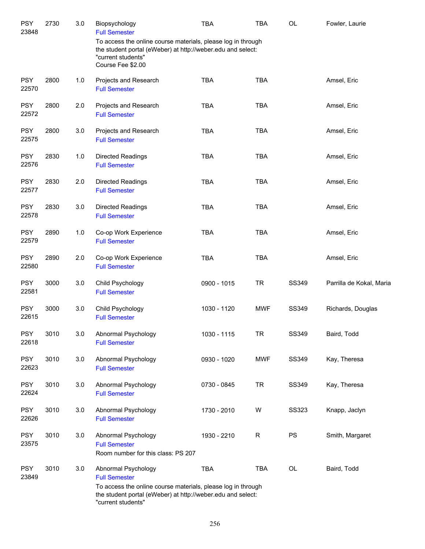| <b>PSY</b><br>23848 | 2730 | 3.0     | Biopsychology<br><b>Full Semester</b>                                                                                                                                                            | <b>TBA</b>  | <b>TBA</b> | OL           | Fowler, Laurie           |
|---------------------|------|---------|--------------------------------------------------------------------------------------------------------------------------------------------------------------------------------------------------|-------------|------------|--------------|--------------------------|
|                     |      |         | To access the online course materials, please log in through<br>the student portal (eWeber) at http://weber.edu and select:<br>"current students"<br>Course Fee \$2.00                           |             |            |              |                          |
| <b>PSY</b><br>22570 | 2800 | 1.0     | Projects and Research<br><b>Full Semester</b>                                                                                                                                                    | <b>TBA</b>  | <b>TBA</b> |              | Amsel, Eric              |
| <b>PSY</b><br>22572 | 2800 | 2.0     | Projects and Research<br><b>Full Semester</b>                                                                                                                                                    | <b>TBA</b>  | <b>TBA</b> |              | Amsel, Eric              |
| <b>PSY</b><br>22575 | 2800 | 3.0     | Projects and Research<br><b>Full Semester</b>                                                                                                                                                    | <b>TBA</b>  | <b>TBA</b> |              | Amsel, Eric              |
| <b>PSY</b><br>22576 | 2830 | 1.0     | <b>Directed Readings</b><br><b>Full Semester</b>                                                                                                                                                 | <b>TBA</b>  | <b>TBA</b> |              | Amsel, Eric              |
| <b>PSY</b><br>22577 | 2830 | 2.0     | <b>Directed Readings</b><br><b>Full Semester</b>                                                                                                                                                 | <b>TBA</b>  | <b>TBA</b> |              | Amsel, Eric              |
| <b>PSY</b><br>22578 | 2830 | 3.0     | <b>Directed Readings</b><br><b>Full Semester</b>                                                                                                                                                 | <b>TBA</b>  | <b>TBA</b> |              | Amsel, Eric              |
| <b>PSY</b><br>22579 | 2890 | 1.0     | Co-op Work Experience<br><b>Full Semester</b>                                                                                                                                                    | <b>TBA</b>  | <b>TBA</b> |              | Amsel, Eric              |
| <b>PSY</b><br>22580 | 2890 | 2.0     | Co-op Work Experience<br><b>Full Semester</b>                                                                                                                                                    | <b>TBA</b>  | <b>TBA</b> |              | Amsel, Eric              |
| <b>PSY</b><br>22581 | 3000 | 3.0     | Child Psychology<br><b>Full Semester</b>                                                                                                                                                         | 0900 - 1015 | <b>TR</b>  | SS349        | Parrilla de Kokal, Maria |
| <b>PSY</b><br>22615 | 3000 | 3.0     | Child Psychology<br><b>Full Semester</b>                                                                                                                                                         | 1030 - 1120 | <b>MWF</b> | SS349        | Richards, Douglas        |
| <b>PSY</b><br>22618 | 3010 | $3.0\,$ | Abnormal Psychology<br><b>Full Semester</b>                                                                                                                                                      | 1030 - 1115 | TR         | SS349        | Baird, Todd              |
| <b>PSY</b><br>22623 | 3010 | 3.0     | Abnormal Psychology<br><b>Full Semester</b>                                                                                                                                                      | 0930 - 1020 | <b>MWF</b> | SS349        | Kay, Theresa             |
| <b>PSY</b><br>22624 | 3010 | 3.0     | Abnormal Psychology<br><b>Full Semester</b>                                                                                                                                                      | 0730 - 0845 | <b>TR</b>  | SS349        | Kay, Theresa             |
| <b>PSY</b><br>22626 | 3010 | 3.0     | Abnormal Psychology<br><b>Full Semester</b>                                                                                                                                                      | 1730 - 2010 | W          | <b>SS323</b> | Knapp, Jaclyn            |
| <b>PSY</b><br>23575 | 3010 | 3.0     | Abnormal Psychology<br><b>Full Semester</b><br>Room number for this class: PS 207                                                                                                                | 1930 - 2210 | ${\sf R}$  | <b>PS</b>    | Smith, Margaret          |
| <b>PSY</b><br>23849 | 3010 | 3.0     | Abnormal Psychology<br><b>Full Semester</b><br>To access the online course materials, please log in through<br>the student portal (eWeber) at http://weber.edu and select:<br>"current students" | <b>TBA</b>  | <b>TBA</b> | OL           | Baird, Todd              |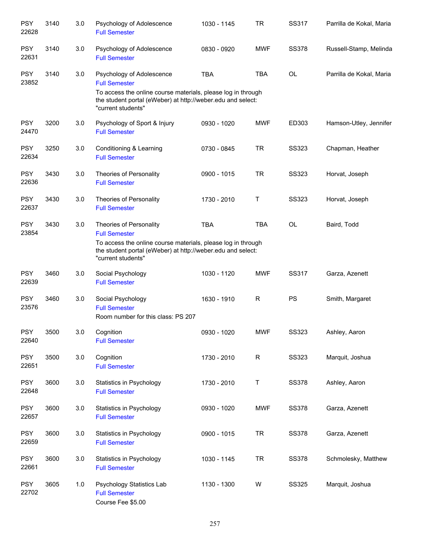| <b>PSY</b><br>22628 | 3140 | 3.0 | Psychology of Adolescence<br><b>Full Semester</b>                                                                                                                                                      | 1030 - 1145 | <b>TR</b>  | SS317        | Parrilla de Kokal, Maria |
|---------------------|------|-----|--------------------------------------------------------------------------------------------------------------------------------------------------------------------------------------------------------|-------------|------------|--------------|--------------------------|
| <b>PSY</b><br>22631 | 3140 | 3.0 | Psychology of Adolescence<br><b>Full Semester</b>                                                                                                                                                      | 0830 - 0920 | <b>MWF</b> | <b>SS378</b> | Russell-Stamp, Melinda   |
| <b>PSY</b><br>23852 | 3140 | 3.0 | Psychology of Adolescence<br><b>Full Semester</b><br>To access the online course materials, please log in through<br>the student portal (eWeber) at http://weber.edu and select:<br>"current students" | <b>TBA</b>  | <b>TBA</b> | OL           | Parrilla de Kokal, Maria |
| <b>PSY</b><br>24470 | 3200 | 3.0 | Psychology of Sport & Injury<br><b>Full Semester</b>                                                                                                                                                   | 0930 - 1020 | <b>MWF</b> | ED303        | Hamson-Utley, Jennifer   |
| <b>PSY</b><br>22634 | 3250 | 3.0 | Conditioning & Learning<br><b>Full Semester</b>                                                                                                                                                        | 0730 - 0845 | <b>TR</b>  | <b>SS323</b> | Chapman, Heather         |
| <b>PSY</b><br>22636 | 3430 | 3.0 | Theories of Personality<br><b>Full Semester</b>                                                                                                                                                        | 0900 - 1015 | <b>TR</b>  | <b>SS323</b> | Horvat, Joseph           |
| <b>PSY</b><br>22637 | 3430 | 3.0 | Theories of Personality<br><b>Full Semester</b>                                                                                                                                                        | 1730 - 2010 | T          | <b>SS323</b> | Horvat, Joseph           |
| <b>PSY</b><br>23854 | 3430 | 3.0 | Theories of Personality<br><b>Full Semester</b><br>To access the online course materials, please log in through<br>the student portal (eWeber) at http://weber.edu and select:<br>"current students"   | <b>TBA</b>  | <b>TBA</b> | OL           | Baird, Todd              |
| <b>PSY</b><br>22639 | 3460 | 3.0 | Social Psychology<br><b>Full Semester</b>                                                                                                                                                              | 1030 - 1120 | <b>MWF</b> | SS317        | Garza, Azenett           |
| <b>PSY</b><br>23576 | 3460 | 3.0 | Social Psychology<br><b>Full Semester</b><br>Room number for this class: PS 207                                                                                                                        | 1630 - 1910 | R          | PS           | Smith, Margaret          |
| <b>PSY</b><br>22640 | 3500 | 3.0 | Cognition<br><b>Full Semester</b>                                                                                                                                                                      | 0930 - 1020 | <b>MWF</b> | <b>SS323</b> | Ashley, Aaron            |
| <b>PSY</b><br>22651 | 3500 | 3.0 | Cognition<br><b>Full Semester</b>                                                                                                                                                                      | 1730 - 2010 | R          | <b>SS323</b> | Marquit, Joshua          |
| <b>PSY</b><br>22648 | 3600 | 3.0 | Statistics in Psychology<br><b>Full Semester</b>                                                                                                                                                       | 1730 - 2010 | Τ          | <b>SS378</b> | Ashley, Aaron            |
| <b>PSY</b><br>22657 | 3600 | 3.0 | Statistics in Psychology<br><b>Full Semester</b>                                                                                                                                                       | 0930 - 1020 | <b>MWF</b> | <b>SS378</b> | Garza, Azenett           |
| <b>PSY</b><br>22659 | 3600 | 3.0 | Statistics in Psychology<br><b>Full Semester</b>                                                                                                                                                       | 0900 - 1015 | <b>TR</b>  | <b>SS378</b> | Garza, Azenett           |
| <b>PSY</b><br>22661 | 3600 | 3.0 | Statistics in Psychology<br><b>Full Semester</b>                                                                                                                                                       | 1030 - 1145 | <b>TR</b>  | <b>SS378</b> | Schmolesky, Matthew      |
| <b>PSY</b><br>22702 | 3605 | 1.0 | Psychology Statistics Lab<br><b>Full Semester</b><br>Course Fee \$5.00                                                                                                                                 | 1130 - 1300 | W          | <b>SS325</b> | Marquit, Joshua          |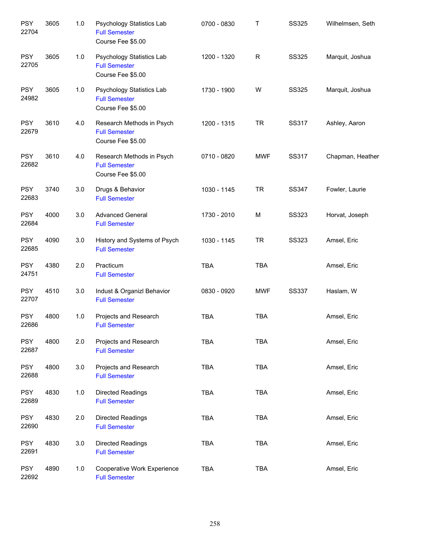| <b>PSY</b><br>22704 | 3605 | 1.0   | Psychology Statistics Lab<br><b>Full Semester</b><br>Course Fee \$5.00 | 0700 - 0830 | $\sf T$     | <b>SS325</b> | Wilhelmsen, Seth |
|---------------------|------|-------|------------------------------------------------------------------------|-------------|-------------|--------------|------------------|
| <b>PSY</b><br>22705 | 3605 | 1.0   | Psychology Statistics Lab<br><b>Full Semester</b><br>Course Fee \$5.00 | 1200 - 1320 | $\mathsf R$ | <b>SS325</b> | Marquit, Joshua  |
| <b>PSY</b><br>24982 | 3605 | 1.0   | Psychology Statistics Lab<br><b>Full Semester</b><br>Course Fee \$5.00 | 1730 - 1900 | W           | <b>SS325</b> | Marquit, Joshua  |
| <b>PSY</b><br>22679 | 3610 | 4.0   | Research Methods in Psych<br><b>Full Semester</b><br>Course Fee \$5.00 | 1200 - 1315 | <b>TR</b>   | SS317        | Ashley, Aaron    |
| <b>PSY</b><br>22682 | 3610 | 4.0   | Research Methods in Psych<br><b>Full Semester</b><br>Course Fee \$5.00 | 0710 - 0820 | <b>MWF</b>  | <b>SS317</b> | Chapman, Heather |
| <b>PSY</b><br>22683 | 3740 | 3.0   | Drugs & Behavior<br><b>Full Semester</b>                               | 1030 - 1145 | <b>TR</b>   | SS347        | Fowler, Laurie   |
| <b>PSY</b><br>22684 | 4000 | 3.0   | <b>Advanced General</b><br><b>Full Semester</b>                        | 1730 - 2010 | M           | <b>SS323</b> | Horvat, Joseph   |
| <b>PSY</b><br>22685 | 4090 | 3.0   | History and Systems of Psych<br><b>Full Semester</b>                   | 1030 - 1145 | <b>TR</b>   | <b>SS323</b> | Amsel, Eric      |
| <b>PSY</b><br>24751 | 4380 | 2.0   | Practicum<br><b>Full Semester</b>                                      | <b>TBA</b>  | <b>TBA</b>  |              | Amsel, Eric      |
| <b>PSY</b><br>22707 | 4510 | 3.0   | Indust & Organizl Behavior<br><b>Full Semester</b>                     | 0830 - 0920 | <b>MWF</b>  | <b>SS337</b> | Haslam, W        |
| <b>PSY</b><br>22686 | 4800 | $1.0$ | Projects and Research<br><b>Full Semester</b>                          | <b>TBA</b>  | <b>TBA</b>  |              | Amsel, Eric      |
| <b>PSY</b><br>22687 | 4800 | 2.0   | Projects and Research<br><b>Full Semester</b>                          | <b>TBA</b>  | <b>TBA</b>  |              | Amsel, Eric      |
| <b>PSY</b><br>22688 | 4800 | 3.0   | Projects and Research<br><b>Full Semester</b>                          | <b>TBA</b>  | <b>TBA</b>  |              | Amsel, Eric      |
| <b>PSY</b><br>22689 | 4830 | 1.0   | <b>Directed Readings</b><br><b>Full Semester</b>                       | TBA         | <b>TBA</b>  |              | Amsel, Eric      |
| <b>PSY</b><br>22690 | 4830 | 2.0   | Directed Readings<br><b>Full Semester</b>                              | <b>TBA</b>  | <b>TBA</b>  |              | Amsel, Eric      |
| <b>PSY</b><br>22691 | 4830 | 3.0   | <b>Directed Readings</b><br><b>Full Semester</b>                       | <b>TBA</b>  | <b>TBA</b>  |              | Amsel, Eric      |
| <b>PSY</b><br>22692 | 4890 | 1.0   | Cooperative Work Experience<br><b>Full Semester</b>                    | <b>TBA</b>  | <b>TBA</b>  |              | Amsel, Eric      |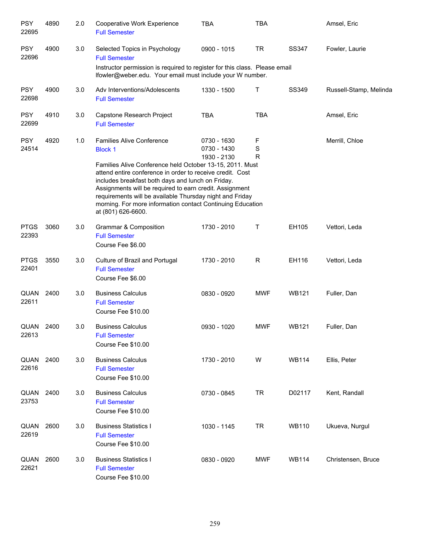| <b>PSY</b><br>22695  | 4890 | 2.0 | Cooperative Work Experience<br><b>Full Semester</b>                                                                                                                                                                                                                                                                                                                                                                                         | <b>TBA</b>                                | <b>TBA</b>            |              | Amsel, Eric            |
|----------------------|------|-----|---------------------------------------------------------------------------------------------------------------------------------------------------------------------------------------------------------------------------------------------------------------------------------------------------------------------------------------------------------------------------------------------------------------------------------------------|-------------------------------------------|-----------------------|--------------|------------------------|
| <b>PSY</b><br>22696  | 4900 | 3.0 | Selected Topics in Psychology<br><b>Full Semester</b>                                                                                                                                                                                                                                                                                                                                                                                       | 0900 - 1015                               | <b>TR</b>             | <b>SS347</b> | Fowler, Laurie         |
|                      |      |     | Instructor permission is required to register for this class. Please email<br>lfowler@weber.edu. Your email must include your W number.                                                                                                                                                                                                                                                                                                     |                                           |                       |              |                        |
| <b>PSY</b><br>22698  | 4900 | 3.0 | Adv Interventions/Adolescents<br><b>Full Semester</b>                                                                                                                                                                                                                                                                                                                                                                                       | 1330 - 1500                               | Τ                     | SS349        | Russell-Stamp, Melinda |
| <b>PSY</b><br>22699  | 4910 | 3.0 | Capstone Research Project<br><b>Full Semester</b>                                                                                                                                                                                                                                                                                                                                                                                           | <b>TBA</b>                                | <b>TBA</b>            |              | Amsel, Eric            |
| <b>PSY</b><br>24514  | 4920 | 1.0 | <b>Families Alive Conference</b><br><b>Block 1</b><br>Families Alive Conference held October 13-15, 2011. Must<br>attend entire conference in order to receive credit. Cost<br>includes breakfast both days and lunch on Friday.<br>Assignments will be required to earn credit. Assignment<br>requirements will be available Thursday night and Friday<br>morning. For more information contact Continuing Education<br>at (801) 626-6600. | 0730 - 1630<br>0730 - 1430<br>1930 - 2130 | F<br>S<br>$\mathsf R$ |              | Merrill, Chloe         |
| <b>PTGS</b><br>22393 | 3060 | 3.0 | <b>Grammar &amp; Composition</b><br><b>Full Semester</b><br>Course Fee \$6.00                                                                                                                                                                                                                                                                                                                                                               | 1730 - 2010                               | Τ                     | EH105        | Vettori, Leda          |
| <b>PTGS</b><br>22401 | 3550 | 3.0 | Culture of Brazil and Portugal<br><b>Full Semester</b><br>Course Fee \$6.00                                                                                                                                                                                                                                                                                                                                                                 | 1730 - 2010                               | $\mathsf R$           | EH116        | Vettori, Leda          |
| QUAN<br>22611        | 2400 | 3.0 | <b>Business Calculus</b><br><b>Full Semester</b><br>Course Fee \$10.00                                                                                                                                                                                                                                                                                                                                                                      | 0830 - 0920                               | <b>MWF</b>            | <b>WB121</b> | Fuller, Dan            |
| QUAN<br>22613        | 2400 | 3.0 | <b>Business Calculus</b><br><b>Full Semester</b><br>Course Fee \$10.00                                                                                                                                                                                                                                                                                                                                                                      | 0930 - 1020                               | <b>MWF</b>            | <b>WB121</b> | Fuller, Dan            |
| QUAN<br>22616        | 2400 | 3.0 | <b>Business Calculus</b><br><b>Full Semester</b><br>Course Fee \$10.00                                                                                                                                                                                                                                                                                                                                                                      | 1730 - 2010                               | W                     | <b>WB114</b> | Ellis, Peter           |
| QUAN<br>23753        | 2400 | 3.0 | <b>Business Calculus</b><br><b>Full Semester</b><br>Course Fee \$10.00                                                                                                                                                                                                                                                                                                                                                                      | 0730 - 0845                               | <b>TR</b>             | D02117       | Kent, Randall          |
| QUAN<br>22619        | 2600 | 3.0 | <b>Business Statistics I</b><br><b>Full Semester</b><br>Course Fee \$10.00                                                                                                                                                                                                                                                                                                                                                                  | 1030 - 1145                               | <b>TR</b>             | <b>WB110</b> | Ukueva, Nurgul         |
| QUAN<br>22621        | 2600 | 3.0 | <b>Business Statistics I</b><br><b>Full Semester</b><br>Course Fee \$10.00                                                                                                                                                                                                                                                                                                                                                                  | 0830 - 0920                               | <b>MWF</b>            | <b>WB114</b> | Christensen, Bruce     |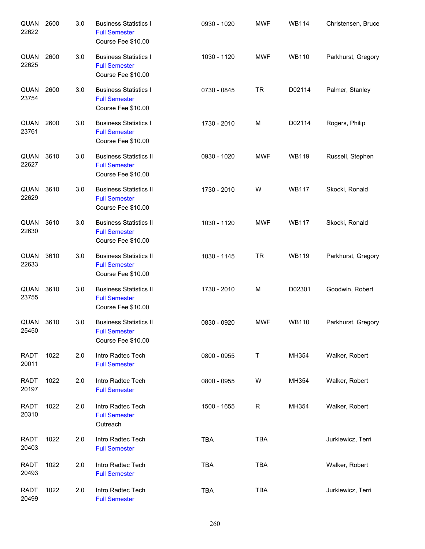| QUAN<br>22622        | 2600 | 3.0 | <b>Business Statistics I</b><br><b>Full Semester</b><br>Course Fee \$10.00  | 0930 - 1020 | <b>MWF</b>   | <b>WB114</b> | Christensen, Bruce |
|----------------------|------|-----|-----------------------------------------------------------------------------|-------------|--------------|--------------|--------------------|
| QUAN<br>22625        | 2600 | 3.0 | <b>Business Statistics I</b><br><b>Full Semester</b><br>Course Fee \$10.00  | 1030 - 1120 | <b>MWF</b>   | <b>WB110</b> | Parkhurst, Gregory |
| QUAN<br>23754        | 2600 | 3.0 | <b>Business Statistics I</b><br><b>Full Semester</b><br>Course Fee \$10.00  | 0730 - 0845 | <b>TR</b>    | D02114       | Palmer, Stanley    |
| QUAN<br>23761        | 2600 | 3.0 | <b>Business Statistics I</b><br><b>Full Semester</b><br>Course Fee \$10.00  | 1730 - 2010 | M            | D02114       | Rogers, Philip     |
| QUAN<br>22627        | 3610 | 3.0 | <b>Business Statistics II</b><br><b>Full Semester</b><br>Course Fee \$10.00 | 0930 - 1020 | <b>MWF</b>   | <b>WB119</b> | Russell, Stephen   |
| QUAN<br>22629        | 3610 | 3.0 | <b>Business Statistics II</b><br><b>Full Semester</b><br>Course Fee \$10.00 | 1730 - 2010 | W            | <b>WB117</b> | Skocki, Ronald     |
| QUAN<br>22630        | 3610 | 3.0 | <b>Business Statistics II</b><br><b>Full Semester</b><br>Course Fee \$10.00 | 1030 - 1120 | <b>MWF</b>   | <b>WB117</b> | Skocki, Ronald     |
| QUAN<br>22633        | 3610 | 3.0 | <b>Business Statistics II</b><br><b>Full Semester</b><br>Course Fee \$10.00 | 1030 - 1145 | <b>TR</b>    | <b>WB119</b> | Parkhurst, Gregory |
| QUAN<br>23755        | 3610 | 3.0 | <b>Business Statistics II</b><br><b>Full Semester</b><br>Course Fee \$10.00 | 1730 - 2010 | M            | D02301       | Goodwin, Robert    |
| QUAN<br>25450        | 3610 | 3.0 | <b>Business Statistics II</b><br><b>Full Semester</b><br>Course Fee \$10.00 | 0830 - 0920 | <b>MWF</b>   | <b>WB110</b> | Parkhurst, Gregory |
| <b>RADT</b><br>20011 | 1022 | 2.0 | Intro Radtec Tech<br><b>Full Semester</b>                                   | 0800 - 0955 | T            | MH354        | Walker, Robert     |
| <b>RADT</b><br>20197 | 1022 | 2.0 | Intro Radtec Tech<br><b>Full Semester</b>                                   | 0800 - 0955 | W            | MH354        | Walker, Robert     |
| <b>RADT</b><br>20310 | 1022 | 2.0 | Intro Radtec Tech<br><b>Full Semester</b><br>Outreach                       | 1500 - 1655 | $\mathsf{R}$ | MH354        | Walker, Robert     |
| <b>RADT</b><br>20403 | 1022 | 2.0 | Intro Radtec Tech<br><b>Full Semester</b>                                   | <b>TBA</b>  | <b>TBA</b>   |              | Jurkiewicz, Terri  |
| <b>RADT</b><br>20493 | 1022 | 2.0 | Intro Radtec Tech<br><b>Full Semester</b>                                   | <b>TBA</b>  | <b>TBA</b>   |              | Walker, Robert     |
| <b>RADT</b><br>20499 | 1022 | 2.0 | Intro Radtec Tech<br><b>Full Semester</b>                                   | TBA         | <b>TBA</b>   |              | Jurkiewicz, Terri  |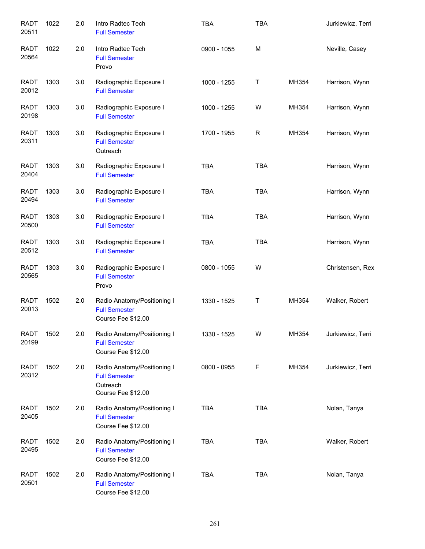| <b>RADT</b><br>20511 | 1022 | 2.0 | Intro Radtec Tech<br><b>Full Semester</b>                                             | <b>TBA</b>  | <b>TBA</b>  |       | Jurkiewicz, Terri |
|----------------------|------|-----|---------------------------------------------------------------------------------------|-------------|-------------|-------|-------------------|
| <b>RADT</b><br>20564 | 1022 | 2.0 | Intro Radtec Tech<br><b>Full Semester</b><br>Provo                                    | 0900 - 1055 | M           |       | Neville, Casey    |
| RADT<br>20012        | 1303 | 3.0 | Radiographic Exposure I<br><b>Full Semester</b>                                       | 1000 - 1255 | Τ           | MH354 | Harrison, Wynn    |
| <b>RADT</b><br>20198 | 1303 | 3.0 | Radiographic Exposure I<br><b>Full Semester</b>                                       | 1000 - 1255 | W           | MH354 | Harrison, Wynn    |
| <b>RADT</b><br>20311 | 1303 | 3.0 | Radiographic Exposure I<br><b>Full Semester</b><br>Outreach                           | 1700 - 1955 | $\mathsf R$ | MH354 | Harrison, Wynn    |
| <b>RADT</b><br>20404 | 1303 | 3.0 | Radiographic Exposure I<br><b>Full Semester</b>                                       | <b>TBA</b>  | <b>TBA</b>  |       | Harrison, Wynn    |
| <b>RADT</b><br>20494 | 1303 | 3.0 | Radiographic Exposure I<br><b>Full Semester</b>                                       | <b>TBA</b>  | <b>TBA</b>  |       | Harrison, Wynn    |
| <b>RADT</b><br>20500 | 1303 | 3.0 | Radiographic Exposure I<br><b>Full Semester</b>                                       | <b>TBA</b>  | <b>TBA</b>  |       | Harrison, Wynn    |
| <b>RADT</b><br>20512 | 1303 | 3.0 | Radiographic Exposure I<br><b>Full Semester</b>                                       | <b>TBA</b>  | <b>TBA</b>  |       | Harrison, Wynn    |
| <b>RADT</b><br>20565 | 1303 | 3.0 | Radiographic Exposure I<br><b>Full Semester</b><br>Provo                              | 0800 - 1055 | W           |       | Christensen, Rex  |
| <b>RADT</b><br>20013 | 1502 | 2.0 | Radio Anatomy/Positioning I<br><b>Full Semester</b><br>Course Fee \$12.00             | 1330 - 1525 | Τ           | MH354 | Walker, Robert    |
| <b>RADT</b><br>20199 | 1502 | 2.0 | Radio Anatomy/Positioning I<br><b>Full Semester</b><br>Course Fee \$12.00             | 1330 - 1525 | W           | MH354 | Jurkiewicz, Terri |
| <b>RADT</b><br>20312 | 1502 | 2.0 | Radio Anatomy/Positioning I<br><b>Full Semester</b><br>Outreach<br>Course Fee \$12.00 | 0800 - 0955 | F           | MH354 | Jurkiewicz, Terri |
| <b>RADT</b><br>20405 | 1502 | 2.0 | Radio Anatomy/Positioning I<br><b>Full Semester</b><br>Course Fee \$12.00             | <b>TBA</b>  | <b>TBA</b>  |       | Nolan, Tanya      |
| <b>RADT</b><br>20495 | 1502 | 2.0 | Radio Anatomy/Positioning I<br><b>Full Semester</b><br>Course Fee \$12.00             | <b>TBA</b>  | <b>TBA</b>  |       | Walker, Robert    |
| <b>RADT</b><br>20501 | 1502 | 2.0 | Radio Anatomy/Positioning I<br><b>Full Semester</b><br>Course Fee \$12.00             | <b>TBA</b>  | <b>TBA</b>  |       | Nolan, Tanya      |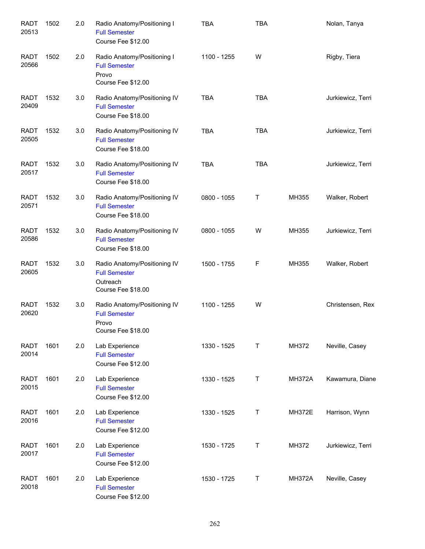| <b>RADT</b><br>20513 | 1502 | 2.0 | Radio Anatomy/Positioning I<br><b>Full Semester</b><br>Course Fee \$12.00              | <b>TBA</b>  | <b>TBA</b> |               | Nolan, Tanya      |
|----------------------|------|-----|----------------------------------------------------------------------------------------|-------------|------------|---------------|-------------------|
| <b>RADT</b><br>20566 | 1502 | 2.0 | Radio Anatomy/Positioning I<br><b>Full Semester</b><br>Provo<br>Course Fee \$12.00     | 1100 - 1255 | W          |               | Rigby, Tiera      |
| <b>RADT</b><br>20409 | 1532 | 3.0 | Radio Anatomy/Positioning IV<br><b>Full Semester</b><br>Course Fee \$18.00             | <b>TBA</b>  | <b>TBA</b> |               | Jurkiewicz, Terri |
| <b>RADT</b><br>20505 | 1532 | 3.0 | Radio Anatomy/Positioning IV<br><b>Full Semester</b><br>Course Fee \$18.00             | <b>TBA</b>  | <b>TBA</b> |               | Jurkiewicz, Terri |
| <b>RADT</b><br>20517 | 1532 | 3.0 | Radio Anatomy/Positioning IV<br><b>Full Semester</b><br>Course Fee \$18.00             | <b>TBA</b>  | <b>TBA</b> |               | Jurkiewicz, Terri |
| <b>RADT</b><br>20571 | 1532 | 3.0 | Radio Anatomy/Positioning IV<br><b>Full Semester</b><br>Course Fee \$18.00             | 0800 - 1055 | Τ          | MH355         | Walker, Robert    |
| <b>RADT</b><br>20586 | 1532 | 3.0 | Radio Anatomy/Positioning IV<br><b>Full Semester</b><br>Course Fee \$18.00             | 0800 - 1055 | W          | MH355         | Jurkiewicz, Terri |
| <b>RADT</b><br>20605 | 1532 | 3.0 | Radio Anatomy/Positioning IV<br><b>Full Semester</b><br>Outreach<br>Course Fee \$18.00 | 1500 - 1755 | F          | MH355         | Walker, Robert    |
| <b>RADT</b><br>20620 | 1532 | 3.0 | Radio Anatomy/Positioning IV<br><b>Full Semester</b><br>Provo<br>Course Fee \$18.00    | 1100 - 1255 | W          |               | Christensen, Rex  |
| <b>RADT</b><br>20014 | 1601 | 2.0 | Lab Experience<br><b>Full Semester</b><br>Course Fee \$12.00                           | 1330 - 1525 | Т          | MH372         | Neville, Casey    |
| <b>RADT</b><br>20015 | 1601 | 2.0 | Lab Experience<br><b>Full Semester</b><br>Course Fee \$12.00                           | 1330 - 1525 | Т          | <b>MH372A</b> | Kawamura, Diane   |
| <b>RADT</b><br>20016 | 1601 | 2.0 | Lab Experience<br><b>Full Semester</b><br>Course Fee \$12.00                           | 1330 - 1525 | Т          | <b>MH372E</b> | Harrison, Wynn    |
| <b>RADT</b><br>20017 | 1601 | 2.0 | Lab Experience<br><b>Full Semester</b><br>Course Fee \$12.00                           | 1530 - 1725 | Т          | MH372         | Jurkiewicz, Terri |
| <b>RADT</b><br>20018 | 1601 | 2.0 | Lab Experience<br><b>Full Semester</b><br>Course Fee \$12.00                           | 1530 - 1725 | Т          | <b>MH372A</b> | Neville, Casey    |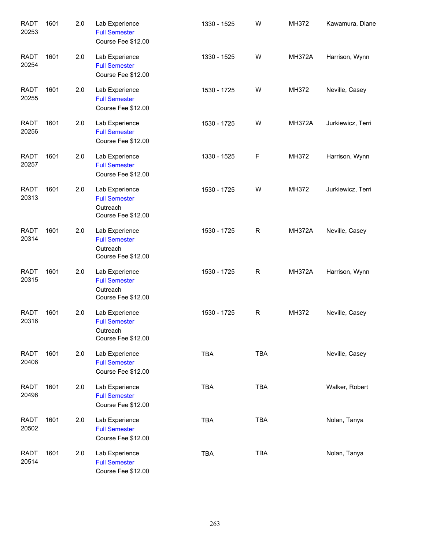| <b>RADT</b><br>20253 | 1601 | 2.0 | Lab Experience<br><b>Full Semester</b><br>Course Fee \$12.00             | 1330 - 1525 | W            | MH372         | Kawamura, Diane   |
|----------------------|------|-----|--------------------------------------------------------------------------|-------------|--------------|---------------|-------------------|
| <b>RADT</b><br>20254 | 1601 | 2.0 | Lab Experience<br><b>Full Semester</b><br>Course Fee \$12.00             | 1330 - 1525 | W            | <b>MH372A</b> | Harrison, Wynn    |
| <b>RADT</b><br>20255 | 1601 | 2.0 | Lab Experience<br><b>Full Semester</b><br>Course Fee \$12.00             | 1530 - 1725 | W            | MH372         | Neville, Casey    |
| <b>RADT</b><br>20256 | 1601 | 2.0 | Lab Experience<br><b>Full Semester</b><br>Course Fee \$12.00             | 1530 - 1725 | W            | <b>MH372A</b> | Jurkiewicz, Terri |
| <b>RADT</b><br>20257 | 1601 | 2.0 | Lab Experience<br><b>Full Semester</b><br>Course Fee \$12.00             | 1330 - 1525 | F            | MH372         | Harrison, Wynn    |
| <b>RADT</b><br>20313 | 1601 | 2.0 | Lab Experience<br><b>Full Semester</b><br>Outreach<br>Course Fee \$12.00 | 1530 - 1725 | W            | MH372         | Jurkiewicz, Terri |
| <b>RADT</b><br>20314 | 1601 | 2.0 | Lab Experience<br><b>Full Semester</b><br>Outreach<br>Course Fee \$12.00 | 1530 - 1725 | $\mathsf R$  | <b>MH372A</b> | Neville, Casey    |
| <b>RADT</b><br>20315 | 1601 | 2.0 | Lab Experience<br><b>Full Semester</b><br>Outreach<br>Course Fee \$12.00 | 1530 - 1725 | $\mathsf R$  | <b>MH372A</b> | Harrison, Wynn    |
| <b>RADT</b><br>20316 | 1601 | 2.0 | Lab Experience<br><b>Full Semester</b><br>Outreach<br>Course Fee \$12.00 | 1530 - 1725 | $\mathsf{R}$ | MH372         | Neville, Casey    |
| <b>RADT</b><br>20406 | 1601 | 2.0 | Lab Experience<br><b>Full Semester</b><br>Course Fee \$12.00             | <b>TBA</b>  | <b>TBA</b>   |               | Neville, Casey    |
| <b>RADT</b><br>20496 | 1601 | 2.0 | Lab Experience<br><b>Full Semester</b><br>Course Fee \$12.00             | TBA         | <b>TBA</b>   |               | Walker, Robert    |
| <b>RADT</b><br>20502 | 1601 | 2.0 | Lab Experience<br><b>Full Semester</b><br>Course Fee \$12.00             | TBA         | <b>TBA</b>   |               | Nolan, Tanya      |
| <b>RADT</b><br>20514 | 1601 | 2.0 | Lab Experience<br><b>Full Semester</b><br>Course Fee \$12.00             | <b>TBA</b>  | <b>TBA</b>   |               | Nolan, Tanya      |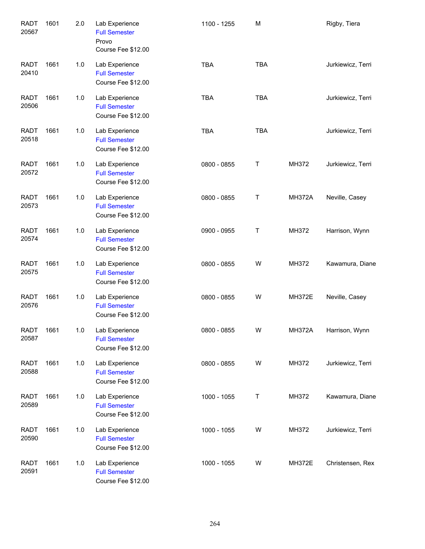| <b>RADT</b><br>20567 | 1601 | 2.0 | Lab Experience<br><b>Full Semester</b><br>Provo<br>Course Fee \$12.00 | 1100 - 1255 | M          |               | Rigby, Tiera          |
|----------------------|------|-----|-----------------------------------------------------------------------|-------------|------------|---------------|-----------------------|
| <b>RADT</b><br>20410 | 1661 | 1.0 | Lab Experience<br><b>Full Semester</b><br>Course Fee \$12.00          | <b>TBA</b>  | <b>TBA</b> |               | Jurkiewicz, Terri     |
| <b>RADT</b><br>20506 | 1661 | 1.0 | Lab Experience<br><b>Full Semester</b><br>Course Fee \$12.00          | <b>TBA</b>  | <b>TBA</b> |               | Jurkiewicz, Terri     |
| <b>RADT</b><br>20518 | 1661 | 1.0 | Lab Experience<br><b>Full Semester</b><br>Course Fee \$12.00          | <b>TBA</b>  | <b>TBA</b> |               | Jurkiewicz, Terri     |
| <b>RADT</b><br>20572 | 1661 | 1.0 | Lab Experience<br><b>Full Semester</b><br>Course Fee \$12.00          | 0800 - 0855 | Τ          | MH372         | Jurkiewicz, Terri     |
| <b>RADT</b><br>20573 | 1661 | 1.0 | Lab Experience<br><b>Full Semester</b><br>Course Fee \$12.00          | 0800 - 0855 | Т          | <b>MH372A</b> | Neville, Casey        |
| <b>RADT</b><br>20574 | 1661 | 1.0 | Lab Experience<br><b>Full Semester</b><br>Course Fee \$12.00          | 0900 - 0955 | Τ          | MH372         | Harrison, Wynn        |
| <b>RADT</b><br>20575 | 1661 | 1.0 | Lab Experience<br><b>Full Semester</b><br>Course Fee \$12.00          | 0800 - 0855 | W          | MH372         | Kawamura, Diane       |
| <b>RADT</b><br>20576 | 1661 | 1.0 | Lab Experience<br><b>Full Semester</b><br>Course Fee \$12.00          | 0800 - 0855 | W          | <b>MH372E</b> | Neville, Casey        |
| <b>RADT</b><br>20587 | 1661 | 1.0 | Lab Experience<br><b>Full Semester</b><br>Course Fee \$12.00          | 0800 - 0855 | W          |               | MH372A Harrison, Wynn |
| <b>RADT</b><br>20588 | 1661 | 1.0 | Lab Experience<br><b>Full Semester</b><br>Course Fee \$12.00          | 0800 - 0855 | W          | MH372         | Jurkiewicz, Terri     |
| <b>RADT</b><br>20589 | 1661 | 1.0 | Lab Experience<br><b>Full Semester</b><br>Course Fee \$12.00          | 1000 - 1055 | T          | MH372         | Kawamura, Diane       |
| <b>RADT</b><br>20590 | 1661 | 1.0 | Lab Experience<br><b>Full Semester</b><br>Course Fee \$12.00          | 1000 - 1055 | W          | MH372         | Jurkiewicz, Terri     |
| <b>RADT</b><br>20591 | 1661 | 1.0 | Lab Experience<br><b>Full Semester</b><br>Course Fee \$12.00          | 1000 - 1055 | W          | <b>MH372E</b> | Christensen, Rex      |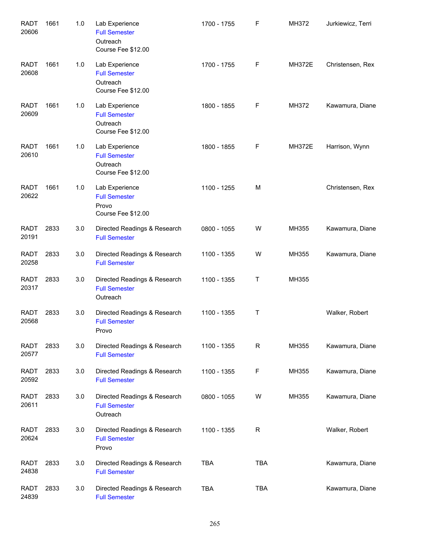| <b>RADT</b><br>20606 | 1661 | 1.0 | Lab Experience<br><b>Full Semester</b><br>Outreach<br>Course Fee \$12.00 | 1700 - 1755 | F           | MH372         | Jurkiewicz, Terri |
|----------------------|------|-----|--------------------------------------------------------------------------|-------------|-------------|---------------|-------------------|
| <b>RADT</b><br>20608 | 1661 | 1.0 | Lab Experience<br><b>Full Semester</b><br>Outreach<br>Course Fee \$12.00 | 1700 - 1755 | F           | <b>MH372E</b> | Christensen, Rex  |
| <b>RADT</b><br>20609 | 1661 | 1.0 | Lab Experience<br><b>Full Semester</b><br>Outreach<br>Course Fee \$12.00 | 1800 - 1855 | F           | MH372         | Kawamura, Diane   |
| <b>RADT</b><br>20610 | 1661 | 1.0 | Lab Experience<br><b>Full Semester</b><br>Outreach<br>Course Fee \$12.00 | 1800 - 1855 | F           | <b>MH372E</b> | Harrison, Wynn    |
| <b>RADT</b><br>20622 | 1661 | 1.0 | Lab Experience<br><b>Full Semester</b><br>Provo<br>Course Fee \$12.00    | 1100 - 1255 | M           |               | Christensen, Rex  |
| <b>RADT</b><br>20191 | 2833 | 3.0 | Directed Readings & Research<br><b>Full Semester</b>                     | 0800 - 1055 | W           | MH355         | Kawamura, Diane   |
| <b>RADT</b><br>20258 | 2833 | 3.0 | Directed Readings & Research<br><b>Full Semester</b>                     | 1100 - 1355 | W           | MH355         | Kawamura, Diane   |
| <b>RADT</b><br>20317 | 2833 | 3.0 | Directed Readings & Research<br><b>Full Semester</b><br>Outreach         | 1100 - 1355 | Τ           | MH355         |                   |
| <b>RADT</b><br>20568 | 2833 | 3.0 | Directed Readings & Research<br><b>Full Semester</b><br>Provo            | 1100 - 1355 | Τ           |               | Walker, Robert    |
| <b>RADT</b><br>20577 | 2833 | 3.0 | Directed Readings & Research<br><b>Full Semester</b>                     | 1100 - 1355 | $\mathsf R$ | MH355         | Kawamura, Diane   |
| RADT<br>20592        | 2833 | 3.0 | Directed Readings & Research<br><b>Full Semester</b>                     | 1100 - 1355 | F           | MH355         | Kawamura, Diane   |
| <b>RADT</b><br>20611 | 2833 | 3.0 | Directed Readings & Research<br><b>Full Semester</b><br>Outreach         | 0800 - 1055 | W           | MH355         | Kawamura, Diane   |
| <b>RADT</b><br>20624 | 2833 | 3.0 | Directed Readings & Research<br><b>Full Semester</b><br>Provo            | 1100 - 1355 | $\mathsf R$ |               | Walker, Robert    |
| <b>RADT</b><br>24838 | 2833 | 3.0 | Directed Readings & Research<br><b>Full Semester</b>                     | <b>TBA</b>  | <b>TBA</b>  |               | Kawamura, Diane   |
| <b>RADT</b><br>24839 | 2833 | 3.0 | Directed Readings & Research<br><b>Full Semester</b>                     | TBA         | <b>TBA</b>  |               | Kawamura, Diane   |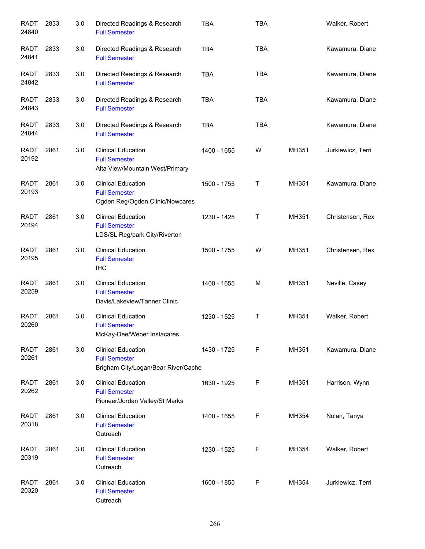| <b>RADT</b><br>24840 | 2833 | 3.0 | Directed Readings & Research<br><b>Full Semester</b>                                     | <b>TBA</b>  | <b>TBA</b> |       | Walker, Robert    |
|----------------------|------|-----|------------------------------------------------------------------------------------------|-------------|------------|-------|-------------------|
| <b>RADT</b><br>24841 | 2833 | 3.0 | Directed Readings & Research<br><b>Full Semester</b>                                     | <b>TBA</b>  | <b>TBA</b> |       | Kawamura, Diane   |
| <b>RADT</b><br>24842 | 2833 | 3.0 | Directed Readings & Research<br><b>Full Semester</b>                                     | <b>TBA</b>  | <b>TBA</b> |       | Kawamura, Diane   |
| <b>RADT</b><br>24843 | 2833 | 3.0 | Directed Readings & Research<br><b>Full Semester</b>                                     | <b>TBA</b>  | <b>TBA</b> |       | Kawamura, Diane   |
| <b>RADT</b><br>24844 | 2833 | 3.0 | Directed Readings & Research<br><b>Full Semester</b>                                     | <b>TBA</b>  | <b>TBA</b> |       | Kawamura, Diane   |
| <b>RADT</b><br>20192 | 2861 | 3.0 | <b>Clinical Education</b><br><b>Full Semester</b><br>Alta View/Mountain West/Primary     | 1400 - 1655 | W          | MH351 | Jurkiewicz, Terri |
| <b>RADT</b><br>20193 | 2861 | 3.0 | <b>Clinical Education</b><br><b>Full Semester</b><br>Ogden Reg/Ogden Clinic/Nowcares     | 1500 - 1755 | Τ          | MH351 | Kawamura, Diane   |
| <b>RADT</b><br>20194 | 2861 | 3.0 | <b>Clinical Education</b><br><b>Full Semester</b><br>LDS/SL Reg/park City/Riverton       | 1230 - 1425 | T.         | MH351 | Christensen, Rex  |
| <b>RADT</b><br>20195 | 2861 | 3.0 | <b>Clinical Education</b><br><b>Full Semester</b><br><b>IHC</b>                          | 1500 - 1755 | W          | MH351 | Christensen, Rex  |
| <b>RADT</b><br>20259 | 2861 | 3.0 | <b>Clinical Education</b><br><b>Full Semester</b><br>Davis/Lakeview/Tanner Clinic        | 1400 - 1655 | M          | MH351 | Neville, Casey    |
| <b>RADT</b><br>20260 | 2861 | 3.0 | <b>Clinical Education</b><br><b>Full Semester</b><br>McKay-Dee/Weber Instacares          | 1230 - 1525 | Т          | MH351 | Walker, Robert    |
| <b>RADT</b><br>20261 | 2861 | 3.0 | <b>Clinical Education</b><br><b>Full Semester</b><br>Brigham City/Logan/Bear River/Cache | 1430 - 1725 | F          | MH351 | Kawamura, Diane   |
| <b>RADT</b><br>20262 | 2861 | 3.0 | <b>Clinical Education</b><br><b>Full Semester</b><br>Pioneer/Jordan Valley/St Marks      | 1630 - 1925 | F          | MH351 | Harrison, Wynn    |
| <b>RADT</b><br>20318 | 2861 | 3.0 | <b>Clinical Education</b><br><b>Full Semester</b><br>Outreach                            | 1400 - 1655 | F          | MH354 | Nolan, Tanya      |
| <b>RADT</b><br>20319 | 2861 | 3.0 | <b>Clinical Education</b><br><b>Full Semester</b><br>Outreach                            | 1230 - 1525 | F          | MH354 | Walker, Robert    |
| <b>RADT</b><br>20320 | 2861 | 3.0 | <b>Clinical Education</b><br><b>Full Semester</b><br>Outreach                            | 1600 - 1855 | F          | MH354 | Jurkiewicz, Terri |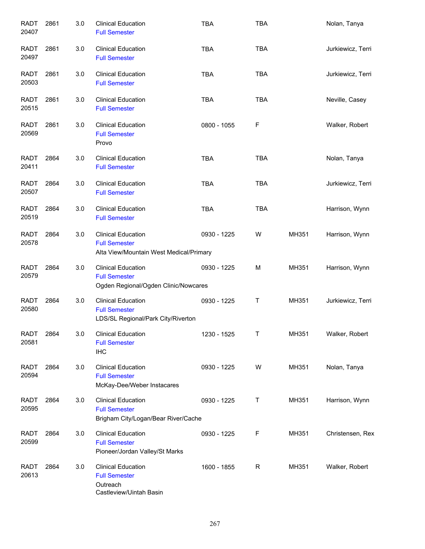| <b>RADT</b><br>20407 | 2861 | 3.0 | <b>Clinical Education</b><br><b>Full Semester</b>                                            | <b>TBA</b>  | <b>TBA</b>  |       | Nolan, Tanya      |
|----------------------|------|-----|----------------------------------------------------------------------------------------------|-------------|-------------|-------|-------------------|
| <b>RADT</b><br>20497 | 2861 | 3.0 | <b>Clinical Education</b><br><b>Full Semester</b>                                            | <b>TBA</b>  | <b>TBA</b>  |       | Jurkiewicz, Terri |
| <b>RADT</b><br>20503 | 2861 | 3.0 | <b>Clinical Education</b><br><b>Full Semester</b>                                            | <b>TBA</b>  | <b>TBA</b>  |       | Jurkiewicz, Terri |
| <b>RADT</b><br>20515 | 2861 | 3.0 | <b>Clinical Education</b><br><b>Full Semester</b>                                            | <b>TBA</b>  | <b>TBA</b>  |       | Neville, Casey    |
| <b>RADT</b><br>20569 | 2861 | 3.0 | <b>Clinical Education</b><br><b>Full Semester</b><br>Provo                                   | 0800 - 1055 | F           |       | Walker, Robert    |
| <b>RADT</b><br>20411 | 2864 | 3.0 | <b>Clinical Education</b><br><b>Full Semester</b>                                            | <b>TBA</b>  | <b>TBA</b>  |       | Nolan, Tanya      |
| <b>RADT</b><br>20507 | 2864 | 3.0 | <b>Clinical Education</b><br><b>Full Semester</b>                                            | <b>TBA</b>  | <b>TBA</b>  |       | Jurkiewicz, Terri |
| <b>RADT</b><br>20519 | 2864 | 3.0 | <b>Clinical Education</b><br><b>Full Semester</b>                                            | <b>TBA</b>  | <b>TBA</b>  |       | Harrison, Wynn    |
| <b>RADT</b><br>20578 | 2864 | 3.0 | <b>Clinical Education</b><br><b>Full Semester</b><br>Alta View/Mountain West Medical/Primary | 0930 - 1225 | W           | MH351 | Harrison, Wynn    |
| <b>RADT</b><br>20579 | 2864 | 3.0 | <b>Clinical Education</b><br><b>Full Semester</b><br>Ogden Regional/Ogden Clinic/Nowcares    | 0930 - 1225 | M           | MH351 | Harrison, Wynn    |
| <b>RADT</b><br>20580 | 2864 | 3.0 | <b>Clinical Education</b><br><b>Full Semester</b><br>LDS/SL Regional/Park City/Riverton      | 0930 - 1225 | Τ           | MH351 | Jurkiewicz, Terri |
| <b>RADT</b><br>20581 | 2864 | 3.0 | <b>Clinical Education</b><br><b>Full Semester</b><br><b>IHC</b>                              | 1230 - 1525 | Τ           | MH351 | Walker, Robert    |
| <b>RADT</b><br>20594 | 2864 | 3.0 | <b>Clinical Education</b><br><b>Full Semester</b><br>McKay-Dee/Weber Instacares              | 0930 - 1225 | W           | MH351 | Nolan, Tanya      |
| <b>RADT</b><br>20595 | 2864 | 3.0 | <b>Clinical Education</b><br><b>Full Semester</b><br>Brigham City/Logan/Bear River/Cache     | 0930 - 1225 | Τ           | MH351 | Harrison, Wynn    |
| <b>RADT</b><br>20599 | 2864 | 3.0 | <b>Clinical Education</b><br><b>Full Semester</b><br>Pioneer/Jordan Valley/St Marks          | 0930 - 1225 | F           | MH351 | Christensen, Rex  |
| <b>RADT</b><br>20613 | 2864 | 3.0 | <b>Clinical Education</b><br><b>Full Semester</b><br>Outreach<br>Castleview/Uintah Basin     | 1600 - 1855 | $\mathsf R$ | MH351 | Walker, Robert    |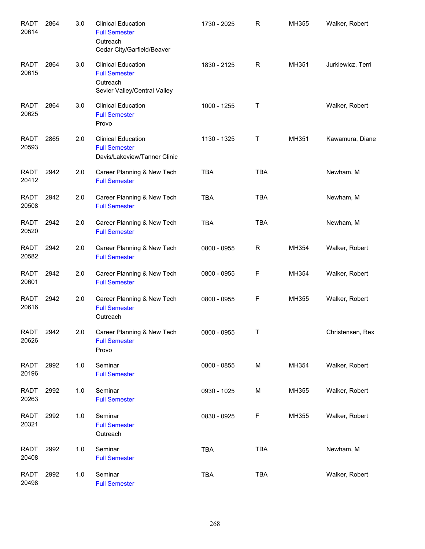| <b>RADT</b><br>20614 | 2864 | 3.0 | <b>Clinical Education</b><br><b>Full Semester</b><br>Outreach<br>Cedar City/Garfield/Beaver   | 1730 - 2025 | R          | MH355 | Walker, Robert    |
|----------------------|------|-----|-----------------------------------------------------------------------------------------------|-------------|------------|-------|-------------------|
| <b>RADT</b><br>20615 | 2864 | 3.0 | <b>Clinical Education</b><br><b>Full Semester</b><br>Outreach<br>Sevier Valley/Central Valley | 1830 - 2125 | R          | MH351 | Jurkiewicz, Terri |
| <b>RADT</b><br>20625 | 2864 | 3.0 | <b>Clinical Education</b><br><b>Full Semester</b><br>Provo                                    | 1000 - 1255 | Τ          |       | Walker, Robert    |
| <b>RADT</b><br>20593 | 2865 | 2.0 | <b>Clinical Education</b><br><b>Full Semester</b><br>Davis/Lakeview/Tanner Clinic             | 1130 - 1325 | Т          | MH351 | Kawamura, Diane   |
| RADT<br>20412        | 2942 | 2.0 | Career Planning & New Tech<br><b>Full Semester</b>                                            | <b>TBA</b>  | <b>TBA</b> |       | Newham, M         |
| <b>RADT</b><br>20508 | 2942 | 2.0 | Career Planning & New Tech<br><b>Full Semester</b>                                            | <b>TBA</b>  | <b>TBA</b> |       | Newham, M         |
| <b>RADT</b><br>20520 | 2942 | 2.0 | Career Planning & New Tech<br><b>Full Semester</b>                                            | <b>TBA</b>  | <b>TBA</b> |       | Newham, M         |
| <b>RADT</b><br>20582 | 2942 | 2.0 | Career Planning & New Tech<br><b>Full Semester</b>                                            | 0800 - 0955 | R          | MH354 | Walker, Robert    |
| <b>RADT</b><br>20601 | 2942 | 2.0 | Career Planning & New Tech<br><b>Full Semester</b>                                            | 0800 - 0955 | F          | MH354 | Walker, Robert    |
| <b>RADT</b><br>20616 | 2942 | 2.0 | Career Planning & New Tech<br><b>Full Semester</b><br>Outreach                                | 0800 - 0955 | F          | MH355 | Walker, Robert    |
| <b>RADT</b><br>20626 | 2942 | 2.0 | Career Planning & New Tech<br><b>Full Semester</b><br>Provo                                   | 0800 - 0955 | Τ          |       | Christensen, Rex  |
| <b>RADT</b><br>20196 | 2992 | 1.0 | Seminar<br><b>Full Semester</b>                                                               | 0800 - 0855 | М          | MH354 | Walker, Robert    |
| <b>RADT</b><br>20263 | 2992 | 1.0 | Seminar<br><b>Full Semester</b>                                                               | 0930 - 1025 | M          | MH355 | Walker, Robert    |
| <b>RADT</b><br>20321 | 2992 | 1.0 | Seminar<br><b>Full Semester</b><br>Outreach                                                   | 0830 - 0925 | F          | MH355 | Walker, Robert    |
| <b>RADT</b><br>20408 | 2992 | 1.0 | Seminar<br><b>Full Semester</b>                                                               | <b>TBA</b>  | <b>TBA</b> |       | Newham, M         |
| <b>RADT</b><br>20498 | 2992 | 1.0 | Seminar<br><b>Full Semester</b>                                                               | <b>TBA</b>  | <b>TBA</b> |       | Walker, Robert    |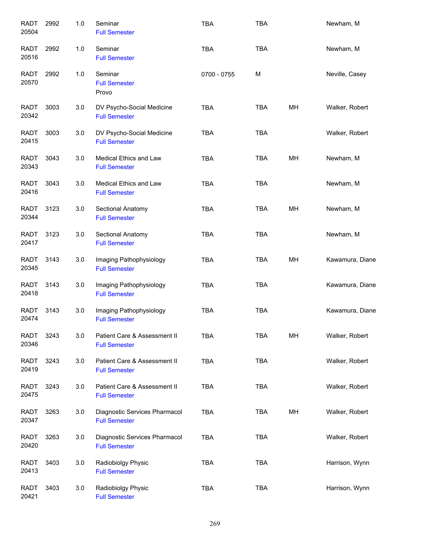| <b>RADT</b><br>20504 | 2992 | 1.0 | Seminar<br><b>Full Semester</b>                       | <b>TBA</b>  | <b>TBA</b> |    | Newham, M       |
|----------------------|------|-----|-------------------------------------------------------|-------------|------------|----|-----------------|
| <b>RADT</b><br>20516 | 2992 | 1.0 | Seminar<br><b>Full Semester</b>                       | <b>TBA</b>  | <b>TBA</b> |    | Newham, M       |
| <b>RADT</b><br>20570 | 2992 | 1.0 | Seminar<br><b>Full Semester</b><br>Provo              | 0700 - 0755 | M          |    | Neville, Casey  |
| <b>RADT</b><br>20342 | 3003 | 3.0 | DV Psycho-Social Medicine<br><b>Full Semester</b>     | <b>TBA</b>  | <b>TBA</b> | MН | Walker, Robert  |
| <b>RADT</b><br>20415 | 3003 | 3.0 | DV Psycho-Social Medicine<br><b>Full Semester</b>     | <b>TBA</b>  | TBA        |    | Walker, Robert  |
| <b>RADT</b><br>20343 | 3043 | 3.0 | Medical Ethics and Law<br><b>Full Semester</b>        | <b>TBA</b>  | <b>TBA</b> | MН | Newham, M       |
| <b>RADT</b><br>20416 | 3043 | 3.0 | Medical Ethics and Law<br><b>Full Semester</b>        | <b>TBA</b>  | <b>TBA</b> |    | Newham, M       |
| <b>RADT</b><br>20344 | 3123 | 3.0 | Sectional Anatomy<br><b>Full Semester</b>             | <b>TBA</b>  | <b>TBA</b> | MH | Newham, M       |
| <b>RADT</b><br>20417 | 3123 | 3.0 | Sectional Anatomy<br><b>Full Semester</b>             | <b>TBA</b>  | <b>TBA</b> |    | Newham, M       |
| <b>RADT</b><br>20345 | 3143 | 3.0 | Imaging Pathophysiology<br><b>Full Semester</b>       | <b>TBA</b>  | TBA        | MH | Kawamura, Diane |
| <b>RADT</b><br>20418 | 3143 | 3.0 | Imaging Pathophysiology<br><b>Full Semester</b>       | <b>TBA</b>  | <b>TBA</b> |    | Kawamura, Diane |
| <b>RADT</b><br>20474 | 3143 | 3.0 | Imaging Pathophysiology<br><b>Full Semester</b>       | <b>TBA</b>  | <b>TBA</b> |    | Kawamura, Diane |
| <b>RADT</b><br>20346 | 3243 | 3.0 | Patient Care & Assessment II<br><b>Full Semester</b>  | <b>TBA</b>  | <b>TBA</b> | MH | Walker, Robert  |
| <b>RADT</b><br>20419 | 3243 | 3.0 | Patient Care & Assessment II<br><b>Full Semester</b>  | <b>TBA</b>  | <b>TBA</b> |    | Walker, Robert  |
| RADT<br>20475        | 3243 | 3.0 | Patient Care & Assessment II<br><b>Full Semester</b>  | <b>TBA</b>  | <b>TBA</b> |    | Walker, Robert  |
| RADT<br>20347        | 3263 | 3.0 | Diagnostic Services Pharmacol<br><b>Full Semester</b> | <b>TBA</b>  | TBA        | MH | Walker, Robert  |
| <b>RADT</b><br>20420 | 3263 | 3.0 | Diagnostic Services Pharmacol<br><b>Full Semester</b> | <b>TBA</b>  | <b>TBA</b> |    | Walker, Robert  |
| <b>RADT</b><br>20413 | 3403 | 3.0 | Radiobiolgy Physic<br><b>Full Semester</b>            | <b>TBA</b>  | <b>TBA</b> |    | Harrison, Wynn  |
| <b>RADT</b><br>20421 | 3403 | 3.0 | Radiobiolgy Physic<br><b>Full Semester</b>            | <b>TBA</b>  | <b>TBA</b> |    | Harrison, Wynn  |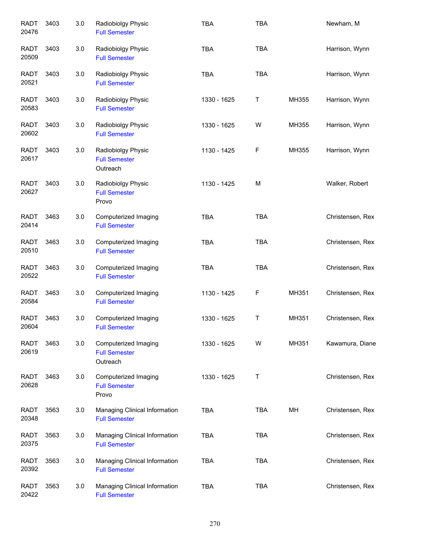| <b>RADT</b><br>20476 | 3403 | 3.0 | Radiobiolgy Physic<br><b>Full Semester</b>               | <b>TBA</b>  | <b>TBA</b> |       | Newham, M        |
|----------------------|------|-----|----------------------------------------------------------|-------------|------------|-------|------------------|
| <b>RADT</b><br>20509 | 3403 | 3.0 | Radiobiolgy Physic<br><b>Full Semester</b>               | <b>TBA</b>  | <b>TBA</b> |       | Harrison, Wynn   |
| <b>RADT</b><br>20521 | 3403 | 3.0 | Radiobiolgy Physic<br><b>Full Semester</b>               | <b>TBA</b>  | <b>TBA</b> |       | Harrison, Wynn   |
| <b>RADT</b><br>20583 | 3403 | 3.0 | Radiobiolgy Physic<br><b>Full Semester</b>               | 1330 - 1625 | T          | MH355 | Harrison, Wynn   |
| <b>RADT</b><br>20602 | 3403 | 3.0 | Radiobiolgy Physic<br><b>Full Semester</b>               | 1330 - 1625 | W          | MH355 | Harrison, Wynn   |
| <b>RADT</b><br>20617 | 3403 | 3.0 | Radiobiolgy Physic<br><b>Full Semester</b><br>Outreach   | 1130 - 1425 | F          | MH355 | Harrison, Wynn   |
| <b>RADT</b><br>20627 | 3403 | 3.0 | Radiobiolgy Physic<br><b>Full Semester</b><br>Provo      | 1130 - 1425 | M          |       | Walker, Robert   |
| <b>RADT</b><br>20414 | 3463 | 3.0 | Computerized Imaging<br><b>Full Semester</b>             | <b>TBA</b>  | <b>TBA</b> |       | Christensen, Rex |
| <b>RADT</b><br>20510 | 3463 | 3.0 | Computerized Imaging<br><b>Full Semester</b>             | <b>TBA</b>  | <b>TBA</b> |       | Christensen, Rex |
| <b>RADT</b><br>20522 | 3463 | 3.0 | Computerized Imaging<br><b>Full Semester</b>             | <b>TBA</b>  | <b>TBA</b> |       | Christensen, Rex |
| <b>RADT</b><br>20584 | 3463 | 3.0 | Computerized Imaging<br><b>Full Semester</b>             | 1130 - 1425 | F          | MH351 | Christensen, Rex |
| <b>RADT</b><br>20604 | 3463 | 3.0 | Computerized Imaging<br><b>Full Semester</b>             | 1330 - 1625 | Τ          | MH351 | Christensen, Rex |
| <b>RADT</b><br>20619 | 3463 | 3.0 | Computerized Imaging<br><b>Full Semester</b><br>Outreach | 1330 - 1625 | W          | MH351 | Kawamura, Diane  |
| <b>RADT</b><br>20628 | 3463 | 3.0 | Computerized Imaging<br><b>Full Semester</b><br>Provo    | 1330 - 1625 | Τ          |       | Christensen, Rex |
| <b>RADT</b><br>20348 | 3563 | 3.0 | Managing Clinical Information<br><b>Full Semester</b>    | <b>TBA</b>  | TBA        | MН    | Christensen, Rex |
| <b>RADT</b><br>20375 | 3563 | 3.0 | Managing Clinical Information<br><b>Full Semester</b>    | <b>TBA</b>  | <b>TBA</b> |       | Christensen, Rex |
| <b>RADT</b><br>20392 | 3563 | 3.0 | Managing Clinical Information<br><b>Full Semester</b>    | <b>TBA</b>  | <b>TBA</b> |       | Christensen, Rex |
| <b>RADT</b><br>20422 | 3563 | 3.0 | Managing Clinical Information<br><b>Full Semester</b>    | <b>TBA</b>  | <b>TBA</b> |       | Christensen, Rex |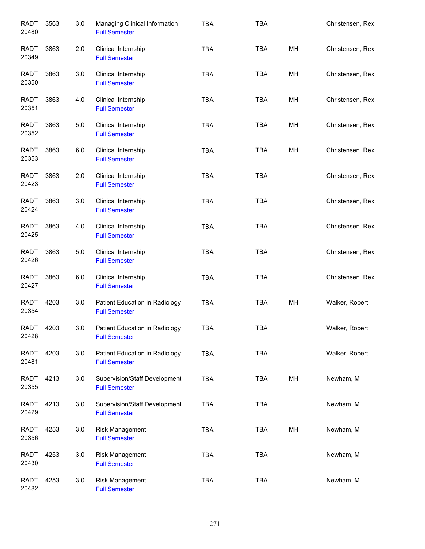| <b>RADT</b><br>20480 | 3563 | 3.0 | Managing Clinical Information<br><b>Full Semester</b>  | <b>TBA</b> | <b>TBA</b> |    | Christensen, Rex |
|----------------------|------|-----|--------------------------------------------------------|------------|------------|----|------------------|
| <b>RADT</b><br>20349 | 3863 | 2.0 | Clinical Internship<br><b>Full Semester</b>            | <b>TBA</b> | <b>TBA</b> | MH | Christensen, Rex |
| <b>RADT</b><br>20350 | 3863 | 3.0 | Clinical Internship<br><b>Full Semester</b>            | <b>TBA</b> | <b>TBA</b> | MH | Christensen, Rex |
| RADT<br>20351        | 3863 | 4.0 | Clinical Internship<br><b>Full Semester</b>            | <b>TBA</b> | <b>TBA</b> | MH | Christensen, Rex |
| <b>RADT</b><br>20352 | 3863 | 5.0 | Clinical Internship<br><b>Full Semester</b>            | <b>TBA</b> | <b>TBA</b> | MH | Christensen, Rex |
| <b>RADT</b><br>20353 | 3863 | 6.0 | Clinical Internship<br><b>Full Semester</b>            | <b>TBA</b> | <b>TBA</b> | MH | Christensen, Rex |
| <b>RADT</b><br>20423 | 3863 | 2.0 | Clinical Internship<br><b>Full Semester</b>            | <b>TBA</b> | <b>TBA</b> |    | Christensen, Rex |
| <b>RADT</b><br>20424 | 3863 | 3.0 | Clinical Internship<br><b>Full Semester</b>            | <b>TBA</b> | <b>TBA</b> |    | Christensen, Rex |
| <b>RADT</b><br>20425 | 3863 | 4.0 | Clinical Internship<br><b>Full Semester</b>            | <b>TBA</b> | <b>TBA</b> |    | Christensen, Rex |
| <b>RADT</b><br>20426 | 3863 | 5.0 | Clinical Internship<br><b>Full Semester</b>            | <b>TBA</b> | <b>TBA</b> |    | Christensen, Rex |
| <b>RADT</b><br>20427 | 3863 | 6.0 | Clinical Internship<br><b>Full Semester</b>            | <b>TBA</b> | <b>TBA</b> |    | Christensen, Rex |
| <b>RADT</b><br>20354 | 4203 | 3.0 | Patient Education in Radiology<br><b>Full Semester</b> | <b>TBA</b> | <b>TBA</b> | MH | Walker, Robert   |
| RADT<br>20428        | 4203 | 3.0 | Patient Education in Radiology<br><b>Full Semester</b> | <b>TBA</b> | TBA        |    | Walker, Robert   |
| <b>RADT</b><br>20481 | 4203 | 3.0 | Patient Education in Radiology<br><b>Full Semester</b> | <b>TBA</b> | TBA        |    | Walker, Robert   |
| <b>RADT</b><br>20355 | 4213 | 3.0 | Supervision/Staff Development<br><b>Full Semester</b>  | <b>TBA</b> | <b>TBA</b> | MH | Newham, M        |
| <b>RADT</b><br>20429 | 4213 | 3.0 | Supervision/Staff Development<br><b>Full Semester</b>  | <b>TBA</b> | TBA        |    | Newham, M        |
| <b>RADT</b><br>20356 | 4253 | 3.0 | Risk Management<br><b>Full Semester</b>                | <b>TBA</b> | <b>TBA</b> | MH | Newham, M        |
| <b>RADT</b><br>20430 | 4253 | 3.0 | Risk Management<br><b>Full Semester</b>                | TBA        | <b>TBA</b> |    | Newham, M        |
| <b>RADT</b><br>20482 | 4253 | 3.0 | Risk Management<br><b>Full Semester</b>                | <b>TBA</b> | <b>TBA</b> |    | Newham, M        |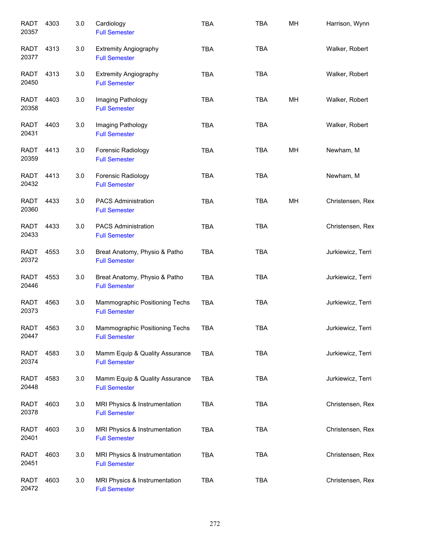| <b>RADT</b><br>20357 | 4303 | 3.0 | Cardiology<br><b>Full Semester</b>                     | <b>TBA</b> | <b>TBA</b> | MH | Harrison, Wynn    |
|----------------------|------|-----|--------------------------------------------------------|------------|------------|----|-------------------|
| RADT<br>20377        | 4313 | 3.0 | <b>Extremity Angiography</b><br><b>Full Semester</b>   | <b>TBA</b> | <b>TBA</b> |    | Walker, Robert    |
| RADT<br>20450        | 4313 | 3.0 | <b>Extremity Angiography</b><br><b>Full Semester</b>   | <b>TBA</b> | <b>TBA</b> |    | Walker, Robert    |
| <b>RADT</b><br>20358 | 4403 | 3.0 | Imaging Pathology<br><b>Full Semester</b>              | <b>TBA</b> | <b>TBA</b> | MН | Walker, Robert    |
| <b>RADT</b><br>20431 | 4403 | 3.0 | Imaging Pathology<br><b>Full Semester</b>              | <b>TBA</b> | <b>TBA</b> |    | Walker, Robert    |
| <b>RADT</b><br>20359 | 4413 | 3.0 | Forensic Radiology<br><b>Full Semester</b>             | <b>TBA</b> | <b>TBA</b> | MH | Newham, M         |
| <b>RADT</b><br>20432 | 4413 | 3.0 | Forensic Radiology<br><b>Full Semester</b>             | <b>TBA</b> | <b>TBA</b> |    | Newham, M         |
| <b>RADT</b><br>20360 | 4433 | 3.0 | <b>PACS Administration</b><br><b>Full Semester</b>     | <b>TBA</b> | <b>TBA</b> | MH | Christensen, Rex  |
| <b>RADT</b><br>20433 | 4433 | 3.0 | <b>PACS Administration</b><br><b>Full Semester</b>     | <b>TBA</b> | <b>TBA</b> |    | Christensen, Rex  |
| <b>RADT</b><br>20372 | 4553 | 3.0 | Breat Anatomy, Physio & Patho<br><b>Full Semester</b>  | <b>TBA</b> | <b>TBA</b> |    | Jurkiewicz, Terri |
| <b>RADT</b><br>20446 | 4553 | 3.0 | Breat Anatomy, Physio & Patho<br><b>Full Semester</b>  | <b>TBA</b> | <b>TBA</b> |    | Jurkiewicz, Terri |
| <b>RADT</b><br>20373 | 4563 | 3.0 | Mammographic Positioning Techs<br><b>Full Semester</b> | <b>TBA</b> | <b>TBA</b> |    | Jurkiewicz, Terri |
| RADT<br>20447        | 4563 | 3.0 | Mammographic Positioning Techs<br><b>Full Semester</b> | <b>TBA</b> | <b>TBA</b> |    | Jurkiewicz, Terri |
| RADT<br>20374        | 4583 | 3.0 | Mamm Equip & Quality Assurance<br><b>Full Semester</b> | <b>TBA</b> | <b>TBA</b> |    | Jurkiewicz, Terri |
| RADT<br>20448        | 4583 | 3.0 | Mamm Equip & Quality Assurance<br><b>Full Semester</b> | <b>TBA</b> | <b>TBA</b> |    | Jurkiewicz, Terri |
| <b>RADT</b><br>20378 | 4603 | 3.0 | MRI Physics & Instrumentation<br><b>Full Semester</b>  | <b>TBA</b> | <b>TBA</b> |    | Christensen, Rex  |
| <b>RADT</b><br>20401 | 4603 | 3.0 | MRI Physics & Instrumentation<br><b>Full Semester</b>  | <b>TBA</b> | <b>TBA</b> |    | Christensen, Rex  |
| <b>RADT</b><br>20451 | 4603 | 3.0 | MRI Physics & Instrumentation<br><b>Full Semester</b>  | <b>TBA</b> | <b>TBA</b> |    | Christensen, Rex  |
| <b>RADT</b><br>20472 | 4603 | 3.0 | MRI Physics & Instrumentation<br><b>Full Semester</b>  | <b>TBA</b> | <b>TBA</b> |    | Christensen, Rex  |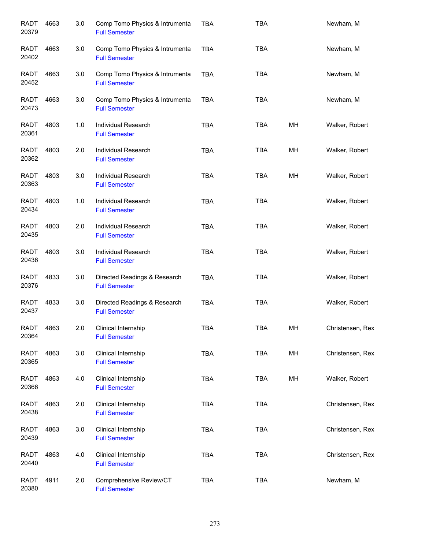| <b>RADT</b><br>20379 | 4663 | 3.0 | Comp Tomo Physics & Intrumenta<br><b>Full Semester</b> | <b>TBA</b> | <b>TBA</b> |    | Newham, M        |
|----------------------|------|-----|--------------------------------------------------------|------------|------------|----|------------------|
| RADT<br>20402        | 4663 | 3.0 | Comp Tomo Physics & Intrumenta<br><b>Full Semester</b> | <b>TBA</b> | <b>TBA</b> |    | Newham, M        |
| RADT<br>20452        | 4663 | 3.0 | Comp Tomo Physics & Intrumenta<br><b>Full Semester</b> | <b>TBA</b> | <b>TBA</b> |    | Newham, M        |
| <b>RADT</b><br>20473 | 4663 | 3.0 | Comp Tomo Physics & Intrumenta<br><b>Full Semester</b> | <b>TBA</b> | <b>TBA</b> |    | Newham, M        |
| RADT<br>20361        | 4803 | 1.0 | Individual Research<br><b>Full Semester</b>            | <b>TBA</b> | TBA        | MН | Walker, Robert   |
| <b>RADT</b><br>20362 | 4803 | 2.0 | Individual Research<br><b>Full Semester</b>            | <b>TBA</b> | <b>TBA</b> | MН | Walker, Robert   |
| RADT<br>20363        | 4803 | 3.0 | Individual Research<br><b>Full Semester</b>            | <b>TBA</b> | <b>TBA</b> | MН | Walker, Robert   |
| RADT<br>20434        | 4803 | 1.0 | Individual Research<br><b>Full Semester</b>            | <b>TBA</b> | <b>TBA</b> |    | Walker, Robert   |
| <b>RADT</b><br>20435 | 4803 | 2.0 | Individual Research<br><b>Full Semester</b>            | <b>TBA</b> | <b>TBA</b> |    | Walker, Robert   |
| <b>RADT</b><br>20436 | 4803 | 3.0 | Individual Research<br><b>Full Semester</b>            | <b>TBA</b> | <b>TBA</b> |    | Walker, Robert   |
| <b>RADT</b><br>20376 | 4833 | 3.0 | Directed Readings & Research<br><b>Full Semester</b>   | <b>TBA</b> | <b>TBA</b> |    | Walker, Robert   |
| <b>RADT</b><br>20437 | 4833 | 3.0 | Directed Readings & Research<br><b>Full Semester</b>   | <b>TBA</b> | <b>TBA</b> |    | Walker, Robert   |
| RADT<br>20364        | 4863 | 2.0 | Clinical Internship<br><b>Full Semester</b>            | <b>TBA</b> | <b>TBA</b> | MН | Christensen, Rex |
| <b>RADT</b><br>20365 | 4863 | 3.0 | Clinical Internship<br><b>Full Semester</b>            | <b>TBA</b> | <b>TBA</b> | MH | Christensen, Rex |
| <b>RADT</b><br>20366 | 4863 | 4.0 | Clinical Internship<br><b>Full Semester</b>            | <b>TBA</b> | <b>TBA</b> | MH | Walker, Robert   |
| <b>RADT</b><br>20438 | 4863 | 2.0 | Clinical Internship<br><b>Full Semester</b>            | <b>TBA</b> | <b>TBA</b> |    | Christensen, Rex |
| RADT<br>20439        | 4863 | 3.0 | Clinical Internship<br><b>Full Semester</b>            | <b>TBA</b> | <b>TBA</b> |    | Christensen, Rex |
| <b>RADT</b><br>20440 | 4863 | 4.0 | Clinical Internship<br><b>Full Semester</b>            | <b>TBA</b> | <b>TBA</b> |    | Christensen, Rex |
| <b>RADT</b><br>20380 | 4911 | 2.0 | Comprehensive Review/CT<br><b>Full Semester</b>        | <b>TBA</b> | <b>TBA</b> |    | Newham, M        |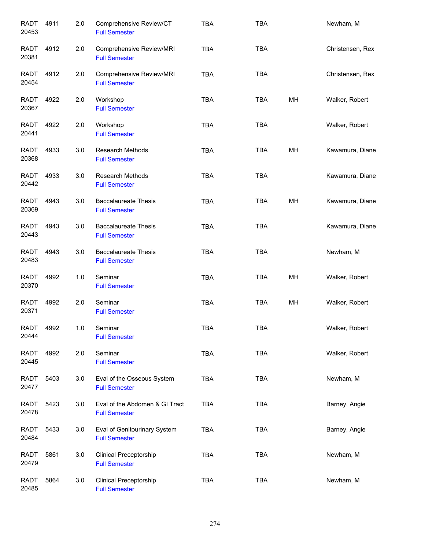| <b>RADT</b><br>20453 | 4911 | 2.0 | Comprehensive Review/CT<br><b>Full Semester</b>        | <b>TBA</b> | <b>TBA</b> |    | Newham, M        |
|----------------------|------|-----|--------------------------------------------------------|------------|------------|----|------------------|
| <b>RADT</b><br>20381 | 4912 | 2.0 | Comprehensive Review/MRI<br><b>Full Semester</b>       | <b>TBA</b> | <b>TBA</b> |    | Christensen, Rex |
| <b>RADT</b><br>20454 | 4912 | 2.0 | Comprehensive Review/MRI<br><b>Full Semester</b>       | <b>TBA</b> | <b>TBA</b> |    | Christensen, Rex |
| <b>RADT</b><br>20367 | 4922 | 2.0 | Workshop<br><b>Full Semester</b>                       | <b>TBA</b> | <b>TBA</b> | MH | Walker, Robert   |
| <b>RADT</b><br>20441 | 4922 | 2.0 | Workshop<br><b>Full Semester</b>                       | <b>TBA</b> | <b>TBA</b> |    | Walker, Robert   |
| <b>RADT</b><br>20368 | 4933 | 3.0 | <b>Research Methods</b><br><b>Full Semester</b>        | <b>TBA</b> | <b>TBA</b> | MH | Kawamura, Diane  |
| <b>RADT</b><br>20442 | 4933 | 3.0 | <b>Research Methods</b><br><b>Full Semester</b>        | <b>TBA</b> | <b>TBA</b> |    | Kawamura, Diane  |
| <b>RADT</b><br>20369 | 4943 | 3.0 | <b>Baccalaureate Thesis</b><br><b>Full Semester</b>    | <b>TBA</b> | <b>TBA</b> | MH | Kawamura, Diane  |
| <b>RADT</b><br>20443 | 4943 | 3.0 | <b>Baccalaureate Thesis</b><br><b>Full Semester</b>    | <b>TBA</b> | <b>TBA</b> |    | Kawamura, Diane  |
| <b>RADT</b><br>20483 | 4943 | 3.0 | <b>Baccalaureate Thesis</b><br><b>Full Semester</b>    | <b>TBA</b> | <b>TBA</b> |    | Newham, M        |
| <b>RADT</b><br>20370 | 4992 | 1.0 | Seminar<br><b>Full Semester</b>                        | <b>TBA</b> | <b>TBA</b> | MH | Walker, Robert   |
| <b>RADT</b><br>20371 | 4992 | 2.0 | Seminar<br><b>Full Semester</b>                        | <b>TBA</b> | <b>TBA</b> | MH | Walker, Robert   |
| <b>RADT</b><br>20444 | 4992 | 1.0 | Seminar<br><b>Full Semester</b>                        | <b>TBA</b> | TBA        |    | Walker, Robert   |
| <b>RADT</b><br>20445 | 4992 | 2.0 | Seminar<br><b>Full Semester</b>                        | <b>TBA</b> | <b>TBA</b> |    | Walker, Robert   |
| RADT<br>20477        | 5403 | 3.0 | Eval of the Osseous System<br><b>Full Semester</b>     | <b>TBA</b> | <b>TBA</b> |    | Newham, M        |
| RADT<br>20478        | 5423 | 3.0 | Eval of the Abdomen & GI Tract<br><b>Full Semester</b> | <b>TBA</b> | <b>TBA</b> |    | Barney, Angie    |
| RADT<br>20484        | 5433 | 3.0 | Eval of Genitourinary System<br><b>Full Semester</b>   | TBA        | <b>TBA</b> |    | Barney, Angie    |
| <b>RADT</b><br>20479 | 5861 | 3.0 | <b>Clinical Preceptorship</b><br><b>Full Semester</b>  | <b>TBA</b> | <b>TBA</b> |    | Newham, M        |
| <b>RADT</b><br>20485 | 5864 | 3.0 | <b>Clinical Preceptorship</b><br><b>Full Semester</b>  | <b>TBA</b> | <b>TBA</b> |    | Newham, M        |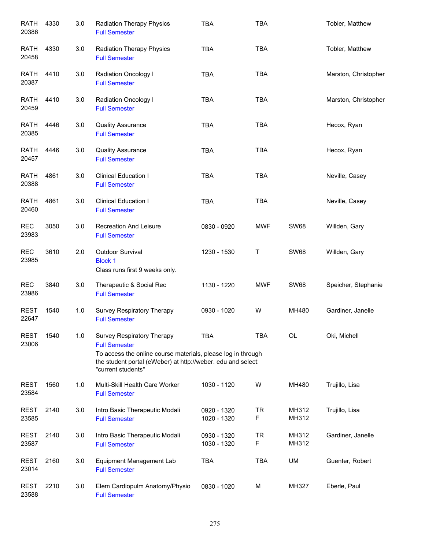| <b>RATH</b><br>20386 | 4330 | 3.0 | <b>Radiation Therapy Physics</b><br><b>Full Semester</b>                                                                                                                                                 | <b>TBA</b>                 | <b>TBA</b>     |                | Tobler, Matthew      |
|----------------------|------|-----|----------------------------------------------------------------------------------------------------------------------------------------------------------------------------------------------------------|----------------------------|----------------|----------------|----------------------|
| <b>RATH</b><br>20458 | 4330 | 3.0 | <b>Radiation Therapy Physics</b><br><b>Full Semester</b>                                                                                                                                                 | <b>TBA</b>                 | <b>TBA</b>     |                | Tobler, Matthew      |
| <b>RATH</b><br>20387 | 4410 | 3.0 | Radiation Oncology I<br><b>Full Semester</b>                                                                                                                                                             | <b>TBA</b>                 | <b>TBA</b>     |                | Marston, Christopher |
| <b>RATH</b><br>20459 | 4410 | 3.0 | Radiation Oncology I<br><b>Full Semester</b>                                                                                                                                                             | <b>TBA</b>                 | <b>TBA</b>     |                | Marston, Christopher |
| <b>RATH</b><br>20385 | 4446 | 3.0 | <b>Quality Assurance</b><br><b>Full Semester</b>                                                                                                                                                         | <b>TBA</b>                 | <b>TBA</b>     |                | Hecox, Ryan          |
| <b>RATH</b><br>20457 | 4446 | 3.0 | <b>Quality Assurance</b><br><b>Full Semester</b>                                                                                                                                                         | <b>TBA</b>                 | <b>TBA</b>     |                | Hecox, Ryan          |
| <b>RATH</b><br>20388 | 4861 | 3.0 | <b>Clinical Education I</b><br><b>Full Semester</b>                                                                                                                                                      | <b>TBA</b>                 | <b>TBA</b>     |                | Neville, Casey       |
| <b>RATH</b><br>20460 | 4861 | 3.0 | <b>Clinical Education I</b><br><b>Full Semester</b>                                                                                                                                                      | <b>TBA</b>                 | TBA            |                | Neville, Casey       |
| <b>REC</b><br>23983  | 3050 | 3.0 | <b>Recreation And Leisure</b><br><b>Full Semester</b>                                                                                                                                                    | 0830 - 0920                | <b>MWF</b>     | <b>SW68</b>    | Willden, Gary        |
| <b>REC</b><br>23985  | 3610 | 2.0 | Outdoor Survival<br><b>Block 1</b><br>Class runs first 9 weeks only.                                                                                                                                     | 1230 - 1530                | Τ              | <b>SW68</b>    | Willden, Gary        |
| <b>REC</b><br>23986  | 3840 | 3.0 | Therapeutic & Social Rec<br><b>Full Semester</b>                                                                                                                                                         | 1130 - 1220                | <b>MWF</b>     | <b>SW68</b>    | Speicher, Stephanie  |
| <b>REST</b><br>22647 | 1540 | 1.0 | Survey Respiratory Therapy<br><b>Full Semester</b>                                                                                                                                                       | 0930 - 1020                | W              | MH480          | Gardiner, Janelle    |
| <b>REST</b><br>23006 | 1540 | 1.0 | Survey Respiratory Therapy<br><b>Full Semester</b><br>To access the online course materials, please log in through<br>the student portal (eWeber) at http://weber. edu and select:<br>"current students" | <b>TBA</b>                 | <b>TBA</b>     | OL             | Oki, Michell         |
| <b>REST</b><br>23584 | 1560 | 1.0 | Multi-Skill Health Care Worker<br><b>Full Semester</b>                                                                                                                                                   | 1030 - 1120                | W              | MH480          | Trujillo, Lisa       |
| <b>REST</b><br>23585 | 2140 | 3.0 | Intro Basic Therapeutic Modali<br><b>Full Semester</b>                                                                                                                                                   | 0920 - 1320<br>1020 - 1320 | <b>TR</b><br>F | MH312<br>MH312 | Trujillo, Lisa       |
| <b>REST</b><br>23587 | 2140 | 3.0 | Intro Basic Therapeutic Modali<br><b>Full Semester</b>                                                                                                                                                   | 0930 - 1320<br>1030 - 1320 | <b>TR</b><br>F | MH312<br>MH312 | Gardiner, Janelle    |
| <b>REST</b><br>23014 | 2160 | 3.0 | <b>Equipment Management Lab</b><br><b>Full Semester</b>                                                                                                                                                  | <b>TBA</b>                 | <b>TBA</b>     | UM             | Guenter, Robert      |
| <b>REST</b><br>23588 | 2210 | 3.0 | Elem Cardiopulm Anatomy/Physio<br><b>Full Semester</b>                                                                                                                                                   | 0830 - 1020                | M              | MH327          | Eberle, Paul         |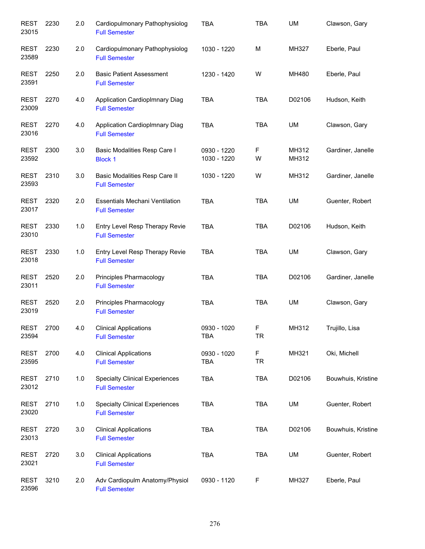| <b>REST</b><br>23015 | 2230 | 2.0 | Cardiopulmonary Pathophysiolog<br><b>Full Semester</b>        | <b>TBA</b>                 | <b>TBA</b>     | <b>UM</b>      | Clawson, Gary      |
|----------------------|------|-----|---------------------------------------------------------------|----------------------------|----------------|----------------|--------------------|
| <b>REST</b><br>23589 | 2230 | 2.0 | Cardiopulmonary Pathophysiolog<br><b>Full Semester</b>        | 1030 - 1220                | M              | MH327          | Eberle, Paul       |
| <b>REST</b><br>23591 | 2250 | 2.0 | <b>Basic Patient Assessment</b><br><b>Full Semester</b>       | 1230 - 1420                | W              | MH480          | Eberle, Paul       |
| <b>REST</b><br>23009 | 2270 | 4.0 | Application CardiopImnary Diag<br><b>Full Semester</b>        | <b>TBA</b>                 | <b>TBA</b>     | D02106         | Hudson, Keith      |
| <b>REST</b><br>23016 | 2270 | 4.0 | Application CardiopImnary Diag<br><b>Full Semester</b>        | <b>TBA</b>                 | <b>TBA</b>     | UM             | Clawson, Gary      |
| <b>REST</b><br>23592 | 2300 | 3.0 | Basic Modalities Resp Care I<br><b>Block 1</b>                | 0930 - 1220<br>1030 - 1220 | F<br>W         | MH312<br>MH312 | Gardiner, Janelle  |
| <b>REST</b><br>23593 | 2310 | 3.0 | <b>Basic Modalities Resp Care II</b><br><b>Full Semester</b>  | 1030 - 1220                | W              | MH312          | Gardiner, Janelle  |
| <b>REST</b><br>23017 | 2320 | 2.0 | <b>Essentials Mechani Ventilation</b><br><b>Full Semester</b> | <b>TBA</b>                 | <b>TBA</b>     | UM             | Guenter, Robert    |
| <b>REST</b><br>23010 | 2330 | 1.0 | Entry Level Resp Therapy Revie<br><b>Full Semester</b>        | <b>TBA</b>                 | <b>TBA</b>     | D02106         | Hudson, Keith      |
| <b>REST</b><br>23018 | 2330 | 1.0 | Entry Level Resp Therapy Revie<br><b>Full Semester</b>        | <b>TBA</b>                 | <b>TBA</b>     | UM             | Clawson, Gary      |
| <b>REST</b><br>23011 | 2520 | 2.0 | Principles Pharmacology<br><b>Full Semester</b>               | <b>TBA</b>                 | <b>TBA</b>     | D02106         | Gardiner, Janelle  |
| <b>REST</b><br>23019 | 2520 | 2.0 | Principles Pharmacology<br><b>Full Semester</b>               | <b>TBA</b>                 | <b>TBA</b>     | UM             | Clawson, Gary      |
| <b>REST</b><br>23594 | 2700 | 4.0 | <b>Clinical Applications</b><br><b>Full Semester</b>          | 0930 - 1020<br><b>TBA</b>  | F<br><b>TR</b> | MH312          | Trujillo, Lisa     |
| <b>REST</b><br>23595 | 2700 | 4.0 | <b>Clinical Applications</b><br><b>Full Semester</b>          | 0930 - 1020<br><b>TBA</b>  | F<br><b>TR</b> | MH321          | Oki, Michell       |
| <b>REST</b><br>23012 | 2710 | 1.0 | <b>Specialty Clinical Experiences</b><br><b>Full Semester</b> | <b>TBA</b>                 | <b>TBA</b>     | D02106         | Bouwhuis, Kristine |
| <b>REST</b><br>23020 | 2710 | 1.0 | <b>Specialty Clinical Experiences</b><br><b>Full Semester</b> | <b>TBA</b>                 | <b>TBA</b>     | UM             | Guenter, Robert    |
| <b>REST</b><br>23013 | 2720 | 3.0 | <b>Clinical Applications</b><br><b>Full Semester</b>          | <b>TBA</b>                 | <b>TBA</b>     | D02106         | Bouwhuis, Kristine |
| <b>REST</b><br>23021 | 2720 | 3.0 | <b>Clinical Applications</b><br><b>Full Semester</b>          | <b>TBA</b>                 | <b>TBA</b>     | UM             | Guenter, Robert    |
| <b>REST</b><br>23596 | 3210 | 2.0 | Adv Cardiopulm Anatomy/Physiol<br><b>Full Semester</b>        | 0930 - 1120                | F              | MH327          | Eberle, Paul       |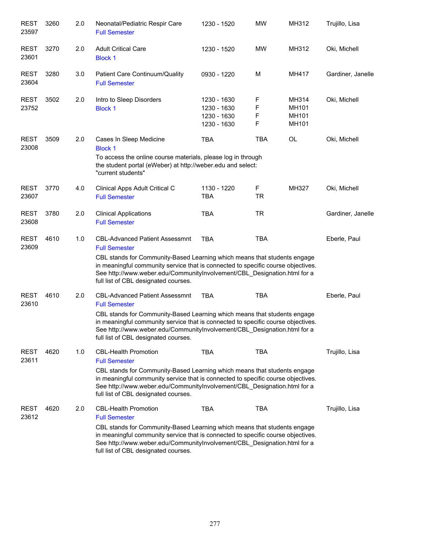| <b>REST</b><br>23597 | 3260 | 2.0 | Neonatal/Pediatric Respir Care<br><b>Full Semester</b>                                                                                                                                                                                                                           | 1230 - 1520                                              | <b>MW</b>        | MH312                            | Trujillo, Lisa    |
|----------------------|------|-----|----------------------------------------------------------------------------------------------------------------------------------------------------------------------------------------------------------------------------------------------------------------------------------|----------------------------------------------------------|------------------|----------------------------------|-------------------|
| <b>REST</b><br>23601 | 3270 | 2.0 | <b>Adult Critical Care</b><br><b>Block 1</b>                                                                                                                                                                                                                                     | 1230 - 1520                                              | <b>MW</b>        | MH312                            | Oki, Michell      |
| <b>REST</b><br>23604 | 3280 | 3.0 | Patient Care Continuum/Quality<br><b>Full Semester</b>                                                                                                                                                                                                                           | 0930 - 1220                                              | M                | MH417                            | Gardiner, Janelle |
| <b>REST</b><br>23752 | 3502 | 2.0 | Intro to Sleep Disorders<br><b>Block 1</b>                                                                                                                                                                                                                                       | 1230 - 1630<br>1230 - 1630<br>1230 - 1630<br>1230 - 1630 | F<br>F<br>F<br>F | MH314<br>MH101<br>MH101<br>MH101 | Oki, Michell      |
| <b>REST</b><br>23008 | 3509 | 2.0 | Cases In Sleep Medicine<br><b>Block 1</b><br>To access the online course materials, please log in through                                                                                                                                                                        | <b>TBA</b>                                               | <b>TBA</b>       | OL                               | Oki, Michell      |
|                      |      |     | the student portal (eWeber) at http://weber.edu and select:<br>"current students"                                                                                                                                                                                                |                                                          |                  |                                  |                   |
| <b>REST</b><br>23607 | 3770 | 4.0 | Clinical Apps Adult Critical C<br><b>Full Semester</b>                                                                                                                                                                                                                           | 1130 - 1220<br><b>TBA</b>                                | F<br><b>TR</b>   | MH327                            | Oki, Michell      |
| <b>REST</b><br>23608 | 3780 | 2.0 | <b>Clinical Applications</b><br><b>Full Semester</b>                                                                                                                                                                                                                             | <b>TBA</b>                                               | <b>TR</b>        |                                  | Gardiner, Janelle |
| <b>REST</b><br>23609 | 4610 | 1.0 | <b>CBL-Advanced Patient Assessmnt</b><br><b>Full Semester</b>                                                                                                                                                                                                                    | <b>TBA</b>                                               | <b>TBA</b>       |                                  | Eberle, Paul      |
|                      |      |     | CBL stands for Community-Based Learning which means that students engage<br>in meaningful community service that is connected to specific course objectives.<br>See http://www.weber.edu/CommunityInvolvement/CBL_Designation.html for a<br>full list of CBL designated courses. |                                                          |                  |                                  |                   |
| <b>REST</b><br>23610 | 4610 | 2.0 | <b>CBL-Advanced Patient Assessmnt</b><br><b>Full Semester</b>                                                                                                                                                                                                                    | <b>TBA</b>                                               | <b>TBA</b>       |                                  | Eberle, Paul      |
|                      |      |     | CBL stands for Community-Based Learning which means that students engage<br>in meaningful community service that is connected to specific course objectives.<br>See http://www.weber.edu/CommunityInvolvement/CBL_Designation.html for a<br>full list of CBL designated courses. |                                                          |                  |                                  |                   |
| <b>REST</b><br>23611 | 4620 | 1.0 | <b>CBL-Health Promotion</b><br><b>Full Semester</b>                                                                                                                                                                                                                              | <b>TBA</b>                                               | <b>TBA</b>       |                                  | Trujillo, Lisa    |
|                      |      |     | CBL stands for Community-Based Learning which means that students engage<br>in meaningful community service that is connected to specific course objectives.<br>See http://www.weber.edu/Communitylnvolvement/CBL Designation.html for a<br>full list of CBL designated courses. |                                                          |                  |                                  |                   |
| <b>REST</b><br>23612 | 4620 | 2.0 | <b>CBL-Health Promotion</b><br><b>Full Semester</b>                                                                                                                                                                                                                              | <b>TBA</b>                                               | <b>TBA</b>       |                                  | Trujillo, Lisa    |
|                      |      |     | CBL stands for Community-Based Learning which means that students engage<br>in meaningful community service that is connected to specific course objectives.<br>See http://www.weber.edu/CommunityInvolvement/CBL_Designation.html for a<br>full list of CBL designated courses. |                                                          |                  |                                  |                   |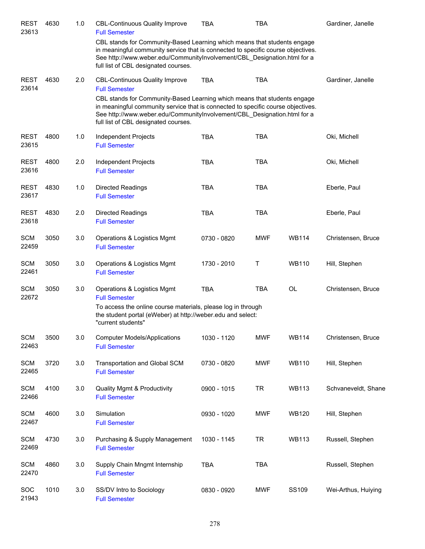| <b>REST</b><br>23613 | 4630 | 1.0 | <b>CBL-Continuous Quality Improve</b><br><b>Full Semester</b>                                                                                                                                                                                                                    | TBA         | TBA        |              | Gardiner, Janelle   |
|----------------------|------|-----|----------------------------------------------------------------------------------------------------------------------------------------------------------------------------------------------------------------------------------------------------------------------------------|-------------|------------|--------------|---------------------|
|                      |      |     | CBL stands for Community-Based Learning which means that students engage<br>in meaningful community service that is connected to specific course objectives.<br>See http://www.weber.edu/CommunityInvolvement/CBL_Designation.html for a<br>full list of CBL designated courses. |             |            |              |                     |
| <b>REST</b><br>23614 | 4630 | 2.0 | <b>CBL-Continuous Quality Improve</b><br><b>Full Semester</b>                                                                                                                                                                                                                    | <b>TBA</b>  | <b>TBA</b> |              | Gardiner, Janelle   |
|                      |      |     | CBL stands for Community-Based Learning which means that students engage<br>in meaningful community service that is connected to specific course objectives.<br>See http://www.weber.edu/CommunityInvolvement/CBL_Designation.html for a<br>full list of CBL designated courses. |             |            |              |                     |
| <b>REST</b><br>23615 | 4800 | 1.0 | Independent Projects<br><b>Full Semester</b>                                                                                                                                                                                                                                     | <b>TBA</b>  | <b>TBA</b> |              | Oki, Michell        |
| <b>REST</b><br>23616 | 4800 | 2.0 | Independent Projects<br><b>Full Semester</b>                                                                                                                                                                                                                                     | <b>TBA</b>  | <b>TBA</b> |              | Oki, Michell        |
| <b>REST</b><br>23617 | 4830 | 1.0 | <b>Directed Readings</b><br><b>Full Semester</b>                                                                                                                                                                                                                                 | <b>TBA</b>  | <b>TBA</b> |              | Eberle, Paul        |
| <b>REST</b><br>23618 | 4830 | 2.0 | <b>Directed Readings</b><br><b>Full Semester</b>                                                                                                                                                                                                                                 | <b>TBA</b>  | <b>TBA</b> |              | Eberle, Paul        |
| <b>SCM</b><br>22459  | 3050 | 3.0 | Operations & Logistics Mgmt<br><b>Full Semester</b>                                                                                                                                                                                                                              | 0730 - 0820 | <b>MWF</b> | <b>WB114</b> | Christensen, Bruce  |
| <b>SCM</b><br>22461  | 3050 | 3.0 | Operations & Logistics Mgmt<br><b>Full Semester</b>                                                                                                                                                                                                                              | 1730 - 2010 | $\sf T$    | <b>WB110</b> | Hill, Stephen       |
| <b>SCM</b><br>22672  | 3050 | 3.0 | Operations & Logistics Mgmt<br><b>Full Semester</b>                                                                                                                                                                                                                              | <b>TBA</b>  | <b>TBA</b> | OL           | Christensen, Bruce  |
|                      |      |     | To access the online course materials, please log in through<br>the student portal (eWeber) at http://weber.edu and select:<br>"current students"                                                                                                                                |             |            |              |                     |
| <b>SCM</b><br>22463  | 3500 | 3.0 | <b>Computer Models/Applications</b><br><b>Full Semester</b>                                                                                                                                                                                                                      | 1030 - 1120 | <b>MWF</b> | <b>WB114</b> | Christensen, Bruce  |
| <b>SCM</b><br>22465  | 3720 | 3.0 | Transportation and Global SCM<br><b>Full Semester</b>                                                                                                                                                                                                                            | 0730 - 0820 | <b>MWF</b> | <b>WB110</b> | Hill, Stephen       |
| <b>SCM</b><br>22466  | 4100 | 3.0 | <b>Quality Mgmt &amp; Productivity</b><br><b>Full Semester</b>                                                                                                                                                                                                                   | 0900 - 1015 | <b>TR</b>  | <b>WB113</b> | Schvaneveldt, Shane |
| <b>SCM</b><br>22467  | 4600 | 3.0 | Simulation<br><b>Full Semester</b>                                                                                                                                                                                                                                               | 0930 - 1020 | <b>MWF</b> | <b>WB120</b> | Hill, Stephen       |
| <b>SCM</b><br>22469  | 4730 | 3.0 | Purchasing & Supply Management<br><b>Full Semester</b>                                                                                                                                                                                                                           | 1030 - 1145 | <b>TR</b>  | <b>WB113</b> | Russell, Stephen    |
| <b>SCM</b><br>22470  | 4860 | 3.0 | Supply Chain Mngmt Internship<br><b>Full Semester</b>                                                                                                                                                                                                                            | <b>TBA</b>  | <b>TBA</b> |              | Russell, Stephen    |
| <b>SOC</b><br>21943  | 1010 | 3.0 | SS/DV Intro to Sociology<br><b>Full Semester</b>                                                                                                                                                                                                                                 | 0830 - 0920 | <b>MWF</b> | SS109        | Wei-Arthus, Huiying |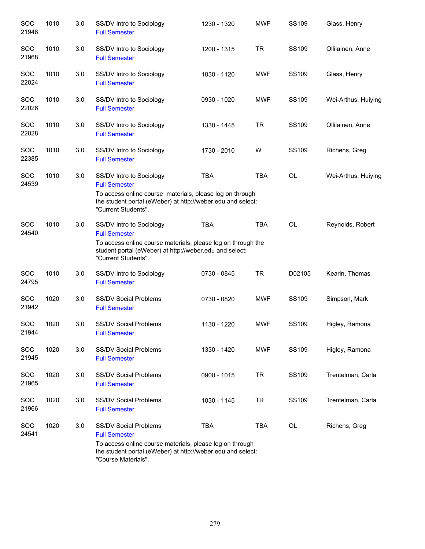| <b>SOC</b><br>21948 | 1010 | 3.0 | SS/DV Intro to Sociology<br><b>Full Semester</b>                                                                                                                                                   | 1230 - 1320 | <b>MWF</b> | SS109        | Glass, Henry        |
|---------------------|------|-----|----------------------------------------------------------------------------------------------------------------------------------------------------------------------------------------------------|-------------|------------|--------------|---------------------|
| <b>SOC</b><br>21968 | 1010 | 3.0 | SS/DV Intro to Sociology<br><b>Full Semester</b>                                                                                                                                                   | 1200 - 1315 | <b>TR</b>  | SS109        | Ollilainen, Anne    |
| <b>SOC</b><br>22024 | 1010 | 3.0 | SS/DV Intro to Sociology<br><b>Full Semester</b>                                                                                                                                                   | 1030 - 1120 | <b>MWF</b> | SS109        | Glass, Henry        |
| <b>SOC</b><br>22026 | 1010 | 3.0 | SS/DV Intro to Sociology<br><b>Full Semester</b>                                                                                                                                                   | 0930 - 1020 | <b>MWF</b> | SS109        | Wei-Arthus, Huiying |
| SOC<br>22028        | 1010 | 3.0 | SS/DV Intro to Sociology<br><b>Full Semester</b>                                                                                                                                                   | 1330 - 1445 | <b>TR</b>  | SS109        | Ollilainen, Anne    |
| <b>SOC</b><br>22385 | 1010 | 3.0 | SS/DV Intro to Sociology<br><b>Full Semester</b>                                                                                                                                                   | 1730 - 2010 | W          | SS109        | Richens, Greg       |
| <b>SOC</b><br>24539 | 1010 | 3.0 | SS/DV Intro to Sociology<br><b>Full Semester</b><br>To access online course materials, please log on through<br>the student portal (eWeber) at http://weber.edu and select:<br>"Current Students". | <b>TBA</b>  | <b>TBA</b> | <b>OL</b>    | Wei-Arthus, Huiying |
| <b>SOC</b><br>24540 | 1010 | 3.0 | SS/DV Intro to Sociology<br><b>Full Semester</b><br>To access online course materials, please log on through the<br>student portal (eWeber) at http://weber.edu and select:<br>"Current Students". | <b>TBA</b>  | <b>TBA</b> | <b>OL</b>    | Reynolds, Robert    |
| <b>SOC</b><br>24795 | 1010 | 3.0 | SS/DV Intro to Sociology<br><b>Full Semester</b>                                                                                                                                                   | 0730 - 0845 | <b>TR</b>  | D02105       | Kearin, Thomas      |
| <b>SOC</b><br>21942 | 1020 | 3.0 | <b>SS/DV Social Problems</b><br><b>Full Semester</b>                                                                                                                                               | 0730 - 0820 | <b>MWF</b> | SS109        | Simpson, Mark       |
| <b>SOC</b><br>21944 | 1020 | 3.0 | <b>SS/DV Social Problems</b><br><b>Full Semester</b>                                                                                                                                               | 1130 - 1220 | <b>MWF</b> | SS109        | Higley, Ramona      |
| SOC<br>21945        | 1020 | 3.0 | <b>SS/DV Social Problems</b><br><b>Full Semester</b>                                                                                                                                               | 1330 - 1420 | <b>MWF</b> | <b>SS109</b> | Higley, Ramona      |
| SOC<br>21965        | 1020 | 3.0 | <b>SS/DV Social Problems</b><br><b>Full Semester</b>                                                                                                                                               | 0900 - 1015 | <b>TR</b>  | SS109        | Trentelman, Carla   |
| SOC<br>21966        | 1020 | 3.0 | <b>SS/DV Social Problems</b><br><b>Full Semester</b>                                                                                                                                               | 1030 - 1145 | <b>TR</b>  | SS109        | Trentelman, Carla   |
| <b>SOC</b><br>24541 | 1020 | 3.0 | <b>SS/DV Social Problems</b><br><b>Full Semester</b><br>To access online course materials, please log on through<br>the student portal (eWeber) at http://weber.edu and select:                    | <b>TBA</b>  | <b>TBA</b> | OL           | Richens, Greg       |

"Course Materials".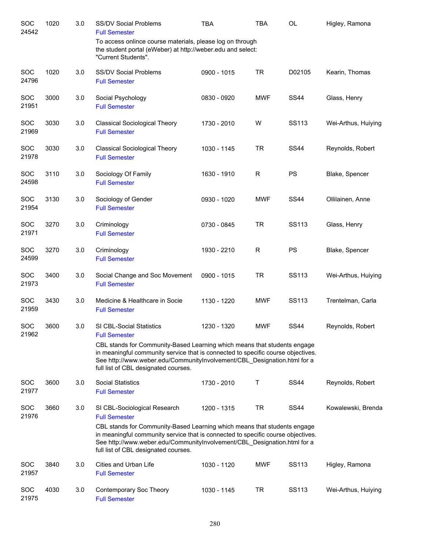| SOC<br>24542        | 1020 | 3.0 | SS/DV Social Problems<br><b>Full Semester</b>                                                                                                                                                                                                                                                                                            | <b>TBA</b>  | <b>TBA</b>   | OL           | Higley, Ramona      |
|---------------------|------|-----|------------------------------------------------------------------------------------------------------------------------------------------------------------------------------------------------------------------------------------------------------------------------------------------------------------------------------------------|-------------|--------------|--------------|---------------------|
|                     |      |     | To access onlince course materials, please log on through<br>the student portal (eWeber) at http://weber.edu and select:<br>"Current Students".                                                                                                                                                                                          |             |              |              |                     |
| SOC<br>24796        | 1020 | 3.0 | SS/DV Social Problems<br><b>Full Semester</b>                                                                                                                                                                                                                                                                                            | 0900 - 1015 | <b>TR</b>    | D02105       | Kearin, Thomas      |
| SOC<br>21951        | 3000 | 3.0 | Social Psychology<br><b>Full Semester</b>                                                                                                                                                                                                                                                                                                | 0830 - 0920 | <b>MWF</b>   | <b>SS44</b>  | Glass, Henry        |
| SOC<br>21969        | 3030 | 3.0 | <b>Classical Sociological Theory</b><br><b>Full Semester</b>                                                                                                                                                                                                                                                                             | 1730 - 2010 | W            | <b>SS113</b> | Wei-Arthus, Huiying |
| SOC<br>21978        | 3030 | 3.0 | <b>Classical Sociological Theory</b><br><b>Full Semester</b>                                                                                                                                                                                                                                                                             | 1030 - 1145 | <b>TR</b>    | <b>SS44</b>  | Reynolds, Robert    |
| SOC<br>24598        | 3110 | 3.0 | Sociology Of Family<br><b>Full Semester</b>                                                                                                                                                                                                                                                                                              | 1630 - 1910 | $\mathsf{R}$ | <b>PS</b>    | Blake, Spencer      |
| SOC<br>21954        | 3130 | 3.0 | Sociology of Gender<br><b>Full Semester</b>                                                                                                                                                                                                                                                                                              | 0930 - 1020 | <b>MWF</b>   | <b>SS44</b>  | Ollilainen, Anne    |
| SOC<br>21971        | 3270 | 3.0 | Criminology<br><b>Full Semester</b>                                                                                                                                                                                                                                                                                                      | 0730 - 0845 | <b>TR</b>    | SS113        | Glass, Henry        |
| SOC<br>24599        | 3270 | 3.0 | Criminology<br><b>Full Semester</b>                                                                                                                                                                                                                                                                                                      | 1930 - 2210 | R            | <b>PS</b>    | Blake, Spencer      |
| SOC<br>21973        | 3400 | 3.0 | Social Change and Soc Movement<br><b>Full Semester</b>                                                                                                                                                                                                                                                                                   | 0900 - 1015 | <b>TR</b>    | SS113        | Wei-Arthus, Huiying |
| SOC<br>21959        | 3430 | 3.0 | Medicine & Healthcare in Socie<br><b>Full Semester</b>                                                                                                                                                                                                                                                                                   | 1130 - 1220 | <b>MWF</b>   | SS113        | Trentelman, Carla   |
| SOC<br>21962        | 3600 | 3.0 | <b>SI CBL-Social Statistics</b><br><b>Full Semester</b><br>CBL stands for Community-Based Learning which means that students engage<br>in meaningful community service that is connected to specific course objectives.<br>See http://www.weber.edu/CommunityInvolvement/CBL_Designation.html for a                                      | 1230 - 1320 | <b>MWF</b>   | <b>SS44</b>  | Reynolds, Robert    |
| SOC<br>21977        | 3600 | 3.0 | full list of CBL designated courses.<br><b>Social Statistics</b><br><b>Full Semester</b>                                                                                                                                                                                                                                                 | 1730 - 2010 | Т            | <b>SS44</b>  | Reynolds, Robert    |
| SOC<br>21976        | 3660 | 3.0 | SI CBL-Sociological Research<br><b>Full Semester</b><br>CBL stands for Community-Based Learning which means that students engage<br>in meaningful community service that is connected to specific course objectives.<br>See http://www.weber.edu/CommunityInvolvement/CBL_Designation.html for a<br>full list of CBL designated courses. | 1200 - 1315 | <b>TR</b>    | <b>SS44</b>  | Kowalewski, Brenda  |
| <b>SOC</b><br>21957 | 3840 | 3.0 | Cities and Urban Life<br><b>Full Semester</b>                                                                                                                                                                                                                                                                                            | 1030 - 1120 | MWF          | SS113        | Higley, Ramona      |
| <b>SOC</b><br>21975 | 4030 | 3.0 | Contemporary Soc Theory<br><b>Full Semester</b>                                                                                                                                                                                                                                                                                          | 1030 - 1145 | <b>TR</b>    | SS113        | Wei-Arthus, Huiying |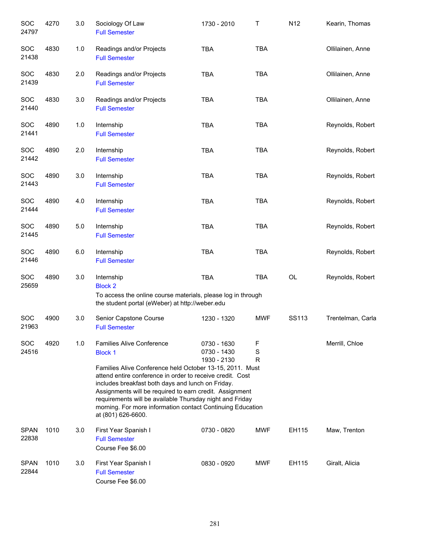| SOC<br>24797         | 4270 | 3.0 | Sociology Of Law<br><b>Full Semester</b>                                                                                                                                                                                                                                                                                                                                                                                                    | 1730 - 2010                               | $\mathsf T$ | N <sub>12</sub> | Kearin, Thomas    |
|----------------------|------|-----|---------------------------------------------------------------------------------------------------------------------------------------------------------------------------------------------------------------------------------------------------------------------------------------------------------------------------------------------------------------------------------------------------------------------------------------------|-------------------------------------------|-------------|-----------------|-------------------|
| <b>SOC</b><br>21438  | 4830 | 1.0 | Readings and/or Projects<br><b>Full Semester</b>                                                                                                                                                                                                                                                                                                                                                                                            | <b>TBA</b>                                | <b>TBA</b>  |                 | Ollilainen, Anne  |
| <b>SOC</b><br>21439  | 4830 | 2.0 | Readings and/or Projects<br><b>Full Semester</b>                                                                                                                                                                                                                                                                                                                                                                                            | <b>TBA</b>                                | <b>TBA</b>  |                 | Ollilainen, Anne  |
| <b>SOC</b><br>21440  | 4830 | 3.0 | Readings and/or Projects<br><b>Full Semester</b>                                                                                                                                                                                                                                                                                                                                                                                            | <b>TBA</b>                                | <b>TBA</b>  |                 | Ollilainen, Anne  |
| <b>SOC</b><br>21441  | 4890 | 1.0 | Internship<br><b>Full Semester</b>                                                                                                                                                                                                                                                                                                                                                                                                          | <b>TBA</b>                                | <b>TBA</b>  |                 | Reynolds, Robert  |
| <b>SOC</b><br>21442  | 4890 | 2.0 | Internship<br><b>Full Semester</b>                                                                                                                                                                                                                                                                                                                                                                                                          | <b>TBA</b>                                | <b>TBA</b>  |                 | Reynolds, Robert  |
| <b>SOC</b><br>21443  | 4890 | 3.0 | Internship<br><b>Full Semester</b>                                                                                                                                                                                                                                                                                                                                                                                                          | <b>TBA</b>                                | <b>TBA</b>  |                 | Reynolds, Robert  |
| <b>SOC</b><br>21444  | 4890 | 4.0 | Internship<br><b>Full Semester</b>                                                                                                                                                                                                                                                                                                                                                                                                          | <b>TBA</b>                                | <b>TBA</b>  |                 | Reynolds, Robert  |
| <b>SOC</b><br>21445  | 4890 | 5.0 | Internship<br><b>Full Semester</b>                                                                                                                                                                                                                                                                                                                                                                                                          | <b>TBA</b>                                | <b>TBA</b>  |                 | Reynolds, Robert  |
| <b>SOC</b><br>21446  | 4890 | 6.0 | Internship<br><b>Full Semester</b>                                                                                                                                                                                                                                                                                                                                                                                                          | <b>TBA</b>                                | <b>TBA</b>  |                 | Reynolds, Robert  |
| <b>SOC</b><br>25659  | 4890 | 3.0 | Internship<br><b>Block 2</b><br>To access the online course materials, please log in through<br>the student portal (eWeber) at http://weber.edu                                                                                                                                                                                                                                                                                             | <b>TBA</b>                                | <b>TBA</b>  | OL              | Reynolds, Robert  |
| <b>SOC</b><br>21963  | 4900 | 3.0 | Senior Capstone Course<br><b>Full Semester</b>                                                                                                                                                                                                                                                                                                                                                                                              | 1230 - 1320                               | <b>MWF</b>  | SS113           | Trentelman, Carla |
| SOC<br>24516         | 4920 | 1.0 | <b>Families Alive Conference</b><br><b>Block 1</b><br>Families Alive Conference held October 13-15, 2011. Must<br>attend entire conference in order to receive credit. Cost<br>includes breakfast both days and lunch on Friday.<br>Assignments will be required to earn credit. Assignment<br>requirements will be available Thursday night and Friday<br>morning. For more information contact Continuing Education<br>at (801) 626-6600. | 0730 - 1630<br>0730 - 1430<br>1930 - 2130 | F<br>S<br>R |                 | Merrill, Chloe    |
| <b>SPAN</b><br>22838 | 1010 | 3.0 | First Year Spanish I<br><b>Full Semester</b><br>Course Fee \$6.00                                                                                                                                                                                                                                                                                                                                                                           | 0730 - 0820                               | <b>MWF</b>  | EH115           | Maw, Trenton      |
| <b>SPAN</b><br>22844 | 1010 | 3.0 | First Year Spanish I<br><b>Full Semester</b><br>Course Fee \$6.00                                                                                                                                                                                                                                                                                                                                                                           | 0830 - 0920                               | <b>MWF</b>  | EH115           | Giralt, Alicia    |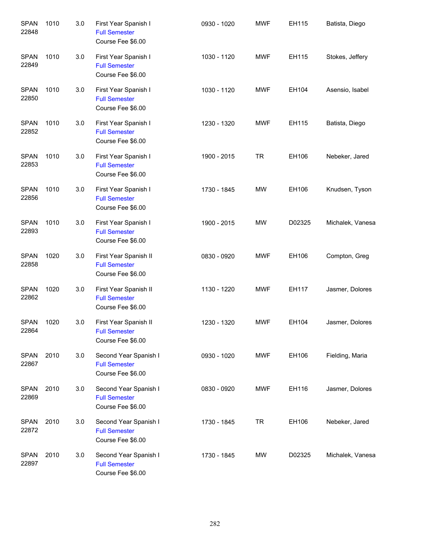| <b>SPAN</b><br>22848 | 1010 | 3.0 | First Year Spanish I<br><b>Full Semester</b><br>Course Fee \$6.00  | 0930 - 1020 | <b>MWF</b> | EH115  | Batista, Diego   |
|----------------------|------|-----|--------------------------------------------------------------------|-------------|------------|--------|------------------|
| <b>SPAN</b><br>22849 | 1010 | 3.0 | First Year Spanish I<br><b>Full Semester</b><br>Course Fee \$6.00  | 1030 - 1120 | <b>MWF</b> | EH115  | Stokes, Jeffery  |
| <b>SPAN</b><br>22850 | 1010 | 3.0 | First Year Spanish I<br><b>Full Semester</b><br>Course Fee \$6.00  | 1030 - 1120 | <b>MWF</b> | EH104  | Asensio, Isabel  |
| <b>SPAN</b><br>22852 | 1010 | 3.0 | First Year Spanish I<br><b>Full Semester</b><br>Course Fee \$6.00  | 1230 - 1320 | <b>MWF</b> | EH115  | Batista, Diego   |
| <b>SPAN</b><br>22853 | 1010 | 3.0 | First Year Spanish I<br><b>Full Semester</b><br>Course Fee \$6.00  | 1900 - 2015 | <b>TR</b>  | EH106  | Nebeker, Jared   |
| <b>SPAN</b><br>22856 | 1010 | 3.0 | First Year Spanish I<br><b>Full Semester</b><br>Course Fee \$6.00  | 1730 - 1845 | MW         | EH106  | Knudsen, Tyson   |
| <b>SPAN</b><br>22893 | 1010 | 3.0 | First Year Spanish I<br><b>Full Semester</b><br>Course Fee \$6.00  | 1900 - 2015 | <b>MW</b>  | D02325 | Michalek, Vanesa |
| <b>SPAN</b><br>22858 | 1020 | 3.0 | First Year Spanish II<br><b>Full Semester</b><br>Course Fee \$6.00 | 0830 - 0920 | <b>MWF</b> | EH106  | Compton, Greg    |
| <b>SPAN</b><br>22862 | 1020 | 3.0 | First Year Spanish II<br><b>Full Semester</b><br>Course Fee \$6.00 | 1130 - 1220 | <b>MWF</b> | EH117  | Jasmer, Dolores  |
| <b>SPAN</b><br>22864 | 1020 | 3.0 | First Year Spanish II<br><b>Full Semester</b><br>Course Fee \$6.00 | 1230 - 1320 | <b>MWF</b> | EH104  | Jasmer, Dolores  |
| <b>SPAN</b><br>22867 | 2010 | 3.0 | Second Year Spanish I<br><b>Full Semester</b><br>Course Fee \$6.00 | 0930 - 1020 | <b>MWF</b> | EH106  | Fielding, Maria  |
| <b>SPAN</b><br>22869 | 2010 | 3.0 | Second Year Spanish I<br><b>Full Semester</b><br>Course Fee \$6.00 | 0830 - 0920 | MWF        | EH116  | Jasmer, Dolores  |
| <b>SPAN</b><br>22872 | 2010 | 3.0 | Second Year Spanish I<br><b>Full Semester</b><br>Course Fee \$6.00 | 1730 - 1845 | <b>TR</b>  | EH106  | Nebeker, Jared   |
| <b>SPAN</b><br>22897 | 2010 | 3.0 | Second Year Spanish I<br><b>Full Semester</b><br>Course Fee \$6.00 | 1730 - 1845 | MW         | D02325 | Michalek, Vanesa |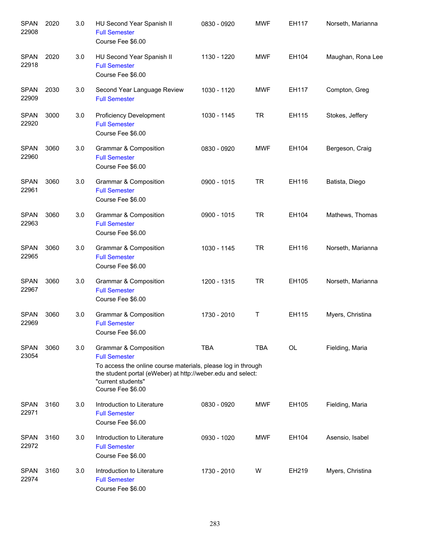| <b>SPAN</b><br>22908 | 2020 | 3.0 | HU Second Year Spanish II<br><b>Full Semester</b><br>Course Fee \$6.00                                                                                                                                                  | 0830 - 0920 | <b>MWF</b> | EH117     | Norseth, Marianna |
|----------------------|------|-----|-------------------------------------------------------------------------------------------------------------------------------------------------------------------------------------------------------------------------|-------------|------------|-----------|-------------------|
| <b>SPAN</b><br>22918 | 2020 | 3.0 | HU Second Year Spanish II<br><b>Full Semester</b><br>Course Fee \$6.00                                                                                                                                                  | 1130 - 1220 | <b>MWF</b> | EH104     | Maughan, Rona Lee |
| <b>SPAN</b><br>22909 | 2030 | 3.0 | Second Year Language Review<br><b>Full Semester</b>                                                                                                                                                                     | 1030 - 1120 | <b>MWF</b> | EH117     | Compton, Greg     |
| <b>SPAN</b><br>22920 | 3000 | 3.0 | <b>Proficiency Development</b><br><b>Full Semester</b><br>Course Fee \$6.00                                                                                                                                             | 1030 - 1145 | <b>TR</b>  | EH115     | Stokes, Jeffery   |
| <b>SPAN</b><br>22960 | 3060 | 3.0 | Grammar & Composition<br><b>Full Semester</b><br>Course Fee \$6.00                                                                                                                                                      | 0830 - 0920 | <b>MWF</b> | EH104     | Bergeson, Craig   |
| <b>SPAN</b><br>22961 | 3060 | 3.0 | <b>Grammar &amp; Composition</b><br><b>Full Semester</b><br>Course Fee \$6.00                                                                                                                                           | 0900 - 1015 | <b>TR</b>  | EH116     | Batista, Diego    |
| <b>SPAN</b><br>22963 | 3060 | 3.0 | Grammar & Composition<br><b>Full Semester</b><br>Course Fee \$6.00                                                                                                                                                      | 0900 - 1015 | <b>TR</b>  | EH104     | Mathews, Thomas   |
| SPAN<br>22965        | 3060 | 3.0 | Grammar & Composition<br><b>Full Semester</b><br>Course Fee \$6.00                                                                                                                                                      | 1030 - 1145 | <b>TR</b>  | EH116     | Norseth, Marianna |
| SPAN<br>22967        | 3060 | 3.0 | Grammar & Composition<br><b>Full Semester</b><br>Course Fee \$6.00                                                                                                                                                      | 1200 - 1315 | <b>TR</b>  | EH105     | Norseth, Marianna |
| <b>SPAN</b><br>22969 | 3060 | 3.0 | Grammar & Composition<br><b>Full Semester</b><br>Course Fee \$6.00                                                                                                                                                      | 1730 - 2010 | Τ          | EH115     | Myers, Christina  |
| <b>SPAN</b><br>23054 | 3060 | 3.0 | Grammar & Composition<br><b>Full Semester</b><br>To access the online course materials, please log in through<br>the student portal (eWeber) at http://weber.edu and select:<br>"current students"<br>Course Fee \$6.00 | <b>TBA</b>  | <b>TBA</b> | <b>OL</b> | Fielding, Maria   |
| <b>SPAN</b><br>22971 | 3160 | 3.0 | Introduction to Literature<br><b>Full Semester</b><br>Course Fee \$6.00                                                                                                                                                 | 0830 - 0920 | <b>MWF</b> | EH105     | Fielding, Maria   |
| <b>SPAN</b><br>22972 | 3160 | 3.0 | Introduction to Literature<br><b>Full Semester</b><br>Course Fee \$6.00                                                                                                                                                 | 0930 - 1020 | <b>MWF</b> | EH104     | Asensio, Isabel   |
| <b>SPAN</b><br>22974 | 3160 | 3.0 | Introduction to Literature<br><b>Full Semester</b><br>Course Fee \$6.00                                                                                                                                                 | 1730 - 2010 | W          | EH219     | Myers, Christina  |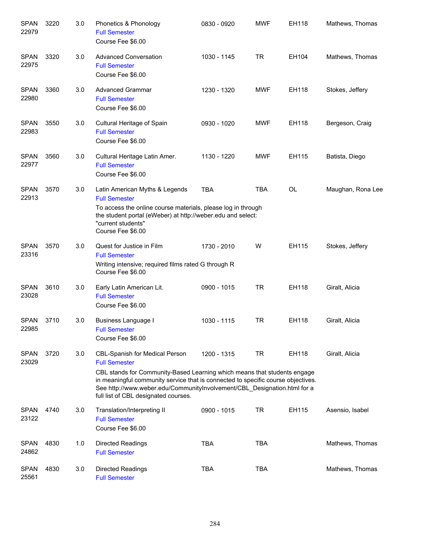| <b>SPAN</b><br>22979 | 3220 | 3.0 | Phonetics & Phonology<br><b>Full Semester</b><br>Course Fee \$6.00                                                                                                                                                                                                                                                                                | 0830 - 0920 | <b>MWF</b> | EH118     | Mathews, Thomas   |
|----------------------|------|-----|---------------------------------------------------------------------------------------------------------------------------------------------------------------------------------------------------------------------------------------------------------------------------------------------------------------------------------------------------|-------------|------------|-----------|-------------------|
| <b>SPAN</b><br>22975 | 3320 | 3.0 | <b>Advanced Conversation</b><br><b>Full Semester</b><br>Course Fee \$6.00                                                                                                                                                                                                                                                                         | 1030 - 1145 | TR         | EH104     | Mathews, Thomas   |
| <b>SPAN</b><br>22980 | 3360 | 3.0 | <b>Advanced Grammar</b><br><b>Full Semester</b><br>Course Fee \$6.00                                                                                                                                                                                                                                                                              | 1230 - 1320 | <b>MWF</b> | EH118     | Stokes, Jeffery   |
| <b>SPAN</b><br>22983 | 3550 | 3.0 | Cultural Heritage of Spain<br><b>Full Semester</b><br>Course Fee \$6.00                                                                                                                                                                                                                                                                           | 0930 - 1020 | <b>MWF</b> | EH118     | Bergeson, Craig   |
| <b>SPAN</b><br>22977 | 3560 | 3.0 | Cultural Heritage Latin Amer.<br><b>Full Semester</b><br>Course Fee \$6.00                                                                                                                                                                                                                                                                        | 1130 - 1220 | <b>MWF</b> | EH115     | Batista, Diego    |
| <b>SPAN</b><br>22913 | 3570 | 3.0 | Latin American Myths & Legends<br><b>Full Semester</b><br>To access the online course materials, please log in through<br>the student portal (eWeber) at http://weber.edu and select:<br>"current students"<br>Course Fee \$6.00                                                                                                                  | <b>TBA</b>  | <b>TBA</b> | <b>OL</b> | Maughan, Rona Lee |
| <b>SPAN</b><br>23316 | 3570 | 3.0 | Quest for Justice in Film<br><b>Full Semester</b><br>Writing intensive; required films rated G through R<br>Course Fee \$6.00                                                                                                                                                                                                                     | 1730 - 2010 | W          | EH115     | Stokes, Jeffery   |
| <b>SPAN</b><br>23028 | 3610 | 3.0 | Early Latin American Lit.<br><b>Full Semester</b><br>Course Fee \$6.00                                                                                                                                                                                                                                                                            | 0900 - 1015 | <b>TR</b>  | EH118     | Giralt, Alicia    |
| <b>SPAN</b><br>22985 | 3710 | 3.0 | Business Language I<br><b>Full Semester</b><br>Course Fee \$6.00                                                                                                                                                                                                                                                                                  | 1030 - 1115 | <b>TR</b>  | EH118     | Giralt, Alicia    |
| <b>SPAN</b><br>23029 | 3720 | 3.0 | <b>CBL-Spanish for Medical Person</b><br><b>Full Semester</b><br>CBL stands for Community-Based Learning which means that students engage<br>in meaningful community service that is connected to specific course objectives.<br>See http://www.weber.edu/CommunityInvolvement/CBL_Designation.html for a<br>full list of CBL designated courses. | 1200 - 1315 | <b>TR</b>  | EH118     | Giralt, Alicia    |
| <b>SPAN</b><br>23122 | 4740 | 3.0 | Translation/Interpreting II<br><b>Full Semester</b><br>Course Fee \$6.00                                                                                                                                                                                                                                                                          | 0900 - 1015 | TR         | EH115     | Asensio, Isabel   |
| <b>SPAN</b><br>24862 | 4830 | 1.0 | <b>Directed Readings</b><br><b>Full Semester</b>                                                                                                                                                                                                                                                                                                  | <b>TBA</b>  | <b>TBA</b> |           | Mathews, Thomas   |
| <b>SPAN</b><br>25561 | 4830 | 3.0 | <b>Directed Readings</b><br><b>Full Semester</b>                                                                                                                                                                                                                                                                                                  | <b>TBA</b>  | <b>TBA</b> |           | Mathews, Thomas   |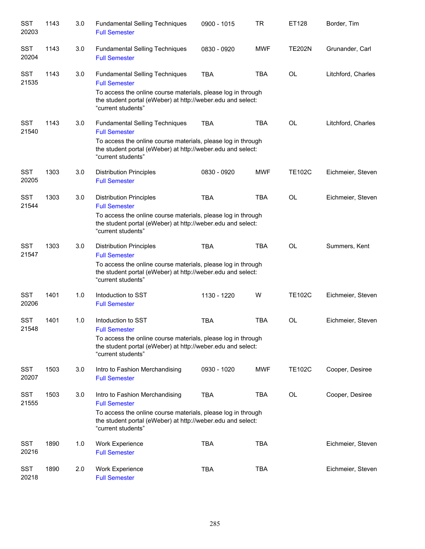| <b>SST</b><br>20203 | 1143 | $3.0\,$ | <b>Fundamental Selling Techniques</b><br><b>Full Semester</b>                                                                                                                                                      | 0900 - 1015 | <b>TR</b>  | ET128         | Border, Tim        |
|---------------------|------|---------|--------------------------------------------------------------------------------------------------------------------------------------------------------------------------------------------------------------------|-------------|------------|---------------|--------------------|
| <b>SST</b><br>20204 | 1143 | 3.0     | <b>Fundamental Selling Techniques</b><br><b>Full Semester</b>                                                                                                                                                      | 0830 - 0920 | <b>MWF</b> | <b>TE202N</b> | Grunander, Carl    |
| <b>SST</b><br>21535 | 1143 | 3.0     | <b>Fundamental Selling Techniques</b><br><b>Full Semester</b><br>To access the online course materials, please log in through<br>the student portal (eWeber) at http://weber.edu and select:<br>"current students" | <b>TBA</b>  | <b>TBA</b> | <b>OL</b>     | Litchford, Charles |
| <b>SST</b><br>21540 | 1143 | 3.0     | <b>Fundamental Selling Techniques</b><br><b>Full Semester</b><br>To access the online course materials, please log in through<br>the student portal (eWeber) at http://weber.edu and select:<br>"current students" | TBA         | <b>TBA</b> | <b>OL</b>     | Litchford, Charles |
| <b>SST</b><br>20205 | 1303 | 3.0     | <b>Distribution Principles</b><br><b>Full Semester</b>                                                                                                                                                             | 0830 - 0920 | <b>MWF</b> | <b>TE102C</b> | Eichmeier, Steven  |
| <b>SST</b><br>21544 | 1303 | 3.0     | <b>Distribution Principles</b><br><b>Full Semester</b><br>To access the online course materials, please log in through<br>the student portal (eWeber) at http://weber.edu and select:<br>"current students"        | <b>TBA</b>  | <b>TBA</b> | <b>OL</b>     | Eichmeier, Steven  |
| <b>SST</b><br>21547 | 1303 | 3.0     | <b>Distribution Principles</b><br><b>Full Semester</b><br>To access the online course materials, please log in through<br>the student portal (eWeber) at http://weber.edu and select:<br>"current students"        | <b>TBA</b>  | <b>TBA</b> | <b>OL</b>     | Summers, Kent      |
| <b>SST</b><br>20206 | 1401 | 1.0     | Intoduction to SST<br><b>Full Semester</b>                                                                                                                                                                         | 1130 - 1220 | W          | <b>TE102C</b> | Eichmeier, Steven  |
| <b>SST</b><br>21548 | 1401 | 1.0     | Intoduction to SST<br><b>Full Semester</b><br>To access the online course materials, please log in through<br>the student portal (eWeber) at http://weber.edu and select:<br>"current students"                    | <b>TBA</b>  | <b>TBA</b> | <b>OL</b>     | Eichmeier, Steven  |
| <b>SST</b><br>20207 | 1503 | 3.0     | Intro to Fashion Merchandising<br><b>Full Semester</b>                                                                                                                                                             | 0930 - 1020 | <b>MWF</b> | <b>TE102C</b> | Cooper, Desiree    |
| <b>SST</b><br>21555 | 1503 | 3.0     | Intro to Fashion Merchandising<br><b>Full Semester</b><br>To access the online course materials, please log in through<br>the student portal (eWeber) at http://weber.edu and select:<br>"current students"        | <b>TBA</b>  | <b>TBA</b> | OL            | Cooper, Desiree    |
| SST<br>20216        | 1890 | 1.0     | Work Experience<br><b>Full Semester</b>                                                                                                                                                                            | <b>TBA</b>  | <b>TBA</b> |               | Eichmeier, Steven  |
| SST<br>20218        | 1890 | 2.0     | <b>Work Experience</b><br><b>Full Semester</b>                                                                                                                                                                     | <b>TBA</b>  | <b>TBA</b> |               | Eichmeier, Steven  |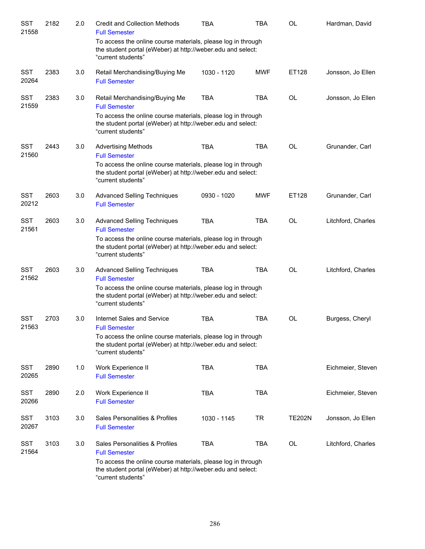| SST<br>21558        | 2182 | 2.0 | <b>Credit and Collection Methods</b><br><b>Full Semester</b>                                                                                      | TBA         | <b>TBA</b> | <b>OL</b>     | Hardman, David     |
|---------------------|------|-----|---------------------------------------------------------------------------------------------------------------------------------------------------|-------------|------------|---------------|--------------------|
|                     |      |     | To access the online course materials, please log in through<br>the student portal (eWeber) at http://weber.edu and select:<br>"current students" |             |            |               |                    |
| <b>SST</b><br>20264 | 2383 | 3.0 | Retail Merchandising/Buying Me<br><b>Full Semester</b>                                                                                            | 1030 - 1120 | <b>MWF</b> | ET128         | Jonsson, Jo Ellen  |
| <b>SST</b><br>21559 | 2383 | 3.0 | Retail Merchandising/Buying Me<br><b>Full Semester</b>                                                                                            | <b>TBA</b>  | <b>TBA</b> | <b>OL</b>     | Jonsson, Jo Ellen  |
|                     |      |     | To access the online course materials, please log in through<br>the student portal (eWeber) at http://weber.edu and select:<br>"current students" |             |            |               |                    |
| <b>SST</b><br>21560 | 2443 | 3.0 | <b>Advertising Methods</b><br><b>Full Semester</b>                                                                                                | <b>TBA</b>  | <b>TBA</b> | <b>OL</b>     | Grunander, Carl    |
|                     |      |     | To access the online course materials, please log in through<br>the student portal (eWeber) at http://weber.edu and select:<br>"current students" |             |            |               |                    |
| <b>SST</b><br>20212 | 2603 | 3.0 | <b>Advanced Selling Techniques</b><br><b>Full Semester</b>                                                                                        | 0930 - 1020 | <b>MWF</b> | ET128         | Grunander, Carl    |
| <b>SST</b><br>21561 | 2603 | 3.0 | <b>Advanced Selling Techniques</b><br><b>Full Semester</b>                                                                                        | <b>TBA</b>  | <b>TBA</b> | <b>OL</b>     | Litchford, Charles |
|                     |      |     | To access the online course materials, please log in through<br>the student portal (eWeber) at http://weber.edu and select:<br>"current students" |             |            |               |                    |
| <b>SST</b><br>21562 | 2603 | 3.0 | <b>Advanced Selling Techniques</b><br><b>Full Semester</b>                                                                                        | <b>TBA</b>  | <b>TBA</b> | <b>OL</b>     | Litchford, Charles |
|                     |      |     | To access the online course materials, please log in through<br>the student portal (eWeber) at http://weber.edu and select:<br>"current students" |             |            |               |                    |
| <b>SST</b><br>21563 | 2703 | 3.0 | Internet Sales and Service<br><b>Full Semester</b>                                                                                                | <b>TBA</b>  | <b>TBA</b> | <b>OL</b>     | Burgess, Cheryl    |
|                     |      |     | To access the online course materials, please log in through<br>the student portal (eWeber) at http://weber.edu and select:<br>"current students" |             |            |               |                    |
| <b>SST</b><br>20265 | 2890 | 1.0 | Work Experience II<br><b>Full Semester</b>                                                                                                        | <b>TBA</b>  | <b>TBA</b> |               | Eichmeier, Steven  |
| <b>SST</b><br>20266 | 2890 | 2.0 | Work Experience II<br><b>Full Semester</b>                                                                                                        | <b>TBA</b>  | <b>TBA</b> |               | Eichmeier, Steven  |
| <b>SST</b><br>20267 | 3103 | 3.0 | Sales Personalities & Profiles<br><b>Full Semester</b>                                                                                            | 1030 - 1145 | <b>TR</b>  | <b>TE202N</b> | Jonsson, Jo Ellen  |
| <b>SST</b><br>21564 | 3103 | 3.0 | Sales Personalities & Profiles<br><b>Full Semester</b>                                                                                            | <b>TBA</b>  | <b>TBA</b> | OL            | Litchford, Charles |
|                     |      |     | To access the online course materials, please log in through<br>the student portal (eWeber) at http://weber.edu and select:<br>"current students" |             |            |               |                    |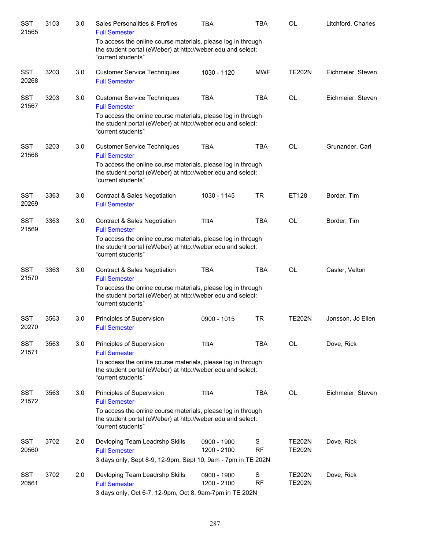| SST<br>21565        | 3103 | 3.0 | Sales Personalities & Profiles<br><b>Full Semester</b>                                                                                            | <b>TBA</b>                 | <b>TBA</b>     | <b>OL</b>                      | Litchford, Charles |
|---------------------|------|-----|---------------------------------------------------------------------------------------------------------------------------------------------------|----------------------------|----------------|--------------------------------|--------------------|
|                     |      |     | To access the online course materials, please log in through<br>the student portal (eWeber) at http://weber.edu and select:<br>"current students" |                            |                |                                |                    |
| <b>SST</b><br>20268 | 3203 | 3.0 | <b>Customer Service Techniques</b><br><b>Full Semester</b>                                                                                        | 1030 - 1120                | <b>MWF</b>     | <b>TE202N</b>                  | Eichmeier, Steven  |
| <b>SST</b><br>21567 | 3203 | 3.0 | <b>Customer Service Techniques</b><br><b>Full Semester</b><br>To access the online course materials, please log in through                        | <b>TBA</b>                 | <b>TBA</b>     | <b>OL</b>                      | Eichmeier, Steven  |
|                     |      |     | the student portal (eWeber) at http://weber.edu and select:<br>"current students"                                                                 |                            |                |                                |                    |
| <b>SST</b><br>21568 | 3203 | 3.0 | <b>Customer Service Techniques</b><br><b>Full Semester</b>                                                                                        | <b>TBA</b>                 | <b>TBA</b>     | <b>OL</b>                      | Grunander, Carl    |
|                     |      |     | To access the online course materials, please log in through<br>the student portal (eWeber) at http://weber.edu and select:<br>"current students" |                            |                |                                |                    |
| <b>SST</b><br>20269 | 3363 | 3.0 | <b>Contract &amp; Sales Negotiation</b><br><b>Full Semester</b>                                                                                   | 1030 - 1145                | <b>TR</b>      | ET128                          | Border, Tim        |
| <b>SST</b><br>21569 | 3363 | 3.0 | <b>Contract &amp; Sales Negotiation</b><br><b>Full Semester</b>                                                                                   | <b>TBA</b>                 | <b>TBA</b>     | <b>OL</b>                      | Border, Tim        |
|                     |      |     | To access the online course materials, please log in through<br>the student portal (eWeber) at http://weber.edu and select:<br>"current students" |                            |                |                                |                    |
| <b>SST</b><br>21570 | 3363 | 3.0 | <b>Contract &amp; Sales Negotiation</b><br><b>Full Semester</b>                                                                                   | <b>TBA</b>                 | <b>TBA</b>     | <b>OL</b>                      | Casler, Velton     |
|                     |      |     | To access the online course materials, please log in through<br>the student portal (eWeber) at http://weber.edu and select:<br>"current students" |                            |                |                                |                    |
| <b>SST</b><br>20270 | 3563 | 3.0 | Principles of Supervision<br><b>Full Semester</b>                                                                                                 | 0900 - 1015                | <b>TR</b>      | <b>TE202N</b>                  | Jonsson, Jo Ellen  |
| <b>SST</b><br>21571 | 3563 | 3.0 | Principles of Supervision<br><b>Full Semester</b>                                                                                                 | <b>TBA</b>                 | <b>TBA</b>     | <b>OL</b>                      | Dove, Rick         |
|                     |      |     | To access the online course materials, please log in through<br>the student portal (eWeber) at http://weber.edu and select:<br>"current students" |                            |                |                                |                    |
| <b>SST</b><br>21572 | 3563 | 3.0 | Principles of Supervision<br><b>Full Semester</b>                                                                                                 | <b>TBA</b>                 | <b>TBA</b>     | <b>OL</b>                      | Eichmeier, Steven  |
|                     |      |     | To access the online course materials, please log in through<br>the student portal (eWeber) at http://weber.edu and select:<br>"current students" |                            |                |                                |                    |
| <b>SST</b><br>20560 | 3702 | 2.0 | Devloping Team Leadrshp Skills<br><b>Full Semester</b>                                                                                            | 0900 - 1900<br>1200 - 2100 | S<br><b>RF</b> | <b>TE202N</b><br><b>TE202N</b> | Dove, Rick         |
|                     |      |     | 3 days only, Sept 8-9, 12-9pm, Sept 10, 9am - 7pm in TE 202N                                                                                      |                            |                |                                |                    |
| <b>SST</b><br>20561 | 3702 | 2.0 | Devloping Team Leadrshp Skills<br><b>Full Semester</b><br>3 days only, Oct 6-7, 12-9pm, Oct 8, 9am-7pm in TE 202N                                 | 0900 - 1900<br>1200 - 2100 | S<br><b>RF</b> | <b>TE202N</b><br><b>TE202N</b> | Dove, Rick         |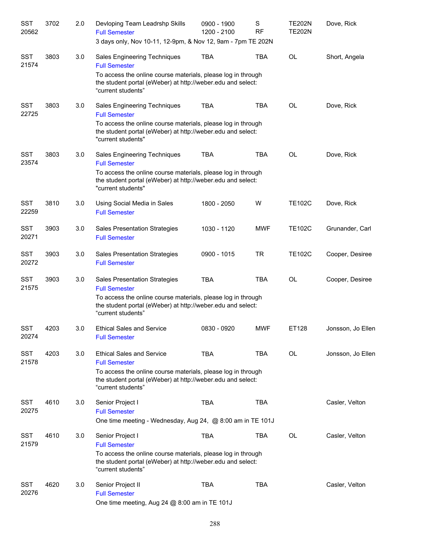| SST<br>20562        | 3702 | 2.0 | Devloping Team Leadrshp Skills<br><b>Full Semester</b>                                                                                            | 0900 - 1900<br>1200 - 2100 | S<br><b>RF</b> | <b>TE202N</b><br><b>TE202N</b> | Dove, Rick        |
|---------------------|------|-----|---------------------------------------------------------------------------------------------------------------------------------------------------|----------------------------|----------------|--------------------------------|-------------------|
|                     |      |     | 3 days only, Nov 10-11, 12-9pm, & Nov 12, 9am - 7pm TE 202N                                                                                       |                            |                |                                |                   |
| <b>SST</b><br>21574 | 3803 | 3.0 | Sales Engineering Techniques<br><b>Full Semester</b>                                                                                              | <b>TBA</b>                 | <b>TBA</b>     | <b>OL</b>                      | Short, Angela     |
|                     |      |     | To access the online course materials, please log in through<br>the student portal (eWeber) at http://weber.edu and select:<br>"current students" |                            |                |                                |                   |
| <b>SST</b><br>22725 | 3803 | 3.0 | Sales Engineering Techniques<br><b>Full Semester</b>                                                                                              | <b>TBA</b>                 | <b>TBA</b>     | <b>OL</b>                      | Dove, Rick        |
|                     |      |     | To access the online course materials, please log in through<br>the student portal (eWeber) at http://weber.edu and select:<br>"current students" |                            |                |                                |                   |
| <b>SST</b><br>23574 | 3803 | 3.0 | Sales Engineering Techniques<br><b>Full Semester</b>                                                                                              | <b>TBA</b>                 | <b>TBA</b>     | <b>OL</b>                      | Dove, Rick        |
|                     |      |     | To access the online course materials, please log in through<br>the student portal (eWeber) at http://weber.edu and select:<br>"current students" |                            |                |                                |                   |
| <b>SST</b><br>22259 | 3810 | 3.0 | Using Social Media in Sales<br><b>Full Semester</b>                                                                                               | 1800 - 2050                | W              | <b>TE102C</b>                  | Dove, Rick        |
| <b>SST</b><br>20271 | 3903 | 3.0 | <b>Sales Presentation Strategies</b><br><b>Full Semester</b>                                                                                      | 1030 - 1120                | <b>MWF</b>     | <b>TE102C</b>                  | Grunander, Carl   |
| <b>SST</b><br>20272 | 3903 | 3.0 | <b>Sales Presentation Strategies</b><br><b>Full Semester</b>                                                                                      | 0900 - 1015                | <b>TR</b>      | <b>TE102C</b>                  | Cooper, Desiree   |
| <b>SST</b><br>21575 | 3903 | 3.0 | <b>Sales Presentation Strategies</b><br><b>Full Semester</b>                                                                                      | <b>TBA</b>                 | <b>TBA</b>     | <b>OL</b>                      | Cooper, Desiree   |
|                     |      |     | To access the online course materials, please log in through<br>the student portal (eWeber) at http://weber.edu and select:<br>"current students" |                            |                |                                |                   |
| <b>SST</b><br>20274 | 4203 | 3.0 | <b>Ethical Sales and Service</b><br><b>Full Semester</b>                                                                                          | 0830 - 0920                | <b>MWF</b>     | ET128                          | Jonsson, Jo Ellen |
| <b>SST</b><br>21578 | 4203 | 3.0 | <b>Ethical Sales and Service</b><br><b>Full Semester</b>                                                                                          | <b>TBA</b>                 | <b>TBA</b>     | OL                             | Jonsson, Jo Ellen |
|                     |      |     | To access the online course materials, please log in through<br>the student portal (eWeber) at http://weber.edu and select:<br>"current students" |                            |                |                                |                   |
| <b>SST</b><br>20275 | 4610 | 3.0 | Senior Project I<br><b>Full Semester</b>                                                                                                          | <b>TBA</b>                 | <b>TBA</b>     |                                | Casler, Velton    |
|                     |      |     | One time meeting - Wednesday, Aug 24, @ 8:00 am in TE 101J                                                                                        |                            |                |                                |                   |
| <b>SST</b><br>21579 | 4610 | 3.0 | Senior Project I<br><b>Full Semester</b><br>To access the online course materials, please log in through                                          | <b>TBA</b>                 | <b>TBA</b>     | OL                             | Casler, Velton    |
|                     |      |     | the student portal (eWeber) at http://weber.edu and select:<br>"current students"                                                                 |                            |                |                                |                   |
| <b>SST</b><br>20276 | 4620 | 3.0 | Senior Project II<br><b>Full Semester</b>                                                                                                         | <b>TBA</b>                 | <b>TBA</b>     |                                | Casler, Velton    |
|                     |      |     | One time meeting, Aug 24 @ 8:00 am in TE 101J                                                                                                     |                            |                |                                |                   |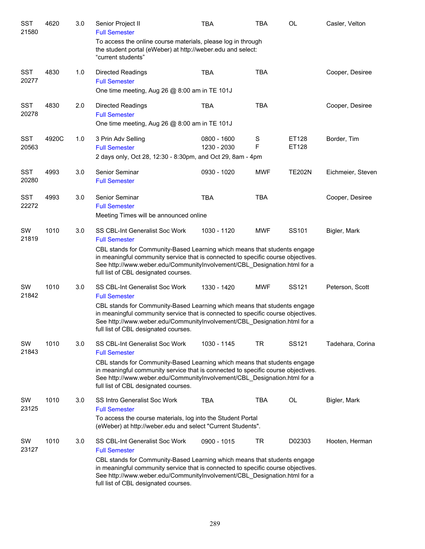| <b>SST</b><br>21580 | 4620  | 3.0 | Senior Project II<br><b>Full Semester</b>                                                                                                                                                                                                                                        | <b>TBA</b>                 | <b>TBA</b> | <b>OL</b>      | Casler, Velton    |
|---------------------|-------|-----|----------------------------------------------------------------------------------------------------------------------------------------------------------------------------------------------------------------------------------------------------------------------------------|----------------------------|------------|----------------|-------------------|
|                     |       |     | To access the online course materials, please log in through<br>the student portal (eWeber) at http://weber.edu and select:<br>"current students"                                                                                                                                |                            |            |                |                   |
| <b>SST</b><br>20277 | 4830  | 1.0 | <b>Directed Readings</b><br><b>Full Semester</b>                                                                                                                                                                                                                                 | <b>TBA</b>                 | <b>TBA</b> |                | Cooper, Desiree   |
|                     |       |     | One time meeting, Aug 26 @ 8:00 am in TE 101J                                                                                                                                                                                                                                    |                            |            |                |                   |
| <b>SST</b><br>20278 | 4830  | 2.0 | <b>Directed Readings</b><br><b>Full Semester</b><br>One time meeting, Aug 26 @ 8:00 am in TE 101J                                                                                                                                                                                | <b>TBA</b>                 | <b>TBA</b> |                | Cooper, Desiree   |
|                     |       |     |                                                                                                                                                                                                                                                                                  |                            |            |                |                   |
| <b>SST</b><br>20563 | 4920C | 1.0 | 3 Prin Adv Selling<br><b>Full Semester</b>                                                                                                                                                                                                                                       | 0800 - 1600<br>1230 - 2030 | S<br>F     | ET128<br>ET128 | Border, Tim       |
|                     |       |     | 2 days only, Oct 28, 12:30 - 8:30pm, and Oct 29, 8am - 4pm                                                                                                                                                                                                                       |                            |            |                |                   |
| <b>SST</b><br>20280 | 4993  | 3.0 | Senior Seminar<br><b>Full Semester</b>                                                                                                                                                                                                                                           | 0930 - 1020                | <b>MWF</b> | <b>TE202N</b>  | Eichmeier, Steven |
| <b>SST</b><br>22272 | 4993  | 3.0 | Senior Seminar<br><b>Full Semester</b>                                                                                                                                                                                                                                           | <b>TBA</b>                 | <b>TBA</b> |                | Cooper, Desiree   |
|                     |       |     | Meeting Times will be announced online                                                                                                                                                                                                                                           |                            |            |                |                   |
| SW<br>21819         | 1010  | 3.0 | SS CBL-Int Generalist Soc Work<br><b>Full Semester</b>                                                                                                                                                                                                                           | 1030 - 1120                | <b>MWF</b> | SS101          | Bigler, Mark      |
|                     |       |     | CBL stands for Community-Based Learning which means that students engage<br>in meaningful community service that is connected to specific course objectives.<br>See http://www.weber.edu/CommunityInvolvement/CBL_Designation.html for a<br>full list of CBL designated courses. |                            |            |                |                   |
| SW<br>21842         | 1010  | 3.0 | SS CBL-Int Generalist Soc Work<br><b>Full Semester</b>                                                                                                                                                                                                                           | 1330 - 1420                | <b>MWF</b> | SS121          | Peterson, Scott   |
|                     |       |     | CBL stands for Community-Based Learning which means that students engage<br>in meaningful community service that is connected to specific course objectives.<br>See http://www.weber.edu/CommunityInvolvement/CBL_Designation.html for a<br>full list of CBL designated courses. |                            |            |                |                   |
| SW<br>21843         | 1010  | 3.0 | <b>SS CBL-Int Generalist Soc Work</b><br><b>Full Semester</b>                                                                                                                                                                                                                    | 1030 - 1145                | <b>TR</b>  | SS121          | Tadehara, Corina  |
|                     |       |     | CBL stands for Community-Based Learning which means that students engage<br>in meaningful community service that is connected to specific course objectives.<br>See http://www.weber.edu/CommunityInvolvement/CBL_Designation.html for a<br>full list of CBL designated courses. |                            |            |                |                   |
| SW<br>23125         | 1010  | 3.0 | SS Intro Generalist Soc Work<br><b>Full Semester</b>                                                                                                                                                                                                                             | <b>TBA</b>                 | <b>TBA</b> | OL             | Bigler, Mark      |
|                     |       |     | To access the course materials, log into the Student Portal<br>(eWeber) at http://weber.edu and select "Current Students".                                                                                                                                                       |                            |            |                |                   |
| SW<br>23127         | 1010  | 3.0 | SS CBL-Int Generalist Soc Work<br><b>Full Semester</b>                                                                                                                                                                                                                           | 0900 - 1015                | <b>TR</b>  | D02303         | Hooten, Herman    |
|                     |       |     | CBL stands for Community-Based Learning which means that students engage<br>in meaningful community service that is connected to specific course objectives.<br>See http://www.weber.edu/CommunityInvolvement/CBL_Designation.html for a<br>full list of CBL designated courses. |                            |            |                |                   |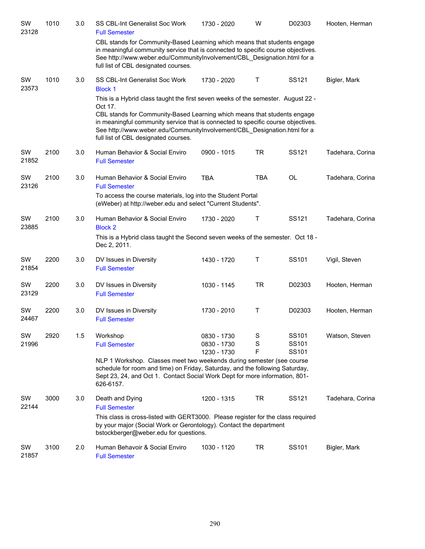| SW<br>23128 | 1010 | 3.0 | SS CBL-Int Generalist Soc Work<br><b>Full Semester</b>                                                                                                                                                                                                                                                                                                                          | 1730 - 2020                               | W           | D02303                  | Hooten, Herman   |
|-------------|------|-----|---------------------------------------------------------------------------------------------------------------------------------------------------------------------------------------------------------------------------------------------------------------------------------------------------------------------------------------------------------------------------------|-------------------------------------------|-------------|-------------------------|------------------|
|             |      |     | CBL stands for Community-Based Learning which means that students engage<br>in meaningful community service that is connected to specific course objectives.<br>See http://www.weber.edu/CommunityInvolvement/CBL Designation.html for a<br>full list of CBL designated courses.                                                                                                |                                           |             |                         |                  |
| SW<br>23573 | 1010 | 3.0 | SS CBL-Int Generalist Soc Work<br><b>Block 1</b>                                                                                                                                                                                                                                                                                                                                | 1730 - 2020                               | $\top$      | SS121                   | Bigler, Mark     |
|             |      |     | This is a Hybrid class taught the first seven weeks of the semester. August 22 -<br>Oct 17.<br>CBL stands for Community-Based Learning which means that students engage<br>in meaningful community service that is connected to specific course objectives.<br>See http://www.weber.edu/CommunityInvolvement/CBL_Designation.html for a<br>full list of CBL designated courses. |                                           |             |                         |                  |
| SW<br>21852 | 2100 | 3.0 | Human Behavior & Social Enviro<br><b>Full Semester</b>                                                                                                                                                                                                                                                                                                                          | 0900 - 1015                               | <b>TR</b>   | SS121                   | Tadehara, Corina |
| SW<br>23126 | 2100 | 3.0 | Human Behavior & Social Enviro<br><b>Full Semester</b><br>To access the course materials, log into the Student Portal                                                                                                                                                                                                                                                           | <b>TBA</b>                                | <b>TBA</b>  | <b>OL</b>               | Tadehara, Corina |
|             |      |     | (eWeber) at http://weber.edu and select "Current Students".                                                                                                                                                                                                                                                                                                                     |                                           |             |                         |                  |
| SW<br>23885 | 2100 | 3.0 | Human Behavior & Social Enviro<br><b>Block 2</b><br>This is a Hybrid class taught the Second seven weeks of the semester. Oct 18 -                                                                                                                                                                                                                                              | 1730 - 2020                               | Τ           | SS121                   | Tadehara, Corina |
|             |      |     | Dec 2, 2011.                                                                                                                                                                                                                                                                                                                                                                    |                                           |             |                         |                  |
| SW<br>21854 | 2200 | 3.0 | DV Issues in Diversity<br><b>Full Semester</b>                                                                                                                                                                                                                                                                                                                                  | 1430 - 1720                               | Τ           | SS101                   | Vigil, Steven    |
| SW<br>23129 | 2200 | 3.0 | DV Issues in Diversity<br><b>Full Semester</b>                                                                                                                                                                                                                                                                                                                                  | 1030 - 1145                               | <b>TR</b>   | D02303                  | Hooten, Herman   |
| SW<br>24467 | 2200 | 3.0 | DV Issues in Diversity<br><b>Full Semester</b>                                                                                                                                                                                                                                                                                                                                  | 1730 - 2010                               | $\mathsf T$ | D02303                  | Hooten, Herman   |
| SW<br>21996 | 2920 | 1.5 | Workshop<br><b>Full Semester</b>                                                                                                                                                                                                                                                                                                                                                | 0830 - 1730<br>0830 - 1730<br>1230 - 1730 | S<br>S<br>F | SS101<br>SS101<br>SS101 | Watson, Steven   |
|             |      |     | NLP 1 Workshop. Classes meet two weekends during semester (see course<br>schedule for room and time) on Friday, Saturday, and the following Saturday,<br>Sept 23, 24, and Oct 1. Contact Social Work Dept for more information, 801-<br>626-6157.                                                                                                                               |                                           |             |                         |                  |
| SW<br>22144 | 3000 | 3.0 | Death and Dying<br><b>Full Semester</b>                                                                                                                                                                                                                                                                                                                                         | 1200 - 1315                               | TR          | SS121                   | Tadehara, Corina |
|             |      |     | This class is cross-listed with GERT3000. Please register for the class required<br>by your major (Social Work or Gerontology). Contact the department<br>bstockberger@weber.edu for questions.                                                                                                                                                                                 |                                           |             |                         |                  |
| SW<br>21857 | 3100 | 2.0 | Human Behavoir & Social Enviro<br><b>Full Semester</b>                                                                                                                                                                                                                                                                                                                          | 1030 - 1120                               | TR          | SS101                   | Bigler, Mark     |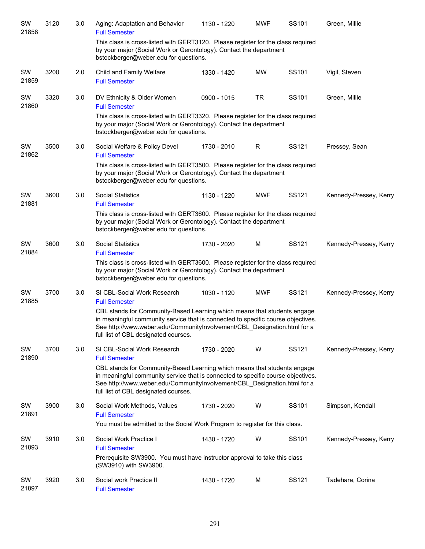| SW<br>21858 | 3120 | 3.0 | Aging: Adaptation and Behavior<br><b>Full Semester</b>                                                                                                                                                                                                                           | 1130 - 1220 | <b>MWF</b> | SS101 | Green, Millie          |
|-------------|------|-----|----------------------------------------------------------------------------------------------------------------------------------------------------------------------------------------------------------------------------------------------------------------------------------|-------------|------------|-------|------------------------|
|             |      |     | This class is cross-listed with GERT3120. Please register for the class required<br>by your major (Social Work or Gerontology). Contact the department<br>bstockberger@weber.edu for questions.                                                                                  |             |            |       |                        |
| SW<br>21859 | 3200 | 2.0 | Child and Family Welfare<br><b>Full Semester</b>                                                                                                                                                                                                                                 | 1330 - 1420 | <b>MW</b>  | SS101 | Vigil, Steven          |
| SW<br>21860 | 3320 | 3.0 | DV Ethnicity & Older Women<br><b>Full Semester</b>                                                                                                                                                                                                                               | 0900 - 1015 | <b>TR</b>  | SS101 | Green, Millie          |
|             |      |     | This class is cross-listed with GERT3320. Please register for the class required<br>by your major (Social Work or Gerontology). Contact the department<br>bstockberger@weber.edu for questions.                                                                                  |             |            |       |                        |
| SW<br>21862 | 3500 | 3.0 | Social Welfare & Policy Devel<br><b>Full Semester</b>                                                                                                                                                                                                                            | 1730 - 2010 | R          | SS121 | Pressey, Sean          |
|             |      |     | This class is cross-listed with GERT3500. Please register for the class required<br>by your major (Social Work or Gerontology). Contact the department<br>bstockberger@weber.edu for questions.                                                                                  |             |            |       |                        |
| SW<br>21881 | 3600 | 3.0 | <b>Social Statistics</b><br><b>Full Semester</b>                                                                                                                                                                                                                                 | 1130 - 1220 | <b>MWF</b> | SS121 | Kennedy-Pressey, Kerry |
|             |      |     | This class is cross-listed with GERT3600. Please register for the class required<br>by your major (Social Work or Gerontology). Contact the department<br>bstockberger@weber.edu for questions.                                                                                  |             |            |       |                        |
| SW<br>21884 | 3600 | 3.0 | <b>Social Statistics</b><br><b>Full Semester</b>                                                                                                                                                                                                                                 | 1730 - 2020 | M          | SS121 | Kennedy-Pressey, Kerry |
|             |      |     | This class is cross-listed with GERT3600. Please register for the class required<br>by your major (Social Work or Gerontology). Contact the department<br>bstockberger@weber.edu for questions.                                                                                  |             |            |       |                        |
| SW<br>21885 | 3700 | 3.0 | SI CBL-Social Work Research<br><b>Full Semester</b>                                                                                                                                                                                                                              | 1030 - 1120 | <b>MWF</b> | SS121 | Kennedy-Pressey, Kerry |
|             |      |     | CBL stands for Community-Based Learning which means that students engage<br>in meaningful community service that is connected to specific course objectives.<br>See http://www.weber.edu/CommunityInvolvement/CBL Designation.html for a<br>full list of CBL designated courses. |             |            |       |                        |
| SW<br>21890 | 3700 | 3.0 | SI CBL-Social Work Research<br><b>Full Semester</b>                                                                                                                                                                                                                              | 1730 - 2020 | W          | SS121 | Kennedy-Pressey, Kerry |
|             |      |     | CBL stands for Community-Based Learning which means that students engage<br>in meaningful community service that is connected to specific course objectives.<br>See http://www.weber.edu/CommunityInvolvement/CBL_Designation.html for a<br>full list of CBL designated courses. |             |            |       |                        |
| SW<br>21891 | 3900 | 3.0 | Social Work Methods, Values<br><b>Full Semester</b>                                                                                                                                                                                                                              | 1730 - 2020 | W          | SS101 | Simpson, Kendall       |
|             |      |     | You must be admitted to the Social Work Program to register for this class.                                                                                                                                                                                                      |             |            |       |                        |
| SW<br>21893 | 3910 | 3.0 | Social Work Practice I<br><b>Full Semester</b><br>Prerequisite SW3900. You must have instructor approval to take this class                                                                                                                                                      | 1430 - 1720 | W          | SS101 | Kennedy-Pressey, Kerry |
|             |      |     | (SW3910) with SW3900.                                                                                                                                                                                                                                                            |             |            |       |                        |
| SW<br>21897 | 3920 | 3.0 | Social work Practice II<br><b>Full Semester</b>                                                                                                                                                                                                                                  | 1430 - 1720 | м          | SS121 | Tadehara, Corina       |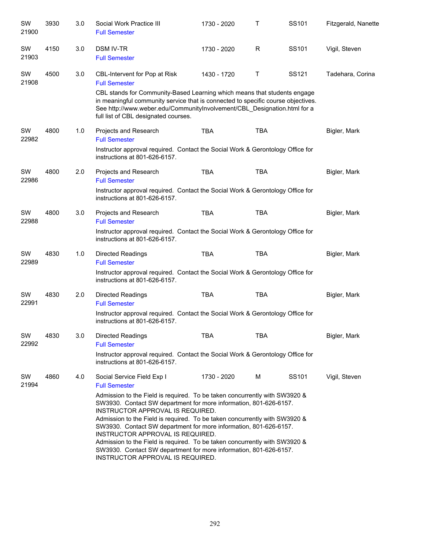| SW<br>21900 | 3930 | 3.0 | Social Work Practice III<br><b>Full Semester</b>                                                                                                                                                                                                                                                                                                                                                                                                                                                                                                                  | 1730 - 2020 | Τ          | SS101 | Fitzgerald, Nanette |
|-------------|------|-----|-------------------------------------------------------------------------------------------------------------------------------------------------------------------------------------------------------------------------------------------------------------------------------------------------------------------------------------------------------------------------------------------------------------------------------------------------------------------------------------------------------------------------------------------------------------------|-------------|------------|-------|---------------------|
| SW<br>21903 | 4150 | 3.0 | <b>DSM IV-TR</b><br><b>Full Semester</b>                                                                                                                                                                                                                                                                                                                                                                                                                                                                                                                          | 1730 - 2020 | R          | SS101 | Vigil, Steven       |
| SW<br>21908 | 4500 | 3.0 | CBL-Intervent for Pop at Risk<br><b>Full Semester</b><br>CBL stands for Community-Based Learning which means that students engage                                                                                                                                                                                                                                                                                                                                                                                                                                 | 1430 - 1720 | T          | SS121 | Tadehara, Corina    |
|             |      |     | in meaningful community service that is connected to specific course objectives.<br>See http://www.weber.edu/CommunityInvolvement/CBL Designation.html for a<br>full list of CBL designated courses.                                                                                                                                                                                                                                                                                                                                                              |             |            |       |                     |
| SW<br>22982 | 4800 | 1.0 | Projects and Research<br><b>Full Semester</b>                                                                                                                                                                                                                                                                                                                                                                                                                                                                                                                     | <b>TBA</b>  | <b>TBA</b> |       | Bigler, Mark        |
|             |      |     | Instructor approval required. Contact the Social Work & Gerontology Office for<br>instructions at 801-626-6157.                                                                                                                                                                                                                                                                                                                                                                                                                                                   |             |            |       |                     |
| SW<br>22986 | 4800 | 2.0 | Projects and Research<br><b>Full Semester</b>                                                                                                                                                                                                                                                                                                                                                                                                                                                                                                                     | <b>TBA</b>  | <b>TBA</b> |       | Bigler, Mark        |
|             |      |     | Instructor approval required. Contact the Social Work & Gerontology Office for<br>instructions at 801-626-6157.                                                                                                                                                                                                                                                                                                                                                                                                                                                   |             |            |       |                     |
| SW<br>22988 | 4800 | 3.0 | Projects and Research<br><b>Full Semester</b>                                                                                                                                                                                                                                                                                                                                                                                                                                                                                                                     | <b>TBA</b>  | <b>TBA</b> |       | Bigler, Mark        |
|             |      |     | Instructor approval required. Contact the Social Work & Gerontology Office for<br>instructions at 801-626-6157.                                                                                                                                                                                                                                                                                                                                                                                                                                                   |             |            |       |                     |
| SW<br>22989 | 4830 | 1.0 | <b>Directed Readings</b><br><b>Full Semester</b>                                                                                                                                                                                                                                                                                                                                                                                                                                                                                                                  | <b>TBA</b>  | <b>TBA</b> |       | Bigler, Mark        |
|             |      |     | Instructor approval required. Contact the Social Work & Gerontology Office for<br>instructions at 801-626-6157.                                                                                                                                                                                                                                                                                                                                                                                                                                                   |             |            |       |                     |
| SW<br>22991 | 4830 | 2.0 | <b>Directed Readings</b><br><b>Full Semester</b>                                                                                                                                                                                                                                                                                                                                                                                                                                                                                                                  | <b>TBA</b>  | <b>TBA</b> |       | Bigler, Mark        |
|             |      |     | Instructor approval required. Contact the Social Work & Gerontology Office for<br>instructions at 801-626-6157.                                                                                                                                                                                                                                                                                                                                                                                                                                                   |             |            |       |                     |
| SW<br>22992 | 4830 | 3.0 | <b>Directed Readings</b><br><b>Full Semester</b>                                                                                                                                                                                                                                                                                                                                                                                                                                                                                                                  | TBA         | TBA        |       | Bigler, Mark        |
|             |      |     | Instructor approval required. Contact the Social Work & Gerontology Office for<br>instructions at 801-626-6157.                                                                                                                                                                                                                                                                                                                                                                                                                                                   |             |            |       |                     |
| SW<br>21994 | 4860 | 4.0 | Social Service Field Exp I<br><b>Full Semester</b>                                                                                                                                                                                                                                                                                                                                                                                                                                                                                                                | 1730 - 2020 | М          | SS101 | Vigil, Steven       |
|             |      |     | Admission to the Field is required. To be taken concurrently with SW3920 &<br>SW3930. Contact SW department for more information, 801-626-6157.<br>INSTRUCTOR APPROVAL IS REQUIRED.<br>Admission to the Field is required. To be taken concurrently with SW3920 &<br>SW3930. Contact SW department for more information, 801-626-6157.<br>INSTRUCTOR APPROVAL IS REQUIRED.<br>Admission to the Field is required. To be taken concurrently with SW3920 &<br>SW3930. Contact SW department for more information, 801-626-6157.<br>INSTRUCTOR APPROVAL IS REQUIRED. |             |            |       |                     |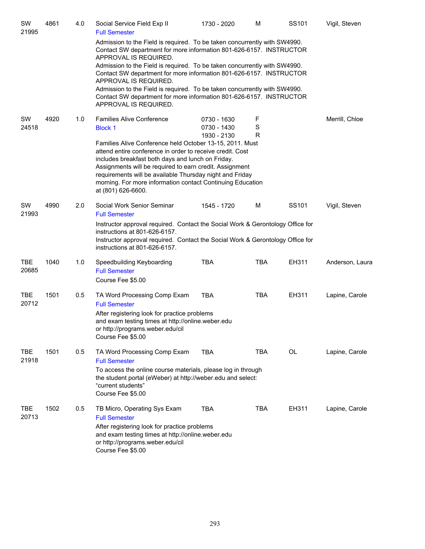| SW<br>21995         | 4861 | 4.0 | Social Service Field Exp II<br><b>Full Semester</b>                                                                                                                                                                                                                                                                                                                                   | 1730 - 2020                               | M           | SS <sub>101</sub> | Vigil, Steven   |
|---------------------|------|-----|---------------------------------------------------------------------------------------------------------------------------------------------------------------------------------------------------------------------------------------------------------------------------------------------------------------------------------------------------------------------------------------|-------------------------------------------|-------------|-------------------|-----------------|
|                     |      |     | Admission to the Field is required. To be taken concurrently with SW4990.<br>Contact SW department for more information 801-626-6157. INSTRUCTOR<br>APPROVAL IS REQUIRED.                                                                                                                                                                                                             |                                           |             |                   |                 |
|                     |      |     | Admission to the Field is required. To be taken concurrently with SW4990.<br>Contact SW department for more information 801-626-6157. INSTRUCTOR<br>APPROVAL IS REQUIRED.                                                                                                                                                                                                             |                                           |             |                   |                 |
|                     |      |     | Admission to the Field is required. To be taken concurrently with SW4990.<br>Contact SW department for more information 801-626-6157. INSTRUCTOR<br>APPROVAL IS REQUIRED.                                                                                                                                                                                                             |                                           |             |                   |                 |
| SW<br>24518         | 4920 | 1.0 | <b>Families Alive Conference</b><br><b>Block 1</b>                                                                                                                                                                                                                                                                                                                                    | 0730 - 1630<br>0730 - 1430<br>1930 - 2130 | F<br>S<br>R |                   | Merrill, Chloe  |
|                     |      |     | Families Alive Conference held October 13-15, 2011. Must<br>attend entire conference in order to receive credit. Cost<br>includes breakfast both days and lunch on Friday.<br>Assignments will be required to earn credit. Assignment<br>requirements will be available Thursday night and Friday<br>morning. For more information contact Continuing Education<br>at (801) 626-6600. |                                           |             |                   |                 |
| SW<br>21993         | 4990 | 2.0 | Social Work Senior Seminar<br><b>Full Semester</b>                                                                                                                                                                                                                                                                                                                                    | 1545 - 1720                               | M           | SS101             | Vigil, Steven   |
|                     |      |     | Instructor approval required. Contact the Social Work & Gerontology Office for<br>instructions at 801-626-6157.<br>Instructor approval required. Contact the Social Work & Gerontology Office for<br>instructions at 801-626-6157.                                                                                                                                                    |                                           |             |                   |                 |
| <b>TBE</b><br>20685 | 1040 | 1.0 | Speedbuilding Keyboarding<br><b>Full Semester</b><br>Course Fee \$5.00                                                                                                                                                                                                                                                                                                                | <b>TBA</b>                                | <b>TBA</b>  | EH311             | Anderson, Laura |
| <b>TBE</b><br>20712 | 1501 | 0.5 | TA Word Processing Comp Exam<br><b>Full Semester</b><br>After registering look for practice problems<br>and exam testing times at http://online.weber.edu<br>or http://programs.weber.edu/cil<br>Course Fee \$5.00                                                                                                                                                                    | <b>TBA</b>                                | <b>TBA</b>  | EH311             | Lapine, Carole  |
| <b>TBE</b><br>21918 | 1501 | 0.5 | TA Word Processing Comp Exam<br><b>Full Semester</b><br>To access the online course materials, please log in through<br>the student portal (eWeber) at http://weber.edu and select:<br>"current students"<br>Course Fee \$5.00                                                                                                                                                        | <b>TBA</b>                                | <b>TBA</b>  | $\mathsf{OL}%$    | Lapine, Carole  |
| TBE<br>20713        | 1502 | 0.5 | TB Micro, Operating Sys Exam<br><b>Full Semester</b><br>After registering look for practice problems<br>and exam testing times at http://online.weber.edu<br>or http://programs.weber.edu/cil<br>Course Fee \$5.00                                                                                                                                                                    | <b>TBA</b>                                | <b>TBA</b>  | EH311             | Lapine, Carole  |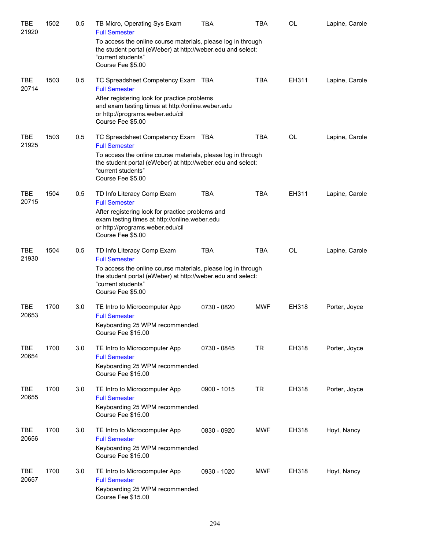| TBE<br>21920        | 1502 | 0.5 | TB Micro, Operating Sys Exam<br><b>Full Semester</b>                                                                                                                   | TBA         | TBA        | <b>OL</b> | Lapine, Carole |
|---------------------|------|-----|------------------------------------------------------------------------------------------------------------------------------------------------------------------------|-------------|------------|-----------|----------------|
|                     |      |     | To access the online course materials, please log in through<br>the student portal (eWeber) at http://weber.edu and select:<br>"current students"<br>Course Fee \$5.00 |             |            |           |                |
| TBE<br>20714        | 1503 | 0.5 | TC Spreadsheet Competency Exam TBA<br><b>Full Semester</b><br>After registering look for practice problems                                                             |             | <b>TBA</b> | EH311     | Lapine, Carole |
|                     |      |     | and exam testing times at http://online.weber.edu<br>or http://programs.weber.edu/cil<br>Course Fee \$5.00                                                             |             |            |           |                |
| <b>TBE</b><br>21925 | 1503 | 0.5 | TC Spreadsheet Competency Exam TBA<br><b>Full Semester</b>                                                                                                             |             | <b>TBA</b> | OL        | Lapine, Carole |
|                     |      |     | To access the online course materials, please log in through<br>the student portal (eWeber) at http://weber.edu and select:<br>"current students"<br>Course Fee \$5.00 |             |            |           |                |
| TBE<br>20715        | 1504 | 0.5 | TD Info Literacy Comp Exam<br><b>Full Semester</b>                                                                                                                     | <b>TBA</b>  | <b>TBA</b> | EH311     | Lapine, Carole |
|                     |      |     | After registering look for practice problems and<br>exam testing times at http://online.weber.edu<br>or http://programs.weber.edu/cil<br>Course Fee \$5.00             |             |            |           |                |
| <b>TBE</b><br>21930 | 1504 | 0.5 | TD Info Literacy Comp Exam<br><b>Full Semester</b>                                                                                                                     | <b>TBA</b>  | <b>TBA</b> | OL        | Lapine, Carole |
|                     |      |     | To access the online course materials, please log in through<br>the student portal (eWeber) at http://weber.edu and select:<br>"current students"<br>Course Fee \$5.00 |             |            |           |                |
| <b>TBE</b><br>20653 | 1700 | 3.0 | TE Intro to Microcomputer App<br><b>Full Semester</b><br>Keyboarding 25 WPM recommended.<br>Course Fee \$15.00                                                         | 0730 - 0820 | <b>MWF</b> | EH318     | Porter, Joyce  |
| <b>TBE</b><br>20654 | 1700 | 3.0 | TE Intro to Microcomputer App<br><b>Full Semester</b><br>Keyboarding 25 WPM recommended.<br>Course Fee \$15.00                                                         | 0730 - 0845 | TR         | EH318     | Porter, Joyce  |
| TBE<br>20655        | 1700 | 3.0 | TE Intro to Microcomputer App<br><b>Full Semester</b><br>Keyboarding 25 WPM recommended.<br>Course Fee \$15.00                                                         | 0900 - 1015 | <b>TR</b>  | EH318     | Porter, Joyce  |
| TBE<br>20656        | 1700 | 3.0 | TE Intro to Microcomputer App<br><b>Full Semester</b><br>Keyboarding 25 WPM recommended.<br>Course Fee \$15.00                                                         | 0830 - 0920 | <b>MWF</b> | EH318     | Hoyt, Nancy    |
| TBE<br>20657        | 1700 | 3.0 | TE Intro to Microcomputer App<br><b>Full Semester</b><br>Keyboarding 25 WPM recommended.<br>Course Fee \$15.00                                                         | 0930 - 1020 | <b>MWF</b> | EH318     | Hoyt, Nancy    |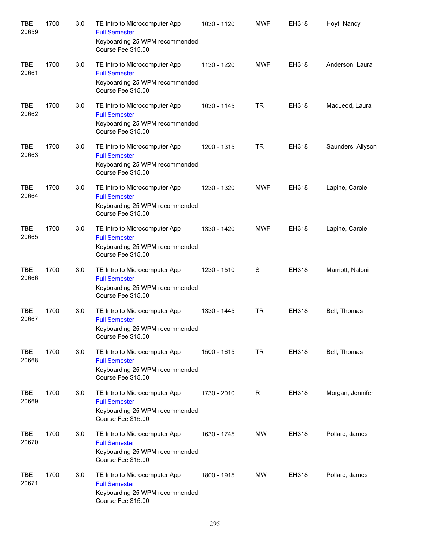| <b>TBE</b><br>20659 | 1700 | 3.0 | TE Intro to Microcomputer App<br><b>Full Semester</b><br>Keyboarding 25 WPM recommended.<br>Course Fee \$15.00 | 1030 - 1120 | <b>MWF</b> | <b>EH318</b> | Hoyt, Nancy       |
|---------------------|------|-----|----------------------------------------------------------------------------------------------------------------|-------------|------------|--------------|-------------------|
| <b>TBE</b><br>20661 | 1700 | 3.0 | TE Intro to Microcomputer App<br><b>Full Semester</b><br>Keyboarding 25 WPM recommended.<br>Course Fee \$15.00 | 1130 - 1220 | <b>MWF</b> | EH318        | Anderson, Laura   |
| <b>TBE</b><br>20662 | 1700 | 3.0 | TE Intro to Microcomputer App<br><b>Full Semester</b><br>Keyboarding 25 WPM recommended.<br>Course Fee \$15.00 | 1030 - 1145 | <b>TR</b>  | EH318        | MacLeod, Laura    |
| <b>TBE</b><br>20663 | 1700 | 3.0 | TE Intro to Microcomputer App<br><b>Full Semester</b><br>Keyboarding 25 WPM recommended.<br>Course Fee \$15.00 | 1200 - 1315 | <b>TR</b>  | EH318        | Saunders, Allyson |
| <b>TBE</b><br>20664 | 1700 | 3.0 | TE Intro to Microcomputer App<br><b>Full Semester</b><br>Keyboarding 25 WPM recommended.<br>Course Fee \$15.00 | 1230 - 1320 | <b>MWF</b> | EH318        | Lapine, Carole    |
| <b>TBE</b><br>20665 | 1700 | 3.0 | TE Intro to Microcomputer App<br><b>Full Semester</b><br>Keyboarding 25 WPM recommended.<br>Course Fee \$15.00 | 1330 - 1420 | <b>MWF</b> | EH318        | Lapine, Carole    |
| <b>TBE</b><br>20666 | 1700 | 3.0 | TE Intro to Microcomputer App<br><b>Full Semester</b><br>Keyboarding 25 WPM recommended.<br>Course Fee \$15.00 | 1230 - 1510 | S          | EH318        | Marriott, Naloni  |
| <b>TBE</b><br>20667 | 1700 | 3.0 | TE Intro to Microcomputer App<br><b>Full Semester</b><br>Keyboarding 25 WPM recommended.<br>Course Fee \$15.00 | 1330 - 1445 | <b>TR</b>  | EH318        | Bell, Thomas      |
| <b>TBE</b><br>20668 | 1700 | 3.0 | TE Intro to Microcomputer App<br><b>Full Semester</b><br>Keyboarding 25 WPM recommended.<br>Course Fee \$15.00 | 1500 - 1615 | <b>TR</b>  | EH318        | Bell, Thomas      |
| <b>TBE</b><br>20669 | 1700 | 3.0 | TE Intro to Microcomputer App<br><b>Full Semester</b><br>Keyboarding 25 WPM recommended.<br>Course Fee \$15.00 | 1730 - 2010 | R          | EH318        | Morgan, Jennifer  |
| <b>TBE</b><br>20670 | 1700 | 3.0 | TE Intro to Microcomputer App<br><b>Full Semester</b><br>Keyboarding 25 WPM recommended.<br>Course Fee \$15.00 | 1630 - 1745 | MW         | EH318        | Pollard, James    |
| TBE<br>20671        | 1700 | 3.0 | TE Intro to Microcomputer App<br><b>Full Semester</b><br>Keyboarding 25 WPM recommended.<br>Course Fee \$15.00 | 1800 - 1915 | MW         | EH318        | Pollard, James    |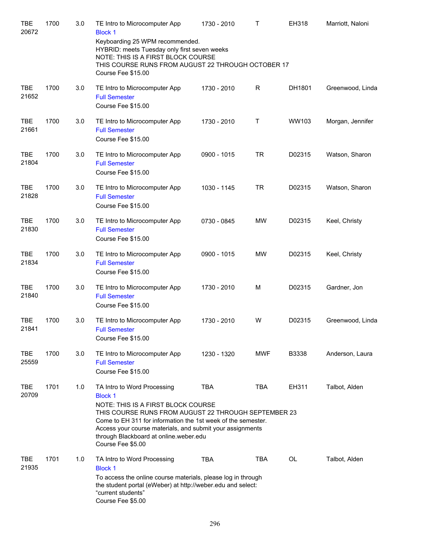| <b>TBE</b><br>20672 | 1700 | 3.0 | TE Intro to Microcomputer App<br><b>Block 1</b><br>Keyboarding 25 WPM recommended.                                                                                                                                                                                                                                                      | 1730 - 2010 | т          | EH318     | Marriott, Naloni |
|---------------------|------|-----|-----------------------------------------------------------------------------------------------------------------------------------------------------------------------------------------------------------------------------------------------------------------------------------------------------------------------------------------|-------------|------------|-----------|------------------|
|                     |      |     | HYBRID: meets Tuesday only first seven weeks<br>NOTE: THIS IS A FIRST BLOCK COURSE<br>THIS COURSE RUNS FROM AUGUST 22 THROUGH OCTOBER 17<br>Course Fee \$15.00                                                                                                                                                                          |             |            |           |                  |
| <b>TBE</b><br>21652 | 1700 | 3.0 | TE Intro to Microcomputer App<br><b>Full Semester</b><br>Course Fee \$15.00                                                                                                                                                                                                                                                             | 1730 - 2010 | R          | DH1801    | Greenwood, Linda |
| <b>TBE</b><br>21661 | 1700 | 3.0 | TE Intro to Microcomputer App<br><b>Full Semester</b><br>Course Fee \$15.00                                                                                                                                                                                                                                                             | 1730 - 2010 | Τ          | WW103     | Morgan, Jennifer |
| <b>TBE</b><br>21804 | 1700 | 3.0 | TE Intro to Microcomputer App<br><b>Full Semester</b><br>Course Fee \$15.00                                                                                                                                                                                                                                                             | 0900 - 1015 | <b>TR</b>  | D02315    | Watson, Sharon   |
| <b>TBE</b><br>21828 | 1700 | 3.0 | TE Intro to Microcomputer App<br><b>Full Semester</b><br>Course Fee \$15.00                                                                                                                                                                                                                                                             | 1030 - 1145 | <b>TR</b>  | D02315    | Watson, Sharon   |
| <b>TBE</b><br>21830 | 1700 | 3.0 | TE Intro to Microcomputer App<br><b>Full Semester</b><br>Course Fee \$15.00                                                                                                                                                                                                                                                             | 0730 - 0845 | MW         | D02315    | Keel, Christy    |
| <b>TBE</b><br>21834 | 1700 | 3.0 | TE Intro to Microcomputer App<br><b>Full Semester</b><br>Course Fee \$15.00                                                                                                                                                                                                                                                             | 0900 - 1015 | MW         | D02315    | Keel, Christy    |
| <b>TBE</b><br>21840 | 1700 | 3.0 | TE Intro to Microcomputer App<br><b>Full Semester</b><br>Course Fee \$15.00                                                                                                                                                                                                                                                             | 1730 - 2010 | M          | D02315    | Gardner, Jon     |
| <b>TBE</b><br>21841 | 1700 | 3.0 | TE Intro to Microcomputer App<br><b>Full Semester</b><br>Course Fee \$15.00                                                                                                                                                                                                                                                             | 1730 - 2010 | W          | D02315    | Greenwood, Linda |
| <b>TBE</b><br>25559 | 1700 | 3.0 | TE Intro to Microcomputer App<br><b>Full Semester</b><br>Course Fee \$15.00                                                                                                                                                                                                                                                             | 1230 - 1320 | <b>MWF</b> | B3338     | Anderson, Laura  |
| <b>TBE</b><br>20709 | 1701 | 1.0 | TA Intro to Word Processing<br><b>Block 1</b><br>NOTE: THIS IS A FIRST BLOCK COURSE<br>THIS COURSE RUNS FROM AUGUST 22 THROUGH SEPTEMBER 23<br>Come to EH 311 for information the 1st week of the semester.<br>Access your course materials, and submit your assignments<br>through Blackboard at online.weber.edu<br>Course Fee \$5.00 | <b>TBA</b>  | <b>TBA</b> | EH311     | Talbot, Alden    |
| <b>TBE</b><br>21935 | 1701 | 1.0 | TA Intro to Word Processing<br><b>Block 1</b><br>To access the online course materials, please log in through<br>the student portal (eWeber) at http://weber.edu and select:<br>"current students"<br>Course Fee \$5.00                                                                                                                 | <b>TBA</b>  | <b>TBA</b> | <b>OL</b> | Talbot, Alden    |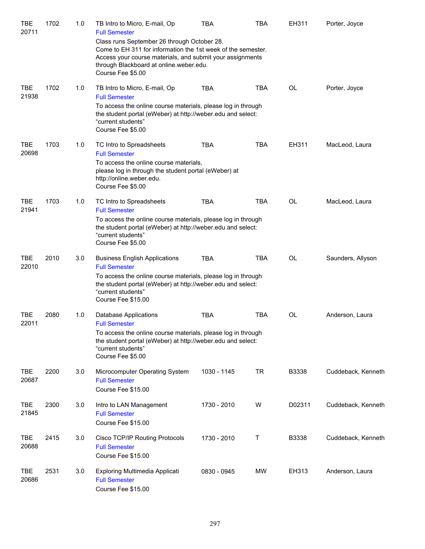| TBE<br>20711        | 1702 | 1.0 | TB Intro to Micro, E-mail, Op<br><b>Full Semester</b>                                                                                                                                                                                    | <b>TBA</b>  | TBA        | EH311     | Porter, Joyce      |
|---------------------|------|-----|------------------------------------------------------------------------------------------------------------------------------------------------------------------------------------------------------------------------------------------|-------------|------------|-----------|--------------------|
|                     |      |     | Class runs September 26 through October 28.<br>Come to EH 311 for information the 1st week of the semester.<br>Access your course materials, and submit your assignments<br>through Blackboard at online.weber.edu.<br>Course Fee \$5.00 |             |            |           |                    |
| <b>TBE</b><br>21938 | 1702 | 1.0 | TB Intro to Micro, E-mail, Op<br><b>Full Semester</b>                                                                                                                                                                                    | <b>TBA</b>  | <b>TBA</b> | OL        | Porter, Joyce      |
|                     |      |     | To access the online course materials, please log in through<br>the student portal (eWeber) at http://weber.edu and select:<br>"current students"<br>Course Fee \$5.00                                                                   |             |            |           |                    |
| <b>TBE</b><br>20698 | 1703 | 1.0 | TC Intro to Spreadsheets<br><b>Full Semester</b><br>To access the online course materials,<br>please log in through the student portal (eWeber) at<br>http://online.weber.edu.                                                           | <b>TBA</b>  | <b>TBA</b> | EH311     | MacLeod, Laura     |
|                     |      |     | Course Fee \$5.00                                                                                                                                                                                                                        |             |            |           |                    |
| <b>TBE</b><br>21941 | 1703 | 1.0 | TC Intro to Spreadsheets<br><b>Full Semester</b>                                                                                                                                                                                         | <b>TBA</b>  | <b>TBA</b> | <b>OL</b> | MacLeod, Laura     |
|                     |      |     | To access the online course materials, please log in through<br>the student portal (eWeber) at http://weber.edu and select:<br>"current students"<br>Course Fee \$5.00                                                                   |             |            |           |                    |
| <b>TBE</b><br>22010 | 2010 | 3.0 | <b>Business English Applications</b><br><b>Full Semester</b>                                                                                                                                                                             | <b>TBA</b>  | <b>TBA</b> | <b>OL</b> | Saunders, Allyson  |
|                     |      |     | To access the online course materials, please log in through<br>the student portal (eWeber) at http://weber.edu and select:<br>"current students"<br>Course Fee \$15.00                                                                  |             |            |           |                    |
| <b>TBE</b><br>22011 | 2080 | 1.0 | Database Applications<br><b>Full Semester</b>                                                                                                                                                                                            | <b>TBA</b>  | <b>TBA</b> | <b>OL</b> | Anderson, Laura    |
|                     |      |     | To access the online course materials, please log in through<br>the student portal (eWeber) at http://weber.edu and select:<br>"current students"<br>Course Fee \$5.00                                                                   |             |            |           |                    |
| <b>TBE</b><br>20687 | 2200 | 3.0 | Microcomputer Operating System<br><b>Full Semester</b><br>Course Fee \$15.00                                                                                                                                                             | 1030 - 1145 | TR.        | B3338     | Cuddeback, Kenneth |
| <b>TBE</b><br>21845 | 2300 | 3.0 | Intro to LAN Management<br><b>Full Semester</b><br>Course Fee \$15.00                                                                                                                                                                    | 1730 - 2010 | W          | D02311    | Cuddeback, Kenneth |
| TBE<br>20688        | 2415 | 3.0 | Cisco TCP/IP Routing Protocols<br><b>Full Semester</b><br>Course Fee \$15.00                                                                                                                                                             | 1730 - 2010 | т          | B3338     | Cuddeback, Kenneth |
| TBE<br>20686        | 2531 | 3.0 | Exploring Multimedia Applicati<br><b>Full Semester</b><br>Course Fee \$15.00                                                                                                                                                             | 0830 - 0945 | <b>MW</b>  | EH313     | Anderson, Laura    |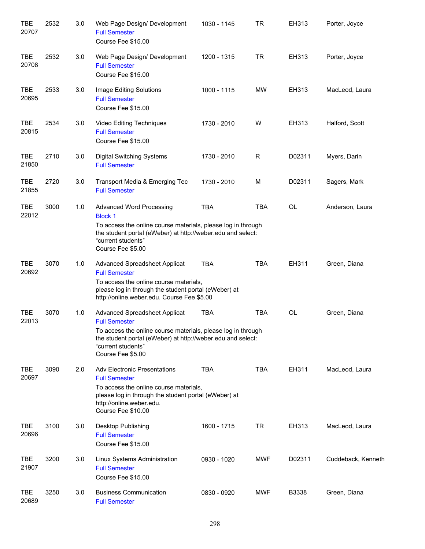| <b>TBE</b><br>20707 | 2532 | 3.0 | Web Page Design/ Development<br><b>Full Semester</b><br>Course Fee \$15.00                                                                                                                                                      | 1030 - 1145 | <b>TR</b>  | EH313     | Porter, Joyce      |
|---------------------|------|-----|---------------------------------------------------------------------------------------------------------------------------------------------------------------------------------------------------------------------------------|-------------|------------|-----------|--------------------|
| <b>TBE</b><br>20708 | 2532 | 3.0 | Web Page Design/ Development<br><b>Full Semester</b><br>Course Fee \$15.00                                                                                                                                                      | 1200 - 1315 | <b>TR</b>  | EH313     | Porter, Joyce      |
| <b>TBE</b><br>20695 | 2533 | 3.0 | Image Editing Solutions<br><b>Full Semester</b><br>Course Fee \$15.00                                                                                                                                                           | 1000 - 1115 | <b>MW</b>  | EH313     | MacLeod, Laura     |
| <b>TBE</b><br>20815 | 2534 | 3.0 | Video Editing Techniques<br><b>Full Semester</b><br>Course Fee \$15.00                                                                                                                                                          | 1730 - 2010 | W          | EH313     | Halford, Scott     |
| <b>TBE</b><br>21850 | 2710 | 3.0 | <b>Digital Switching Systems</b><br><b>Full Semester</b>                                                                                                                                                                        | 1730 - 2010 | R          | D02311    | Myers, Darin       |
| <b>TBE</b><br>21855 | 2720 | 3.0 | Transport Media & Emerging Tec<br><b>Full Semester</b>                                                                                                                                                                          | 1730 - 2010 | M          | D02311    | Sagers, Mark       |
| <b>TBE</b><br>22012 | 3000 | 1.0 | <b>Advanced Word Processing</b><br><b>Block 1</b><br>To access the online course materials, please log in through<br>the student portal (eWeber) at http://weber.edu and select:<br>"current students"<br>Course Fee \$5.00     | <b>TBA</b>  | <b>TBA</b> | <b>OL</b> | Anderson, Laura    |
| <b>TBE</b><br>20692 | 3070 | 1.0 | Advanced Spreadsheet Applicat<br><b>Full Semester</b><br>To access the online course materials,<br>please log in through the student portal (eWeber) at<br>http://online.weber.edu. Course Fee \$5.00                           | <b>TBA</b>  | <b>TBA</b> | EH311     | Green, Diana       |
| <b>TBE</b><br>22013 | 3070 | 1.0 | Advanced Spreadsheet Applicat<br><b>Full Semester</b><br>To access the online course materials, please log in through<br>the student portal (eWeber) at http://weber.edu and select:<br>"current students"<br>Course Fee \$5.00 | <b>TBA</b>  | <b>TBA</b> | <b>OL</b> | Green, Diana       |
| <b>TBE</b><br>20697 | 3090 | 2.0 | <b>Adv Electronic Presentations</b><br><b>Full Semester</b><br>To access the online course materials,<br>please log in through the student portal (eWeber) at<br>http://online.weber.edu.<br>Course Fee \$10.00                 | <b>TBA</b>  | <b>TBA</b> | EH311     | MacLeod, Laura     |
| <b>TBE</b><br>20696 | 3100 | 3.0 | Desktop Publishing<br><b>Full Semester</b><br>Course Fee \$15.00                                                                                                                                                                | 1600 - 1715 | <b>TR</b>  | EH313     | MacLeod, Laura     |
| <b>TBE</b><br>21907 | 3200 | 3.0 | Linux Systems Administration<br><b>Full Semester</b><br>Course Fee \$15.00                                                                                                                                                      | 0930 - 1020 | <b>MWF</b> | D02311    | Cuddeback, Kenneth |
| <b>TBE</b><br>20689 | 3250 | 3.0 | <b>Business Communication</b><br><b>Full Semester</b>                                                                                                                                                                           | 0830 - 0920 | <b>MWF</b> | B3338     | Green, Diana       |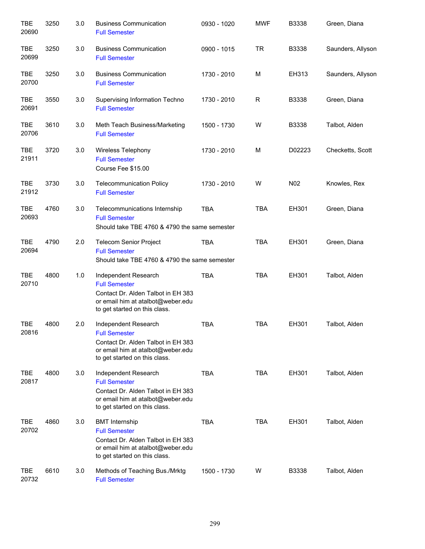| <b>TBE</b><br>20690 | 3250 | 3.0 | <b>Business Communication</b><br><b>Full Semester</b>                                                                                                     | 0930 - 1020 | <b>MWF</b>  | B3338           | Green, Diana      |
|---------------------|------|-----|-----------------------------------------------------------------------------------------------------------------------------------------------------------|-------------|-------------|-----------------|-------------------|
| <b>TBE</b><br>20699 | 3250 | 3.0 | <b>Business Communication</b><br><b>Full Semester</b>                                                                                                     | 0900 - 1015 | <b>TR</b>   | B3338           | Saunders, Allyson |
| <b>TBE</b><br>20700 | 3250 | 3.0 | <b>Business Communication</b><br><b>Full Semester</b>                                                                                                     | 1730 - 2010 | M           | EH313           | Saunders, Allyson |
| TBE<br>20691        | 3550 | 3.0 | Supervising Information Techno<br><b>Full Semester</b>                                                                                                    | 1730 - 2010 | $\mathsf R$ | B3338           | Green, Diana      |
| TBE<br>20706        | 3610 | 3.0 | Meth Teach Business/Marketing<br><b>Full Semester</b>                                                                                                     | 1500 - 1730 | W           | B3338           | Talbot, Alden     |
| TBE<br>21911        | 3720 | 3.0 | <b>Wireless Telephony</b><br><b>Full Semester</b><br>Course Fee \$15.00                                                                                   | 1730 - 2010 | M           | D02223          | Checketts, Scott  |
| <b>TBE</b><br>21912 | 3730 | 3.0 | <b>Telecommunication Policy</b><br><b>Full Semester</b>                                                                                                   | 1730 - 2010 | W           | N <sub>02</sub> | Knowles, Rex      |
| <b>TBE</b><br>20693 | 4760 | 3.0 | Telecommunications Internship<br><b>Full Semester</b><br>Should take TBE 4760 & 4790 the same semester                                                    | <b>TBA</b>  | <b>TBA</b>  | EH301           | Green, Diana      |
| <b>TBE</b><br>20694 | 4790 | 2.0 | <b>Telecom Senior Project</b><br><b>Full Semester</b><br>Should take TBE 4760 & 4790 the same semester                                                    | <b>TBA</b>  | <b>TBA</b>  | EH301           | Green, Diana      |
| <b>TBE</b><br>20710 | 4800 | 1.0 | Independent Research<br><b>Full Semester</b><br>Contact Dr. Alden Talbot in EH 383<br>or email him at atalbot@weber.edu<br>to get started on this class.  | <b>TBA</b>  | <b>TBA</b>  | EH301           | Talbot, Alden     |
| TBE<br>20816        | 4800 | 2.0 | Independent Research<br><b>Full Semester</b><br>Contact Dr. Alden Talbot in EH 383<br>or email him at atalbot@weber.edu<br>to get started on this class.  | <b>TBA</b>  | <b>TBA</b>  | EH301           | Talbot, Alden     |
| <b>TBE</b><br>20817 | 4800 | 3.0 | Independent Research<br><b>Full Semester</b><br>Contact Dr. Alden Talbot in EH 383<br>or email him at atalbot@weber.edu<br>to get started on this class.  | <b>TBA</b>  | <b>TBA</b>  | EH301           | Talbot, Alden     |
| TBE<br>20702        | 4860 | 3.0 | <b>BMT</b> Internship<br><b>Full Semester</b><br>Contact Dr. Alden Talbot in EH 383<br>or email him at atalbot@weber.edu<br>to get started on this class. | <b>TBA</b>  | <b>TBA</b>  | EH301           | Talbot, Alden     |
| TBE<br>20732        | 6610 | 3.0 | Methods of Teaching Bus./Mrktg<br><b>Full Semester</b>                                                                                                    | 1500 - 1730 | W           | B3338           | Talbot, Alden     |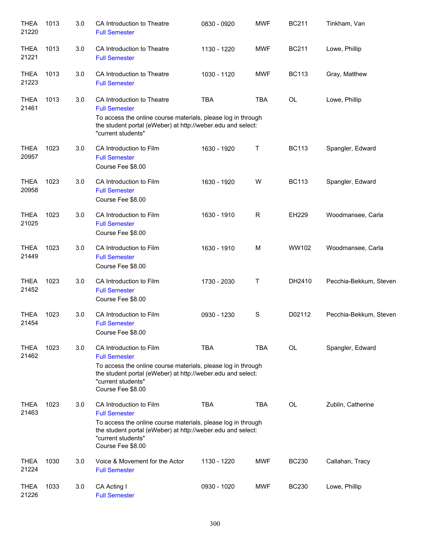| <b>THEA</b><br>21220 | 1013 | 3.0 | CA Introduction to Theatre<br><b>Full Semester</b>                                                                                                                                                                        | 0830 - 0920 | <b>MWF</b>    | <b>BC211</b> | Tinkham, Van           |
|----------------------|------|-----|---------------------------------------------------------------------------------------------------------------------------------------------------------------------------------------------------------------------------|-------------|---------------|--------------|------------------------|
| <b>THEA</b><br>21221 | 1013 | 3.0 | CA Introduction to Theatre<br><b>Full Semester</b>                                                                                                                                                                        | 1130 - 1220 | <b>MWF</b>    | <b>BC211</b> | Lowe, Phillip          |
| <b>THEA</b><br>21223 | 1013 | 3.0 | CA Introduction to Theatre<br><b>Full Semester</b>                                                                                                                                                                        | 1030 - 1120 | <b>MWF</b>    | <b>BC113</b> | Gray, Matthew          |
| <b>THEA</b><br>21461 | 1013 | 3.0 | CA Introduction to Theatre<br><b>Full Semester</b><br>To access the online course materials, please log in through<br>the student portal (eWeber) at http://weber.edu and select:<br>"current students"                   | <b>TBA</b>  | <b>TBA</b>    | OL           | Lowe, Phillip          |
| <b>THEA</b><br>20957 | 1023 | 3.0 | CA Introduction to Film<br><b>Full Semester</b><br>Course Fee \$8.00                                                                                                                                                      | 1630 - 1920 | т             | <b>BC113</b> | Spangler, Edward       |
| <b>THEA</b><br>20958 | 1023 | 3.0 | CA Introduction to Film<br><b>Full Semester</b><br>Course Fee \$8.00                                                                                                                                                      | 1630 - 1920 | W             | <b>BC113</b> | Spangler, Edward       |
| <b>THEA</b><br>21025 | 1023 | 3.0 | CA Introduction to Film<br><b>Full Semester</b><br>Course Fee \$8.00                                                                                                                                                      | 1630 - 1910 | R             | EH229        | Woodmansee, Carla      |
| <b>THEA</b><br>21449 | 1023 | 3.0 | CA Introduction to Film<br><b>Full Semester</b><br>Course Fee \$8.00                                                                                                                                                      | 1630 - 1910 | M             | WW102        | Woodmansee, Carla      |
| <b>THEA</b><br>21452 | 1023 | 3.0 | CA Introduction to Film<br><b>Full Semester</b><br>Course Fee \$8.00                                                                                                                                                      | 1730 - 2030 | т             | DH2410       | Pecchia-Bekkum, Steven |
| <b>THEA</b><br>21454 | 1023 | 3.0 | CA Introduction to Film<br><b>Full Semester</b><br>Course Fee \$8.00                                                                                                                                                      | 0930 - 1230 | ${\mathsf S}$ | D02112       | Pecchia-Bekkum, Steven |
| <b>THEA</b><br>21462 | 1023 | 3.0 | CA Introduction to Film<br><b>Full Semester</b><br>To access the online course materials, please log in through<br>the student portal (eWeber) at http://weber.edu and select:<br>"current students"<br>Course Fee \$8.00 | <b>TBA</b>  | <b>TBA</b>    | OL           | Spangler, Edward       |
| <b>THEA</b><br>21463 | 1023 | 3.0 | CA Introduction to Film<br><b>Full Semester</b><br>To access the online course materials, please log in through<br>the student portal (eWeber) at http://weber.edu and select:<br>"current students"<br>Course Fee \$8.00 | <b>TBA</b>  | <b>TBA</b>    | OL           | Zublin, Catherine      |
| <b>THEA</b><br>21224 | 1030 | 3.0 | Voice & Movement for the Actor<br><b>Full Semester</b>                                                                                                                                                                    | 1130 - 1220 | <b>MWF</b>    | <b>BC230</b> | Callahan, Tracy        |
| <b>THEA</b><br>21226 | 1033 | 3.0 | CA Acting I<br><b>Full Semester</b>                                                                                                                                                                                       | 0930 - 1020 | <b>MWF</b>    | <b>BC230</b> | Lowe, Phillip          |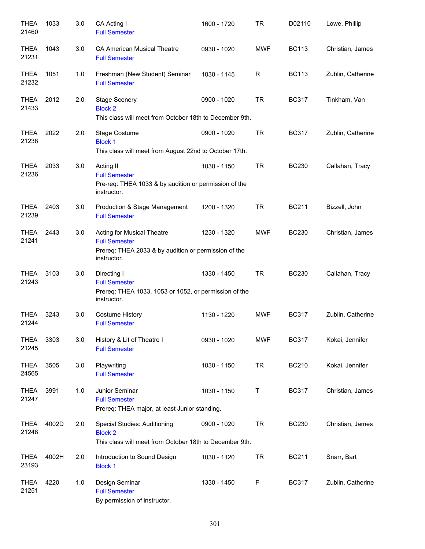| <b>THEA</b><br>21460 | 1033  | 3.0 | CA Acting I<br><b>Full Semester</b>                                                                                       | 1600 - 1720 | <b>TR</b>  | D02110       | Lowe, Phillip     |
|----------------------|-------|-----|---------------------------------------------------------------------------------------------------------------------------|-------------|------------|--------------|-------------------|
| <b>THEA</b><br>21231 | 1043  | 3.0 | <b>CA American Musical Theatre</b><br><b>Full Semester</b>                                                                | 0930 - 1020 | <b>MWF</b> | <b>BC113</b> | Christian, James  |
| <b>THEA</b><br>21232 | 1051  | 1.0 | Freshman (New Student) Seminar<br><b>Full Semester</b>                                                                    | 1030 - 1145 | R          | <b>BC113</b> | Zublin, Catherine |
| THEA<br>21433        | 2012  | 2.0 | <b>Stage Scenery</b><br><b>Block 2</b><br>This class will meet from October 18th to December 9th.                         | 0900 - 1020 | <b>TR</b>  | <b>BC317</b> | Tinkham, Van      |
| THEA<br>21238        | 2022  | 2.0 | Stage Costume<br><b>Block 1</b><br>This class will meet from August 22nd to October 17th.                                 | 0900 - 1020 | <b>TR</b>  | <b>BC317</b> | Zublin, Catherine |
| <b>THEA</b><br>21236 | 2033  | 3.0 | Acting II<br><b>Full Semester</b><br>Pre-req: THEA 1033 & by audition or permission of the<br>instructor.                 | 1030 - 1150 | <b>TR</b>  | <b>BC230</b> | Callahan, Tracy   |
| THEA<br>21239        | 2403  | 3.0 | Production & Stage Management<br><b>Full Semester</b>                                                                     | 1200 - 1320 | <b>TR</b>  | <b>BC211</b> | Bizzell, John     |
| <b>THEA</b><br>21241 | 2443  | 3.0 | Acting for Musical Theatre<br><b>Full Semester</b><br>Prereq: THEA 2033 & by audition or permission of the<br>instructor. | 1230 - 1320 | <b>MWF</b> | <b>BC230</b> | Christian, James  |
| <b>THEA</b><br>21243 | 3103  | 3.0 | Directing I<br><b>Full Semester</b><br>Prereq: THEA 1033, 1053 or 1052, or permission of the<br>instructor.               | 1330 - 1450 | <b>TR</b>  | <b>BC230</b> | Callahan, Tracy   |
| <b>THEA</b><br>21244 | 3243  | 3.0 | <b>Costume History</b><br><b>Full Semester</b>                                                                            | 1130 - 1220 | <b>MWF</b> | <b>BC317</b> | Zublin, Catherine |
| <b>THEA</b><br>21245 | 3303  | 3.0 | History & Lit of Theatre I<br><b>Full Semester</b>                                                                        | 0930 - 1020 | <b>MWF</b> | <b>BC317</b> | Kokai, Jennifer   |
| <b>THEA</b><br>24565 | 3505  | 3.0 | Playwriting<br><b>Full Semester</b>                                                                                       | 1030 - 1150 | TR.        | <b>BC210</b> | Kokai, Jennifer   |
| <b>THEA</b><br>21247 | 3991  | 1.0 | Junior Seminar<br><b>Full Semester</b><br>Prereq: THEA major, at least Junior standing.                                   | 1030 - 1150 | Τ          | <b>BC317</b> | Christian, James  |
| <b>THEA</b><br>21248 | 4002D | 2.0 | <b>Special Studies: Auditioning</b><br><b>Block 2</b><br>This class will meet from October 18th to December 9th.          | 0900 - 1020 | <b>TR</b>  | <b>BC230</b> | Christian, James  |
| <b>THEA</b><br>23193 | 4002H | 2.0 | Introduction to Sound Design<br><b>Block 1</b>                                                                            | 1030 - 1120 | <b>TR</b>  | <b>BC211</b> | Snarr, Bart       |
| <b>THEA</b><br>21251 | 4220  | 1.0 | Design Seminar<br><b>Full Semester</b><br>By permission of instructor.                                                    | 1330 - 1450 | F          | <b>BC317</b> | Zublin, Catherine |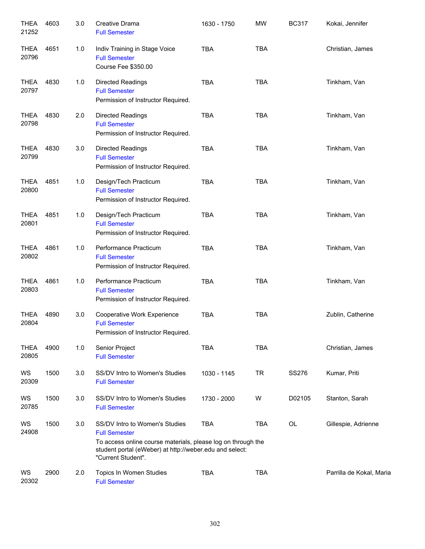| <b>THEA</b><br>21252 | 4603 | 3.0 | Creative Drama<br><b>Full Semester</b>                                                                                                                                                                  | 1630 - 1750 | <b>MW</b>  | <b>BC317</b> | Kokai, Jennifer          |
|----------------------|------|-----|---------------------------------------------------------------------------------------------------------------------------------------------------------------------------------------------------------|-------------|------------|--------------|--------------------------|
| <b>THEA</b><br>20796 | 4651 | 1.0 | Indiv Training in Stage Voice<br><b>Full Semester</b><br>Course Fee \$350.00                                                                                                                            | <b>TBA</b>  | <b>TBA</b> |              | Christian, James         |
| THEA<br>20797        | 4830 | 1.0 | <b>Directed Readings</b><br><b>Full Semester</b><br>Permission of Instructor Required.                                                                                                                  | <b>TBA</b>  | <b>TBA</b> |              | Tinkham, Van             |
| <b>THEA</b><br>20798 | 4830 | 2.0 | <b>Directed Readings</b><br><b>Full Semester</b><br>Permission of Instructor Required.                                                                                                                  | <b>TBA</b>  | <b>TBA</b> |              | Tinkham, Van             |
| <b>THEA</b><br>20799 | 4830 | 3.0 | <b>Directed Readings</b><br><b>Full Semester</b><br>Permission of Instructor Required.                                                                                                                  | <b>TBA</b>  | <b>TBA</b> |              | Tinkham, Van             |
| <b>THEA</b><br>20800 | 4851 | 1.0 | Design/Tech Practicum<br><b>Full Semester</b><br>Permission of Instructor Required.                                                                                                                     | <b>TBA</b>  | <b>TBA</b> |              | Tinkham, Van             |
| <b>THEA</b><br>20801 | 4851 | 1.0 | Design/Tech Practicum<br><b>Full Semester</b><br>Permission of Instructor Required.                                                                                                                     | <b>TBA</b>  | <b>TBA</b> |              | Tinkham, Van             |
| <b>THEA</b><br>20802 | 4861 | 1.0 | Performance Practicum<br><b>Full Semester</b><br>Permission of Instructor Required.                                                                                                                     | <b>TBA</b>  | <b>TBA</b> |              | Tinkham, Van             |
| <b>THEA</b><br>20803 | 4861 | 1.0 | Performance Practicum<br><b>Full Semester</b><br>Permission of Instructor Required.                                                                                                                     | <b>TBA</b>  | <b>TBA</b> |              | Tinkham, Van             |
| <b>THEA</b><br>20804 | 4890 | 3.0 | Cooperative Work Experience<br><b>Full Semester</b><br>Permission of Instructor Required.                                                                                                               | <b>TBA</b>  | <b>TBA</b> |              | Zublin, Catherine        |
| <b>THEA</b><br>20805 | 4900 | 1.0 | Senior Project<br><b>Full Semester</b>                                                                                                                                                                  | <b>TBA</b>  | <b>TBA</b> |              | Christian, James         |
| WS<br>20309          | 1500 | 3.0 | SS/DV Intro to Women's Studies<br><b>Full Semester</b>                                                                                                                                                  | 1030 - 1145 | <b>TR</b>  | SS276        | Kumar, Priti             |
| WS<br>20785          | 1500 | 3.0 | SS/DV Intro to Women's Studies<br><b>Full Semester</b>                                                                                                                                                  | 1730 - 2000 | W          | D02105       | Stanton, Sarah           |
| WS<br>24908          | 1500 | 3.0 | SS/DV Intro to Women's Studies<br><b>Full Semester</b><br>To access online course materials, please log on through the<br>student portal (eWeber) at http://weber.edu and select:<br>"Current Student". | <b>TBA</b>  | TBA        | OL           | Gillespie, Adrienne      |
| WS<br>20302          | 2900 | 2.0 | Topics In Women Studies<br><b>Full Semester</b>                                                                                                                                                         | <b>TBA</b>  | <b>TBA</b> |              | Parrilla de Kokal, Maria |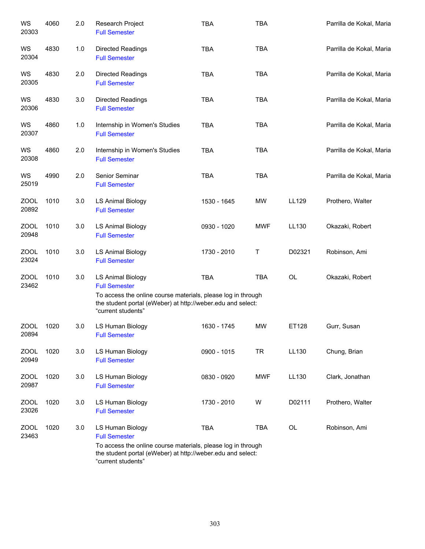| WS<br>20303          | 4060 | 2.0 | Research Project<br><b>Full Semester</b>                                                                                                                                                              | <b>TBA</b>  | <b>TBA</b> |        | Parrilla de Kokal, Maria |
|----------------------|------|-----|-------------------------------------------------------------------------------------------------------------------------------------------------------------------------------------------------------|-------------|------------|--------|--------------------------|
| WS<br>20304          | 4830 | 1.0 | <b>Directed Readings</b><br><b>Full Semester</b>                                                                                                                                                      | <b>TBA</b>  | <b>TBA</b> |        | Parrilla de Kokal, Maria |
| WS<br>20305          | 4830 | 2.0 | <b>Directed Readings</b><br><b>Full Semester</b>                                                                                                                                                      | <b>TBA</b>  | <b>TBA</b> |        | Parrilla de Kokal, Maria |
| WS<br>20306          | 4830 | 3.0 | Directed Readings<br><b>Full Semester</b>                                                                                                                                                             | <b>TBA</b>  | <b>TBA</b> |        | Parrilla de Kokal, Maria |
| WS<br>20307          | 4860 | 1.0 | Internship in Women's Studies<br><b>Full Semester</b>                                                                                                                                                 | <b>TBA</b>  | <b>TBA</b> |        | Parrilla de Kokal, Maria |
| WS<br>20308          | 4860 | 2.0 | Internship in Women's Studies<br><b>Full Semester</b>                                                                                                                                                 | <b>TBA</b>  | <b>TBA</b> |        | Parrilla de Kokal, Maria |
| WS<br>25019          | 4990 | 2.0 | Senior Seminar<br><b>Full Semester</b>                                                                                                                                                                | <b>TBA</b>  | <b>TBA</b> |        | Parrilla de Kokal, Maria |
| ZOOL<br>20892        | 1010 | 3.0 | <b>LS Animal Biology</b><br><b>Full Semester</b>                                                                                                                                                      | 1530 - 1645 | <b>MW</b>  | LL129  | Prothero, Walter         |
| <b>ZOOL</b><br>20948 | 1010 | 3.0 | <b>LS Animal Biology</b><br><b>Full Semester</b>                                                                                                                                                      | 0930 - 1020 | <b>MWF</b> | LL130  | Okazaki, Robert          |
| <b>ZOOL</b><br>23024 | 1010 | 3.0 | <b>LS Animal Biology</b><br><b>Full Semester</b>                                                                                                                                                      | 1730 - 2010 | Т          | D02321 | Robinson, Ami            |
| <b>ZOOL</b><br>23462 | 1010 | 3.0 | <b>LS Animal Biology</b><br><b>Full Semester</b><br>To access the online course materials, please log in through<br>the student portal (eWeber) at http://weber.edu and select:<br>"current students" | <b>TBA</b>  | <b>TBA</b> | OL     | Okazaki, Robert          |
| <b>ZOOL</b><br>20894 | 1020 | 3.0 | LS Human Biology<br><b>Full Semester</b>                                                                                                                                                              | 1630 - 1745 | <b>MW</b>  | ET128  | Gurr, Susan              |
| <b>ZOOL</b><br>20949 | 1020 | 3.0 | LS Human Biology<br><b>Full Semester</b>                                                                                                                                                              | 0900 - 1015 | <b>TR</b>  | LL130  | Chung, Brian             |
| <b>ZOOL</b><br>20987 | 1020 | 3.0 | LS Human Biology<br><b>Full Semester</b>                                                                                                                                                              | 0830 - 0920 | <b>MWF</b> | LL130  | Clark, Jonathan          |
| <b>ZOOL</b><br>23026 | 1020 | 3.0 | LS Human Biology<br><b>Full Semester</b>                                                                                                                                                              | 1730 - 2010 | W          | D02111 | Prothero, Walter         |
| ZOOL<br>23463        | 1020 | 3.0 | LS Human Biology<br><b>Full Semester</b><br>To access the online course materials, please log in through<br>the student portal (eWeber) at http://weber.edu and select:<br>"current students"         | <b>TBA</b>  | <b>TBA</b> | OL     | Robinson, Ami            |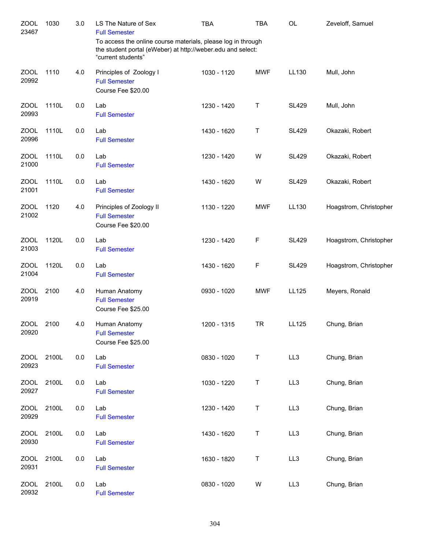| <b>ZOOL</b><br>23467 | 1030  | 3.0 | LS The Nature of Sex<br><b>Full Semester</b><br>To access the online course materials, please log in through | <b>TBA</b>  | <b>TBA</b> | <b>OL</b>    | Zeveloff, Samuel       |
|----------------------|-------|-----|--------------------------------------------------------------------------------------------------------------|-------------|------------|--------------|------------------------|
|                      |       |     | the student portal (eWeber) at http://weber.edu and select:<br>"current students"                            |             |            |              |                        |
| <b>ZOOL</b><br>20992 | 1110  | 4.0 | Principles of Zoology I<br><b>Full Semester</b><br>Course Fee \$20.00                                        | 1030 - 1120 | <b>MWF</b> | LL130        | Mull, John             |
| <b>ZOOL</b><br>20993 | 1110L | 0.0 | Lab<br><b>Full Semester</b>                                                                                  | 1230 - 1420 | Τ          | <b>SL429</b> | Mull, John             |
| <b>ZOOL</b><br>20996 | 1110L | 0.0 | Lab<br><b>Full Semester</b>                                                                                  | 1430 - 1620 | Т          | <b>SL429</b> | Okazaki, Robert        |
| <b>ZOOL</b><br>21000 | 1110L | 0.0 | Lab<br><b>Full Semester</b>                                                                                  | 1230 - 1420 | W          | <b>SL429</b> | Okazaki, Robert        |
| <b>ZOOL</b><br>21001 | 1110L | 0.0 | Lab<br><b>Full Semester</b>                                                                                  | 1430 - 1620 | W          | <b>SL429</b> | Okazaki, Robert        |
| <b>ZOOL</b><br>21002 | 1120  | 4.0 | Principles of Zoology II<br><b>Full Semester</b><br>Course Fee \$20.00                                       | 1130 - 1220 | <b>MWF</b> | LL130        | Hoagstrom, Christopher |
| <b>ZOOL</b><br>21003 | 1120L | 0.0 | Lab<br><b>Full Semester</b>                                                                                  | 1230 - 1420 | F          | <b>SL429</b> | Hoagstrom, Christopher |
| <b>ZOOL</b><br>21004 | 1120L | 0.0 | Lab<br><b>Full Semester</b>                                                                                  | 1430 - 1620 | F          | <b>SL429</b> | Hoagstrom, Christopher |
| <b>ZOOL</b><br>20919 | 2100  | 4.0 | Human Anatomy<br><b>Full Semester</b><br>Course Fee \$25.00                                                  | 0930 - 1020 | <b>MWF</b> | LL125        | Meyers, Ronald         |
| ZOOL<br>20920        | 2100  | 4.0 | Human Anatomy<br><b>Full Semester</b><br>Course Fee \$25.00                                                  | 1200 - 1315 | <b>TR</b>  | LL125        | Chung, Brian           |
| <b>ZOOL</b><br>20923 | 2100L | 0.0 | Lab<br><b>Full Semester</b>                                                                                  | 0830 - 1020 | T          | LL3          | Chung, Brian           |
| <b>ZOOL</b><br>20927 | 2100L | 0.0 | Lab<br><b>Full Semester</b>                                                                                  | 1030 - 1220 | Τ          | LL3          | Chung, Brian           |
| <b>ZOOL</b><br>20929 | 2100L | 0.0 | Lab<br><b>Full Semester</b>                                                                                  | 1230 - 1420 | T          | LL3          | Chung, Brian           |
| <b>ZOOL</b><br>20930 | 2100L | 0.0 | Lab<br><b>Full Semester</b>                                                                                  | 1430 - 1620 | Τ          | LL3          | Chung, Brian           |
| <b>ZOOL</b><br>20931 | 2100L | 0.0 | Lab<br><b>Full Semester</b>                                                                                  | 1630 - 1820 | Τ          | LL3          | Chung, Brian           |
| ZOOL<br>20932        | 2100L | 0.0 | Lab<br><b>Full Semester</b>                                                                                  | 0830 - 1020 | W          | LL3          | Chung, Brian           |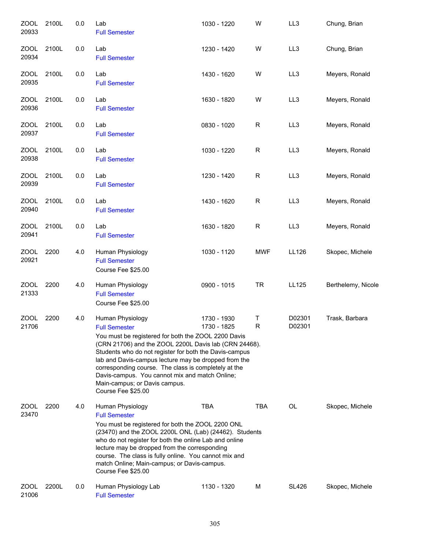| <b>ZOOL</b><br>20933 | 2100L | 0.0 | Lab<br><b>Full Semester</b>                                                                                                                                                                                                                                                                                                                                                                                                                 | 1030 - 1220                | W          | LL3              | Chung, Brian       |
|----------------------|-------|-----|---------------------------------------------------------------------------------------------------------------------------------------------------------------------------------------------------------------------------------------------------------------------------------------------------------------------------------------------------------------------------------------------------------------------------------------------|----------------------------|------------|------------------|--------------------|
| <b>ZOOL</b><br>20934 | 2100L | 0.0 | Lab<br><b>Full Semester</b>                                                                                                                                                                                                                                                                                                                                                                                                                 | 1230 - 1420                | W          | LL3              | Chung, Brian       |
| ZOOL<br>20935        | 2100L | 0.0 | Lab<br><b>Full Semester</b>                                                                                                                                                                                                                                                                                                                                                                                                                 | 1430 - 1620                | W          | LL <sub>3</sub>  | Meyers, Ronald     |
| ZOOL<br>20936        | 2100L | 0.0 | Lab<br><b>Full Semester</b>                                                                                                                                                                                                                                                                                                                                                                                                                 | 1630 - 1820                | W          | LL3              | Meyers, Ronald     |
| ZOOL<br>20937        | 2100L | 0.0 | Lab<br><b>Full Semester</b>                                                                                                                                                                                                                                                                                                                                                                                                                 | 0830 - 1020                | R          | LL3              | Meyers, Ronald     |
| <b>ZOOL</b><br>20938 | 2100L | 0.0 | Lab<br><b>Full Semester</b>                                                                                                                                                                                                                                                                                                                                                                                                                 | 1030 - 1220                | R          | LL3              | Meyers, Ronald     |
| <b>ZOOL</b><br>20939 | 2100L | 0.0 | Lab<br><b>Full Semester</b>                                                                                                                                                                                                                                                                                                                                                                                                                 | 1230 - 1420                | R          | LL3              | Meyers, Ronald     |
| <b>ZOOL</b><br>20940 | 2100L | 0.0 | Lab<br><b>Full Semester</b>                                                                                                                                                                                                                                                                                                                                                                                                                 | 1430 - 1620                | R          | LL3              | Meyers, Ronald     |
| <b>ZOOL</b><br>20941 | 2100L | 0.0 | Lab<br><b>Full Semester</b>                                                                                                                                                                                                                                                                                                                                                                                                                 | 1630 - 1820                | R          | LL3              | Meyers, Ronald     |
| <b>ZOOL</b><br>20921 | 2200  | 4.0 | Human Physiology<br><b>Full Semester</b><br>Course Fee \$25.00                                                                                                                                                                                                                                                                                                                                                                              | 1030 - 1120                | <b>MWF</b> | LL126            | Skopec, Michele    |
| <b>ZOOL</b><br>21333 | 2200  | 4.0 | Human Physiology<br><b>Full Semester</b><br>Course Fee \$25.00                                                                                                                                                                                                                                                                                                                                                                              | 0900 - 1015                | <b>TR</b>  | LL125            | Berthelemy, Nicole |
| <b>ZOOL</b><br>21706 | 2200  | 4.0 | Human Physiology<br><b>Full Semester</b><br>You must be registered for both the ZOOL 2200 Davis<br>(CRN 21706) and the ZOOL 2200L Davis lab (CRN 24468).<br>Students who do not register for both the Davis-campus<br>lab and Davis-campus lecture may be dropped from the<br>corresponding course. The class is completely at the<br>Davis-campus. You cannot mix and match Online;<br>Main-campus; or Davis campus.<br>Course Fee \$25.00 | 1730 - 1930<br>1730 - 1825 | Τ<br>R     | D02301<br>D02301 | Trask, Barbara     |
| <b>ZOOL</b><br>23470 | 2200  | 4.0 | Human Physiology<br><b>Full Semester</b><br>You must be registered for both the ZOOL 2200 ONL<br>(23470) and the ZOOL 2200L ONL (Lab) (24462). Students<br>who do not register for both the online Lab and online<br>lecture may be dropped from the corresponding<br>course. The class is fully online. You cannot mix and<br>match Online; Main-campus; or Davis-campus.<br>Course Fee \$25.00                                            | <b>TBA</b>                 | <b>TBA</b> | OL               | Skopec, Michele    |
| ZOOL<br>21006        | 2200L | 0.0 | Human Physiology Lab<br><b>Full Semester</b>                                                                                                                                                                                                                                                                                                                                                                                                | 1130 - 1320                | м          | <b>SL426</b>     | Skopec, Michele    |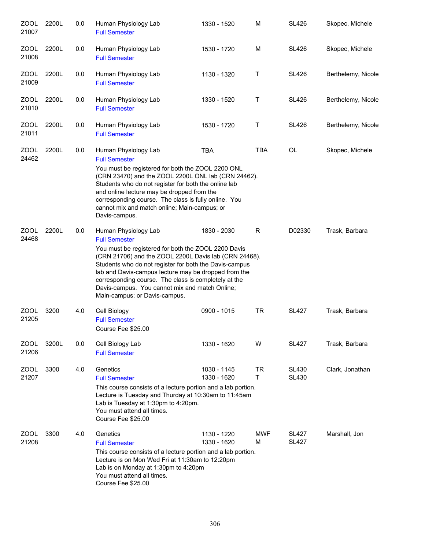| <b>ZOOL</b><br>21007 | 2200L | 0.0 | Human Physiology Lab<br><b>Full Semester</b>                                                                                                                                                                                                                                                                                                                                                                              | 1330 - 1520                | M               | <b>SL426</b>                 | Skopec, Michele    |
|----------------------|-------|-----|---------------------------------------------------------------------------------------------------------------------------------------------------------------------------------------------------------------------------------------------------------------------------------------------------------------------------------------------------------------------------------------------------------------------------|----------------------------|-----------------|------------------------------|--------------------|
| <b>ZOOL</b><br>21008 | 2200L | 0.0 | Human Physiology Lab<br><b>Full Semester</b>                                                                                                                                                                                                                                                                                                                                                                              | 1530 - 1720                | M               | <b>SL426</b>                 | Skopec, Michele    |
| ZOOL<br>21009        | 2200L | 0.0 | Human Physiology Lab<br><b>Full Semester</b>                                                                                                                                                                                                                                                                                                                                                                              | 1130 - 1320                | Т               | <b>SL426</b>                 | Berthelemy, Nicole |
| ZOOL<br>21010        | 2200L | 0.0 | Human Physiology Lab<br><b>Full Semester</b>                                                                                                                                                                                                                                                                                                                                                                              | 1330 - 1520                | Т               | <b>SL426</b>                 | Berthelemy, Nicole |
| ZOOL<br>21011        | 2200L | 0.0 | Human Physiology Lab<br><b>Full Semester</b>                                                                                                                                                                                                                                                                                                                                                                              | 1530 - 1720                | Τ               | <b>SL426</b>                 | Berthelemy, Nicole |
| <b>ZOOL</b><br>24462 | 2200L | 0.0 | Human Physiology Lab<br><b>Full Semester</b><br>You must be registered for both the ZOOL 2200 ONL<br>(CRN 23470) and the ZOOL 2200L ONL lab (CRN 24462).<br>Students who do not register for both the online lab<br>and online lecture may be dropped from the<br>corresponding course. The class is fully online. You<br>cannot mix and match online; Main-campus; or<br>Davis-campus.                                   | <b>TBA</b>                 | <b>TBA</b>      | OL                           | Skopec, Michele    |
| ZOOL<br>24468        | 2200L | 0.0 | Human Physiology Lab<br><b>Full Semester</b><br>You must be registered for both the ZOOL 2200 Davis<br>(CRN 21706) and the ZOOL 2200L Davis lab (CRN 24468).<br>Students who do not register for both the Davis-campus<br>lab and Davis-campus lecture may be dropped from the<br>corresponding course. The class is completely at the<br>Davis-campus. You cannot mix and match Online;<br>Main-campus; or Davis-campus. | 1830 - 2030                | R               | D02330                       | Trask, Barbara     |
| <b>ZOOL</b><br>21205 | 3200  | 4.0 | Cell Biology<br><b>Full Semester</b><br>Course Fee \$25.00                                                                                                                                                                                                                                                                                                                                                                | 0900 - 1015                | <b>TR</b>       | <b>SL427</b>                 | Trask, Barbara     |
| <b>ZOOL</b><br>21206 | 3200L | 0.0 | Cell Biology Lab<br><b>Full Semester</b>                                                                                                                                                                                                                                                                                                                                                                                  | 1330 - 1620                | W               | SL427                        | Trask, Barbara     |
| <b>ZOOL</b><br>21207 | 3300  | 4.0 | Genetics<br><b>Full Semester</b><br>This course consists of a lecture portion and a lab portion.<br>Lecture is Tuesday and Thurday at 10:30am to 11:45am<br>Lab is Tuesday at 1:30pm to 4:20pm.<br>You must attend all times.<br>Course Fee \$25.00                                                                                                                                                                       | 1030 - 1145<br>1330 - 1620 | <b>TR</b><br>T. | <b>SL430</b><br><b>SL430</b> | Clark, Jonathan    |
| ZOOL<br>21208        | 3300  | 4.0 | Genetics<br><b>Full Semester</b><br>This course consists of a lecture portion and a lab portion.<br>Lecture is on Mon Wed Fri at 11:30am to 12:20pm<br>Lab is on Monday at 1:30pm to 4:20pm<br>You must attend all times.<br>Course Fee \$25.00                                                                                                                                                                           | 1130 - 1220<br>1330 - 1620 | <b>MWF</b><br>М | <b>SL427</b><br><b>SL427</b> | Marshall, Jon      |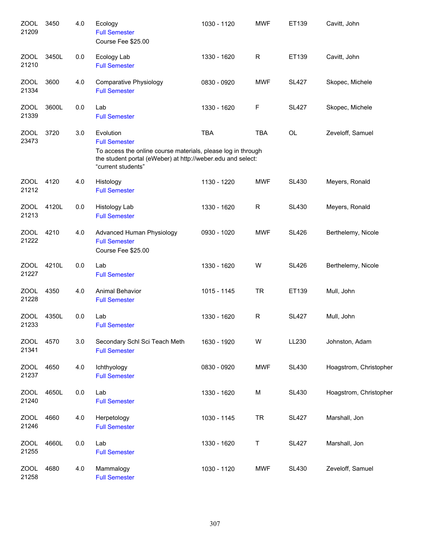| ZOOL<br>21209        | 3450  | 4.0 | Ecology<br><b>Full Semester</b><br>Course Fee \$25.00                                                                                                                                  | 1030 - 1120 | <b>MWF</b>  | ET139        | Cavitt, John           |
|----------------------|-------|-----|----------------------------------------------------------------------------------------------------------------------------------------------------------------------------------------|-------------|-------------|--------------|------------------------|
| <b>ZOOL</b><br>21210 | 3450L | 0.0 | Ecology Lab<br><b>Full Semester</b>                                                                                                                                                    | 1330 - 1620 | R           | ET139        | Cavitt, John           |
| ZOOL<br>21334        | 3600  | 4.0 | <b>Comparative Physiology</b><br><b>Full Semester</b>                                                                                                                                  | 0830 - 0920 | <b>MWF</b>  | <b>SL427</b> | Skopec, Michele        |
| ZOOL<br>21339        | 3600L | 0.0 | Lab<br><b>Full Semester</b>                                                                                                                                                            | 1330 - 1620 | F           | <b>SL427</b> | Skopec, Michele        |
| <b>ZOOL</b><br>23473 | 3720  | 3.0 | Evolution<br><b>Full Semester</b><br>To access the online course materials, please log in through<br>the student portal (eWeber) at http://weber.edu and select:<br>"current students" | <b>TBA</b>  | <b>TBA</b>  | OL           | Zeveloff, Samuel       |
| ZOOL<br>21212        | 4120  | 4.0 | Histology<br><b>Full Semester</b>                                                                                                                                                      | 1130 - 1220 | <b>MWF</b>  | <b>SL430</b> | Meyers, Ronald         |
| <b>ZOOL</b><br>21213 | 4120L | 0.0 | <b>Histology Lab</b><br><b>Full Semester</b>                                                                                                                                           | 1330 - 1620 | $\mathsf R$ | <b>SL430</b> | Meyers, Ronald         |
| ZOOL<br>21222        | 4210  | 4.0 | Advanced Human Physiology<br><b>Full Semester</b><br>Course Fee \$25.00                                                                                                                | 0930 - 1020 | <b>MWF</b>  | <b>SL426</b> | Berthelemy, Nicole     |
| ZOOL<br>21227        | 4210L | 0.0 | Lab<br><b>Full Semester</b>                                                                                                                                                            | 1330 - 1620 | W           | <b>SL426</b> | Berthelemy, Nicole     |
| ZOOL<br>21228        | 4350  | 4.0 | <b>Animal Behavior</b><br><b>Full Semester</b>                                                                                                                                         | 1015 - 1145 | <b>TR</b>   | ET139        | Mull, John             |
| <b>ZOOL</b><br>21233 | 4350L | 0.0 | Lab<br><b>Full Semester</b>                                                                                                                                                            | 1330 - 1620 | $\mathsf R$ | <b>SL427</b> | Mull, John             |
| <b>ZOOL</b><br>21341 | 4570  | 3.0 | Secondary Schl Sci Teach Meth<br><b>Full Semester</b>                                                                                                                                  | 1630 - 1920 | W           | LL230        | Johnston, Adam         |
| <b>ZOOL</b><br>21237 | 4650  | 4.0 | Ichthyology<br><b>Full Semester</b>                                                                                                                                                    | 0830 - 0920 | <b>MWF</b>  | <b>SL430</b> | Hoagstrom, Christopher |
| <b>ZOOL</b><br>21240 | 4650L | 0.0 | Lab<br><b>Full Semester</b>                                                                                                                                                            | 1330 - 1620 | M           | <b>SL430</b> | Hoagstrom, Christopher |
| <b>ZOOL</b><br>21246 | 4660  | 4.0 | Herpetology<br><b>Full Semester</b>                                                                                                                                                    | 1030 - 1145 | <b>TR</b>   | <b>SL427</b> | Marshall, Jon          |
| <b>ZOOL</b><br>21255 | 4660L | 0.0 | Lab<br><b>Full Semester</b>                                                                                                                                                            | 1330 - 1620 | Τ           | <b>SL427</b> | Marshall, Jon          |
| <b>ZOOL</b><br>21258 | 4680  | 4.0 | Mammalogy<br><b>Full Semester</b>                                                                                                                                                      | 1030 - 1120 | <b>MWF</b>  | <b>SL430</b> | Zeveloff, Samuel       |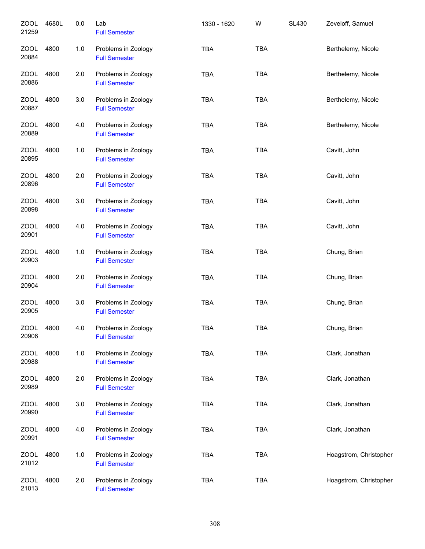| <b>ZOOL</b><br>21259 | 4680L | 0.0   | Lab<br><b>Full Semester</b>                 | 1330 - 1620 | W          | <b>SL430</b> | Zeveloff, Samuel       |
|----------------------|-------|-------|---------------------------------------------|-------------|------------|--------------|------------------------|
| ZOOL<br>20884        | 4800  | $1.0$ | Problems in Zoology<br><b>Full Semester</b> | <b>TBA</b>  | <b>TBA</b> |              | Berthelemy, Nicole     |
| <b>ZOOL</b><br>20886 | 4800  | 2.0   | Problems in Zoology<br><b>Full Semester</b> | <b>TBA</b>  | <b>TBA</b> |              | Berthelemy, Nicole     |
| <b>ZOOL</b><br>20887 | 4800  | 3.0   | Problems in Zoology<br><b>Full Semester</b> | <b>TBA</b>  | <b>TBA</b> |              | Berthelemy, Nicole     |
| <b>ZOOL</b><br>20889 | 4800  | 4.0   | Problems in Zoology<br><b>Full Semester</b> | <b>TBA</b>  | <b>TBA</b> |              | Berthelemy, Nicole     |
| <b>ZOOL</b><br>20895 | 4800  | 1.0   | Problems in Zoology<br><b>Full Semester</b> | <b>TBA</b>  | <b>TBA</b> |              | Cavitt, John           |
| <b>ZOOL</b><br>20896 | 4800  | 2.0   | Problems in Zoology<br><b>Full Semester</b> | <b>TBA</b>  | <b>TBA</b> |              | Cavitt, John           |
| <b>ZOOL</b><br>20898 | 4800  | 3.0   | Problems in Zoology<br><b>Full Semester</b> | <b>TBA</b>  | <b>TBA</b> |              | Cavitt, John           |
| <b>ZOOL</b><br>20901 | 4800  | 4.0   | Problems in Zoology<br><b>Full Semester</b> | <b>TBA</b>  | <b>TBA</b> |              | Cavitt, John           |
| <b>ZOOL</b><br>20903 | 4800  | 1.0   | Problems in Zoology<br><b>Full Semester</b> | <b>TBA</b>  | <b>TBA</b> |              | Chung, Brian           |
| <b>ZOOL</b><br>20904 | 4800  | 2.0   | Problems in Zoology<br><b>Full Semester</b> | <b>TBA</b>  | <b>TBA</b> |              | Chung, Brian           |
| <b>ZOOL</b><br>20905 | 4800  | 3.0   | Problems in Zoology<br><b>Full Semester</b> | <b>TBA</b>  | <b>TBA</b> |              | Chung, Brian           |
| <b>ZOOL</b><br>20906 | 4800  | 4.0   | Problems in Zoology<br><b>Full Semester</b> | <b>TBA</b>  | <b>TBA</b> |              | Chung, Brian           |
| <b>ZOOL</b><br>20988 | 4800  | 1.0   | Problems in Zoology<br><b>Full Semester</b> | TBA         | <b>TBA</b> |              | Clark, Jonathan        |
| <b>ZOOL</b><br>20989 | 4800  | 2.0   | Problems in Zoology<br><b>Full Semester</b> | <b>TBA</b>  | <b>TBA</b> |              | Clark, Jonathan        |
| <b>ZOOL</b><br>20990 | 4800  | 3.0   | Problems in Zoology<br><b>Full Semester</b> | <b>TBA</b>  | <b>TBA</b> |              | Clark, Jonathan        |
| <b>ZOOL</b><br>20991 | 4800  | 4.0   | Problems in Zoology<br><b>Full Semester</b> | <b>TBA</b>  | <b>TBA</b> |              | Clark, Jonathan        |
| <b>ZOOL</b><br>21012 | 4800  | 1.0   | Problems in Zoology<br><b>Full Semester</b> | <b>TBA</b>  | <b>TBA</b> |              | Hoagstrom, Christopher |
| <b>ZOOL</b><br>21013 | 4800  | 2.0   | Problems in Zoology<br><b>Full Semester</b> | <b>TBA</b>  | <b>TBA</b> |              | Hoagstrom, Christopher |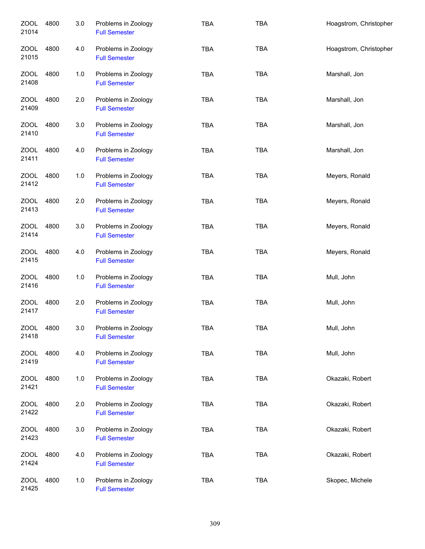| <b>ZOOL</b><br>21014 | 4800 | 3.0 | Problems in Zoology<br><b>Full Semester</b> | <b>TBA</b> | <b>TBA</b> | Hoagstrom, Christopher |
|----------------------|------|-----|---------------------------------------------|------------|------------|------------------------|
| <b>ZOOL</b><br>21015 | 4800 | 4.0 | Problems in Zoology<br><b>Full Semester</b> | <b>TBA</b> | <b>TBA</b> | Hoagstrom, Christopher |
| <b>ZOOL</b><br>21408 | 4800 | 1.0 | Problems in Zoology<br><b>Full Semester</b> | <b>TBA</b> | <b>TBA</b> | Marshall, Jon          |
| ZOOL<br>21409        | 4800 | 2.0 | Problems in Zoology<br><b>Full Semester</b> | <b>TBA</b> | <b>TBA</b> | Marshall, Jon          |
| ZOOL<br>21410        | 4800 | 3.0 | Problems in Zoology<br><b>Full Semester</b> | <b>TBA</b> | <b>TBA</b> | Marshall, Jon          |
| ZOOL<br>21411        | 4800 | 4.0 | Problems in Zoology<br><b>Full Semester</b> | <b>TBA</b> | <b>TBA</b> | Marshall, Jon          |
| <b>ZOOL</b><br>21412 | 4800 | 1.0 | Problems in Zoology<br><b>Full Semester</b> | TBA        | <b>TBA</b> | Meyers, Ronald         |
| <b>ZOOL</b><br>21413 | 4800 | 2.0 | Problems in Zoology<br><b>Full Semester</b> | <b>TBA</b> | <b>TBA</b> | Meyers, Ronald         |
| <b>ZOOL</b><br>21414 | 4800 | 3.0 | Problems in Zoology<br><b>Full Semester</b> | <b>TBA</b> | <b>TBA</b> | Meyers, Ronald         |
| <b>ZOOL</b><br>21415 | 4800 | 4.0 | Problems in Zoology<br><b>Full Semester</b> | TBA        | <b>TBA</b> | Meyers, Ronald         |
| <b>ZOOL</b><br>21416 | 4800 | 1.0 | Problems in Zoology<br><b>Full Semester</b> | <b>TBA</b> | <b>TBA</b> | Mull, John             |
| <b>ZOOL</b><br>21417 | 4800 | 2.0 | Problems in Zoology<br><b>Full Semester</b> | <b>TBA</b> | <b>TBA</b> | Mull, John             |
| <b>ZOOL</b><br>21418 | 4800 | 3.0 | Problems in Zoology<br><b>Full Semester</b> | <b>TBA</b> | <b>TBA</b> | Mull, John             |
| <b>ZOOL</b><br>21419 | 4800 | 4.0 | Problems in Zoology<br><b>Full Semester</b> | <b>TBA</b> | <b>TBA</b> | Mull, John             |
| <b>ZOOL</b><br>21421 | 4800 | 1.0 | Problems in Zoology<br><b>Full Semester</b> | TBA        | <b>TBA</b> | Okazaki, Robert        |
| ZOOL<br>21422        | 4800 | 2.0 | Problems in Zoology<br><b>Full Semester</b> | <b>TBA</b> | <b>TBA</b> | Okazaki, Robert        |
| <b>ZOOL</b><br>21423 | 4800 | 3.0 | Problems in Zoology<br><b>Full Semester</b> | TBA        | <b>TBA</b> | Okazaki, Robert        |
| <b>ZOOL</b><br>21424 | 4800 | 4.0 | Problems in Zoology<br><b>Full Semester</b> | TBA        | <b>TBA</b> | Okazaki, Robert        |
| <b>ZOOL</b><br>21425 | 4800 | 1.0 | Problems in Zoology<br><b>Full Semester</b> | <b>TBA</b> | <b>TBA</b> | Skopec, Michele        |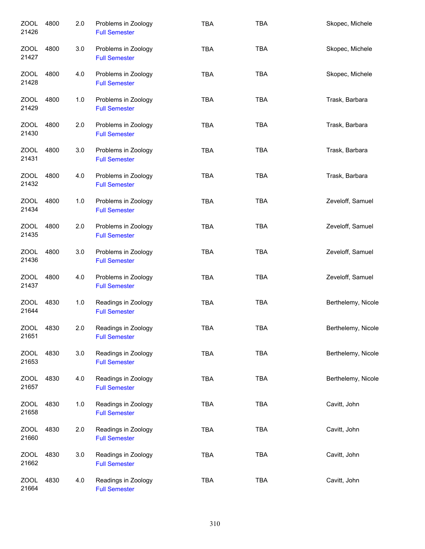| <b>ZOOL</b><br>21426 | 4800 | 2.0 | Problems in Zoology<br><b>Full Semester</b> | <b>TBA</b> | <b>TBA</b> | Skopec, Michele    |
|----------------------|------|-----|---------------------------------------------|------------|------------|--------------------|
| ZOOL<br>21427        | 4800 | 3.0 | Problems in Zoology<br><b>Full Semester</b> | <b>TBA</b> | <b>TBA</b> | Skopec, Michele    |
| ZOOL<br>21428        | 4800 | 4.0 | Problems in Zoology<br><b>Full Semester</b> | <b>TBA</b> | <b>TBA</b> | Skopec, Michele    |
| ZOOL<br>21429        | 4800 | 1.0 | Problems in Zoology<br><b>Full Semester</b> | <b>TBA</b> | <b>TBA</b> | Trask, Barbara     |
| ZOOL<br>21430        | 4800 | 2.0 | Problems in Zoology<br><b>Full Semester</b> | <b>TBA</b> | <b>TBA</b> | Trask, Barbara     |
| <b>ZOOL</b><br>21431 | 4800 | 3.0 | Problems in Zoology<br><b>Full Semester</b> | <b>TBA</b> | <b>TBA</b> | Trask, Barbara     |
| ZOOL<br>21432        | 4800 | 4.0 | Problems in Zoology<br><b>Full Semester</b> | <b>TBA</b> | <b>TBA</b> | Trask, Barbara     |
| <b>ZOOL</b><br>21434 | 4800 | 1.0 | Problems in Zoology<br><b>Full Semester</b> | <b>TBA</b> | <b>TBA</b> | Zeveloff, Samuel   |
| <b>ZOOL</b><br>21435 | 4800 | 2.0 | Problems in Zoology<br><b>Full Semester</b> | <b>TBA</b> | <b>TBA</b> | Zeveloff, Samuel   |
| <b>ZOOL</b><br>21436 | 4800 | 3.0 | Problems in Zoology<br><b>Full Semester</b> | <b>TBA</b> | <b>TBA</b> | Zeveloff, Samuel   |
| <b>ZOOL</b><br>21437 | 4800 | 4.0 | Problems in Zoology<br><b>Full Semester</b> | <b>TBA</b> | <b>TBA</b> | Zeveloff, Samuel   |
| <b>ZOOL</b><br>21644 | 4830 | 1.0 | Readings in Zoology<br><b>Full Semester</b> | <b>TBA</b> | <b>TBA</b> | Berthelemy, Nicole |
| <b>ZOOL</b><br>21651 | 4830 | 2.0 | Readings in Zoology<br><b>Full Semester</b> | <b>TBA</b> | <b>TBA</b> | Berthelemy, Nicole |
| ZOOL<br>21653        | 4830 | 3.0 | Readings in Zoology<br><b>Full Semester</b> | <b>TBA</b> | <b>TBA</b> | Berthelemy, Nicole |
| ZOOL<br>21657        | 4830 | 4.0 | Readings in Zoology<br><b>Full Semester</b> | <b>TBA</b> | <b>TBA</b> | Berthelemy, Nicole |
| <b>ZOOL</b><br>21658 | 4830 | 1.0 | Readings in Zoology<br><b>Full Semester</b> | TBA        | TBA        | Cavitt, John       |
| <b>ZOOL</b><br>21660 | 4830 | 2.0 | Readings in Zoology<br><b>Full Semester</b> | <b>TBA</b> | TBA        | Cavitt, John       |
| <b>ZOOL</b><br>21662 | 4830 | 3.0 | Readings in Zoology<br><b>Full Semester</b> | <b>TBA</b> | <b>TBA</b> | Cavitt, John       |
| <b>ZOOL</b><br>21664 | 4830 | 4.0 | Readings in Zoology<br><b>Full Semester</b> | <b>TBA</b> | <b>TBA</b> | Cavitt, John       |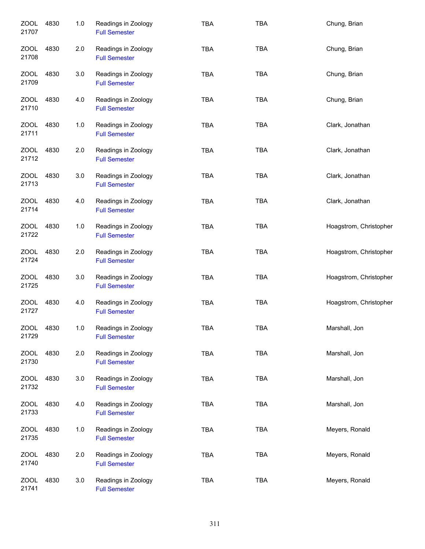| <b>ZOOL</b><br>21707 | 4830 | 1.0 | Readings in Zoology<br><b>Full Semester</b> | <b>TBA</b> | <b>TBA</b> | Chung, Brian           |
|----------------------|------|-----|---------------------------------------------|------------|------------|------------------------|
| ZOOL<br>21708        | 4830 | 2.0 | Readings in Zoology<br><b>Full Semester</b> | <b>TBA</b> | <b>TBA</b> | Chung, Brian           |
| ZOOL<br>21709        | 4830 | 3.0 | Readings in Zoology<br><b>Full Semester</b> | <b>TBA</b> | <b>TBA</b> | Chung, Brian           |
| ZOOL<br>21710        | 4830 | 4.0 | Readings in Zoology<br><b>Full Semester</b> | <b>TBA</b> | <b>TBA</b> | Chung, Brian           |
| ZOOL<br>21711        | 4830 | 1.0 | Readings in Zoology<br><b>Full Semester</b> | <b>TBA</b> | <b>TBA</b> | Clark, Jonathan        |
| <b>ZOOL</b><br>21712 | 4830 | 2.0 | Readings in Zoology<br><b>Full Semester</b> | <b>TBA</b> | <b>TBA</b> | Clark, Jonathan        |
| ZOOL<br>21713        | 4830 | 3.0 | Readings in Zoology<br><b>Full Semester</b> | <b>TBA</b> | <b>TBA</b> | Clark, Jonathan        |
| ZOOL<br>21714        | 4830 | 4.0 | Readings in Zoology<br><b>Full Semester</b> | <b>TBA</b> | <b>TBA</b> | Clark, Jonathan        |
| ZOOL<br>21722        | 4830 | 1.0 | Readings in Zoology<br><b>Full Semester</b> | <b>TBA</b> | <b>TBA</b> | Hoagstrom, Christopher |
| <b>ZOOL</b><br>21724 | 4830 | 2.0 | Readings in Zoology<br><b>Full Semester</b> | <b>TBA</b> | <b>TBA</b> | Hoagstrom, Christopher |
| <b>ZOOL</b><br>21725 | 4830 | 3.0 | Readings in Zoology<br><b>Full Semester</b> | <b>TBA</b> | <b>TBA</b> | Hoagstrom, Christopher |
| ZOOL<br>21727        | 4830 | 4.0 | Readings in Zoology<br><b>Full Semester</b> | <b>TBA</b> | <b>TBA</b> | Hoagstrom, Christopher |
| <b>ZOOL</b><br>21729 | 4830 | 1.0 | Readings in Zoology<br><b>Full Semester</b> | <b>TBA</b> | <b>TBA</b> | Marshall, Jon          |
| ZOOL<br>21730        | 4830 | 2.0 | Readings in Zoology<br><b>Full Semester</b> | <b>TBA</b> | <b>TBA</b> | Marshall, Jon          |
| <b>ZOOL</b><br>21732 | 4830 | 3.0 | Readings in Zoology<br><b>Full Semester</b> | <b>TBA</b> | <b>TBA</b> | Marshall, Jon          |
| <b>ZOOL</b><br>21733 | 4830 | 4.0 | Readings in Zoology<br><b>Full Semester</b> | <b>TBA</b> | <b>TBA</b> | Marshall, Jon          |
| <b>ZOOL</b><br>21735 | 4830 | 1.0 | Readings in Zoology<br><b>Full Semester</b> | <b>TBA</b> | TBA        | Meyers, Ronald         |
| <b>ZOOL</b><br>21740 | 4830 | 2.0 | Readings in Zoology<br><b>Full Semester</b> | <b>TBA</b> | <b>TBA</b> | Meyers, Ronald         |
| <b>ZOOL</b><br>21741 | 4830 | 3.0 | Readings in Zoology<br><b>Full Semester</b> | <b>TBA</b> | <b>TBA</b> | Meyers, Ronald         |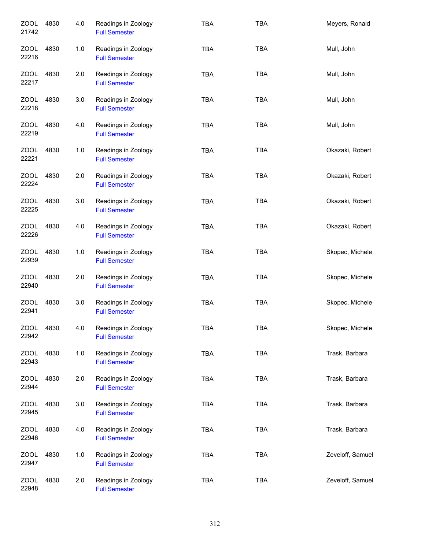| ZOOL<br>21742        | 4830 | 4.0 | Readings in Zoology<br><b>Full Semester</b> | <b>TBA</b> | <b>TBA</b> | Meyers, Ronald   |
|----------------------|------|-----|---------------------------------------------|------------|------------|------------------|
| ZOOL<br>22216        | 4830 | 1.0 | Readings in Zoology<br><b>Full Semester</b> | <b>TBA</b> | <b>TBA</b> | Mull, John       |
| ZOOL<br>22217        | 4830 | 2.0 | Readings in Zoology<br><b>Full Semester</b> | <b>TBA</b> | <b>TBA</b> | Mull, John       |
| ZOOL<br>22218        | 4830 | 3.0 | Readings in Zoology<br><b>Full Semester</b> | <b>TBA</b> | <b>TBA</b> | Mull, John       |
| ZOOL<br>22219        | 4830 | 4.0 | Readings in Zoology<br><b>Full Semester</b> | <b>TBA</b> | <b>TBA</b> | Mull, John       |
| ZOOL<br>22221        | 4830 | 1.0 | Readings in Zoology<br><b>Full Semester</b> | <b>TBA</b> | <b>TBA</b> | Okazaki, Robert  |
| <b>ZOOL</b><br>22224 | 4830 | 2.0 | Readings in Zoology<br><b>Full Semester</b> | <b>TBA</b> | <b>TBA</b> | Okazaki, Robert  |
| ZOOL<br>22225        | 4830 | 3.0 | Readings in Zoology<br><b>Full Semester</b> | <b>TBA</b> | <b>TBA</b> | Okazaki, Robert  |
| <b>ZOOL</b><br>22226 | 4830 | 4.0 | Readings in Zoology<br><b>Full Semester</b> | <b>TBA</b> | <b>TBA</b> | Okazaki, Robert  |
| <b>ZOOL</b><br>22939 | 4830 | 1.0 | Readings in Zoology<br><b>Full Semester</b> | <b>TBA</b> | <b>TBA</b> | Skopec, Michele  |
| ZOOL<br>22940        | 4830 | 2.0 | Readings in Zoology<br><b>Full Semester</b> | <b>TBA</b> | <b>TBA</b> | Skopec, Michele  |
| <b>ZOOL</b><br>22941 | 4830 | 3.0 | Readings in Zoology<br><b>Full Semester</b> | <b>TBA</b> | <b>TBA</b> | Skopec, Michele  |
| ZOOL<br>22942        | 4830 | 4.0 | Readings in Zoology<br><b>Full Semester</b> | <b>TBA</b> | TBA        | Skopec, Michele  |
| <b>ZOOL</b><br>22943 | 4830 | 1.0 | Readings in Zoology<br><b>Full Semester</b> | <b>TBA</b> | <b>TBA</b> | Trask, Barbara   |
| <b>ZOOL</b><br>22944 | 4830 | 2.0 | Readings in Zoology<br><b>Full Semester</b> | <b>TBA</b> | <b>TBA</b> | Trask, Barbara   |
| <b>ZOOL</b><br>22945 | 4830 | 3.0 | Readings in Zoology<br><b>Full Semester</b> | <b>TBA</b> | <b>TBA</b> | Trask, Barbara   |
| <b>ZOOL</b><br>22946 | 4830 | 4.0 | Readings in Zoology<br><b>Full Semester</b> | <b>TBA</b> | <b>TBA</b> | Trask, Barbara   |
| <b>ZOOL</b><br>22947 | 4830 | 1.0 | Readings in Zoology<br><b>Full Semester</b> | <b>TBA</b> | <b>TBA</b> | Zeveloff, Samuel |
| <b>ZOOL</b><br>22948 | 4830 | 2.0 | Readings in Zoology<br><b>Full Semester</b> | <b>TBA</b> | <b>TBA</b> | Zeveloff, Samuel |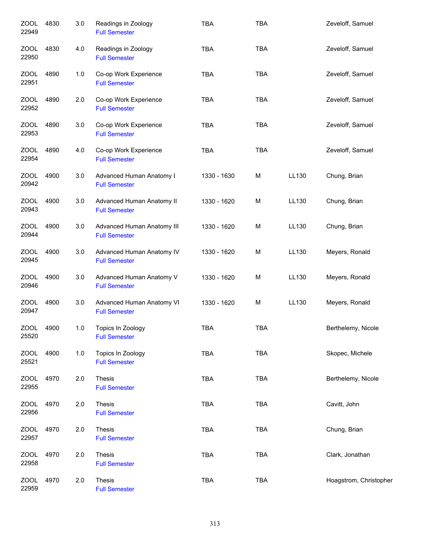| <b>ZOOL</b><br>22949 | 4830 | 3.0 | Readings in Zoology<br><b>Full Semester</b>        | <b>TBA</b>  | <b>TBA</b> |       | Zeveloff, Samuel       |
|----------------------|------|-----|----------------------------------------------------|-------------|------------|-------|------------------------|
| ZOOL<br>22950        | 4830 | 4.0 | Readings in Zoology<br><b>Full Semester</b>        | <b>TBA</b>  | <b>TBA</b> |       | Zeveloff, Samuel       |
| ZOOL<br>22951        | 4890 | 1.0 | Co-op Work Experience<br><b>Full Semester</b>      | <b>TBA</b>  | <b>TBA</b> |       | Zeveloff, Samuel       |
| ZOOL<br>22952        | 4890 | 2.0 | Co-op Work Experience<br><b>Full Semester</b>      | <b>TBA</b>  | <b>TBA</b> |       | Zeveloff, Samuel       |
| ZOOL<br>22953        | 4890 | 3.0 | Co-op Work Experience<br><b>Full Semester</b>      | <b>TBA</b>  | <b>TBA</b> |       | Zeveloff, Samuel       |
| <b>ZOOL</b><br>22954 | 4890 | 4.0 | Co-op Work Experience<br><b>Full Semester</b>      | <b>TBA</b>  | <b>TBA</b> |       | Zeveloff, Samuel       |
| <b>ZOOL</b><br>20942 | 4900 | 3.0 | Advanced Human Anatomy I<br><b>Full Semester</b>   | 1330 - 1630 | М          | LL130 | Chung, Brian           |
| <b>ZOOL</b><br>20943 | 4900 | 3.0 | Advanced Human Anatomy II<br><b>Full Semester</b>  | 1330 - 1620 | M          | LL130 | Chung, Brian           |
| <b>ZOOL</b><br>20944 | 4900 | 3.0 | Advanced Human Anatomy III<br><b>Full Semester</b> | 1330 - 1620 | M          | LL130 | Chung, Brian           |
| <b>ZOOL</b><br>20945 | 4900 | 3.0 | Advanced Human Anatomy IV<br><b>Full Semester</b>  | 1330 - 1620 | M          | LL130 | Meyers, Ronald         |
| <b>ZOOL</b><br>20946 | 4900 | 3.0 | Advanced Human Anatomy V<br><b>Full Semester</b>   | 1330 - 1620 | M          | LL130 | Meyers, Ronald         |
| <b>ZOOL</b><br>20947 | 4900 | 3.0 | Advanced Human Anatomy VI<br><b>Full Semester</b>  | 1330 - 1620 | M          | LL130 | Meyers, Ronald         |
| <b>ZOOL</b><br>25520 | 4900 | 1.0 | Topics In Zoology<br><b>Full Semester</b>          | <b>TBA</b>  | <b>TBA</b> |       | Berthelemy, Nicole     |
| <b>ZOOL</b><br>25521 | 4900 | 1.0 | Topics In Zoology<br><b>Full Semester</b>          | <b>TBA</b>  | <b>TBA</b> |       | Skopec, Michele        |
| <b>ZOOL</b><br>22955 | 4970 | 2.0 | Thesis<br><b>Full Semester</b>                     | <b>TBA</b>  | <b>TBA</b> |       | Berthelemy, Nicole     |
| <b>ZOOL</b><br>22956 | 4970 | 2.0 | Thesis<br><b>Full Semester</b>                     | TBA         | <b>TBA</b> |       | Cavitt, John           |
| ZOOL<br>22957        | 4970 | 2.0 | Thesis<br><b>Full Semester</b>                     | <b>TBA</b>  | <b>TBA</b> |       | Chung, Brian           |
| <b>ZOOL</b><br>22958 | 4970 | 2.0 | Thesis<br><b>Full Semester</b>                     | TBA         | <b>TBA</b> |       | Clark, Jonathan        |
| <b>ZOOL</b><br>22959 | 4970 | 2.0 | Thesis<br><b>Full Semester</b>                     | <b>TBA</b>  | <b>TBA</b> |       | Hoagstrom, Christopher |